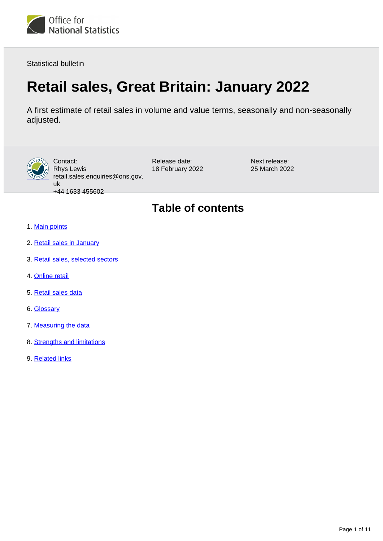

Statistical bulletin

# **Retail sales, Great Britain: January 2022**

A first estimate of retail sales in volume and value terms, seasonally and non-seasonally adjusted.



Contact: Rhys Lewis retail.sales.enquiries@ons.gov. uk +44 1633 455602

Release date: 18 February 2022 Next release: 25 March 2022

## **Table of contents**

- 1. [Main points](#page-1-0)
- 2. [Retail sales in January](#page-2-0)
- 3. [Retail sales, selected sectors](#page-4-0)
- 4. [Online retail](#page-7-0)
- 5. [Retail sales data](#page-8-0)
- 6. [Glossary](#page-8-1)
- 7. [Measuring the data](#page-8-2)
- 8. [Strengths and limitations](#page-9-0)
- 9. [Related links](#page-10-0)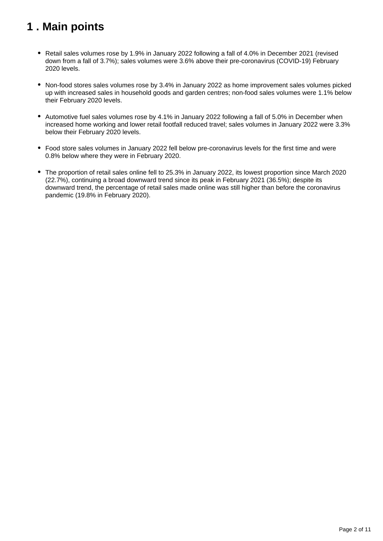## <span id="page-1-0"></span>**1 . Main points**

- Retail sales volumes rose by 1.9% in January 2022 following a fall of 4.0% in December 2021 (revised down from a fall of 3.7%); sales volumes were 3.6% above their pre-coronavirus (COVID-19) February 2020 levels.
- Non-food stores sales volumes rose by 3.4% in January 2022 as home improvement sales volumes picked up with increased sales in household goods and garden centres; non-food sales volumes were 1.1% below their February 2020 levels.
- Automotive fuel sales volumes rose by 4.1% in January 2022 following a fall of 5.0% in December when increased home working and lower retail footfall reduced travel; sales volumes in January 2022 were 3.3% below their February 2020 levels.
- Food store sales volumes in January 2022 fell below pre-coronavirus levels for the first time and were 0.8% below where they were in February 2020.
- The proportion of retail sales online fell to 25.3% in January 2022, its lowest proportion since March 2020 (22.7%), continuing a broad downward trend since its peak in February 2021 (36.5%); despite its downward trend, the percentage of retail sales made online was still higher than before the coronavirus pandemic (19.8% in February 2020).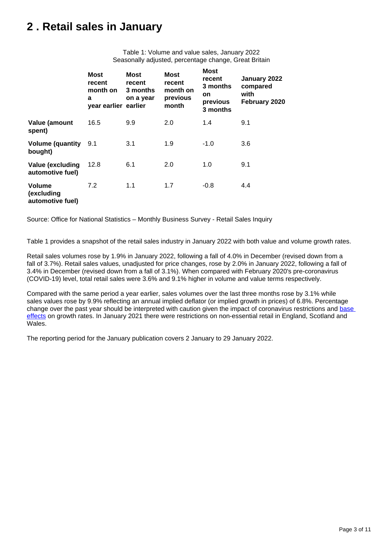## <span id="page-2-0"></span>**2 . Retail sales in January**

Table 1: Volume and value sales, January 2022 Seasonally adjusted, percentage change, Great Britain

|                                                 | <b>Most</b><br>recent<br>month on<br>a<br>year earlier earlier | Most<br>recent<br>3 months<br>on a year | <b>Most</b><br>recent<br>month on<br>previous<br>month | <b>Most</b><br>recent<br>3 months<br>on<br>previous<br>3 months | January 2022<br>compared<br>with<br>February 2020 |
|-------------------------------------------------|----------------------------------------------------------------|-----------------------------------------|--------------------------------------------------------|-----------------------------------------------------------------|---------------------------------------------------|
| Value (amount<br>spent)                         | 16.5                                                           | 9.9                                     | 2.0                                                    | 1.4                                                             | 9.1                                               |
| <b>Volume (quantity</b><br>bought)              | 9.1                                                            | 3.1                                     | 1.9                                                    | $-1.0$                                                          | 3.6                                               |
| Value (excluding<br>automotive fuel)            | 12.8                                                           | 6.1                                     | 2.0                                                    | 1.0                                                             | 9.1                                               |
| <b>Volume</b><br>(excluding<br>automotive fuel) | 7.2                                                            | 1.1                                     | 1.7                                                    | $-0.8$                                                          | 4.4                                               |

Source: Office for National Statistics – Monthly Business Survey - Retail Sales Inquiry

Table 1 provides a snapshot of the retail sales industry in January 2022 with both value and volume growth rates.

Retail sales volumes rose by 1.9% in January 2022, following a fall of 4.0% in December (revised down from a fall of 3.7%). Retail sales values, unadjusted for price changes, rose by 2.0% in January 2022, following a fall of 3.4% in December (revised down from a fall of 3.1%). When compared with February 2020's pre-coronavirus (COVID-19) level, total retail sales were 3.6% and 9.1% higher in volume and value terms respectively.

Compared with the same period a year earlier, sales volumes over the last three months rose by 3.1% while sales values rose by 9.9% reflecting an annual implied deflator (or implied growth in prices) of 6.8%. Percentage change over the past year should be interpreted with caution given the impact of coronavirus restrictions and base [effects](https://blog.ons.gov.uk/2021/05/19/beware-base-effects/) on growth rates. In January 2021 there were restrictions on non-essential retail in England, Scotland and Wales.

The reporting period for the January publication covers 2 January to 29 January 2022.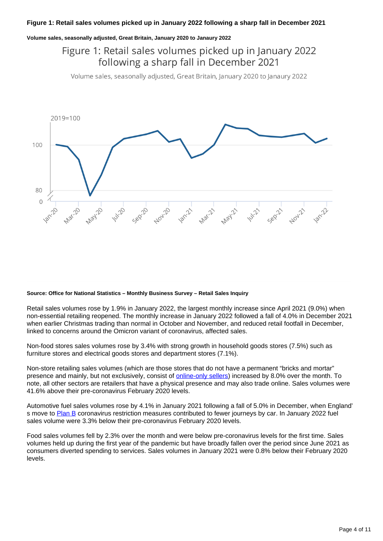#### **Volume sales, seasonally adjusted, Great Britain, January 2020 to Janaury 2022**

Figure 1: Retail sales volumes picked up in January 2022 following a sharp fall in December 2021

Volume sales, seasonally adjusted, Great Britain, January 2020 to Janaury 2022



#### **Source: Office for National Statistics – Monthly Business Survey – Retail Sales Inquiry**

Retail sales volumes rose by 1.9% in January 2022, the largest monthly increase since April 2021 (9.0%) when non-essential retailing reopened. The monthly increase in January 2022 followed a fall of 4.0% in December 2021 when earlier Christmas trading than normal in October and November, and reduced retail footfall in December, linked to concerns around the Omicron variant of coronavirus, affected sales.

Non-food stores sales volumes rose by 3.4% with strong growth in household goods stores (7.5%) such as furniture stores and electrical goods stores and department stores (7.1%).

Non-store retailing sales volumes (which are those stores that do not have a permanent "bricks and mortar" presence and mainly, but not exclusively, consist of **online-only sellers**) increased by 8.0% over the month. To note, all other sectors are retailers that have a physical presence and may also trade online. Sales volumes were 41.6% above their pre-coronavirus February 2020 levels.

Automotive fuel sales volumes rose by 4.1% in January 2021 following a fall of 5.0% in December, when England' s move to [Plan B](http://www.gov.uk/government/news/prime-minister-confirms-move-to-plan-b-in-england) coronavirus restriction measures contributed to fewer journeys by car. In January 2022 fuel sales volume were 3.3% below their pre-coronavirus February 2020 levels.

Food sales volumes fell by 2.3% over the month and were below pre-coronavirus levels for the first time. Sales volumes held up during the first year of the pandemic but have broadly fallen over the period since June 2021 as consumers diverted spending to services. Sales volumes in January 2021 were 0.8% below their February 2020 levels.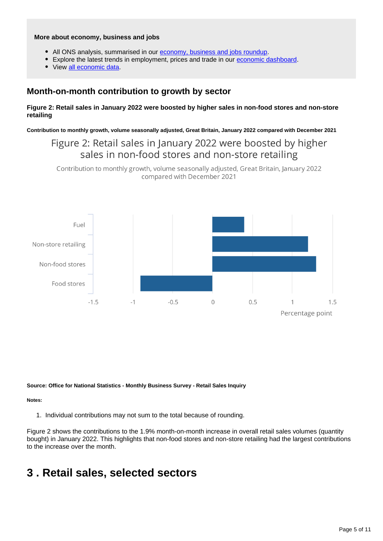#### **More about economy, business and jobs**

- All ONS analysis, summarised in our [economy, business and jobs roundup.](https://www.ons.gov.uk/economy/economicoutputandproductivity/output/articles/ukeconomylatest/2022-01-25)
- Explore the latest trends in employment, prices and trade in our [economic dashboard.](https://www.ons.gov.uk/economy/nationalaccounts/articles/dashboardunderstandingtheukeconomy/2017-02-22)
- View [all economic data](https://www.ons.gov.uk/economy/datalist?filter=datasets).

## **Month-on-month contribution to growth by sector**

#### **Figure 2: Retail sales in January 2022 were boosted by higher sales in non-food stores and non-store retailing**

**Contribution to monthly growth, volume seasonally adjusted, Great Britain, January 2022 compared with December 2021**

Figure 2: Retail sales in January 2022 were boosted by higher sales in non-food stores and non-store retailing

Contribution to monthly growth, volume seasonally adjusted, Great Britain, January 2022 compared with December 2021



**Source: Office for National Statistics - Monthly Business Survey - Retail Sales Inquiry**

#### **Notes:**

1. Individual contributions may not sum to the total because of rounding.

Figure 2 shows the contributions to the 1.9% month-on-month increase in overall retail sales volumes (quantity bought) in January 2022. This highlights that non-food stores and non-store retailing had the largest contributions to the increase over the month.

## <span id="page-4-0"></span>**3 . Retail sales, selected sectors**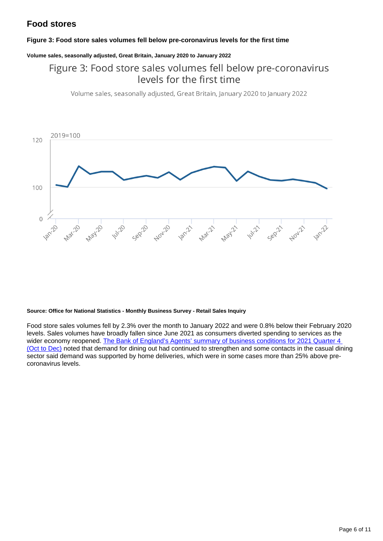## **Food stores**

#### **Figure 3: Food store sales volumes fell below pre-coronavirus levels for the first time**

#### **Volume sales, seasonally adjusted, Great Britain, January 2020 to January 2022**

## Figure 3: Food store sales volumes fell below pre-coronavirus levels for the first time

Volume sales, seasonally adjusted, Great Britain, January 2020 to January 2022



#### **Source: Office for National Statistics - Monthly Business Survey - Retail Sales Inquiry**

Food store sales volumes fell by 2.3% over the month to January 2022 and were 0.8% below their February 2020 levels. Sales volumes have broadly fallen since June 2021 as consumers diverted spending to services as the wider economy reopened. The Bank of England's Agents' summary of business conditions for 2021 Quarter 4 [\(Oct to Dec\)](https://www.bankofengland.co.uk/agents-summary/2021/2021-q4) noted that demand for dining out had continued to strengthen and some contacts in the casual dining sector said demand was supported by home deliveries, which were in some cases more than 25% above precoronavirus levels.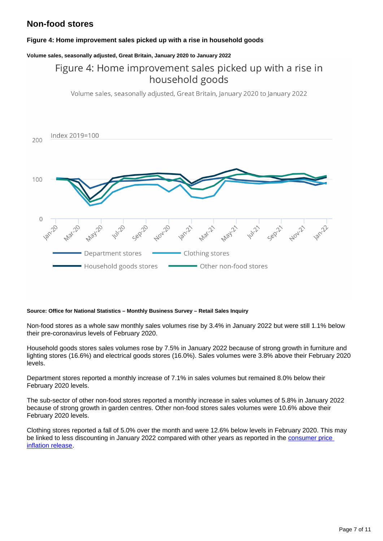## **Non-food stores**

#### **Figure 4: Home improvement sales picked up with a rise in household goods**

#### **Volume sales, seasonally adjusted, Great Britain, January 2020 to January 2022**

## Figure 4: Home improvement sales picked up with a rise in household goods

Volume sales, seasonally adjusted, Great Britain, January 2020 to January 2022



#### **Source: Office for National Statistics – Monthly Business Survey – Retail Sales Inquiry**

Non-food stores as a whole saw monthly sales volumes rise by 3.4% in January 2022 but were still 1.1% below their pre-coronavirus levels of February 2020.

Household goods stores sales volumes rose by 7.5% in January 2022 because of strong growth in furniture and lighting stores (16.6%) and electrical goods stores (16.0%). Sales volumes were 3.8% above their February 2020 levels.

Department stores reported a monthly increase of 7.1% in sales volumes but remained 8.0% below their February 2020 levels.

The sub-sector of other non-food stores reported a monthly increase in sales volumes of 5.8% in January 2022 because of strong growth in garden centres. Other non-food stores sales volumes were 10.6% above their February 2020 levels.

Clothing stores reported a fall of 5.0% over the month and were 12.6% below levels in February 2020. This may be linked to less discounting in January 2022 compared with other years as reported in the consumer price [inflation release.](http://www.ons.gov.uk/economy/inflationandpriceindices/bulletins/consumerpriceinflation/january2022#contributions-to-change-in-the-annual-cpih-inflation-rate)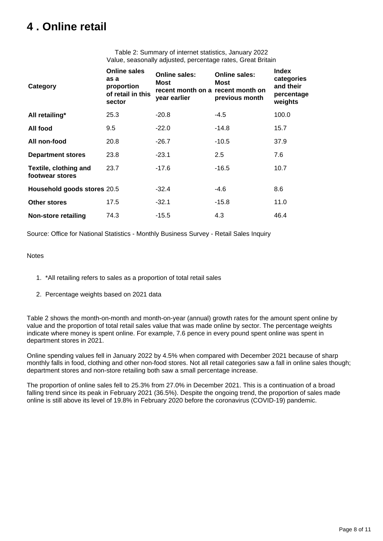## <span id="page-7-0"></span>**4 . Online retail**

Table 2: Summary of internet statistics, January 2022 Value, seasonally adjusted, percentage rates, Great Britain

| Category                                 | <b>Online sales</b><br>as a<br>proportion<br>of retail in this<br>sector | Online sales:<br>Most<br>recent month on a recent month on<br>year earlier | <b>Online sales:</b><br>Most<br>previous month | <b>Index</b><br>categories<br>and their<br>percentage<br>weights |
|------------------------------------------|--------------------------------------------------------------------------|----------------------------------------------------------------------------|------------------------------------------------|------------------------------------------------------------------|
| All retailing*                           | 25.3                                                                     | $-20.8$                                                                    | -4.5                                           | 100.0                                                            |
| All food                                 | 9.5                                                                      | $-22.0$                                                                    | $-14.8$                                        | 15.7                                                             |
| All non-food                             | 20.8                                                                     | $-26.7$                                                                    | $-10.5$                                        | 37.9                                                             |
| <b>Department stores</b>                 | 23.8                                                                     | $-23.1$                                                                    | $2.5\,$                                        | 7.6                                                              |
| Textile, clothing and<br>footwear stores | 23.7                                                                     | $-17.6$                                                                    | $-16.5$                                        | 10.7                                                             |
| Household goods stores 20.5              |                                                                          | -32.4                                                                      | -4.6                                           | 8.6                                                              |
| <b>Other stores</b>                      | 17.5                                                                     | $-32.1$                                                                    | $-15.8$                                        | 11.0                                                             |
| <b>Non-store retailing</b>               | 74.3                                                                     | $-15.5$                                                                    | 4.3                                            | 46.4                                                             |

Source: Office for National Statistics - Monthly Business Survey - Retail Sales Inquiry

#### **Notes**

- 1. \*All retailing refers to sales as a proportion of total retail sales
- 2. Percentage weights based on 2021 data

Table 2 shows the month-on-month and month-on-year (annual) growth rates for the amount spent online by value and the proportion of total retail sales value that was made online by sector. The percentage weights indicate where money is spent online. For example, 7.6 pence in every pound spent online was spent in department stores in 2021.

Online spending values fell in January 2022 by 4.5% when compared with December 2021 because of sharp monthly falls in food, clothing and other non-food stores. Not all retail categories saw a fall in online sales though; department stores and non-store retailing both saw a small percentage increase.

The proportion of online sales fell to 25.3% from 27.0% in December 2021. This is a continuation of a broad falling trend since its peak in February 2021 (36.5%). Despite the ongoing trend, the proportion of sales made online is still above its level of 19.8% in February 2020 before the coronavirus (COVID-19) pandemic.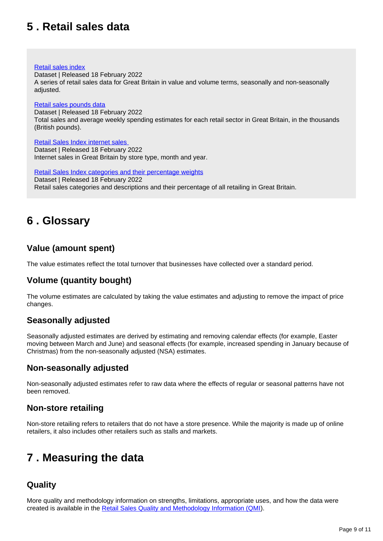## <span id="page-8-0"></span>**5 . Retail sales data**

#### [Retail sales index](https://www.ons.gov.uk/businessindustryandtrade/retailindustry/datasets/retailsalesindexreferencetables)

Dataset | Released 18 February 2022 A series of retail sales data for Great Britain in value and volume terms, seasonally and non-seasonally adjusted.

#### [Retail sales pounds data](https://www.ons.gov.uk/businessindustryandtrade/retailindustry/datasets/poundsdatatotalretailsales)

Dataset | Released 18 February 2022 Total sales and average weekly spending estimates for each retail sector in Great Britain, in the thousands (British pounds).

[Retail Sales Index internet sales](https://www.ons.gov.uk/businessindustryandtrade/retailindustry/datasets/retailsalesindexinternetsales)  Dataset | Released 18 February 2022 Internet sales in Great Britain by store type, month and year.

[Retail Sales Index categories and their percentage weights](https://www.ons.gov.uk/businessindustryandtrade/retailindustry/datasets/retailsalesindexcategoriesandtheirpercentageweights) Dataset | Released 18 February 2022 Retail sales categories and descriptions and their percentage of all retailing in Great Britain.

## <span id="page-8-1"></span>**6 . Glossary**

## **Value (amount spent)**

The value estimates reflect the total turnover that businesses have collected over a standard period.

## **Volume (quantity bought)**

The volume estimates are calculated by taking the value estimates and adjusting to remove the impact of price changes.

## **Seasonally adjusted**

Seasonally adjusted estimates are derived by estimating and removing calendar effects (for example, Easter moving between March and June) and seasonal effects (for example, increased spending in January because of Christmas) from the non-seasonally adjusted (NSA) estimates.

## **Non-seasonally adjusted**

Non-seasonally adjusted estimates refer to raw data where the effects of regular or seasonal patterns have not been removed.

## **Non-store retailing**

Non-store retailing refers to retailers that do not have a store presence. While the majority is made up of online retailers, it also includes other retailers such as stalls and markets.

## <span id="page-8-2"></span>**7 . Measuring the data**

## **Quality**

More quality and methodology information on strengths, limitations, appropriate uses, and how the data were created is available in the [Retail Sales Quality and Methodology Information \(QMI](https://www.ons.gov.uk/businessindustryandtrade/retailindustry/methodologies/retailsalesindexrsiqmi)).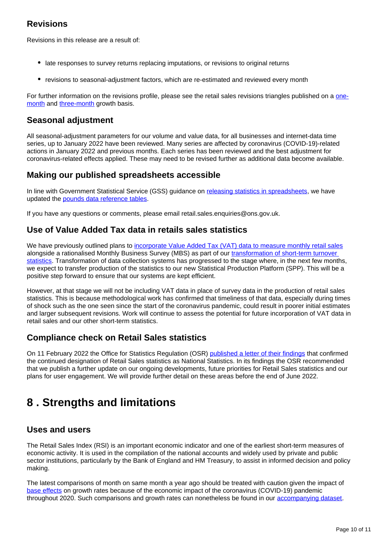## **Revisions**

Revisions in this release are a result of:

- late responses to survey returns replacing imputations, or revisions to original returns
- revisions to seasonal-adjustment factors, which are re-estimated and reviewed every month

For further information on the revisions profile, please see the retail sales revisions triangles published on a [one](https://www.ons.gov.uk/businessindustryandtrade/retailindustry/datasets/retailsalesrevisionstriangles1monthgrowth)[month](https://www.ons.gov.uk/businessindustryandtrade/retailindustry/datasets/retailsalesrevisionstriangles1monthgrowth) and [three-month](https://www.ons.gov.uk/businessindustryandtrade/retailindustry/datasets/retailsalesrevisionstriangles3monthgrowth) growth basis.

## **Seasonal adjustment**

All seasonal-adjustment parameters for our volume and value data, for all businesses and internet-data time series, up to January 2022 have been reviewed. Many series are affected by coronavirus (COVID-19)-related actions in January 2022 and previous months. Each series has been reviewed and the best adjustment for coronavirus-related effects applied. These may need to be revised further as additional data become available.

## **Making our published spreadsheets accessible**

In line with Government Statistical Service (GSS) quidance on [releasing statistics in spreadsheets,](https://gss.civilservice.gov.uk/policy-store/releasing-statistics-in-spreadsheets/) we have updated the [pounds data reference tables](https://www.ons.gov.uk/businessindustryandtrade/retailindustry/datasets/poundsdatatotalretailsales).

If you have any questions or comments, please email retail.sales.enquiries@ons.gov.uk.

## **Use of Value Added Tax data in retails sales statistics**

We have previously outlined plans to [incorporate Value Added Tax \(VAT\) data to measure monthly retail sales](https://www.ons.gov.uk/economy/grossdomesticproductgdp/articles/vatturnoverinitialresearchanalysisuk/novemberupdate) alongside a rationalised Monthly Business Survey (MBS) as part of our transformation of short-term turnover [statistics.](https://www.ons.gov.uk/businessindustryandtrade/retailindustry/articles/transformingshorttermturnoverstatisticsoctober2017/2017-10-19) Transformation of data collection systems has progressed to the stage where, in the next few months, we expect to transfer production of the statistics to our new Statistical Production Platform (SPP). This will be a positive step forward to ensure that our systems are kept efficient.

However, at that stage we will not be including VAT data in place of survey data in the production of retail sales statistics. This is because methodological work has confirmed that timeliness of that data, especially during times of shock such as the one seen since the start of the coronavirus pandemic, could result in poorer initial estimates and larger subsequent revisions. Work will continue to assess the potential for future incorporation of VAT data in retail sales and our other short-term statistics.

## **Compliance check on Retail Sales statistics**

On 11 February 2022 the Office for Statistics Regulation (OSR) [published a letter of their findings](https://osr.statisticsauthority.gov.uk/correspondence/mark-pont-to-darren-morgan-retail-sales-statistics/) that confirmed the continued designation of Retail Sales statistics as National Statistics. In its findings the OSR recommended that we publish a further update on our ongoing developments, future priorities for Retail Sales statistics and our plans for user engagement. We will provide further detail on these areas before the end of June 2022.

## <span id="page-9-0"></span>**8 . Strengths and limitations**

## **Uses and users**

The Retail Sales Index (RSI) is an important economic indicator and one of the earliest short-term measures of economic activity. It is used in the compilation of the national accounts and widely used by private and public sector institutions, particularly by the Bank of England and HM Treasury, to assist in informed decision and policy making.

The latest comparisons of month on same month a year ago should be treated with caution given the impact of [base effects](https://blog.ons.gov.uk/2021/05/19/beware-base-effects/) on growth rates because of the economic impact of the coronavirus (COVID-19) pandemic throughout 2020. Such comparisons and growth rates can nonetheless be found in our [accompanying dataset.](https://www.ons.gov.uk/businessindustryandtrade/retailindustry/bulletins/retailsales/october2021/relateddata)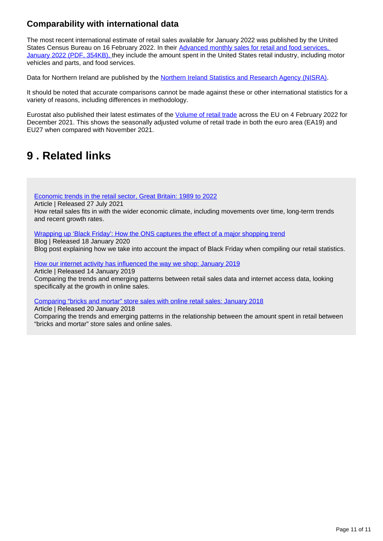## **Comparability with international data**

The most recent international estimate of retail sales available for January 2022 was published by the United States Census Bureau on 16 February 2022. In their Advanced monthly sales for retail and food services, [January 2022 \(PDF, 354KB\),](https://www.census.gov/retail/marts/www/marts_current.pdf) they include the amount spent in the United States retail industry, including motor vehicles and parts, and food services.

Data for Northern Ireland are published by the [Northern Ireland Statistics and Research Agency \(NISRA\)](http://www.nisra.gov.uk/).

It should be noted that accurate comparisons cannot be made against these or other international statistics for a variety of reasons, including differences in methodology.

Eurostat also published their latest estimates of the [Volume of retail trade](https://ec.europa.eu/eurostat/documents/2995521/14245712/4-04022022-AP-EN.pdf/a2b58a6b-3a40-e22f-e8a5-fd9e6713efbe) across the EU on 4 February 2022 for December 2021. This shows the seasonally adjusted volume of retail trade in both the euro area (EA19) and EU27 when compared with November 2021.

## <span id="page-10-0"></span>**9 . Related links**

[Economic trends in the retail sector, Great Britain: 1989 to 2022](https://www.ons.gov.uk/economy/nationalaccounts/balanceofpayments/articles/economictrendsintheretailsectorgreatbritain/1989to2021)

Article | Released 27 July 2021

How retail sales fits in with the wider economic climate, including movements over time, long-term trends and recent growth rates.

#### [Wrapping up 'Black Friday': How the ONS captures the effect of a major shopping trend](https://blog.ons.gov.uk/2019/12/18/wrapping-up-black-friday-how-the-ons-captures-the-effect-of-a-major-shopping-trend/)

Blog | Released 18 January 2020 Blog post explaining how we take into account the impact of Black Friday when compiling our retail statistics.

[How our internet activity has influenced the way we shop: January 2019](https://www.ons.gov.uk/businessindustryandtrade/retailindustry/articles/howourinternetactivityhasinfluencedthewayweshop/october2019#the-majority-of-money-is-spent-within-stores)

Article | Released 14 January 2019 Comparing the trends and emerging patterns between retail sales data and internet access data, looking specifically at the growth in online sales.

[Comparing "bricks and mortar" store sales with online retail sales: January 2018](https://www.ons.gov.uk/businessindustryandtrade/retailindustry/articles/comparingbricksandmortarstoresalestoonlineretailsales/august2018)

Article | Released 20 January 2018 Comparing the trends and emerging patterns in the relationship between the amount spent in retail between "bricks and mortar" store sales and online sales.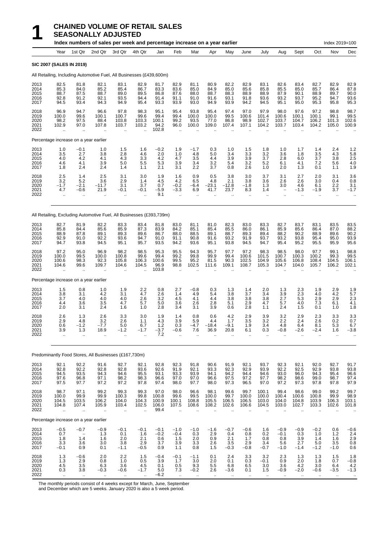|                                      |                                              |                                                        | Index numbers of sales per week and percentage increase on a year earlier |                                                         |                                       |                                         |                                                        |                                                        |                                                         |                                                      |                                                  |                                        |                                                           |                                       |                                          | Index 2019=100                        |                                             |
|--------------------------------------|----------------------------------------------|--------------------------------------------------------|---------------------------------------------------------------------------|---------------------------------------------------------|---------------------------------------|-----------------------------------------|--------------------------------------------------------|--------------------------------------------------------|---------------------------------------------------------|------------------------------------------------------|--------------------------------------------------|----------------------------------------|-----------------------------------------------------------|---------------------------------------|------------------------------------------|---------------------------------------|---------------------------------------------|
|                                      | Year                                         | 1st Qtr                                                | 2nd Qtr                                                                   | 3rd Qtr                                                 | 4th Qtr                               | Jan                                     | Feb                                                    | Mar                                                    | Apr                                                     | May                                                  | June                                             | July                                   | Aug                                                       | Sept                                  | Oct                                      | Nov                                   | Dec                                         |
|                                      | <b>SIC 2007 (SALES IN 2019)</b>              |                                                        |                                                                           |                                                         |                                       |                                         |                                                        |                                                        |                                                         |                                                      |                                                  |                                        |                                                           |                                       |                                          |                                       |                                             |
|                                      |                                              |                                                        | All Retailing, Including Automotive Fuel, All Businesses (£439,600m)      |                                                         |                                       |                                         |                                                        |                                                        |                                                         |                                                      |                                                  |                                        |                                                           |                                       |                                          |                                       |                                             |
| 2013<br>2014<br>2015<br>2016<br>2017 | 82.5<br>85.3<br>88.7<br>92.8<br>94.5         | 81.8<br>84.0<br>87.5<br>91.2<br>93.4                   | 82.1<br>85.2<br>88.7<br>92.1<br>94.3                                      | 83.1<br>85.4<br>89.0<br>93.5<br>94.9                    | 82.9<br>86.7<br>89.5<br>94.4<br>95.4  | 81.7<br>83.3<br>86.8<br>91.4<br>93.3    | 82.9<br>83.6<br>87.6<br>91.1<br>93.9                   | 81.1<br>85.0<br>88.0<br>91.0<br>93.0                   | 80.9<br>84.9<br>88.7<br>91.6<br>94.9                    | 82.2<br>85.0<br>88.3<br>93.1<br>93.9                 | 82.9<br>85.6<br>88.9<br>91.8<br>94.2             | 83.1<br>85.8<br>88.9<br>93.6<br>94.5   | 82.6<br>85.5<br>87.9<br>93.2<br>95.1                      | 83.4<br>85.0<br>90.1<br>93.7<br>95.0  | 82.7<br>85.7<br>88.9<br>95.2<br>95.3     | 82.9<br>86.4<br>89.7<br>94.7<br>95.8  | 82.9<br>87.8<br>90.0<br>93.6<br>95.3        |
| 2018<br>2019<br>2020<br>2021<br>2022 | 96.9<br>100.0<br>98.2<br>102.9               | 94.7<br>99.6<br>97.5<br>97.0<br>$\ddot{\phantom{a}}$   | 96.6<br>100.1<br>88.4<br>107.8<br>ä.                                      | 97.8<br>100.7<br>103.8<br>103.7<br>$\ddot{\phantom{a}}$ | 98.3<br>99.6<br>103.3<br>103.2        | 95.1<br>99.4<br>100.1<br>94.2<br>102.8  | 95.4<br>99.4<br>99.2<br>96.0                           | 93.8<br>100.0<br>93.5<br>100.0                         | 95.4<br>100.0<br>77.0<br>109.0                          | 97.4<br>99.5<br>86.8<br>107.4                        | 97.0<br>100.6<br>98.9<br>107.1                   | 97.9<br>101.4<br>102.7<br>104.2        | 98.0<br>100.6<br>103.7<br>103.7                           | 97.6<br>100.1<br>104.7<br>103.4       | 97.2<br>100.1<br>106.2<br>104.2          | 98.8<br>99.1<br>101.3<br>105.0        | 98.7<br>99.5<br>102.6<br>100.9              |
|                                      | Percentage increase on a year earlier        |                                                        |                                                                           |                                                         |                                       |                                         |                                                        |                                                        |                                                         |                                                      |                                                  |                                        |                                                           |                                       |                                          |                                       |                                             |
| 2013<br>2014<br>2015<br>2016<br>2017 | 1.0<br>3.5<br>4.0<br>4.6<br>1.8              | $-0.1$<br>2.7<br>4.2<br>4.1<br>2.4                     | 1.0<br>3.8<br>4.1<br>3.9<br>2.4                                           | 1.5<br>2.8<br>4.3<br>5.0<br>1.4                         | 1.6<br>4.6<br>3.3<br>5.5<br>1.1       | $-0.2$<br>2.0<br>4.2<br>5.3<br>2.1      | 1.9<br>1.0<br>4.7<br>3.9<br>3.1                        | $-1.7$<br>4.8<br>3.5<br>3.4<br>2.2                     | 0.3<br>5.0<br>4.4<br>3.2<br>3.7                         | 1.0<br>3.4<br>3.9<br>5.4<br>0.8                      | 1.5<br>3.3<br>3.9<br>3.2<br>2.6                  | 1.8<br>3.2<br>3.7<br>5.2<br>1.0        | 1.0<br>3.6<br>2.8<br>6.1<br>2.0                           | 1.7<br>1.8<br>6.0<br>4.1<br>1.3       | 1.4<br>3.5<br>3.7<br>7.2<br>0.1          | 2.4<br>4.3<br>3.8<br>5.6<br>1.1       | 1.2<br>5.8<br>2.5<br>4.0<br>1.9             |
| 2018<br>2019<br>2020<br>2021<br>2022 | 2.5<br>3.2<br>$-1.7$<br>4.7                  | 1.4<br>5.2<br>$-2.1$<br>$-0.6$<br>                     | 2.5<br>3.6<br>$-11.7$<br>21.9                                             | 3.1<br>2.9<br>3.1<br>$-0.1$                             | 3.0<br>1.4<br>3.7<br>$-0.1$           | 1.9<br>4.5<br>0.7<br>$-5.9$<br>9.1      | 1.6<br>4.2<br>$-0.2$<br>$-3.3$<br>$\mathbf{r}$         | 0.9<br>6.5<br>$-6.4$<br>6.9<br>$\ddotsc$               | 0.5<br>4.8<br>$-23.1$<br>41.7                           | 3.8<br>2.1<br>$-12.8$<br>23.7<br>$\ddotsc$           | 3.0<br>3.8<br>$-1.8$<br>8.3<br>$\ldots$          | 3.7<br>3.6<br>1.3<br>1.4<br>           | 3.1<br>2.6<br>3.0<br>$\overline{\phantom{0}}$<br>$\ldots$ | 2.7<br>2.6<br>4.6<br>$-1.3$<br>ä.     | 2.0<br>3.0<br>6.1<br>$-1.9$<br>ä.        | 3.1<br>0.4<br>2.2<br>3.7<br>$\ddotsc$ | 3.6<br>0.8<br>3.1<br>$-1.7$                 |
|                                      |                                              |                                                        | All Retailing, Excluding Automotive Fuel, All Businesses (£393,739m)      |                                                         |                                       |                                         |                                                        |                                                        |                                                         |                                                      |                                                  |                                        |                                                           |                                       |                                          |                                       |                                             |
| 2013<br>2014<br>2015<br>2016<br>2017 | 82.7<br>85.8<br>88.9<br>92.9<br>94.7         | 81.9<br>84.4<br>87.8<br>91.0<br>93.8                   | 82.2<br>85.6<br>89.1<br>92.2<br>94.5                                      | 83.3<br>85.9<br>89.3<br>93.6<br>95.1                    | 83.4<br>87.3<br>89.6<br>94.7<br>95.7  | 81.8<br>83.9<br>86.7<br>91.0<br>93.5    | 83.0<br>84.2<br>88.0<br>91.1<br>94.2                   | 81.1<br>85.1<br>88.5<br>90.8<br>93.6                   | 81.0<br>85.4<br>89.1<br>91.6<br>95.1                    | 82.3<br>85.5<br>88.7<br>93.2<br>93.8                 | 83.0<br>86.0<br>89.3<br>91.9<br>94.5             | 83.3<br>86.1<br>89.4<br>93.7<br>94.7   | 82.7<br>85.9<br>88.2<br>93.2<br>95.4                      | 83.7<br>85.6<br>90.2<br>93.8<br>95.2  | 83.1<br>86.4<br>88.9<br>95.4<br>95.5     | 83.5<br>87.0<br>89.6<br>95.0<br>95.9  | 83.5<br>88.2<br>90.2<br>93.9<br>95.6        |
| 2018<br>2019<br>2020<br>2021<br>2022 | 97.2<br>100.0<br>100.6<br>104.6              | 95.0<br>99.5<br>98.3<br>99.6                           | 96.9<br>100.0<br>92.3<br>109.7                                            | 98.2<br>100.8<br>105.8<br>104.6                         | 98.5<br>99.6<br>106.3<br>104.5        | 95.3<br>99.4<br>100.6<br>96.9<br>103.8  | 95.5<br>99.2<br>99.5<br>98.8                           | 94.3<br>99.8<br>95.2<br>102.5                          | 95.7<br>99.9<br>81.5<br>111.6                           | 97.7<br>99.4<br>90.3<br>109.1                        | 97.2<br>100.6<br>102.5<br>108.7                  | 98.3<br>101.5<br>104.9<br>105.3        | 98.5<br>100.7<br>105.6<br>104.7                           | 98.0<br>100.3<br>106.8<br>104.0       | 97.7<br>100.2<br>108.4<br>105.7          | 99.1<br>99.3<br>104.5<br>106.2        | 98.8<br>99.5<br>106.1<br>102.1              |
|                                      | Percentage increase on a year earlier        |                                                        |                                                                           |                                                         |                                       |                                         |                                                        |                                                        |                                                         |                                                      |                                                  |                                        |                                                           |                                       |                                          |                                       |                                             |
| 2013<br>2014<br>2015<br>2016<br>2017 | 1.5<br>3.8<br>3.7<br>4.4<br>2.0              | 0.8<br>3.1<br>4.0<br>3.6<br>3.1                        | 1.0<br>4.2<br>4.0<br>3.5<br>2.4                                           | 1.9<br>3.1<br>4.0<br>4.7<br>1.6                         | 2.2<br>4.7<br>2.6<br>5.7<br>1.0       | 0.8<br>2.6<br>3.2<br>5.0<br>2.8         | 2.7<br>1.4<br>4.5<br>3.6<br>3.4                        | $-0.8$<br>4.9<br>4.1<br>2.6<br>3.1                     | 0.3<br>5.4<br>4.4<br>2.8<br>3.9                         | 1.3<br>3.8<br>3.8<br>5.1<br>0.6                      | 1.4<br>3.7<br>3.8<br>2.9<br>2.8                  | 2.0<br>3.4<br>3.8<br>4.7<br>1.1        | 1.3<br>3.9<br>2.7<br>5.7<br>2.4                           | $^{2.3}_{2.3}$<br>5.3<br>4.0<br>1.5   | 1.9<br>4.0<br>2.9<br>7.3<br>0.1          | $^{2.9}_{4.2}$<br>2.9<br>6.1<br>1.0   | 1.9<br>5.7<br>2.3<br>4.1<br>1.8             |
| 2018<br>2019<br>2020<br>2021<br>2022 | 2.6<br>2.9<br>0.6<br>3.9<br>$\ddotsc$        | 1.3<br>4.8<br>$-1.2$<br>1.3<br>$\ddotsc$               | 2.6<br>3.2<br>-7.7<br>18.9<br>$\ddotsc$                                   | 3.3<br>2.6<br>5.0<br>$-1.2$<br>$\ddotsc$                | 3.0<br>1.1<br>6.7<br>$-1.7$           | 1.9<br>4.3<br>1.2<br>$-3.7$<br>7.2      | 1.4<br>3.9<br>0.3<br>$-0.6$<br>$\ddotsc$               | 0.8<br>5.9<br>$-4.7$<br>7.6<br>$\ddotsc$               | 0.6<br>4.4<br>$-18.4$<br>36.9<br>$\ddotsc$              | 4.2<br>1.7<br>$-9.1$<br>20.8<br>$\ddot{\phantom{a}}$ | 2.9<br>3.5<br>1.9<br>6.1<br>$\ddot{\phantom{a}}$ | 3.9<br>3.2<br>3.4<br>0.3<br>$\ddotsc$  | $3.2\,$<br>2.2<br>4.8<br>$-0.8$<br>$\ddotsc$              | 2.9<br>2.4<br>6.4<br>$-2.6$<br>       | 2.3<br>2.6<br>8.1<br>$-2.4$<br>$\ddotsc$ | 3.3<br>0.2<br>5.3<br>1.6<br>$\ldots$  | 3.3<br>0.7<br>6.7<br>$-3.8$<br>ä.           |
|                                      |                                              |                                                        | Predominantly Food Stores, All Businesses (£167,730m)                     |                                                         |                                       |                                         |                                                        |                                                        |                                                         |                                                      |                                                  |                                        |                                                           |                                       |                                          |                                       |                                             |
| 2013<br>2014<br>2015<br>2016<br>2017 | 92.1<br>92.8<br>94.5<br>97.6<br>97.5         | 92.2<br>92.2<br>93.5<br>96.8<br>97.7                   | 91.6<br>92.8<br>94.3<br>97.1<br>97.2                                      | 92.7<br>92.8<br>94.6<br>98.2<br>97.2                    | 92.1<br>93.6<br>95.5<br>98.3<br>97.8  | 92.8<br>92.6<br>93.1<br>96.6<br>97.4    | 92.3<br>91.9<br>93.3<br>97.0<br>98.0                   | 91.8<br>92.1<br>93.9<br>97.0<br>97.7                   | 90.6<br>93.3<br>94.1<br>96.6<br>98.0                    | 91.9<br>92.3<br>94.2<br>97.5<br>97.3                 | 92.1<br>92.9<br>94.4<br>97.2<br>96.5             | 93.7<br>93.9<br>94.6<br>97.7<br>97.0   | 92.3<br>92.2<br>93.0<br>98.2<br>97.2                      | 92.1<br>92.5<br>96.0<br>98.6<br>97.3  | 92.0<br>92.9<br>94.3<br>99.0<br>97.8     | 92.7<br>93.8<br>95.4<br>98.7<br>97.8  | 91.7<br>93.8<br>96.6<br>97.4<br>97.9        |
| 2018<br>2019<br>2020<br>2021<br>2022 | 98.7<br>100.0<br>104.5<br>104.8<br>$\ddotsc$ | 97.1<br>99.9<br>103.5<br>107.4<br>$\ddot{\phantom{a}}$ | 99.2<br>99.9<br>106.2<br>105.9<br>ä.                                      | 99.3<br>100.3<br>104.0<br>103.4<br>$\bar{\mathbf{a}}$   | 99.3<br>99.8<br>104.3<br>102.5        | 97.0<br>100.8<br>100.9<br>106.0<br>99.4 | 98.0<br>99.6<br>100.1<br>107.5<br>$\ddot{\phantom{a}}$ | 96.6<br>99.5<br>108.8<br>108.6<br>$\ddot{\phantom{a}}$ | 98.1<br>100.0<br>105.5<br>108.2<br>$\ddot{\phantom{a}}$ | 99.6<br>99.7<br>106.5<br>102.6<br>$\ddotsc$          | 99.7<br>100.0<br>106.5<br>106.6<br>÷.            | 100.1<br>100.0<br>103.0<br>104.5<br>ä. | 99.4<br>100.4<br>104.0<br>103.0<br>$\ddotsc$              | 98.6<br>100.6<br>104.8<br>102.7<br>μ. | 99.0<br>100.8<br>103.9<br>103.3<br>ä.    | 99.2<br>99.9<br>106.3<br>102.6<br>ä.  | 99.7<br>98.9<br>103.1<br>101.8<br>$\ddotsc$ |
|                                      | Percentage increase on a year earlier        |                                                        |                                                                           |                                                         |                                       |                                         |                                                        |                                                        |                                                         |                                                      |                                                  |                                        |                                                           |                                       |                                          |                                       |                                             |
| 2013<br>2014<br>2015<br>2016<br>2017 | $-0.5$<br>0.7<br>1.8<br>3.3<br>$-0.1$        | $-0.7$<br>$1.\overline{4}$<br>3.6<br>0.9               | $-0.9$<br>1.3<br>1.6<br>3.0<br>0.1                                        | $-0.1$<br>$0.1$<br>$2.0$<br>3.8<br>$-1.1$               | $-0.1$<br>1.6<br>2.1<br>2.9<br>$-0.5$ | $-0.1$<br>$-0.2$<br>0.6<br>3.7<br>0.9   | $-1.0$<br>$-0.4$<br>1.5<br>3.9<br>1.1                  | $-1.0$<br>0.3<br>2.0<br>3.3<br>0.8                     | $-1.6$<br>2.9<br>0.9<br>2.6<br>1.5                      | $-0.7$<br>0.4<br>2.1<br>3.5<br>$-0.3$                | $-0.6$<br>0.8<br>1.7<br>2.9<br>$-0.8$            | 1.6<br>0.2<br>0.8<br>3.4<br>$-0.7$     | $-0.9$<br>$-0.1$<br>0.8<br>5.6<br>$-1.0$                  | $-0.9$<br>0.3<br>3.9<br>2.7<br>$-1.4$ | $-0.2$<br>1.0<br>1.4<br>5.0<br>$-1.2$    | 0.6<br>$1.2$<br>1.6<br>3.5<br>$-1.0$  | $-0.6$<br>$^{2.4}_{2.9}$<br>0.8<br>0.6      |
| 2018<br>2019<br>2020<br>2021         | 1.3<br>$\frac{1.3}{4.5}$<br>0.3              | $-0.6$<br>$\substack{2.9\\3.5}$<br>3.8                 | 2.0<br>0.8<br>6.3<br>$-0.3$                                               | 2.2<br>$1.0$<br>3.6<br>$-0.6$                           | 1.5<br>0.5<br>4.5<br>$-1.7$           | $-0.4$<br>3.9<br>0.1<br>5.0             | -0.1<br>1.7<br>0.5<br>7.3                              | $-1.1$<br>3.0<br>9.3<br>$-0.2$                         | 0.1<br>2.0<br>5.5<br>2.6                                | 2.4<br>0.1<br>6.8<br>$-3.6$                          | 3.3<br>0.3<br>6.5<br>0.1                         | 3.2<br>$-0.1$<br>3.0<br>1.5            | 2.3<br>0.9<br>3.6<br>$-0.9$                               | 1.3<br>2.0<br>4.2<br>$-2.0$           | 1.3<br>1.8<br>3.0<br>$-0.6$              | $1.5$<br>0.7<br>6.4<br>$-3.5$         | 1.8<br>$-0.8$<br>4.2<br>$-1.3$              |

2022 .. .. .. .. .. −6.2 .. .. .. .. .. .. .. .. .. .. ..

The monthly periods consist of 4 weeks except for March, June, September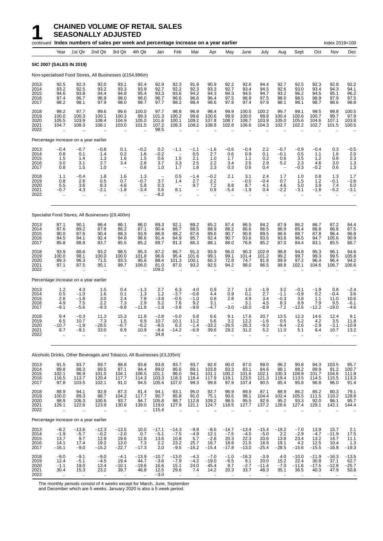|                                      |                                                        |                                             | continued Index numbers of sales per week and percentage increase on a year earlier |                                                      |                                                        |                                                |                                                         |                                                                   |                                                        |                                                       |                                              |                                              |                                                            |                                                     |                                                        | Index 2019=100                                         |                                                        |
|--------------------------------------|--------------------------------------------------------|---------------------------------------------|-------------------------------------------------------------------------------------|------------------------------------------------------|--------------------------------------------------------|------------------------------------------------|---------------------------------------------------------|-------------------------------------------------------------------|--------------------------------------------------------|-------------------------------------------------------|----------------------------------------------|----------------------------------------------|------------------------------------------------------------|-----------------------------------------------------|--------------------------------------------------------|--------------------------------------------------------|--------------------------------------------------------|
|                                      | Year                                                   | 1st Qtr                                     | 2nd Qtr                                                                             | 3rd Qtr                                              | 4th Qtr                                                | Jan                                            | Feb                                                     | Mar                                                               | Apr                                                    | May                                                   | June                                         | July                                         | Aug                                                        | Sept                                                | Oct                                                    | Nov                                                    | Dec                                                    |
|                                      | <b>SIC 2007 (SALES IN 2019)</b>                        |                                             |                                                                                     |                                                      |                                                        |                                                |                                                         |                                                                   |                                                        |                                                       |                                              |                                              |                                                            |                                                     |                                                        |                                                        |                                                        |
|                                      |                                                        |                                             | Non-specialised Food Stores, All Businesses (£154,996m)                             |                                                      |                                                        |                                                |                                                         |                                                                   |                                                        |                                                       |                                              |                                              |                                                            |                                                     |                                                        |                                                        |                                                        |
| 2013<br>2014<br>2015<br>2016<br>2017 | 92.5<br>93.2<br>94.6<br>97.4<br>98.2                   | 92.3<br>92.5<br>93.8<br>96.7<br>98.1        | 92.0<br>93.2<br>94.4<br>96.9<br>97.9                                                | 93.1<br>93.3<br>94.8<br>98.0<br>98.0                 | 92.4<br>93.9<br>95.4<br>98.0<br>98.7                   | 92.9<br>92.7<br>93.3<br>96.7<br>97.7           | 92.3<br>92.2<br>93.6<br>96.6<br>98.2                    | 91.9<br>92.3<br>94.2<br>96.6<br>98.4                              | 90.9<br>93.3<br>94.3<br>96.4<br>98.6                   | 92.2<br>92.7<br>94.3<br>97.5<br>97.8                  | 92.6<br>93.4<br>94.5<br>96.9<br>97.4         | 94.4<br>94.5<br>94.7<br>97.5<br>97.9         | 92.7<br>92.6<br>93.2<br>98.0<br>98.1                       | 92.5<br>93.0<br>96.2<br>98.5<br>98.1                | 92.3<br>93.4<br>94.5<br>98.9<br>98.7                   | 92.8<br>94.3<br>95.1<br>97.9<br>98.6                   | 92.2<br>94.1<br>96.2<br>97.5<br>98.8                   |
| 2018<br>2019<br>2020<br>2021<br>2022 | 99.2<br>100.0<br>105.5<br>104.7                        | 97.7<br>100.3<br>103.9<br>108.3             | 99.6<br>100.1<br>108.4<br>106.1                                                     | 99.6<br>100.3<br>104.9<br>103.0                      | 100.0<br>99.3<br>105.0<br>101.5                        | 97.7<br>101.3<br>101.6<br>107.2<br>98.5        | 98.8<br>100.2<br>100.1<br>108.3                         | 96.9<br>99.6<br>109.2<br>109.2                                    | 98.4<br>100.6<br>107.8<br>108.8                        | 99.9<br>99.9<br>108.7<br>102.8                        | 100.5<br>100.0<br>108.7<br>106.6             | 100.2<br>99.8<br>103.9<br>104.3              | 99.7<br>100.4<br>105.0<br>102.7                            | 99.1<br>100.6<br>105.6<br>102.2                     | 99.5<br>100.7<br>104.6<br>102.7                        | 99.8<br>99.7<br>107.1<br>101.5                         | 100.5<br>97.9<br>103.8<br>100.5                        |
|                                      |                                                        | Percentage increase on a year earlier       |                                                                                     |                                                      |                                                        |                                                |                                                         |                                                                   |                                                        |                                                       |                                              |                                              |                                                            |                                                     |                                                        |                                                        |                                                        |
| 2013<br>2014<br>2015<br>2016<br>2017 | $-0.4$<br>0.8<br>1.5<br>3.0<br>0.8                     | $-0.7$<br>0.1<br>1.4<br>3.1<br>1.5          | $-0.8$<br>1.4<br>1.3<br>2.7<br>1.0                                                  | 0.1<br>0.2<br>1.6<br>3.4<br>$\overline{\phantom{0}}$ | $-0.2$<br>1.6<br>1.5<br>2.8<br>0.6                     | 0.2<br>$-0.2$<br>0.6<br>3.7<br>1.0             | $-1.1$<br>$\overline{\phantom{0}}$<br>1.5<br>3.3<br>1.7 | $-1.1$<br>0.5<br>2.1<br>2.5<br>1.8                                | $-1.6$<br>2.7<br>1.0<br>2.2<br>2.3                     | $-0.6$<br>0.6<br>1.7<br>3.4<br>0.3                    | $-0.4$<br>0.9<br>1.1<br>2.5<br>0.6           | 2.2<br>0.1<br>0.2<br>2.9<br>0.4              | $-0.7$<br>$-0.1$<br>0.6<br>5.2<br>$\overline{\phantom{0}}$ | $-0.9$<br>0.5<br>3.5<br>2.3<br>$-0.3$               | $-0.4$<br>1.1<br>1.2<br>4.6<br>$-0.2$                  | 0.3<br>1.6<br>0.8<br>3.0<br>0.6                        | $-0.5$<br>2.0<br>2.3<br>1.3<br>1.3                     |
| 2018<br>2019<br>2020<br>2021<br>2022 | 1.1<br>0.8<br>5.5<br>$-0.7$<br>ä.                      | $-0.4$<br>2.6<br>3.6<br>4.3<br>$\mathbf{r}$ | 1.8<br>0.5<br>8.3<br>-2.1<br>ä.                                                     | 1.6<br>0.7<br>4.6<br>$-1.8$<br>ä.                    | 1.3<br>$-0.7$<br>5.8<br>$-3.4$                         | $\qquad \qquad -$<br>3.7<br>0.3<br>5.6<br>-8.2 | 0.5<br>1.4<br>8.1<br>$\ddot{\phantom{a}}$               | $-1.4$<br>2.7<br>9.7<br>$\qquad \qquad -$<br>$\ddot{\phantom{a}}$ | $-0.2$<br>2.2<br>7.2<br>0.9<br>$\ddot{\phantom{a}}$    | 2.1<br>$\overline{\phantom{0}}$<br>8.8<br>-5.4        | 3.1<br>$-0.5$<br>8.7<br>$-1.9$               | 2.4<br>$-0.4$<br>4.1<br>0.4<br>ä.            | 1.7<br>0.7<br>4.6<br>$-2.2$<br>$\ddot{\phantom{a}}$        | 1.0<br>1.5<br>5.0<br>$-3.1$<br>$\ddot{\phantom{a}}$ | 0.8<br>1.2<br>3.9<br>$-1.8$<br>$\ddot{\phantom{a}}$    | 1.3<br>$-0.1$<br>7.4<br>$-5.2$<br>$\ddot{\phantom{a}}$ | 1.7<br>$-2.6$<br>6.0<br>-3.1                           |
|                                      |                                                        |                                             | Specialist Food Stores, All Businesses (£9,400m)                                    |                                                      |                                                        |                                                |                                                         |                                                                   |                                                        |                                                       |                                              |                                              |                                                            |                                                     |                                                        |                                                        |                                                        |
| 2013<br>2014<br>2015<br>2016<br>2017 | 87.1<br>87.6<br>90.0<br>94.5<br>85.8                   | 90.1<br>89.2<br>87.6<br>94.1<br>88.9        | 86.4<br>87.8<br>90.4<br>92.4<br>83.7                                                | 86.1<br>86.2<br>88.3<br>94.8<br>85.5                 | 86.0<br>87.1<br>93.9<br>96.6<br>85.2                   | 89.3<br>90.4<br>86.9<br>91.4<br>89.7           | 92.1<br>88.7<br>88.2<br>94.9<br>91.3                    | 89.2<br>88.5<br>87.6<br>95.7<br>86.3                              | 85.2<br>88.9<br>89.6<br>92.4<br>88.1                   | 87.4<br>88.2<br>90.7<br>90.7<br>88.0                  | 86.5<br>86.6<br>90.8<br>93.6<br>76.8         | 84.2<br>86.5<br>89.5<br>93.5<br>85.2         | 87.9<br>86.9<br>86.6<br>93.8<br>87.0                       | 86.2<br>85.4<br>88.7<br>96.5<br>84.4                | 86.7<br>86.8<br>87.8<br>94.7<br>83.1                   | 87.2<br>86.8<br>96.4<br>105.6<br>85.5                  | 84.4<br>87.5<br>96.8<br>90.9<br>86.7                   |
| 2018<br>2019<br>2020<br>2021<br>2022 | 93.9<br>100.0<br>89.3<br>97.1                          | 88.6<br>98.1<br>96.3<br>87.5<br>$\ddotsc$   | 93.2<br>100.0<br>71.5<br>95.1                                                       | 98.5<br>100.0<br>93.3<br>99.7<br>ä.                  | 95.3<br>101.8<br>95.6<br>106.0                         | 87.2<br>96.6<br>88.4<br>81.0<br>109.2          | 86.7<br>95.4<br>101.3<br>87.0                           | 91.3<br>101.6<br>100.1<br>93.2                                    | 93.9<br>99.1<br>66.3<br>92.5                           | 96.0<br>99.1<br>72.8<br>94.2                          | 90.3<br>101.4<br>74.7<br>98.0                | 102.9<br>101.2<br>91.8<br>96.5               | 98.8<br>99.2<br>89.9<br>99.8                               | 94.8<br>99.7<br>97.2<br>102.1                       | 95.3<br>99.3<br>96.4<br>104.6                          | 96.1<br>99.5<br>96.4<br>106.7                          | 94.6<br>105.8<br>94.2<br>106.6                         |
|                                      |                                                        | Percentage increase on a year earlier       |                                                                                     |                                                      |                                                        |                                                |                                                         |                                                                   |                                                        |                                                       |                                              |                                              |                                                            |                                                     |                                                        |                                                        |                                                        |
| 2013<br>2014<br>2015<br>2016<br>2017 | 1.2<br>0.5<br>2.8<br>4.9<br>$-9.1$                     | 4.3<br>$-1.0$<br>$-1.8$<br>7.5<br>$-5.6$    | 1.5<br>1.6<br>3.0<br>2.2<br>$-9.3$                                                  | 0.4<br>0.1<br>2.4<br>7.3<br>$-9.8$                   | $-1.3$<br>1.3<br>7.8<br>2.9<br>$-11.8$                 | 2.7<br>1.2<br>$-3.8$<br>5.2<br>$-1.8$          | 6.3<br>$-3.7$<br>$-0.5$<br>7.6<br>$-3.8$                | 4.0<br>$-0.8$<br>$-1.0$<br>9.2<br>$-9.8$                          | 0.9<br>4.4<br>0.8<br>3.1<br>-4.7                       | 2.7<br>0.9<br>2.8<br>$-3.0$                           | 1.0<br>0.1<br>4.9<br>3.1<br>$-18.0$          | $-1.9$<br>2.7<br>3.4<br>4.5<br>$-8.9$        | 3.2<br>$-1.1$<br>$-0.3$<br>8.3<br>$-7.2$                   | $-0.1$<br>$-0.9$<br>3.8<br>8.9<br>$-12.6$           | $-1.9$<br>0.2<br>1.1<br>7.9<br>$-12.\overline{2}$      | 0.8<br>$-0.4$<br>11.0<br>9.5<br>$-19.0$                | $-2.4$<br>3.6<br>10.6<br>-6.1<br>$-4.6$                |
| 2018<br>2019<br>2020<br>2021<br>2022 | 9.4<br>6.5<br>-10.7<br>8.7<br>$\ddot{\phantom{a}}$     | $-0.3$<br>10.7<br>$-1.9$<br>$-9.1$          | 11.3<br>7.3<br>-28.5<br>33.0<br>$\ddotsc$                                           | 15.3<br>1.5<br>$-6.7$<br>6.9<br>$\ddotsc$            | 11.8<br>6.9<br>$-6.2$<br>10.9                          | $-2.8$<br>10.7<br>$-8.5$<br>$-8.4$<br>34.8     | $-5.0$<br>10.1<br>6.2<br>$-14.2$                        | 5.8<br>11.2<br>$-1.4$<br>-6.9                                     | 6.6<br>5.6<br>$-33.2$<br>39.6                          | 9.1<br>3.2<br>$-26.5$<br>29.2<br>$\ddot{\phantom{a}}$ | 17.6<br>12.2<br>$-26.3$<br>31.2              | 20.7<br>$-1.6$<br>$-9.3$<br>5.2<br>$\ddotsc$ | 13.5<br>0.5<br>-9.4<br>11.0                                | 12.3<br>5.2<br>$-2.6$<br>5.1                        | 14.6<br>4.2<br>$-2.9$<br>8.4                           | 12.4<br>3.5<br>$-3.1$<br>10.7<br>$\ddotsc$             | 9.1<br>11.8<br>$-10.9$<br>13.2                         |
|                                      |                                                        |                                             | Alcoholic Drinks, Other Beverages and Tobacco, All Businesses (£3,335m)             |                                                      |                                                        |                                                |                                                         |                                                                   |                                                        |                                                       |                                              |                                              |                                                            |                                                     |                                                        |                                                        |                                                        |
| 2013<br>2014<br>2015<br>2016<br>2017 | 91.5<br>89.8<br>102.1<br>116.5<br>97.8                 | 93.7<br>88.3<br>96.9<br>113.7<br>103.5      | 89.7<br>89.5<br>101.0<br>120.4<br>102.1                                             | 88.8<br>87.1<br>104.1<br>117.7<br>91.0               | 93.8<br>94.4<br>106.5<br>114.3<br>94.5                 | 93.8<br>89.0<br>101.1<br>103.3<br>105.4        | 93.7<br>86.6<br>96.0<br>118.3<br>107.0                  | 93.7<br>89.1<br>94.1<br>118.4<br>99.3                             | 92.6<br>103.8<br>101.1<br>117.9<br>99.8                | 90.0<br>83.3<br>100.2<br>119.1<br>97.9                | 87.0<br>83.1<br>101.6<br>123.5<br>107.4      | 89.0<br>84.6<br>102.1<br>121.3<br>90.5       | 86.2<br>88.1<br>100.3<br>119.4<br>85.4                     | 90.8<br>88.2<br>108.9<br>113.5<br>95.8              | 94.3<br>89.9<br>101.7<br>114.5<br>96.8                 | 103.5<br>91.2<br>104.6<br>115.5<br>96.0                | 85.7<br>100.7<br>111.9<br>113.3<br>91.4                |
| 2018<br>2019<br>2020<br>2021<br>2022 | 88.9<br>100.0<br>98.9<br>129.1<br>$\ddot{\phantom{a}}$ | 94.1<br>89.3<br>106.3<br>122.6<br>$\ddotsc$ | 92.9<br>88.7<br>100.6<br>123.9<br>$\ddot{\phantom{a}}$                              | 87.3<br>104.2<br>93.7<br>130.8<br>ä,                 | 81.4<br>117.7<br>94.7<br>139.0<br>$\ddot{\phantom{a}}$ | 94.1<br>90.7<br>105.8<br>119.0<br>115.4        | 93.1<br>85.8<br>98.7<br>127.9<br>$\ddot{\phantom{a}}$   | 95.0<br>91.0<br>112.8<br>121.1                                    | 92.7<br>75.1<br>109.2<br>124.7<br>$\ddot{\phantom{a}}$ | 96.9<br>90.6<br>98.5<br>118.5                         | 89.9<br>98.1<br>95.5<br>127.7                | 87.1<br>104.4<br>92.6<br>137.2<br>$\sim$     | 88.9<br>102.4<br>95.2<br>128.6<br>$\ddot{\phantom{a}}$     | 86.2<br>105.5<br>93.3<br>127.4                      | 85.2<br>111.5<br>92.0<br>129.1<br>$\ddot{\phantom{a}}$ | 80.3<br>110.2<br>96.1<br>142.1<br>$\ddot{\phantom{a}}$ | 79.1<br>128.8<br>95.7<br>144.4<br>$\ddot{\phantom{a}}$ |
|                                      |                                                        | Percentage increase on a year earlier       |                                                                                     |                                                      |                                                        |                                                |                                                         |                                                                   |                                                        |                                                       |                                              |                                              |                                                            |                                                     |                                                        |                                                        |                                                        |
| 2013<br>2014<br>2015<br>2016<br>2017 | $-8.2$<br>$-1.9$<br>13.7<br>14.1<br>-16.1              | $-13.6$<br>$-5.7$<br>9.7<br>17.4<br>$-9.0$  | $-12.3$<br>$-0.2$<br>12.9<br>19.2<br>$-15.2$                                        | -13.5<br>$-2.0$<br>19.6<br>13.0<br>$-22.7$           | 10.0<br>0.7<br>12.8<br>7.3<br>$-17.3$                  | $-17.1$<br>$-5.1$<br>13.6<br>2.2<br>2.0        | $-14.3$<br>$-7.5$<br>10.8<br>23.2<br>$-9.5$             | $-9.9$<br>$-4.9$<br>5.7<br>25.7<br>$-16.2$                        | $-8.6$<br>12.1<br>$-2.6$<br>16.7<br>$-15.4$            | $-14.7$<br>$-7.5$<br>20.3<br>18.8<br>$-17.8$          | $-13.4$<br>$-4.5$<br>22.3<br>21.5<br>$-13.0$ | $-15.4$<br>$-5.0$<br>20.6<br>18.9<br>$-25.4$ | $-19.2$<br>2.2<br>13.8<br>19.1<br>$-28.5$                  | $-7.0$<br>$-2.9$<br>23.4<br>4.2<br>$-15.6$          | 13.9<br>$-4.7$<br>13.2<br>12.5<br>$-15.5$              | 15.7<br>$-11.9$<br>14.7<br>10.4<br>$-16.8$             | 2.1<br>17.5<br>11.1<br>1.3<br>$-19.3$                  |
| 2018<br>2019<br>2020<br>2021<br>2022 | $-9.0$<br>12.4<br>$-1.1$<br>30.4                       | $-9.1$<br>$-5.1$<br>19.0<br>15.3            | $-9.0$<br>$-4.5$<br>13.4<br>23.2                                                    | $-4.1$<br>19.4<br>$-10.1$<br>39.7                    | $-13.9$<br>44.7<br>$-19.6$<br>46.8                     | $-10.7$<br>$-3.6$<br>16.6<br>12.5<br>$-3.0$    | $-13.0$<br>$-7.9$<br>15.1<br>29.6                       | $-4.3$<br>$-4.2$<br>24.0<br>7.4                                   | $-7.0$<br>$-19.0$<br>45.4<br>14.2                      | $-1.0$<br>$-6.5$<br>8.7<br>20.3                       | $-16.3$<br>9.1<br>$-2.7$<br>33.7             | $-3.9$<br>20.0<br>$-11.4$<br>48.3            | 4.0<br>15.2<br>$-7.0$<br>35.1                              | $-10.0$<br>22.4<br>$-11.6$<br>36.5                  | $-11.9$<br>30.8<br>$-17.5$<br>40.3                     | $-16.3$<br>37.1<br>$-12.8$<br>47.9                     | $-13.5$<br>62.7<br>$-25.7$<br>50.8                     |

The monthly periods consist of 4 weeks except for March, June, September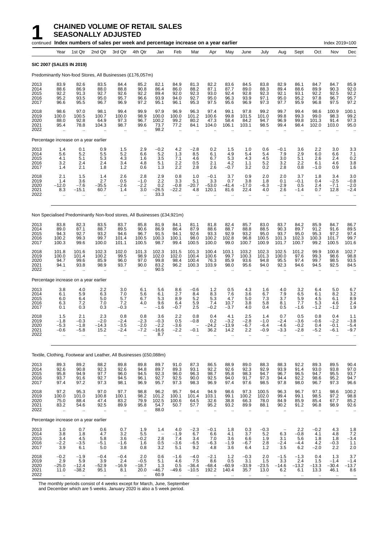|                                      |                                             |                                                           | continued Index numbers of sales per week and percentage increase on a year earlier |                                         |                                               |                                                      |                                                         |                                                       |                                            |                                          |                                            |                                             |                                                         |                                                |                                                        | Index 2019=100                               |                                          |
|--------------------------------------|---------------------------------------------|-----------------------------------------------------------|-------------------------------------------------------------------------------------|-----------------------------------------|-----------------------------------------------|------------------------------------------------------|---------------------------------------------------------|-------------------------------------------------------|--------------------------------------------|------------------------------------------|--------------------------------------------|---------------------------------------------|---------------------------------------------------------|------------------------------------------------|--------------------------------------------------------|----------------------------------------------|------------------------------------------|
|                                      | Year                                        | 1st Qtr                                                   | 2nd Qtr                                                                             | 3rd Qtr                                 | 4th Qtr                                       | Jan                                                  | Feb                                                     | Mar                                                   | Apr                                        | May                                      | June                                       | July                                        | Aug                                                     | Sept                                           | Oct                                                    | Nov                                          | Dec                                      |
| <b>SIC 2007 (SALES IN 2019)</b>      |                                             |                                                           |                                                                                     |                                         |                                               |                                                      |                                                         |                                                       |                                            |                                          |                                            |                                             |                                                         |                                                |                                                        |                                              |                                          |
|                                      |                                             |                                                           | Predominantly Non-food Stores, All Businesses (£176,057m)                           |                                         |                                               |                                                      |                                                         |                                                       |                                            |                                          |                                            |                                             |                                                         |                                                |                                                        |                                              |                                          |
| 2013<br>2014<br>2015<br>2016<br>2017 | 83.9<br>88.6<br>92.2<br>95.2<br>96.6        | 82.6<br>86.9<br>91.3<br>93.5<br>95.5                      | 83.5<br>88.0<br>92.7<br>95.0<br>96.7                                                | 84.4<br>88.8<br>92.6<br>95.7<br>96.9    | 85.2<br>90.8<br>92.2<br>96.6<br>97.2          | 82.1<br>86.4<br>89.4<br>93.9<br>95.1                 | 84.9<br>86.0<br>92.0<br>94.0<br>96.1                    | 81.3<br>88.2<br>92.3<br>92.7<br>95.3                  | 82.2<br>87.1<br>93.0<br>95.0<br>97.5       | 83.6<br>87.7<br>92.4<br>96.3<br>95.6     | 84.5<br>89.0<br>92.8<br>93.9<br>96.9       | 83.8<br>88.3<br>92.3<br>97.1<br>97.3        | 82.9<br>89.4<br>92.1<br>95.0<br>97.7                    | 86.1<br>88.6<br>93.1<br>95.2<br>95.9           | 84.7<br>89.9<br>92.2<br>97.8<br>96.8                   | 84.7<br>90.3<br>92.5<br>96.7<br>97.5         | 85.9<br>92.0<br>92.2<br>95.7<br>97.2     |
| 2018<br>2019<br>2020<br>2021<br>2022 | 98.6<br>100.0<br>88.0<br>95.4<br>ă,         | 97.0<br>100.5<br>92.8<br>78.8                             | 98.1<br>100.7<br>64.9<br>104.3                                                      | 99.4<br>100.0<br>97.3<br>98.7           | 99.9<br>98.9<br>96.7<br>99.6                  | 97.9<br>100.0<br>100.2<br>73.7<br>98.2               | 96.9<br>100.0<br>99.2<br>77.2<br>$\ddotsc$              | 96.3<br>101.2<br>80.2<br>84.1                         | 97.4<br>100.6<br>47.3<br>104.0             | 99.1<br>99.8<br>58.4<br>106.1            | 97.8<br>101.5<br>84.2<br>103.1             | 99.2<br>101.0<br>94.7<br>98.5               | 99.7<br>99.8<br>96.9<br>99.4                            | 99.4<br>99.3<br>99.8<br>98.4                   | 98.6<br>99.0<br>101.3<br>102.0                         | 100.9<br>98.3<br>91.4<br>103.0               | 100.1<br>99.2<br>97.3<br>95.0            |
|                                      |                                             | Percentage increase on a year earlier                     |                                                                                     |                                         |                                               |                                                      |                                                         |                                                       |                                            |                                          |                                            |                                             |                                                         |                                                |                                                        |                                              |                                          |
| 2013<br>2014<br>2015<br>2016<br>2017 | 1.4<br>5.6<br>4.1<br>3.2<br>1.4             | 0.1<br>5.2<br>5.1<br>2.4<br>2.1                           | 0.9<br>5.5<br>5.3<br>2.4<br>1.8                                                     | 1.5<br>5.2<br>4.3<br>3.4<br>1.2         | 2.9<br>6.6<br>1.6<br>4.8<br>0.6               | $-0.2$<br>5.2<br>3.5<br>5.1<br>1.3                   | 4.2<br>1.3<br>7.1<br>2.2<br>2.2                         | $-2.8$<br>8.5<br>4.6<br>0.5<br>2.8                    | 0.2<br>6.1<br>6.7<br>2.1<br>2.6            | 1.5<br>4.9<br>5.3<br>4.2<br>$-0.7$       | 1.0<br>5.4<br>4.3<br>1.1<br>3.2            | 0.6<br>5.4<br>4.5<br>5.2<br>0.2             | $-0.1$<br>7.9<br>3.0<br>3.2<br>2.8                      | 3.6<br>2.9<br>5.1<br>2.2<br>0.8                | 2.2<br>6.0<br>2.6<br>6.1<br>$-1.0$                     | 3.0<br>6.6<br>2.4<br>4.6<br>0.9              | 3.3<br>7.1<br>0.2<br>3.8<br>1.6          |
| 2018<br>2019<br>2020<br>2021<br>2022 | 2.1<br>1.4<br>$-12.0$<br>8.3<br>ä,          | 1.5<br>3.6<br>$-7.6$<br>-15.1                             | 1.4<br>2.7<br>$-35.5$<br>60.7                                                       | 2.6<br>0.5<br>$-2.6$<br>1.4<br>ä,       | 2.8<br>$-1.0$<br>$-2.2$<br>3.0                | 2.9<br>2.2<br>0.2<br>$-26.5$<br>33.3                 | 0.8<br>3.3<br>$-0.8$<br>$-22.2$<br>$\ddot{\phantom{a}}$ | 1.0<br>5.1<br>$-20.7$<br>4.8                          | $-0.1$<br>3.3<br>$-53.0$<br>120.1          | 3.7<br>0.7<br>$-41.4$<br>81.6            | 0.9<br>3.8<br>$-17.0$<br>22.4              | 2.0<br>1.8<br>$-6.3$<br>4.0<br>ä.           | 2.0<br>0.1<br>$-2.9$<br>2.6<br>$\ddotsc$                | 3.7<br>$-0.1$<br>0.5<br>$-1.4$<br>$\ddotsc$    | 1.8<br>0.4<br>2.4<br>0.7<br>$\cdot$ .                  | 3.4<br>$-2.5$<br>$-7.1$<br>12.8<br>$\ddotsc$ | 3.0<br>$-0.8$<br>$-2.0$<br>$-2.4$        |
|                                      |                                             |                                                           | Non Specialised Predominantly Non-food stores, All Businesses (£34,921m)            |                                         |                                               |                                                      |                                                         |                                                       |                                            |                                          |                                            |                                             |                                                         |                                                |                                                        |                                              |                                          |
| 2013<br>2014<br>2015<br>2016<br>2017 | 83.8<br>89.0<br>94.3<br>100.2<br>100.3      | 82.3<br>87.1<br>92.7<br>99.3<br>99.6                      | 83.5<br>88.7<br>93.2<br>99.7<br>100.0                                               | 83.7<br>89.5<br>94.6<br>101.4<br>101.1  | 85.8<br>90.6<br>96.7<br>100.5<br>100.5        | 81.9<br>86.9<br>91.5<br>100.3<br>98.7                | 84.1<br>86.4<br>94.1<br>100.1<br>99.4                   | 81.1<br>87.9<br>92.6<br>98.0<br>100.5                 | 81.8<br>88.6<br>93.3<br>100.2<br>100.0     | 82.4<br>88.7<br>92.9<br>102.8<br>99.0    | 85.7<br>88.8<br>93.2<br>96.8<br>100.7      | 83.0<br>88.5<br>95.0<br>100.5<br>100.9      | 83.7<br>90.3<br>93.7<br>101.3<br>101.7                  | 84.2<br>89.7<br>95.0<br>102.3<br>100.7         | 85.9<br>91.2<br>95.3<br>100.3<br>99.2                  | 84.7<br>91.6<br>97.2<br>101.7<br>100.5       | 86.7<br>89.5<br>97.4<br>99.7<br>101.6    |
| 2018<br>2019<br>2020<br>2021<br>2022 | 101.8<br>100.0<br>94.7<br>94.1<br>$\ddotsc$ | 101.6<br>101.4<br>99.6<br>93.8                            | 102.3<br>100.2<br>85.9<br>98.9                                                      | 102.0<br>99.5<br>96.0<br>93.7           | 101.3<br>98.9<br>97.0<br>90.0                 | 102.3<br>102.0<br>99.8<br>83.2<br>90.5               | 101.5<br>102.0<br>98.4<br>96.2                          | 101.3<br>100.4<br>100.4<br>100.3                      | 100.4<br>100.6<br>76.3<br>103.9            | 103.1<br>99.7<br>85.9<br>98.0            | 103.2<br>100.3<br>93.6<br>95.6             | 102.3<br>101.3<br>94.8<br>94.0              | 102.5<br>100.0<br>95.5<br>92.3                          | 101.2<br>97.6<br>97.4<br>94.6                  | 99.9<br>99.3<br>99.7<br>94.5                           | 100.8<br>98.6<br>98.5<br>92.5                | 102.7<br>98.8<br>93.5<br>84.5            |
|                                      |                                             | Percentage increase on a year earlier                     |                                                                                     |                                         |                                               |                                                      |                                                         |                                                       |                                            |                                          |                                            |                                             |                                                         |                                                |                                                        |                                              |                                          |
| 2013<br>2014<br>2015<br>2016<br>2017 | 3.8<br>6.1<br>6.0<br>6.3<br>0.1             | 4.0<br>5.9<br>6.4<br>7.2<br>0.3                           | 2.2<br>6.3<br>5.0<br>7.0<br>0.3                                                     | 3.0<br>7.0<br>5.7<br>7.2<br>$-0.3$      | 6.1<br>5.6<br>6.7<br>4.0                      | 5.6<br>6.1<br>5.3<br>9.6<br>$-1.6$                   | 8.6<br>2.7<br>8.9<br>6.4<br>$-0.7$                      | $-0.6$<br>8.4<br>5.2<br>5.9<br>2.5                    | 1.2<br>8.3<br>5.3<br>7.4<br>$-0.2$         | 0.5<br>7.6<br>4.7<br>10.7<br>$-3.7$      | 4.3<br>3.6<br>5.0<br>3.8<br>4.0            | 1.6<br>6.7<br>7.3<br>5.8<br>0.4             | 4.0<br>7.9<br>3.7<br>8.1<br>0.5                         | 3.2<br>6.5<br>5.9<br>7.7<br>$-1.6$             | 6.4<br>6.1<br>4.5<br>5.3<br>$-1.2$                     | 5.0<br>8.2<br>6.1<br>4.6<br>$-1.2$           | $6.7$<br>$3.2$<br>8.9<br>$^{2.4}_{1.9}$  |
| 2018<br>2019<br>2020<br>2021<br>2022 | 1.5<br>$-1.8$<br>$-5.3$<br>$-0.6$<br>ä,     | 2.1<br>$-0.3$<br>$-1.8$<br>$-5.8$<br>$\ddot{\phantom{a}}$ | 2.3<br>$-2.0$<br>$-14.3$<br>15.2<br>$\mathbf{r}$                                    | 0.8<br>$-2.4$<br>$-3.5$<br>$-2.4$<br>ä, | 0.8<br>$-2.3$<br>$-2.0$<br>$-7.2$             | 3.6<br>$-0.3$<br>$-2.2$<br>$-16.6$<br>8.7            | 2.2<br>0.5<br>$-3.6$<br>$-2.2$<br>$\ddot{\phantom{a}}$  | 0.8<br>$-0.8$<br>$-0.1$                               | 0.4<br>0.2<br>$-24.2$<br>36.2<br>ä.        | 4.1<br>$-3.2$<br>$-13.9$<br>14.2<br>ä.   | 2.5<br>$-2.8$<br>$-6.7$<br>2.2<br>ä.       | 1.4<br>$-1.0$<br>-6.4<br>-0.9<br>ä.         | 0.7<br>$-2.4$<br>-4.6<br>-3.3<br>ä.                     | 0.5<br>$-3.6$<br>$-0.2$<br>$-2.8$<br>$\ddotsc$ | 0.8<br>$-0.6$<br>0.4<br>$-5.2$<br>$\ddot{\phantom{a}}$ | 0.4<br>$-2.2$<br>$-0.1$<br>-6.1<br>ä.        | 1.1<br>$-3.8$<br>$-5.4$<br>-9.7          |
|                                      |                                             |                                                           | Textile, Clothing, Footwear and Leather, All Businesses (£50,088m)                  |                                         |                                               |                                                      |                                                         |                                                       |                                            |                                          |                                            |                                             |                                                         |                                                |                                                        |                                              |                                          |
| 2013<br>2014<br>2015<br>2016<br>2017 | 89.3<br>92.6<br>95.8<br>93.7<br>97.4        | $89.2$<br>$90.8$<br>94.9<br>91.6<br>97.2                  | 88.2<br>92.3<br>97.7<br>92.7<br>97.3                                                | 89.8<br>92.6<br>96.0<br>94.5<br>98.1    | 89.8<br>94.8<br>94.5<br>96.1<br>96.9          | 89.7<br>89.7<br>92.3<br>92.7<br>95.7                 | 91.0<br>89.3<br>96.0<br>92.5<br>97.3                    | 87.3<br>93.1<br>96.3<br>90.0<br>98.3                  | 86.5<br>92.2<br>98.7<br>92.5<br>96.9       | 88.9<br>92.6<br>95.8<br>94.0<br>97.4     | 89.0<br>92.3<br>98.3<br>91.7<br>97.6       | 88.3<br>92.9<br>94.7<br>97.3<br>98.5        | 88.3<br>93.9<br>96.7<br>94.4<br>97.8                    | 92.2<br>91.4<br>96.5<br>92.2<br>98.0           | 89.3<br>93.0<br>94.7<br>98.6<br>96.7                   | 89.5<br>93.8<br>95.5<br>95.2<br>97.3         | 90.4<br>97.0<br>93.7<br>94.7<br>96.6     |
| 2018<br>2019<br>2020<br>2021<br>2022 | 97.2<br>100.0<br>75.0<br>83.2<br>.,         | 95.3<br>101.0<br>88.4<br>54.6<br>.,                       | 97.0<br>100.8<br>47.4<br>92.5                                                       | 97.7<br>100.1<br>83.2<br>89.9<br>       | 98.8<br>98.2<br>79.9<br>95.8<br>$\ddotsc$     | 96.2<br>101.2<br>102.5<br>54.7<br>88.0               | 95.7<br>100.1<br>100.6<br>50.7<br>$\ddotsc$             | 94.4<br>101.4<br>64.5<br>57.7<br>$\ddot{\phantom{a}}$ | 94.9<br>103.1<br>32.6<br>95.2<br>$\ddotsc$ | 98.6<br>99.1<br>38.8<br>93.2<br>$\ldots$ | 97.3<br>100.2<br>66.3<br>89.9<br>$\ddotsc$ | 100.5<br>102.0<br>78.0<br>88.1<br>$\ddotsc$ | 96.3<br>99.4<br>84.9<br>90.2<br>$\ddotsc$               | 96.7<br>99.1<br>85.9<br>91.2<br>$\ldots$       | 97.1<br>98.5<br>85.4<br>96.8<br>$\cdot$ .              | 98.6<br>97.2<br>67.7<br>98.9<br>$\ddotsc$    | 100.2<br>98.8<br>85.2<br>92.6<br>$\cdot$ |
|                                      |                                             | Percentage increase on a year earlier                     |                                                                                     |                                         |                                               |                                                      |                                                         |                                                       |                                            |                                          |                                            |                                             |                                                         |                                                |                                                        |                                              |                                          |
| 2013<br>2014<br>2015<br>2016<br>2017 | 1.0<br>3.8<br>3.4<br>$-2.2$<br>3.9          | 0.7<br>1.8<br>4.5<br>$-3.5$<br>6.1                        | 0.6<br>4.7<br>5.8<br>$-5.1$<br>5.0                                                  | 0.7<br>3.2<br>3.6<br>$-1.6$<br>3.8      | 1.9<br>$\substack{5.5 \\ -0.2}$<br>1.6<br>0.8 | 1.4<br>$\overline{\phantom{0}}$<br>2.8<br>0.5<br>3.2 | 4.0<br>$-1.9$<br>7.4<br>$-3.6$<br>5.1                   | $-2.3$<br>6.7<br>3.4<br>$-6.5$<br>9.2                 | $-0.1$<br>6.6<br>7.0<br>$-6.3$<br>4.8      | 1.8<br>4.1<br>3.6<br>$-1.9$<br>3.6       | 0.3<br>3.7<br>6.6<br>$-6.7$<br>6.4         | $-0.3$<br>5.2<br>1.9<br>2.8<br>1.2          | $\overline{\phantom{a}}$<br>6.3<br>3.1<br>$-2.4$<br>3.5 | 2.2<br>$-0.8$<br>5.6<br>$-4.4$<br>6.2          | $-0.2$<br>4.1<br>1.8<br>4.2<br>$-2.0$                  | 4.3<br>4.8<br>1.8<br>$-0.3$<br>2.2           | 1.8<br>$7.2 - 3.4$<br>1.1<br>2.0         |
| 2018<br>2019<br>2020<br>2021<br>2022 | $-0.2$<br>2.9<br>$-25.0$<br>11.0            | $-1.9$<br>5.9<br>$-12.4$<br>$-38.2$                       | $-0.4$<br>3.9<br>$-52.9$<br>95.1                                                    | $-0.4$<br>2.4<br>$-16.9$<br>8.1         | 2.0<br>$-0.5$<br>$-18.7$<br>20.0              | 0.6<br>$5.1$<br>1.3<br>$-46.7$<br>60.9               | $-1.6$<br>4.6<br>0.5<br>$-49.6$                         | $-4.0$<br>7.5<br>$-36.4$<br>$-10.5$                   | $-2.1$<br>8.6<br>$-68.4$<br>192.2          | $1.2$<br>0.5<br>$-60.9$<br>140.4         | $-0.3$<br>3.1<br>$-33.9$<br>35.7           | 2.0<br>1.5<br>$-23.5$<br>13.0               | $-1.5$<br>3.3<br>$-14.6$<br>6.2                         | $-1.3$<br>2.4<br>$-13.2$<br>6.1                | 0.4<br>1.5<br>$-13.3$<br>13.3                          | 1.3<br>$-1.4$<br>$-30.4$<br>46.1             | 3.7<br>$-1.4$<br>$-13.7$<br>8.6          |

The monthly periods consist of 4 weeks except for March, June, September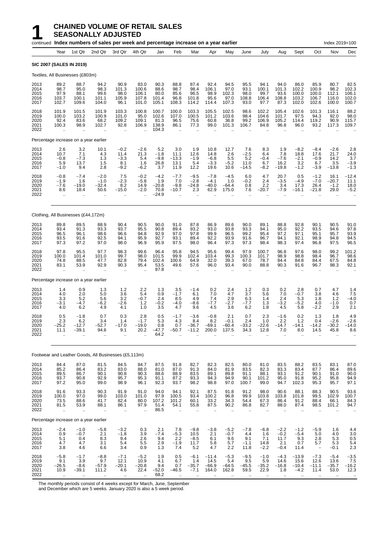## **1 CHAINED VOLUME OF RETAIL SALES**<br>**1 SEASONALLY ADJUSTED**<br>Fontinued Index numbers of sales per week and percentage inc **SEASONALLY ADJUSTED**

|                                      |                                                          | continued Index numbers of sales per week and percentage increase on a year earlier |                                                       |                                                          |                                                           |                                             |                                                            |                                                       |                                                       |                                               |                                             |                                                          |                                                         |                                                      |                                                         | Index 2019=100                                          |                                                                |
|--------------------------------------|----------------------------------------------------------|-------------------------------------------------------------------------------------|-------------------------------------------------------|----------------------------------------------------------|-----------------------------------------------------------|---------------------------------------------|------------------------------------------------------------|-------------------------------------------------------|-------------------------------------------------------|-----------------------------------------------|---------------------------------------------|----------------------------------------------------------|---------------------------------------------------------|------------------------------------------------------|---------------------------------------------------------|---------------------------------------------------------|----------------------------------------------------------------|
|                                      | Year                                                     | 1st Qtr                                                                             | 2nd Qtr                                               | 3rd Qtr                                                  | 4th Qtr                                                   | Jan                                         | Feb                                                        | Mar                                                   | Apr                                                   | May                                           | June                                        | July                                                     | Aug                                                     | Sept                                                 | Oct                                                     | Nov                                                     | Dec                                                            |
|                                      |                                                          | <b>SIC 2007 (SALES IN 2019)</b>                                                     |                                                       |                                                          |                                                           |                                             |                                                            |                                                       |                                                       |                                               |                                             |                                                          |                                                         |                                                      |                                                         |                                                         |                                                                |
|                                      |                                                          | Textiles, All Businesses (£803m)                                                    |                                                       |                                                          |                                                           |                                             |                                                            |                                                       |                                                       |                                               |                                             |                                                          |                                                         |                                                      |                                                         |                                                         |                                                                |
| 2013<br>2014<br>2015<br>2016<br>2017 | 89.2<br>98.7<br>97.9<br>103.7<br>102.7                   | 88.7<br>95.0<br>88.1<br>100.1<br>109.6                                              | 94.2<br>98.3<br>99.6<br>101.1<br>104.0                | 90.9<br>101.3<br>98.0<br>105.9<br>96.1                   | 83.0<br>100.6<br>106.1<br>107.8<br>101.0                  | 90.3<br>88.6<br>80.0<br>101.4<br>105.1      | 88.8<br>98.7<br>85.6<br>96.8<br>108.3                      | 87.4<br>98.4<br>96.5<br>101.8<br>114.2                | 92.4<br>106.1<br>98.9<br>95.6<br>114.4                | 94.5<br>97.0<br>102.3<br>97.0<br>107.3        | 95.5<br>93.1<br>98.0<br>108.8<br>93.0       | 94.1<br>100.1<br>99.7<br>106.4<br>97.7                   | 94.0<br>101.3<br>93.6<br>108.8<br>87.3                  | 86.0<br>102.2<br>100.0<br>103.2<br>102.0             | 85.9<br>100.9<br>100.0<br>106.7<br>102.6                | 80.7<br>98.2<br>112.1<br>116.0<br>100.0                 | 82.5<br>102.3<br>106.1<br>102.0<br>100.7                       |
| 2018<br>2019<br>2020<br>2021<br>2022 | 101.9<br>100.0<br>92.4<br>100.3                          | 101.5<br>103.2<br>83.6<br>98.9<br>$\mathbf{r}$                                      | 101.9<br>100.9<br>68.2<br>102.7<br>ä.                 | 103.3<br>101.0<br>109.2<br>92.8<br>$\ddot{\phantom{a}}$  | 100.8<br>95.0<br>109.1<br>106.9                           | 100.7<br>102.6<br>81.3<br>138.9<br>104.3    | 100.0<br>107.0<br>96.5<br>86.1<br>$\mathbf{r}$             | 103.3<br>100.5<br>75.6<br>77.3                        | 105.5<br>101.2<br>60.8<br>99.0                        | 102.5<br>103.6<br>36.8<br>101.3               | 98.6<br>98.4<br>99.2<br>106.7               | 102.2<br>104.6<br>106.9<br>84.8                          | 105.4<br>101.7<br>105.2<br>96.8                         | 102.6<br>97.5<br>114.4<br>96.0                       | 101.3<br>94.3<br>119.2<br>93.2                          | 116.1<br>92.0<br>90.9<br>117.3                          | 88.2<br>98.0<br>115.7<br>109.7                                 |
|                                      |                                                          | Percentage increase on a year earlier                                               |                                                       |                                                          |                                                           |                                             |                                                            |                                                       |                                                       |                                               |                                             |                                                          |                                                         |                                                      |                                                         |                                                         |                                                                |
| 2013<br>2014<br>2015<br>2016<br>2017 | 2.6<br>10.7<br>$-0.8$<br>5.9<br>$-1.0$                   | 3.2<br>7.1<br>$-7.3$<br>13.7<br>9.4                                                 | 10.1<br>4.3<br>1.3<br>1.5<br>2.8                      | $-0.2$<br>11.4<br>$-3.3$<br>8.1<br>$-9.2$                | $-2.6$<br>21.3<br>5.4<br>1.6<br>$-6.2$                    | 5.2<br>$-1.8$<br>$-9.8$<br>26.8<br>3.7      | 3.0<br>11.1<br>$-13.3$<br>13.1<br>11.9                     | 1.9<br>12.6<br>$-1.9$<br>5.4<br>12.2                  | 10.8<br>14.8<br>$-6.8$<br>$-3.3$<br>19.6              | 12.7<br>2.6<br>5.5<br>$-5.2$<br>10.6          | 7.6<br>$-2.5$<br>5.2<br>11.0<br>$-14.5$     | 8.3<br>6.4<br>$-0.4$<br>6.7<br>$-8.2$                    | 1.9<br>7.8<br>$-7.6$<br>16.2<br>$-19.8$                 | $-8.2$<br>18.8<br>$-2.1$<br>3.2<br>$-1.2$            | $-8.4$<br>17.6<br>$-0.9$<br>6.7<br>$-3.9$               | $-2.6$<br>21.7<br>14.2<br>3.5<br>$-13.8$                | 2.8<br>24.0<br>3.7<br>$-3.9$<br>$-1.3$                         |
| 2018<br>2019<br>2020<br>2021<br>2022 | $-0.8$<br>$-1.9$<br>$-7.6$<br>8.6<br>$\mathbf{r}$        | $-7.4$<br>1.6<br>$-19.0$<br>18.4<br>$\mathbf{r}$                                    | $-2.0$<br>$-1.0$<br>$-32.4$<br>50.6<br>               | 7.5<br>$-2.3$<br>8.2<br>$-15.0$<br>÷.                    | $-0.2$<br>$-5.8$<br>14.9<br>$-2.0$<br>ä.                  | $-4.2$<br>1.9<br>$-20.8$<br>70.8<br>$-24.9$ | $-7.7$<br>7.0<br>$-9.8$<br>$-10.7$<br>$\ddot{\phantom{a}}$ | $-9.5$<br>$-2.8$<br>$-24.8$<br>2.3<br>ä.              | $-7.8$<br>$-4.1$<br>$-40.0$<br>62.9                   | $-4.5$<br>1.0<br>$-64.4$<br>175.0             | 6.0<br>$-0.2$<br>0.8<br>7.6                 | 4.7<br>2.4<br>2.2<br>$-20.7$                             | 20.7<br>$-3.5$<br>3.4<br>$-7.9$                         | 0.5<br>$-4.9$<br>17.3<br>$-16.1$                     | $-1.2$<br>$-7.0$<br>26.4<br>$-21.8$                     | 16.1<br>$-20.7$<br>$-1.2$<br>29.0<br>$\ddotsc$          | –12.4<br>11.1<br>18.0<br>$-5.2$                                |
|                                      |                                                          | Clothing, All Businesses (£44,172m)                                                 |                                                       |                                                          |                                                           |                                             |                                                            |                                                       |                                                       |                                               |                                             |                                                          |                                                         |                                                      |                                                         |                                                         |                                                                |
| 2013<br>2014<br>2015<br>2016<br>2017 | 89.8<br>93.4<br>96.5<br>93.5<br>97.3                     | 89.5<br>91.3<br>96.1<br>91.6<br>97.2                                                | 88.9<br>93.3<br>98.6<br>92.5<br>97.0                  | 90.4<br>93.7<br>96.6<br>94.1<br>98.0                     | 90.5<br>95.5<br>94.8<br>95.9<br>96.9                      | 90.0<br>90.8<br>92.9<br>92.7<br>95.9        | 91.0<br>89.4<br>97.0<br>93.1<br>97.5                       | 87.8<br>93.2<br>97.8<br>89.4<br>98.0                  | 86.9<br>93.0<br>99.9<br>92.2<br>96.4                  | 89.6<br>93.8<br>96.5<br>93.9<br>97.3          | 90.0<br>93.3<br>99.2<br>91.6<br>97.3        | 89.1<br>94.1<br>95.4<br>96.7<br>98.4                     | 88.8<br>95.0<br>97.2<br>94.1<br>98.3                    | 92.8<br>92.2<br>97.1<br>92.1<br>97.4                 | 90.1<br>93.5<br>95.1<br>98.9<br>96.8                    | 90.5<br>94.6<br>95.7<br>94.8<br>97.5                    | 91.0<br>97.8<br>93.9<br>94.5<br>96.5                           |
| 2018<br>2019<br>2020<br>2021<br>2022 | 97.8<br>100.0<br>74.8<br>83.1<br>$\bar{\mathbf{r}}$      | 95.5<br>101.4<br>88.5<br>53.9<br>$\ddot{\phantom{a}}$                               | 97.7<br>101.0<br>47.7<br>92.9                         | 98.3<br>99.7<br>82.8<br>90.3<br>$\ddot{\phantom{a}}$     | 99.6<br>98.0<br>79.4<br>95.4<br>$\ddotsc$                 | 96.4<br>101.5<br>102.4<br>53.5<br>87.8      | 95.8<br>99.9<br>100.6<br>49.6<br>$\sim$                    | 94.5<br>102.4<br>64.9<br>57.6<br>$\ddot{\phantom{a}}$ | 95.6<br>103.4<br>32.0<br>96.0<br>$\ddot{\phantom{a}}$ | 99.4<br>99.3<br>39.3<br>93.4                  | 97.9<br>100.3<br>67.0<br>90.0               | 100.7<br>101.7<br>78.7<br>88.8                           | 96.8<br>98.9<br>84.4<br>90.3                            | 97.6<br>98.8<br>84.8<br>91.6                         | 98.0<br>98.4<br>84.4<br>96.7                            | 99.2<br>96.7<br>67.5<br>98.3                            | 101.2<br>98.6<br>84.8<br>92.1                                  |
|                                      |                                                          | Percentage increase on a year earlier                                               |                                                       |                                                          |                                                           |                                             |                                                            |                                                       |                                                       |                                               |                                             |                                                          |                                                         |                                                      |                                                         |                                                         |                                                                |
| 2013<br>2014<br>2015<br>2016<br>2017 | 1.4<br>4.0<br>3.3<br>$-3.1$<br>4.0                       | 0.9<br>2.0<br>5.2<br>$-4.7$<br>6.2                                                  | 1.3<br>5.0<br>5.6<br>$-6.2$<br>4.9                    | 1.2<br>3.6<br>3.2<br>$-2.6$<br>4.1                       | 2.2<br>5.4<br>$-0.7$<br>1.2<br>1.0                        | 1.3<br>0.9<br>2.4<br>$-0.2$<br>3.5          | 3.5<br>$-1.7$<br>8.5<br>$-4.0$<br>4.7                      | $-1.4$<br>6.1<br>4.9<br>-8.6<br>9.6                   | 0.2<br>7.0<br>7.4<br>$-7.7$<br>4.5                    | 2.4<br>4.7<br>2.9<br>$-2.7$<br>3.6            | 1.2<br>3.7<br>6.3<br>$-7.7$<br>6.2          | 0.3<br>5.6<br>1.4<br>1.3<br>1.8                          | 0.2<br>7.0<br>2.4<br>$-3.2$<br>4.5                      | 2.8<br>$-0.7$<br>5.3<br>$-5.2$<br>5.8                | 0.7<br>3.8<br>1.8<br>4.0<br>$-2.2$                      | 4.7<br>4.6<br>1.2<br>$-1.0$<br>2.9                      | 1.4<br>7.5<br>$-4.0$<br>0.7<br>2.1                             |
| 2018<br>2019<br>2020<br>2021<br>2022 | 0.5<br>2.3<br>$-25.2$<br>11.1                            | $-1.8$<br>6.2<br>$-12.7$<br>$-39.1$<br>$\mathbf{r}$                                 | 0.7<br>3.4<br>$-52.7$<br>94.6<br>$\ddot{\phantom{a}}$ | 0.3<br>1.4<br>$-17.0$<br>9.1<br>÷.                       | 2.8<br>$-1.7$<br>$-19.0$<br>20.2                          | 0.5<br>5.3<br>0.8<br>-47.7<br>64.2          | $-1.7$<br>4.3<br>0.7<br>$-50.7$                            | $-3.6$<br>8.4<br>$-36.7$<br>$-11.2$<br>ä.             | $-0.8$<br>8.2<br>$-69.1$<br>200.0                     | 2.1<br>$-0.1$<br>$-60.4$<br>137.5             | 0.7<br>2.4<br>$-33.2$<br>34.3<br>Ω.         | 2.3<br>1.0<br>$-22.6$<br>12.8<br>ä.                      | $-1.6$<br>2.2<br>$-14.7$<br>7.0<br>$\ddot{\phantom{a}}$ | 0.2<br>1.2<br>$-14.1$<br>8.0<br>$\ddot{\phantom{a}}$ | 1.3<br>0.4<br>$-14.2$<br>14.5<br>ä.                     | 1.8<br>$-2.6$<br>$-30.2$<br>45.8<br>ä.                  | 4.9<br>$-2.6$<br>$-14.0$<br>8.6<br>$\ddot{\phantom{a}}$        |
|                                      |                                                          | Footwear and Leather Goods, All Businesses (£5,113m)                                |                                                       |                                                          |                                                           |                                             |                                                            |                                                       |                                                       |                                               |                                             |                                                          |                                                         |                                                      |                                                         |                                                         |                                                                |
| 2013<br>2014<br>2015<br>2016<br>2017 | 84.4<br>85.2<br>89.5<br>93.7<br>97.2                     | 87.0<br>86.4<br>86.7<br>90.8<br>95.0                                                | 81.5<br>83.2<br>90.1<br>92.9<br>99.0                  | 84.5<br>83.0<br>90.8<br>95.7<br>98.9                     | 84.7<br>88.0<br>90.3<br>95.3<br>96.1                      | 87.5<br>81.0<br>88.6<br>91.1<br>92.3        | 91.8<br>87.0<br>88.9<br>87.2<br>93.7                       | 82.7<br>91.3<br>83.5<br>93.3<br>98.2                  | 82.3<br>84.0<br>89.1<br>94.3<br>98.8                  | 82.5<br>81.9<br>89.8<br>94.9<br>97.0          | 80.0<br>83.5<br>91.1<br>90.1<br>100.7       | 81.0<br>82.3<br>88.1<br>101.2<br>99.0                    | 83.5<br>83.3<br>93.1<br>95.0<br>94.7                    | 88.2<br>83.4<br>91.2<br>91.8<br>102.3                | 83.5<br>87.7<br>90.1<br>95.2<br>95.3                    | 83.1<br>86.4<br>91.0<br>95.8<br>95.7                    | 87.0<br>89.6<br>90.0<br>94.9<br>97.1                           |
| 2018<br>2019<br>2020<br>2021<br>2022 | 91.6<br>100.0<br>73.5<br>81.5<br>$\ddot{\phantom{1}}$    | 93.3<br>97.0<br>88.6<br>53.9<br>$\ddotsc$                                           | 90.3<br>99.0<br>41.7<br>88.1<br>                      | 91.9<br>103.0<br>82.4<br>86.1<br>$\ddot{\phantom{1}}$    | 91.0<br>101.0<br>80.0<br>97.9<br>$\ddot{\phantom{a}}$     | 94.0<br>97.9<br>107.2<br>51.4<br>86.5       | 94.1<br>100.5<br>101.2<br>54.1<br>$\ddot{\phantom{1}}$     | 92.1<br>93.4<br>60.1<br>55.8<br>$\ddot{\phantom{1}}$  | 87.5<br>100.2<br>33.2<br>87.5<br>$\ddotsc$            | 91.8<br>96.8<br>34.3<br>90.2<br>$\ddotsc$     | 91.2<br>99.9<br>54.4<br>86.8<br>$\ddotsc$   | 98.0<br>103.8<br>67.3<br>82.7<br>$\ldots$                | 90.6<br>103.8<br>86.4<br>88.0<br>$\ddotsc$              | 88.1<br>101.8<br>91.2<br>87.4<br>$\ddotsc$           | 88.3<br>99.5<br>88.4<br>98.5<br>$\ddotsc$               | 90.5<br>102.9<br>66.1<br>101.2<br>$\ldots$              | 93.6<br>100.7<br>84.3<br>94.7<br>$\cdot$ .                     |
|                                      |                                                          | Percentage increase on a year earlier                                               |                                                       |                                                          |                                                           |                                             |                                                            |                                                       |                                                       |                                               |                                             |                                                          |                                                         |                                                      |                                                         |                                                         |                                                                |
| 2013<br>2014<br>2015<br>2016<br>2017 | $-2.4$<br>0.9<br>5.1<br>4.7<br>3.8                       | $-1.0$<br>$-0.7$<br>0.4<br>4.7<br>4.6                                               | $-5.8$<br>2.1<br>8.3<br>3.1<br>6.6                    | $-3.2$<br>$-1.8$<br>9.4<br>5.4<br>3.4                    | 0.3<br>3.9<br>2.6<br>5.5<br>0.9                           | 2.1<br>$-7.4$<br>9.4<br>2.9<br>1.3          | 7.8<br>$-5.3$<br>2.2<br>$-1.9$<br>7.4                      | $-9.8$<br>10.5<br>$-8.5$<br>11.7<br>5.2               | $-3.8$<br>2.1<br>6.1<br>5.8<br>4.7                    | $-5.2$<br>$-0.7$<br>9.6<br>5.7<br>2.2         | $-7.8$<br>4.4<br>9.1<br>$-1.1$<br>11.8      | $-6.8$<br>1.6<br>7.1<br>14.8<br>$-2.2$                   | $-2.2$<br>$-0.2$<br>11.7<br>2.1<br>$-0.4$               | $-1.2$<br>$-5.4$<br>9.3<br>0.7<br>11.4               | $-5.9$<br>5.0<br>2.8<br>5.7<br>$\overline{\phantom{0}}$ | 1.6<br>4.0<br>5.3<br>5.3<br>$-0.1$                      | 4.4<br>$\begin{array}{c} 3.0 \\ 0.5 \end{array}$<br>5.4<br>2.3 |
| 2018<br>2019<br>2020<br>2021<br>2022 | $-5.8$<br>9.1<br>$-26.5$<br>10.9<br>$\ddot{\phantom{a}}$ | $-1.7$<br>3.9<br>$-8.6$<br>$-39.1$<br>$\mathbf{r}$                                  | $-8.8$<br>9.7<br>-57.9<br>111.2<br>                   | $-7.1$<br>12.1<br>$-20.1$<br>4.6<br>$\ddot{\phantom{a}}$ | $-5.2$<br>10.9<br>$-20.8$<br>22.4<br>$\ddot{\phantom{a}}$ | 1.9<br>4.1<br>9.4<br>$-52.0$<br>68.2        | 0.5<br>6.7<br>0.7<br>$-46.5$<br>$\ddotsc$                  | $-6.1$<br>1.4<br>$-35.7$<br>$-7.1$<br>$\cdot$ .       | $-11.4$<br>14.5<br>$-66.9$<br>164.0<br>$\cdot$ .      | $-5.3$<br>5.4<br>$-64.5$<br>162.8<br>$\ldots$ | $-9.5$<br>9.5<br>$-45.5$<br>59.5<br>$\cdot$ | $-1.0$<br>5.9<br>$-35.2$<br>22.9<br>$\ddot{\phantom{a}}$ | $-4.3$<br>14.6<br>$-16.8$<br>1.8<br>$\ddotsc$           | $-13.9$<br>15.6<br>$-10.4$<br>$-4.2$<br>$\ddotsc$    | $-7.3$<br>12.6<br>$-11.1$<br>11.4<br>$\ddotsc$          | $-5.4$<br>13.6<br>-35.7<br>53.0<br>$\ddot{\phantom{1}}$ | $-3.5$<br>$7.5 - 16.2$<br>12.3<br>$\ddot{\phantom{1}}$         |

The monthly periods consist of 4 weeks except for March, June, September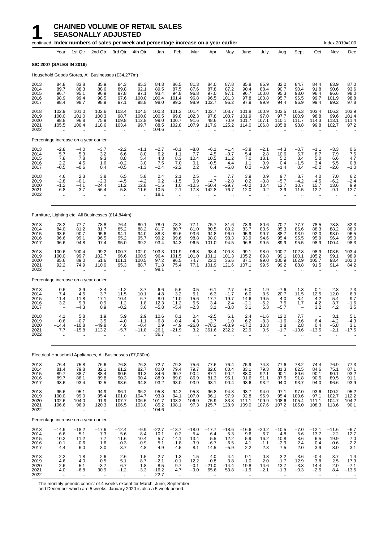|                                      |                                                         |                                                        | continued Index numbers of sales per week and percentage increase on a year earlier |                                                         |                                              |                                          |                                                      |                                                        |                                                       |                                           |                                                      |                                                         |                                                        |                                       |                                       | Index 2019=100                                           |                                              |
|--------------------------------------|---------------------------------------------------------|--------------------------------------------------------|-------------------------------------------------------------------------------------|---------------------------------------------------------|----------------------------------------------|------------------------------------------|------------------------------------------------------|--------------------------------------------------------|-------------------------------------------------------|-------------------------------------------|------------------------------------------------------|---------------------------------------------------------|--------------------------------------------------------|---------------------------------------|---------------------------------------|----------------------------------------------------------|----------------------------------------------|
|                                      | Year                                                    | 1st Qtr                                                | 2nd Qtr                                                                             | 3rd Qtr                                                 | 4th Qtr                                      | Jan                                      | Feb                                                  | Mar                                                    | Apr                                                   | May                                       | June                                                 | July                                                    | Aug                                                    | Sept                                  | Oct                                   | Nov                                                      | Dec                                          |
|                                      |                                                         | <b>SIC 2007 (SALES IN 2019)</b>                        |                                                                                     |                                                         |                                              |                                          |                                                      |                                                        |                                                       |                                           |                                                      |                                                         |                                                        |                                       |                                       |                                                          |                                              |
|                                      |                                                         |                                                        | Household Goods Stores, All Businesses (£34,277m)                                   |                                                         |                                              |                                          |                                                      |                                                        |                                                       |                                           |                                                      |                                                         |                                                        |                                       |                                       |                                                          |                                              |
| 2013<br>2014<br>2015<br>2016<br>2017 | 84.8<br>89.7<br>96.7<br>98.9<br>98.4                    | 83.8<br>88.3<br>95.1<br>99.4<br>98.7                   | 85.9<br>88.6<br>96.9<br>98.5<br>98.9                                                | 84.3<br>89.8<br>97.8<br>97.6<br>97.1                    | 85.3<br>92.1<br>97.1<br>100.0<br>98.8        | 84.3<br>89.5<br>93.4<br>100.4<br>98.0    | 86.5<br>87.5<br>94.8<br>101.4<br>99.2                | 81.3<br>87.6<br>96.8<br>96.8<br>98.9                   | 84.0<br>87.8<br>97.0<br>96.5<br>102.7                 | 87.8<br>87.2<br>97.1<br>101.3<br>96.2     | 85.8<br>90.4<br>96.7<br>97.8<br>97.9                 | 85.9<br>88.4<br>100.0<br>100.8<br>99.9                  | 82.0<br>90.7<br>95.3<br>95.7<br>94.4                   | 84.7<br>90.4<br>98.0<br>96.5<br>96.9  | 84.4<br>91.8<br>96.4<br>99.7<br>99.4  | 83.9<br>90.6<br>96.6<br>101.9<br>99.2                    | 87.0<br>93.6<br>98.0<br>98.8<br>97.8         |
| 2018<br>2019<br>2020<br>2021<br>2022 | 102.9<br>100.0<br>98.8<br>105.5                         | 101.0<br>101.0<br>96.8<br>100.4                        | 102.6<br>100.3<br>75.9<br>118.6                                                     | 103.4<br>98.7<br>109.8<br>103.4                         | 104.5<br>100.0<br>112.8<br>99.7<br>$\ddotsc$ | 100.3<br>100.5<br>99.0<br>88.5<br>104.6  | 101.3<br>99.8<br>100.7<br>102.8                      | 101.4<br>102.3<br>91.6<br>107.9                        | 102.7<br>97.8<br>48.6<br>117.9                        | 103.7<br>100.7<br>70.9<br>125.2           | 101.8<br>101.9<br>101.7<br>114.0                     | 100.9<br>97.0<br>107.1<br>106.8                         | 103.5<br>97.7<br>110.1<br>105.8                        | 105.3<br>100.9<br>111.7<br>98.8       | 103.4<br>98.8<br>114.3<br>99.8        | 106.2<br>99.6<br>113.1<br>102.7                          | 103.9<br>101.4<br>111.4<br>97.2              |
|                                      |                                                         | Percentage increase on a year earlier                  |                                                                                     |                                                         |                                              |                                          |                                                      |                                                        |                                                       |                                           |                                                      |                                                         |                                                        |                                       |                                       |                                                          |                                              |
| 2013<br>2014<br>2015<br>2016<br>2017 | $-2.8$<br>5.7<br>7.8<br>2.2<br>$-0.5$                   | $-4.0$<br>5.3<br>7.8<br>4.5<br>$-0.6$                  | $-3.7$<br>3.2<br>9.3<br>1.6<br>0.4                                                  | $-2.2$<br>6.6<br>8.8<br>$-0.2$<br>$-0.5$                | $-1.1$<br>8.0<br>5.4<br>3.0<br>$-1.3$        | $-2.7$<br>6.2<br>4.3<br>7.5<br>$-2.4$    | $-0.1$<br>1.1<br>8.3<br>7.0<br>$-2.2$                | $-8.0$<br>7.7<br>10.4<br>0.1<br>2.2                    | $-6.1$<br>4.5<br>10.5<br>$-0.5$<br>6.4                | $-1.4$<br>$-0.7$<br>11.2<br>4.4<br>$-5.0$ | $-3.8$<br>5.4<br>7.0<br>1.1<br>0.2                   | $-2.1$<br>2.8<br>13.1<br>0.9<br>$-0.9$                  | $-4.3$<br>10.6<br>5.2<br>0.4<br>$-1.4$                 | $-0.7$<br>6.7<br>8.4<br>$-1.5$<br>0.4 | $-1.1$<br>8.7<br>5.0<br>3.4<br>$-0.2$ | $-3.3$<br>7.9<br>6.6<br>5.5<br>$-2.6$                    | 0.6<br>7.5<br>4.7<br>0.8<br>$-1.0$           |
| 2018<br>2019<br>2020<br>2021<br>2022 | 4.6<br>$-2.8$<br>$-1.2$<br>6.8<br>ä.                    | 2.3<br>$-0.1$<br>$-4.1$<br>3.7<br>$\ddot{\phantom{a}}$ | 3.8<br>$-2.3$<br>-24.4<br>56.4                                                      | 6.5<br>$-4.5$<br>11.2<br>$-5.8$<br>$\ddot{\phantom{a}}$ | 5.8<br>$-4.2$<br>12.8<br>$-11.6$             | 2.4<br>0.2<br>$-1.5$<br>$-10.5$<br>18.1  | 2.1<br>$-1.5$<br>1.0<br>2.1<br>$\mathbf{r}$          | 2.5<br>0.9<br>$-10.5$<br>17.8                          | $-4.7$<br>$-50.4$<br>142.8                            | 7.7<br>$-2.8$<br>$-29.7$<br>76.7          | 3.9<br>0.2<br>$-0.2$<br>12.0<br>$\ddot{\phantom{a}}$ | 0.9<br>$-3.8$<br>10.4<br>$-0.2$                         | 9.7<br>$-5.7$<br>12.7<br>$-3.9$                        | 8.7<br>$-4.2$<br>10.7<br>$-11.5$      | 4.0<br>$-4.5$<br>15.7<br>$-12.7$      | 7.0<br>$-6.2$<br>13.6<br>$-9.1$                          | 6.2<br>$-2.4$<br>9.9<br>$-12.7$              |
|                                      |                                                         |                                                        | Furniture, Lighting etc. All Businesses (£14,844m)                                  |                                                         |                                              |                                          |                                                      |                                                        |                                                       |                                           |                                                      |                                                         |                                                        |                                       |                                       |                                                          |                                              |
| 2013<br>2014<br>2015<br>2016<br>2017 | 78.2<br>84.0<br>93.6<br>96.6<br>96.6                    | 77.7<br>81.2<br>90.7<br>99.1<br>94.8                   | 78.8<br>81.7<br>95.6<br>96.5<br>97.4                                                | 76.4<br>85.2<br>94.1<br>95.2<br>95.0                    | 80.1<br>88.2<br>94.0<br>95.7<br>99.2         | 78.0<br>81.7<br>88.3<br>99.2<br>93.4     | 78.2<br>80.7<br>89.6<br>99.6<br>94.3                 | 77.1<br>81.0<br>93.6<br>98.8<br>96.5                   | 75.7<br>80.5<br>94.8<br>98.0<br>101.0                 | 81.6<br>80.2<br>96.0<br>98.3<br>94.5      | 78.9<br>83.7<br>95.9<br>93.9<br>96.8                 | 80.6<br>83.5<br>99.7<br>94.6<br>99.5                    | 70.7<br>85.3<br>88.7<br>95.4<br>89.9                   | 77.7<br>86.6<br>93.9<br>95.5<br>95.5  | 78.5<br>88.3<br>92.0<br>95.9<br>98.9  | 78.8<br>88.2<br>93.0<br>96.4<br>100.4                    | 82.3<br>88.0<br>96.5<br>95.0<br>98.3         |
| 2018<br>2019<br>2020<br>2021<br>2022 | 100.6<br>100.0<br>85.6<br>92.2<br>$\bar{\mathbf{r}}$    | 100.4<br>99.7<br>89.0<br>74.9                          | 99.2<br>102.7<br>51.6<br>110.0                                                      | 100.7<br>96.6<br>101.1<br>95.3                          | 102.0<br>100.9<br>100.5<br>88.7              | 103.3<br>96.4<br>97.2<br>71.8<br>98.1    | 101.9<br>101.5<br>96.5<br>75.4                       | 96.8<br>101.0<br>74.7<br>77.1                          | 98.4<br>101.1<br>22.1<br>101.9                        | 100.3<br>101.3<br>36.6<br>121.6           | 99.1<br>105.2<br>87.1<br>107.1                       | 98.0<br>89.8<br>99.0<br>99.5                            | 100.7<br>99.1<br>100.9<br>99.2                         | 102.8<br>100.1<br>102.9<br>88.8       | 98.9<br>105.2<br>105.7<br>91.5        | 103.5<br>99.1<br>93.4<br>91.4                            | 103.4<br>98.9<br>102.0<br>84.2               |
|                                      |                                                         | Percentage increase on a year earlier                  |                                                                                     |                                                         |                                              |                                          |                                                      |                                                        |                                                       |                                           |                                                      |                                                         |                                                        |                                       |                                       |                                                          |                                              |
| 2013<br>2014<br>2015<br>2016<br>2017 | 0.6<br>7.4<br>11.4<br>3.2                               | 3.9<br>4.5<br>11.8<br>9.3<br>$-4.3$                    | $-3.4$<br>3.7<br>17.1<br>0.9<br>0.9                                                 | $-1.2$<br>11.5<br>10.4<br>1.2<br>$-0.2$                 | 3.7<br>10.1<br>6.7<br>1.8<br>3.6             | 6.6<br>4.8<br>8.0<br>12.3<br>$-5.8$      | 5.6<br>3.2<br>11.0<br>11.2<br>$-5.4$                 | 0.5<br>5.1<br>15.6<br>5.5<br>$-2.3$                    | $-6.1$<br>6.3<br>17.7<br>3.4<br>3.1                   | 2.7<br>$-1.7$<br>19.7<br>2.4<br>$-3.8$    | $-6.0$<br>6.0<br>14.6<br>$-2.1$<br>3.1               | 1.9<br>3.5<br>19.5<br>$-5.2$<br>5.3                     | $-7.6$<br>20.7<br>4.0<br>7.5<br>$-5.7$                 | 1.3<br>11.5<br>8.4<br>1.7             | 0.1<br>12.5<br>4.2<br>4.2<br>3.2      | 2.8<br>12.0<br>5.4<br>3.7<br>4.2                         | 7.3<br>$6.9$<br>$9.7$<br>$-1.6$<br>3.5       |
| 2018<br>2019<br>2020<br>2021<br>2022 | 4.1<br>$-0.6$<br>$-14.4$<br>7.7<br>$\ddot{\phantom{a}}$ | 5.8<br>$-0.7$<br>$-10.8$<br>$-15.8$<br>$\mathbf{r}$    | 1.9<br>3.5<br>$-49.8$<br>113.2<br>$\ddot{\phantom{a}}$                              | 5.9<br>$-4.0$<br>4.6<br>$-5.7$                          | 2.9<br>$-1.1$<br>$-0.4$<br>$-11.8$           | 10.6<br>$-6.8$<br>0.9<br>$-26.1$<br>36.7 | 8.1<br>$-0.4$<br>$-4.9$<br>$-21.9$                   | 0.4<br>4.3<br>$-26.0$<br>3.2<br>$\ddot{\phantom{a}}$   | $-2.5$<br>2.7<br>$-78.2$<br>361.6                     | 6.1<br>1.0<br>$-63.9$<br>232.2            | 2.4<br>6.2<br>$-17.2$<br>22.9<br>ä.                  | $-1.6$<br>$-8.3$<br>10.3<br>0.5<br>$\ddot{\phantom{a}}$ | 12.0<br>$-1.6$<br>1.8<br>$-1.7$                        | 7.7<br>$-2.6$<br>2.8<br>$-13.6$       | 6.4<br>0.4<br>$-13.5$                 | 3.1<br>$-4.2$<br>$-5.8$<br>$-2.1$                        | 5.1<br>-4.3<br>3.1<br>$-17.5$                |
|                                      |                                                         |                                                        | Electrical Household Appliances, All Businesses (£7,030m)                           |                                                         |                                              |                                          |                                                      |                                                        |                                                       |                                           |                                                      |                                                         |                                                        |                                       |                                       |                                                          |                                              |
| 2013<br>2014<br>2015<br>2016<br>2017 | 76.4<br>81.4<br>89.7<br>89.7<br>93.6                    | 75.8<br>79.8<br>88.7<br>88.1<br>93.4                   | 76.6<br>82.1<br>88.4<br>89.8<br>92.5                                                | 76.8<br>81.2<br>90.5<br>90.3<br>93.6                    | 76.3<br>82.7<br>91.3<br>90.4<br>94.8         | 72.7<br>80.0<br>84.6<br>88.9<br>93.2     | 79.3<br>79.4<br>90.7<br>89.0<br>93.0                 | 75.6<br>79.7<br>90.4<br>86.9<br>93.9                   | 77.6<br>82.6<br>87.1<br>81.3<br>93.1                  | 76.4<br>80.4<br>90.2<br>96.1<br>90.4      | 75.9<br>83.1<br>88.0<br>91.6<br>93.6                 | 74.3<br>79.3<br>92.1<br>91.1<br>93.2                    | 77.6<br>81.3<br>90.1<br>87.5<br>94.0                   | 78.2<br>82.5<br>89.6<br>91.8<br>93.7  | 74.4<br>84.6<br>90.1<br>90.5<br>94.0  | 76.9<br>75.1<br>90.1<br>89.5<br>96.6                     | 77.3<br>$87.1$<br>$93.2$<br>$91.1$<br>$93.9$ |
| 2018<br>2019<br>2020<br>2021<br>2022 | 95.6<br>100.0<br>102.6<br>106.6<br>$\bar{\mathbf{u}}$   | 95.1<br>99.0<br>104.0<br>96.9<br>$\bar{\Omega}$        | 94.9<br>95.4<br>91.9<br>120.3<br>                                                   | 96.1<br>101.0<br>107.7<br>106.5<br>$\ddot{\phantom{a}}$ | 96.2<br>104.7<br>106.5<br>103.0<br>à.        | 95.8<br>93.8<br>101.7<br>85.2<br>104.6   | 94.2<br>94.1<br>103.2<br>108.1<br>$\bar{\mathbf{a}}$ | 95.3<br>107.0<br>106.9<br>97.3<br>$\ddot{\phantom{a}}$ | 96.8<br>96.1<br>75.9<br>125.7<br>$\ddot{\phantom{a}}$ | 94.3<br>97.9<br>83.8<br>128.9             | 93.7<br>92.8<br>111.1<br>109.0                       | 94.0<br>95.9<br>109.9<br>107.6                          | 97.1<br>95.4<br>108.6<br>107.2<br>$\ddot{\phantom{a}}$ | 97.0<br>109.6<br>105.4<br>105.0       | 93.6<br>97.1<br>111.1<br>108.3        | 100.2<br>102.7<br>104.7<br>113.6<br>$\ddot{\phantom{a}}$ | 95.2<br>112.2<br>104.2<br>90.1<br>$\ddotsc$  |
|                                      |                                                         | Percentage increase on a year earlier                  |                                                                                     |                                                         |                                              |                                          |                                                      |                                                        |                                                       |                                           |                                                      |                                                         |                                                        |                                       |                                       |                                                          |                                              |
| 2013<br>2014<br>2015<br>2016<br>2017 | $-14.6$<br>$6.6\,$<br>10.2<br>$-0.1$<br>4.4             | $-18.2$<br>5.1<br>11.2<br>$-0.6$<br>6.0                | $-17.6$<br>7.3<br>7.7<br>1.6<br>3.0                                                 | $-12.4$<br>5.6<br>11.6<br>$-0.3$<br>3.7                 | $-9.9$<br>8.4<br>10.4<br>$-0.9$<br>4.8       | $-22.7$<br>10.1<br>5.7<br>5.1<br>4.9     | $-13.7$<br>0.2<br>14.1<br>$-1.8$<br>4.5              | $-18.0$<br>5.4<br>13.4<br>$-3.9$<br>8.1                | $-17.7$<br>6.4<br>5.5<br>$-6.7$<br>14.5               | $-18.6$<br>5.3<br>12.2<br>6.5<br>$-5.9$   | $-16.6$<br>9.6<br>5.9<br>4.1<br>2.2                  | $-20.2$<br>6.7<br>16.2<br>$-1.1$<br>2.3                 | $-10.5$<br>4.8<br>10.8<br>$-2.9$<br>7.5                | $-7.0$<br>5.6<br>8.6<br>2.4<br>2.0    | $-12.1$<br>13.7<br>6.5<br>0.4<br>3.9  | $-11.6$<br>$-2.2$<br>19.9<br>$-0.6$<br>8.0               | $-6.7$<br>$12.7$<br>7.0<br>-2.2<br>3.1       |
| 2018<br>2019<br>2020<br>2021<br>2022 | 2.2<br>4.6<br>2.6<br>4.0<br>$\ddot{\phantom{a}}$        | 1.8<br>4.0<br>5.1<br>$-6.8$                            | 2.6<br>0.5<br>$-3.7$<br>30.9                                                        | 2.6<br>5.1<br>6.7<br>$-1.2$                             | 1.5<br>8.7<br>1.8<br>$-3.3$                  | 2.7<br>$-2.1$<br>8.5<br>$-16.2$<br>22.7  | 1.3<br>$-0.1$<br>9.7<br>4.7<br>$\bar{\mathbf{a}}$    | 1.5<br>12.2<br>$-0.1$<br>$-9.0$                        | 4.0<br>$-0.8$<br>$-21.0$<br>65.6                      | 4.4<br>3.8<br>$-14.4$<br>53.8             | 0.1<br>$-1.0$<br>19.8<br>$-1.9$                      | 0.8<br>2.0<br>14.6<br>$-2.1$                            | 3.2<br>$-1.7$<br>13.7<br>$-1.3$                        | 3.6<br>12.9<br>$-3.8$<br>$-0.3$       | $-0.4$<br>3.8<br>14.4<br>$-2.5$       | 3.7<br>2.5<br>2.0<br>8.4<br>$\ddot{\phantom{a}}$         | 1.4<br>17.9<br>$-7.1$<br>$-13.5$             |

The monthly periods consist of 4 weeks except for March, June, September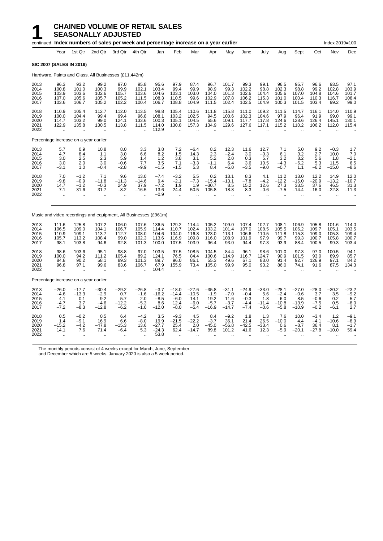|                                      |                                                       |                                                            | continued Index numbers of sales per week and percentage increase on a year earlier |                                                         |                                              |                                               |                                                          |                                                |                                                |                                                |                                                 |                                            |                                               |                                                |                                              | Index 2019=100                           |                                           |
|--------------------------------------|-------------------------------------------------------|------------------------------------------------------------|-------------------------------------------------------------------------------------|---------------------------------------------------------|----------------------------------------------|-----------------------------------------------|----------------------------------------------------------|------------------------------------------------|------------------------------------------------|------------------------------------------------|-------------------------------------------------|--------------------------------------------|-----------------------------------------------|------------------------------------------------|----------------------------------------------|------------------------------------------|-------------------------------------------|
|                                      | Year                                                  | 1st Qtr                                                    | 2nd Qtr                                                                             | 3rd Qtr                                                 | 4th Qtr                                      | Jan                                           | Feb                                                      | Mar                                            | Apr                                            | May                                            | June                                            | July                                       | Aug                                           | Sept                                           | Oct                                          | Nov                                      | Dec                                       |
|                                      | <b>SIC 2007 (SALES IN 2019)</b>                       |                                                            |                                                                                     |                                                         |                                              |                                               |                                                          |                                                |                                                |                                                |                                                 |                                            |                                               |                                                |                                              |                                          |                                           |
|                                      |                                                       |                                                            | Hardware, Paints and Glass, All Businesses (£11,442m)                               |                                                         |                                              |                                               |                                                          |                                                |                                                |                                                |                                                 |                                            |                                               |                                                |                                              |                                          |                                           |
| 2013<br>2014<br>2015<br>2016<br>2017 | 96.3<br>100.8<br>103.9<br>107.0<br>103.6              | 93.2<br>101.0<br>103.6<br>105.6<br>106.7                   | 99.2<br>100.3<br>102.6<br>105.7<br>105.2                                            | 97.0<br>99.9<br>105.7<br>105.2<br>102.2                 | 95.8<br>102.1<br>103.6<br>111.5<br>100.4     | 95.6<br>103.4<br>104.6<br>108.3<br>106.7      | 97.9<br>99.4<br>103.1<br>110.5<br>108.8                  | 87.4<br>99.9<br>103.0<br>99.6<br>104.9         | 96.7<br>98.9<br>104.0<br>102.9<br>111.5        | 101.7<br>99.3<br>101.3<br>107.8<br>102.4       | 99.3<br>102.2<br>102.6<br>106.2<br>102.5        | 99.1<br>98.8<br>104.4<br>115.3<br>104.9    | 96.5<br>102.3<br>105.6<br>101.0<br>100.3      | 95.7<br>98.8<br>107.0<br>100.4<br>101.5        | 96.6<br>99.2<br>104.8<br>110.3<br>103.4      | 93.5<br>102.8<br>104.6<br>116.7<br>99.2  | 97.1<br>103.9<br>101.7<br>108.4<br>99.0   |
| 2018<br>2019<br>2020<br>2021<br>2022 | 110.9<br>100.0<br>114.7<br>122.9<br>ă.                | 105.4<br>104.4<br>103.2<br>135.8<br>ă.                     | 112.7<br>99.4<br>99.0<br>130.5<br>$\ddot{\phantom{a}}$                              | 112.0<br>99.4<br>124.1<br>113.8<br>$\ddot{\phantom{a}}$ | 113.5<br>96.8<br>133.6<br>111.5              | 98.8<br>108.1<br>100.3<br>114.0<br>112.9      | 105.4<br>103.2<br>105.1<br>130.8<br>$\ddot{\phantom{a}}$ | 110.6<br>102.5<br>104.5<br>157.3               | 111.8<br>94.5<br>65.6<br>134.9                 | 115.8<br>100.6<br>109.1<br>129.6               | 111.0<br>102.3<br>117.7<br>127.6                | 109.2<br>104.6<br>117.8<br>117.1           | 111.5<br>97.9<br>124.6<br>115.2               | 114.7<br>96.4<br>128.6<br>110.2                | 116.1<br>91.9<br>126.4<br>106.2              | 114.0<br>99.0<br>145.1<br>112.0          | 110.9<br>99.1<br>130.1<br>115.4           |
|                                      | Percentage increase on a year earlier                 |                                                            |                                                                                     |                                                         |                                              |                                               |                                                          |                                                |                                                |                                                |                                                 |                                            |                                               |                                                |                                              |                                          |                                           |
| 2013<br>2014<br>2015<br>2016<br>2017 | 5.7<br>4.7<br>3.0<br>3.0<br>-3.1                      | 0.9<br>8.4<br>2.5<br>2.0<br>1.0                            | 10.8<br>1.1<br>2.3<br>3.0<br>$-0.4$                                                 | 8.0<br>3.0<br>5.9<br>$-0.6$<br>$-2.8$                   | 3.3<br>6.6<br>1.4<br>7.7<br>$-9.9$           | 3.8<br>$8.2$<br>1.2<br>3.5<br>$-1.5$          | 7.2<br>1.5<br>3.8<br>7.1<br>$-1.5$                       | $-6.4$<br>14.3<br>3.1<br>$-3.3$<br>5.3         | 8.2<br>$^{2.3}_{5.2}$<br>$-1.1$<br>8.4         | 12.3<br>$-2.4$<br>2.0<br>6.4<br>$-5.0$         | 11.6<br>3.0<br>0.3<br>3.6<br>$-3.5$             | 12.7<br>$-0.3$<br>5.7<br>10.5<br>$-9.0$    | 7.1<br>6.1<br>3.2<br>$-4.3$<br>$-0.7$         | 5.0<br>3.2<br>8.2<br>$-6.2$<br>1.1             | 9.2<br>2.7<br>5.6<br>5.3<br>$-6.2$           | $-0.3$<br>10.0<br>1.8<br>11.5<br>$-15.0$ | 1.7<br>$7.0 -2.1$<br>6.5<br>-8.6          |
| 2018<br>2019<br>2020<br>2021<br>2022 | 7.0<br>$-9.8$<br>14.7<br>7.1<br>$\ddot{\phantom{a}}$  | $-1.2$<br>$-0.9$<br>$-1.2$<br>31.6<br>$\ddot{\phantom{a}}$ | 7.1<br>$-11.8$<br>$-0.3$<br>31.7                                                    | 9.6<br>$-11.3$<br>24.9<br>$-8.2$<br>٠.                  | 13.0<br>$-14.6$<br>37.9<br>$-16.5$           | $-7.4$<br>9.4<br>$-7.2$<br>13.6<br>$-0.9$     | $-3.2$<br>$-2.1$<br>1.9<br>24.4<br>$\ddot{\phantom{a}}$  | 5.5<br>$-7.3$<br>1.9<br>50.5                   | 0.2<br>$-15.4$<br>$-30.7$<br>105.8             | 13.1<br>$-13.1$<br>8.5<br>18.8                 | 8.3<br>$-7.8$<br>15.2<br>8.3                    | 4.1<br>$-4.2$<br>12.6<br>$-0.6$            | 11.2<br>$-12.2$<br>27.3<br>$-7.5$             | 13.0<br>$-16.0$<br>33.5<br>$-14.4$             | 12.2<br>$-20.9$<br>37.6<br>$-16.0$           | 14.9<br>$-13.2$<br>46.5<br>$-22.8$       | 12.0<br>$-10.7$<br>31.3<br>$-11.3$        |
|                                      |                                                       |                                                            | Music and video recordings and equipment, All Businesses (£961m)                    |                                                         |                                              |                                               |                                                          |                                                |                                                |                                                |                                                 |                                            |                                               |                                                |                                              |                                          |                                           |
| 2013<br>2014<br>2015<br>2016<br>2017 | 111.6<br>106.5<br>110.9<br>105.7<br>98.1              | 125.8<br>109.0<br>109.1<br>113.2<br>103.8                  | 107.2<br>104.1<br>113.7<br>108.4<br>94.6                                            | 106.0<br>106.7<br>112.7<br>99.0<br>92.8                 | 107.6<br>105.9<br>108.0<br>102.3<br>101.3    | 136.5<br>114.4<br>104.6<br>113.6<br>100.0     | 129.2<br>110.7<br>104.0<br>116.9<br>107.5                | 114.4<br>102.4<br>116.8<br>109.8<br>103.9      | 105.2<br>103.2<br>123.0<br>116.0<br>96.4       | 109.0<br>101.4<br>113.1<br>108.9<br>93.0       | 107.4<br>107.0<br>106.6<br>101.9<br>94.4        | 102.7<br>108.5<br>110.5<br>97.9<br>97.3    | 108.1<br>105.5<br>111.8<br>99.7<br>93.9       | 106.9<br>106.2<br>115.3<br>99.3<br>88.4        | 105.8<br>109.7<br>109.0<br>100.7<br>100.5    | 101.6<br>105.1<br>105.3<br>105.8<br>99.3 | 114.0<br>103.5<br>109.4<br>100.7<br>103.4 |
| 2018<br>2019<br>2020<br>2021<br>2022 | 98.6<br>100.0<br>84.8<br>96.8<br>$\ddot{\phantom{a}}$ | 103.6<br>94.2<br>90.2<br>97.1                              | 95.1<br>111.2<br>58.1<br>99.6                                                       | 98.8<br>105.4<br>89.3<br>83.6                           | 97.0<br>89.2<br>101.3<br>106.7               | 103.5<br>124.1<br>89.7<br>67.9<br>104.4       | 97.5<br>76.5<br>96.0<br>155.9                            | 108.5<br>84.4<br>86.1<br>73.4                  | 104.5<br>100.6<br>55.3<br>105.0                | 84.4<br>114.9<br>49.6<br>99.9                  | 96.1<br>116.7<br>67.1<br>95.0                   | 98.6<br>124.7<br>83.0<br>93.2              | 101.0<br>90.9<br>91.4<br>86.0                 | 97.3<br>101.5<br>92.7<br>74.1                  | 97.0<br>93.0<br>126.9<br>91.6                | 100.5<br>89.9<br>97.1<br>87.5            | 94.1<br>85.7<br>84.2<br>134.3             |
|                                      | Percentage increase on a year earlier                 |                                                            |                                                                                     |                                                         |                                              |                                               |                                                          |                                                |                                                |                                                |                                                 |                                            |                                               |                                                |                                              |                                          |                                           |
| 2013<br>2014<br>2015<br>2016<br>2017 | $-26.0$<br>$-4.6$<br>4.1<br>-4.7<br>$-7.2$            | $-17.7$<br>$-13.3$<br>0.1<br>3.7<br>$-8.3$                 | $-30.4$<br>$-2.9$<br>9.2<br>$-4.6$<br>$-12.8$                                       | $-29.2$<br>0.7<br>5.7<br>$-12.2$<br>$-6.2$              | $-26.8$<br>$-1.6$<br>2.0<br>$-5.3$<br>$-1.0$ | $-3.7$<br>$-16.2$<br>$-8.5$<br>8.6<br>$-12.0$ | $-18.0$<br>$-14.4$<br>$-6.0$<br>12.4<br>$-8.0$           | $-27.6$<br>$-10.5$<br>14.1<br>$-6.0$<br>$-5.4$ | $-35.8$<br>$-1.9$<br>19.2<br>$-5.7$<br>$-16.9$ | $-31.1$<br>$-7.0$<br>11.6<br>$-3.7$<br>$-14.7$ | $-24.9$<br>$-0.4$<br>$-0.3$<br>$-4.4$<br>$-7.4$ | $-33.0$<br>5.6<br>1.8<br>$-11.4$<br>$-0.6$ | $-28.1$<br>$-2.4$<br>6.0<br>$-10.8$<br>$-5.8$ | $-27.0$<br>$-0.6$<br>8.5<br>$-13.9$<br>$-10.9$ | $-28.0$<br>3.7<br>$-0.6$<br>$-7.5$<br>$-0.2$ | $-30.2$<br>3.5<br>0.2<br>0.5<br>$-6.1$   | $-23.2$<br>$-9.2$<br>5.7<br>$-8.0$<br>2.7 |
| 2018<br>2019<br>2020<br>2021<br>2022 | 0.5<br>1.4<br>$-15.2$<br>14.1                         | $-0.2$<br>$-9.1$<br>$-4.2$<br>7.6                          | 0.5<br>16.9<br>$-47.8$<br>71.4                                                      | 6.4<br>6.6<br>$-15.3$<br>$-6.4$                         | $-4.2$<br>$-8.0$<br>13.6<br>5.3              | 3.5<br>19.9<br>$-27.7$<br>$-24.3$<br>53.8     | $-9.3$<br>$-21.5$<br>25.4<br>62.4                        | 4.5<br>$-22.2$<br>2.0<br>$-14.7$               | 8.4<br>$-3.7$<br>$-45.0$<br>89.8               | $-9.2$<br>36.1<br>$-56.8$<br>101.2             | 1.8<br>21.4<br>$-42.5$<br>41.6                  | 1.3<br>26.5<br>$-33.4$<br>12.3             | 7.6<br>$-10.0$<br>0.6<br>$-5.9$               | 10.0<br>4.4<br>$-8.7$<br>$-20.1$               | $-3.4$<br>$-4.1$<br>36.4<br>$-27.8$          | 1.2<br>$-10.6$<br>8.1<br>$-10.0$         | $-9.1$<br>$-8.9$<br>$-1.7$<br>59.4        |

The monthly periods consist of 4 weeks except for March, June, September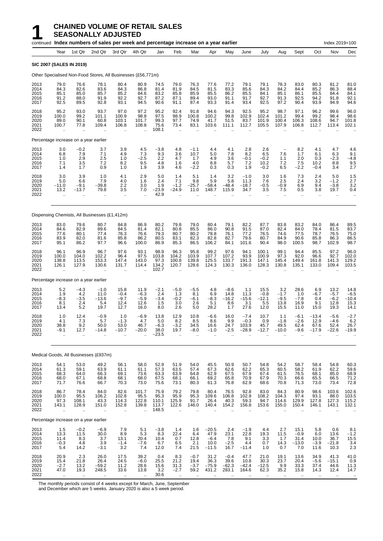## **1 CHAINED VOLUME OF RETAIL SALES**<br>**1 SEASONALLY ADJUSTED**<br>Fontinued Index numbers of sales per week and percentage inc **SEASONALLY ADJUSTED**

|                                      |                                             |                                                    | continued Index numbers of sales per week and percentage increase on a year earlier |                                          |                                                         |                                          |                                                      |                                        |                                              |                                         |                                         |                                          |                                                   |                                          |                                                  | Index 2019=100                                          |                                                     |
|--------------------------------------|---------------------------------------------|----------------------------------------------------|-------------------------------------------------------------------------------------|------------------------------------------|---------------------------------------------------------|------------------------------------------|------------------------------------------------------|----------------------------------------|----------------------------------------------|-----------------------------------------|-----------------------------------------|------------------------------------------|---------------------------------------------------|------------------------------------------|--------------------------------------------------|---------------------------------------------------------|-----------------------------------------------------|
|                                      | Year                                        | 1st Qtr                                            | 2nd Qtr                                                                             | 3rd Qtr                                  | 4th Qtr                                                 | Jan                                      | Feb                                                  | Mar                                    | Apr                                          | May                                     | June                                    | July                                     | Aug                                               | Sept                                     | Oct                                              | Nov                                                     | Dec                                                 |
| <b>SIC 2007 (SALES IN 2019)</b>      |                                             |                                                    |                                                                                     |                                          |                                                         |                                          |                                                      |                                        |                                              |                                         |                                         |                                          |                                                   |                                          |                                                  |                                                         |                                                     |
|                                      |                                             |                                                    | Other Specialised Non-Food Stores, All Businesses (£56,771m)                        |                                          |                                                         |                                          |                                                      |                                        |                                              |                                         |                                         |                                          |                                                   |                                          |                                                  |                                                         |                                                     |
| 2013<br>2014<br>2015<br>2016<br>2017 | 79.0<br>84.3<br>85.1<br>91.2<br>92.5        | 76.6<br>82.6<br>85.0<br>88.0<br>89.5               | 78.1<br>83.6<br>85.7<br>91.9<br>92.8                                                | 80.4<br>84.3<br>85.2<br>92.2<br>93.1     | 80.9<br>86.8<br>84.6<br>92.7<br>94.5                    | 74.5<br>81.4<br>83.2<br>87.2<br>90.6     | 79.0<br>81.9<br>85.8<br>87.1<br>91.1                 | 76.3<br>84.5<br>85.9<br>89.4<br>87.4   | 77.6<br>81.5<br>85.5<br>93.0<br>93.3         | 77.2<br>83.3<br>86.2<br>91.1<br>91.4    | 79.1<br>85.6<br>85.5<br>91.7<br>93.4    | 79.1<br>84.3<br>84.1<br>92.7<br>92.5     | 78.3<br>84.2<br>85.1<br>91.3<br>97.2              | 83.0<br>84.4<br>86.1<br>92.5<br>90.4     | 80.3<br>85.2<br>85.5<br>94.2<br>93.9             | 81.2<br>86.3<br>84.4<br>91.8<br>94.9                    | 81.0<br>88.4<br>84.1<br>92.1<br>94.6                |
| 2018<br>2019<br>2020<br>2021<br>2022 | 95.2<br>100.0<br>89.0<br>100.7              | 93.0<br>99.2<br>90.1<br>77.8                       | 93.7<br>101.1<br>60.8<br>109.4                                                      | 97.0<br>100.9<br>103.1<br>106.8          | 97.2<br>98.8<br>101.7<br>108.8                          | 95.2<br>97.5<br>99.3<br>75.6<br>108.1    | 92.4<br>98.9<br>97.7<br>73.4<br>$\ddot{\phantom{a}}$ | 91.8<br>100.8<br>74.9<br>83.1          | 94.6<br>100.2<br>41.7<br>103.6               | 94.3<br>99.8<br>51.5<br>111.1           | 92.5<br>102.9<br>83.7<br>112.7          | 95.2<br>102.4<br>101.9<br>105.5          | 98.7<br>101.2<br>100.4<br>107.9                   | 97.1<br>99.4<br>106.3<br>106.8           | 96.2<br>99.2<br>108.6<br>112.7                   | 99.6<br>98.4<br>94.7<br>113.4                           | 96.0<br>98.6<br>101.8<br>102.1                      |
|                                      |                                             | Percentage increase on a year earlier              |                                                                                     |                                          |                                                         |                                          |                                                      |                                        |                                              |                                         |                                         |                                          |                                                   |                                          |                                                  |                                                         |                                                     |
| 2013<br>2014<br>2015<br>2016<br>2017 | 3.0<br>6.8<br>1.0<br>7.1<br>1.4             | $-0.2$<br>7.9<br>2.9<br>3.5<br>1.7                 | 3.7<br>7.1<br>2.5<br>7.2<br>0.9                                                     | 3.9<br>4.9<br>1.0<br>8.2<br>1.0          | 4.5<br>7.3<br>$-2.5$<br>9.5<br>1.9                      | $-3.8$<br>9.3<br>2.2<br>4.8<br>3.9       | 4.8<br>3.6<br>4.7<br>1.6<br>4.6                      | $-1.1$<br>10.7<br>1.7<br>4.0<br>$-2.2$ | 4.4<br>5.0<br>4.9<br>8.8<br>0.3              | 4.1<br>7.8<br>3.6<br>5.7<br>0.3         | 2.8<br>8.2<br>$-0.1$<br>7.2<br>1.9      | 2.6<br>6.5<br>$-0.2$<br>10.2<br>$-0.2$   | 7.6<br>1.1<br>7.2<br>6.5                          | 8.2<br>1.7<br>2.0<br>7.5<br>$-2.2$       | 4.1<br>6.1<br>0.3<br>10.2<br>$-0.4$              | 4.7<br>6.3<br>$-2.3$<br>8.8<br>3.4                      | 4.6<br>9.1<br>$-4.8$<br>9.5<br>2.7                  |
| 2018<br>2019<br>2020<br>2021<br>2022 | 3.0<br>5.0<br>$-11.0$<br>13.2<br>ä.         | 3.9<br>6.6<br>$-9.1$<br>$-13.7$<br>μ.              | 1.0<br>7.9<br>-39.8<br>79.8                                                         | 4.1<br>4.0<br>2.2<br>3.5<br>$\ddotsc$    | 2.9<br>1.6<br>3.0<br>7.0                                | 5.0<br>2.4<br>1.9<br>$-23.9$<br>42.9     | 1.4<br>7.1<br>$-1.2$<br>$-24.9$                      | 5.1<br>9.8<br>$-25.7$<br>11.0          | 1.4<br>5.9<br>$-58.4$<br>148.7               | 3.2<br>5.8<br>$-48.4$<br>115.9          | $-1.0$<br>11.3<br>$-18.7$<br>34.7       | 3.0<br>7.6<br>$-0.5$<br>3.5<br>ä.        | 1.6<br>2.5<br>-0.9<br>7.5<br>$\ddot{\phantom{a}}$ | 7.3<br>2.4<br>6.9<br>0.5                 | 2.4<br>3.2<br>9.4<br>3.8<br>$\ddot{\phantom{a}}$ | 5.0<br>$-1.2$<br>-3.8<br>19.7<br>$\ddot{\phantom{a}}$   | 1.5<br>2.7<br>3.2<br>0.4                            |
|                                      |                                             |                                                    | Dispensing Chemists, All Businesses (£1,412m)                                       |                                          |                                                         |                                          |                                                      |                                        |                                              |                                         |                                         |                                          |                                                   |                                          |                                                  |                                                         |                                                     |
| 2013<br>2014<br>2015<br>2016<br>2017 | 83.0<br>84.6<br>77.6<br>83.9<br>95.1        | 79.6<br>82.9<br>80.1<br>82.0<br>86.2               | 80.7<br>89.6<br>77.4<br>81.6<br>97.7                                                | 84.8<br>84.5<br>76.3<br>85.8<br>96.6     | 86.9<br>81.4<br>76.6<br>86.2<br>100.0                   | 80.2<br>82.1<br>79.3<br>80.5<br>86.9     | 79.8<br>80.8<br>80.7<br>83.1<br>85.3                 | 79.0<br>85.5<br>80.2<br>82.3<br>86.5   | 80.4<br>86.0<br>78.8<br>82.8<br>106.2        | 79.1<br>90.8<br>76.1<br>82.7<br>84.1    | 82.2<br>91.5<br>77.2<br>79.6<br>101.6   | 87.7<br>87.0<br>76.5<br>80.7<br>90.4     | 83.8<br>82.4<br>74.6<br>84.9<br>98.0              | 83.2<br>84.0<br>77.5<br>90.6<br>100.5    | 84.0<br>78.4<br>78.7<br>85.8<br>98.7             | 86.4<br>81.5<br>76.5<br>86.3<br>102.9                   | 89.5<br>83.7<br>75.0<br>86.5<br>98.7                |
| 2018<br>2019<br>2020<br>2021<br>2022 | 96.1<br>100.0<br>138.8<br>126.1<br>ä,       | 96.9<br>104.0<br>113.5<br>127.9                    | 96.7<br>102.2<br>153.3<br>130.6                                                     | 97.6<br>96.4<br>147.4<br>131.7           | 93.1<br>97.5<br>143.0<br>114.4                          | 98.9<br>103.8<br>97.3<br>134.2<br>102.7  | 96.3<br>104.2<br>100.8<br>120.7                      | 95.8<br>103.9<br>139.8<br>128.6        | 99.2<br>107.7<br>125.5<br>124.3              | 97.6<br>107.2<br>133.7<br>130.3         | 94.1<br>93.9<br>191.3<br>136.0          | 100.1<br>100.9<br>147.1<br>128.3         | 99.1<br>97.3<br>145.4<br>130.8                    | 94.4<br>92.0<br>149.4<br>135.1           | 85.5<br>96.6<br>161.8<br>133.0                   | 97.2<br>92.7<br>141.3<br>109.4                          | 96.0<br>102.0<br>129.2<br>103.5                     |
|                                      |                                             | Percentage increase on a year earlier              |                                                                                     |                                          |                                                         |                                          |                                                      |                                        |                                              |                                         |                                         |                                          |                                                   |                                          |                                                  |                                                         |                                                     |
| 2013<br>2014<br>2015<br>2016<br>2017 | 5.2<br>1.9<br>$-8.3$<br>8.1<br>13.4         | $-4.3$<br>4.2<br>$-3.5$<br>2.4<br>5.2              | $-1.0$<br>11.0<br>-13.6<br>5.4<br>19.7                                              | 15.8<br>$-0.4$<br>$-9.7$<br>12.4<br>12.7 | 11.9<br>$-6.3$<br>$-5.9$<br>12.6<br>16.0                | $-2.1$<br>2.4<br>$-3.4$<br>1.5<br>8.0    | $-5.0$<br>1.3<br>$-0.2$<br>3.0<br>2.6                | $-5.5$<br>8.1<br>$-6.1$<br>2.6<br>5.0  | 4.8<br>6.9<br>$-8.3$<br>5.1<br>28.2          | $-8.6$<br>14.8<br>$-16.2$<br>8.6<br>1.7 | 1.1<br>11.3<br>$-15.6$<br>3.1<br>27.6   | 15.5<br>$-0.8$<br>$-12.1$<br>5.5<br>12.0 | 3.2<br>$-1.7$<br>$-9.5$<br>13.8<br>15.5           | 28.6<br>1.0<br>$-7.8$<br>16.9<br>11.0    | 6.9<br>$-6.7$<br>0.4<br>9.1<br>15.0              | 13.2<br>-5.7<br>$-6.2$<br>12.8<br>19.3                  | 14.8<br>$-6.5$<br>$-10.4$<br>15.3<br>14.1           |
| 2018<br>2019<br>2020<br>2021<br>2022 | 1.0<br>4.1<br>38.8<br>$-9.1$<br>ä.          | 12.4<br>7.3<br>9.2<br>12.7<br>$\ddot{\phantom{a}}$ | $-0.9$<br>5.7<br>50.0<br>$-14.8$<br>$\mathbf{r}$                                    | 1.0<br>$-1.3$<br>53.0<br>$-10.7$<br>ä,   | $-6.9$<br>4.7<br>46.7<br>$-20.0$                        | 13.8<br>5.0<br>$-6.3$<br>38.0<br>$-23.5$ | 12.9<br>8.2<br>$-3.2$<br>19.7<br>ä.                  | 10.8<br>8.5<br>34.5<br>$-8.0$          | $-6.6$<br>8.6<br>16.6<br>$-1.0$              | 16.0<br>9.9<br>24.7<br>$-2.5$           | $-7.4$<br>$-0.3$<br>103.9<br>$-28.9$    | 10.7<br>0.9<br>45.7<br>$-12.7$           | 1.1<br>$-1.8$<br>49.5<br>$-10.0$                  | $-6.1$<br>$-2.6$<br>62.4<br>-9.6         | $-13.4$<br>12.9<br>67.6<br>$-17.9$               | -5.6<br>-4.6<br>52.4<br>$-22.6$                         | $-2.7$<br>6.2<br>26.7<br>–19.9                      |
|                                      |                                             |                                                    | Medical Goods, All Businesses (£937m)                                               |                                          |                                                         |                                          |                                                      |                                        |                                              |                                         |                                         |                                          |                                                   |                                          |                                                  |                                                         |                                                     |
| 2013<br>2014<br>2015<br>2016<br>2017 | 54.1<br>61.3<br>68.3<br>68.0<br>71.7        | 53.0<br>59.1<br>64.0<br>67.1<br>76.6               | 49.2<br>63.9<br>66.3<br>68.8<br>66.7                                                | 56.1<br>61.1<br>69.1<br>68.1<br>70.3     | 58.0<br>61.1<br>73.6<br>68.0<br>73.0                    | 52.9<br>57.3<br>63.3<br>67.5<br>75.6     | 51.9<br>63.5<br>63.9<br>68.1<br>73.1                 | 54.0<br>57.4<br>64.8<br>66.1<br>80.3   | 45.5<br>67.3<br>62.9<br>69.2<br>61.3         | 50.9<br>62.6<br>67.5<br>65.8<br>76.8    | 50.7<br>62.2<br>67.9<br>70.9<br>62.9    | 54.8<br>65.3<br>67.4<br>67.9<br>68.6     | 54.2<br>60.5<br>61.5<br>70.3<br>70.8              | 58.7<br>58.2<br>76.5<br>66.6<br>71.3     | 58.4<br>61.9<br>68.1<br>65.5<br>73.0             | 54.8<br>62.2<br>85.0<br>66.5<br>73.4                    | 60.3<br>59.6<br>68.9<br>71.2<br>72.8                |
| 2018<br>2019<br>2020<br>2021<br>2022 | 86.7<br>100.0<br>97.3<br>143.1<br>$\ddotsc$ | 78.4<br>95.5<br>108.1<br>128.9<br>μ,               | 84.0<br>106.2<br>43.3<br>151.0<br>ä.                                                | 82.6<br>102.8<br>114.3<br>152.8<br>      | 101.7<br>95.5<br>122.8<br>139.8<br>$\ddot{\phantom{1}}$ | 75.9<br>95.3<br>110.1<br>113.7<br>148.5  | 79.2<br>95.9<br>125.9<br>122.6<br>$\ddotsc$          | 79.8<br>95.3<br>91.7<br>146.0          | 80.4<br>109.6<br>26.4<br>140.4               | 76.5<br>106.8<br>40.3<br>154.2          | 92.8<br>102.9<br>59.3<br>156.8          | 83.0<br>108.2<br>94.7<br>153.6           | 84.3<br>104.3<br>114.6<br>155.0                   | 80.9<br>97.4<br>129.9<br>150.4           | 98.6<br>93.1<br>127.8<br>146.1                   | 103.6<br>88.0<br>127.3<br>143.1<br>$\ddotsc$            | 102.6<br>103.5<br>115.2<br>132.1<br>$\cdot$ .       |
|                                      |                                             | Percentage increase on a year earlier              |                                                                                     |                                          |                                                         |                                          |                                                      |                                        |                                              |                                         |                                         |                                          |                                                   |                                          |                                                  |                                                         |                                                     |
| 2013<br>2014<br>2015<br>2016<br>2017 | 1.5<br>13.3<br>11.4<br>$-0.3$<br>5.4        | $-0.2$<br>11.5<br>8.3<br>4.8<br>14.2               | $-6.9$<br>30.0<br>3.7<br>3.9<br>$-3.1$                                              | 7.9<br>8.9<br>13.1<br>$-1.4$<br>3.2      | 5.1<br>5.3<br>20.4<br>$-7.6$<br>7.4                     | $-3.8$<br>8.3<br>10.4<br>6.7<br>12.0     | 1.4<br>22.4<br>0.7<br>6.5<br>7.4                     | 1.6<br>6.4<br>12.8<br>2.1<br>21.5      | $-20.5$<br>47.9<br>$-6.4$<br>10.0<br>$-11.5$ | 2.4<br>23.1<br>7.8<br>$-2.5$<br>16.7    | $-1.9$<br>22.8<br>9.1<br>4.4<br>$-11.4$ | 4.4<br>19.3<br>3.3<br>0.7<br>1.0         | 2.7<br>11.5<br>1.7<br>14.3<br>0.7                 | 15.1<br>$-0.9$<br>31.4<br>$-13.0$<br>7.0 | 5.8<br>6.0<br>10.0<br>$-3.9$<br>11.6             | 0.6<br>13.6<br>36.7<br>$-21.8$<br>10.3                  | $8.1 - 1.2$<br>15.5<br>3.4<br>2.3                   |
| 2018<br>2019<br>2020<br>2021<br>2022 | 20.9<br>15.4<br>$-2.7$<br>47.0              | 2.3<br>21.8<br>13.2<br>19.3                        | 26.0<br>26.4<br>$-59.2$<br>248.5                                                    | 17.5<br>24.5<br>11.2<br>33.6             | 39.2<br>$-6.0$<br>28.6<br>13.8                          | 0.4<br>25.5<br>15.6<br>3.2<br>30.6       | 8.3<br>21.2<br>31.3<br>$-2.7$                        | $-0.7$<br>19.4<br>$-3.7$<br>59.2       | 31.2<br>36.3<br>$-75.9$<br>431.2             | $-0.4$<br>39.6<br>$-62.3$<br>283.1      | 47.7<br>10.8<br>$-42.4$<br>164.6        | 21.0<br>30.3<br>$-12.5$<br>62.3          | 19.1<br>23.7<br>9.9<br>35.2                       | 13.6<br>20.4<br>33.3<br>15.8             | 34.9<br>$-5.6$<br>37.4<br>14.3                   | 41.3<br>$-15.1$<br>44.6<br>12.4<br>$\ddot{\phantom{a}}$ | 41.0<br>0.9<br>11.3<br>14.7<br>$\ddot{\phantom{1}}$ |

The monthly periods consist of 4 weeks except for March, June, September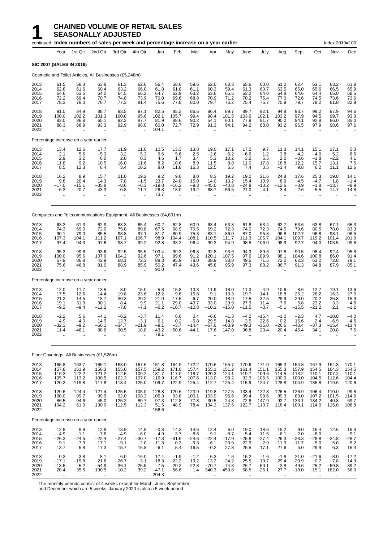## **1 CHAINED VOLUME OF RETAIL SALES**<br>**1 SEASONALLY ADJUSTED**<br>Fontinued Index numbers of sales per week and percentage inc **SEASONALLY ADJUSTED**

|                                      |                                                       |                                                       | continued Index numbers of sales per week and percentage increase on a year earlier |                                                                     |                                                      |                                               |                                                      |                                                      |                                               |                                             |                                                      |                                               |                                                       |                                                      |                                                      | Index 2019=100                            |                                             |
|--------------------------------------|-------------------------------------------------------|-------------------------------------------------------|-------------------------------------------------------------------------------------|---------------------------------------------------------------------|------------------------------------------------------|-----------------------------------------------|------------------------------------------------------|------------------------------------------------------|-----------------------------------------------|---------------------------------------------|------------------------------------------------------|-----------------------------------------------|-------------------------------------------------------|------------------------------------------------------|------------------------------------------------------|-------------------------------------------|---------------------------------------------|
|                                      | Year                                                  | 1st Qtr                                               | 2nd Qtr                                                                             | 3rd Qtr                                                             | 4th Qtr                                              | Jan                                           | Feb                                                  | Mar                                                  | Apr                                           | May                                         | June                                                 | July                                          | Aug                                                   | Sept                                                 | Oct                                                  | Nov                                       | Dec                                         |
| <b>SIC 2007 (SALES IN 2019)</b>      |                                                       |                                                       |                                                                                     |                                                                     |                                                      |                                               |                                                      |                                                      |                                               |                                             |                                                      |                                               |                                                       |                                                      |                                                      |                                           |                                             |
|                                      |                                                       |                                                       | Cosmetic and Toilet Articles, All Businesses (£5,248m)                              |                                                                     |                                                      |                                               |                                                      |                                                      |                                               |                                             |                                                      |                                               |                                                       |                                                      |                                                      |                                           |                                             |
| 2013<br>2014<br>2015<br>2016<br>2017 | 61.5<br>62.8<br>64.6<br>72.2<br>78.3                  | 58.3<br>61.6<br>63.5<br>69.4<br>78.0                  | 63.8<br>60.4<br>64.0<br>70.7<br>76.7                                                | 61.3<br>63.2<br>64.5<br>74.8<br>77.3                                | 62.6<br>66.0<br>66.2<br>73.9<br>81.4                 | 56.4<br>61.8<br>64.7<br>70.0<br>75.6          | 58.6<br>61.8<br>62.9<br>69.6<br>77.8                 | 59.6<br>61.1<br>63.2<br>68.8<br>80.0                 | 62.0<br>60.3<br>63.6<br>70.9<br>79.7          | 63.3<br>59.4<br>65.5<br>71.2<br>75.2        | 65.6<br>61.3<br>63.2<br>70.2<br>75.4                 | 60.0<br>60.7<br>64.0<br>75.4<br>75.7          | 61.2<br>63.5<br>64.8<br>77.0<br>75.9                  | 62.4<br>65.0<br>64.6<br>72.6<br>79.7                 | 63.1<br>65.6<br>64.4<br>74.5<br>79.2                 | 63.2<br>66.5<br>65.0<br>73.6<br>81.8      | 61.8<br>65.9<br>68.5<br>73.6<br>82.9        |
| 2018<br>2019<br>2020<br>2021<br>2022 | 91.0<br>100.0<br>83.0<br>88.3<br>ă,                   | 84.9<br>102.2<br>86.8<br>68.9<br>$\ddot{\phantom{a}}$ | 88.7<br>101.3<br>65.1<br>93.3                                                       | 93.5<br>100.8<br>92.2<br>92.9<br>$\ddot{\phantom{a}}$               | 97.1<br>95.6<br>87.7<br>98.0<br>$\ddot{\phantom{a}}$ | 82.5<br>102.1<br>81.9<br>60.0<br>104.1        | 85.3<br>105.7<br>88.6<br>72.7<br>$\ddotsc$           | 86.5<br>99.4<br>90.2<br>72.9<br>$\sim$               | 86.4<br>98.4<br>54.1<br>91.3                  | 89.7<br>101.5<br>60.1<br>94.1               | 89.7<br>103.6<br>77.9<br>94.2                        | 92.1<br>102.1<br>91.7<br>88.0<br>$\sim$       | 94.8<br>103.2<br>90.2<br>93.2<br>$\ddot{\phantom{a}}$ | 93.7<br>97.9<br>94.1<br>96.5<br>$\ddot{\phantom{a}}$ | 99.2<br>94.5<br>92.8<br>97.9<br>$\ddot{\phantom{a}}$ | 97.9<br>99.7<br>86.0<br>98.6<br>$\ddotsc$ | 94.6<br>93.3<br>85.0<br>97.6                |
|                                      |                                                       | Percentage increase on a year earlier                 |                                                                                     |                                                                     |                                                      |                                               |                                                      |                                                      |                                               |                                             |                                                      |                                               |                                                       |                                                      |                                                      |                                           |                                             |
| 2013<br>2014<br>2015<br>2016<br>2017 | 13.4<br>2.1<br>2.9<br>11.8<br>8.5                     | 12.6<br>5.6<br>3.2<br>9.2<br>12.3                     | 17.7<br>$-5.3$<br>6.0<br>10.5<br>8.4                                                | 11.9<br>3.2<br>2.0<br>16.0<br>3.4                                   | 11.6<br>5.3<br>0.3<br>11.6<br>10.2                   | 10.5<br>9.6<br>4.6<br>8.2<br>8.0              | 13.3<br>5.6<br>1.7<br>10.6<br>11.8                   | 13.8<br>2.5<br>3.4<br>8.9<br>16.3                    | 19.0<br>$-2.6$<br>5.3<br>11.5<br>12.5         | 17.1<br>$-6.2$<br>10.2<br>8.8<br>5.5        | 17.2<br>$-6.6$<br>3.2<br>11.0<br>7.4                 | 9.7<br>1.2<br>5.5<br>17.8<br>0.5              | 11.3<br>3.8<br>2.0<br>18.8<br>$-1.4$                  | 14.1<br>4.2<br>$-0.6$<br>12.2<br>9.8                 | 15.1<br>4.0<br>$-1.8$<br>15.7<br>6.2                 | 17.1<br>5.2<br>$-2.2$<br>13.1<br>11.1     | 5.0<br>6.6<br>4.1<br>7.5<br>12.6            |
| 2018<br>2019<br>2020<br>2021<br>2022 | 16.2<br>9.8<br>$-17.0$<br>6.3<br>$\ddotsc$            | 8.9<br>20.4<br>$-15.1$<br>$-20.7$                     | 15.7<br>14.3<br>$-35.8$<br>43.3                                                     | 21.0<br>7.8<br>$-8.6$<br>0.8<br>                                    | 19.2<br>$-1.5$<br>$-8.3$<br>11.7                     | 9.2<br>23.7<br>$-19.8$<br>$-26.8$<br>73.7     | 9.6<br>24.0<br>$-16.2$<br>$-18.0$                    | 8.0<br>15.0<br>$-9.3$<br>$-19.2$                     | 8.3<br>14.0<br>$-45.0$<br>68.7                | 19.2<br>13.2<br>$-40.8$<br>56.5             | 19.0<br>15.4<br>$-24.8$<br>21.0                      | 21.6<br>10.9<br>$-10.2$<br>$-4.1$             | 24.8<br>8.9<br>$-12.6$<br>3.4<br>$\ddotsc$            | 17.6<br>4.5<br>$-3.9$<br>2.6<br>$\ddotsc$            | 25.3<br>$-4.7$<br>$-1.8$<br>5.5<br>$\ddotsc$         | 19.8<br>1.8<br>$-13.7$<br>14.7            | 14.1<br>$-1.4$<br>$-8.9$<br>14.8            |
|                                      |                                                       |                                                       | Computers and Telecommunications Equipment, All Businesses (£4,691m)                |                                                                     |                                                      |                                               |                                                      |                                                      |                                               |                                             |                                                      |                                               |                                                       |                                                      |                                                      |                                           |                                             |
| 2013<br>2014<br>2015<br>2016<br>2017 | 63.2<br>74.3<br>90.1<br>107.3<br>97.4                 | 61.3<br>69.0<br>79.0<br>104.1<br>94.3                 | 62.9<br>72.0<br>85.5<br>111.2<br>97.6                                               | 63.3<br>75.8<br>98.8<br>107.1<br>98.7                               | 65.4<br>80.8<br>97.1<br>106.7<br>99.2                | 60.2<br>67.5<br>81.7<br>98.9<br>92.8          | 62.8<br>68.9<br>80.9<br>104.4<br>93.2                | 60.9<br>70.5<br>75.3<br>108.1<br>96.4                | 63.4<br>69.2<br>83.1<br>110.5<br>99.3         | 63.8<br>72.3<br>86.0<br>111.7<br>94.9       | 61.8<br>74.0<br>87.0<br>111.3<br>98.5                | 63.4<br>72.3<br>95.8<br>106.7<br>106.0        | 62.7<br>74.5<br>96.8<br>104.1<br>98.9                 | 63.6<br>79.6<br>102.7<br>109.7<br>92.7               | 63.8<br>80.5<br>96.8<br>119.2<br>94.0                | 67.1<br>78.0<br>98.1<br>101.4<br>103.5    | 65.3<br>83.3<br>96.5<br>101.0<br>99.8       |
| 2018<br>2019<br>2020<br>2021<br>2022 | 95.3<br>100.0<br>67.9<br>75.6<br>$\ddot{\phantom{a}}$ | 99.6<br>95.6<br>86.8<br>46.8<br>$\ddot{\phantom{a}}$  | 93.6<br>107.6<br>42.9<br>81.0                                                       | 92.5<br>104.2<br>68.1<br>88.9<br>$\ddot{\phantom{a}}$               | 95.5<br>92.6<br>72.3<br>85.9<br>$\ddot{\phantom{a}}$ | 103.4<br>97.1<br>88.3<br>50.2<br>90.0         | 99.3<br>99.6<br>95.9<br>47.4<br>$\ddotsc$            | 96.8<br>91.2<br>78.0<br>43.6<br>$\ddot{\phantom{a}}$ | 92.8<br>120.1<br>38.9<br>45.8                 | 93.6<br>107.5<br>38.8<br>95.9               | 94.3<br>97.6<br>49.5<br>97.3<br>$\ddot{\phantom{a}}$ | 89.6<br>109.9<br>71.5<br>88.2<br>$\mathbf{r}$ | 97.8<br>98.1<br>72.0<br>86.7<br>$\ddotsc$             | 90.5<br>104.6<br>62.3<br>91.3<br>÷.                  | 98.4<br>100.8<br>63.2<br>84.8<br>ä.                  | 92.4<br>86.0<br>72.8<br>87.9<br>$\ddotsc$ | 95.8<br>91.4<br>79.1<br>85.1                |
|                                      |                                                       | Percentage increase on a year earlier                 |                                                                                     |                                                                     |                                                      |                                               |                                                      |                                                      |                                               |                                             |                                                      |                                               |                                                       |                                                      |                                                      |                                           |                                             |
| 2013<br>2014<br>2015<br>2016<br>2017 | 12.0<br>17.5<br>21.2<br>19.1<br>$-9.2$                | 11.7<br>12.6<br>14.5<br>31.9<br>$-9.4$                | 13.5<br>14.4<br>18.7<br>30.1<br>$-12.2$                                             | $\begin{array}{c} 8.0 \\ 19.8 \end{array}$<br>30.3<br>8.4<br>$-7.8$ | 15.0<br>23.6<br>20.2<br>9.9<br>$-7.1$                | $\frac{5.8}{12.2}$<br>21.0<br>21.1<br>$-6.2$  | 15.8<br>9.6<br>17.5<br>29.0<br>$-10.7$               | 13.3<br>15.8<br>6.7<br>43.7<br>$-10.8$               | 11.9<br>9.1<br>20.0<br>33.0<br>$-10.1$        | 18.0<br>13.3<br>18.9<br>29.9<br>$-15.0$     | 11.3<br>19.7<br>17.5<br>27.9<br>$-11.5$              | $4.9$<br>14.1<br>32.5<br>11.4<br>$-0.7$       | 10.6<br>18.8<br>29.9<br>7.6<br>$-5.1$                 | $\frac{8.6}{25.2}$<br>29.0<br>6.8<br>$-15.5$         | 12.7<br>26.2<br>20.2<br>23.2<br>$-21.2$              | 19.1<br>16.3<br>25.8<br>$3.3$<br>$2.1$    | 13.6<br>27.5<br>15.9<br>$4.6 - 1.2$         |
| 2018<br>2019<br>2020<br>2021<br>2022 | $-2.2$<br>4.9<br>-32.1<br>11.4                        | 5.6<br>$-4.0$<br>$-9.2$<br>-46.1                      | $-4.1$<br>14.9<br>$-60.1$<br>88.6                                                   | $-6.2$<br>12.7<br>-34.7<br>30.5                                     | $-3.7$<br>$-3.1$<br>$-21.9$<br>18.8                  | 11.4<br>$-6.1$<br>$-9.1$<br>$-43.2$<br>79.1   | 6.6<br>0.2<br>$-3.7$<br>$-50.6$                      | 0.4<br>$-5.8$<br>$-14.4$<br>$-44.1$                  | $-6.6$<br>29.5<br>-67.6<br>17.6               | $-1.3$<br>14.8<br>$-63.9$<br>147.0          | $-4.2$<br>3.5<br>$-49.3$<br>96.8                     | $-15.4$<br>22.6<br>$-35.0$<br>23.4            | $-1.0$<br>0.2<br>-26.6<br>20.4                        | $-2.3$<br>15.6<br>-40.4<br>46.4                      | 4.7<br>2.4<br>-37.3<br>34.1                          | $-10.8$<br>$-6.9$<br>$-15.4$<br>20.8      | $-4.0$<br>-4.6<br>$-13.4$<br>7.5            |
|                                      |                                                       |                                                       | Floor Coverings, All Businesses (£1,526m)                                           |                                                                     |                                                      |                                               |                                                      |                                                      |                                               |                                             |                                                      |                                               |                                                       |                                                      |                                                      |                                           |                                             |
| 2013<br>2014<br>2015<br>2016<br>2017 | 165.8<br>157.8<br>116.3<br>105.7<br>120.2             | 163.7<br>161.9<br>122.2<br>113.2<br>119.8             | 169.1<br>156.3<br>121.2<br>100.5<br>117.8                                           | 163.0<br>155.0<br>112.5<br>102.3<br>118.4                           | 167.6<br>157.5<br>109.2<br>107.0<br>125.0            | 151.8<br>159.2<br>131.7<br>116.9<br>109.7     | 164.9<br>171.0<br>117.0<br>116.7<br>122.9            | 172.2<br>157.4<br>118.7<br>107.6<br>125.4            | 170.6<br>155.1<br>120.3<br>113.0<br>112.7     | 165.7<br>151.2<br>124.1<br>98.2<br>125.4    | 170.6<br>161.4<br>119.7<br>92.3<br>115.9             | 171.0<br>151.1<br>109.6<br>106.5<br>124.7     | 165.3<br>155.3<br>114.5<br>100.9<br>128.8             | 154.8<br>157.9<br>113.2<br>100.0<br>104.9            | 167.9<br>154.5<br>110.1<br>104.5<br>135.8            | 164.3<br>164.3<br>107.2<br>112.6<br>119.6 | 170.1<br>154.5<br>110.1<br>104.4<br>120.6   |
| 2018<br>2019<br>2020<br>2021<br>2022 | 120.6<br>100.0<br>86.5<br>104.2<br>÷.                 | 124.4<br>99.7<br>94.6<br>61.0<br>ä.                   | 127.4<br>99.9<br>45.0<br>130.9<br>$\ddot{\phantom{a}}$                              | 125.5<br>92.0<br>125.2<br>112.5<br>ä.                               | 105.0<br>108.3<br>80.7<br>112.3                      | 128.8<br>105.3<br>97.3<br>51.5<br>156.6       | 120.6<br>93.8<br>112.8<br>48.9<br>$\bar{\mathbf{r}}$ | 123.9<br>100.1<br>77.3<br>78.4                       | 119.8<br>103.9<br>30.5<br>134.3               | 127.5<br>96.6<br>24.8<br>137.5              | 133.4<br>99.4<br>72.8<br>122.7                       | 122.8<br>98.6<br>147.9<br>110.7               | 126.5<br>89.3<br>92.7<br>118.4                        | 126.9<br>89.0<br>133.1<br>109.1                      | 106.4<br>107.2<br>134.2<br>114.0                     | 110.0<br>101.5<br>40.8<br>115.0           | 99.8<br>114.6<br>69.7<br>108.8              |
|                                      |                                                       | Percentage increase on a year earlier                 |                                                                                     |                                                                     |                                                      |                                               |                                                      |                                                      |                                               |                                             |                                                      |                                               |                                                       |                                                      |                                                      |                                           |                                             |
| 2013<br>2014<br>2015<br>2016<br>2017 | 12.8<br>$-4.9$<br>$-26.3$<br>$-9.1$<br>13.7           | 9.8<br>$-1.1$<br>-24.5<br>$-7.3$<br>5.8               | 12.8<br>$-7.6$<br>$-22.4$<br>$-17.1$<br>17.3                                        | 13.9<br>$-4.9$<br>$-27.4$<br>$-9.1$<br>15.7                         | 14.8<br>$-6.0$<br>$-30.7$<br>$-2.0$<br>16.8          | $-0.3$<br>4.9<br>$-17.3$<br>$-11.3$<br>$-6.1$ | 14.3<br>3.7<br>$-31.6$<br>$-0.3$<br>5.4              | 14.6<br>$-8.6$<br>$-24.6$<br>$-9.3$<br>16.5          | 12.4<br>$-9.1$<br>$-22.4$<br>$-6.1$<br>$-0.2$ | 6.0<br>$-8.7$<br>$-17.9$<br>$-20.9$<br>27.8 | 19.0<br>$-5.4$<br>$-25.8$<br>$-22.9$<br>25.5         | 18.6<br>$-11.6$<br>$-27.4$<br>$-2.9$<br>17.1  | 15.2<br>$-6.1$<br>$-26.3$<br>$-11.9$<br>27.6          | 9.0<br>2.0<br>$-28.3$<br>$-11.7$<br>5.0              | 16.4<br>$-8.0$<br>$-28.8$<br>$-5.0$<br>29.9          | 12.6<br>$-34.8$<br>5.0<br>6.3             | 15.3<br>$-9.1$<br>$-28.7$<br>$-5.2$<br>15.4 |
| 2018<br>2019<br>2020<br>2021<br>2022 | 0.3<br>$-17.1$<br>$-13.5$<br>20.4                     | 3.8<br>$-19.8$<br>$-5.2$<br>-35.5                     | 8.1<br>$-21.6$<br>$-54.9$<br>190.5                                                  | 6.0<br>$-26.7$<br>36.1<br>$-10.2$                                   | $-16.0$<br>3.1<br>$-25.5$<br>39.2                    | 17.4<br>$-18.3$<br>$-7.5$<br>$-47.1$<br>204.3 | $-1.9$<br>$-22.2$<br>20.2<br>$-56.6$                 | $-1.2$<br>$-19.2$<br>$-22.8$<br>1.4                  | 6.3<br>$-13.2$<br>$-70.7$<br>340.3            | 1.6<br>$-24.2 - 74.3$<br>453.8              | 15.2<br>$-25.5$<br>$-26.7$<br>68.5                   | $-1.6$<br>$-19.7$<br>50.1<br>$-25.1$          | $-1.8$<br>$-29.4$<br>3.8<br>27.7                      | 21.0<br>$-29.9$<br>49.6<br>$-18.0$                   | $-21.6$<br>0.7<br>25.2<br>$-15.1$                    | $-8.0$<br>$-7.8$<br>$-59.8$<br>182.0      | $-17.2$<br>$14.9 - 39.2$<br>56.0            |

The monthly periods consist of 4 weeks except for March, June, September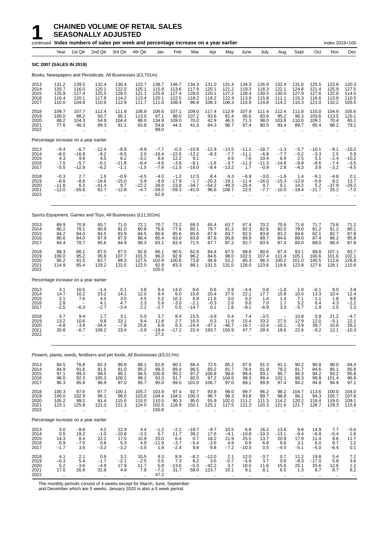|                                      |                                                        |                                                         | continued Index numbers of sales per week and percentage increase on a year earlier |                                            |                                             |                                              |                                                        |                                                |                                                       |                                                        |                                                        |                                                        |                                                        |                                                         |                                                         | Index 2019=100                                           |                                                 |
|--------------------------------------|--------------------------------------------------------|---------------------------------------------------------|-------------------------------------------------------------------------------------|--------------------------------------------|---------------------------------------------|----------------------------------------------|--------------------------------------------------------|------------------------------------------------|-------------------------------------------------------|--------------------------------------------------------|--------------------------------------------------------|--------------------------------------------------------|--------------------------------------------------------|---------------------------------------------------------|---------------------------------------------------------|----------------------------------------------------------|-------------------------------------------------|
|                                      | Year                                                   | 1st Qtr                                                 | 2nd Qtr                                                                             | 3rd Qtr                                    | 4th Qtr                                     | Jan                                          | Feb                                                    | Mar                                            | Apr                                                   | May                                                    | June                                                   | July                                                   | Aug                                                    | Sept                                                    | Oct                                                     | Nov                                                      | Dec                                             |
| SIC 2007 (SALES IN 2019)             |                                                        |                                                         |                                                                                     |                                            |                                             |                                              |                                                        |                                                |                                                       |                                                        |                                                        |                                                        |                                                        |                                                         |                                                         |                                                          |                                                 |
|                                      |                                                        |                                                         | Books, Newspapers and Periodicals, All Businesses (£3,701m)                         |                                            |                                             |                                              |                                                        |                                                |                                                       |                                                        |                                                        |                                                        |                                                        |                                                         |                                                         |                                                          |                                                 |
| 2013<br>2014<br>2015<br>2016<br>2017 | 131.2<br>120.7<br>125.9<br>116.4<br>110.0              | 139.5<br>116.0<br>127.4<br>120.1<br>104.8               | 132.4<br>120.1<br>125.5<br>117.9<br>110.6                                           | 130.4<br>122.0<br>129.5<br>114.2<br>112.9  | 122.7<br>125.1<br>121.1<br>113.4<br>111.7   | 138.7<br>115.9<br>125.9<br>120.1<br>111.0    | 146.7<br>113.6<br>127.4<br>122.5<br>108.4              | 134.3<br>117.9<br>128.6<br>118.2<br>96.9       | 131.0<br>120.1<br>120.1<br>118.2<br>108.3             | 131.4<br>121.2<br>127.2<br>122.4<br>106.3              | 134.3<br>119.3<br>128.4<br>113.9<br>115.9              | 126.9<br>118.3<br>130.5<br>115.8<br>114.8              | 132.4<br>122.1<br>130.5<br>111.1<br>114.2              | 131.6<br>124.8<br>127.9<br>115.3<br>110.3               | 125.5<br>121.4<br>127.6<br>116.6<br>121.0               | 122.8<br>125.9<br>122.8<br>113.8<br>110.2                | 120.3<br>127.5<br>114.5<br>110.5<br>105.5       |
| 2018<br>2019<br>2020<br>2021<br>2022 | 109.7<br>100.0<br>88.2<br>77.6<br>$\ddot{\phantom{a}}$ | 107.7<br>98.2<br>104.3<br>46.3                          | 112.4<br>93.7<br>54.9<br>89.3                                                       | 111.9<br>95.1<br>104.4<br>91.1             | 106.8<br>113.0<br>88.0<br>83.8              | 106.6<br>97.1<br>134.9<br>54.6<br>89.0       | 107.1<br>88.0<br>109.0<br>44.3                         | 109.0<br>107.2<br>70.0<br>41.3                 | 117.4<br>93.6<br>42.9<br>84.3                         | 112.9<br>91.4<br>46.3<br>96.7                          | 107.9<br>95.6<br>71.3<br>87.4                          | 111.4<br>93.6<br>98.0<br>90.5                          | 112.4<br>95.2<br>103.8<br>93.4                         | 111.8<br>96.3<br>110.0<br>89.7                          | 110.0<br>103.6<br>109.1<br>85.4                         | 104.9<br>113.5<br>70.4<br>88.2                           | 105.6<br>120.1<br>85.1<br>79.1                  |
|                                      |                                                        | Percentage increase on a year earlier                   |                                                                                     |                                            |                                             |                                              |                                                        |                                                |                                                       |                                                        |                                                        |                                                        |                                                        |                                                         |                                                         |                                                          |                                                 |
| 2013<br>2014<br>2015<br>2016<br>2017 | $-9.4$<br>$-8.0$<br>4.3<br>$-7.5$<br>$-5.5$            | $-6.7$<br>$-16.9$<br>9.9<br>$-5.7$<br>$-12.8$           | $-12.4$<br>$-9.2$<br>4.5<br>$-6.1$<br>$-6.2$                                        | $-8.8$<br>$-6.5$<br>6.2<br>-11.8<br>$-1.1$ | $-9.9$<br>2.0<br>$-3.2$<br>$-6.4$<br>$-1.5$ | $-7.7$<br>$-16.4$<br>8.6<br>$-4.6$<br>$-7.6$ | $-0.3$<br>$-22.6$<br>12.2<br>$-3.8$<br>$-11.5$         | $-10.9$<br>$-12.2$<br>9.1<br>$-8.1$<br>$-18.0$ | $-12.9$<br>$-8.3$<br>$-1.6$<br>$-8.4$                 | $-13.5$<br>$-7.7$<br>4.9<br>$-3.7$<br>$-13.2$          | $-11.1$<br>$-11.1$<br>7.6<br>$-11.3$<br>1.7            | $-18.7$<br>$-6.8$<br>10.4<br>$-11.3$<br>$-0.9$         | $-1.3$<br>$-7.7$<br>6.9<br>$-14.8$<br>2.8              | $-5.7$<br>$-5.2$<br>2.5<br>$-9.9$<br>$-4.3$             | $-10.1$<br>$-3.3$<br>5.1<br>-8.6<br>3.8                 | $-9.1$<br>2.5<br>$-2.4$<br>$-7.4$<br>$-3.2$              | $-10.2$<br>5.9<br>$-10.2$<br>$-3.5$<br>$-4.5$   |
| 2018<br>2019<br>2020<br>2021<br>2022 | $-0.3$<br>$-8.8$<br>-11.8<br>$-12.0$                   | 2.7<br>$-8.8$<br>6.3<br>-55.6<br>$\ddot{\phantom{a}}$   | 1.6<br>$-16.6$<br>$-41.4$<br>62.7<br>$\ddot{\phantom{a}}$                           | $-0.9$<br>$-15.0$<br>9.7<br>$-12.8$        | $-4.5$<br>5.9<br>$-22.2$<br>$-4.7$          | $-4.0$<br>$-8.9$<br>39.0<br>$-59.5$<br>62.9  | $-1.2$<br>$-17.9$<br>23.8<br>$-59.3$                   | 12.5<br>$-1.7$<br>$-34.7$<br>$-41.0$           | 8.4<br>$-20.3$<br>$-54.2$<br>96.6                     | 6.3<br>$-19.1$<br>$-49.3$<br>108.7                     | $-6.9$<br>$-11.4$<br>$-25.4$<br>22.5                   | $-3.0$<br>$-16.0$<br>4.7<br>$-7.7$                     | $-1.6$<br>$-15.3$<br>9.1<br>$-10.0$                    | 1.4<br>$-13.9$<br>14.2<br>$-18.4$                       | $-9.1$<br>$-5.8$<br>5.2<br>$-21.7$                      | $-4.8$<br>8.2<br>$-37.9$<br>25.2<br>$\sim$               | 0.1<br>13.7<br>$-29.2$<br>$-7.0$                |
|                                      |                                                        |                                                         | Sports Equipment, Games and Toys, All Businesses (£11,552m)                         |                                            |                                             |                                              |                                                        |                                                |                                                       |                                                        |                                                        |                                                        |                                                        |                                                         |                                                         |                                                          |                                                 |
| 2013<br>2014<br>2015<br>2016<br>2017 | 69.9<br>80.2<br>84.2<br>86.6<br>84.4                   | 70.9<br>78.1<br>84.0<br>84.0<br>78.7                    | 65.7<br>80.9<br>84.5<br>87.9<br>85.6                                                | 71.0<br>81.0<br>83.9<br>87.9<br>84.9       | 72.1<br>80.8<br>84.5<br>86.4<br>88.3        | 70.7<br>76.6<br>80.6<br>85.4<br>83.1         | 73.2<br>77.6<br>85.6<br>83.0<br>83.4                   | 69.3<br>80.1<br>85.6<br>83.8<br>71.5           | 65.4<br>78.7<br>87.9<br>87.6<br>87.7                  | 63.7<br>81.2<br>83.7<br>85.8<br>87.2                   | 67.4<br>82.3<br>82.5<br>89.9<br>82.7                   | 70.2<br>82.6<br>83.8<br>89.7<br>83.5                   | 70.8<br>82.0<br>83.2<br>84.6<br>87.4                   | 71.8<br>79.0<br>84.6<br>89.0<br>84.0                    | 71.7<br>81.2<br>82.1<br>87.4<br>89.0                    | 73.6<br>81.2<br>82.7<br>86.2<br>88.4                     | 71.2<br>80.1<br>87.8<br>85.8<br>87.8            |
| 2018<br>2019<br>2020<br>2021<br>2022 | 88.3<br>100.0<br>95.2<br>114.9<br>ă,                   | 86.1<br>95.2<br>91.5<br>85.4                            | 87.0<br>95.6<br>62.7<br>129.2                                                       | 87.5<br>107.7<br>99.3<br>122.5<br>ä.       | 92.8<br>101.5<br>127.5<br>122.5             | 86.1<br>96.3<br>102.9<br>82.9<br>105.5       | 90.5<br>92.9<br>100.6<br>83.3<br>ä.                    | 82.6<br>96.2<br>72.8<br>89.1                   | 84.4<br>84.6<br>44.8<br>131.5                         | 87.5<br>98.0<br>52.2<br>131.0                          | 88.8<br>102.5<br>85.3<br>126.0                         | 80.6<br>107.4<br>96.3<br>123.6                         | 87.4<br>111.4<br>100.2<br>119.8                        | 93.1<br>105.1<br>101.0<br>123.8                         | 89.8<br>100.6<br>140.5<br>127.6                         | 107.1<br>101.6<br>112.6<br>126.1                         | 83.7<br>102.1<br>128.9<br>115.6                 |
|                                      |                                                        | Percentage increase on a year earlier                   |                                                                                     |                                            |                                             |                                              |                                                        |                                                |                                                       |                                                        |                                                        |                                                        |                                                        |                                                         |                                                         |                                                          |                                                 |
| 2013<br>2014<br>2015<br>2016<br>2017 | 3.1<br>14.7<br>5.1<br>2.8<br>$-2.5$                    | 10.5<br>10.2<br>7.6<br>$-6.3$                           | $-1.4$<br>23.2<br>4.5<br>4.1<br>$-2.7$                                              | 0.1<br>14.1<br>3.5<br>4.7<br>$-3.4$        | 3.8<br>12.0<br>4.5<br>2.3<br>2.2            | 9.4<br>8.4<br>5.2<br>5.9<br>$-2.7$           | 14.0<br>6.0<br>10.3<br>$-3.0$<br>0.5                   | 8.6<br>15.6<br>6.9<br>$-2.1$<br>$-14.7$        | 0.6<br>20.4<br>11.6<br>$-0.3$<br>0.1                  | 0.9<br>27.5<br>3.0<br>2.6<br>1.6                       | $-4.4$<br>22.1<br>0.2<br>9.0<br>$-8.1$                 | 0.8<br>17.7<br>1.4<br>7.0<br>$-6.9$                    | $-1.8$<br>15.8<br>1.4<br>1.7<br>3.3                    | 1.0<br>10.0<br>7.1<br>5.2<br>$-5.7$                     | $-0.1$<br>13.3<br>1.1<br>6.4<br>1.9                     | 8.0<br>10.4<br>1.8<br>4.3<br>2.5                         | $\frac{3.8}{12.4}$<br>9.6<br>$\frac{-2.2}{2.3}$ |
| 2018<br>2019<br>2020<br>2021<br>2022 | 4.7<br>13.2<br>-4.8<br>20.8<br>٠.                      | 9.4<br>10.6<br>$-3.9$<br>$-6.7$<br>$\ddot{\phantom{a}}$ | 1.7<br>9.8<br>-34.4<br>106.2<br>$\ddotsc$                                           | 3.1<br>23.1<br>$-7.8$<br>23.4<br>٠.        | 5.0<br>9.4<br>25.6<br>$-3.9$                | 3.7<br>11.8<br>6.9<br>$-19.4$<br>27.2        | 8.4<br>2.7<br>8.3<br>$-17.2$                           | 15.5<br>16.5<br>$-24.4$<br>22.4                | $-3.8$<br>0.3<br>$-47.1$<br>193.7                     | 0.4<br>11.9<br>$-46.7$<br>150.9                        | 7.4<br>15.4<br>$-16.7$<br>47.7                         | $-3.5$<br>33.2<br>$-10.4$<br>28.4                      | 27.5<br>$-10.1$<br>19.6                                | 10.8<br>12.9<br>$-3.9$<br>22.6                          | 0.9<br>12.0<br>39.7<br>$-9.2$<br>$\ddotsc$              | 21.2<br>$-5.1$<br>10.8<br>12.1                           | -4.7<br>22.1<br>26.2<br>$-10.3$                 |
|                                      |                                                        |                                                         | Flowers, plants, seeds, fertilisers and pet foods, All Businesses (£5,017m)         |                                            |                                             |                                              |                                                        |                                                |                                                       |                                                        |                                                        |                                                        |                                                        |                                                         |                                                         |                                                          |                                                 |
| 2013<br>2014<br>2015<br>2016<br>2017 | 84.5<br>84.9<br>97.1<br>98.0<br>96.3                   | 76.8<br>91.6<br>99.3<br>92.3<br>95.6                    | 82.3<br>81.5<br>99.5<br>100.3<br>96.9                                               | 90.8<br>81.0<br>95.1<br>100.2<br>97.0      | 88.1<br>85.2<br>94.5<br>99.2<br>95.7        | 82.8<br>88.3<br>105.9<br>93.3<br>95.0        | 80.1<br>89.4<br>95.2<br>91.7<br>89.5                   | 69.4<br>96.5<br>97.2<br>92.0<br>101.0          | 72.5<br>85.2<br>100.8<br>97.2<br>106.7                | 85.2<br>81.7<br>99.6<br>104.5<br>97.0                  | 87.9<br>78.4<br>98.4<br>99.3<br>89.1                   | 91.3<br>81.9<br>93.1<br>99.4<br>99.9                   | 91.1<br>79.2<br>95.7<br>102.1<br>97.4                  | 90.2<br>81.7<br>96.3<br>99.3<br>94.2                    | 90.8<br>84.6<br>94.2<br>99.8<br>94.8                    | 90.0<br>85.1<br>93.2<br>101.4<br>94.9                    | 84.4<br>85.8<br>95.8<br>96.9<br>97.1            |
| 2018<br>2019<br>2020<br>2021<br>2022 | 100.3<br>100.0<br>105.2<br>123.1<br>ä,                 | 97.6<br>102.9<br>99.2<br>125.8<br>$\ddot{\phantom{a}}$  | 97.7<br>96.1<br>91.4<br>121.3<br>$\ddot{\phantom{a}}$                               | 100.1<br>98.0<br>115.6<br>121.3<br>÷.      | 105.7<br>103.0<br>115.0<br>124.0<br>à.      | 103.9<br>104.4<br>110.5<br>102.5<br>150.8    | 97.4<br>104.5<br>90.3<br>118.9<br>$\ddot{\phantom{a}}$ | 92.7<br>100.3<br>95.0<br>150.1<br>$\ddotsc$    | 93.9<br>96.7<br>55.9<br>125.1<br>$\ddot{\phantom{a}}$ | 99.0<br>98.3<br>102.0<br>117.5<br>$\ddot{\phantom{1}}$ | 99.7<br>93.8<br>111.2<br>121.3<br>$\ddot{\phantom{a}}$ | 96.2<br>99.7<br>111.3<br>120.3<br>$\ddot{\phantom{a}}$ | 98.2<br>98.8<br>114.2<br>121.6<br>$\ddot{\phantom{a}}$ | 104.7<br>96.1<br>120.2<br>121.7<br>$\ddot{\phantom{a}}$ | 113.6<br>94.3<br>118.4<br>128.7<br>$\ddot{\phantom{a}}$ | 100.0<br>105.7<br>119.0<br>129.3<br>$\ddot{\phantom{a}}$ | 104.0<br>107.8<br>109.1<br>115.9<br>$\cdot$ .   |
|                                      |                                                        | Percentage increase on a year earlier                   |                                                                                     |                                            |                                             |                                              |                                                        |                                                |                                                       |                                                        |                                                        |                                                        |                                                        |                                                         |                                                         |                                                          |                                                 |
| 2013<br>2014<br>2015<br>2016<br>2017 | 3.0<br>0.5<br>14.3<br>0.9<br>$-1.7$                    | $-8.8$<br>19.2<br>8.4<br>$-7.0$<br>3.6                  | 4.2<br>$-1.0$<br>22.1<br>0.8<br>$-3.3$                                              | 12.9<br>–10.8<br>17.5<br>5.3<br>$-3.2$     | 4.4<br>$-3.3$<br>10.9<br>4.9<br>$-3.5$      | $-1.2$<br>6.7<br>20.0<br>$-11.9$<br>1.8      | $-2.1$<br>11.7<br>6.4<br>$-3.7$<br>$-2.4$              | $-19.7$<br>39.2<br>0.7<br>$-5.4$<br>9.8        | $-9.7$<br>17.6<br>18.2<br>$-3.6$<br>9.8               | 15.5<br>$-4.1$<br>21.9<br>4.9<br>$-7.2$                | 6.9<br>$-10.8$<br>25.5<br>0.9<br>$-10.3$               | 16.2<br>$-10.3$<br>13.7<br>6.8<br>0.5                  | 13.6<br>$-13.1$<br>20.9<br>6.6<br>$-4.5$               | 9.8<br>$-9.4$<br>17.9<br>3.1<br>$-5.1$                  | 14.9<br>$-6.8$<br>11.4<br>6.0<br>$-5.0$                 | 7.7<br>$-5.4$<br>9.6<br>8.7<br>$-6.4$                    | $-5.6$<br>1.6<br>11.7<br>1.2<br>0.1             |
| 2018<br>2019<br>2020<br>2021         | 4.1<br>$-0.3$<br>5.2<br>17.0                           | 2.1<br>5.4<br>$-3.6$<br>26.9                            | 0.8<br>$-1.7$<br>$-4.9$<br>32.8                                                     | 3.2<br>$-2.1$<br>17.9<br>4.9               | 10.5<br>$-2.5$<br>11.7<br>7.8               | 9.3<br>0.5<br>5.8<br>$-7.2$                  | 8.9<br>7.3<br>$-13.6$<br>31.7                          | $-8.2$<br>8.2<br>$-5.3$<br>58.0                | $-12.0$<br>3.0<br>$-42.2$<br>123.7                    | 2.1<br>$-0.7$<br>3.7<br>15.1                           | 12.0<br>$-5.9$<br>18.5<br>9.1                          | $-3.7$<br>3.7<br>11.6<br>8.1                           | 0.7<br>0.6<br>15.6<br>6.5                              | 11.2<br>$-8.3$<br>25.1<br>1.3                           | 19.8<br>$-17.0$<br>25.6<br>8.7                          | 5.4<br>5.8<br>12.6<br>8.7                                | 7.2<br>$3.6$<br>$1.2$<br>6.2                    |

2022 .. .. .. .. .. 47.2 .. .. .. .. .. .. .. .. .. .. ..

The monthly periods consist of 4 weeks except for March, June, September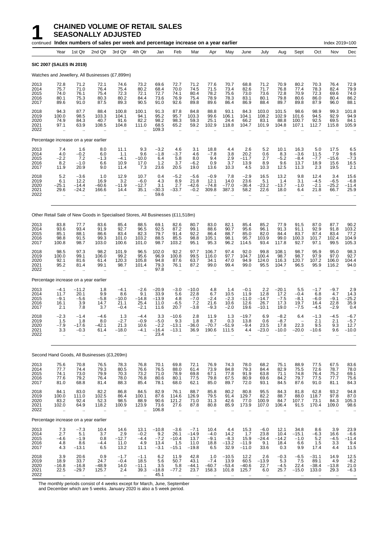## **1 CHAINED VOLUME OF RETAIL SALES**<br>**1 SEASONALLY ADJUSTED**<br>Fontinued Index numbers of sales per week and percentage inc **SEASONALLY ADJUSTED**

|                                      |                                                        |                                                            |                                               | continued Index numbers of sales per week and percentage increase on a year earlier |                                                        |                                            |                                                        |                                                         |                                                           |                                                  |                                                          |                                                       |                                                         |                                               |                                                             | Index 2019=100                                        |                                                  |
|--------------------------------------|--------------------------------------------------------|------------------------------------------------------------|-----------------------------------------------|-------------------------------------------------------------------------------------|--------------------------------------------------------|--------------------------------------------|--------------------------------------------------------|---------------------------------------------------------|-----------------------------------------------------------|--------------------------------------------------|----------------------------------------------------------|-------------------------------------------------------|---------------------------------------------------------|-----------------------------------------------|-------------------------------------------------------------|-------------------------------------------------------|--------------------------------------------------|
|                                      | Year                                                   | 1st Qtr                                                    | 2nd Qtr                                       | 3rd Qtr                                                                             | 4th Qtr                                                | Jan                                        | Feb                                                    | Mar                                                     | Apr                                                       | May                                              | June                                                     | July                                                  | Aug                                                     | Sept                                          | Oct                                                         | Nov                                                   | Dec                                              |
| <b>SIC 2007 (SALES IN 2019)</b>      |                                                        |                                                            |                                               |                                                                                     |                                                        |                                            |                                                        |                                                         |                                                           |                                                  |                                                          |                                                       |                                                         |                                               |                                                             |                                                       |                                                  |
|                                      |                                                        |                                                            |                                               | Watches and Jewellery, All Businesses (£7,899m)                                     |                                                        |                                            |                                                        |                                                         |                                                           |                                                  |                                                          |                                                       |                                                         |                                               |                                                             |                                                       |                                                  |
| 2013<br>2014<br>2015<br>2016<br>2017 | 72.8<br>75.7<br>74.0<br>80.1<br>89.6                   | 71.2<br>71.0<br>76.1<br>75.3<br>91.0                       | 72.1<br>76.4<br>75.4<br>80.3<br>87.5          | 74.6<br>75.4<br>72.3<br>80.2<br>89.3                                                | 73.2<br>80.2<br>72.1<br>84.4<br>90.5                   | 69.6<br>68.4<br>72.7<br>73.6<br>91.0       | 72.7<br>70.0<br>74.1<br>76.9<br>92.6                   | 71.2<br>74.5<br>80.4<br>75.4<br>89.8                    | 77.6<br>71.5<br>78.2<br>78.9<br>89.6                      | 70.7<br>73.4<br>75.6<br>78.3<br>86.4             | 68.8<br>82.6<br>73.0<br>83.1<br>86.9                     | 71.2<br>71.7<br>73.6<br>80.1<br>88.4                  | 70.9<br>76.8<br>72.8<br>79.8<br>89.7                    | 80.2<br>77.4<br>70.9<br>80.6<br>89.8          | 70.3<br>78.3<br>72.3<br>86.0<br>87.9                        | 76.4<br>82.4<br>69.6<br>80.4<br>96.0                  | 72.9<br>79.9<br>74.0<br>86.2<br>88.1             |
| 2018<br>2019<br>2020<br>2021<br>2022 | 94.3<br>100.0<br>74.9<br>97.1                          | 87.7<br>98.5<br>84.3<br>63.9                               | 88.4<br>103.3<br>40.7<br>108.5                | 100.8<br>104.1<br>91.6<br>104.8                                                     | 100.1<br>94.1<br>82.2<br>111.0                         | 91.3<br>95.2<br>98.2<br>68.5<br>109.3      | 87.8<br>95.7<br>98.3<br>65.2<br>$\ddotsc$              | 84.8<br>103.3<br>59.3<br>59.2                           | 88.8<br>99.6<br>25.1<br>102.9                             | 93.1<br>106.1<br>24.4<br>118.8                   | 84.3<br>104.1<br>66.2<br>104.7                           | 103.0<br>108.2<br>83.1<br>101.9                       | 101.5<br>102.9<br>88.8<br>104.8                         | 98.6<br>101.6<br>100.7<br>107.1               | 98.9<br>94.5<br>92.5<br>112.7                               | 99.3<br>92.9<br>69.5<br>115.8                         | 101.8<br>94.9<br>84.1<br>105.9                   |
|                                      |                                                        | Percentage increase on a year earlier                      |                                               |                                                                                     |                                                        |                                            |                                                        |                                                         |                                                           |                                                  |                                                          |                                                       |                                                         |                                               |                                                             |                                                       |                                                  |
| 2013<br>2014<br>2015<br>2016<br>2017 | 7.4<br>4.0<br>$-2.2$<br>8.2<br>11.9                    | 1.6<br>$-0.2$<br>7.2<br>$-1.0$<br>20.9                     | 8.0<br>6.0<br>$-1.3$<br>6.6<br>9.0            | 11.1<br>1.1<br>$-4.1$<br>10.9<br>11.4                                               | 9.3<br>9.6<br>$-10.0$<br>17.0<br>7.3                   | $-3.2$<br>$-1.8$<br>6.4<br>$1.2$<br>23.6   | 4.6<br>$-3.7$<br>5.8<br>3.7<br>20.5                    | 3.1<br>4.6<br>8.0<br>$-6.2$<br>19.0                     | 18.8<br>$-7.8$<br>9.4<br>0.9<br>13.6                      | 4.4<br>3.8<br>2.9<br>3.7<br>10.3                 | 2.6<br>20.2<br>$-11.7$<br>13.9<br>4.5                    | 5.2<br>0.6<br>2.7<br>8.9<br>10.3                      | 10.1<br>8.3<br>$-5.2$<br>9.6<br>12.5                    | 16.3<br>$-3.6$<br>$-8.4$<br>13.7<br>11.3      | 5.0<br>11.5<br>$-7.7$<br>18.9<br>2.3                        | 17.5<br>7.9<br>$-15.6$<br>15.6<br>19.5                | 6.5<br>$\frac{9.6}{-7.3}$<br>16.5<br>2.1         |
| 2018<br>2019<br>2020<br>2021<br>2022 | 5.2<br>6.1<br>$-25.1$<br>29.6<br>$\ddotsc$             | $-3.6$<br>12.2<br>$-14.4$<br>$-24.2$<br>$\ddotsc$          | 1.0<br>16.9<br>$-60.6$<br>166.6<br>ä.         | 12.9<br>3.2<br>$-11.9$<br>14.4<br>$\ddot{\phantom{a}}$                              | 10.7<br>$-6.0$<br>$-12.7$<br>35.1                      | 0.4<br>4.3<br>3.1<br>$-30.3$<br>59.6       | $-5.2$<br>8.9<br>2.7<br>$-33.7$                        | $-5.6$<br>21.8<br>$-42.6$<br>$-0.2$                     | $-0.9$<br>12.1<br>$-74.8$<br>309.8                        | 7.8<br>14.0<br>$-77.0$<br>387.3                  | $-2.9$<br>23.6<br>$-36.4$<br>58.2<br>$\ddotsc$           | 16.5<br>5.1<br>$-23.2$<br>22.6<br>$\ddotsc$           | 13.2<br>1.4<br>$-13.7$<br>18.0<br>$\ddotsc$             | 9.8<br>3.1<br>$-1.0$<br>6.4<br>$\ddotsc$      | 12.4<br>$-4.5$<br>$-2.1$<br>21.8                            | 3.4<br>$-6.5$<br>$-25.2$<br>66.7<br>$\ddotsc$         | 15.6<br>$-6.8$<br>$-11.4$<br>25.9                |
|                                      |                                                        |                                                            |                                               | Other Retail Sale of New Goods in Specialised Stores, All Businesses (£11,518m)     |                                                        |                                            |                                                        |                                                         |                                                           |                                                  |                                                          |                                                       |                                                         |                                               |                                                             |                                                       |                                                  |
| 2013<br>2014<br>2015<br>2016<br>2017 | 83.8<br>93.6<br>85.1<br>98.8<br>100.8                  | 77.7<br>93.4<br>88.1<br>91.5<br>98.7                       | 83.6<br>91.9<br>86.6<br>99.3<br>103.0         | 85.4<br>92.7<br>83.4<br>101.0<br>100.6                                              | 88.5<br>96.5<br>82.3<br>103.2<br>101.0                 | 69.1<br>92.5<br>79.7<br>88.5<br>98.7       | 82.6<br>87.2<br>91.4<br>85.5<br>103.2                  | 80.7<br>99.1<br>92.2<br>98.8<br>95.1                    | 83.0<br>88.6<br>86.4<br>105.1<br>95.3                     | 82.1<br>90.7<br>88.7<br>98.1<br>96.2             | 85.4<br>95.6<br>85.0<br>95.7<br>114.5                    | 85.2<br>96.1<br>82.0<br>103.9<br>93.4                 | 77.9<br>91.3<br>84.4<br>99.0<br>117.8                   | 91.5<br>91.1<br>83.7<br>100.3<br>92.7         | 87.0<br>92.9<br>87.4<br>101.7<br>97.1                       | 87.7<br>91.8<br>83.4<br>102.4<br>99.5                 | 90.2<br>103.2<br>77.2<br>104.9<br>105.3          |
| 2018<br>2019<br>2020<br>2021<br>2022 | 98.5<br>100.0<br>92.1<br>95.2<br>$\bar{\mathbf{r}}$    | 97.3<br>99.1<br>81.6<br>81.4<br>$\ddotsc$                  | 98.2<br>106.0<br>61.4<br>99.1                 | 101.9<br>99.2<br>120.3<br>98.7<br>$\ddotsc$                                         | 96.5<br>95.6<br>105.8<br>101.4<br>$\ddot{\phantom{a}}$ | 102.0<br>96.9<br>94.8<br>79.3<br>97.8      | 92.2<br>100.8<br>87.6<br>76.1<br>$\sim$                | 97.7<br>99.5<br>63.7<br>87.2<br>$\ddotsc$               | 106.7<br>116.0<br>34.1<br>99.0<br>$\ddot{\phantom{1}}$    | 97.4<br>97.7<br>47.0<br>99.4<br>$\ddotsc$        | 92.0<br>104.7<br>94.9<br>99.0                            | 99.8<br>100.4<br>124.0<br>95.5                        | 108.1<br>98.7<br>116.3<br>104.7                         | 98.7<br>98.7<br>120.7<br>96.5                 | 95.9<br>97.9<br>107.2<br>95.9                               | 95.0<br>97.0<br>106.0<br>116.2<br>$\ddotsc$           | 98.3<br>92.7<br>104.4<br>94.0                    |
|                                      |                                                        | Percentage increase on a year earlier                      |                                               |                                                                                     |                                                        |                                            |                                                        |                                                         |                                                           |                                                  |                                                          |                                                       |                                                         |                                               |                                                             |                                                       |                                                  |
| 2013<br>2014<br>2015<br>2016<br>2017 | $-4.1$<br>11.7<br>$-9.1$<br>16.1<br>2.1                | $-11.2$<br>20.1<br>$-5.6$<br>3.9<br>7.8                    | 1.8<br>9.9<br>$-5.8$<br>14.7<br>3.7           | $-4.1$<br>8.6<br>$-10.0$<br>21.1<br>$-0.4$                                          | $-2.6$<br>9.1<br>$-14.8$<br>25.4<br>$-2.1$             | $-20.9$<br>33.9<br>$-13.9$<br>11.0<br>11.6 | $-3.0$<br>5.6<br>4.8<br>$-6.5$<br>20.7                 | $-10.0$<br>22.8<br>$-7.0$<br>7.2<br>$-3.8$              | 4.8<br>6.7<br>$-2.4$<br>21.6<br>$-9.3$                    | 1.4<br>10.5<br>$-2.3$<br>10.6<br>$-2.0$          | $-0.1$<br>11.9<br>$-11.0$<br>12.6<br>19.6                | 2.2<br>12.8<br>$-14.7$<br>26.7<br>$-10.1$             | $-20.1$<br>17.2<br>$-7.5$<br>17.3<br>19.0               | 5.5<br>$-0.4$<br>$-8.1$<br>19.7<br>$-7.5$     | $-1.7$<br>6.8<br>$-6.0$<br>16.4<br>$-4.5$                   | $-9.7$<br>4.7<br>$-9.1$<br>22.8<br>$-2.9$             | $\frac{2.9}{14.3}$<br>$-25.2$<br>35.9<br>0.4     |
| 2018<br>2019<br>2020<br>2021<br>2022 | $-2.3$<br>1.5<br>$-7.9$<br>3.3<br>ä,                   | $-1.4$<br>1.8<br>$-17.6$<br>$-0.3$                         | $-4.6$<br>8.0<br>$-42.1$<br>61.4              | 1.3<br>$-2.7$<br>21.3<br>$-18.0$                                                    | $-4.4$<br>$-0.9$<br>10.6<br>-4.1                       | 3.3<br>$-5.0$<br>$-2.2$<br>$-16.4$<br>23.4 | $-10.6$<br>93<br>$-13.1$<br>$-13.1$                    | 2.8<br>1.8<br>$-36.0$<br>36.9                           | 11.9<br>8.7<br>$-70.7$<br>190.6                           | 1.3<br>0.3<br>$-51.9$<br>111.5                   | $-19.7$<br>13.8<br>$-9.4$<br>4.4                         | 6.9<br>0.6<br>23.5<br>$-23.0$                         | $-8.2$<br>$-8.7$<br>17.8<br>$-10.0$                     | 6.4<br>22.3<br>$-20.0$                        | $-1.3$<br>2.1<br>9.5<br>$-10.6$                             | $-4.5$<br>2.1<br>9.3<br>9.6                           | $-6.7$<br>$-5.7$<br>12.7<br>$-10.0$              |
|                                      |                                                        |                                                            | Second Hand Goods, All Businesses (£3,269m)   |                                                                                     |                                                        |                                            |                                                        |                                                         |                                                           |                                                  |                                                          |                                                       |                                                         |                                               |                                                             |                                                       |                                                  |
| 2013<br>2014<br>2015<br>2016<br>2017 | 75.6<br>77.7<br>74.1<br>77.6<br>81.0                   | 70.8<br>74.4<br>73.0<br>79.2<br>68.8                       | 76.5<br>79.3<br>79.9<br>76.4<br>81.4          | 78.3<br>80.5<br>70.3<br>78.0<br>88.3                                                | 76.8<br>76.6<br>73.2<br>76.8<br>85.4                   | 70.1<br>76.5<br>71.0<br>80.6<br>78.1       | 69.8<br>88.0<br>78.9<br>80.1<br>68.0                   | 72.1<br>61.4<br>69.8<br>77.5<br>62.1                    | 76.9<br>73.9<br>67.1<br>79.8<br>85.0                      | 74.3<br>84.8<br>77.8<br>67.5<br>89.7             | 78.0<br>79.3<br>91.9<br>80.9<br>72.0                     | 68.2<br>84.4<br>63.8<br>69.6<br>93.1                  | 75.1<br>82.9<br>71.1<br>84.2<br>84.5                    | 88.9<br>75.5<br>74.8<br>79.7<br>87.6          | 77.5<br>72.6<br>76.4<br>77.5<br>91.0                        | 67.5<br>78.7<br>75.2<br>77.7<br>81.1                  | 83.6<br>78.0<br>69.1<br>75.6<br>84.3             |
| 2018<br>2019<br>2020<br>2021<br>2022 | 84.1<br>100.0<br>83.2<br>102.0<br>$\ddotsc$            | 83.0<br>111.0<br>92.4<br>64.9<br>$\ddotsc$                 | $82.2$<br>102.5<br>52.3<br>118.2<br>$\cdot$ . | 86.8<br>86.4<br>98.5<br>100.9<br>$\ldots$                                           | 84.5<br>100.1<br>88.9<br>123.9<br>$\ddot{\phantom{a}}$ | 82.9<br>87.6<br>90.6<br>73.6<br>106.8      | 76.1<br>114.6<br>121.2<br>27.6<br>$\ddot{\phantom{a}}$ | 88.7<br>126.9<br>71.0<br>87.8<br>$\ddot{\phantom{a}}$   | 85.8<br>79.5<br>31.3<br>80.8<br>$\ddot{\phantom{a}}$      | 80.2<br>91.4<br>42.6<br>85.9                     | 80.8<br>129.7<br>77.0<br>173.9                           | 95.5<br>82.2<br>100.9<br>107.0                        | 84.3<br>88.7<br>84.7<br>106.4                           | 81.8<br>88.0<br>107.7<br>91.5                 | 62.8<br>118.7<br>73.1<br>170.4                              | 93.2<br>97.8<br>84.3<br>109.0                         | 94.8<br>87.0<br>105.3<br>98.6                    |
|                                      |                                                        | Percentage increase on a year earlier                      |                                               |                                                                                     |                                                        |                                            |                                                        |                                                         |                                                           |                                                  |                                                          |                                                       |                                                         |                                               |                                                             |                                                       |                                                  |
| 2013<br>2014<br>2015<br>2016<br>2017 | 7.3<br>2.7<br>$-4.6$<br>4.8<br>4.3                     | $-7.3$<br>5.1<br>$-1.9$<br>8.6<br>$-13.1$                  | 10.4<br>3.7<br>0.8<br>$-4.4$<br>6.5           | 14.6<br>2.9<br>$-12.\overline{7}$<br>11.0<br>13.2                                   | 13.1<br>$-0.2$<br>$-4.4$<br>4.9<br>11.1                | $-10.8$<br>9.2<br>$-7.2$<br>13.4<br>$-3.1$ | $-3.6$<br>26.1<br>$-10.4$<br>1.5<br>$-15.1$            | $-7.1$<br>$-14.9$<br>13.7<br>11.0<br>$-19.8$            | 10.4<br>$-4.0$<br>$-9.1$<br>18.8<br>6.5                   | 4.4<br>14.2<br>$-8.3$<br>$-13.2$<br>32.9         | 15.3<br>1.7<br>15.9<br>$-11.9$<br>$-11.0$                | $-6.0$<br>23.8<br>$-24.4$<br>9.1<br>33.6              | 12.1<br>10.4<br>$-14.2$<br>18.4<br>0.3                  | 34.8<br>$-15.1$<br>$-1.0$<br>6.6<br>9.9       | 8.6<br>$-6.3$<br>5.2<br>1.5<br>17.4                         | 3.9<br>16.6<br>$-4.5$<br>3.3<br>4.4                   | 23.9<br>$-6.6$<br>$-11.4$<br>9.4<br>11.5         |
| 2018<br>2019<br>2020<br>2021<br>2022 | 3.9<br>18.9<br>$-16.8$<br>22.5<br>$\ddot{\phantom{1}}$ | 20.6<br>33.7<br>$-16.8$<br>$-29.7$<br>$\ddot{\phantom{1}}$ | 0.9<br>24.7<br>$-48.9$<br>125.7<br>$\alpha$   | $-1.7$<br>$-0.4$<br>14.0<br>2.4<br>$\ddot{\phantom{1}}$                             | $-1.1$<br>18.5<br>$-11.1$<br>39.3<br>$\ddotsc$         | 6.2<br>5.6<br>3.5<br>$-18.8$<br>45.1       | 11.9<br>50.7<br>5.8<br>$-77.2$<br>$\ddot{\phantom{1}}$ | 42.8<br>43.1<br>$-44.1$<br>23.7<br>$\ddot{\phantom{a}}$ | 1.0<br>$-7.4$<br>$-60.7$<br>158.3<br>$\ddot{\phantom{a}}$ | $-10.5$<br>13.9<br>$-53.4$<br>101.8<br>$\ddotsc$ | 12.2<br>60.5<br>$-40.6$<br>125.7<br>$\ddot{\phantom{1}}$ | 2.6<br>$-13.9$<br>22.7<br>6.0<br>$\ddot{\phantom{1}}$ | $-0.3$<br>5.3<br>$-4.5$<br>25.7<br>$\ddot{\phantom{a}}$ | $-6.5$<br>7.5<br>22.4<br>$-15.0$<br>$\ddotsc$ | $-31.1$<br>89.1<br>$-38.4$<br>133.0<br>$\ddot{\phantom{1}}$ | 14.9<br>4.9<br>$-13.8$<br>29.3<br>$\bar{\phantom{a}}$ | 12.5<br>${}^{-8.2}_{21.0}$<br>$-6.3$<br>$\alpha$ |

The monthly periods consist of 4 weeks except for March, June, September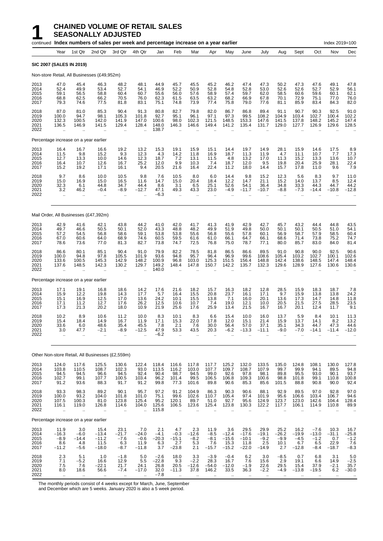## **1 CHAINED VOLUME OF RETAIL SALES**<br>**1 SEASONALLY ADJUSTED**<br>Fontinued Index numbers of sales per week and percentage inc **SEASONALLY ADJUSTED**

|                                      |                                                       |                                                        | continued Index numbers of sales per week and percentage increase on a year earlier |                                            |                                                         |                                             |                                            |                                                    |                                            |                                              |                                               |                                             |                                          |                                             |                                              | Index 2019=100                                          |                                                                         |
|--------------------------------------|-------------------------------------------------------|--------------------------------------------------------|-------------------------------------------------------------------------------------|--------------------------------------------|---------------------------------------------------------|---------------------------------------------|--------------------------------------------|----------------------------------------------------|--------------------------------------------|----------------------------------------------|-----------------------------------------------|---------------------------------------------|------------------------------------------|---------------------------------------------|----------------------------------------------|---------------------------------------------------------|-------------------------------------------------------------------------|
|                                      | Year                                                  | 1st Qtr                                                | 2nd Qtr                                                                             | 3rd Qtr                                    | 4th Qtr                                                 | Jan                                         | Feb                                        | Mar                                                | Apr                                        | May                                          | June                                          | July                                        | Aug                                      | Sept                                        | Oct                                          | Nov                                                     | Dec                                                                     |
|                                      |                                                       | <b>SIC 2007 (SALES IN 2019)</b>                        |                                                                                     |                                            |                                                         |                                             |                                            |                                                    |                                            |                                              |                                               |                                             |                                          |                                             |                                              |                                                         |                                                                         |
|                                      |                                                       |                                                        | Non-store Retail, All Businesses (£49,952m)                                         |                                            |                                                         |                                             |                                            |                                                    |                                            |                                              |                                               |                                             |                                          |                                             |                                              |                                                         |                                                                         |
| 2013<br>2014<br>2015<br>2016<br>2017 | 47.0<br>52.4<br>59.1<br>68.8<br>79.3                  | 45.4<br>49.9<br>56.5<br>62.5<br>74.6                   | 46.3<br>53.4<br>58.8<br>66.2<br>77.5                                                | 48.2<br>52.7<br>60.4<br>70.5<br>81.8       | 48.1<br>54.1<br>60.7<br>76.0<br>83.1                    | 44.9<br>46.9<br>55.6<br>62.3<br>75.1        | 45.7<br>52.2<br>56.0<br>61.5<br>74.8       | 45.5<br>50.9<br>57.6<br>63.5<br>73.9               | 45.2<br>52.8<br>58.9<br>63.2<br>77.4       | 46.2<br>54.8<br>57.4<br>68.2<br>75.8         | 47.4<br>52.8<br>59.7<br>66.9<br>79.0          | 47.3<br>53.0<br>62.0<br>67.8<br>77.6        | 50.2<br>52.6<br>58.5<br>70.1<br>81.1     | 47.3<br>52.6<br>60.6<br>72.9<br>85.9        | 47.6<br>52.7<br>59.6<br>75.1<br>83.4         | 49.1<br>52.9<br>60.1<br>77.0<br>84.3                    | 47.8<br>56.1<br>62.1<br>76.0<br>82.0                                    |
| 2018<br>2019<br>2020<br>2021<br>2022 | 87.0<br>100.0<br>132.3<br>136.5                       | 81.0<br>94.7<br>100.5<br>146.9                         | 85.3<br>98.1<br>142.0<br>141.5                                                      | 90.4<br>105.3<br>141.9<br>129.4            | 91.3<br>101.8<br>147.0<br>128.4                         | 80.8<br>92.7<br>100.6<br>148.0<br>138.7     | 82.7<br>95.1<br>98.0<br>146.3              | 79.8<br>96.1<br>102.3<br>146.6                     | 82.0<br>97.1<br>121.5<br>149.4             | 86.7<br>97.3<br>148.5<br>141.2               | 86.8<br>99.5<br>153.3<br>135.4                | 89.4<br>108.2<br>147.6<br>131.7             | 91.1<br>104.9<br>141.5<br>129.0          | 90.7<br>103.4<br>137.8<br>127.7             | 90.3<br>102.7<br>148.2<br>126.9              | 92.5<br>100.4<br>145.2<br>129.6                         | 91.0<br>102.2<br>147.4<br>128.5                                         |
|                                      |                                                       | Percentage increase on a year earlier                  |                                                                                     |                                            |                                                         |                                             |                                            |                                                    |                                            |                                              |                                               |                                             |                                          |                                             |                                              |                                                         |                                                                         |
| 2013<br>2014<br>2015<br>2016<br>2017 | 16.4<br>11.5<br>12.7<br>16.4<br>15.2                  | 16.7<br>9.8<br>13.3<br>10.7<br>19.2                    | 16.6<br>15.2<br>10.0<br>12.6<br>17.1                                                | 19.2<br>9.3<br>14.6<br>16.7<br>16.1        | 13.2<br>12.3<br>12.3<br>25.2<br>9.4                     | 15.3<br>4.3<br>18.7<br>12.0<br>20.5         | 19.1<br>14.2<br>7.2<br>9.9<br>21.6         | 15.9<br>11.8<br>13.1<br>10.3<br>16.4               | 15.1<br>16.9<br>11.5<br>7.4<br>22.4        | 14.4<br>18.7<br>4.8<br>18.7<br>11.2          | 19.7<br>11.3<br>13.2<br>12.0<br>18.0          | 14.9<br>11.9<br>17.0<br>9.5<br>14.4         | 28.1<br>4.7<br>11.3<br>19.8<br>15.7      | 15.9<br>11.1<br>15.2<br>20.4<br>17.8        | 14.6<br>10.7<br>13.3<br>25.9<br>11.0         | 17.5<br>7.7<br>13.6<br>28.1<br>9.6                      | 8.9<br>17.3<br>10.7<br>22.4<br>7.9                                      |
| 2018<br>2019<br>2020<br>2021<br>2022 | 9.7<br>15.0<br>32.3<br>3.2<br>ä.                      | 8.6<br>16.9<br>6.1<br>46.2<br>$\mathbf{r}$             | 10.0<br>15.0<br>44.8<br>$-0.4$<br>ä.                                                | 10.5<br>16.5<br>34.7<br>$-8.9$<br>$\ldots$ | 9.8<br>11.6<br>44.4<br>$-12.7$                          | 7.6<br>14.7<br>8.6<br>47.1<br>$-6.3$        | 10.5<br>15.0<br>3.1<br>49.3<br>$\ddotsc$   | 8.0<br>20.4<br>6.5<br>43.3<br>$\ddot{\phantom{a}}$ | 6.0<br>18.4<br>25.1<br>23.0                | 14.4<br>12.2<br>52.6<br>$-4.9$               | 9.8<br>14.7<br>54.1<br>$-11.7$                | 15.2<br>21.1<br>36.4<br>$-10.7$             | 12.3<br>15.2<br>34.8<br>$-8.8$           | 5.6<br>14.0<br>33.3<br>$-7.3$               | 8.3<br>13.7<br>44.3<br>$-14.4$               | 9.7<br>8.5<br>44.7<br>$-10.8$                           | 11.0<br>12.4<br>44.2<br>$-12.8$                                         |
|                                      |                                                       |                                                        | Mail Order, All Businesses (£47,392m)                                               |                                            |                                                         |                                             |                                            |                                                    |                                            |                                              |                                               |                                             |                                          |                                             |                                              |                                                         |                                                                         |
| 2013<br>2014<br>2015<br>2016<br>2017 | 42.9<br>49.7<br>57.2<br>67.0<br>78.6                  | 41.6<br>46.6<br>54.5<br>60.6<br>73.6                   | 42.1<br>50.5<br>56.8<br>64.0<br>77.0                                                | 43.8<br>50.1<br>58.6<br>68.9<br>81.3       | 44.2<br>52.0<br>59.1<br>74.6<br>82.7                    | 41.0<br>43.3<br>53.8<br>60.5<br>73.8        | 42.0<br>48.8<br>53.8<br>59.5<br>74.7       | 41.7<br>48.2<br>55.6<br>61.6<br>72.5               | 41.3<br>49.9<br>56.8<br>61.0<br>76.8       | 41.9<br>51.9<br>55.6<br>66.1<br>75.0         | 42.9<br>49.8<br>57.8<br>64.7<br>78.7          | 42.7<br>50.0<br>60.1<br>66.1<br>77.1        | 45.7<br>50.1<br>56.9<br>68.6<br>80.0     | 43.2<br>50.1<br>58.7<br>71.4<br>85.7        | 44.4<br>50.5<br>57.9<br>73.8<br>83.0         | 44.8<br>51.0<br>58.5<br>75.2<br>84.0                    | 43.5<br>54.1<br>60.4<br>74.7<br>81.4                                    |
| 2018<br>2019<br>2020<br>2021<br>2022 | 86.6<br>100.0<br>133.6<br>137.6                       | 80.1<br>94.8<br>100.5<br>148.5<br>ä.                   | 85.1<br>97.8<br>145.3<br>142.3                                                      | 90.4<br>105.5<br>142.9<br>130.2<br>ä.      | 91.0<br>101.9<br>148.2<br>129.7                         | 79.9<br>93.6<br>100.9<br>149.2<br>140.0     | 82.2<br>94.8<br>96.8<br>148.4              | 78.5<br>95.7<br>103.0<br>147.8                     | 81.8<br>96.4<br>125.3<br>150.7             | 86.5<br>96.9<br>151.5<br>142.2               | 86.6<br>99.6<br>156.4<br>135.7                | 89.5<br>108.6<br>148.8<br>132.3             | 91.0<br>105.4<br>142.4<br>129.6          | 90.8<br>103.2<br>138.6<br>128.9             | 90.0<br>102.7<br>148.5<br>127.6              | 92.5<br>100.1<br>147.4<br>130.6                         | 90.6<br>102.6<br>148.4<br>130.6                                         |
|                                      |                                                       | Percentage increase on a year earlier                  |                                                                                     |                                            |                                                         |                                             |                                            |                                                    |                                            |                                              |                                               |                                             |                                          |                                             |                                              |                                                         |                                                                         |
| 2013<br>2014<br>2015<br>2016<br>2017 | 17.1<br>15.9<br>15.1<br>17.1<br>17.3                  | 19.1<br>12.2<br>16.9<br>11.2<br>21.3                   | 16.8<br>19.8<br>12.5<br>12.7<br>20.2                                                | 18.6<br>14.3<br>17.0<br>17.6<br>18.0       | 14.2<br>17.7<br>13.6<br>26.2<br>10.9                    | 17.6<br>5.7<br>24.2<br>12.5<br>21.9         | 21.6<br>16.4<br>10.1<br>10.6<br>25.6       | 18.2<br>15.5<br>15.5<br>10.7<br>17.6               | 15.7<br>20.8<br>13.8<br>7.4<br>25.9        | 16.3<br>23.7<br>7.1<br>19.0<br>13.4          | 18.2<br>16.1<br>16.0<br>12.1<br>21.5          | 12.8<br>17.1<br>20.1<br>10.0<br>16.7        | 28.5<br>9.7<br>13.6<br>20.5<br>16.7      | 15.9<br>15.9<br>17.3<br>21.5<br>20.1        | 18.3<br>13.8<br>14.7<br>27.5<br>12.4         | 18.7<br>13.8<br>14.8<br>28.5<br>11.7                    | $7.8$<br>24.2<br>11.8<br>23.5<br>9.1                                    |
| 2018<br>2019<br>2020<br>2021<br>2022 | 10.2<br>15.4<br>33.6<br>3.0<br>$\ddot{\phantom{a}}$   | 8.9<br>18.4<br>6.0<br>47.7<br>$\ddot{\phantom{1}}$     | 10.6<br>14.9<br>48.6<br>$-2.1$                                                      | 11.2<br>16.7<br>35.4<br>$-8.9$             | 10.0<br>11.9<br>45.5<br>$-12.5$                         | 8.3<br>17.1<br>7.8<br>47.9<br>$-6.2$        | 10.1<br>15.3<br>2.1<br>53.3                | 8.3<br>22.0<br>7.6<br>43.5                         | 6.6<br>17.8<br>30.0<br>20.3                | 15.4<br>12.0<br>56.4<br>$-6.2$               | 10.0<br>15.1<br>57.0<br>$-13.3$               | 16.0<br>21.4<br>37.1<br>$-11.1$             | 13.7<br>15.9<br>35.1<br>$-9.0$           | 5.9<br>13.7<br>34.3<br>$-7.0$               | 8.4<br>14.1<br>44.7<br>$-14.1$               | 10.1<br>8.2<br>47.3<br>$-11.4$                          | 11.3<br>13.2<br>44.6<br>$-12.0$                                         |
|                                      |                                                       |                                                        | Other Non-store Retail, All Businesses (£2,559m)                                    |                                            |                                                         |                                             |                                            |                                                    |                                            |                                              |                                               |                                             |                                          |                                             |                                              |                                                         |                                                                         |
| 2013<br>2014<br>2015<br>2016<br>2017 | 124.0<br>103.8<br>94.5<br>102.7<br>91.2               | 117.6<br>110.5<br>94.5<br>99.1<br>93.6                 | 125.5<br>108.7<br>96.6<br>107.7<br>88.3                                             | 130.6<br>102.3<br>94.5<br>100.5<br>91.7    | 122.4<br>93.0<br>92.4<br>103.4<br>91.2                  | 118.4<br>113.5<br>90.4<br>96.2<br>99.8      | 116.6<br>116.2<br>98.7<br>101.4<br>77.3    | 117.8<br>103.0<br>94.5<br>99.5<br>101.6            | 117.7<br>107.7<br>99.0<br>106.5<br>89.8    | 125.2<br>109.7<br>92.6<br>106.8<br>90.6      | 132.0<br>108.7<br>97.8<br>109.3<br>85.3       | 133.5<br>107.9<br>98.1<br>100.6<br>85.6     | 135.0<br>99.7<br>89.8<br>98.8<br>101.5   | 124.8<br>99.9<br>95.5<br>101.8<br>88.8      | 108.1<br>94.1<br>93.0<br>99.1<br>90.8        | 130.0<br>89.5<br>90.1<br>110.8<br>90.0                  | $127.8$<br>94.8<br>93.7<br>$\begin{array}{c} 100.8 \\ 92.4 \end{array}$ |
| 2018<br>2019<br>2020<br>2021<br>2022 | 93.3<br>100.0<br>107.5<br>116.1<br>$\bar{\mathbf{r}}$ | 98.3<br>93.2<br>100.3<br>119.0<br>$\ddot{\phantom{1}}$ | 89.2<br>104.0<br>81.0<br>126.8<br>$\ddot{\phantom{a}}$                              | 90.1<br>101.8<br>123.8<br>114.6<br>ä,      | 95.7<br>101.0<br>125.4<br>104.0<br>$\ddot{\phantom{a}}$ | 97.2<br>75.1<br>95.2<br>125.6<br>115.8      | 91.2<br>99.6<br>120.1<br>106.5             | 104.9<br>102.6<br>89.7<br>123.6                    | 86.3<br>110.7<br>51.0<br>125.4             | 90.3<br>105.4<br>92.7<br>123.8               | 90.6<br>97.4<br>95.6<br>130.3                 | 88.1<br>101.9<br>124.9<br>122.2             | 92.9<br>95.6<br>123.7<br>117.7           | 89.5<br>106.6<br>123.0<br>106.1             | 97.0<br>103.4<br>142.6<br>114.9              | 92.8<br>106.7<br>104.4<br>110.8<br>$\ddot{\phantom{a}}$ | 97.0<br>94.6<br>128.4<br>89.9<br>$\ddotsc$                              |
|                                      |                                                       | Percentage increase on a year earlier                  |                                                                                     |                                            |                                                         |                                             |                                            |                                                    |                                            |                                              |                                               |                                             |                                          |                                             |                                              |                                                         |                                                                         |
| 2013<br>2014<br>2015<br>2016<br>2017 | 11.9<br>$-16.3$<br>$-8.9$<br>8.6<br>$-11.2$           | 3.0<br>$-6.0$<br>$-14.4$<br>4.8<br>$-5.6$              | 15.4<br>$-13.4$<br>$-11.2$<br>11.5<br>$-18.0$                                       | 23.1<br>$-21.7$<br>$-7.6$<br>6.3<br>$-8.7$ | 7.0<br>$-24.0$<br>$-0.6$<br>11.9<br>$-11.8$             | 2.1<br>$-4.1$<br>$-20.3$<br>6.3<br>3.7      | 4.7<br>$-0.3$<br>$-15.1$<br>2.7<br>$-23.8$ | 2.3<br>$-12.6$<br>$-8.2$<br>5.3<br>2.1             | 11.9<br>$-8.5$<br>$-8.1$<br>7.6<br>$-15.7$ | 3.6<br>$-12.4$<br>$-15.6$<br>15.3<br>$-15.2$ | 29.5<br>$-17.6$<br>$-10.1$<br>11.8<br>$-22.0$ | 29.9<br>$-19.1$<br>$-9.2$<br>2.5<br>$-14.9$ | 25.2<br>$-26.2$<br>$-9.9$<br>10.1<br>2.7 | 16.2<br>$-19.9$<br>$-4.5$<br>6.7<br>$-12.8$ | $-7.6$<br>$-13.0$<br>$-1.2$<br>6.5<br>$-8.4$ | 10.3<br>$-31.1$<br>0.7<br>22.9<br>$-18.7$               | $-25.8$<br>$-1.2$<br>7.6<br>$-8.3$                                      |
| 2018<br>2019<br>2020<br>2021<br>2022 | 2.3<br>7.1<br>7.5<br>8.0<br>$\ddotsc$                 | 5.1<br>$-5.2$<br>7.6<br>18.6                           | 1.0<br>16.6<br>$-22.1$<br>56.6                                                      | $-1.8$<br>12.9<br>21.7<br>$-7.4$           | 5.0<br>5.5<br>24.1<br>$-17.0$                           | $-2.6$<br>$-22.8$<br>26.8<br>32.0<br>$-7.8$ | 18.0<br>9.3<br>20.5<br>$-11.3$             | 3.3<br>$-2.2$<br>$-12.6$<br>37.8                   | $-3.9$<br>28.3<br>$-54.0$<br>146.2         | $-0.4$<br>16.7<br>$-12.0$<br>33.5            | 6.2<br>7.6<br>$-1.9$<br>36.3                  | 3.0<br>15.6<br>22.6<br>$-2.2$<br>ä.         | $-8.5$<br>2.9<br>29.5<br>$-4.9$          | 0.7<br>19.1<br>15.4<br>$-13.8$              | 6.8<br>6.6<br>37.9<br>$-19.5$                | 3.1<br>14.9<br>$-2.1$<br>6.2<br>$\ldots$                | $5.0$<br>$-2.5$<br>$35.7$<br>$-30.0$<br>$\alpha$                        |

The monthly periods consist of 4 weeks except for March, June, September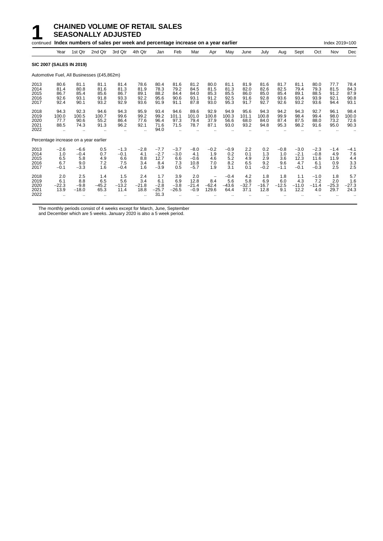### **1 CHAINED VOLUME OF RETAIL SALES**<br>**1** SEASONALLY ADJUSTED **SEASONALLY ADJUSTED**

|                                       |                                            |                                          | continued Index numbers of sales per week and percentage increase on a year earlier |                                          |                                      |                                           |                                       |                                           |                                              |                                      |                                      |                                      |                                       |                                           |                                           | Index 2019=100                       |                                      |
|---------------------------------------|--------------------------------------------|------------------------------------------|-------------------------------------------------------------------------------------|------------------------------------------|--------------------------------------|-------------------------------------------|---------------------------------------|-------------------------------------------|----------------------------------------------|--------------------------------------|--------------------------------------|--------------------------------------|---------------------------------------|-------------------------------------------|-------------------------------------------|--------------------------------------|--------------------------------------|
|                                       | Year                                       | 1st Qtr                                  | 2nd Qtr                                                                             | 3rd Qtr                                  | 4th Qtr                              | Jan                                       | Feb                                   | Mar                                       | Apr                                          | May                                  | June                                 | July                                 | Aug                                   | Sept                                      | Oct                                       | Nov                                  | Dec                                  |
| <b>SIC 2007 (SALES IN 2019)</b>       |                                            |                                          |                                                                                     |                                          |                                      |                                           |                                       |                                           |                                              |                                      |                                      |                                      |                                       |                                           |                                           |                                      |                                      |
|                                       |                                            |                                          | Automotive Fuel, All Businesses (£45,862m)                                          |                                          |                                      |                                           |                                       |                                           |                                              |                                      |                                      |                                      |                                       |                                           |                                           |                                      |                                      |
| 2013<br>2014<br>2015<br>2016<br>2017  | 80.6<br>81.4<br>86.7<br>92.6<br>92.4       | 81.1<br>80.8<br>85.4<br>93.1<br>90.1     | 81.1<br>81.6<br>85.6<br>91.8<br>93.2                                                | 81.4<br>81.3<br>86.7<br>93.3<br>92.9     | 78.6<br>81.9<br>89.1<br>92.2<br>93.6 | 80.4<br>78.3<br>88.2<br>95.6<br>91.9      | 81.6<br>79.2<br>84.4<br>90.6<br>91.1  | 81.2<br>84.5<br>84.0<br>93.1<br>87.8      | 80.0<br>81.5<br>85.3<br>91.2<br>93.0         | 81.1<br>81.3<br>85.5<br>92.5<br>95.3 | 81.9<br>82.0<br>86.0<br>91.6<br>91.7 | 81.6<br>82.6<br>85.0<br>92.8<br>92.7 | 81.7<br>82.5<br>85.4<br>93.6<br>92.6  | 81.1<br>79.4<br>89.1<br>93.4<br>93.2      | 80.0<br>79.3<br>88.5<br>93.9<br>93.6      | 77.7<br>81.5<br>91.2<br>92.1<br>94.4 | 78.4<br>84.3<br>87.9<br>90.8<br>93.1 |
| 2018<br>2019<br>2020<br>2021<br>2022  | 94.3<br>100.0<br>77.7<br>88.5              | 92.3<br>100.5<br>90.6<br>74.3            | 94.6<br>100.7<br>55.2<br>91.3                                                       | 94.3<br>99.6<br>86.4<br>96.2             | 95.9<br>99.2<br>77.6<br>92.1<br>     | 93.4<br>99.2<br>96.4<br>71.6<br>94.0      | 94.6<br>101.1<br>97.3<br>71.5         | 89.6<br>101.0<br>79.4<br>78.7             | 92.9<br>100.8<br>37.9<br>87.1                | 94.9<br>100.3<br>56.6<br>93.0        | 95.6<br>101.1<br>68.0<br>93.2        | 94.3<br>100.8<br>84.0<br>94.8        | 94.2<br>99.9<br>87.4<br>95.3          | 94.3<br>98.4<br>87.5<br>98.2              | 92.7<br>99.4<br>88.0<br>91.6              | 96.1<br>98.0<br>73.2<br>95.0         | 98.4<br>100.0<br>72.6<br>90.3        |
| Percentage increase on a year earlier |                                            |                                          |                                                                                     |                                          |                                      |                                           |                                       |                                           |                                              |                                      |                                      |                                      |                                       |                                           |                                           |                                      |                                      |
| 2013<br>2014<br>2015<br>2016<br>2017  | $-2.6$<br>1.0<br>6.5<br>6.7<br>$-0.1$      | $-6.6$<br>$-0.4$<br>5.8<br>9.0<br>$-3.3$ | 0.5<br>0.7<br>4.9<br>7.2<br>1.6                                                     | $-1.3$<br>$-0.1$<br>6.6<br>7.5<br>$-0.4$ | $-2.8$<br>4.1<br>8.8<br>3.4<br>1.6   | $-7.7$<br>$-2.7$<br>12.7<br>8.4<br>$-3.9$ | $-3.7$<br>$-3.0$<br>6.6<br>7.3<br>0.5 | $-8.0$<br>4.1<br>$-0.6$<br>10.8<br>$-5.7$ | $-0.2$<br>1.9<br>4.6<br>7.0<br>1.9           | $-0.9$<br>0.2<br>5.2<br>8.2<br>3.1   | 2.2<br>0.1<br>4.9<br>6.5<br>0.1      | 0.2<br>1.3<br>2.9<br>9.2<br>$-0.2$   | $-0.8$<br>1.0<br>3.6<br>9.6<br>$-1.1$ | $-3.0$<br>$-2.1$<br>12.3<br>4.7<br>$-0.1$ | $-2.3$<br>$-0.8$<br>11.6<br>6.1<br>$-0.3$ | $-1.4$<br>4.9<br>11.9<br>0.9<br>2.5  | $-4.1$<br>7.6<br>4.4<br>3.3<br>2.5   |
| 2018<br>2019<br>2020<br>2021<br>2022  | 2.0<br>6.1<br>$-22.3$<br>13.9<br>$\ddotsc$ | 2.5<br>8.8<br>$-9.8$<br>$-18.0$          | 1.4<br>6.5<br>$-45.2$<br>65.3                                                       | 1.5<br>5.6<br>$-13.2$<br>11.4            | 2.4<br>3.4<br>$-21.8$<br>18.8        | 1.7<br>6.1<br>$-2.8$<br>$-25.7$<br>31.3   | 3.9<br>6.9<br>$-3.8$<br>$-26.5$       | 2.0<br>12.8<br>$-21.4$<br>$-0.9$          | $\qquad \qquad -$<br>8.4<br>$-62.4$<br>129.6 | $-0.4$<br>5.6<br>$-43.6$<br>64.4     | 4.2<br>5.8<br>$-32.7$<br>37.1        | 1.8<br>6.9<br>$-16.7$<br>12.8        | 1.8<br>6.0<br>$-12.5$<br>9.1          | 1.1<br>4.3<br>$-11.0$<br>12.2             | $-1.0$<br>7.2<br>$-11.4$<br>4.0           | 1.8<br>2.0<br>$-25.3$<br>29.7        | 5.7<br>1.6<br>$-27.3$<br>24.3        |

The monthly periods consist of 4 weeks except for March, June, September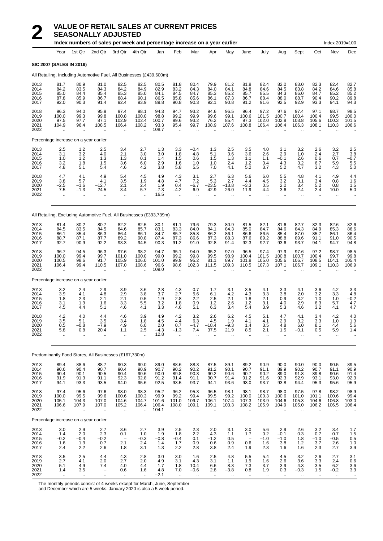|                                      |                                                     |                                                        | Index numbers of sales per week and percentage increase on a year earlier |                                                      |                                                  |                                         |                                                      |                                                        |                                             |                                                       |                                                      |                                          |                                                         |                                              |                                              | Index 2019=100                                          |                                             |
|--------------------------------------|-----------------------------------------------------|--------------------------------------------------------|---------------------------------------------------------------------------|------------------------------------------------------|--------------------------------------------------|-----------------------------------------|------------------------------------------------------|--------------------------------------------------------|---------------------------------------------|-------------------------------------------------------|------------------------------------------------------|------------------------------------------|---------------------------------------------------------|----------------------------------------------|----------------------------------------------|---------------------------------------------------------|---------------------------------------------|
|                                      | Year                                                | 1st Qtr                                                | 2nd Qtr                                                                   | 3rd Qtr                                              | 4th Qtr                                          | Jan                                     | Feb                                                  | Mar                                                    | Apr                                         | May                                                   | June                                                 | July                                     | Aug                                                     | Sept                                         | Oct                                          | Nov                                                     | Dec                                         |
|                                      | <b>SIC 2007 (SALES IN 2019)</b>                     |                                                        |                                                                           |                                                      |                                                  |                                         |                                                      |                                                        |                                             |                                                       |                                                      |                                          |                                                         |                                              |                                              |                                                         |                                             |
|                                      |                                                     |                                                        | All Retailing, Including Automotive Fuel, All Businesses (£439,600m)      |                                                      |                                                  |                                         |                                                      |                                                        |                                             |                                                       |                                                      |                                          |                                                         |                                              |                                              |                                                         |                                             |
| 2013<br>2014<br>2015<br>2016<br>2017 | 81.7<br>84.2<br>85.0<br>87.8<br>92.0                | 80.9<br>83.5<br>84.4<br>85.9<br>90.3                   | 81.0<br>84.3<br>85.4<br>86.7<br>91.4                                      | 82.5<br>84.2<br>85.3<br>88.4<br>92.4                 | 82.5<br>84.9<br>85.0<br>90.1<br>93.9             | 80.5<br>82.9<br>84.1<br>86.5<br>89.8    | 81.8<br>83.2<br>84.5<br>85.8<br>90.8                 | 80.4<br>84.3<br>84.7<br>85.6<br>90.3                   | 79.9<br>84.0<br>85.3<br>86.1<br>92.1        | 81.2<br>84.1<br>85.2<br>87.3<br>90.8                  | 81.8<br>84.8<br>85.7<br>86.7<br>91.2                 | 82.4<br>84.6<br>85.5<br>88.4<br>91.6     | 82.0<br>84.5<br>84.3<br>88.0<br>92.5                    | 83.0<br>83.8<br>86.0<br>88.7<br>92.9         | 82.3<br>84.2<br>84.7<br>90.4<br>93.3         | 82.4<br>84.6<br>85.2<br>90.2<br>94.1                    | 82.7<br>85.8<br>85.2<br>89.8<br>94.3        |
| 2018<br>2019<br>2020<br>2021<br>2022 | 96.3<br>100.0<br>97.5<br>104.9                      | 94.0<br>99.3<br>97.7<br>96.4                           | 95.9<br>99.8<br>87.1<br>108.5                                             | 97.4<br>100.8<br>102.9<br>106.4                      | 98.1<br>100.0<br>102.4<br>108.2                  | 94.3<br>98.8<br>100.7<br>93.3<br>108.7  | 94.7<br>99.2<br>99.6<br>95.4<br>$\ddot{\phantom{a}}$ | 93.2<br>99.9<br>93.2<br>99.7                           | 94.6<br>99.6<br>76.2<br>108.9               | 96.5<br>99.1<br>85.4<br>107.6                         | 96.4<br>100.6<br>97.3<br>108.8                       | 97.2<br>101.5<br>102.0<br>106.4          | 97.6<br>100.7<br>102.8<br>106.4                         | 97.4<br>100.4<br>103.8<br>106.3              | 97.1<br>100.4<br>105.6<br>108.1              | 98.7<br>99.5<br>100.3<br>110.3                          | 98.5<br>100.0<br>101.5<br>106.6             |
|                                      | Percentage increase on a year earlier               |                                                        |                                                                           |                                                      |                                                  |                                         |                                                      |                                                        |                                             |                                                       |                                                      |                                          |                                                         |                                              |                                              |                                                         |                                             |
| 2013<br>2014<br>2015<br>2016<br>2017 | 2.5<br>3.1<br>1.0<br>3.2<br>4.8                     | 1.2<br>3.2<br>1.2<br>1.8<br>5.1                        | 2.5<br>4.0<br>1.3<br>1.5<br>5.4                                           | 3.4<br>2.1<br>1.3<br>3.6<br>4.6                      | 2.7<br>3.0<br>0.1<br>6.0<br>4.2                  | 1.3<br>3.0<br>1.4<br>2.9<br>3.8         | 3.3<br>1.8<br>1.5<br>1.6<br>5.8                      | $-0.4$<br>4.8<br>0.6<br>1.0<br>5.5                     | 1.3<br>5.1<br>1.5<br>1.0<br>7.0             | 2.5<br>3.6<br>1.3<br>2.4<br>4.1                       | 3.5<br>3.6<br>1.1<br>1.2<br>5.2                      | 4.0<br>2.6<br>1.1<br>3.4<br>3.7          | 3.1<br>2.9<br>$-0.1$<br>4.3<br>5.2                      | 3.2<br>1.0<br>2.6<br>3.2<br>4.7              | 2.6<br>2.4<br>0.6<br>6.7<br>3.2              | 3.2<br>2.7<br>0.7<br>5.9<br>4.3                         | 2.5<br>3.8<br>$-0.7$<br>5.5<br>5.0          |
| 2018<br>2019<br>2020<br>2021<br>2022 | 4.7<br>3.8<br>$-2.5$<br>7.5<br>$\ddot{\phantom{a}}$ | 4.1<br>5.7<br>$-1.6$<br>$-1.3$<br>$\ddot{\phantom{a}}$ | 4.9<br>4.1<br>$-12.7$<br>24.5                                             | 5.4<br>3.5<br>2.1<br>3.4<br>$\ddot{\phantom{a}}$     | 4.5<br>1.9<br>2.4<br>5.7                         | 4.9<br>4.8<br>1.9<br>$-7.3$<br>16.5     | 43<br>4.7<br>0.4<br>$-4.2$<br>$\sim$                 | 3.1<br>7.2<br>$-6.7$<br>6.9<br>$\ddot{\phantom{a}}$    | 2.7<br>5.3<br>$-23.5$<br>42.9               | 6.3<br>2.7<br>$-13.8$<br>26.0<br>$\ddot{\phantom{a}}$ | 5.6<br>4.4<br>$-3.3$<br>11.9<br>ä.                   | 6.0<br>4.5<br>0.5<br>4.4<br>$\mathbf{r}$ | 5.5<br>3.2<br>2.0<br>3.6<br>$\ddot{\phantom{a}}$        | 4.8<br>3.1<br>3.4<br>2.4<br>ä.               | 4.1<br>3.4<br>5.2<br>2.4<br>à.               | 4.9<br>0.8<br>0.8<br>10.0<br>$\ddot{\phantom{a}}$       | 4.4<br>1.6<br>1.5<br>5.0                    |
|                                      |                                                     |                                                        | All Retailing, Excluding Automotive Fuel, All Businesses (£393,739m)      |                                                      |                                                  |                                         |                                                      |                                                        |                                             |                                                       |                                                      |                                          |                                                         |                                              |                                              |                                                         |                                             |
| 2013<br>2014<br>2015<br>2016<br>2017 | 81.4<br>84.5<br>86.1<br>88.7<br>92.7                | 80.2<br>83.5<br>85.4<br>87.1<br>90.9                   | 80.7<br>84.5<br>86.3<br>87.7<br>92.2                                      | 82.2<br>84.6<br>86.4<br>89.2<br>93.3                 | 82.5<br>85.7<br>86.1<br>90.8<br>94.5             | 80.1<br>83.1<br>84.7<br>87.4<br>90.3    | 81.1<br>83.3<br>85.7<br>87.3<br>91.2                 | 79.6<br>84.0<br>85.8<br>86.6<br>91.0                   | 79.3<br>84.1<br>86.2<br>87.3<br>92.8        | 80.9<br>84.3<br>86.1<br>88.3<br>91.4                  | 81.5<br>85.0<br>86.6<br>87.6<br>92.3                 | 82.1<br>84.7<br>86.5<br>89.2<br>92.7     | 81.6<br>84.6<br>85.4<br>88.8<br>93.6                    | 82.7<br>84.3<br>87.0<br>89.6<br>93.7         | 82.3<br>84.9<br>85.7<br>91.1<br>94.1         | 82.6<br>85.3<br>86.1<br>91.0<br>94.7                    | 82.6<br>86.6<br>86.4<br>90.5<br>94.8        |
| 2018<br>2019<br>2020<br>2021<br>2022 | 96.7<br>100.0<br>100.5<br>106.4                     | 94.5<br>99.4<br>98.6<br>99.4<br>$\ddot{\phantom{a}}$   | 96.3<br>99.7<br>91.7<br>110.5                                             | 97.6<br>101.0<br>105.9<br>107.0<br>ä.                | 98.2<br>100.0<br>106.0<br>108.6                  | 94.7<br>99.0<br>101.0<br>96.6<br>109.0  | 95.1<br>99.2<br>99.9<br>98.6                         | 94.0<br>99.8<br>95.2<br>102.3                          | 95.2<br>99.5<br>81.1<br>111.5               | 97.0<br>98.9<br>89.7<br>109.3                         | 96.5<br>100.4<br>101.8<br>110.5                      | 97.4<br>101.5<br>105.0<br>107.3          | 97.9<br>100.8<br>105.6<br>107.1                         | 97.6<br>100.7<br>106.7<br>106.7              | 97.2<br>100.4<br>108.5<br>109.1              | 98.7<br>99.7<br>104.1<br>110.3                          | 98.5<br>99.8<br>105.4<br>106.9              |
|                                      | Percentage increase on a year earlier               |                                                        |                                                                           |                                                      |                                                  |                                         |                                                      |                                                        |                                             |                                                       |                                                      |                                          |                                                         |                                              |                                              |                                                         |                                             |
| 2013<br>2014<br>2015<br>2016<br>2017 | 3.2<br>3.9<br>1.8<br>3.1<br>4.5                     | 2.4<br>4.1<br>2.3<br>1.9<br>4.4                        | 2.9<br>4.8<br>2.1<br>1.6<br>5.1                                           | 3.9<br>2.9<br>2.1<br>3.3<br>4.6                      | 3.6<br>3.8<br>0.5<br>5.5<br>4.1                  | 2.8<br>3.7<br>1.9<br>3.2<br>3.3         | 4.3<br>2.7<br>2.8<br>1.8<br>4.6                      | 0.7<br>5.6<br>2.2<br>0.9<br>5.1                        | 1.7<br>6.1<br>2.5<br>1.2<br>6.3             | 3.1<br>4.2<br>2.1<br>2.6<br>3.4                       | 3.5<br>4.3<br>1.8<br>1.2<br>5.4                      | 4.1<br>3.3<br>2.1<br>3.1<br>3.9          | 3.3<br>3.8<br>0.9<br>4.0<br>5.3                         | 4.1<br>2.0<br>3.2<br>2.9<br>4.6              | 3.6<br>3.2<br>1.0<br>6.3<br>3.2              | 4.2<br>3.3<br>1.0<br>5.7<br>4.1                         | 3.3<br>4.8<br>$-0.2$<br>4.7<br>4.7          |
| 2018<br>2019<br>2020<br>2021<br>2022 | 4.2<br>3.5<br>0.5<br>5.8<br>$\ddotsc$               | 4.0<br>5.1<br>-0.8<br>0.8<br>$\ddot{\phantom{a}}$      | 4.4<br>3.5<br>-7.9<br>20.4<br>ä.                                          | 4.6<br>3.4<br>4.9<br>1.1<br>$\ddotsc$                | 3.9<br>1.8<br>6.0<br>2.5<br>$\ddot{\phantom{a}}$ | 4.9<br>4.5<br>2.0<br>$-4.3$<br>12.8     | 4.2<br>4.4<br>0.7<br>$-1.3$<br>$\ddot{\phantom{a}}$  | 3.2<br>6.3<br>-4.7<br>7.4<br>$\ddot{\phantom{1}}$      | 2.6<br>4.5<br>18.4<br>37.5<br>$\ddotsc$     | 6.2<br>1.9<br>9.3<br>21.9<br>$\mathbf{r}$             | 4.5<br>4.1<br>1.4<br>8.5<br>$\ldots$                 | 5.1<br>4.1<br>3.5<br>2.1<br>$\cdot$ .    | 4.7<br>2.9<br>4.8<br>1.5<br>$\ldots$                    | 4.1<br>3.2<br>6.0<br>$-0.1$<br>$\ddotsc$     | 3.4<br>3.3<br>8.1<br>0.5<br>$\ldots$         | 4.2<br>1.0<br>4.4<br>5.9<br>$\ddotsc$                   | 4.0<br>1.3<br>5.6<br>1.4<br>$\ddotsc$       |
|                                      |                                                     |                                                        | Predominantly Food Stores, All Businesses (£167,730m)                     |                                                      |                                                  |                                         |                                                      |                                                        |                                             |                                                       |                                                      |                                          |                                                         |                                              |                                              |                                                         |                                             |
| 2013<br>2014<br>2015<br>2016<br>2017 | 89.4<br>90.6<br>90.4<br>91.9<br>94.1                | 88.6<br>90.4<br>90.1<br>91.3<br>93.3                   | 88.7<br>90.7<br>90.5<br>91.1<br>93.5                                      | 90.3<br>90.4<br>90.4<br>92.3<br>94.0                 | 90.0<br>90.9<br>90.6<br>92.8<br>95.6             | 89.0<br>90.7<br>90.0<br>91.2<br>92.5    | 88.6<br>90.2<br>89.8<br>91.4<br>93.5                 | 88.3<br>90.2<br>90.3<br>91.1<br>93.7                   | 87.5<br>91.2<br>90.2<br>90.7<br>94.1        | 89.1<br>90.1<br>90.6<br>91.4<br>93.6                  | 89.2<br>90.7<br>90.7<br>91.2<br>93.0                 | 90.9<br>91.1<br>90.2<br>91.6<br>93.7     | 90.0<br>89.9<br>89.0<br>92.3<br>93.8                    | 90.0<br>90.2<br>91.8<br>92.9<br>94.4         | 90.0<br>90.7<br>89.8<br>93.1<br>95.3         | 90.5<br>91.1<br>90.6<br>93.0<br>95.6                    | 89.5<br>90.9<br>91.4<br>$\frac{92.3}{95.9}$ |
| 2018<br>2019<br>2020<br>2021<br>2022 | 97.4<br>100.0<br>105.1<br>106.6<br>$\ddotsc$        | 95.6<br>99.5<br>104.3<br>107.9<br>$\ddotsc$            | 97.6<br>99.6<br>107.0<br>107.0<br>$\ddotsc$                               | 98.0<br>100.6<br>104.6<br>105.2<br>ä,                | 98.3<br>100.3<br>104.7<br>106.4<br>ä,            | 95.2<br>99.9<br>101.6<br>106.4<br>104.1 | 96.2<br>99.2<br>101.0<br>108.0<br>à.                 | 95.3<br>99.4<br>109.7<br>109.1<br>$\ddot{\phantom{a}}$ | 96.5<br>99.5<br>106.1<br>109.1<br>$\ddotsc$ | 98.1<br>99.2<br>107.4<br>103.3<br>$\ddotsc$           | 98.1<br>100.0<br>107.3<br>108.2<br>$\ddotsc$         | 98.7<br>100.3<br>103.9<br>105.9          | 98.0<br>100.6<br>104.6<br>104.9<br>$\ddot{\phantom{0}}$ | 97.5<br>101.0<br>105.3<br>105.0<br>$\ddotsc$ | 97.8<br>101.1<br>104.6<br>106.2<br>$\ddotsc$ | 98.2<br>100.6<br>106.8<br>106.5<br>$\ddot{\phantom{a}}$ | 98.9<br>99.4<br>103.0<br>106.4              |
|                                      | Percentage increase on a year earlier               |                                                        |                                                                           |                                                      |                                                  |                                         |                                                      |                                                        |                                             |                                                       |                                                      |                                          |                                                         |                                              |                                              |                                                         |                                             |
| 2013<br>2014<br>2015<br>2016<br>2017 | 3.0<br>1.4<br>$-0.2$<br>1.6<br>2.4                  | 2.9<br>2.0<br>$-0.4$<br>1.3<br>2.2                     | 2.7<br>2.3<br>$-0.2$<br>0.7<br>2.6                                        | 3.6<br>0.1<br>$\overline{\phantom{m}}$<br>2.1<br>1.8 | 2.7<br>1.0<br>$-0.3$<br>2.4<br>3.1               | 3.9<br>1.9<br>$-0.8$<br>1.4<br>1.3      | 2.5<br>1.8<br>$-0.4$<br>1.7<br>2.2                   | 2.3<br>$2.2\,$<br>0.1<br>0.9<br>2.8                    | 2.0<br>4.3<br>$-1.2$<br>0.6<br>3.8          | 3.1<br>1.1<br>0.5<br>0.9<br>2.4                       | 3.0<br>1.7<br>$\overline{\phantom{a}}$<br>0.6<br>1.9 | 5.6<br>0.2<br>$-1.0$<br>1.6<br>2.3       | 2.9<br>$-0.1$<br>$-1.0$<br>3.8<br>1.6                   | 2.6<br>0.3<br>1.8<br>$1.2$<br>1.6            | 3.2<br>0.7<br>$-1.0$<br>3.7<br>2.3           | 3.4<br>0.7<br>-0.5<br>2.6<br>2.7                        | 1.7<br>1.5<br>0.5<br>$\frac{1.0}{3.9}$      |
| 2018<br>2019<br>2020<br>2021         | 3.5<br>2.7<br>5.1<br>1.4                            | 2.5<br>4.1<br>4.9<br>3.5                               | 4.4<br>2.0<br>7.4<br>$\overline{\phantom{0}}$                             | 4.3<br>$2.7\,$<br>4.0<br>0.6                         | 2.8<br>2.0<br>4.4<br>1.6                         | 3.0<br>4.9<br>1.7<br>4.8                | 3.0<br>3.1<br>1.8<br>7.0                             | 1.6<br>4.3<br>10.4<br>$-0.6$                           | 2.5<br>3.1<br>6.6<br>2.8                    | 4.8<br>1.1<br>8.3<br>$-3.8$                           | 5.5<br>1.9<br>7.3<br>0.8                             | 5.4<br>1.6<br>3.7<br>1.9                 | 4.5<br>2.6<br>3.9<br>0.3                                | 3.2<br>3.6<br>4.3<br>$-0.3$                  | 2.6<br>3.3<br>3.5<br>1.5                     | 2.7<br>2.4<br>6.2<br>$-0.2$                             | 3.1<br>0.6<br>3.6<br>3.3                    |

2022 .. .. .. .. .. −2.1 .. .. .. .. .. .. .. .. .. .. ..

The monthly periods consist of 4 weeks except for March, June, September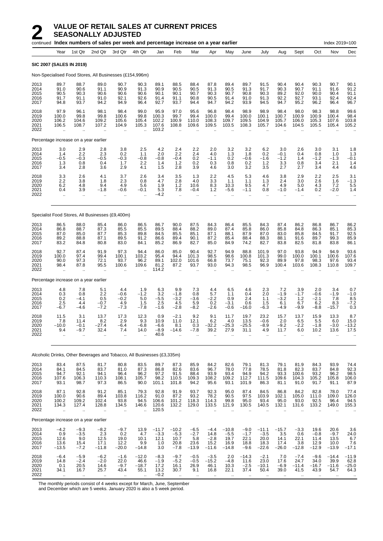|                                      |                                          |                                                  | continued Index numbers of sales per week and percentage increase on a year earlier |                                                        |                                                        |                                          |                                                        |                                                        |                                             |                                              |                                            |                                              |                                           |                                             |                                                       | Index 2019=100                                        |                                         |
|--------------------------------------|------------------------------------------|--------------------------------------------------|-------------------------------------------------------------------------------------|--------------------------------------------------------|--------------------------------------------------------|------------------------------------------|--------------------------------------------------------|--------------------------------------------------------|---------------------------------------------|----------------------------------------------|--------------------------------------------|----------------------------------------------|-------------------------------------------|---------------------------------------------|-------------------------------------------------------|-------------------------------------------------------|-----------------------------------------|
|                                      | Year                                     | 1st Qtr                                          | 2nd Qtr                                                                             | 3rd Qtr                                                | 4th Qtr                                                | Jan                                      | Feb                                                    | Mar                                                    | Apr                                         | May                                          | June                                       | July                                         | Aug                                       | Sept                                        | Oct                                                   | Nov                                                   | Dec                                     |
|                                      | <b>SIC 2007 (SALES IN 2019)</b>          |                                                  |                                                                                     |                                                        |                                                        |                                          |                                                        |                                                        |                                             |                                              |                                            |                                              |                                           |                                             |                                                       |                                                       |                                         |
|                                      |                                          |                                                  | Non-Specialised Food Stores, All Businesses (£154,996m)                             |                                                        |                                                        |                                          |                                                        |                                                        |                                             |                                              |                                            |                                              |                                           |                                             |                                                       |                                                       |                                         |
| 2013<br>2014<br>2015<br>2016<br>2017 | 89.7<br>91.0<br>90.5<br>91.7<br>94.8     | 88.7<br>90.6<br>90.3<br>91.1<br>93.7             | 89.0<br>91.1<br>90.6<br>91.0<br>94.2                                                | 90.7<br>90.9<br>90.6<br>92.1<br>94.9                   | 90.3<br>91.3<br>90.6<br>92.6<br>96.4                   | 89.1<br>90.9<br>90.1<br>91.4<br>92.7     | 88.5<br>90.5<br>90.1<br>91.1<br>93.7                   | 88.4<br>90.5<br>90.7<br>90.8<br>94.4                   | 87.8<br>91.3<br>90.3<br>90.5<br>94.7        | 89.4<br>90.5<br>90.7<br>91.4<br>94.2         | 89.7<br>91.3<br>90.8<br>91.0<br>93.9       | 91.5<br>91.7<br>90.3<br>91.3<br>94.5         | 90.4<br>90.3<br>89.2<br>92.2<br>94.7      | 90.4<br>90.7<br>92.0<br>92.7<br>95.2        | 90.3<br>91.1<br>90.0<br>93.1<br>96.2                  | 90.7<br>91.6<br>90.4<br>92.4<br>96.4                  | 90.1<br>91.2<br>91.1<br>92.4<br>96.7    |
| 2018<br>2019<br>2020<br>2021<br>2022 | 97.9<br>100.0<br>106.2<br>106.5          | 96.1<br>99.8<br>104.6<br>108.7                   | 98.1<br>99.8<br>109.2<br>107.2                                                      | 98.4<br>100.6<br>105.6<br>104.9                        | 99.0<br>99.8<br>105.4<br>105.3<br>ä.                   | 95.9<br>100.3<br>102.2<br>107.6<br>103.2 | 97.0<br>99.7<br>100.9<br>108.8                         | 95.6<br>99.4<br>110.0<br>109.6                         | 96.8<br>100.0<br>108.3<br>109.5             | 98.4<br>99.4<br>109.7<br>103.5               | 98.9<br>100.0<br>109.5<br>108.3            | 98.9<br>100.1<br>104.9<br>105.7              | 98.4<br>100.7<br>105.7<br>104.6           | 98.0<br>100.9<br>106.0<br>104.5             | 98.3<br>100.9<br>105.3<br>105.5                       | 98.8<br>100.4<br>107.6<br>105.4                       | 99.6<br>98.4<br>103.8<br>105.2          |
|                                      |                                          | Percentage increase on a year earlier            |                                                                                     |                                                        |                                                        |                                          |                                                        |                                                        |                                             |                                              |                                            |                                              |                                           |                                             |                                                       |                                                       |                                         |
| 2013<br>2014<br>2015<br>2016<br>2017 | 3.0<br>1.4<br>$-0.5$<br>1.3<br>3.4       | 2.9<br>2.2<br>$-0.3$<br>0.8<br>2.8               | 2.8<br>2.3<br>$-0.5$<br>0.4<br>3.6                                                  | 3.8<br>0.2<br>$-0.3$<br>1.7<br>2.9                     | 2.5<br>1.1<br>$-0.8$<br>2.2<br>4.1                     | 4.2<br>2.0<br>$-0.8$<br>1.4<br>1.5       | 2.4<br>2.2<br>-0.4<br>1.2<br>2.8                       | 2.2<br>2.4<br>0.2<br>0.2<br>3.9                        | 2.0<br>4.0<br>$-1.1$<br>0.3<br>4.6          | 3.2<br>1.3<br>0.2<br>0.8<br>3.0              | 3.2<br>1.8<br>$-0.6$<br>0.2<br>3.2         | 6.2<br>0.2<br>$-1.6$<br>1.2<br>3.5           | 3.0<br>$-0.1$<br>$-1.2$<br>3.3<br>2.7     | 2.6<br>0.4<br>1.4<br>0.8<br>2.7             | 3.0<br>0.8<br>$-1.2$<br>3.4<br>3.4                    | 3.1<br>1.0<br>$-1.3$<br>2.1<br>4.4                    | 1.8<br>1.3<br>$-0.1$<br>1.4<br>4.6      |
| 2018<br>2019<br>2020<br>2021<br>2022 | 3.3<br>2.2<br>6.2<br>0.4                 | 2.6<br>3.8<br>4.8<br>3.9                         | 4.1<br>1.8<br>9.4<br>$-1.8$<br>$\ddot{\phantom{a}}$                                 | 3.7<br>2.3<br>4.9<br>$-0.6$<br>$\ddot{\phantom{a}}$    | 2.6<br>0.8<br>5.6<br>$-0.1$                            | 3.4<br>4.7<br>1.9<br>5.3<br>$-4.2$       | 3.5<br>2.8<br>1.2<br>7.8<br>à.                         | 1.3<br>4.0<br>10.6<br>$-0.4$                           | 2.2<br>3.3<br>8.3<br>1.2<br>$\ddotsc$       | 4.5<br>1.1<br>10.3<br>$-5.6$                 | 5.3<br>1.1<br>9.5<br>$-1.1$                | 4.6<br>1.3<br>4.7<br>0.8                     | 3.8<br>2.4<br>49<br>$-1.0$                | 2.9<br>3.0<br>5.0<br>$-1.4$                 | 2.2<br>2.6<br>4.3<br>0.2<br>$\ddotsc$                 | 2.5<br>1.6<br>7.2<br>$-2.0$<br>$\ddotsc$              | 3.1<br>$-1.3$<br>5.5<br>1.4             |
|                                      |                                          |                                                  | Specialist Food Stores, All Businesses (£9,400m)                                    |                                                        |                                                        |                                          |                                                        |                                                        |                                             |                                              |                                            |                                              |                                           |                                             |                                                       |                                                       |                                         |
| 2013<br>2014<br>2015<br>2016<br>2017 | 86.5<br>86.8<br>87.0<br>89.2<br>83.2     | 88.0<br>88.7<br>85.0<br>88.8<br>84.8             | 85.4<br>87.3<br>87.7<br>87.1<br>80.8                                                | 86.0<br>85.5<br>85.3<br>89.5<br>83.0                   | 86.5<br>85.5<br>89.8<br>91.2<br>84.1                   | 86.7<br>89.5<br>84.5<br>86.6<br>85.2     | 90.0<br>88.4<br>85.5<br>89.4<br>86.9                   | 87.5<br>88.2<br>85.1<br>90.1<br>82.7                   | 84.3<br>89.0<br>87.1<br>87.2<br>85.0        | 86.4<br>87.4<br>88.1<br>85.4<br>84.9         | 85.5<br>85.8<br>87.9<br>88.4<br>74.2       | 84.3<br>86.0<br>87.0<br>88.3<br>82.7         | 87.4<br>85.8<br>83.0<br>88.1<br>83.8      | 86.2<br>84.8<br>85.8<br>91.6<br>82.5        | 86.8<br>86.3<br>84.5<br>89.7<br>81.8                  | 86.7<br>85.1<br>91.7<br>99.3<br>83.8                  | 86.2<br>85.3<br>92.5<br>85.9<br>86.1    |
| 2018<br>2019<br>2020<br>2021<br>2022 | 92.7<br>100.0<br>90.0<br>98.4            | 87.4<br>97.4<br>97.3<br>87.8                     | 91.9<br>99.4<br>72.1<br>95.5                                                        | 97.3<br>100.1<br>93.7<br>100.6<br>$\ddot{\phantom{a}}$ | 94.4<br>103.2<br>96.2<br>109.6                         | 86.0<br>95.4<br>89.1<br>81.2<br>114.2    | 85.0<br>94.4<br>102.0<br>87.2                          | 90.4<br>101.3<br>101.6<br>93.7                         | 92.7<br>98.5<br>66.8<br>93.0                | 94.9<br>98.6<br>73.7<br>94.3                 | 88.8<br>100.8<br>75.1<br>98.5              | 101.9<br>101.3<br>92.3<br>96.9               | 97.0<br>99.0<br>89.9<br>100.4             | 93.8<br>100.0<br>97.8<br>103.6              | 94.9<br>100.1<br>98.3<br>108.3                        | 94.9<br>100.6<br>97.6<br>110.8                        | 93.6<br>107.6<br>93.4<br>109.7          |
|                                      |                                          | Percentage increase on a year earlier            |                                                                                     |                                                        |                                                        |                                          |                                                        |                                                        |                                             |                                              |                                            |                                              |                                           |                                             |                                                       |                                                       |                                         |
| 2013<br>2014<br>2015<br>2016<br>2017 | 4.8<br>0.3<br>0.2<br>2.5<br>$-6.7$       | 7.8<br>0.8<br>$-4.1$<br>4.4<br>$-4.6$            | 5.1<br>2.2<br>0.5<br>$-0.7$<br>$-7.2$                                               | 4.4<br>$-0.6$<br>$-0.2$<br>4.9<br>$-7.3$               | 1.9<br>$-1.2$<br>5.0<br>1.5<br>$-7.8$                  | 6.3<br>3.2<br>$-5.5$<br>2.5<br>$-1.6$    | 9.9<br>$-1.8$<br>$-3.2$<br>4.5<br>$-2.8$               | 7.3<br>0.8<br>$-3.6$<br>5.9<br>$-8.2$                  | 4.4<br>5.7<br>$-2.2$<br>0.2<br>$-2.6$       | 6.5<br>1.1<br>0.9<br>$-3.1$<br>$-0.6$        | 4.6<br>0.4<br>2.4<br>0.6<br>$-16.0$        | 2.3<br>2.0<br>1.1<br>1.5<br>$-6.3$           | 7.2<br>$-1.9$<br>$-3.2$<br>6.1<br>$-4.9$  | 3.9<br>$-1.7$<br>$1.2$<br>6.7<br>$-9.9$     | 2.0<br>$-0.6$<br>$-2.1$<br>6.2<br>$-8.8$              | 3.4<br>$-1.9$<br>7.8<br>8.3<br>$-15.7$                | 0.7<br>$-1.0$<br>8.5<br>$^{-7.2}_{0.3}$ |
| 2018<br>2019<br>2020<br>2021<br>2022 | 11.5<br>7.8<br>$-10.0$<br>9.4            | 3.1<br>11.4<br>$-0.1$<br>$-9.7$<br>$\ddotsc$     | 13.7<br>8.2<br>-27.4<br>32.4<br>$\ddot{\phantom{a}}$                                | 17.3<br>2.9<br>$-6.4$<br>7.4<br>$\ddot{\phantom{a}}$   | 12.3<br>9.3<br>$-6.8$<br>14.0                          | 0.9<br>10.9<br>$-6.6$<br>$-8.9$<br>40.6  | $-2.1$<br>11.0<br>8.1<br>$-14.6$                       | 9.2<br>12.1<br>0.3<br>$-7.8$<br>$\ddot{\phantom{a}}$   | 9.1<br>6.2<br>$-32.2$<br>39.2<br>$\ddotsc$  | 11.7<br>4.0<br>$-25.3$<br>27.9               | 19.7<br>13.5<br>$-25.5$<br>31.1            | 23.2<br>$-0.6$<br>$-8.9$<br>4.9              | 15.7<br>2.0<br>$-9.2$<br>11.7             | 13.7<br>6.5<br>$-2.2$<br>6.0                | 15.9<br>5.5<br>$-1.8$<br>10.2<br>$\ddot{\phantom{a}}$ | 13.3<br>6.0<br>$-3.0$<br>13.6<br>$\ddot{\phantom{a}}$ | 8.7<br>15.0<br>$-13.2$<br>17.5          |
|                                      |                                          |                                                  | Alcoholic Drinks, Other Beverages and Tobacco, All Businesses (£3,335m)             |                                                        |                                                        |                                          |                                                        |                                                        |                                             |                                              |                                            |                                              |                                           |                                             |                                                       |                                                       |                                         |
| 2013<br>2014<br>2015<br>2016<br>2017 | 83.4<br>84.1<br>94.7<br>107.6<br>93.1    | 87.5<br>84.5<br>92.1<br>106.3<br>98.7            | 81.7<br>83.7<br>94.1<br>110.3<br>97.3                                               | 80.8<br>81.0<br>96.4<br>108.1<br>86.5                  | 83.5<br>87.3<br>96.2<br>105.7<br>90.0                  | 89.7<br>86.8<br>97.2<br>98.2<br>101.1    | 87.3<br>82.6<br>91.5<br>110.5<br>101.8                 | 85.9<br>83.6<br>88.4<br>109.3<br>94.2                  | 84.2<br>96.7<br>93.9<br>108.2<br>95.6       | 82.6<br>78.0<br>93.4<br>109.2<br>93.1        | 79.1<br>77.8<br>94.9<br>112.7<br>101.9     | 81.3<br>78.5<br>94.2<br>111.5<br>86.3        | 79.1<br>81.8<br>93.3<br>109.6<br>81.1     | 81.9<br>82.3<br>100.6<br>104.3<br>91.0      | 84.3<br>83.7<br>93.2<br>105.2<br>91.7                 | 93.9<br>84.8<br>96.2<br>105.8<br>91.1                 | 74.4<br>92.3<br>98.5<br>106.0<br>87.9   |
| 2018<br>2019<br>2020<br>2021<br>2022 | 87.1<br>100.0<br>100.2<br>134.3<br>Ġ.    | 92.8<br>90.6<br>109.2<br>127.4<br>$\bar{\Omega}$ | 91.2<br>89.4<br>102.4<br>128.8<br>$\ddotsc$                                         | 85.1<br>103.8<br>93.8<br>134.5<br>$\ddot{\phantom{a}}$ | 79.3<br>116.2<br>94.5<br>146.6<br>$\ddot{\phantom{a}}$ | 92.8<br>91.0<br>106.6<br>120.6<br>120.5  | 91.9<br>87.2<br>101.2<br>132.2<br>$\ddot{\phantom{a}}$ | 93.7<br>93.2<br>118.3<br>129.0<br>$\ddot{\phantom{a}}$ | 92.3<br>78.2<br>114.3<br>133.5              | 95.0<br>90.5<br>99.8<br>121.9                | 87.4<br>97.5<br>95.0<br>130.5              | 84.5<br>103.9<br>93.4<br>140.5               | 86.8<br>102.1<br>95.0<br>132.1            | 84.2<br>105.0<br>93.0<br>131.6<br>$\ddotsc$ | 82.8<br>111.0<br>92.5<br>133.2<br>$\sim$              | 78.0<br>109.0<br>96.4<br>149.0<br>$\ddotsc$           | 77.4<br>126.0<br>94.5<br>155.3          |
|                                      |                                          | Percentage increase on a year earlier            |                                                                                     |                                                        |                                                        |                                          |                                                        |                                                        |                                             |                                              |                                            |                                              |                                           |                                             |                                                       |                                                       |                                         |
| 2013<br>2014<br>2015<br>2016<br>2017 | $-4.2$<br>0.9<br>12.6<br>13.6<br>$-13.5$ | $-9.3$<br>$-3.5$<br>9.0<br>15.4<br>$-7.2$        | $-8.2$<br>2.3<br>12.5<br>17.1<br>$-11.8$                                            | $-9.7$<br>0.2<br>19.0<br>12.2<br>$-20.0$               | 13.9<br>4.7<br>10.1<br>9.9<br>$-14.8$                  | $-11.7$<br>$-3.3$<br>12.1<br>1.0<br>3.0  | $-10.2$<br>$-5.3$<br>10.7<br>20.8<br>$-7.8$            | $-6.5$<br>$-2.7$<br>5.8<br>23.6<br>$-13.9$             | $-4.4$<br>14.8<br>$-2.8$<br>15.2<br>$-11.6$ | $-10.8$<br>$-5.5$<br>19.7<br>16.9<br>$-14.8$ | $-9.0$<br>$-1.7$<br>22.1<br>18.8<br>$-9.6$ | $-11.1$<br>$-3.5$<br>20.0<br>18.3<br>$-22.6$ | $-15.7$<br>3.5<br>14.1<br>17.4<br>$-26.0$ | $-3.3$<br>0.6<br>22.1<br>3.8<br>$-12.8$     | 19.6<br>$-0.8$<br>11.4<br>12.9<br>$-12.9$             | 20.6<br>$-9.7$<br>13.5<br>10.0<br>$-13.9$             | 3.6<br>24.0<br>6.7<br>7.6<br>$-17.1$    |
| 2018<br>2019<br>2020<br>2021         | $-6.4$<br>14.8<br>0.1<br>34.1            | $-5.9$<br>$-2.4$<br>20.5<br>16.7                 | $-6.2$<br>$-2.0$<br>14.6<br>25.7                                                    | $-1.6$<br>22.0<br>$-9.7$<br>43.4                       | $-12.0$<br>46.6<br>$-18.7$<br>55.1                     | $-8.3$<br>$-1.9$<br>17.2<br>13.2         | $-9.7$<br>$-5.2$<br>16.1<br>30.7                       | $-0.5$<br>$-0.5$<br>26.9<br>9.1                        | $-3.5$<br>$-15.2$<br>46.1<br>16.8           | 2.0<br>$-4.8$<br>10.3<br>22.1                | $-14.3$<br>11.6<br>$-2.5$<br>37.4          | $-2.1$<br>23.0<br>$-10.1$<br>50.4            | 7.0<br>17.6<br>$-6.9$<br>39.0             | $-7.4$<br>24.7<br>$-11.4$<br>41.5           | $-9.6$<br>34.0<br>$-16.7$<br>43.9                     | $-14.4$<br>39.9<br>$-11.6$<br>54.7                    | $-11.9$<br>$62.8 - 25.0$<br>64.3        |

2022 .. .. .. .. .. −0.2 .. .. .. .. .. .. .. .. .. .. ..

The monthly periods consist of 4 weeks except for March, June, September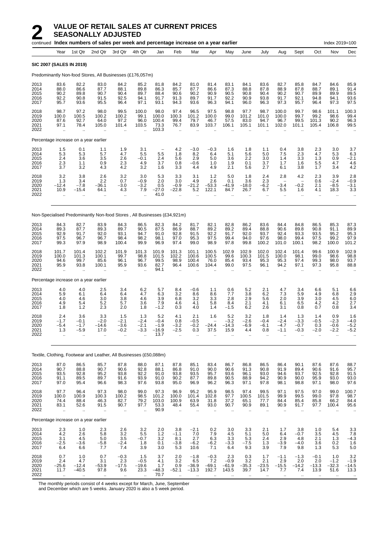|                                      |                                                      |                                                           | continued Index numbers of sales per week and percentage increase on a year earlier |                                                                   |                                                       |                                                      |                                                             |                                          |                                                                   |                                           |                                      |                                             |                                           |                                                      |                                              | Index 2019=100                                 |                                               |
|--------------------------------------|------------------------------------------------------|-----------------------------------------------------------|-------------------------------------------------------------------------------------|-------------------------------------------------------------------|-------------------------------------------------------|------------------------------------------------------|-------------------------------------------------------------|------------------------------------------|-------------------------------------------------------------------|-------------------------------------------|--------------------------------------|---------------------------------------------|-------------------------------------------|------------------------------------------------------|----------------------------------------------|------------------------------------------------|-----------------------------------------------|
|                                      | Year                                                 | 1st Qtr                                                   | 2nd Qtr                                                                             | 3rd Qtr                                                           | 4th Qtr                                               | Jan                                                  | Feb                                                         | Mar                                      | Apr                                                               | May                                       | June                                 | July                                        | Aug                                       | Sept                                                 | Oct                                          | Nov                                            | Dec                                           |
|                                      | <b>SIC 2007 (SALES IN 2019)</b>                      |                                                           |                                                                                     |                                                                   |                                                       |                                                      |                                                             |                                          |                                                                   |                                           |                                      |                                             |                                           |                                                      |                                              |                                                |                                               |
|                                      |                                                      |                                                           | Predominantly Non-food Stores, All Businesses (£176,057m)                           |                                                                   |                                                       |                                                      |                                                             |                                          |                                                                   |                                           |                                      |                                             |                                           |                                                      |                                              |                                                |                                               |
| 2013<br>2014<br>2015<br>2016<br>2017 | 83.6<br>88.0<br>90.2<br>92.2<br>95.7                 | 82.2<br>86.6<br>89.8<br>90.8<br>93.6                      | 83.0<br>87.7<br>90.7<br>91.5<br>95.5                                                | 84.2<br>88.1<br>90.4<br>92.5<br>96.4                              | 85.2<br>89.8<br>89.7<br>94.1<br>97.1                  | 81.8<br>86.3<br>88.4<br>91.7<br>93.1                 | 84.2<br>85.7<br>90.6<br>91.3<br>94.3                        | 81.0<br>87.7<br>90.2<br>89.7<br>93.6     | 81.4<br>86.6<br>90.9<br>91.7<br>96.3                              | 83.1<br>87.3<br>90.5<br>92.2<br>94.1      | 84.1<br>88.8<br>90.8<br>90.9<br>96.0 | 83.6<br>87.8<br>90.4<br>93.8<br>96.3        | 82.7<br>88.9<br>90.2<br>91.7<br>97.3      | 85.8<br>87.8<br>90.7<br>92.1<br>95.7                 | 84.7<br>88.7<br>89.9<br>94.8<br>96.4         | 84.6<br>89.1<br>89.9<br>94.1<br>97.3           | 85.9<br>91.4<br>89.5<br>93.6<br>97.5          |
| 2018<br>2019<br>2020<br>2021<br>2022 | 98.7<br>100.0<br>87.6<br>97.1<br>$\mathbf{r}$        | 97.2<br>100.5<br>92.7<br>78.4<br>$\mathbf{r}$             | 98.0<br>100.2<br>64.0<br>105.0<br>Ω.                                                | 99.5<br>100.2<br>97.2<br>101.4<br>ä.                              | 100.0<br>99.1<br>96.0<br>103.5                        | 98.0<br>100.0<br>100.4<br>73.3<br>103.3              | 97.4<br>100.3<br>99.4<br>76.7<br>$\mathbf{r}$               | 96.5<br>101.2<br>79.7<br>83.9            | 97.5<br>100.0<br>46.7<br>103.7                                    | 98.8<br>99.0<br>57.5<br>106.1             | 97.7<br>101.2<br>83.0<br>105.1       | 98.7<br>101.0<br>94.7<br>101.1              | 100.0<br>100.0<br>96.7<br>102.0           | 99.7<br>99.7<br>99.5<br>101.1                        | 98.6<br>99.2<br>101.3<br>105.4               | 101.1<br>98.6<br>90.2<br>106.8                 | 100.3<br>99.4<br>96.3<br>99.5                 |
|                                      |                                                      |                                                           | Percentage increase on a year earlier                                               |                                                                   |                                                       |                                                      |                                                             |                                          |                                                                   |                                           |                                      |                                             |                                           |                                                      |                                              |                                                |                                               |
| 2013<br>2014<br>2015<br>2016<br>2017 | 1.5<br>5.3<br>2.4<br>2.3<br>3.7                      | 0.1<br>5.3<br>3.6<br>1.1<br>3.2                           | 1.1<br>5.7<br>3.5<br>0.9<br>4.3                                                     | 1.9<br>4.7<br>2.6<br>2.3<br>4.2                                   | 3.1<br>5.5<br>$-0.1$<br>4.9<br>3.2                    | $\overline{\phantom{0}}$<br>5.5<br>2.4<br>3.7<br>1.6 | 4.2<br>1.8<br>5.6<br>0.8<br>3.3                             | $-3.0$<br>8.2<br>2.9<br>$-0.6$<br>4.4    | $-0.3$<br>6.4<br>5.0<br>1.0<br>4.9                                | 1.6<br>5.1<br>3.6<br>1.9<br>2.1           | 1.8<br>5.6<br>2.2<br>0.1<br>5.6      | 1.1<br>5.0<br>3.0<br>3.7<br>2.7             | 0.4<br>7.5<br>1.4<br>1.7<br>6.1           | 3.8<br>2.3<br>3.3<br>1.6<br>3.8                      | 2.3<br>4.7<br>1.3<br>5.5<br>1.7              | 3.0<br>5.3<br>0.9<br>4.7<br>3.4                | 3.7<br>6.3<br>$-2.1$<br>4.6<br>4.2            |
| 2018<br>2019<br>2020<br>2021<br>2022 | 3.2<br>1.3<br>$-12.4$<br>10.9                        | 3.8<br>3.4<br>$-7.8$<br>$-15.4$                           | 2.6<br>2.2<br>-36.1<br>64.1                                                         | 3.2<br>0.7<br>$-3.0$<br>4.3<br>ä.                                 | 3.0<br>$-0.9$<br>$-3.2$<br>7.9                        | 5.3<br>2.0<br>0.5<br>$-27.0$<br>41.0                 | 3.3<br>3.0<br>$-0.9$<br>$-22.8$                             | 3.1<br>4.9<br>$-21.2$<br>5.2             | 1.2<br>2.6<br>$-53.3$<br>122.1                                    | 5.0<br>0.1<br>$-41.9$<br>84.7             | 1.8<br>3.6<br>$-18.0$<br>26.7        | 2.4<br>2.3<br>$-6.2$<br>6.7<br>$\mathbf{r}$ | 2.8<br>$-3.4$<br>5.5<br>$\ddotsc$         | 4.2<br>$-0.2$<br>1.6<br>$\ddot{\phantom{a}}$         | 2.3<br>0.6<br>2.1<br>4.1<br>$\ddotsc$        | 3.9<br>$-2.4$<br>$-8.5$<br>18.3<br>$\ddotsc$   | 2.8<br>$-0.9$<br>$-3.1$<br>3.3                |
|                                      |                                                      |                                                           | Non-Specialised Predominantly Non-food Stores, All Businesses (£34,921m)            |                                                                   |                                                       |                                                      |                                                             |                                          |                                                                   |                                           |                                      |                                             |                                           |                                                      |                                              |                                                |                                               |
| 2013<br>2014<br>2015<br>2016<br>2017 | 84.3<br>89.3<br>92.9<br>97.5<br>99.3                 | 82.7<br>87.7<br>91.7<br>96.7<br>97.9                      | 83.9<br>89.3<br>92.0<br>96.7<br>98.9                                                | 84.3<br>89.7<br>93.1<br>98.4<br>100.4                             | 86.5<br>90.5<br>94.7<br>98.2<br>99.9                  | 82.3<br>87.5<br>91.0<br>98.1<br>96.9                 | 84.2<br>86.9<br>92.8<br>97.0<br>97.4                        | 81.7<br>88.7<br>91.5<br>95.3<br>99.0     | 82.1<br>89.2<br>92.2<br>97.5<br>98.9                              | 82.8<br>89.2<br>91.7<br>99.4<br>97.8      | 86.2<br>89.4<br>92.0<br>94.0<br>99.8 | 83.6<br>88.8<br>93.7<br>97.6<br>100.2       | 84.4<br>90.6<br>92.4<br>98.0<br>101.0     | 84.8<br>89.8<br>93.3<br>99.4<br>100.1                | 86.5<br>90.8<br>93.5<br>97.5<br>98.2         | 85.3<br>91.1<br>95.2<br>99.2<br>100.0          | 87.3<br>89.9<br>95.3<br>97.9<br>101.2         |
| 2018<br>2019<br>2020<br>2021<br>2022 | 101.7<br>100.0<br>94.6<br>95.9<br>$\bar{\mathbf{r}}$ | 101.4<br>101.3<br>99.7<br>93.8<br>$\ddotsc$               | 102.2<br>100.1<br>85.6<br>100.1                                                     | 101.9<br>99.7<br>96.1<br>95.9<br>$\ddotsc$                        | 101.3<br>98.8<br>96.7<br>93.6<br>$\ddot{\phantom{a}}$ | 101.9<br>101.5<br>99.5<br>82.7<br>94.1               | 101.3<br>102.2<br>98.9<br>96.4<br>$\sim$                    | 101.1<br>100.6<br>100.4<br>100.6         | 100.5<br>100.5<br>76.0<br>104.4                                   | 102.9<br>99.6<br>85.4<br>99.0             | 102.9<br>100.3<br>93.4<br>97.5       | 102.0<br>101.5<br>95.3<br>96.1              | 102.4<br>100.0<br>95.3<br>94.2            | 101.4<br>98.1<br>97.4<br>97.1                        | 99.6<br>99.0<br>99.3<br>97.3                 | 100.9<br>98.6<br>98.0<br>95.8                  | 102.9<br>98.8<br>93.7<br>88.8                 |
|                                      |                                                      |                                                           | Percentage increase on a year earlier                                               |                                                                   |                                                       |                                                      |                                                             |                                          |                                                                   |                                           |                                      |                                             |                                           |                                                      |                                              |                                                |                                               |
| 2013<br>2014<br>2015<br>2016<br>2017 | 4.0<br>5.9<br>4.0<br>4.9<br>1.8                      | 4.0<br>6.1<br>4.6<br>5.4<br>1.2                           | 2.5<br>6.4<br>3.0<br>5.2<br>2.3                                                     | 3.4<br>6.4<br>3.8<br>5.7<br>2.0                                   | $6.2$<br>4.7<br>4.6<br>3.6<br>1.8                     | 5.7<br>6.3<br>3.9<br>$7.9 - 1.2$                     | 8.4<br>3.2<br>6.8<br>4.6<br>0.3                             | -0.6<br>8.6<br>3.2<br>4.1<br>4.0         | 1.1<br>8.6<br>3.3<br>5.8<br>1.4                                   | 0.6<br>7.7<br>2.8<br>8.4<br>$-1.5$        | 5.2<br>3.8<br>2.9<br>2.1<br>6.2      | $^{2.1}_{6.2}$<br>5.6<br>4.1<br>2.6         | 4.7<br>7.3<br>2.0<br>6.1<br>3.1           | 3.4<br>5.9<br>3.9<br>6.5<br>0.8                      | 6.6<br>4.9<br>3.0<br>4.2<br>0.7              | 5.1<br>6.8<br>4.5<br>4.2<br>0.8                | $6.6$<br>2.9<br>6.0<br>2.7<br>3.4             |
| 2018<br>2019<br>2020<br>2021<br>2022 | 2.4<br>$-1.7$<br>$-5.4$<br>$1.3$<br>÷.               | 3.6<br>$-0.1$<br>$-1.7$<br>$-5.9$<br>$\ddot{\phantom{a}}$ | 3.3<br>$-2.0$<br>-14.6<br>17.0<br>                                                  | 1.5<br>$-2.1$<br>$-3.6$<br>$-0.2$<br>ä.                           | 1.3<br>$-2.4$<br>$-2.1$<br>-3.3                       | 5.2<br>$-0.4$<br>$-1.9$<br>$-16.9$<br>13.7           | 4.1<br>0.8<br>$-3.2$<br>-2.5                                | 2.1<br>$-0.5$<br>$-0.2$<br>0.3           | 1.6<br>$\overline{\phantom{m}}$<br>$-24.4$<br>37.5                | 5.2<br>$-3.2$<br>$-14.3$<br>15.9          | 3.2<br>$-2.6$<br>$-6.9$<br>4.4       | 1.8<br>$-0.4$<br>$-6.1$<br>0.8              | 1.4<br>$-2.4$<br>$-4.7$<br>$-1.1$         | 1.3<br>$-3.3$<br>$-0.7$<br>$-0.3$                    | 1.4<br>$-0.5$<br>0.3<br>$-2.0$               | 0.9<br>$-2.3$<br>$-0.6$<br>$-2.2$<br>$\ddotsc$ | 1.6<br>$-4.0$<br>$-5.2$<br>$-5.2$             |
|                                      |                                                      |                                                           | Textile, Clothing, Footwear and Leather, All Businesses (£50,088m)                  |                                                                   |                                                       |                                                      |                                                             |                                          |                                                                   |                                           |                                      |                                             |                                           |                                                      |                                              |                                                |                                               |
| 2013<br>2014<br>2015<br>2016<br>2017 | 87.0<br>90.7<br>93.5<br>91.1<br>97.0                 | 86.5<br>88.8<br>92.8<br>89.5<br>95.4                      | 85.7<br>90.7<br>95.2<br>89.7<br>96.6                                                | 87.8<br>90.6<br>93.8<br>91.6<br>98.3                              | 88.0<br>92.8<br>92.2<br>93.9<br>97.6                  | 87.1<br>88.1<br>91.0<br>91.0<br>93.8                 | 87.8<br>86.8<br>93.8<br>90.2<br>95.0                        | 85.1<br>91.0<br>93.5<br>87.7<br>96.9     | 83.4<br>90.0<br>95.7<br>89.8<br>96.2                              | 86.7<br>90.6<br>93.6<br>90.5<br>96.3      | 86.8<br>91.3<br>96.1<br>88.9<br>97.1 | 86.5<br>90.8<br>93.0<br>94.2<br>97.8        | 86.4<br>91.9<br>94.6<br>90.9<br>98.1      | 90.1<br>89.4<br>93.7<br>90.0<br>98.8                 | 87.6<br>90.6<br>92.5<br>95.9<br>97.1         | 87.6<br>91.6<br>92.8<br>93.0<br>98.0           | 88.7<br>95.7<br>91.5<br>93.0<br>97.6          |
| 2018<br>2019<br>2020<br>2021<br>2022 | 97.7<br>100.0<br>74.4<br>83.1<br>$\bar{\mathbf{r}}$  | 96.4<br>100.9<br>88.4<br>52.6<br>$\mathbf{r}$             | 97.3<br>100.3<br>46.3<br>91.5<br>$\ddot{\phantom{a}}$                               | 98.0<br>100.2<br>82.7<br>90.7<br>ä,                               | 99.0<br>98.5<br>79.2<br>97.7<br>$\ddot{\phantom{a}}$  | $\frac{97.3}{101.2}$<br>103.0<br>53.3<br>90.9        | 96.9<br>100.0<br>100.9<br>48.4<br>$\ddot{\phantom{a}}$      | 95.2<br>101.4<br>63.9<br>55.4<br>ä.      | 95.9<br>102.8<br>31.8<br>93.0                                     | 98.5<br>97.7<br>37.2<br>90.7<br>÷.        | 97.4<br>100.5<br>65.1<br>90.9        | 99.5<br>101.5<br>77.7<br>89.1<br>à.         | 97.1<br>99.9<br>84.4<br>90.9<br>$\ddotsc$ | 97.5<br>99.5<br>85.4<br>91.7<br>$\ddot{\phantom{a}}$ | 97.0<br>99.0<br>85.8<br>97.7<br>$\mathbf{r}$ | 99.0<br>97.8<br>66.2<br>100.4<br>$\ddotsc$     | 100.7<br>98.7<br>84.4<br>95.6                 |
|                                      |                                                      |                                                           | Percentage increase on a year earlier                                               |                                                                   |                                                       |                                                      |                                                             |                                          |                                                                   |                                           |                                      |                                             |                                           |                                                      |                                              |                                                |                                               |
| 2013<br>2014<br>2015<br>2016<br>2017 | 2.3<br>4.2<br>3.1<br>$-2.5$<br>6.4                   | 1.0<br>2.6<br>$\overline{4.5}$<br>$-3.6$<br>6.6           | 2.3<br>5.8<br>5.0<br>-5.8<br>7.7                                                    | 2.6<br>$\begin{array}{c} 3.2 \\ 3.5 \end{array}$<br>$-2.4$<br>7.4 | 3.2<br>$\frac{5.5}{-0.7}$<br>1.8<br>3.9               | 2.0<br>$\frac{1.2}{3.2}$<br>0.1<br>3.0               | 3.8<br>$-1.1$<br>8.1<br>$-3.8$<br>5.3                       | $-2.1$<br>$7.0$<br>2.7<br>$-6.2$<br>10.6 | 0.2<br>$\begin{array}{c} 7.9 \\ 6.3 \end{array}$<br>$-6.2$<br>7.1 | 3.0<br>$\frac{4.5}{3.3}$<br>$-3.3$<br>6.4 | 3.3<br>5.1<br>5.3<br>$-7.5$<br>9.3   | 2.1<br>5.0<br>2.4<br>1.3<br>3.9             | 1.7<br>6.4<br>2.9<br>$-3.9$<br>7.9        | 3.8<br>$-0.7$<br>4.8<br>$-4.0$<br>9.8                | 1.0<br>3.5<br>2.1<br>3.6<br>1.3              | 5.4<br>$\frac{4.5}{1.3}$<br>0.2<br>5.3         | 3.3<br>$7.8 - 4.3$<br>1.6<br>5.0              |
| 2018<br>2019<br>2020<br>2021<br>2022 | 0.7<br>$2.4 - 25.6$<br>11.7                          | 1.0<br>4.7<br>$-12.4$<br>$-40.5$                          | 0.7<br>3.1<br>$-53.9$<br>97.8                                                       | $-0.3$<br>$-17.5$<br>9.6                                          | 1.5<br>$-0.5$<br>$-19.6$<br>23.3                      | 3.7<br>4.1<br>1.7<br>$-48.3$<br>70.7                 | 2.0<br>$\begin{array}{c} 3.2 \\ 0.9 \end{array}$<br>$-52.1$ | $-1.8$<br>6.5<br>$-36.9$<br>$-13.3$      | $-0.3$<br>7.2<br>$-69.1$<br>192.7                                 | 2.3<br>$-0.9$<br>$-61.9$<br>143.5         | 0.3<br>$3.2 - 35.3$<br>39.7          | 1.7<br>2.1<br>$-23.5$<br>14.7               | $-1.1$<br>2.9<br>$-15.5$<br>7.7           | $-1.3$<br>2.0<br>$-14.2$<br>7.4                      | $-0.1$<br>2.0<br>$-13.3$<br>13.9             | 1.0<br>$-1.2$<br>$-32.3$<br>51.6               | 3.2<br>$-1.9$<br>$-14.5$<br>13.3<br>$\cdot$ . |

The monthly periods consist of 4 weeks except for March, June, September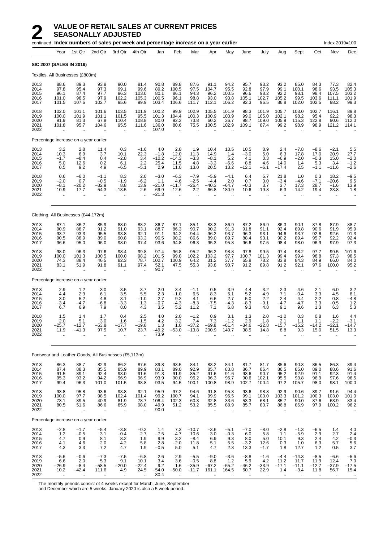|                                      |                                                         | continued Index numbers of sales per week and percentage increase on a year earlier |                                                             |                                                                   |                                        |                                             |                                                       |                                                      |                                                  |                                           |                                                       |                                                       |                                                       |                                            |                                                       | Index 2019=100                                 |                                                      |
|--------------------------------------|---------------------------------------------------------|-------------------------------------------------------------------------------------|-------------------------------------------------------------|-------------------------------------------------------------------|----------------------------------------|---------------------------------------------|-------------------------------------------------------|------------------------------------------------------|--------------------------------------------------|-------------------------------------------|-------------------------------------------------------|-------------------------------------------------------|-------------------------------------------------------|--------------------------------------------|-------------------------------------------------------|------------------------------------------------|------------------------------------------------------|
|                                      | Year                                                    | 1st Qtr                                                                             | 2nd Qtr                                                     | 3rd Qtr                                                           | 4th Qtr                                | Jan                                         | Feb                                                   | Mar                                                  | Apr                                              | May                                       | June                                                  | July                                                  | Aug                                                   | Sept                                       | Oct                                                   | Nov                                            | Dec                                                  |
|                                      |                                                         | <b>SIC 2007 (SALES IN 2019)</b>                                                     |                                                             |                                                                   |                                        |                                             |                                                       |                                                      |                                                  |                                           |                                                       |                                                       |                                                       |                                            |                                                       |                                                |                                                      |
|                                      |                                                         | Textiles, All Businesses (£803m)                                                    |                                                             |                                                                   |                                        |                                             |                                                       |                                                      |                                                  |                                           |                                                       |                                                       |                                                       |                                            |                                                       |                                                |                                                      |
| 2013<br>2014<br>2015<br>2016<br>2017 | 88.6<br>97.8<br>96.1<br>101.0<br>101.5                  | 89.3<br>95.4<br>87.4<br>98.5<br>107.6                                               | 93.8<br>97.3<br>97.7<br>97.9<br>102.7                       | 90.0<br>99.1<br>96.3<br>102.2<br>95.6                             | 81.4<br>99.6<br>103.0<br>105.3<br>99.9 | 90.8<br>89.2<br>80.1<br>100.5<br>103.4      | 89.8<br>100.5<br>86.1<br>96.1<br>106.6                | 87.6<br>97.5<br>94.3<br>98.8<br>111.7                | 91.1<br>104.7<br>96.2<br>93.0<br>112.1           | 94.2<br>95.5<br>100.5<br>93.8<br>106.2    | 95.7<br>92.8<br>96.6<br>105.1<br>92.3                 | 93.2<br>97.9<br>98.2<br>102.7<br>96.5                 | 93.2<br>99.1<br>92.2<br>105.2<br>86.8                 | 85.0<br>100.1<br>98.1<br>99.5<br>102.0     | 84.3<br>98.6<br>98.4<br>103.6<br>102.5                | 77.3<br>93.5<br>107.5<br>111.1<br>98.2         | 82.4<br>105.3<br>103.2<br>101.9<br>99.3              |
| 2018<br>2019<br>2020<br>2021<br>2022 | 102.0<br>100.0<br>91.9<br>101.8<br>$\ddot{\phantom{a}}$ | 101.1<br>101.9<br>81.3<br>95.7<br>$\cdot$                                           | 101.6<br>101.1<br>67.8<br>104.6<br>ä.                       | 103.5<br>101.5<br>110.4<br>95.5<br>ä.                             | 101.9<br>95.5<br>108.8<br>111.6        | 100.2<br>101.3<br>80.0<br>136.0<br>107.0    | 99.9<br>104.4<br>92.2<br>80.6<br>$\ddot{\phantom{a}}$ | 102.9<br>100.3<br>73.8<br>75.5                       | 105.5<br>100.9<br>60.2<br>100.5                  | 101.9<br>103.9<br>36.7<br>102.9           | 98.3<br>99.0<br>98.7<br>109.1                         | 101.9<br>105.0<br>109.0<br>87.4                       | 105.7<br>102.1<br>105.9<br>99.2                       | 103.0<br>98.2<br>115.3<br>98.9             | 102.7<br>95.4<br>122.8<br>98.9                        | 116.1<br>92.2<br>90.6<br>121.2                 | 89.8<br>98.3<br>112.0<br>114.1                       |
|                                      |                                                         | Percentage increase on a year earlier                                               |                                                             |                                                                   |                                        |                                             |                                                       |                                                      |                                                  |                                           |                                                       |                                                       |                                                       |                                            |                                                       |                                                |                                                      |
| 2013<br>2014<br>2015<br>2016<br>2017 | 3.2<br>10.3<br>$-1.7$<br>5.0<br>0.5                     | 2.8<br>6.9<br>$-8.4$<br>12.6<br>9.2                                                 | 11.4<br>3.7<br>0.4<br>0.2<br>4.9                            | 0.3<br>10.1<br>$-2.8$<br>6.1<br>$-6.5$                            | $-1.6$<br>22.3<br>3.4<br>2.2<br>$-5.1$ | 4.0<br>$-1.8$<br>$-10.2$<br>25.4<br>2.9     | 2.8<br>12.0<br>$-14.3$<br>11.5<br>11.0                | 1.9<br>11.3<br>$-3.3$<br>4.8<br>13.0                 | 10.4<br>14.9<br>$-8.1$<br>$-3.3$<br>20.5         | 13.5<br>1.4<br>5.2<br>$-6.6$<br>13.2      | 10.5<br>$-3.0$<br>4.1<br>8.8<br>$-12.1$               | 8.9<br>5.0<br>0.3<br>4.6<br>$-6.1$                    | 2.4<br>6.3<br>$-6.9$<br>14.0<br>$-17.4$               | $-7.8$<br>17.8<br>$-2.0$<br>1.4<br>2.5     | $-8.6$<br>17.0<br>$-0.3$<br>5.3<br>$-1.1$             | $-2.1$<br>20.9<br>15.0<br>3.4<br>$-11.6$       | 5.5<br>27.7<br>$-2.0$<br>$-1.2$<br>$-2.6$            |
| 2018<br>2019<br>2020<br>2021<br>2022 | 0.6<br>$-2.0$<br>$-8.1$<br>10.9                         | $-6.0$<br>0.7<br>$-20.2$<br>17.7<br>$\ldots$                                        | $-1.1$<br>$-0.5$<br>$-32.9$<br>54.3<br>$\ddot{\phantom{0}}$ | 8.3<br>$-1.9$<br>8.8<br>$-13.5$                                   | 2.0<br>$-6.2$<br>13.9<br>2.6           | $-3.0$<br>1.1<br>$-21.0$<br>69.9<br>$-21.3$ | $-6.3$<br>4.6<br>$-11.7$<br>$-12.6$<br>ä.             | $-7.9$<br>$-2.5$<br>$-26.4$<br>2.2<br>$\ldots$       | $-5.9$<br>$-4.4$<br>$-40.3$<br>66.8<br>$\ddotsc$ | $-4.1$<br>2.0<br>$-64.7$<br>180.9         | 6.4<br>0.7<br>$-0.3$<br>10.6                          | 5.7<br>3.0<br>3.7<br>$-19.8$                          | 21.8<br>-3.4<br>3.7<br>-6.3                           | 1.0<br>-4.6<br>17.3<br>$-14.2$             | 0.3<br>$-7.1$<br>28.7<br>$-19.4$                      | 18.2<br>$-20.6$<br>$-1.6$<br>33.8<br>$\ddotsc$ | $-9.5$<br>9.5<br>13.9<br>1.8<br>$\ddot{\phantom{0}}$ |
|                                      |                                                         | Clothing, All Businesses (£44,172m)                                                 |                                                             |                                                                   |                                        |                                             |                                                       |                                                      |                                                  |                                           |                                                       |                                                       |                                                       |                                            |                                                       |                                                |                                                      |
| 2013<br>2014<br>2015<br>2016<br>2017 | 87.1<br>90.9<br>93.7<br>90.5<br>96.6                    | 86.2<br>88.7<br>93.3<br>88.9<br>95.0                                                | 85.9<br>91.2<br>95.5<br>89.0<br>96.0                        | 88.0<br>91.0<br>93.8<br>90.8<br>98.0                              | 88.2<br>93.1<br>92.1<br>93.3<br>97.4   | 86.7<br>88.7<br>91.1<br>90.5<br>93.6        | 87.1<br>86.3<br>94.2<br>90.2<br>94.8                  | 85.1<br>90.7<br>94.4<br>86.6<br>96.3                 | 83.3<br>90.2<br>96.2<br>89.0<br>95.3             | 86.9<br>91.3<br>93.7<br>89.7<br>95.8      | 87.2<br>91.8<br>96.3<br>88.4<br>96.6                  | 86.9<br>91.1<br>93.1<br>93.1<br>97.5                  | 86.3<br>92.4<br>94.6<br>90.2<br>98.4                  | 90.1<br>89.8<br>93.7<br>89.4<br>98.0       | 87.8<br>90.6<br>92.6<br>95.7<br>96.9                  | 87.9<br>91.9<br>92.6<br>92.2<br>97.9           | 88.7<br>95.9<br>91.3<br>92.4<br>97.3                 |
| 2018<br>2019<br>2020<br>2021<br>2022 | 98.0<br>100.0<br>74.3<br>83.1<br>$\ddot{\phantom{a}}$   | 96.3<br>101.3<br>88.4<br>51.9                                                       | 97.6<br>100.5<br>46.5<br>91.8                               | 98.4<br>100.0<br>82.3<br>91.1                                     | 99.8<br>98.2<br>78.7<br>97.4           | 97.4<br>101.5<br>102.7<br>52.1<br>90.7      | 96.8<br>99.8<br>100.9<br>47.5                         | 95.2<br>102.2<br>64.2<br>55.3                        | 96.2<br>103.2<br>31.2<br>93.8                    | 98.8<br>97.7<br>37.7<br>90.7              | 97.8<br>100.7<br>65.8<br>91.2                         | 99.5<br>101.3<br>78.2<br>89.8                         | 97.4<br>99.4<br>83.8<br>91.2                          | 98.2<br>99.4<br>84.3<br>92.1               | 97.7<br>98.8<br>84.9<br>97.6                          | 99.5<br>97.3<br>66.0<br>100.0                  | 101.6<br>98.5<br>84.0<br>95.2                        |
|                                      |                                                         | Percentage increase on a year earlier                                               |                                                             |                                                                   |                                        |                                             |                                                       |                                                      |                                                  |                                           |                                                       |                                                       |                                                       |                                            |                                                       |                                                |                                                      |
| 2013<br>2014<br>2015<br>2016<br>2017 | 2.9<br>4.4<br>3.0<br>$-3.4$<br>6.7                      | 1.2<br>2.9<br>5.2<br>$-4.7$<br>6.9                                                  | 3.0<br>6.1<br>4.8<br>$-6.8$<br>7.9                          | $\begin{array}{c} 3.5 \\ 3.5 \end{array}$<br>3.1<br>$-3.3$<br>8.0 | 3.7<br>5.5<br>$-1.0$<br>1.3<br>4.3     | 2.0<br>2.3<br>2.7<br>$-0.7$<br>3.5          | 3.4<br>$-1.0$<br>9.2<br>$-4.3$<br>5.2                 | $-1.1$<br>6.5<br>4.1<br>$-8.3$<br>11.2               | 0.5<br>8.3<br>6.6<br>$-7.5$<br>7.1               | 3.9<br>5.1<br>2.7<br>$-4.3$<br>6.8        | 4.4<br>5.2<br>5.0<br>-8.3<br>9.3                      | 3.2<br>4.9<br>2.2<br>$-0.1$<br>4.8                    | 2.3<br>7.1<br>2.4<br>$-4.7$<br>9.1                    | 4.6<br>$-0.4$<br>4.4<br>$-4.7$<br>9.6      | 2.1<br>3.3<br>2.2<br>3.3<br>1.3                       | 6.0<br>4.5<br>0.8<br>$-0.5$<br>6.3             | 3.2<br>8.1<br>$-4.8$<br>$1.2$<br>5.3                 |
| 2018<br>2019<br>2020<br>2021<br>2022 | 1.5<br>2.0<br>$-25.7$<br>11.9<br>$\ddotsc$              | 1.4<br>5.1<br>$-12.7$<br>$-41.3$<br>$\mathbf{r}$                                    | 1.7<br>3.0<br>$-53.8$<br>97.5<br>$\cdot$ .                  | 0.4<br>1.6<br>$-17.7$<br>10.7<br>$\ddot{\phantom{a}}$             | 2.5<br>$-1.5$<br>$-19.8$<br>23.7       | 4.0<br>4.2<br>1.3<br>$-49.2$<br>73.9        | 2.0<br>3.2<br>1.0<br>$-53.0$                          | $-1.2$<br>7.4<br>$-37.2$<br>$-13.8$                  | 0.9<br>7.3<br>$-69.8$<br>200.9                   | 3.1<br>$-1.2$<br>$-61.4$<br>140.7         | 1.3<br>2.9<br>$-34.6$<br>38.5<br>$\ddot{\phantom{a}}$ | 2.0<br>1.8<br>$-22.8$<br>14.8<br>$\ddot{\phantom{a}}$ | $-1.0$<br>2.1<br>$-15.7$<br>8.8<br>$\ddotsc$          | 0.3<br>1.1<br>$-15.2$<br>9.3<br>$\ddotsc$  | 0.8<br>1.1<br>$-14.2$<br>15.0<br>$\ddot{\phantom{a}}$ | 1.6<br>$-2.2$<br>$-32.1$<br>51.5               | 4.4<br>-3.1<br>$-14.7$<br>13.3                       |
|                                      |                                                         | Footwear and Leather Goods, All Businesses (£5,113m)                                |                                                             |                                                                   |                                        |                                             |                                                       |                                                      |                                                  |                                           |                                                       |                                                       |                                                       |                                            |                                                       |                                                |                                                      |
| 2013<br>2014<br>2015<br>2016<br>2017 | 86.3<br>87.4<br>91.5<br>95.3<br>99.4                    | 88.7<br>88.3<br>89.1<br>93.2<br>96.3                                                | 82.9<br>85.5<br>92.4<br>94.2<br>101.0                       | 86.2<br>85.9<br>93.0<br>96.9<br>101.5                             | 87.6<br>89.9<br>91.6<br>96.9<br>98.8   | 89.8<br>83.1<br>91.3<br>93.9<br>93.5        | 93.5<br>89.0<br>91.9<br>90.0<br>94.5                  | 84.1<br>92.9<br>85.2<br>95.2<br>100.1                | 83.2<br>85.7<br>91.6<br>96.3<br>100.8            | 84.1<br>83.8<br>91.6<br>96.7<br>98.9      | 81.7<br>86.7<br>93.6<br>90.6<br>102.7                 | 81.7<br>86.4<br>90.7<br>102.1<br>100.4                | 85.6<br>86.5<br>95.2<br>95.5<br>97.2                  | 90.3<br>85.0<br>92.9<br>93.8<br>105.7      | 86.5<br>89.0<br>91.1<br>96.9<br>98.0                  | 86.3<br>88.6<br>92.3<br>97.6<br>98.1           | 89.4<br>91.6<br>91.4<br>96.5<br>100.0                |
| 2018<br>2019<br>2020<br>2021<br>2022 | 93.8<br>100.0<br>73.1<br>80.5<br>$\ddot{\phantom{a}}$   | 95.8<br>97.7<br>89.5<br>51.6<br>$\ddot{\phantom{1}}$                                | 93.6<br>98.5<br>40.9<br>86.6<br>ä.                          | 93.8<br>102.4<br>81.9<br>85.9<br>$\ddotsc$                        | 92.1<br>101.4<br>78.7<br>98.0          | 95.9<br>99.2<br>108.4<br>49.9<br>90.0       | 97.2<br>100.7<br>102.3<br>51.2<br>$\bar{\mathbf{r}}$  | 94.6<br>94.1<br>60.3<br>53.2<br>$\ddot{\phantom{a}}$ | 91.8<br>99.9<br>32.8<br>85.5<br>$\ddotsc$        | 95.3<br>96.5<br>33.6<br>88.9<br>$\cdot$ . | 93.6<br>99.1<br>53.3<br>85.7<br>$\ddotsc$             | 98.8<br>103.0<br>68.1<br>83.7<br>$\cdot$ .            | 92.9<br>103.3<br>85.7<br>86.8<br>$\ddot{\phantom{a}}$ | 90.6<br>101.2<br>90.0<br>86.9<br>$\cdot$ . | 89.7<br>100.3<br>87.6<br>97.9<br>÷.                   | 91.6<br>103.0<br>63.9<br>100.2<br>$\ddotsc$    | 94.4<br>101.0<br>83.4<br>96.2                        |
|                                      |                                                         | Percentage increase on a year earlier                                               |                                                             |                                                                   |                                        |                                             |                                                       |                                                      |                                                  |                                           |                                                       |                                                       |                                                       |                                            |                                                       |                                                |                                                      |
| 2013<br>2014<br>2015<br>2016<br>2017 | $-2.8$<br>$\frac{1.2}{4.7}$<br>4.1<br>4.3               | $-1.7$<br>$-0.5$<br>0.9<br>4.6<br>3.3                                               | $-5.4$<br>3.1<br>8.1<br>2.0<br>7.2                          | $-3.8$<br>$-0.4$<br>8.2<br>4.2<br>4.7                             | $-0.2$<br>2.7<br>1.9<br>5.8<br>1.9     | 1.4<br>$-7.5$<br>9.9<br>2.8<br>$-0.5$       | 7.3<br>$-4.7$<br>3.2<br>$-2.0$<br>5.0                 | $-10.7$<br>10.6<br>$-8.4$<br>11.8<br>5.1             | $-3.6$<br>3.0<br>6.9<br>5.1<br>4.7               | $-5.1$<br>$-0.3$<br>9.3<br>5.5<br>2.3     | $-7.0$<br>6.0<br>8.0<br>$-3.2$<br>13.3                | $-8.0$<br>5.8<br>5.0<br>12.6<br>$-1.7$                | $-2.8$<br>1.1<br>10.1<br>0.3<br>1.8                   | $-1.3$<br>$-5.9$<br>9.3<br>1.0<br>12.7     | $-6.5$<br>2.9<br>2.4<br>6.3<br>$1.2$                  | 1.4<br>2.7<br>4.2<br>5.7<br>0.5                | 4.0<br>$2.4 - 0.3$<br>5.6<br>3.7                     |
| 2018<br>2019<br>2020<br>2021<br>2022 | $-5.6$<br>6.6<br>$-26.9$<br>10.2                        | $-0.6$<br>2.0<br>$-8.4$<br>$-42.4$                                                  | $-7.3$<br>5.3<br>$-58.5$<br>111.6                           | $-7.5$<br>9.1<br>$-20.0$<br>4.9<br>÷.                             | $-6.8$<br>10.1<br>$-22.4$<br>24.5      | 2.6<br>3.4<br>9.2<br>$-54.0$<br>80.4        | 2.9<br>3.6<br>1.6<br>$-50.0$                          | $-5.5$<br>$-0.5$<br>$-35.9$<br>$-11.7$               | $-9.0$<br>8.8<br>$-67.2$<br>161.1                | $-3.6$<br>1.2<br>$-65.2$<br>164.5         | $-8.8$<br>5.9<br>$-46.2$<br>60.7                      | $-1.6$<br>4.2<br>$-33.9$<br>22.9                      | $-4.4$<br>11.2<br>$-17.1$<br>1.4                      | $-14.3$<br>11.7<br>$-11.1$<br>$-3.4$       | $-8.5$<br>11.9<br>$-12.7$<br>11.8                     | $-6.6$<br>12.4<br>$-37.9$<br>56.7              | $-5.6$<br>$-17.5$<br>15.4                            |

The monthly periods consist of 4 weeks except for March, June, September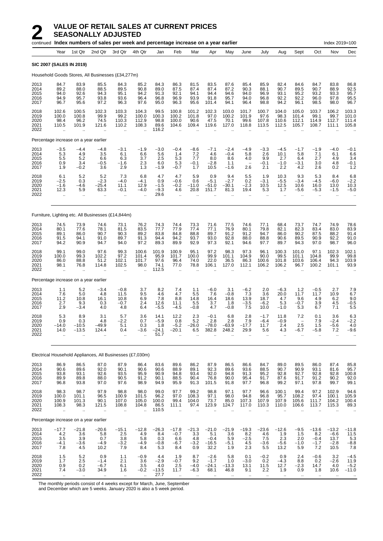|                                       |                                              |                                                          | continued Index numbers of sales per week and percentage increase on a year earlier |                                                     |                                                         |                                          |                                                       |                                        |                                             |                                          |                                                  |                                        |                                            |                                                       |                                              | Index 2019=100                                       |                                                        |
|---------------------------------------|----------------------------------------------|----------------------------------------------------------|-------------------------------------------------------------------------------------|-----------------------------------------------------|---------------------------------------------------------|------------------------------------------|-------------------------------------------------------|----------------------------------------|---------------------------------------------|------------------------------------------|--------------------------------------------------|----------------------------------------|--------------------------------------------|-------------------------------------------------------|----------------------------------------------|------------------------------------------------------|--------------------------------------------------------|
|                                       | Year                                         | 1st Qtr                                                  | 2nd Qtr                                                                             | 3rd Qtr                                             | 4th Qtr                                                 | Jan                                      | Feb                                                   | Mar                                    | Apr                                         | May                                      | June                                             | July                                   | Aug                                        | Sept                                                  | Oct                                          | Nov                                                  | Dec                                                    |
| SIC 2007 (SALES IN 2019)              |                                              |                                                          |                                                                                     |                                                     |                                                         |                                          |                                                       |                                        |                                             |                                          |                                                  |                                        |                                            |                                                       |                                              |                                                      |                                                        |
|                                       |                                              |                                                          | Household Goods Stores, All Businesses (£34,277m)                                   |                                                     |                                                         |                                          |                                                       |                                        |                                             |                                          |                                                  |                                        |                                            |                                                       |                                              |                                                      |                                                        |
| 2013<br>2014<br>2015<br>2016<br>2017  | 84.7<br>89.2<br>94.0<br>94.9<br>96.7         | 83.9<br>88.0<br>92.6<br>95.7<br>95.6                     | 85.5<br>88.5<br>94.3<br>93.8<br>97.2                                                | 84.3<br>89.5<br>95.1<br>93.6<br>96.3                | 85.2<br>90.8<br>94.2<br>96.4<br>97.6                    | 84.3<br>89.0<br>91.3<br>96.8<br>95.0     | 86.3<br>87.5<br>92.1<br>96.9<br>96.3                  | 81.5<br>87.4<br>94.1<br>93.9<br>95.6   | 83.5<br>87.4<br>94.4<br>91.8<br>101.4       | 87.6<br>87.2<br>94.6<br>95.7<br>94.1     | 85.4<br>90.3<br>94.0<br>94.0<br>96.4             | 85.9<br>88.1<br>96.9<br>96.8<br>98.8   | 82.4<br>90.7<br>93.1<br>92.2<br>94.2       | 84.6<br>89.5<br>95.2<br>92.2<br>96.1                  | 84.7<br>90.7<br>93.2<br>96.0<br>98.5         | 83.8<br>88.9<br>93.3<br>97.8<br>98.0                 | 86.8<br>92.5<br>95.7<br>95.5<br>96.7                   |
| 2018<br>2019<br>2020<br>2021<br>2022  | 102.6<br>100.0<br>98.4<br>110.5<br>$\ddotsc$ | 100.5<br>100.8<br>96.2<br>101.9                          | 102.3<br>99.9<br>74.5<br>121.6                                                      | 103.3<br>99.2<br>110.3<br>110.2                     | 104.3<br>100.0<br>112.9<br>108.3<br>ä.                  | 99.5<br>100.3<br>98.8<br>89.6<br>116.2   | 100.8<br>100.2<br>100.0<br>104.6                      | 101.2<br>101.8<br>90.6<br>109.4        | 102.3<br>97.0<br>47.5<br>119.6              | 103.0<br>100.2<br>70.1<br>127.0          | 101.7<br>101.9<br>99.6<br>118.8                  | 100.7<br>97.6<br>107.8<br>113.5        | 104.0<br>98.3<br>110.6<br>112.5            | 105.0<br>101.4<br>112.1<br>105.7                      | 103.7<br>99.1<br>114.9<br>108.7              | 106.2<br>99.7<br>112.7<br>111.1                      | 103.3<br>101.0<br>111.4<br>105.8                       |
| Percentage increase on a year earlier |                                              |                                                          |                                                                                     |                                                     |                                                         |                                          |                                                       |                                        |                                             |                                          |                                                  |                                        |                                            |                                                       |                                              |                                                      |                                                        |
| 2013<br>2014<br>2015<br>2016<br>2017  | $-3.5$<br>5.3<br>5.5<br>0.9<br>1.9           | $-4.4$<br>4.9<br>5.2<br>3.4<br>$-0.2$                    | $-4.8$<br>3.5<br>6.6<br>$-0.5$<br>3.6                                               | $-3.1$<br>6.1<br>6.3<br>$-1.6$<br>2.9               | $-1.9$<br>6.6<br>3.7<br>2.3<br>1.3                      | $-3.0$<br>5.6<br>2.5<br>6.0<br>$-1.9$    | $-0.4$<br>1.4<br>5.3<br>5.3<br>$-0.7$                 | $-8.6$<br>7.2<br>7.7<br>$-0.1$<br>1.7  | $-7.1$<br>4.6<br>8.0<br>$-2.8$<br>10.5      | $-2.4$<br>$-0.4$<br>8.6<br>1.1<br>$-1.6$ | $-4.9$<br>5.8<br>4.0<br>$\qquad \qquad -$<br>2.6 | $-3.3$<br>2.6<br>9.9<br>$-0.1$<br>2.1  | $-4.5$<br>10.1<br>2.7<br>$-1.0$<br>2.2     | $-1.7$<br>5.8<br>6.4<br>$-3.1$<br>4.2                 | $-1.9$<br>7.1<br>2.7<br>3.0<br>2.6           | $-4.0$<br>6.1<br>4.9<br>4.8<br>0.2                   | $-0.1$<br>6.6<br>3.4<br>$-0.1$<br>1.2                  |
| 2018<br>2019<br>2020<br>2021<br>2022  | 6.1<br>$-2.5$<br>$-1.6$<br>12.3<br>ä,        | 5.2<br>0.3<br>$-4.6$<br>5.9<br>$\ddot{\phantom{a}}$      | 5.2<br>$-2.3$<br>$-25.4$<br>63.3<br>$\ddot{\phantom{a}}$                            | 7.3<br>$-4.0$<br>11.1<br>$-0.1$<br>Ω.               | 6.8<br>$-4.1$<br>12.9<br>$-4.0$<br>$\ddot{\phantom{a}}$ | 4.7<br>0.9<br>$-1.5$<br>$-9.3$<br>29.6   | 4.7<br>$-0.6$<br>$-0.2$<br>4.6<br>$\ddotsc$           | 5.9<br>0.6<br>$-11.0$<br>20.8          | 0.9<br>$-5.1$<br>$-51.0$<br>151.7           | 9.4<br>$-2.7$<br>$-30.1$<br>81.3         | 5.5<br>0.2<br>$-2.3$<br>19.4                     | 1.9<br>$-3.1$<br>10.5<br>5.3<br>ä.     | 10.3<br>$-5.5$<br>12.5<br>1.7<br>$\ddotsc$ | 9.3<br>$-3.4$<br>10.6<br>-5.6<br>$\ddot{\phantom{a}}$ | 5.3<br>$-4.5$<br>16.0<br>$-5.3$<br>$\ddotsc$ | 8.4<br>-6.0<br>13.0<br>$-1.5$<br>$\ddotsc$           | 6.8<br>$-2.2$<br>10.3<br>$-5.0$                        |
|                                       |                                              |                                                          | Furniture, Lighting etc. All Businesses (£14,844m)                                  |                                                     |                                                         |                                          |                                                       |                                        |                                             |                                          |                                                  |                                        |                                            |                                                       |                                              |                                                      |                                                        |
| 2013<br>2014<br>2015<br>2016<br>2017  | 74.5<br>80.1<br>89.1<br>91.5<br>94.2         | 73.9<br>77.6<br>86.0<br>94.1<br>90.9                     | 74.6<br>78.1<br>90.7<br>91.0<br>94.7                                                | 73.1<br>81.5<br>90.3<br>89.7<br>94.0                | 76.2<br>83.5<br>89.2<br>91.3<br>97.2                    | 74.3<br>77.7<br>83.8<br>94.4<br>89.3     | 74.4<br>77.9<br>84.8<br>94.2<br>89.9                  | 73.3<br>77.4<br>88.8<br>93.7<br>92.9   | 71.6<br>77.1<br>89.7<br>93.0<br>97.3        | 77.5<br>76.9<br>91.2<br>92.8<br>92.1     | 74.6<br>80.1<br>91.2<br>88.0<br>94.6             | 77.1<br>79.8<br>94.7<br>88.8<br>97.7   | 68.4<br>82.1<br>86.0<br>90.6<br>89.7       | 73.7<br>82.3<br>90.2<br>89.5<br>94.3                  | 74.7<br>83.4<br>87.5<br>90.9<br>97.0         | 74.9<br>83.0<br>88.2<br>92.2<br>98.7                 | 78.6<br>83.9<br>91.4<br>91.0<br>96.0                   |
| 2018<br>2019<br>2020<br>2021<br>2022  | 99.1<br>100.0<br>86.0<br>98.1                | 99.0<br>99.3<br>88.8<br>76.8                             | 97.6<br>102.2<br>51.2<br>114.8                                                      | 99.3<br>97.2<br>102.1<br>102.5<br>ä.                | 100.6<br>101.4<br>101.7<br>98.0<br>$\ddot{\phantom{a}}$ | 101.9<br>95.9<br>97.6<br>74.1<br>112.5   | 100.9<br>101.7<br>96.4<br>77.0                        | 95.1<br>100.0<br>74.0<br>78.8          | 97.2<br>99.9<br>22.0<br>106.1               | 98.3<br>101.1<br>36.5<br>127.0           | 97.3<br>104.9<br>86.3<br>112.1                   | 96.1<br>90.0<br>100.6<br>106.2         | 100.3<br>99.5<br>101.8<br>106.2            | 101.0<br>101.1<br>103.6<br>96.7                       | 97.1<br>104.8<br>106.4<br>100.2              | 102.3<br>99.9<br>94.3<br>101.1                       | 102.1<br>99.8<br>103.9<br>93.9                         |
| Percentage increase on a year earlier |                                              |                                                          |                                                                                     |                                                     |                                                         |                                          |                                                       |                                        |                                             |                                          |                                                  |                                        |                                            |                                                       |                                              |                                                      |                                                        |
| 2013<br>2014<br>2015<br>2016<br>2017  | 1.1<br>7.6<br>11.2<br>2.7<br>2.9             | $5.2$<br>5.0<br>10.8<br>9.3<br>$-3.4$                    | $-3.4$<br>4.8<br>16.1<br>0.3<br>4.0                                                 | $-0.8$<br>11.5<br>10.8<br>$-0.7$<br>4.8             | 3.7<br>9.5<br>6.9<br>2.4<br>6.4                         | 8.2<br>4.6<br>7.8<br>12.6<br>$-5.5$      | 7.4<br>4.7<br>8.8<br>11.1<br>$-4.5$                   | 1.1<br>5.5<br>14.8<br>5.5<br>$-0.8$    | $-6.0$<br>7.6<br>16.4<br>3.7<br>4.7         | 3.1<br>$-0.8$<br>18.6<br>1.8<br>$-0.8$   | $-6.2$<br>7.3<br>13.9<br>$-3.5$<br>7.5           | 2.0<br>3.6<br>18.7<br>$-6.2$<br>10.0   | $-6.3$<br>20.0<br>4.7<br>5.3<br>$-1.0$     | 1.2<br>11.7<br>9.6<br>$-0.7$<br>5.3                   | $-0.5$<br>11.7<br>4.9<br>3.9<br>6.7          | 2.7<br>10.9<br>6.2<br>4.5<br>7.1                     | $7.9$<br>6.7<br>9.0<br>$-0.5$<br>5.5                   |
| 2018<br>2019<br>2020<br>2021<br>2022  | 5.3<br>0.9<br>-14.0<br>14.0                  | 8.9<br>0.3<br>$-10.5$<br>$-13.5$<br>$\ddot{\phantom{a}}$ | 3.1<br>4.8<br>$-49.9$<br>124.4<br>$\ddot{\phantom{a}}$                              | 5.7<br>$-2.2$<br>5.1<br>0.4<br>$\ddot{\phantom{a}}$ | 3.6<br>0.7<br>0.3<br>$-3.6$                             | 14.1<br>$-5.9$<br>1.8<br>$-24.1$<br>51.7 | 12.2<br>0.8<br>$-5.2$<br>$-20.1$                      | 2.3<br>5.2<br>$-26.0$<br>6.5           | $-0.1$<br>2.8<br>$-78.0$<br>382.8           | 6.8<br>2.8<br>$-63.9$<br>248.2           | 2.8<br>7.9<br>$-17.7$<br>29.9                    | $-1.7$<br>$-6.4$<br>11.7<br>5.6        | 11.8<br>-0.9<br>2.4<br>4.3                 | 7.2<br>2.5<br>-6.7                                    | 0.1<br>7.9<br>1.5<br>$-5.8$                  | 3.6<br>$-2.4$<br>-5.6<br>7.2<br>$\ddot{\phantom{a}}$ | 6.3<br>$-2.2$<br>4.0<br>-9.6                           |
|                                       |                                              |                                                          | Electrical Household Appliances, All Businesses (£7,030m)                           |                                                     |                                                         |                                          |                                                       |                                        |                                             |                                          |                                                  |                                        |                                            |                                                       |                                              |                                                      |                                                        |
| 2013<br>2014<br>2015<br>2016<br>2017  | 86.9<br>90.6<br>93.8<br>89.9<br>96.8         | 86.5<br>89.6<br>93.1<br>89.8<br>93.8                     | 87.0<br>92.0<br>92.6<br>88.0<br>97.0                                                | 87.9<br>90.1<br>93.5<br>90.5<br>97.6                | 86.4<br>90.6<br>95.9<br>91.2<br>98.9                    | 83.6<br>90.6<br>90.9<br>90.1<br>94.9     | 89.6<br>88.9<br>94.8<br>88.5<br>95.9                  | 86.2<br>89.1<br>93.4<br>90.4<br>91.3   | 87.9<br>92.3<br>92.0<br>76.8<br>101.5       | 86.5<br>89.6<br>94.8<br>90.0<br>91.8     | 86.6<br>93.6<br>91.3<br>95.4<br>97.7             | 84.7<br>88.5<br>95.2<br>91.7<br>96.8   | 89.0<br>90.7<br>92.8<br>87.6<br>99.2       | 89.5<br>90.9<br>92.7<br>91.7<br>97.1                  | 86.0<br>93.1<br>92.8<br>91.2<br>97.8         | 87.4<br>81.6<br>92.8<br>90.2<br>99.7                 | 85.8<br>95.7<br>100.8<br>92.0<br>99.1                  |
| 2018<br>2019<br>2020<br>2021<br>2022  | 98.3<br>100.0<br>100.9<br>108.3<br>$\ddotsc$ | 98.7<br>101.1<br>101.3<br>98.3<br>$\ddot{\phantom{1}}$   | 97.9<br>96.5<br>90.1<br>121.5<br>$\bar{\mathbf{r}}$                                 | 98.8<br>100.9<br>107.0<br>108.8<br>à.               | 98.0<br>101.5<br>105.0<br>104.8<br>$\ddot{\phantom{a}}$ | 99.0<br>96.2<br>100.0<br>86.5<br>110.5   | 97.7<br>97.0<br>99.4<br>111.1<br>$\ddot{\phantom{a}}$ | 99.2<br>108.3<br>104.0<br>97.4         | 98.8<br>97.1<br>73.7<br>123.9               | 97.1<br>98.0<br>85.0<br>124.7            | 97.7<br>94.8<br>107.3<br>117.0                   | 96.6<br>96.8<br>107.9<br>110.3         | 100.1<br>95.7<br>107.9<br>110.0            | 99.4<br>108.2<br>105.6<br>106.6                       | 97.2<br>97.4<br>111.7<br>113.7<br>$\ddotsc$  | 102.9<br>100.1<br>104.2<br>115.3<br>$\ddotsc$        | 94.6<br>105.9<br>100.4<br>89.3<br>$\ddot{\phantom{0}}$ |
| Percentage increase on a year earlier |                                              |                                                          |                                                                                     |                                                     |                                                         |                                          |                                                       |                                        |                                             |                                          |                                                  |                                        |                                            |                                                       |                                              |                                                      |                                                        |
| 2013<br>2014<br>2015<br>2016<br>2017  | $-17.7$<br>4.2<br>3.5<br>$-4.1$<br>7.8       | $-21.8$<br>3.6<br>3.9<br>$-3.6$<br>4.5                   | $-20.6$<br>5.8<br>0.7<br>$-4.9$<br>10.2                                             | $-15.1$<br>2.5<br>3.8<br>$-3.2$<br>7.9              | $-12.8$<br>4.9<br>5.8<br>$-4.9$<br>8.4                  | $-26.3$<br>8.4<br>0.3<br>$-0.8$<br>5.3   | $-17.8$<br>$-0.7$<br>6.6<br>$-6.7$<br>8.4             | $-21.3$<br>3.3<br>4.8<br>$-3.2$<br>0.9 | $-21.0$<br>5.1<br>$-0.4$<br>$-16.5$<br>32.2 | $-21.9$<br>3.6<br>5.9<br>$-5.1$<br>1.9   | $-19.3$<br>8.2<br>$-2.5$<br>4.5<br>2.3           | $-23.6$<br>4.6<br>7.5<br>$-3.6$<br>5.5 | $-12.6$<br>1.9<br>2.3<br>$-5.6$<br>13.2    | $-9.5$<br>1.5<br>2.0<br>$-1.0$<br>5.9                 | $-13.6$<br>8.2<br>$-0.4$<br>$-1.7$<br>7.2    | $-13.2$<br>-6.6<br>13.7<br>$-2.8$<br>10.5            | $-11.8$<br>$11.5$<br>5.3<br>$-8.8$<br>7.8              |
| 2018<br>2019<br>2020<br>2021<br>2022  | 1.5<br>1.7<br>0.9<br>7.4                     | 5.2<br>2.5<br>0.2<br>$-3.0$                              | 0.9<br>$-1.4$<br>$-6.7$<br>34.9                                                     | 1.1<br>2.1<br>6.1<br>1.6                            | $-0.9$<br>3.6<br>3.5<br>$-0.2$                          | 4.4<br>$-2.9$<br>4.0<br>$-13.5$<br>27.7  | 1.9<br>$-0.7$<br>2.5<br>11.7                          | 8.7<br>9.2<br>$-4.0$<br>$-6.3$         | $-2.6$<br>$-1.7$<br>$-24.1$<br>68.1         | 5.8<br>1.0<br>$-13.3$<br>46.8            | 0.1<br>$-3.0$<br>13.1<br>9.1                     | $-0.2$<br>0.2<br>11.5<br>2.2           | 0.9<br>-4.3<br>12.7<br>1.9                 | 2.4<br>8.8<br>$-2.3$<br>0.9                           | $-0.6$<br>0.2<br>14.7<br>1.8                 | 3.2<br>$-2.6$<br>4.0<br>10.6                         | $-4.5$<br>$11.9 - 5.2$<br>$-11.0$                      |

The monthly periods consist of 4 weeks except for March, June, September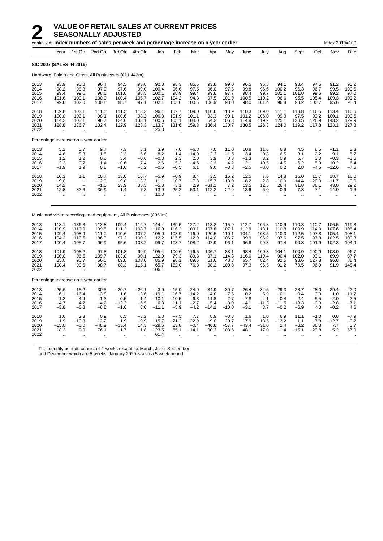|                                       |                                                          |                                                                            | continued Index numbers of sales per week and percentage increase on a year earlier |                                                          |                                                           |                                                |                                                         |                                               |                                                |                                                     |                                                        |                                                      |                                                  |                                               |                                           | Index 2019=100                               |                                            |
|---------------------------------------|----------------------------------------------------------|----------------------------------------------------------------------------|-------------------------------------------------------------------------------------|----------------------------------------------------------|-----------------------------------------------------------|------------------------------------------------|---------------------------------------------------------|-----------------------------------------------|------------------------------------------------|-----------------------------------------------------|--------------------------------------------------------|------------------------------------------------------|--------------------------------------------------|-----------------------------------------------|-------------------------------------------|----------------------------------------------|--------------------------------------------|
|                                       | Year                                                     | 1st Qtr                                                                    | 2nd Qtr                                                                             | 3rd Qtr                                                  | 4th Qtr                                                   | Jan                                            | Feb                                                     | Mar                                           | Apr                                            | May                                                 | June                                                   | July                                                 | Aug                                              | Sept                                          | Oct                                       | Nov                                          | Dec                                        |
| <b>SIC 2007 (SALES IN 2019)</b>       |                                                          |                                                                            |                                                                                     |                                                          |                                                           |                                                |                                                         |                                               |                                                |                                                     |                                                        |                                                      |                                                  |                                               |                                           |                                              |                                            |
|                                       |                                                          |                                                                            | Hardware, Paints and Glass, All Businesses (£11,442m)                               |                                                          |                                                           |                                                |                                                         |                                               |                                                |                                                     |                                                        |                                                      |                                                  |                                               |                                           |                                              |                                            |
| 2013<br>2014<br>2015<br>2016<br>2017  | 93.9<br>98.2<br>99.4<br>101.6<br>99.6                    | 90.8<br>98.3<br>99.5<br>100.1<br>102.0                                     | 96.4<br>97.9<br>98.6<br>100.0<br>100.8                                              | 94.5<br>97.6<br>101.0<br>100.4<br>98.7                   | 93.8<br>99.0<br>98.5<br>105.7<br>97.1                     | 92.8<br>100.4<br>100.1<br>102.7<br>102.1       | 95.3<br>96.6<br>98.9<br>104.2<br>103.6                  | 85.5<br>97.5<br>99.4<br>94.8<br>100.6         | 93.8<br>96.0<br>99.8<br>97.5<br>106.9          | 99.0<br>97.5<br>97.7<br>101.9<br>98.0               | 96.5<br>99.8<br>98.4<br>100.5<br>98.0                  | 96.3<br>96.6<br>99.7<br>110.2<br>101.4               | 94.1<br>100.2<br>101.1<br>96.6<br>96.8           | 93.4<br>96.3<br>101.8<br>95.5<br>98.2         | 94.6<br>96.7<br>99.6<br>105.4<br>100.7    | 91.2<br>99.5<br>99.2<br>109.3<br>95.6        | 95.2<br>100.6<br>97.0<br>103.2<br>95.4     |
| 2018<br>2019<br>2020<br>2021<br>2022  | 109.8<br>100.0<br>114.2<br>128.8<br>ä,                   | 103.1<br>103.1<br>103.1<br>136.7                                           | 111.5<br>98.1<br>96.7<br>132.4                                                      | 111.5<br>100.6<br>124.6<br>122.9                         | 113.3<br>98.2<br>133.1<br>123.3                           | 96.1<br>106.8<br>100.6<br>113.7<br>125.3       | 102.7<br>101.9<br>105.1<br>131.6                        | 109.0<br>101.1<br>104.0<br>159.3              | 110.6<br>93.3<br>64.3<br>136.4                 | 113.9<br>99.1<br>106.3<br>130.7                     | 110.3<br>101.2<br>114.9<br>130.5                       | 109.0<br>106.0<br>119.2<br>126.3                     | 111.1<br>99.0<br>125.1<br>124.0                  | 113.8<br>97.5<br>128.5<br>119.2               | 116.5<br>93.2<br>126.9<br>117.8           | 113.4<br>100.1<br>143.2<br>123.1             | 110.6<br>100.6<br>129.9<br>127.8           |
| Percentage increase on a year earlier |                                                          |                                                                            |                                                                                     |                                                          |                                                           |                                                |                                                         |                                               |                                                |                                                     |                                                        |                                                      |                                                  |                                               |                                           |                                              |                                            |
| 2013<br>2014<br>2015<br>2016<br>2017  | 5.1<br>4.6<br>1.2<br>2.2<br>$-1.9$                       | 0.7<br>8.3<br>1.2<br>0.7<br>1.9                                            | 9.7<br>1.5<br>0.8<br>1.4<br>0.8                                                     | 7.3<br>3.3<br>3.4<br>$-0.6$<br>$-1.6$                    | 3.1<br>5.6<br>$-0.6$<br>7.4<br>$-8.2$                     | 3.9<br>8.2<br>$-0.3$<br>2.6<br>$-0.6$          | 7.0<br>1.4<br>2.3<br>5.3<br>$-0.5$                      | $-6.8$<br>14.0<br>2.0<br>$-4.6$<br>6.1        | 7.0<br>2.3<br>3.9<br>$-2.3$<br>9.6             | 11.0<br>$-1.5$<br>$0.\overline{3}$<br>4.2<br>$-3.8$ | 10.8<br>3.4<br>$-1.3$<br>2.1<br>$-2.5$                 | 11.6<br>$\frac{0.3}{3.2}$<br>10.5<br>$-8.0$          | 6.8<br>6.5<br>0.9<br>$-4.5$<br>0.2               | 4.5<br>3.1<br>5.7<br>$-6.2$<br>2.8            | 8.5<br>2.2<br>3.0<br>5.9<br>$-4.5$        | $-1.1$<br>9.1<br>$-0.3$<br>10.2<br>$-12.6$   | 2.3<br>5.7<br>$-3.6$<br>6.4<br>$-7.6$      |
| 2018<br>2019<br>2020<br>2021<br>2022  | 10.3<br>$-9.0$<br>14.2<br>12.8<br>$\ddot{\phantom{a}}$   | 1.1<br>$\qquad \qquad -$<br>$\overline{a}$<br>32.6<br>$\ddot{\phantom{a}}$ | 10.7<br>$-12.0$<br>$-1.5$<br>36.9<br>$\sim$                                         | 13.0<br>$-9.8$<br>23.9<br>$-1.4$<br>$\ddot{\phantom{a}}$ | 16.7<br>$-13.3$<br>35.5<br>$-7.3$<br>$\ddot{\phantom{a}}$ | $-5.9$<br>11.1<br>$-5.8$<br>13.0<br>10.3       | $-0.9$<br>$-0.7$<br>3.1<br>25.2<br>$\ddot{\phantom{a}}$ | 8.4<br>$-7.3$<br>2.9<br>53.1                  | 3.5<br>$-15.7$<br>$-31.1$<br>112.2             | 16.2<br>$-13.0$<br>7.2<br>22.9<br>$\sim$            | 12.5<br>$-8.2$<br>13.5<br>13.6<br>$\ddot{\phantom{a}}$ | 7.6<br>$-2.8$<br>12.5<br>6.0<br>$\ddot{\phantom{a}}$ | 14.8<br>$-10.9$<br>26.4<br>$-0.9$                | 16.0<br>$-14.4$<br>31.8<br>$-7.3$             | 15.7<br>$-20.0$<br>36.1<br>$-7.1$         | 18.7<br>$-11.7$<br>43.0<br>$-14.0$           | 16.0<br>$-9.0$<br>29.2<br>$-1.6$           |
|                                       |                                                          |                                                                            | Music and video recordings and equipment, All Businesses (£961m)                    |                                                          |                                                           |                                                |                                                         |                                               |                                                |                                                     |                                                        |                                                      |                                                  |                                               |                                           |                                              |                                            |
| 2013<br>2014<br>2015<br>2016<br>2017  | 118.1<br>110.9<br>109.4<br>104.3<br>100.4                | 136.3<br>113.9<br>108.9<br>113.5<br>105.7                                  | 113.8<br>109.5<br>111.0<br>106.3<br>96.9                                            | 109.4<br>111.2<br>110.6<br>97.2<br>95.6                  | 112.7<br>108.7<br>107.2<br>100.2<br>103.2                 | 144.4<br>116.9<br>105.0<br>112.2<br>99.7       | 139.5<br>116.2<br>103.9<br>115.5<br>108.7               | 127.2<br>109.1<br>116.0<br>112.9<br>108.2     | 113.2<br>107.8<br>120.5<br>114.0<br>97.9       | 115.9<br>107.1<br>110.1<br>106.7<br>96.1            | 112.7<br>112.9<br>104.1<br>99.9<br>96.8                | 106.8<br>113.1<br>108.5<br>96.2<br>99.8              | 110.9<br>110.8<br>110.3<br>97.6<br>97.4          | 110.3<br>109.9<br>112.5<br>97.5<br>90.8       | 110.7<br>114.0<br>107.8<br>97.8<br>101.9  | 106.5<br>107.6<br>105.4<br>102.5<br>102.3    | 119.3<br>105.4<br>108.1<br>100.3<br>104.9  |
| 2018<br>2019<br>2020<br>2021<br>2022  | 101.9<br>100.0<br>85.0<br>100.4<br>ä,                    | 108.2<br>96.5<br>90.7<br>99.6                                              | 97.8<br>109.7<br>56.0<br>98.7                                                       | 101.8<br>103.8<br>89.8<br>88.3                           | 99.9<br>90.1<br>103.0<br>115.1                            | 105.4<br>122.0<br>85.9<br>65.7<br>106.1        | 100.6<br>79.3<br>98.1<br>162.0                          | 116.5<br>89.8<br>89.5<br>76.8                 | 106.7<br>97.1<br>51.6<br>98.2                  | 88.1<br>114.3<br>48.3<br>100.8                      | 98.4<br>116.0<br>65.7<br>97.3                          | 100.8<br>119.4<br>82.4<br>96.5                       | 104.1<br>90.4<br>92.5<br>91.2                    | 100.9<br>102.0<br>93.6<br>79.5                | 100.9<br>93.1<br>127.3<br>96.9            | 103.0<br>89.9<br>96.8<br>91.9                | 96.7<br>87.7<br>88.4<br>148.4              |
| Percentage increase on a year earlier |                                                          |                                                                            |                                                                                     |                                                          |                                                           |                                                |                                                         |                                               |                                                |                                                     |                                                        |                                                      |                                                  |                                               |                                           |                                              |                                            |
| 2013<br>2014<br>2015<br>2016<br>2017  | $-25.6$<br>$-6.1$<br>$-1.3$<br>$-4.7$<br>$-3.8$          | $-15.2$<br>$-16.4$<br>$-4.4$<br>4.2<br>$-6.8$                              | $-30.5$<br>$-3.8$<br>1.3<br>$-4.2$<br>$-8.8$                                        | $-30.7$<br>1.6<br>$-0.5$<br>$-12.2$<br>$-1.6$            | $-26.1$<br>$-3.6$<br>$-1.4$<br>$-6.5$<br>3.0              | $-3.0$<br>$-19.1$<br>$-10.1$<br>6.8<br>$-11.1$ | $-15.0$<br>$-16.7$<br>$-10.5$<br>11.1<br>$-5.9$         | $-24.0$<br>$-14.2$<br>6.3<br>$-2.7$<br>$-4.2$ | $-34.9$<br>$-4.8$<br>11.8<br>$-5.4$<br>$-14.1$ | $-30.7$<br>$-7.5$<br>2.7<br>$-3.0$<br>$-10.0$       | $-26.4$<br>0.2<br>$-7.8$<br>$-4.1$<br>$-3.1$           | $-34.5$<br>5.9<br>$-4.1$<br>$-11.3$<br>3.7           | $-29.3$<br>$-0.1$<br>$-0.4$<br>$-11.5$<br>$-0.2$ | $-28.7$<br>$-0.4$<br>2.4<br>$-13.3$<br>$-6.9$ | $-28.0$<br>3.0<br>$-5.5$<br>$-9.3$<br>4.3 | $-29.4$<br>1.0<br>$-2.0$<br>$-2.8$<br>$-0.2$ | $-22.0$<br>$-11.7$<br>2.5<br>$-7.1$<br>4.6 |
| 2018<br>2019<br>2020<br>2021<br>2022  | 1.6<br>$-1.9$<br>$-15.0$<br>18.2<br>$\ddot{\phantom{a}}$ | 2.3<br>$-10.8$<br>$-6.0$<br>9.9<br>$\ddot{\phantom{1}}$                    | 0.9<br>12.2<br>$-48.9$<br>76.1                                                      | 6.5<br>1.9<br>$-13.4$<br>$-1.7$                          | $-3.2$<br>$-9.9$<br>14.3<br>11.8                          | 5.8<br>15.7<br>$-29.6$<br>$-23.5$<br>61.4      | $-7.5$<br>$-21.2$<br>23.8<br>65.1                       | 7.7<br>$-22.9$<br>$-0.4$<br>$-14.1$           | 8.9<br>$-9.0$<br>$-46.8$<br>90.3<br>$\ddotsc$  | $-8.3$<br>29.7<br>$-57.7$<br>108.6                  | 1.6<br>17.9<br>$-43.4$<br>48.1                         | 1.0<br>18.5<br>$-31.0$<br>17.0                       | 6.9<br>$-13.2$<br>2.4<br>$-1.4$                  | 11.1<br>1.1<br>$-8.2$<br>$-15.1$              | $-1.0$<br>$-7.8$<br>36.8<br>$-23.8$       | 0.8<br>$-12.7$<br>7.7<br>$-5.2$              | $-7.9$<br>$-9.2$<br>0.7<br>67.9            |

The monthly periods consist of 4 weeks except for March, June, September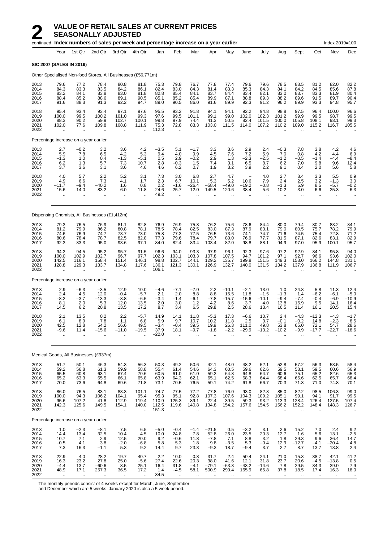|                                      |                                             |                                                         | continued Index numbers of sales per week and percentage increase on a year earlier |                                                         |                                                         |                                          |                                              |                                         |                                            |                                          |                                                     |                                          |                                              |                                             |                                             | Index 2019=100                               |                                                                  |
|--------------------------------------|---------------------------------------------|---------------------------------------------------------|-------------------------------------------------------------------------------------|---------------------------------------------------------|---------------------------------------------------------|------------------------------------------|----------------------------------------------|-----------------------------------------|--------------------------------------------|------------------------------------------|-----------------------------------------------------|------------------------------------------|----------------------------------------------|---------------------------------------------|---------------------------------------------|----------------------------------------------|------------------------------------------------------------------|
|                                      | Year                                        | 1st Qtr                                                 | 2nd Qtr                                                                             | 3rd Qtr                                                 | 4th Qtr                                                 | Jan                                      | Feb                                          | Mar                                     | Apr                                        | May                                      | June                                                | July                                     | Aug                                          | Sept                                        | Oct                                         | Nov                                          | Dec                                                              |
| <b>SIC 2007 (SALES IN 2019)</b>      |                                             |                                                         |                                                                                     |                                                         |                                                         |                                          |                                              |                                         |                                            |                                          |                                                     |                                          |                                              |                                             |                                             |                                              |                                                                  |
|                                      |                                             |                                                         | Other Specialised Non-food Stores, All Businesses (£56,771m)                        |                                                         |                                                         |                                          |                                              |                                         |                                            |                                          |                                                     |                                          |                                              |                                             |                                             |                                              |                                                                  |
| 2013<br>2014<br>2015<br>2016<br>2017 | 79.6<br>84.3<br>83.2<br>88.4<br>91.6        | 77.2<br>83.3<br>84.1<br>85.2<br>88.3                    | 78.4<br>83.5<br>83.8<br>88.6<br>91.3                                                | 80.8<br>84.2<br>83.0<br>89.1<br>92.2                    | 81.8<br>86.1<br>81.8<br>90.5<br>94.7                    | 75.3<br>82.4<br>82.8<br>85.1<br>89.0     | 79.8<br>83.0<br>85.4<br>85.2<br>90.5         | 76.7<br>84.3<br>84.1<br>85.4<br>86.0    | 77.8<br>81.4<br>83.7<br>89.9<br>91.6       | 77.4<br>83.3<br>84.4<br>87.1<br>89.9     | 79.6<br>85.3<br>83.4<br>88.8<br>92.3                | 79.6<br>84.3<br>82.1<br>89.3<br>91.2     | 78.5<br>84.1<br>83.0<br>88.2<br>96.2         | 83.5<br>84.2<br>83.7<br>89.6<br>89.9        | 81.2<br>84.5<br>83.3<br>91.5<br>93.3        | 82.0<br>85.6<br>81.9<br>89.7<br>94.8         | 82.2<br>87.8<br>80.4<br>90.4<br>95.7                             |
| 2018<br>2019<br>2020<br>2021<br>2022 | 95.4<br>100.0<br>88.3<br>102.0              | 93.4<br>99.5<br>90.2<br>77.6                            | 93.4<br>100.2<br>59.9<br>109.8                                                      | 97.1<br>101.0<br>102.7<br>108.8                         | 97.6<br>99.3<br>100.1<br>111.9                          | 95.5<br>97.6<br>99.8<br>75.3<br>112.3    | 93.2<br>99.5<br>97.9<br>72.8<br>$\mathbf{r}$ | 91.8<br>101.1<br>74.4<br>83.3           | 94.1<br>99.1<br>41.3<br>103.0              | 94.1<br>99.0<br>50.5<br>111.5            | 92.2<br>102.0<br>82.4<br>114.0                      | 94.8<br>102.3<br>101.5<br>107.2          | 98.8<br>101.2<br>100.0<br>110.2              | 97.5<br>99.9<br>105.8<br>109.0              | 96.4<br>99.5<br>108.1<br>115.2              | 100.0<br>98.7<br>93.1<br>116.7               | 96.6<br>99.5<br>99.3<br>105.5                                    |
|                                      |                                             | Percentage increase on a year earlier                   |                                                                                     |                                                         |                                                         |                                          |                                              |                                         |                                            |                                          |                                                     |                                          |                                              |                                             |                                             |                                              |                                                                  |
| 2013<br>2014<br>2015<br>2016<br>2017 | 2.7<br>5.9<br>$-1.3$<br>6.2<br>3.7          | $-0.2$<br>7.8<br>1.0<br>1.3<br>3.6                      | 3.2<br>6.5<br>0.4<br>5.7<br>3.1                                                     | 3.6<br>4.2<br>$-1.3$<br>7.3<br>3.6                      | 4.2<br>5.3<br>$-5.1$<br>10.7<br>4.6                     | $-3.5$<br>9.4<br>0.5<br>2.8<br>4.6       | 5.1<br>4.0<br>2.9<br>$-0.3$<br>6.2           | $-1.7$<br>9.9<br>$-0.2$<br>1.5<br>0.7   | 3.3<br>4.5<br>2.9<br>7.4<br>1.9            | 3.6<br>7.6<br>1.3<br>3.1<br>3.2          | 2.9<br>7.2<br>$-2.3$<br>6.5<br>3.9                  | 2.4<br>5.9<br>$-2.5$<br>8.7<br>2.2       | $-0.3$<br>7.0<br>$-1.2$<br>6.2<br>9.1        | 7.8<br>0.8<br>$-0.5$<br>7.0<br>0.4          | 3.8<br>4.2<br>$-1.4$<br>9.8<br>2.0          | 4.2<br>4.4<br>-4.4<br>9.6<br>5.6             | 4.6<br>6.9<br>$-8.4$<br>12.4<br>5.8                              |
| 2018<br>2019<br>2020<br>2021<br>2022 | 4.0<br>4.9<br>-11.7<br>15.6<br>ä,           | 5.7<br>6.6<br>$-9.4$<br>-14.0                           | 2.2<br>7.3<br>-40.2<br>83.2<br>$\ddot{\phantom{a}}$                                 | 5.2<br>4.1<br>1.6<br>6.0<br>ä.                          | 3.1<br>1.7<br>0.8<br>11.8                               | 7.3<br>2.3<br>2.2<br>$-24.6$<br>49.2     | 3.0<br>6.7<br>$-1.6$<br>$-25.7$<br>$\ddotsc$ | 6.8<br>10.1<br>$-26.4$<br>12.0          | 2.7<br>5.3<br>$-58.4$<br>149.5             | 4.7<br>5.2<br>$-49.0$<br>120.6           | 10.6<br>$-19.2$<br>38.4                             | 4.0<br>7.9<br>$-0.8$<br>5.6<br>ä.        | 2.7<br>2.4<br>$-1.3$<br>10.2<br>$\ddotsc$    | 8.4<br>2.5<br>5.9<br>3.0<br>$\ddotsc$       | 3.3<br>3.2<br>8.5<br>6.6<br>$\ddotsc$       | 5.5<br>$-1.3$<br>-5.7<br>25.3<br>$\ddotsc$   | 0.9<br>3.0<br>$-0.2$<br>6.3                                      |
|                                      |                                             |                                                         | Dispensing Chemists, All Businesses (£1,412m)                                       |                                                         |                                                         |                                          |                                              |                                         |                                            |                                          |                                                     |                                          |                                              |                                             |                                             |                                              |                                                                  |
| 2013<br>2014<br>2015<br>2016<br>2017 | 79.3<br>81.2<br>74.6<br>80.6<br>92.3        | 76.5<br>79.9<br>76.9<br>78.4<br>83.3                    | 76.9<br>86.2<br>74.7<br>78.7<br>95.0                                                | 81.1<br>80.8<br>73.7<br>82.5<br>93.6                    | 82.8<br>78.1<br>73.0<br>82.8<br>97.1                    | 76.9<br>78.5<br>75.8<br>77.3<br>84.0     | 76.9<br>78.4<br>77.3<br>79.6<br>82.4         | 75.8<br>82.5<br>77.5<br>78.4<br>83.4    | 76.2<br>83.0<br>76.5<br>79.7<br>103.4      | 75.6<br>87.3<br>73.6<br>80.0<br>82.0     | 78.6<br>87.9<br>74.1<br>76.9<br>98.8                | 84.4<br>83.1<br>74.7<br>77.7<br>88.1     | 80.0<br>79.0<br>71.6<br>81.5<br>94.9         | 79.4<br>80.5<br>74.5<br>87.1<br>97.0        | 80.7<br>75.7<br>75.4<br>82.6<br>95.9        | 83.2<br>78.2<br>72.8<br>83.1<br>100.1        | 84.1<br>79.9<br>71.2<br>82.9<br>95.7                             |
| 2018<br>2019<br>2020<br>2021<br>2022 | 94.2<br>100.0<br>142.5<br>128.8<br>ă,       | 94.5<br>102.9<br>116.1<br>129.3<br>$\ddot{\phantom{a}}$ | 95.2<br>102.7<br>158.4<br>133.7                                                     | 95.7<br>96.7<br>151.4<br>134.8                          | 91.5<br>97.7<br>146.1<br>117.6                          | 96.6<br>102.3<br>98.8<br>136.1<br>106.1  | 94.0<br>103.1<br>102.7<br>121.3              | 93.3<br>103.3<br>144.1<br>130.1         | 97.9<br>107.8<br>129.2<br>126.9            | 96.1<br>107.5<br>135.7<br>132.7          | 92.3<br>94.7<br>199.8<br>140.0                      | 97.6<br>101.2<br>151.5<br>131.5          | 97.2<br>97.1<br>149.3<br>134.2               | 92.9<br>92.7<br>153.0<br>137.9              | 84.1<br>96.6<br>166.2<br>136.8              | 95.8<br>93.6<br>144.8<br>111.9               | 94.0<br>102.0<br>131.1<br>106.7                                  |
|                                      |                                             | Percentage increase on a year earlier                   |                                                                                     |                                                         |                                                         |                                          |                                              |                                         |                                            |                                          |                                                     |                                          |                                              |                                             |                                             |                                              |                                                                  |
| 2013<br>2014<br>2015<br>2016<br>2017 | 2.9<br>2.4<br>$-8.2$<br>8.1<br>14.5         | $-6.3$<br>4.5<br>$-3.7$<br>2.0<br>6.2                   | $-3.5$<br>12.0<br>$-13.3$<br>5.3<br>20.8                                            | 12.9<br>$-0.4$<br>$-8.8$<br>12.0<br>13.5                | 10.0<br>$-5.7$<br>$-6.5$<br>13.5<br>17.2                | $-4.6$<br>2.1<br>$-3.4$<br>2.0<br>8.7    | $-7.1$<br>2.0<br>$-1.4$<br>3.0<br>3.4        | $-7.0$<br>8.8<br>$-6.1$<br>$1.2$<br>6.5 | 2.2<br>8.8<br>$-7.8$<br>4.2<br>29.8        | $-10.1$<br>15.5<br>$-15.7$<br>8.6<br>2.5 | $-2.1$<br>11.8<br>$-15.6$<br>3.7<br>28.6            | 13.0<br>$-1.5$<br>$-10.1$<br>4.0<br>13.4 | 1.0<br>$-1.3$<br>$-9.4$<br>13.8<br>16.5      | 24.8<br>1.4<br>$-7.4$<br>16.9<br>11.4       | 5.8<br>$-6.2$<br>$-0.4$<br>9.5<br>16.1      | 11.3<br>-6.1<br>$-6.9$<br>14.1<br>20.5       | 12.4<br>$-5.0$<br>$-10.9$<br>16.4<br>15.4                        |
| 2018<br>2019<br>2020<br>2021<br>2022 | 2.1<br>6.1<br>42.5<br>$-9.6$                | 13.5<br>8.9<br>12.8<br>11.4<br>$\ddot{\phantom{a}}$     | 0.2<br>7.8<br>54.2<br>$-15.6$<br>$\ddotsc$                                          | 2.2<br>1.1<br>56.6<br>$-11.0$<br>ä.                     | $-5.7$<br>6.8<br>49.5<br>$-19.5$                        | 14.9<br>5.9<br>$-3.4$<br>37.9<br>$-22.0$ | 14.1<br>9.7<br>$-0.4$<br>18.1                | 11.8<br>10.7<br>39.5<br>$-9.7$          | $-5.3$<br>10.2<br>19.9<br>$-1.8$           | 17.3<br>11.8<br>26.3<br>$-2.2$           | $-6.6$<br>2.5<br>111.0<br>$-29.9$                   | 10.7<br>3.7<br>49.8<br>$-13.2$           | 2.4<br>$-0.1$<br>53.8<br>$-10.2$             | $-4.3$<br>$-0.2$<br>65.0<br>$-9.9$          | $-12.3$<br>14.8<br>72.1<br>$-17.7$          | -4.3<br>$-2.3$<br>54.7<br>$-22.7$            | $-1.7$<br>8.5<br>28.6<br>$-18.6$                                 |
|                                      |                                             |                                                         | Medical Goods, All Businesses (£937m)                                               |                                                         |                                                         |                                          |                                              |                                         |                                            |                                          |                                                     |                                          |                                              |                                             |                                             |                                              |                                                                  |
| 2013<br>2014<br>2015<br>2016<br>2017 | 51.7<br>59.2<br>65.5<br>65.2<br>70.0        | 50.1<br>56.8<br>60.8<br>63.3<br>73.6                    | 46.3<br>61.3<br>63.1<br>65.5<br>64.8                                                | 54.3<br>59.9<br>67.4<br>66.1<br>69.6                    | 56.3<br>58.8<br>70.6<br>65.8<br>71.8                    | 50.3<br>55.4<br>60.5<br>63.9<br>73.1     | 49.2<br>61.4<br>61.0<br>64.3<br>70.5         | 50.6<br>54.6<br>61.0<br>62.1<br>76.5    | 42.1<br>64.3<br>59.3<br>65.1<br>59.1       | 48.0<br>60.5<br>64.8<br>62.5<br>74.2     | 48.2<br>59.6<br>64.8<br>68.3<br>61.8                | 52.1<br>62.6<br>64.7<br>64.4<br>66.7     | 52.8<br>59.5<br>60.6<br>68.4<br>70.3         | 57.2<br>58.1<br>75.1<br>65.6<br>71.3        | 56.3<br>59.5<br>65.2<br>62.5<br>71.0        | 53.5<br>60.6<br>82.6<br>65.7<br>74.8         | 58.4<br>56.9<br>65.3<br>68.4<br>70.1                             |
| 2018<br>2019<br>2020<br>2021<br>2022 | 86.0<br>100.0<br>95.6<br>142.3<br>$\ddotsc$ | 76.5<br>94.3<br>107.2<br>125.6<br>$\ddotsc$             | 83.1<br>106.2<br>41.8<br>149.5<br>$\ddot{\phantom{a}}$                              | 83.3<br>104.1<br>112.9<br>154.1<br>$\ddot{\phantom{a}}$ | 101.1<br>95.4<br>119.4<br>140.0<br>$\ddot{\phantom{a}}$ | 74.7<br>95.3<br>110.9<br>112.5<br>151.3  | 77.5<br>95.1<br>125.3<br>119.6               | 77.2<br>92.8<br>89.1<br>140.8           | 77.8<br>107.3<br>22.4<br>134.8             | 76.0<br>107.6<br>39.5<br>154.2           | 93.0<br>104.3<br>59.3<br>157.6                      | 82.8<br>109.2<br>93.2<br>154.5           | 85.0<br>105.1<br>113.3<br>156.2<br>$\ddotsc$ | 82.2<br>99.1<br>128.4<br>152.2<br>$\ddotsc$ | 98.5<br>94.1<br>126.4<br>148.4<br>$\ddotsc$ | 106.3<br>91.7<br>127.5<br>148.3<br>$\ddotsc$ | 99.0<br>99.5<br>107.4<br>126.7                                   |
|                                      |                                             | Percentage increase on a year earlier                   |                                                                                     |                                                         |                                                         |                                          |                                              |                                         |                                            |                                          |                                                     |                                          |                                              |                                             |                                             |                                              |                                                                  |
| 2013<br>2014<br>2015<br>2016<br>2017 | 1.0<br>14.4<br>10.7<br>$-0.5$<br>7.3        | $-2.3$<br>13.4<br>7.1<br>4.1<br>16.3                    | $-8.1$<br>32.5<br>2.9<br>3.8<br>$-1.1$                                              | 7.5<br>10.4<br>12.5<br>$-2.0$<br>5.3                    | 6.5<br>4.5<br>20.0<br>$-6.8$<br>9.2                     | $-5.0$<br>10.0<br>9.2<br>5.8<br>14.4     | $-0.4$<br>24.8<br>$-0.6$<br>5.3<br>9.7       | $-1.4$<br>7.8<br>11.8<br>1.8<br>23.3    | $-21.5$<br>52.8<br>$-7.8$<br>9.8<br>$-9.3$ | 0.5<br>26.0<br>7.1<br>$-3.5$<br>18.7     | $-3.2$<br>$23.\overline{5}$<br>8.8<br>5.3<br>$-9.4$ | 3.1<br>20.3<br>3.2<br>$-0.4$<br>3.7      | 2.6<br>12.7<br>1.8<br>12.9<br>2.7            | 15.2<br>1.6<br>29.3<br>$-12.7$<br>8.7       | 7.0<br>5.6<br>9.6<br>$-4.1$<br>13.7         | 2.4<br>13.1<br>36.4<br>$-20.4$<br>13.8       | $\begin{array}{c} 9.2 \\ -2.5 \\ 14.7 \end{array}$<br>4.8<br>2.4 |
| 2018<br>2019<br>2020<br>2021<br>2022 | 22.9<br>16.3<br>$-4.4$<br>48.9              | 4.0<br>23.2<br>13.7<br>17.1                             | 28.2<br>27.8<br>$-60.6$<br>257.3                                                    | 19.7<br>25.0<br>8.5<br>36.5                             | 40.7<br>$-5.6$<br>25.1<br>17.2                          | 2.2<br>27.4<br>16.4<br>1.4<br>34.5       | 10.0<br>22.6<br>31.8<br>$-4.5$               | 0.8<br>20.3<br>$-4.1$<br>58.1           | 31.7<br>38.0<br>$-79.1$<br>500.9           | 2.4<br>41.6<br>$-63.3$<br>290.4          | 50.4<br>12.1<br>$-43.2$<br>165.9                    | 24.1<br>31.8<br>$-14.6$<br>65.8          | 21.0<br>23.7<br>7.8<br>37.8                  | 15.3<br>20.6<br>29.5<br>18.5                | 38.7<br>$-4.5$<br>34.3<br>17.4              | 42.1<br>$-13.8$<br>39.0<br>16.3              | 41.2<br>0.5<br>7.9<br>18.0                                       |

The monthly periods consist of 4 weeks except for March, June, September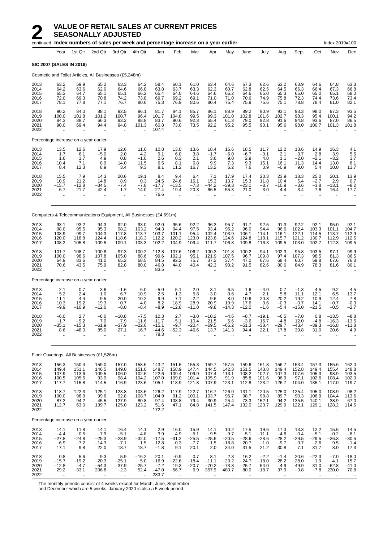|                                      |                                                           |                                                           | continued Index numbers of sales per week and percentage increase on a year earlier |                                              |                                                         |                                               |                                                        |                                             |                                            |                                              |                                              |                                              |                                             |                                                         |                                             | Index 2019=100                                                |                                           |
|--------------------------------------|-----------------------------------------------------------|-----------------------------------------------------------|-------------------------------------------------------------------------------------|----------------------------------------------|---------------------------------------------------------|-----------------------------------------------|--------------------------------------------------------|---------------------------------------------|--------------------------------------------|----------------------------------------------|----------------------------------------------|----------------------------------------------|---------------------------------------------|---------------------------------------------------------|---------------------------------------------|---------------------------------------------------------------|-------------------------------------------|
|                                      | Year                                                      | 1st Qtr                                                   | 2nd Qtr                                                                             | 3rd Qtr                                      | 4th Qtr                                                 | Jan                                           | Feb                                                    | Mar                                         | Apr                                        | May                                          | June                                         | July                                         | Aug                                         | Sept                                                    | Oct                                         | Nov                                                           | Dec                                       |
| <b>SIC 2007 (SALES IN 2019)</b>      |                                                           |                                                           |                                                                                     |                                              |                                                         |                                               |                                                        |                                             |                                            |                                              |                                              |                                              |                                             |                                                         |                                             |                                                               |                                           |
|                                      |                                                           |                                                           | Cosmetic and Toilet Articles, All Businesses (£5,248m)                              |                                              |                                                         |                                               |                                                        |                                             |                                            |                                              |                                              |                                              |                                             |                                                         |                                             |                                                               |                                           |
| 2013<br>2014<br>2015<br>2016<br>2017 | 63.2<br>64.2<br>65.3<br>72.0<br>78.1                      | 59.9<br>63.6<br>64.7<br>69.3<br>77.8                      | 65.2<br>62.0<br>65.1<br>70.8<br>77.1                                                | 63.3<br>64.6<br>65.1<br>74.2<br>76.7         | 64.2<br>66.8<br>66.2<br>73.8<br>80.6                    | 58.4<br>63.8<br>65.4<br>69.7<br>75.3          | 60.1<br>63.7<br>64.0<br>69.2<br>76.9                   | 61.0<br>63.3<br>64.6<br>69.1<br>80.6        | 63.4<br>62.3<br>64.6<br>71.0<br>80.4       | 64.6<br>60.7<br>66.2<br>71.0<br>75.4         | 67.3<br>62.8<br>64.6<br>70.6<br>75.9         | 62.6<br>62.5<br>65.0<br>74.9<br>75.6         | 63.2<br>64.5<br>65.3<br>75.8<br>75.1        | 63.9<br>66.3<br>65.0<br>72.3<br>78.8                    | 64.6<br>66.4<br>65.0<br>74.4<br>78.4        | 64.8<br>67.3<br>65.1<br>73.6<br>81.0                          | 63.3<br>66.8<br>68.0<br>73.4<br>82.1      |
| 2018<br>2019<br>2020<br>2021<br>2022 | 90.2<br>100.0<br>84.3<br>90.0<br>$\cdot$ .                | 84.0<br>101.8<br>88.7<br>69.4                             | 88.1<br>101.2<br>66.3<br>94.4                                                       | 92.5<br>100.7<br>93.2<br>94.8                | 96.1<br>96.4<br>88.8<br>101.3                           | 81.7<br>101.7<br>83.7<br>60.8<br>107.4        | 84.1<br>104.8<br>90.6<br>73.0<br>$\mathbf{r}$          | 85.7<br>99.5<br>92.3<br>73.5                | 86.1<br>99.3<br>55.4<br>92.2               | 88.9<br>101.0<br>61.3<br>95.2                | 89.2<br>102.8<br>79.0<br>95.5                | 90.9<br>101.6<br>92.8<br>90.1                | 93.1<br>102.7<br>91.6<br>95.6               | 93.3<br>98.3<br>94.8<br>98.0                            | 98.0<br>95.4<br>93.6<br>100.7               | 97.3<br>100.1<br>87.0<br>101.3                                | 93.5<br>94.2<br>86.5<br>101.8             |
|                                      |                                                           | Percentage increase on a year earlier                     |                                                                                     |                                              |                                                         |                                               |                                                        |                                             |                                            |                                              |                                              |                                              |                                             |                                                         |                                             |                                                               |                                           |
| 2013<br>2014<br>2015<br>2016<br>2017 | 13.5<br>1.7<br>1.6<br>10.4<br>8.4                         | 12.6<br>6.1<br>1.7<br>7.1<br>12.3                         | 17.9<br>$-5.0$<br>4.9<br>8.9<br>8.9                                                 | 12.6<br>2.0<br>0.8<br>14.0<br>3.4            | 11.0<br>4.2<br>$-1.0$<br>11.5<br>9.3                    | 10.8<br>9.1<br>2.6<br>6.5<br>8.1              | 13.0<br>6.0<br>0.3<br>8.1<br>11.2                      | 13.6<br>3.8<br>2.1<br>6.8<br>16.7           | 18.4<br>$-1.7$<br>3.6<br>9.9<br>13.2       | 16.6<br>$-6.0$<br>9.0<br>7.3<br>6.2          | 18.5<br>$-6.7$<br>2.9<br>9.3<br>7.6          | 11.7<br>$-0.1$<br>4.0<br>15.1<br>0.9         | 12.2<br>2.1<br>1.1<br>16.1<br>$-0.9$        | 13.6<br>3.7<br>$-2.0$<br>11.3<br>9.0                    | 14.9<br>2.8<br>$-2.1$<br>14.4<br>5.4        | 16.3<br>3.9<br>$-3.2$<br>13.0<br>10.0                         | 4.1<br>5.6<br>1.7<br>8.1<br>11.7          |
| 2018<br>2019<br>2020<br>2021<br>2022 | 15.5<br>10.9<br>$-15.7$<br>6.7<br>ä.                      | 7.9<br>21.2<br>$-12.8$<br>-21.7                           | 14.3<br>14.8<br>$-34.5$<br>42.4                                                     | 20.6<br>8.9<br>$-7.4$<br>1.7                 | 19.1<br>0.3<br>$-7.8$<br>14.0                           | 8.4<br>24.5<br>$-17.7$<br>$-27.4$<br>76.6     | 9.4<br>24.6<br>$-13.5$<br>$-19.4$                      | 6.4<br>16.1<br>$-7.3$<br>$-20.3$            | 7.1<br>15.3<br>-44.2<br>66.5               | 17.9<br>13.7<br>$-39.3$<br>55.3              | 17.4<br>15.3<br>$-23.1$<br>21.0              | 20.3<br>11.8<br>$-8.7$<br>$-3.0$             | 23.9<br>10.4<br>$-10.9$<br>4.4              | 18.3<br>5.4<br>$-3.6$<br>3.4                            | 25.0<br>$-2.7$<br>$-1.8$<br>7.6             | 20.1<br>2.9<br>$-13.1$<br>16.4                                | 13.9<br>0.7<br>$-8.2$<br>17.7             |
|                                      |                                                           |                                                           | Computers & Telecommunications Equipment, All Businesses (£4,691m)                  |                                              |                                                         |                                               |                                                        |                                             |                                            |                                              |                                              |                                              |                                             |                                                         |                                             |                                                               |                                           |
| 2013<br>2014<br>2015<br>2016<br>2017 | 93.1<br>98.0<br>108.9<br>120.0<br>108.2                   | 93.2<br>95.5<br>99.7<br>118.8<br>105.8                    | 94.3<br>95.3<br>104.3<br>124.4<br>109.5                                             | 92.0<br>98.2<br>117.8<br>118.6<br>109.1      | 93.0<br>103.2<br>113.7<br>118.3<br>108.3                | 92.0<br>94.3<br>103.7<br>112.2<br>102.2       | 95.6<br>94.4<br>101.1<br>120.2<br>104.9                | 92.2<br>97.5<br>95.4<br>123.0<br>109.4      | 96.3<br>93.4<br>102.4<br>123.8<br>111.7    | 95.7<br>96.2<br>103.9<br>124.6<br>106.8      | 91.7<br>96.0<br>106.1<br>124.8<br>109.8      | 92.5<br>94.4<br>114.1<br>118.1<br>116.3      | 91.3<br>96.6<br>116.1<br>115.7<br>109.5     | 92.2<br>102.4<br>122.1<br>121.2<br>103.0                | 92.1<br>103.3<br>114.5<br>130.7<br>102.7    | 95.0<br>101.1<br>113.7<br>112.9<br>112.3                      | 92.1<br>104.7<br>112.9<br>112.5<br>109.5  |
| 2018<br>2019<br>2020<br>2021<br>2022 | 101.7<br>100.0<br>64.9<br>70.6<br>$\ddot{\phantom{a}}$    | 108.7<br>98.6<br>83.6<br>43.5<br>ă,                       | 100.8<br>107.8<br>41.0<br>75.9                                                      | 97.3<br>105.0<br>65.2<br>82.8<br>ä,          | 100.2<br>88.6<br>68.5<br>80.0                           | 112.8<br>99.6<br>84.5<br>46.8<br>83.5         | 107.6<br>102.1<br>92.2<br>44.0<br>$\ddot{\phantom{a}}$ | 106.2<br>95.1<br>75.7<br>40.4               | 100.3<br>121.9<br>37.2<br>42.3             | 101.8<br>107.5<br>37.4<br>90.2               | 100.2<br>96.7<br>47.0<br>91.5                | 94.1<br>109.8<br>67.6<br>82.6                | 102.3<br>97.4<br>68.4<br>80.6               | 95.8<br>107.3<br>60.7<br>84.9                           | 103.5<br>98.5<br>59.8<br>78.3               | 97.1<br>81.3<br>67.6<br>81.6                                  | 99.9<br>86.5<br>76.3<br>80.1              |
|                                      |                                                           | Percentage increase on a year earlier                     |                                                                                     |                                              |                                                         |                                               |                                                        |                                             |                                            |                                              |                                              |                                              |                                             |                                                         |                                             |                                                               |                                           |
| 2013<br>2014<br>2015<br>2016<br>2017 | 2.1<br>5.2<br>11.1<br>10.3<br>$-9.9$                      | 0.7<br>2.4<br>4.4<br>19.2<br>-10.9                        | 3.6<br>1.0<br>9.5<br>19.3<br>$-12.0$                                                | $-1.6$<br>6.7<br>20.0<br>0.7<br>$-8.0$       | 6.0<br>10.9<br>10.2<br>4.0<br>$-8.4$                    | $-5.0$<br>2.5<br>9.9<br>8.2<br>$-8.9$         | 5.1<br>$-1.3$<br>7.1<br>18.9<br>$-12.8$                | 2.0<br>5.8<br>$-2.2$<br>28.9<br>$-11.0$     | 3.1<br>$-3.0$<br>9.6<br>20.9<br>$-9.8$     | 6.5<br>0.6<br>8.0<br>19.9<br>$-14.3$         | 1.6<br>4.7<br>10.6<br>17.6<br>$-12.0$        | $-4.0$<br>2.1<br>20.8<br>3.6<br>$-1.6$       | 0.7<br>5.8<br>20.2<br>$-0.3$<br>$-5.4$      | $-1.3$<br>11.1<br>19.2<br>$-0.7$<br>$-15.0$             | 4.5<br>12.1<br>10.9<br>14.1<br>$-21.5$      | 9.2<br>6.5<br>12.4<br>$-0.7$<br>$-0.5$                        | 4.5<br>13.7<br>7.8<br>$-0.3$<br>$-2.7$    |
| 2018<br>2019<br>2020<br>2021<br>2022 | $-6.0$<br>$-1.7$<br>-35.1<br>8.6<br>$\mathbf{r}$          | 2.7<br>$-9.2$<br>$-15.3$<br>-48.0<br>$\ddot{\phantom{a}}$ | $-8.0$<br>7.0<br>-61.9<br>85.0<br>$\sim$                                            | $-10.8$<br>7.9<br>–37.9<br>27.1              | $-7.5$<br>$-11.6$<br>$-22.6$<br>16.7                    | 10.3<br>$-11.7$<br>$-15.1$<br>$-44.6$<br>78.3 | 2.7<br>$-5.1$<br>$-9.7$<br>$-52.3$                     | $-3.0$<br>$-10.4$<br>$-20.4$<br>$-46.6$     | $-10.2$<br>21.5<br>$-69.5$<br>13.7         | $-4.6$<br>5.6<br>$-65.2$<br>141.3            | $-8.7$<br>$-3.6$<br>$-51.3$<br>94.4          | $-19.1$<br>16.7<br>$-38.4$<br>22.1           | $-6.5$<br>$-4.8$<br>$-29.7$<br>17.8         | $-7.0$<br>12.0<br>-43.4<br>39.8                         | 0.8<br>$-4.8$<br>$-39.3$<br>31.0            | $-13.5$<br>$-16.3$<br>$-16.8$<br>20.6<br>$\ddot{\phantom{a}}$ | $-8.8$<br>$-13.5$<br>$-11.8$<br>4.9       |
|                                      |                                                           |                                                           | Floor Coverings, All Businesses (£1,526m)                                           |                                              |                                                         |                                               |                                                        |                                             |                                            |                                              |                                              |                                              |                                             |                                                         |                                             |                                                               |                                           |
| 2013<br>2014<br>2015<br>2016<br>2017 | 156.3<br>149.4<br>107.9<br>100.5<br>117.7                 | 150.4<br>151.1<br>113.6<br>105.5<br>115.8                 | 159.0<br>146.5<br>109.5<br>93.9<br>114.5                                            | 157.0<br>149.0<br>106.0<br>98.4<br>116.9     | 158.6<br>151.0<br>102.6<br>104.2<br>123.6               | 143.2<br>148.7<br>122.6<br>107.0<br>105.1     | 151.5<br>158.9<br>109.4<br>109.0<br>118.9              | 155.3<br>147.4<br>109.9<br>101.4<br>121.8   | 159.7<br>144.5<br>107.4<br>105.9<br>107.9  | 157.5<br>142.3<br>113.1<br>91.9<br>123.1     | 159.6<br>151.5<br>108.2<br>85.8<br>112.8     | 161.8<br>143.8<br>102.7<br>101.6<br>123.2    | 156.7<br>149.4<br>107.3<br>96.9<br>126.7    | 153.4<br>152.8<br>107.6<br>97.1<br>104.0                | 157.3<br>149.4<br>105.3<br>102.6<br>135.1   | 155.6<br>155.4<br>98.9<br>108.4<br>117.0                      | 162.0<br>148.8<br>103.5<br>102.0<br>119.7 |
| 2018<br>2019<br>2020<br>2021<br>2022 | 118.7<br>100.0<br>87.2<br>112.7<br>$\ddot{\phantom{a}}$   | 122.3<br>98.9<br>94.2<br>63.0<br>$\ddotsc$                | 125.1<br>99.6<br>45.5<br>139.7<br>$\ddot{\phantom{a}}$                              | 123.8<br>92.8<br>127.9<br>125.0<br>$\ddotsc$ | 103.6<br>108.7<br>80.8<br>123.2<br>$\ddot{\phantom{1}}$ | 126.2<br>104.9<br>97.4<br>51.6<br>172.2       | 117.9<br>91.2<br>108.8<br>47.1<br>$\bar{\mathbf{r}}$   | 122.7<br>100.1<br>79.4<br>84.8              | 116.7<br>103.7<br>30.9<br>141.5            | 126.0<br>96.7<br>25.4<br>147.4               | 131.1<br>98.7<br>73.3<br>132.0               | 120.5<br>98.8<br>152.1<br>123.7              | 125.0<br>89.7<br>94.2<br>129.9              | 125.4<br>90.3<br>135.5<br>122.1<br>$\ddot{\phantom{a}}$ | 105.0<br>106.9<br>140.1<br>129.1<br>ä.      | 108.9<br>104.4<br>38.9<br>128.2                               | 98.2<br>113.6<br>67.0<br>114.5            |
|                                      |                                                           | Percentage increase on a year earlier                     |                                                                                     |                                              |                                                         |                                               |                                                        |                                             |                                            |                                              |                                              |                                              |                                             |                                                         |                                             |                                                               |                                           |
| 2013<br>2014<br>2015<br>2016<br>2017 | 14.1<br>$-4.4$<br>$-27.8$<br>$-6.9$<br>17.1               | 11.8<br>0.5<br>$-24.8$<br>$-7.2$<br>9.8                   | 14.1<br>$-7.9$<br>$-25.3$<br>$-14.3$<br>22.0                                        | 16.4<br>$-5.1$<br>–28.9<br>$-7.1$<br>18.7    | 14.1<br>$-4.8$<br>$-32.0$<br>1.5<br>18.7                | 2.9<br>3.9<br>$-17.5$<br>$-12.8$<br>$-1.8$    | 16.0<br>4.9<br>$-31.2$<br>$-0.3$<br>9.1                | 15.9<br>$-5.1$<br>$-25.5$<br>$-7.7$<br>20.1 | 14.1<br>$-9.5$<br>$-25.6$<br>$-1.5$<br>2.0 | 10.2<br>$-9.7$<br>$-20.5$<br>$-18.8$<br>34.0 | 17.5<br>$-5.1$<br>$-28.6$<br>$-20.7$<br>31.5 | 19.6<br>$-11.1$<br>$-28.6$<br>$-1.0$<br>21.2 | 17.3<br>$-4.6$<br>$-28.2$<br>$-9.7$<br>30.8 | 13.3<br>$-0.4$<br>$-29.5$<br>$-9.7$<br>7.1              | 12.2<br>$-5.1$<br>$-29.5$<br>$-2.6$<br>31.7 | 15.6<br>$-0.2$<br>-36.3<br>9.5<br>8.0                         | 14.5<br>$-8.1$<br>-30.5<br>$-1.4$<br>17.3 |
| 2018<br>2019<br>2020<br>2021<br>2022 | 0.8<br>$-15.7$<br>$-12.8$<br>29.2<br>$\ddot{\phantom{a}}$ | 5.6<br>$-19.2$<br>$-4.7$<br>-33.1                         | 9.3<br>$-20.3$<br>$-54.3$<br>206.8                                                  | 5.9<br>-25.1<br>37.9<br>$-2.3$               | $-16.2$<br>5.0<br>$-25.7$<br>52.4                       | 20.1<br>$-16.9$<br>$-7.2$<br>$-47.0$<br>233.7 | $-0.9$<br>$-22.6$<br>19.3<br>$-56.7$                   | 0.7<br>$-18.4$<br>$-20.7$<br>6.9            | 8.1<br>$-11.1$<br>$-70.2$<br>357.9         | 2.3<br>$-23.2$<br>$-73.8$<br>480.7           | 16.2<br>$-24.7$<br>$-25.7$<br>80.0           | $-2.2$<br>$-18.0$<br>54.0<br>$-18.7$         | $-1.4$<br>$-28.2$<br>4.9<br>37.9            | 20.6<br>–28.0<br>49.9<br>$-9.8$                         | $-22.3$<br>1.9<br>31.0<br>$-7.8$            | $-7.0$<br>$-4.1$<br>$-62.8$<br>230.0                          | $-18.0$<br>15.7<br>$-41.0$<br>70.8        |

The monthly periods consist of 4 weeks except for March, June, September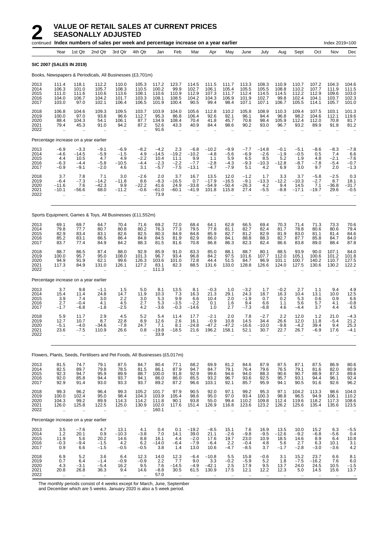|                                      |                                                        | continued Index numbers of sales per week and percentage increase on a year earlier |                                                           |                                                        |                                                          |                                               |                                                        |                                                       |                                              |                                             |                                                        |                                            |                                                        |                                              |                                                         | Index 2019=100                                        |                                             |
|--------------------------------------|--------------------------------------------------------|-------------------------------------------------------------------------------------|-----------------------------------------------------------|--------------------------------------------------------|----------------------------------------------------------|-----------------------------------------------|--------------------------------------------------------|-------------------------------------------------------|----------------------------------------------|---------------------------------------------|--------------------------------------------------------|--------------------------------------------|--------------------------------------------------------|----------------------------------------------|---------------------------------------------------------|-------------------------------------------------------|---------------------------------------------|
|                                      | Year                                                   | 1st Qtr                                                                             | 2nd Qtr                                                   | 3rd Qtr                                                | 4th Qtr                                                  | Jan                                           | Feb                                                    | Mar                                                   | Apr                                          | May                                         | June                                                   | July                                       | Aug                                                    | Sept                                         | Oct                                                     | Nov                                                   | Dec                                         |
|                                      |                                                        | <b>SIC 2007 (SALES IN 2019)</b>                                                     |                                                           |                                                        |                                                          |                                               |                                                        |                                                       |                                              |                                             |                                                        |                                            |                                                        |                                              |                                                         |                                                       |                                             |
|                                      |                                                        | Books, Newspapers & Periodicals, All Businesses (£3,701m)                           |                                                           |                                                        |                                                          |                                               |                                                        |                                                       |                                              |                                             |                                                        |                                            |                                                        |                                              |                                                         |                                                       |                                             |
| 2013<br>2014<br>2015<br>2016<br>2017 | 111.4<br>106.3<br>111.0<br>104.0<br>103.0              | 118.1<br>101.0<br>111.6<br>106.7<br>97.0                                            | 112.2<br>105.7<br>110.6<br>104.2<br>102.1                 | 110.0<br>108.3<br>113.6<br>101.7<br>106.4              | 105.3<br>110.5<br>108.1<br>103.3<br>106.5                | 117.2<br>100.2<br>110.6<br>108.1<br>101.9     | 123.7<br>99.9<br>110.9<br>108.5<br>100.4               | 114.5<br>102.7<br>112.9<br>104.2<br>90.5              | 111.5<br>106.1<br>107.3<br>104.3<br>99.4     | 111.7<br>105.4<br>111.7<br>106.9<br>98.4    | 113.3<br>105.5<br>112.4<br>101.9<br>107.1              | 108.3<br>105.5<br>114.5<br>102.7<br>107.1  | 110.9<br>108.8<br>114.5<br>99.8<br>106.7               | 110.7<br>110.2<br>112.2<br>102.4<br>105.5    | 107.2<br>107.7<br>112.9<br>104.1<br>114.1               | 104.3<br>111.9<br>109.6<br>103.7<br>105.7             | 104.6<br>111.5<br>103.0<br>102.3<br>101.0   |
| 2018<br>2019<br>2020<br>2021<br>2022 | 106.8<br>100.0<br>88.4<br>79.4<br>$\bar{\mathbf{r}}$   | 104.6<br>97.0<br>104.3<br>45.3                                                      | 109.3<br>93.8<br>54.1<br>91.0<br>ä.                       | 109.5<br>96.6<br>106.1<br>94.2<br>$\ddot{\phantom{a}}$ | 103.7<br>112.7<br>87.7<br>87.2                           | 103.9<br>95.3<br>134.9<br>52.6<br>91.6        | 104.0<br>86.8<br>108.4<br>43.3<br>$\sim$               | 105.6<br>106.4<br>70.4<br>40.9                        | 112.8<br>92.6<br>41.8<br>84.4                | 110.2<br>92.1<br>45.7<br>98.6               | 105.8<br>96.1<br>70.8<br>90.2                          | 108.9<br>94.4<br>98.4<br>93.0              | 110.3<br>96.8<br>105.9<br>96.7                         | 109.4<br>98.2<br>112.4<br>93.2               | 107.5<br>104.6<br>112.0<br>89.9                         | 103.1<br>112.1<br>70.8<br>91.8                        | 101.3<br>119.6<br>81.7<br>81.2              |
|                                      |                                                        | Percentage increase on a year earlier                                               |                                                           |                                                        |                                                          |                                               |                                                        |                                                       |                                              |                                             |                                                        |                                            |                                                        |                                              |                                                         |                                                       |                                             |
| 2013<br>2014<br>2015<br>2016<br>2017 | $-6.9$<br>$-4.6$<br>4.4<br>$-6.3$<br>$-0.9$            | $-3.3$<br>$-14.5$<br>10.5<br>$-4.4$<br>$-9.1$                                       | $-9.1$<br>$-5.9$<br>4.7<br>$-5.8$<br>$-2.0$               | $-6.9$<br>$-1.5$<br>4.9<br>$-10.5$<br>4.6              | $-8.2$<br>4.9<br>$-2.2$<br>$-4.4$<br>3.1                 | $-4.2$<br>$-14.5$<br>10.4<br>$-2.3$<br>$-5.7$ | 2.3<br>$-19.2$<br>11.1<br>$-2.2$<br>$-7.5$             | $-6.8$<br>$-10.2$<br>9.9<br>$-7.7$<br>$-13.1$         | $-10.2$<br>$-4.8$<br>1.1<br>$-2.8$<br>$-4.7$ | $-9.9$<br>$-5.6$<br>5.9<br>$-4.3$<br>$-7.9$ | $-7.7$<br>$-6.9$<br>6.5<br>$-9.3$<br>5.1               | $-14.8$<br>$-2.6$<br>8.5<br>$-10.3$<br>4.2 | $-0.1$<br>$-1.9$<br>5.2<br>$-12.8$<br>6.9              | $-5.1$<br>$-0.5$<br>1.9<br>$-8.7$<br>3.0     | $-8.6$<br>0.5<br>4.8<br>$-7.8$<br>9.7                   | $-8.3$<br>7.4<br>$-2.1$<br>$-5.4$<br>2.0              | $-7.8$<br>6.6<br>$-7.6$<br>$-0.7$<br>$-1.3$ |
| 2018<br>2019<br>2020<br>2021<br>2022 | 3.7<br>$-6.4$<br>$-11.6$<br>$-10.1$                    | 7.8<br>$-7.3$<br>7.6<br>$-56.6$<br>$\ddotsc$                                        | 7.1<br>$-14.2$<br>$-42.3$<br>68.0<br>$\ddot{\phantom{0}}$ | 3.0<br>$-11.8$<br>9.9<br>$-11.2$                       | $-2.6$<br>8.6<br>$-22.2$<br>$-0.6$                       | 2.0<br>$-8.3$<br>41.6<br>$-61.0$<br>73.9      | 3.7<br>$-16.5$<br>24.9<br>$-60.1$                      | 16.7<br>0.7<br>$-33.8$<br>$-41.9$                     | 13.5<br>$-17.9$<br>$-54.9$<br>101.8          | 12.0<br>$-16.5$<br>$-50.4$<br>115.8         | $-1.2$<br>$-9.1$<br>$-26.3$<br>27.4                    | 1.7<br>$-13.3$<br>4.2<br>$-5.5$            | 3.3<br>$-12.2$<br>9.4<br>$-8.8$                        | 3.7<br>$-10.3$<br>14.5<br>$-17.1$            | $-5.8$<br>$-2.7$<br>7.1<br>$-19.7$                      | $-2.5$<br>8.7<br>$-36.8$<br>29.6                      | 0.3<br>18.1<br>-31.7<br>$-0.5$              |
|                                      |                                                        | Sports Equipment, Games & Toys, All Businesses (£11,552m)                           |                                                           |                                                        |                                                          |                                               |                                                        |                                                       |                                              |                                             |                                                        |                                            |                                                        |                                              |                                                         |                                                       |                                             |
| 2013<br>2014<br>2015<br>2016<br>2017 | 69.1<br>79.8<br>82.9<br>85.2<br>83.7                   | 69.7<br>77.7<br>83.4<br>83.1<br>77.4                                                | 64.7<br>80.7<br>83.1<br>86.5<br>84.9                      | 70.4<br>80.8<br>82.6<br>86.4<br>84.2                   | 71.6<br>80.2<br>82.5<br>84.8<br>88.3                     | 69.2<br>76.3<br>80.3<br>84.5<br>81.5          | 72.0<br>77.3<br>84.9<br>81.9<br>81.6                   | 68.4<br>79.5<br>84.8<br>82.9<br>70.8                  | 64.1<br>77.8<br>85.9<br>86.0<br>86.8         | 62.8<br>81.1<br>82.7<br>84.1<br>86.3        | 66.5<br>82.7<br>81.2<br>88.8<br>82.3                   | 69.4<br>82.4<br>82.9<br>88.3<br>82.4       | 70.3<br>81.7<br>81.9<br>82.7<br>86.6                   | 71.4<br>78.8<br>83.0<br>87.7<br>83.8         | 71.3<br>80.6<br>81.1<br>85.8<br>89.0                    | 73.3<br>80.6<br>81.4<br>84.7<br>88.4                  | 70.6<br>79.4<br>84.6<br>84.0<br>87.8        |
| 2018<br>2019<br>2020<br>2021<br>2022 | 88.7<br>100.0<br>94.9<br>117.3<br>$\ddot{\phantom{a}}$ | 86.5<br>95.7<br>91.9<br>84.9                                                        | 87.4<br>95.0<br>62.1<br>131.0                             | 88.0<br>108.0<br>99.6<br>126.1                         | 92.9<br>101.3<br>126.3<br>127.2                          | 85.9<br>96.7<br>103.6<br>83.1<br>111.3        | 91.0<br>93.4<br>101.0<br>82.3<br>$\ddotsc$             | 83.3<br>96.8<br>72.8<br>88.5                          | 85.0<br>84.2<br>44.4<br>131.6                | 88.1<br>97.5<br>51.5<br>133.0               | 88.7<br>101.6<br>84.7<br>128.8                         | 80.1<br>107.7<br>96.9<br>126.6             | 88.5<br>112.0<br>101.1<br>124.0                        | 93.9<br>105.1<br>100.7<br>127.5              | 90.0<br>100.6<br>140.2<br>130.6                         | 107.1<br>101.2<br>110.7<br>130.2                      | 84.0<br>101.8<br>127.5<br>122.2             |
|                                      |                                                        | Percentage increase on a year earlier                                               |                                                           |                                                        |                                                          |                                               |                                                        |                                                       |                                              |                                             |                                                        |                                            |                                                        |                                              |                                                         |                                                       |                                             |
| 2013<br>2014<br>2015<br>2016<br>2017 | 3.7<br>15.4<br>3.9<br>2.7<br>$-1.7$                    | 9.8<br>11.4<br>7.4<br>$-0.4$<br>$-6.8$                                              | $-1.1$<br>24.8<br>3.0<br>4.1<br>$-1.8$                    | 1.5<br>14.7<br>2.2<br>4.5<br>$-2.5$                    | 5.0<br>11.9<br>3.0<br>2.7<br>4.2                         | 8.1<br>10.3<br>5.3<br>5.3<br>$-3.6$           | 13.5<br>7.3<br>9.9<br>$-3.5$<br>$-0.3$                 | 8.1<br>16.3<br>6.6<br>$-2.2$<br>$-14.6$               | $-0.3$<br>21.3<br>10.4<br>0.1<br>1.0         | 1.0<br>29.1<br>2.0<br>1.6<br>2.7            | $-3.2$<br>24.3<br>$-1.9$<br>9.4<br>$-7.3$              | 1.7<br>18.7<br>0.7<br>6.6<br>$-6.8$        | $-0.2$<br>16.3<br>0.2<br>1.1<br>4.6                    | 2.7<br>10.4<br>5.3<br>5.6<br>$-4.4$          | 1.1<br>13.1<br>0.6<br>5.7<br>3.7                        | 9.4<br>10.0<br>0.9<br>4.1<br>4.4                      | 4.9<br>12.5<br>6.6<br>$-0.8$<br>4.5         |
| 2018<br>2019<br>2020<br>2021<br>2022 | 5.9<br>12.7<br>$-5.1$<br>23.6<br>$\mathbf{r}$          | 11.7<br>10.7<br>$-4.0$<br>$-7.5$<br>$\mathbf{r}$                                    | 2.9<br>8.7<br>-34.6<br>110.9<br>ä.                        | 4.5<br>22.8<br>$-7.8$<br>26.6<br>ä.                    | 5.2<br>8.9<br>24.7<br>0.8                                | 5.4<br>12.6<br>7.1<br>$-19.8$<br>33.9         | 11.4<br>2.6<br>8.1<br>$-18.5$                          | 17.7<br>16.1<br>$-24.8$<br>21.6                       | $-2.1$<br>$-0.9$<br>$-47.2$<br>196.2         | 2.0<br>10.8<br>$-47.2$<br>158.1             | 7.8<br>14.5<br>$-16.6$<br>52.1                         | $-2.7$<br>34.4<br>$-10.0$<br>30.7          | 2.2<br>26.6<br>$-9.8$<br>22.7                          | 12.0<br>12.0<br>$-4.2$<br>26.7               | 1.2<br>11.8<br>39.4<br>$-6.9$                           | 21.0<br>$-5.4$<br>9.4<br>17.6<br>$\ddot{\phantom{a}}$ | $-4.3$<br>21.2<br>25.3<br>$-4.1$            |
|                                      |                                                        | Flowers, Plants, Seeds, Fertilisers and Pet Foods, All Businesses (£5,017m)         |                                                           |                                                        |                                                          |                                               |                                                        |                                                       |                                              |                                             |                                                        |                                            |                                                        |                                              |                                                         |                                                       |                                             |
| 2013<br>2014<br>2015<br>2016<br>2017 | 81.5<br>82.5<br>92.3<br>92.0<br>92.9                   | 74.7<br>89.7<br>94.7<br>85.8<br>91.4                                                | 79.1<br>79.8<br>95.9<br>94.4<br>93.0                      | 87.5<br>78.5<br>89.9<br>93.7<br>93.3                   | 84.7<br>81.5<br>88.7<br>94.1<br>93.7                     | 80.4<br>86.1<br>100.0<br>86.0<br>89.2         | 77.1<br>87.9<br>91.8<br>86.0<br>87.2                   | 68.2<br>94.7<br>92.9<br>85.5<br>96.6                  | 69.9<br>84.7<br>99.6<br>93.2<br>103.1        | 81.2<br>79.1<br>94.6<br>96.7<br>92.1        | 84.6<br>76.4<br>94.0<br>93.6<br>85.7                   | 87.9<br>79.6<br>88.3<br>92.5<br>95.9       | 87.5<br>76.5<br>90.6<br>95.7<br>94.1                   | 87.1<br>79.1<br>90.7<br>93.1<br>90.5         | 87.5<br>81.6<br>88.9<br>94.4<br>91.6                    | 86.9<br>82.0<br>87.3<br>96.1<br>92.6                  | $80.6$<br>$80.9$<br>89.6<br>92.4<br>96.2    |
| 2018<br>2019<br>2020<br>2021<br>2022 | 99.3<br>100.0<br>104.3<br>126.0<br>$\bar{\mathbf{r}}$  | 96.2<br>102.4<br>99.2<br>125.8<br>à.                                                | 96.4<br>95.0<br>89.9<br>122.5<br>ä.                       | 99.3<br>98.4<br>114.3<br>125.0<br>ä,                   | 105.2<br>104.3<br>114.2<br>130.9<br>$\ddot{\phantom{a}}$ | 101.7<br>103.9<br>111.8<br>102.0<br>160.1     | 97.9<br>105.4<br>90.1<br>117.6<br>$\ddot{\phantom{a}}$ | 90.5<br>98.6<br>93.8<br>151.4<br>$\ddot{\phantom{a}}$ | 92.0<br>95.0<br>55.0<br>126.9                | 97.1<br>97.0<br>99.4<br>116.8<br>$\ddotsc$  | 99.2<br>93.4<br>110.2<br>123.6<br>$\ddot{\phantom{a}}$ | 95.3<br>100.3<br>109.8<br>123.2<br>ä.      | 97.1<br>98.8<br>112.4<br>126.2<br>$\ddot{\phantom{a}}$ | 104.2<br>96.5<br>119.6<br>125.6<br>$\ddotsc$ | 113.3<br>94.9<br>118.2<br>135.4<br>$\ddot{\phantom{1}}$ | 98.6<br>106.1<br>117.3<br>135.6<br>$\ddotsc$          | 104.0<br>110.2<br>108.6<br>123.5<br>$\cdot$ |
|                                      |                                                        | Percentage increase on a year earlier                                               |                                                           |                                                        |                                                          |                                               |                                                        |                                                       |                                              |                                             |                                                        |                                            |                                                        |                                              |                                                         |                                                       |                                             |
| 2013<br>2014<br>2015<br>2016<br>2017 | 3.5<br>1.2<br>11.9<br>$-0.3$<br>0.9                    | $-7.6$<br>20.1<br>5.6<br>$-9.4$<br>6.6                                              | 4.7<br>0.9<br>20.2<br>$-1.5$<br>$-1.5$                    | 13.1<br>$-10.3$<br>14.6<br>4.2<br>$-0.5$               | 4.1<br>$-3.8$<br>8.8<br>6.2<br>$-0.5$                    | 0.4<br>7.0<br>16.1<br>$-14.0$<br>3.8          | 0.1<br>14.1<br>4.4<br>$-6.4$<br>1.4                    | $-19.2$<br>39.0<br>$-2.0$<br>$-7.9$<br>13.0           | $-8.5$<br>21.1<br>17.6<br>$-6.4$<br>10.6     | 15.1<br>$-2.6$<br>19.7<br>2.2<br>$-4.7$     | 7.6<br>$-9.8$<br>23.0<br>$-0.4$<br>$-8.5$              | 16.9<br>$-9.5$<br>10.9<br>4.8<br>3.7       | 13.5<br>$-12.6$<br>18.5<br>5.6<br>$-1.7$               | 10.0<br>$-9.2$<br>14.6<br>2.7<br>$-2.8$      | 15.2<br>$-6.8$<br>8.9<br>6.3<br>$-3.0$                  | 6.3<br>$-5.6$<br>6.4<br>10.1<br>$-3.6$                | $-5.5$<br>0.4<br>10.8<br>3.1<br>4.2         |
| 2018<br>2019<br>2020<br>2021<br>2022 | 6.9<br>0.7<br>4.3<br>20.8                              | 5.2<br>6.4<br>$-3.1$<br>26.8                                                        | 3.6<br>$-1.4$<br>-5.4<br>36.3                             | 6.4<br>$-0.9$<br>16.2<br>9.4                           | 12.3<br>$-0.9$<br>9.5<br>14.6                            | 14.0<br>2.2<br>7.6<br>$-8.8$<br>57.0          | 12.3<br>7.7<br>$-14.5$<br>30.5                         | $-6.4$<br>9.0<br>$-4.9$<br>61.5                       | $-10.8$<br>3.3<br>$-42.1$<br>130.9           | 5.5<br>$-0.2$<br>2.5<br>17.5                | 15.8<br>$-5.9$<br>17.9<br>12.1                         | $-0.6$<br>$5.2\,$<br>9.5<br>12.2           | 3.1<br>1.8<br>13.7<br>12.3                             | 15.2<br>$-7.5$<br>24.0<br>5.0                | 23.7<br>$-16.2$<br>24.5<br>14.5                         | 6.6<br>7.6<br>10.5<br>15.6                            | 8.1<br>6.0<br>$-1.5$<br>13.7                |

The monthly periods consist of 4 weeks except for March, June, September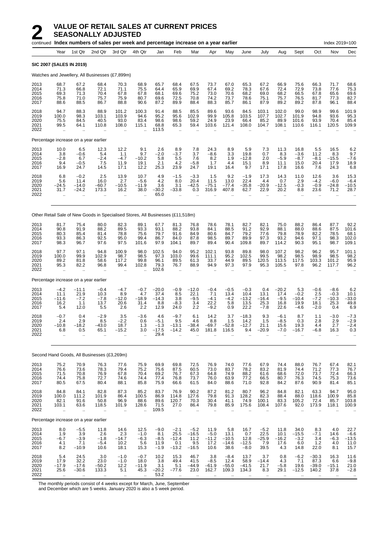|                                      |                                             |                                                      | continued Index numbers of sales per week and percentage increase on a year earlier |                                                         |                                         |                                            |                                                        |                                                       |                                              |                                           |                                           |                                          |                                            |                                                      |                                                     | Index 2019=100                                         |                                             |
|--------------------------------------|---------------------------------------------|------------------------------------------------------|-------------------------------------------------------------------------------------|---------------------------------------------------------|-----------------------------------------|--------------------------------------------|--------------------------------------------------------|-------------------------------------------------------|----------------------------------------------|-------------------------------------------|-------------------------------------------|------------------------------------------|--------------------------------------------|------------------------------------------------------|-----------------------------------------------------|--------------------------------------------------------|---------------------------------------------|
|                                      | Year                                        | 1st Qtr                                              | 2nd Qtr                                                                             | 3rd Qtr                                                 | 4th Qtr                                 | Jan                                        | Feb                                                    | Mar                                                   | Apr                                          | May                                       | June                                      | July                                     | Aug                                        | Sept                                                 | Oct                                                 | Nov                                                    | Dec                                         |
| <b>SIC 2007 (SALES IN 2019)</b>      |                                             |                                                      |                                                                                     |                                                         |                                         |                                            |                                                        |                                                       |                                              |                                           |                                           |                                          |                                            |                                                      |                                                     |                                                        |                                             |
|                                      |                                             |                                                      | Watches and Jewellery, All Businesses (£7,899m)                                     |                                                         |                                         |                                            |                                                        |                                                       |                                              |                                           |                                           |                                          |                                            |                                                      |                                                     |                                                        |                                             |
| 2013<br>2014<br>2015<br>2016<br>2017 | 68.7<br>71.3<br>69.3<br>75.8<br>88.6        | 67.2<br>66.8<br>71.3<br>71.0<br>88.5                 | 68.4<br>72.1<br>70.4<br>75.7<br>86.7                                                | 70.3<br>71.1<br>67.8<br>75.9<br>88.8                    | 68.9<br>75.5<br>67.8<br>80.7<br>90.6    | 65.7<br>64.4<br>68.1<br>69.6<br>87.2       | 68.4<br>65.9<br>69.6<br>72.5<br>89.9                   | 67.5<br>69.9<br>75.2<br>70.8<br>88.4                  | 73.7<br>67.4<br>73.0<br>74.2<br>88.3         | 67.0<br>69.2<br>70.6<br>73.7<br>85.7      | 65.3<br>78.3<br>68.2<br>78.6<br>86.1      | 67.2<br>67.6<br>69.0<br>75.1<br>87.9     | 66.9<br>72.4<br>68.2<br>75.7<br>89.2       | 75.6<br>72.9<br>66.5<br>76.5<br>89.2                 | 66.3<br>73.8<br>67.8<br>81.7<br>87.8                | 71.7<br>77.6<br>65.6<br>77.3<br>96.1                   | 68.6<br>75.3<br>69.6<br>82.7<br>88.4        |
| 2018<br>2019<br>2020<br>2021<br>2022 | 94.7<br>100.0<br>75.5<br>99.5<br>ă,         | 88.3<br>98.3<br>84.5<br>64.1                         | 88.9<br>103.1<br>40.5<br>110.8                                                      | 101.2<br>103.9<br>93.0<br>108.0                         | 100.3<br>94.6<br>83.4<br>115.1          | 91.4<br>95.2<br>98.6<br>68.8<br>113.5      | 88.5<br>95.6<br>98.6<br>65.3<br>$\sim$                 | 85.5<br>102.9<br>59.2<br>59.4                         | 89.6<br>99.9<br>24.9<br>103.6                | 93.6<br>105.8<br>23.9<br>121.4            | 84.5<br>103.5<br>66.4<br>108.0            | 103.1<br>107.7<br>85.2<br>104.7          | 102.0<br>102.7<br>89.9<br>108.1            | 99.0<br>101.9<br>101.6<br>110.6                      | 98.9<br>94.8<br>93.9<br>116.1                       | 99.6<br>93.6<br>70.4<br>120.5                          | 101.9<br>95.3<br>85.4<br>109.9              |
|                                      |                                             | Percentage increase on a year earlier                |                                                                                     |                                                         |                                         |                                            |                                                        |                                                       |                                              |                                           |                                           |                                          |                                            |                                                      |                                                     |                                                        |                                             |
| 2013<br>2014<br>2015<br>2016<br>2017 | 10.0<br>3.8<br>$-2.8$<br>9.4<br>16.9        | 6.5<br>$-0.6$<br>6.7<br>$-0.5$<br>24.7               | 12.3<br>5.4<br>$-2.4$<br>7.5<br>14.5                                                | 12.2<br>1.1<br>$-4.7$<br>11.9<br>17.1                   | 9.1<br>9.7<br>$-10.2$<br>19.1<br>12.2   | 2.6<br>$-2.0$<br>5.8<br>2.1<br>25.3        | 8.9<br>$-3.7$<br>5.5<br>4.2<br>23.9                    | 7.8<br>3.7<br>7.6<br>$-5.8$<br>24.7                   | 24.3<br>$-8.6$<br>8.2<br>1.7<br>19.1         | 8.9<br>3.3<br>1.9<br>4.4<br>16.4          | 5.9<br>19.8<br>$-12.8$<br>15.1<br>9.7     | 7.3<br>0.7<br>2.0<br>8.9<br>17.1         | 11.3<br>8.3<br>$-5.9$<br>11.1<br>17.8      | 16.8<br>$-3.6$<br>$-8.7$<br>15.0<br>16.6             | 5.5<br>11.2<br>$-8.1$<br>20.4<br>7.6                | 16.5<br>8.3<br>$-15.5$<br>17.9<br>24.3                 | 6.2<br>9.7<br>$-7.6$<br>18.9<br>6.8         |
| 2018<br>2019<br>2020<br>2021<br>2022 | 6.8<br>5.6<br>-24.5<br>31.7<br>$\ddotsc$    | $-0.2$<br>11.4<br>$-14.0$<br>$-24.2$                 | 2.5<br>16.0<br>$-60.7$<br>173.3                                                     | 13.9<br>2.7<br>$-10.5$<br>16.2<br>ä.                    | 10.7<br>$-5.6$<br>-11.9<br>38.0         | 4.9<br>4.2<br>3.6<br>$-30.2$<br>65.0       | $-1.5$<br>8.0<br>3.1<br>$-33.8$<br>$\sim$              | $-3.3$<br>20.4<br>$-42.5$<br>0.3                      | 1.5<br>11.5<br>$-75.1$<br>316.9              | 9.2<br>13.0<br>$-77.4$<br>407.8           | $-1.9$<br>22.4<br>$-35.8$<br>62.7         | 17.3<br>4.4<br>$-20.9$<br>22.9           | 14.3<br>0.7<br>$-12.5$<br>20.2<br>ä.       | 11.0<br>2.9<br>$-0.3$<br>8.8<br>$\ddot{\phantom{a}}$ | 12.6<br>$-4.2$<br>$-0.9$<br>23.6<br>ä.              | 3.6<br>-6.0<br>$-24.8$<br>71.2<br>ä.                   | 15.3<br>$-6.4$<br>–10.5<br>28.7             |
|                                      |                                             |                                                      | Other Retail Sale of New Goods in Specialised Stores, All Businesses (£11,518m)     |                                                         |                                         |                                            |                                                        |                                                       |                                              |                                           |                                           |                                          |                                            |                                                      |                                                     |                                                        |                                             |
| 2013<br>2014<br>2015<br>2016<br>2017 | 81.7<br>90.8<br>80.3<br>93.3<br>98.3        | 75.4<br>91.9<br>85.4<br>86.3<br>96.7                 | 80.0<br>88.2<br>81.4<br>92.5<br>97.6                                                | 82.3<br>89.5<br>78.8<br>95.0<br>97.5                    | 89.1<br>93.3<br>75.6<br>99.4<br>101.6   | 67.7<br>93.1<br>79.7<br>86.7<br>97.9       | 81.3<br>88.2<br>91.6<br>84.0<br>104.1                  | 76.8<br>93.8<br>84.9<br>87.8<br>89.7                  | 78.6<br>84.1<br>80.6<br>98.5<br>89.4         | 78.1<br>88.5<br>84.7<br>89.7<br>90.4      | 82.7<br>91.2<br>79.2<br>89.9<br>109.8     | 82.1<br>92.9<br>77.6<br>97.3<br>89.7     | 75.0<br>88.1<br>79.8<br>93.2<br>114.2      | 88.2<br>88.0<br>78.9<br>94.6<br>90.3                 | 86.4<br>88.6<br>82.2<br>97.1<br>95.1                | 87.7<br>87.5<br>78.5<br>98.3<br>98.7                   | 92.2<br>101.6<br>68.1<br>102.0<br>109.1     |
| 2018<br>2019<br>2020<br>2021<br>2022 | 97.7<br>100.0<br>89.2<br>95.3<br>$\ddotsc$  | 97.1<br>99.9<br>81.8<br>82.2<br>$\ddotsc$            | 94.8<br>102.9<br>58.6<br>96.8                                                       | 100.9<br>98.7<br>117.2<br>99.4                          | 98.0<br>98.5<br>99.8<br>102.8           | 102.5<br>97.3<br>96.1<br>79.3<br>102.6     | 94.0<br>103.0<br>89.5<br>76.7<br>$\sim$                | 95.2<br>99.6<br>61.3<br>88.9                          | 102.1<br>111.1<br>33.7<br>94.9               | 93.8<br>95.2<br>44.9<br>97.3              | 89.8<br>102.5<br>89.5<br>97.9             | 98.0<br>99.5<br>120.5<br>95.3            | 107.2<br>98.2<br>113.5<br>105.5            | 98.2<br>98.5<br>117.5<br>97.8                        | 96.2<br>98.9<br>103.3<br>96.2                       | 95.7<br>98.5<br>101.2<br>117.7                         | 101.1<br>98.2<br>95.9<br>96.2               |
|                                      |                                             | Percentage increase on a year earlier                |                                                                                     |                                                         |                                         |                                            |                                                        |                                                       |                                              |                                           |                                           |                                          |                                            |                                                      |                                                     |                                                        |                                             |
| 2013<br>2014<br>2015<br>2016<br>2017 | $-4.2$<br>11.1<br>-11.6<br>16.2<br>5.4      | $-11.1$<br>21.9<br>$-7.2$<br>1.1<br>12.0             | $-0.4$<br>10.3<br>$-7.8$<br>13.7<br>5.5                                             | $-4.7$<br>8.9<br>$-12.0$<br>20.6<br>2.6                 | $-0.7$<br>4.7<br>$-18.9$<br>31.4<br>2.2 | $-20.0$<br>37.4<br>$-14.3$<br>8.8<br>12.9  | $-0.9$<br>8.5<br>3.8<br>$-8.3$<br>24.0                 | $-12.0$<br>22.1<br>$-9.5$<br>3.4<br>2.2               | $-0.4$<br>7.1<br>$-4.1$<br>22.2<br>$-9.2$    | $-0.5$<br>13.4<br>$-4.2$<br>5.8<br>0.9    | $-0.3$<br>10.4<br>$-13.2$<br>13.5<br>22.2 | 0.4<br>13.1<br>$-16.4$<br>25.3<br>$-7.8$ | $-20.2$<br>17.4<br>$-9.5$<br>16.8<br>22.6  | 5.3<br>$-0.2$<br>$-10.4$<br>19.9<br>$-4.6$           | $-0.6$<br>2.5<br>$-7.2$<br>18.1<br>$-2.0$           | $-8.6$<br>$-0.3$<br>$-10.3$<br>25.3<br>0.4             | 6.2<br>10.1<br>$-33.0$<br>49.8<br>6.9       |
| 2018<br>2019<br>2020<br>2021<br>2022 | $-0.7$<br>2.4<br>-10.8<br>6.8<br>$\ddotsc$  | 0.4<br>2.9<br>$-18.2$<br>0.5<br>$\ddot{\phantom{a}}$ | $-2.9$<br>8.5<br>-43.0<br>65.1                                                      | 3.5<br>$-2.2$<br>18.7<br>$-15.2$                        | $-3.6$<br>0.6<br>1.3<br>3.0             | 4.6<br>$-5.1$<br>$-1.3$<br>$-17.5$<br>29.4 | $-9.7$<br>9.5<br>$-13.1$<br>$-14.2$                    | 6.1<br>4.6<br>$-38.4$<br>45.0                         | 14.2<br>8.8<br>$-69.7$<br>181.8              | 3.7<br>1.5<br>$-52.8$<br>116.5            | $-18.3$<br>14.2<br>$-12.7$<br>9.4         | 9.3<br>1.5<br>21.1<br>$-20.9$            | $-6.1$<br>$-8.5$<br>15.6<br>-7.0           | 8.7<br>0.3<br>19.3<br>$-16.7$                        | 1.1<br>2.8<br>4.4<br>$-6.8$<br>ä.                   | $-3.0$<br>2.9<br>2.7<br>16.3<br>ä.                     | $-7.3$<br>$-2.9$<br>$-2.4$<br>0.3           |
|                                      |                                             |                                                      | Second Hand Goods, All Businesses (£3,269m)                                         |                                                         |                                         |                                            |                                                        |                                                       |                                              |                                           |                                           |                                          |                                            |                                                      |                                                     |                                                        |                                             |
| 2013<br>2014<br>2015<br>2016<br>2017 | 75.2<br>76.6<br>71.5<br>74.4<br>80.5        | 70.9<br>73.6<br>70.8<br>75.8<br>67.5                 | 76.3<br>78.3<br>76.9<br>72.7<br>80.4                                                | 77.6<br>79.4<br>67.8<br>74.6<br>88.1                    | 75.9<br>75.2<br>70.4<br>74.4<br>85.8    | 69.9<br>75.6<br>69.2<br>77.4<br>75.9       | 69.8<br>87.5<br>76.7<br>76.8<br>66.6                   | 72.5<br>60.5<br>67.3<br>73.7<br>61.5                  | 76.9<br>73.0<br>64.8<br>76.0<br>84.0         | 74.0<br>83.7<br>74.9<br>63.9<br>88.6      | 77.6<br>78.2<br>88.2<br>77.2<br>71.0      | 67.9<br>83.2<br>61.6<br>66.5<br>92.8     | 74.4<br>81.9<br>68.6<br>80.7<br>84.2       | 88.0<br>74.4<br>72.0<br>76.3<br>87.6                 | 76.7<br>71.2<br>73.7<br>74.5<br>90.9                | 67.4<br>77.3<br>72.4<br>75.3<br>81.4                   | 82.1<br>76.7<br>66.3<br>73.6<br>85.1        |
| 2018<br>2019<br>2020<br>2021<br>2022 | 84.8<br>100.0<br>82.1<br>103.1<br>$\ddotsc$ | 84.1<br>111.2<br>91.6<br>63.6<br>$\ddotsc$           | 82.8<br>101.9<br>50.8<br>118.5                                                      | 87.3<br>86.4<br>96.9<br>101.9<br>ä,                     | 85.2<br>100.5<br>88.6<br>128.6          | 83.7<br>86.9<br>89.6<br>71.5<br>109.5      | 76.9<br>114.8<br>120.7<br>27.0<br>$\ddot{\phantom{a}}$ | 90.2<br>127.6<br>70.3<br>86.4<br>$\ddot{\phantom{a}}$ | 87.2<br>79.8<br>30.4<br>79.8<br>$\mathbf{r}$ | 81.2<br>91.3<br>41.1<br>85.9              | 80.7<br>128.2<br>74.9<br>175.6            | 96.2<br>82.3<br>100.1<br>108.4           | 84.8<br>88.4<br>83.3<br>107.6<br>$\ddotsc$ | 82.1<br>88.0<br>105.2<br>92.0<br>$\ddotsc$           | 63.3<br>118.6<br>72.4<br>173.9<br>$\ddotsc$         | 94.7<br>100.9<br>85.7<br>118.1<br>$\ddotsc$            | 95.0<br>85.8<br>103.8<br>100.9              |
|                                      |                                             | Percentage increase on a year earlier                |                                                                                     |                                                         |                                         |                                            |                                                        |                                                       |                                              |                                           |                                           |                                          |                                            |                                                      |                                                     |                                                        |                                             |
| 2013<br>2014<br>2015<br>2016<br>2017 | 8.0<br>1.9<br>$-6.7$<br>4.1<br>8.2          | $-5.5$<br>3.9<br>$-3.9$<br>7.1<br>$-10.9$            | 11.8<br>2.6<br>$-1.8$<br>$-5.4$<br>10.6                                             | 14.6<br>2.3<br>$-14.7$<br>10.2<br>18.1                  | 12.5<br>$-1.0$<br>$-6.3$<br>5.6<br>15.3 | $-9.0$<br>8.1<br>$-8.5$<br>11.9<br>$-1.9$  | $-2.1$<br>25.5<br>$-12.4$<br>0.1<br>$-13.2$            | $-5.2$<br>$-16.5$<br>11.2<br>9.5<br>$-16.5$           | 11.9<br>$-5.0$<br>$-11.2$<br>17.2<br>10.6    | 5.8<br>13.1<br>$-10.5$<br>$-14.6$<br>38.6 | 16.7<br>0.7<br>12.8<br>$-12.5$<br>$-8.0$  | $-5.2$<br>22.5<br>$-25.9$<br>7.9<br>39.5 | 11.8<br>10.1<br>$-16.2$<br>17.6<br>4.3     | 34.0<br>$-15.5$<br>$-3.2$<br>6.0<br>14.8             | 8.3<br>$-7.1$<br>3.4<br>1.2<br>22.0                 | 4.0<br>14.6<br>-6.3<br>4.0<br>8.1                      | 22.7<br>$-6.6$<br>-13.5<br>11.0<br>15.7     |
| 2018<br>2019<br>2020<br>2021<br>2022 | 5.4<br>17.9<br>-17.9<br>25.6<br>$\ddotsc$   | 24.5<br>32.2<br>$-17.6$<br>$-30.6$<br>ă,             | 3.0<br>23.0<br>$-50.2$<br>133.3<br>ä.                                               | $-1.0$<br>$-1.0$<br>12.2<br>5.1<br>$\ddot{\phantom{a}}$ | $-0.7$<br>18.0<br>$-11.9$<br>45.3       | 10.2<br>3.8<br>3.1<br>$-20.2$<br>53.2      | 15.3<br>49.4<br>5.1<br>$-77.6$<br>$\sim$               | 46.7<br>41.5<br>$-44.9$<br>23.0                       | 3.8<br>$-8.5$<br>$-61.9$<br>162.7            | $-8.4$<br>12.4<br>$-55.0$<br>109.3        | 13.7<br>58.9<br>$-41.5$<br>134.3          | 3.7<br>$-14.4$<br>21.7<br>8.3            | 0.8<br>4.3<br>$-5.8$<br>29.1<br>$\ddotsc$  | $-6.2$<br>7.1<br>19.6<br>$-12.5$                     | $-30.3$<br>87.3<br>$-39.0$<br>140.2<br>$\mathbf{r}$ | 16.3<br>6.6<br>$-15.1$<br>37.8<br>$\ddot{\phantom{a}}$ | 11.6<br>$-9.8$<br>21.0<br>$-2.8$<br>$\cdot$ |

The monthly periods consist of 4 weeks except for March, June, September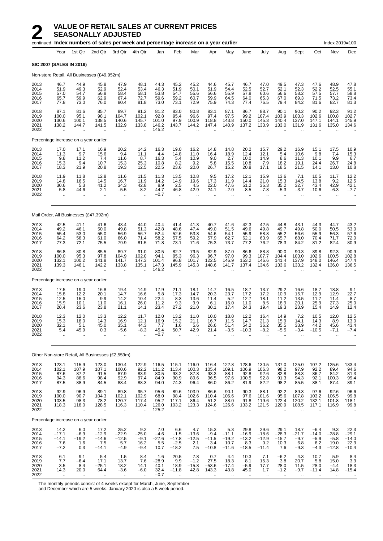|                                      | continued Index numbers of sales per week and percentage increase on a year earlier<br>Index 2019=100 |                                                       |                                                      |                                                       |                                                      |                                          |                                                        |                                                     |                                                 |                                              |                                                       |                                              |                                           |                                            |                                              |                                             |                                               |
|--------------------------------------|-------------------------------------------------------------------------------------------------------|-------------------------------------------------------|------------------------------------------------------|-------------------------------------------------------|------------------------------------------------------|------------------------------------------|--------------------------------------------------------|-----------------------------------------------------|-------------------------------------------------|----------------------------------------------|-------------------------------------------------------|----------------------------------------------|-------------------------------------------|--------------------------------------------|----------------------------------------------|---------------------------------------------|-----------------------------------------------|
|                                      | Year                                                                                                  | 1st Qtr                                               | 2nd Qtr                                              | 3rd Qtr                                               | 4th Qtr                                              | Jan                                      | Feb                                                    | Mar                                                 | Apr                                             | May                                          | June                                                  | July                                         | Aug                                       | Sept                                       | Oct                                          | Nov                                         | Dec                                           |
| <b>SIC 2007 (SALES IN 2019)</b>      |                                                                                                       |                                                       |                                                      |                                                       |                                                      |                                          |                                                        |                                                     |                                                 |                                              |                                                       |                                              |                                           |                                            |                                              |                                             |                                               |
|                                      |                                                                                                       |                                                       | Non-store Retail, All Businesses (£49,952m)          |                                                       |                                                      |                                          |                                                        |                                                     |                                                 |                                              |                                                       |                                              |                                           |                                            |                                              |                                             |                                               |
| 2013<br>2014<br>2015<br>2016<br>2017 | 46.7<br>51.9<br>57.0<br>65.7<br>77.8                                                                  | 44.9<br>49.3<br>54.7<br>59.9<br>73.0                  | 45.8<br>52.9<br>56.8<br>62.9<br>76.0                 | 47.9<br>52.4<br>58.4<br>67.4<br>80.4                  | 48.1<br>53.4<br>58.1<br>72.7<br>81.8                 | 44.3<br>46.3<br>53.8<br>59.6<br>73.0     | 45.2<br>51.9<br>54.7<br>59.2<br>73.1                   | 45.2<br>50.1<br>55.6<br>60.7<br>72.9                | 44.6<br>51.9<br>56.6<br>59.9<br>75.9            | 45.7<br>54.4<br>55.9<br>64.5<br>74.3         | 46.7<br>52.5<br>57.8<br>64.0<br>77.4                  | 47.0<br>52.7<br>60.6<br>65.3<br>76.5         | 49.5<br>52.1<br>56.6<br>67.0<br>79.4      | 47.3<br>52.3<br>58.2<br>69.3<br>84.2       | 47.6<br>52.2<br>57.5<br>71.5<br>81.6         | 48.9<br>52.5<br>57.7<br>73.2<br>82.7        | 47.8<br>55.1<br>58.8<br>73.4<br>81.3          |
| 2018<br>2019<br>2020<br>2021<br>2022 | 87.1<br>100.0<br>130.6<br>138.2<br>$\ddotsc$                                                          | 81.6<br>95.1<br>100.1<br>144.7                        | 85.7<br>98.1<br>138.5<br>141.5                       | 89.7<br>104.7<br>140.6<br>132.9                       | 91.2<br>102.1<br>145.7<br>133.8                      | 81.2<br>92.8<br>101.0<br>146.2<br>145.2  | 83.0<br>95.4<br>97.9<br>143.7                          | 80.8<br>96.6<br>100.9<br>144.2                      | 83.1<br>97.4<br>118.8<br>147.4                  | 87.1<br>97.5<br>143.8<br>140.9               | 86.7<br>99.2<br>150.0<br>137.2                        | 88.7<br>107.4<br>145.3<br>133.9              | 90.1<br>103.9<br>140.4<br>133.0           | 90.2<br>103.3<br>137.0<br>131.9            | 90.2<br>102.6<br>147.1<br>131.6              | 92.3<br>100.8<br>144.1<br>135.0             | 91.2<br>102.7<br>145.9<br>134.6               |
|                                      |                                                                                                       | Percentage increase on a year earlier                 |                                                      |                                                       |                                                      |                                          |                                                        |                                                     |                                                 |                                              |                                                       |                                              |                                           |                                            |                                              |                                             |                                               |
| 2013<br>2014<br>2015<br>2016<br>2017 | 17.0<br>11.3<br>9.8<br>15.3<br>18.3                                                                   | 17.1<br>9.7<br>11.2<br>9.4<br>21.9                    | 16.9<br>15.6<br>7.4<br>10.7<br>20.8                  | 20.2<br>9.4<br>11.6<br>15.3<br>19.3                   | 14.2<br>11.1<br>8.7<br>25.3<br>12.5                  | 16.3<br>4.4<br>16.3<br>10.8<br>22.5      | 19.0<br>14.8<br>5.4<br>8.2<br>23.6                     | 16.2<br>11.0<br>10.9<br>9.2<br>20.0                 | 14.8<br>16.4<br>9.0<br>5.8<br>26.7              | 14.8<br>18.9<br>2.7<br>15.5<br>15.2          | 20.2<br>12.4<br>10.0<br>10.8<br>20.8                  | 15.7<br>12.1<br>14.9<br>7.9<br>17.1          | 29.2<br>5.4<br>8.6<br>18.2<br>18.5        | 16.9<br>10.6<br>11.3<br>19.1<br>21.5       | 15.1<br>9.8<br>10.1<br>24.4<br>14.1          | 17.5<br>7.4<br>9.9<br>26.7<br>13.0          | 10.9<br>15.3<br>6.7<br>24.8<br>10.8           |
| 2018<br>2019<br>2020<br>2021<br>2022 | 11.9<br>14.8<br>30.6<br>5.8<br>$\ddotsc$                                                              | 11.8<br>16.5<br>5.3<br>44.6                           | 12.8<br>14.5<br>41.2<br>2.1<br>$\ddot{\phantom{a}}$  | 11.6<br>16.7<br>34.3<br>$-5.5$<br>ä,                  | 11.5<br>11.9<br>42.8<br>$-8.2$<br>$\ddotsc$          | 11.3<br>14.2<br>8.9<br>44.7<br>$-0.7$    | 13.5<br>14.9<br>2.5<br>46.8<br>$\bar{\mathbf{r}}$      | 10.8<br>19.6<br>4.5<br>42.9<br>$\ddot{\phantom{a}}$ | 9.5<br>17.3<br>22.0<br>24.1                     | 17.2<br>11.9<br>47.6<br>$-2.0$               | 12.1<br>14.4<br>51.2<br>$-8.5$                        | 15.9<br>21.0<br>35.3<br>$-7.8$               | 13.6<br>15.3<br>35.2<br>-5.3<br>ä.        | 7.1<br>14.5<br>32.7<br>$-3.7$              | 10.5<br>13.8<br>43.4<br>$-10.6$              | 11.7<br>9.2<br>42.9<br>-6.3<br>$\ddotsc$    | 12.2<br>12.5<br>42.1<br>$-7.7$                |
|                                      |                                                                                                       |                                                       | Mail Order, All Businesses (£47,392m)                |                                                       |                                                      |                                          |                                                        |                                                     |                                                 |                                              |                                                       |                                              |                                           |                                            |                                              |                                             |                                               |
| 2013<br>2014<br>2015<br>2016<br>2017 | 42.5<br>49.2<br>55.4<br>64.2<br>77.3                                                                  | 41.1<br>46.1<br>53.0<br>58.3<br>72.1                  | 41.6<br>50.0<br>55.0<br>61.0<br>75.5                 | 43.4<br>49.8<br>56.9<br>66.0<br>79.9                  | 44.0<br>51.3<br>56.7<br>71.4<br>81.5                 | 40.4<br>42.8<br>52.4<br>58.2<br>71.8     | 41.4<br>48.6<br>52.6<br>57.5<br>73.1                   | 41.3<br>47.4<br>53.8<br>59.2<br>71.6                | 40.7<br>49.0<br>54.6<br>57.9<br>75.3            | 41.6<br>51.5<br>54.1<br>62.7<br>73.7         | 42.3<br>49.6<br>55.9<br>62.1<br>77.2                  | 42.5<br>49.8<br>58.8<br>63.9<br>76.2         | 44.8<br>49.7<br>55.2<br>65.7<br>78.3      | 43.1<br>49.8<br>56.6<br>68.0<br>84.2       | 44.3<br>50.0<br>55.9<br>70.4<br>81.2         | 44.7<br>50.5<br>56.3<br>71.7<br>82.4        | 43.2<br>53.0<br>57.6<br>72.0<br>80.9          |
| 2018<br>2019<br>2020<br>2021<br>2022 | 86.8<br>100.0<br>132.1<br>139.3<br>$\ddotsc$                                                          | 80.8<br>95.3<br>100.2<br>146.1                        | 85.5<br>97.8<br>141.8<br>142.2                       | 89.7<br>104.9<br>141.7<br>133.8                       | 91.0<br>102.0<br>147.3<br>135.1                      | 80.5<br>94.1<br>101.4<br>147.3<br>146.2  | 82.7<br>95.3<br>96.8<br>145.9                          | 79.5<br>96.3<br>101.7<br>145.3                      | 82.9<br>96.7<br>122.5<br>148.6                  | 87.0<br>97.0<br>146.9<br>141.7               | 86.6<br>99.3<br>153.2<br>137.4                        | 88.8<br>107.7<br>146.6<br>134.6              | 90.0<br>104.4<br>141.4<br>133.6           | 90.3<br>103.0<br>137.9<br>133.2            | 89.8<br>102.6<br>148.0<br>132.4              | 92.3<br>100.5<br>146.4<br>136.0             | 90.9<br>102.8<br>147.4<br>136.5               |
|                                      |                                                                                                       | Percentage increase on a year earlier                 |                                                      |                                                       |                                                      |                                          |                                                        |                                                     |                                                 |                                              |                                                       |                                              |                                           |                                            |                                              |                                             |                                               |
| 2013<br>2014<br>2015<br>2016<br>2017 | 17.5<br>15.8<br>12.5<br>15.9<br>20.4                                                                  | 19.0<br>12.2<br>15.0<br>10.1<br>23.6                  | 16.8<br>20.1<br>9.9<br>11.0<br>23.8                  | 19.4<br>14.7<br>14.2<br>16.1<br>21.1                  | 14.9<br>16.6<br>10.4<br>26.0<br>14.1                 | 17.9<br>5.8<br>22.4<br>11.2<br>23.4      | 21.1<br>17.3<br>8.3<br>9.3<br>27.2                     | 18.1<br>14.7<br>13.6<br>9.9<br>21.0                 | 14.7<br>20.3<br>11.4<br>6.1<br>30.1             | 16.5<br>23.7<br>5.2<br>16.0<br>17.4          | 18.7<br>17.2<br>12.7<br>11.0<br>24.3                  | 13.7<br>17.2<br>18.1<br>8.5<br>19.4          | 29.2<br>10.9<br>11.2<br>18.9<br>19.3      | 16.6<br>15.7<br>13.5<br>20.1<br>23.9       | 18.7<br>12.9<br>11.7<br>25.9<br>15.4         | 18.8<br>12.9<br>11.4<br>27.3<br>14.9        | $\frac{9.1}{22.7}$<br>8.7<br>25.0<br>12.4     |
| 2018<br>2019<br>2020<br>2021<br>2022 | 12.3<br>15.3<br>32.1<br>5.4                                                                           | 12.0<br>18.0<br>5.1<br>45.9                           | 13.3<br>14.3<br>45.0<br>0.3<br>$\mathbf{r}$          | 12.2<br>16.9<br>35.1<br>$-5.6$                        | 11.7<br>12.1<br>44.3<br>-8.3                         | 12.0<br>16.9<br>7.7<br>45.4<br>$-0.7$    | 13.2<br>15.2<br>1.6<br>50.7                            | 11.0<br>21.1<br>5.6<br>42.9                         | 10.0<br>16.7<br>26.6<br>21.4                    | 18.0<br>11.5<br>51.4<br>-3.5                 | 12.2<br>14.7<br>54.2<br>$-10.3$                       | 16.4<br>21.3<br>36.2<br>-8.2                 | 14.9<br>15.9<br>35.5<br>-5.5              | 7.2<br>14.1<br>33.9<br>-3.4                | 10.5<br>14.3<br>44.2<br>$-10.5$              | 12.0<br>8.9<br>45.6<br>$-7.1$               | 12.5<br>13.0<br>43.4<br>$-7.4$                |
|                                      |                                                                                                       |                                                       | Other Non-store Retail, All Businesses (£2,559m)     |                                                       |                                                      |                                          |                                                        |                                                     |                                                 |                                              |                                                       |                                              |                                           |                                            |                                              |                                             |                                               |
| 2013<br>2014<br>2015<br>2016<br>2017 | 123.1<br>102.1<br>87.6<br>94.3<br>87.5                                                                | 115.9<br>107.9<br>87.2<br>88.6<br>88.9                | 123.0<br>107.1<br>91.5<br>98.4<br>84.5               | 130.4<br>100.6<br>87.9<br>92.9<br>88.4                | 122.9<br>92.2<br>83.9<br>97.4<br>88.3                | 116.5<br>111.2<br>80.5<br>84.9<br>94.0   | 115.1<br>113.4<br>93.2<br>90.9<br>74.3                 | 116.0<br>100.3<br>87.8<br>89.6<br>96.4              | 116.4<br>105.4<br>93.3<br>96.5<br>86.0          | 122.8<br>109.1<br>88.1<br>97.6<br>86.2       | 128.6<br>106.9<br>92.8<br>100.5<br>81.9               | 130.5<br>106.3<br>92.6<br>92.8<br>82.2       | 137.0<br>98.2<br>82.8<br>91.3<br>98.2     | 125.0<br>97.9<br>88.3<br>94.3<br>85.5      | 107.2<br>92.2<br>86.7<br>92.1<br>88.1        | 125.6<br>89.4<br>84.2<br>100.3<br>87.4      | 133.4<br>94.6<br>81.3<br>99.4<br>89.1         |
| 2018<br>2019<br>2020<br>2021<br>2022 | 92.9<br>100.0<br>103.5<br>118.3                                                                       | 96.9<br>90.7<br>98.3<br>118.0<br>$\ddot{\phantom{a}}$ | $89.1$<br>104.3<br>78.2<br>128.5<br>ä.               | 89.8<br>102.1<br>120.7<br>116.3<br>ä,                 | 95.7<br>102.9<br>117.4<br>110.4<br>$\ddotsc$         | 95.6<br>68.0<br>95.2<br>126.0<br>125.2   | 89.6<br>98.4<br>117.1<br>103.2<br>$\mathbf{r}$         | 103.9<br>102.6<br>86.4<br>123.3                     | 86.6<br>110.4<br>51.2<br>124.6                  | 90.1<br>106.6<br>88.0<br>126.6               | 90.3<br>97.6<br>91.8<br>133.2                         | 88.1<br>101.6<br>119.6<br>121.5              | 92.2<br>95.6<br>122.4<br>120.9            | 89.3<br>107.8<br>120.2<br>108.5            | 97.6<br>103.2<br>132.1<br>117.1              | 92.6<br>106.5<br>101.8<br>116.9             | 96.6<br>99.8<br>118.1<br>99.8                 |
|                                      |                                                                                                       | Percentage increase on a year earlier                 |                                                      |                                                       |                                                      |                                          |                                                        |                                                     |                                                 |                                              |                                                       |                                              |                                           |                                            |                                              |                                             |                                               |
| 2013<br>2014<br>2015<br>2016<br>2017 | 14.2<br>$-17.1$<br>$-14.1$<br>7.6<br>$-7.2$                                                           | 6.0<br>$-6.9$<br>$-19.2$<br>1.6<br>0.3                | 17.2<br>$-12.9$<br>$-14.6$<br>7.5<br>$-14.1$         | 25.2<br>$-22.9$<br>$-12.5$<br>5.7<br>$-4.9$           | 9.2<br>$-25.0$<br>$-9.1$<br>16.2<br>$-9.4$           | 7.0<br>$-4.6$<br>$-27.6$<br>5.5<br>10.7  | 6.6<br>$-1.5$<br>$-17.8$<br>$-2.5$<br>$-18.2$          | 4.7<br>$-13.6$<br>$-12.5$<br>2.1<br>7.5             | 15.3<br>$-9.4$<br>$-11.5$<br>3.4<br>$-10.8$     | 5.3<br>$-11.1$<br>$-19.2$<br>10.7<br>$-11.6$ | 29.8<br>$-16.9$<br>$-13.2$<br>8.3<br>$-18.5$          | 29.6<br>$-18.6$<br>$-12.9$<br>0.2<br>$-11.4$ | 29.1<br>$-28.3$<br>$-15.7$<br>10.3<br>7.6 | 18.7<br>$-21.7$<br>$-9.7$<br>6.8<br>$-9.3$ | $-6.4$<br>$-14.0$<br>$-5.9$<br>6.2<br>$-4.3$ | 9.3<br>$-28.8$<br>$-5.8$<br>19.0<br>$-12.8$ | 22.3<br>$-29.1$<br>$-14.0$<br>22.3<br>$-10.4$ |
| 2018<br>2019<br>2020<br>2021<br>2022 | 6.1<br>7.7<br>3.5<br>14.3<br>$\ddot{\phantom{a}}$                                                     | 9.1<br>$-6.4$<br>8.4<br>20.0<br>$\ddot{\phantom{a}}$  | 5.4<br>17.1<br>$-25.1$<br>64.4<br>$\bar{\mathbf{r}}$ | 1.5<br>13.7<br>18.2<br>$-3.6$<br>$\ddot{\phantom{a}}$ | 8.4<br>7.6<br>14.1<br>$-6.0$<br>$\ddot{\phantom{a}}$ | 1.6<br>$-28.9$<br>40.1<br>32.4<br>$-0.7$ | 20.5<br>9.9<br>18.9<br>$-11.8$<br>$\ddot{\phantom{a}}$ | 7.8<br>$-1.2$<br>$-15.8$<br>42.8<br>$\ddotsc$       | 0.7<br>27.5<br>$-53.6$<br>143.3<br>$\mathbf{r}$ | 4.4<br>18.3<br>$-17.4$<br>43.8<br>$\ldots$   | 10.3<br>8.1<br>$-5.9$<br>45.0<br>$\ddot{\phantom{1}}$ | 7.1<br>15.3<br>17.7<br>1.7<br>$\ddotsc$      | $-6.2$<br>3.8<br>28.0<br>$-1.2$<br>$\sim$ | 4.3<br>20.7<br>11.5<br>$-9.7$<br>$\ddotsc$ | 10.7<br>5.8<br>28.0<br>$-11.4$<br>$\ddotsc$  | 5.9<br>15.0<br>-4.4<br>14.8<br>$\ddotsc$    | 8.4<br>3.3<br>18.3<br>$-15.4$                 |

The monthly periods consist of 4 weeks except for March, June, September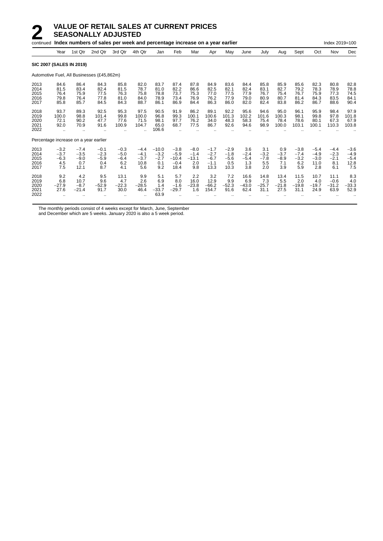|                                      | continued Index numbers of sales per week and percentage increase on a year earlier |                                           |                                            |                                          |                                           |                                           |                                               |                                           |                                              |                                           |                                       |                                       |                                       |                                          |                                           | Index 2019=100                           |                                           |  |
|--------------------------------------|-------------------------------------------------------------------------------------|-------------------------------------------|--------------------------------------------|------------------------------------------|-------------------------------------------|-------------------------------------------|-----------------------------------------------|-------------------------------------------|----------------------------------------------|-------------------------------------------|---------------------------------------|---------------------------------------|---------------------------------------|------------------------------------------|-------------------------------------------|------------------------------------------|-------------------------------------------|--|
|                                      | Year                                                                                | 1st Qtr                                   | 2nd Qtr                                    | 3rd Qtr                                  | 4th Qtr                                   | Jan                                       | Feb                                           | Mar                                       | Apr                                          | May                                       | June                                  | July                                  | Aug                                   | Sept                                     | Oct                                       | Nov                                      | Dec                                       |  |
|                                      | <b>SIC 2007 (SALES IN 2019)</b>                                                     |                                           |                                            |                                          |                                           |                                           |                                               |                                           |                                              |                                           |                                       |                                       |                                       |                                          |                                           |                                          |                                           |  |
|                                      |                                                                                     |                                           | Automotive Fuel, All Businesses (£45,862m) |                                          |                                           |                                           |                                               |                                           |                                              |                                           |                                       |                                       |                                       |                                          |                                           |                                          |                                           |  |
| 2013<br>2014<br>2015<br>2016<br>2017 | 84.6<br>81.5<br>76.4<br>79.8<br>85.8                                                | 86.4<br>83.4<br>75.9<br>76.4<br>85.7      | 84.3<br>82.4<br>77.5<br>77.8<br>84.5       | 85.8<br>81.5<br>76.3<br>81.0<br>84.3     | 82.0<br>78.7<br>75.8<br>84.0<br>88.7      | 83.7<br>81.0<br>78.8<br>78.9<br>86.1      | 87.4<br>82.2<br>73.7<br>73.4<br>86.9          | 87.8<br>86.6<br>75.3<br>76.9<br>84.4      | 84.9<br>82.5<br>77.0<br>76.2<br>86.3         | 83.6<br>82.1<br>77.5<br>77.9<br>86.0      | 84.4<br>82.4<br>77.9<br>79.0<br>82.0  | 85.8<br>83.1<br>76.7<br>80.9<br>82.4  | 85.9<br>82.7<br>75.4<br>80.7<br>83.8  | 85.6<br>79.2<br>76.7<br>81.4<br>86.2     | 82.3<br>78.3<br>75.9<br>84.3<br>86.7      | 80.8<br>78.9<br>77.3<br>83.5<br>88.6     | 82.8<br>78.8<br>74.5<br>84.1<br>90.4      |  |
| 2018<br>2019<br>2020<br>2021<br>2022 | 93.7<br>100.0<br>72.1<br>92.0<br>                                                   | 89.3<br>98.8<br>90.2<br>70.9<br>          | 92.5<br>101.4<br>47.7<br>91.6              | 95.3<br>99.8<br>77.6<br>100.9            | 97.5<br>100.0<br>71.5<br>104.7            | 90.5<br>96.8<br>98.1<br>65.0<br>106.6     | 91.9<br>99.3<br>97.7<br>68.7                  | 86.2<br>100.1<br>76.2<br>77.5             | 89.1<br>100.6<br>34.0<br>86.7                | 92.2<br>101.3<br>48.3<br>92.6             | 95.6<br>102.2<br>58.3<br>94.6         | 94.6<br>101.6<br>75.4<br>98.9         | 95.0<br>100.3<br>78.4<br>100.0        | 96.1<br>98.1<br>78.6<br>103.1            | 95.9<br>99.8<br>80.1<br>100.1             | 98.4<br>97.8<br>67.3<br>110.3            | 97.9<br>101.8<br>67.9<br>103.8            |  |
|                                      | Percentage increase on a year earlier                                               |                                           |                                            |                                          |                                           |                                           |                                               |                                           |                                              |                                           |                                       |                                       |                                       |                                          |                                           |                                          |                                           |  |
| 2013<br>2014<br>2015<br>2016<br>2017 | $-3.2$<br>$-3.7$<br>$-6.3$<br>4.5<br>7.5                                            | $-7.4$<br>$-3.5$<br>$-9.0$<br>0.7<br>12.1 | $-0.1$<br>$-2.3$<br>$-5.9$<br>0.4<br>8.7   | $-0.3$<br>$-5.0$<br>$-6.4$<br>6.2<br>4.1 | $-4.4$<br>$-4.1$<br>$-3.7$<br>10.8<br>5.6 | $-10.0$<br>$-3.2$<br>$-2.7$<br>0.1<br>9.2 | $-3.8$<br>$-5.9$<br>$-10.4$<br>$-0.4$<br>18.4 | $-8.0$<br>$-1.4$<br>$-13.1$<br>2.0<br>9.8 | $-1.7$<br>$-2.7$<br>$-6.7$<br>$-1.1$<br>13.3 | $-2.9$<br>$-1.8$<br>$-5.6$<br>0.5<br>10.3 | 3.6<br>$-2.4$<br>$-5.4$<br>1.3<br>3.8 | 3.1<br>$-3.2$<br>$-7.8$<br>5.5<br>2.0 | 0.9<br>$-3.7$<br>$-8.9$<br>7.1<br>3.9 | $-3.8$<br>$-7.4$<br>$-3.2$<br>6.2<br>5.9 | $-5.4$<br>$-4.9$<br>$-3.0$<br>11.0<br>2.8 | $-4.4$<br>$-2.3$<br>$-2.1$<br>8.1<br>6.1 | $-3.6$<br>$-4.9$<br>$-5.4$<br>12.8<br>7.5 |  |
| 2018<br>2019<br>2020<br>2021<br>2022 | 9.2<br>6.8<br>$-27.9$<br>27.6                                                       | 4.2<br>10.7<br>$-8.7$<br>$-21.4$          | 9.5<br>9.6<br>$-52.9$<br>91.7              | 13.1<br>4.7<br>$-22.3$<br>30.0           | 9.9<br>2.6<br>$-28.5$<br>46.4             | 5.1<br>6.9<br>1.4<br>$-33.7$<br>63.9      | 5.7<br>8.0<br>$-1.6$<br>$-29.7$               | 2.2<br>16.0<br>$-23.8$<br>1.6             | 3.2<br>12.9<br>$-66.2$<br>154.7              | 7.2<br>9.9<br>$-52.3$<br>91.6             | 16.6<br>6.9<br>$-43.0$<br>62.4        | 14.8<br>7.3<br>$-25.7$<br>31.1        | 13.4<br>5.5<br>$-21.8$<br>27.5        | 11.5<br>2.0<br>$-19.8$<br>31.1           | 10.7<br>4.0<br>$-19.7$<br>24.9            | 11.1<br>$-0.6$<br>$-31.2$<br>63.9        | 8.3<br>4.0<br>$-33.3$<br>52.9             |  |

The monthly periods consist of 4 weeks except for March, June, September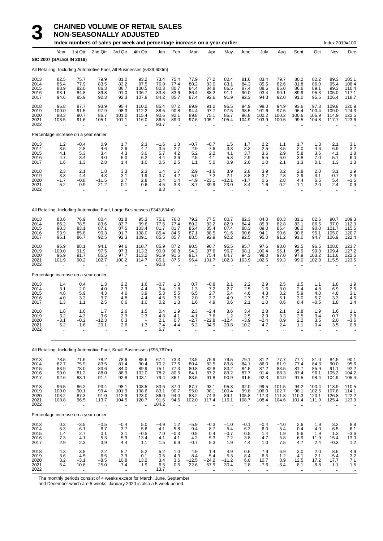## **3 CHAINED VOLUME OF RETAIL SALES**<br>**3 NON-SEASONALLY ADJUSTED**<br>Index numbers of sales per week and percentage inc **NON-SEASONALLY ADJUSTED**

|                                      | Index numbers of sales per week and percentage increase on a year earlier<br>Index 2019=100 |                                                      |                                                                        |                                                       |                                                             |                                       |                                                      |                                            |                                      |                                              |                                       |                                                         |                                                        |                                                |                                                      |                                                          |                                               |
|--------------------------------------|---------------------------------------------------------------------------------------------|------------------------------------------------------|------------------------------------------------------------------------|-------------------------------------------------------|-------------------------------------------------------------|---------------------------------------|------------------------------------------------------|--------------------------------------------|--------------------------------------|----------------------------------------------|---------------------------------------|---------------------------------------------------------|--------------------------------------------------------|------------------------------------------------|------------------------------------------------------|----------------------------------------------------------|-----------------------------------------------|
|                                      | Year                                                                                        | 1st Qtr                                              | 2nd Qtr                                                                | 3rd Qtr                                               | 4th Qtr                                                     | Jan                                   | Feb                                                  | Mar                                        | Apr                                  | May                                          | June                                  | July                                                    | Aug                                                    | Sept                                           | Oct                                                  | Nov                                                      | Dec                                           |
|                                      | <b>SIC 2007 (SALES IN 2019)</b>                                                             |                                                      | All Retailing, Including Automotive Fuel, All Businesses (£439,600m)   |                                                       |                                                             |                                       |                                                      |                                            |                                      |                                              |                                       |                                                         |                                                        |                                                |                                                      |                                                          |                                               |
| 2013<br>2014<br>2015<br>2016<br>2017 | 82.5<br>85.4<br>88.9<br>93.1<br>94.6                                                        | 75.7<br>77.9<br>82.0<br>84.8<br>85.9                 | 79.9<br>83.5<br>86.3<br>89.8<br>92.3                                   | 81.0<br>83.2<br>86.7<br>91.0<br>92.3                  | 93.2<br>97.5<br>100.5<br>106.7<br>107.8                     | 73.4<br>76.0<br>80.3<br>83.8<br>84.2  | 75.4<br>77.4<br>80.7<br>83.6<br>85.7                 | 77.9<br>80.2<br>84.4<br>86.4<br>87.4       | 77.2<br>83.0<br>84.8<br>88.2<br>92.6 | 80.4<br>83.1<br>86.5<br>91.1<br>91.9         | 81.6<br>84.3<br>87.4<br>90.0<br>92.3  | 83.4<br>85.5<br>88.6<br>93.4<br>94.3                    | 79.7<br>82.6<br>85.0<br>90.1<br>92.0                   | 80.2<br>81.8<br>86.6<br>89.9<br>91.0           | 82.2<br>86.0<br>89.1<br>95.3<br>95.5                 | 89.3<br>95.4<br>99.3<br>105.0<br>106.4                   | 105.1<br>108.4<br>110.4<br>117.1<br>118.7     |
| 2018<br>2019<br>2020<br>2021<br>2022 | 96.8<br>100.0<br>98.3<br>103.5<br>$\ddot{\phantom{a}}$                                      | 87.7<br>91.5<br>90.7<br>91.6<br>$\ddot{\phantom{a}}$ | 93.9<br>97.9<br>86.7<br>105.1<br>$\ddot{\phantom{a}}$                  | 95.4<br>98.3<br>101.0<br>101.1<br>$\sim$              | 110.2<br>112.2<br>115.4<br>116.0<br>$\ddot{\phantom{a}}$    | 85.4<br>88.5<br>90.6<br>86.5<br>93.7  | 87.2<br>90.8<br>92.1<br>89.0<br>$\ddot{\phantom{a}}$ | 89.9<br>94.4<br>89.8<br>97.6               | 91.2<br>97.7<br>75.1<br>105.1        | 95.5<br>97.5<br>85.7<br>105.4                | 94.9<br>98.5<br>96.8<br>104.9         | 98.0<br>101.6<br>102.2<br>103.9<br>$\ddot{\phantom{a}}$ | 94.9<br>97.5<br>100.2<br>100.5<br>$\ddot{\phantom{a}}$ | 93.6<br>96.4<br>100.6<br>99.5                  | 97.3<br>100.4<br>106.9<br>104.8                      | 109.8<br>109.0<br>114.9<br>117.7                         | 120.9<br>124.3<br>122.5<br>123.6              |
|                                      | Percentage increase on a year earlier                                                       |                                                      |                                                                        |                                                       |                                                             |                                       |                                                      |                                            |                                      |                                              |                                       |                                                         |                                                        |                                                |                                                      |                                                          |                                               |
| 2013<br>2014<br>2015<br>2016<br>2017 | $\frac{1.2}{3.5}$<br>4.1<br>4.7<br>1.6                                                      | $-0.4$<br>2.8<br>5.3<br>3.4<br>1.3                   | 0.9<br>4.6<br>3.4<br>4.0<br>2.8                                        | 1.7<br>2.6<br>4.3<br>5.0<br>1.4                       | $^{2.3}_{4.7}$<br>3.0<br>6.2<br>1.0                         | $-1.6$<br>3.5<br>5.7<br>4.4<br>0.5    | 1.3<br>2.7<br>4.2<br>3.6<br>2.5                      | $-0.7$<br>2.9<br>5.2<br>2.5<br>1.1         | $-0.7$<br>7.6<br>2.2<br>4.1<br>5.0   | 1.5<br>$3.\overline{3}$<br>4.1<br>5.3<br>0.9 | 1.7<br>3.3<br>3.7<br>2.9<br>2.6       | $^{2.2}_{2.5}$<br>3.6<br>5.5<br>1.0                     | 1.1<br>3.5<br>2.9<br>6.0<br>2.1                        | 1.7<br>2.0<br>5.8<br>3.8<br>1.3                | 1.3<br>4.6<br>3.6<br>7.0<br>0.1                      | 2.1<br>6.9<br>4.1<br>5.7<br>1.3                          | $\frac{3.1}{3.2}$<br>1.8<br>6.0<br>1.3        |
| 2018<br>2019<br>2020<br>2021<br>2022 | 2.3<br>3.3<br>$-1.7$<br>5.2<br>ä.                                                           | 2.1<br>4.4<br>$-0.8$<br>0.9                          | 1.8<br>4.3<br>$-11.5$<br>21.2                                          | 3.3<br>3.1<br>2.7<br>0.1<br>$\ddotsc$                 | 2.3<br>1.9<br>2.8<br>0.6<br>$\ddot{\phantom{a}}$            | 1.4<br>3.7<br>2.4<br>$-4.5$<br>8.3    | 1.7<br>4.2<br>1.4<br>$-3.3$<br>$\ddot{\phantom{a}}$  | 2.9<br>5.0<br>$-4.9$<br>8.7                | $-1.6$<br>7.2<br>$-23.1$<br>39.9     | 3.9<br>2.1<br>$-12.1$<br>23.0                | 2.8<br>3.8<br>$-1.7$<br>8.4           | 3.9<br>3.7<br>0.6<br>1.6                                | 3.2<br>2.8<br>2.8<br>0.2<br>÷.                         | 2.8<br>2.9<br>4.4<br>$-1.1$                    | 2.0<br>3.1<br>6.5<br>$-2.0$                          | 3.1<br>$-0.7$<br>5.4<br>2.4                              | 1.9<br>2.9<br>$-1.5$<br>0.9                   |
|                                      |                                                                                             |                                                      | All Retailing, Including Automotive Fuel, Large Businesses (£343,834m) |                                                       |                                                             |                                       |                                                      |                                            |                                      |                                              |                                       |                                                         |                                                        |                                                |                                                      |                                                          |                                               |
| 2013<br>2014<br>2015<br>2016<br>2017 | 83.6<br>86.2<br>90.3<br>93.9<br>95.1                                                        | 76.9<br>78.5<br>83.1<br>85.8<br>86.7                 | 80.4<br>83.6<br>87.1<br>90.3<br>92.5                                   | 81.8<br>83.7<br>87.5<br>91.7<br>92.3                  | 95.3<br>99.6<br>103.4<br>108.0<br>109.1                     | 75.1<br>77.6<br>81.7<br>85.4<br>85.5  | 76.0<br>77.4<br>81.7<br>84.5<br>85.7                 | 79.2<br>80.2<br>85.4<br>87.1<br>88.5       | 77.5<br>83.2<br>85.4<br>88.5<br>92.9 | 80.7<br>82.9<br>87.4<br>91.6<br>92.2         | 82.3<br>84.4<br>88.3<br>90.6<br>92.5  | 84.0<br>85.3<br>89.0<br>94.1<br>95.0                    | 80.3<br>82.8<br>85.4<br>90.6<br>91.2                   | 81.1<br>83.1<br>88.0<br>90.6<br>91.0           | 82.6<br>86.5<br>90.0<br>95.1<br>94.7                 | 90.7<br>97.0<br>101.7<br>105.0<br>106.9                  | 109.3<br>112.0<br>115.5<br>120.7<br>122.4     |
| 2018<br>2019<br>2020<br>2021<br>2022 | 96.9<br>100.0<br>96.9<br>101.9<br>$\ddot{\phantom{0}}$                                      | 88.1<br>91.9<br>91.7<br>90.2<br>$\bar{\mathbf{r}}$   | 94.1<br>97.5<br>85.5<br>102.7                                          | 94.6<br>97.3<br>97.7<br>100.2<br>$\ddot{\phantom{a}}$ | 110.7<br>113.3<br>113.2<br>114.7<br>$\ddot{\phantom{a}}$    | 85.9<br>90.0<br>91.9<br>85.1<br>90.8  | 87.2<br>90.8<br>91.5<br>87.5<br>$\ddot{\phantom{a}}$ | 90.5<br>94.3<br>91.7<br>96.4               | 90.7<br>97.6<br>75.4<br>101.7        | 95.5<br>96.7<br>84.7<br>102.3                | 95.7<br>98.1<br>94.3<br>103.9         | 97.6<br>100.4<br>98.0<br>102.6<br>ä.                    | 93.0<br>96.1<br>97.0<br>99.3<br>÷.                     | 93.5<br>95.9<br>97.9<br>99.0                   | 96.5<br>99.8<br>103.2<br>102.8                       | 108.6<br>109.4<br>111.6<br>115.5                         | 123.7<br>127.2<br>122.5<br>123.5              |
|                                      | Percentage increase on a year earlier                                                       |                                                      |                                                                        |                                                       |                                                             |                                       |                                                      |                                            |                                      |                                              |                                       |                                                         |                                                        |                                                |                                                      |                                                          |                                               |
| 2013<br>2014<br>2015<br>2016<br>2017 | 1.4<br>3.1<br>4.8<br>4.0<br>1.3                                                             | 0.4<br>2.0<br>5.9<br>3.2<br>1.1                      | 1.3<br>4.0<br>4.3<br>3.7<br>2.5                                        | 2.2<br>2.3<br>4.6<br>4.8<br>0.6                       | 1.6<br>4.4<br>3.9<br>4.4<br>1.0                             | $-0.7$<br>3.4<br>5.3<br>4.5<br>0.2    | 1.3<br>1.8<br>5.5<br>3.5<br>1.3                      | 0.7<br>1.3<br>6.5<br>2.0<br>1.6            | $-0.8$<br>7.2<br>2.7<br>3.7<br>4.9   | 2.1<br>2.7<br>5.4<br>4.9<br>0.6              | 2.2<br>2.5<br>4.6<br>2.7<br>2.1       | 2.9<br>1.6<br>4.3<br>5.7<br>1.0                         | 2.5<br>3.0<br>3.2<br>6.1<br>0.6                        | 1.5<br>2.4<br>5.9<br>3.0<br>0.4                | 1.1<br>4.8<br>4.0<br>5.7<br>$-0.5$                   | 1.8<br>6.9<br>4.8<br>3.3<br>1.8                          | 1.9<br>2.6<br>3.1<br>4.5<br>1.4               |
| 2018<br>2019<br>2020<br>2021<br>2022 | 1.8<br>3.2<br>$-3.1$<br>5.2                                                                 | 1.6<br>4.3<br>$-0.2$<br>$-1.6$                       | 1.7<br>3.6<br>-12.3<br>20.1                                            | 2.6<br>2.9<br>0.3<br>2.6                              | 1.5<br>2.3<br>1.3                                           | 0.4<br>4.8<br>2.1<br>$-7.4$<br>6.7    | 1.9<br>4.1<br>0.7<br>$-4.4$                          | 2.3<br>4.1<br>$-2.7$<br>5.2                | $-2.4$<br>7.6<br>$-22.8$<br>34.9     | 3.6<br>1.2<br>$-12.4$<br>20.8                | 3.4<br>2.5<br>$-3.9$<br>10.2          | 2.8<br>2.9<br>$-2.4$<br>4.7                             | 2.1<br>3.3<br>0.9<br>2.4                               | 2.8<br>2.5<br>2.2<br>1.1                       | 1.9<br>3.4<br>3.5<br>$-0.4$                          | 1.6<br>0.7<br>2.0<br>3.5                                 | 1.1<br>2.8<br>$-3.6$<br>0.8                   |
|                                      |                                                                                             |                                                      | All Retailing, Including Automotive Fuel, Small Businesses (£95,767m)  |                                                       |                                                             |                                       |                                                      |                                            |                                      |                                              |                                       |                                                         |                                                        |                                                |                                                      |                                                          |                                               |
| 2013<br>2014<br>2015<br>2016<br>2017 | 78.5<br>82.7<br>83.9<br>90.0<br>92.6                                                        | 71.6<br>75.9<br>78.0<br>81.2<br>83.1                 | 78.2<br>83.5<br>83.6<br>88.0<br>91.4                                   | 78.6<br>81.4<br>84.0<br>88.9<br>92.8                  | 85.6<br>90.4<br>89.9<br>102.0<br>103.1                      | 67.4<br>70.2<br>75.1<br>78.2<br>79.4  | 73.3<br>77.6<br>77.3<br>80.5<br>86.1                 | 73.5<br>80.4<br>80.8<br>84.1<br>83.6       | 75.9<br>82.5<br>82.8<br>87.2<br>91.8 | 79.5<br>83.8<br>83.2<br>89.2<br>90.9         | 79.1<br>84.1<br>84.5<br>87.7<br>91.5  | 81.2<br>86.0<br>87.2<br>91.4<br>92.3                    | 77.7<br>81.9<br>83.5<br>88.3<br>94.9                   | 77.1<br>77.4<br>81.7<br>87.4<br>91.5           | 81.0<br>84.3<br>85.9<br>96.1<br>98.4                 | 84.5<br>90.0<br>91.1<br>105.2<br>104.9                   | 90.1<br>95.6<br>$\frac{92.2}{104.2}$<br>105.4 |
| 2018<br>2019<br>2020<br>2021<br>2022 | 96.5<br>100.0<br>103.2<br>108.8<br>÷.                                                       | 86.2<br>90.1<br>87.3<br>96.5<br>$\ddotsc$            | 93.4<br>99.4<br>91.0<br>113.7<br>ä,                                    | 98.1<br>101.9<br>112.9<br>104.5<br>$\bar{a}$          | 108.5<br>108.6<br>123.0<br>120.7<br>$\ddot{\phantom{1}}$    | 83.6<br>83.1<br>86.0<br>91.6<br>104.2 | 87.0<br>90.7<br>94.0<br>94.5<br>$\ddot{\phantom{a}}$ | 87.7<br>95.0<br>83.2<br>102.0<br>$\ddotsc$ | 93.1<br>98.1<br>74.3<br>117.4<br>ä.  | 95.3<br>100.4<br>89.1<br>116.1<br>$\ddotsc$  | 92.0<br>99.8<br>105.8<br>108.7<br>÷.  | 99.5<br>106.0<br>117.3<br>108.4<br>ä.                   | 101.5<br>102.7<br>111.8<br>104.6<br>ä.                 | 94.2<br>98.1<br>110.3<br>101.4<br>$\mathbf{r}$ | 100.4<br>102.5<br>120.1<br>111.9<br>$\mathbf{r}$     | 113.9<br>107.8<br>126.8<br>125.4<br>$\ddot{\phantom{a}}$ | 110.5<br>114.1<br>123.9                       |
|                                      | Percentage increase on a year earlier                                                       |                                                      |                                                                        |                                                       |                                                             |                                       |                                                      |                                            |                                      |                                              |                                       |                                                         |                                                        |                                                |                                                      |                                                          |                                               |
| 2013<br>2014<br>2015<br>2016<br>2017 | $\frac{0.3}{5.3}$<br>1.4<br>$^{7.3}_{2.9}$                                                  | $-3.5$<br>6.1<br>2.7<br>4.1<br>2.3                   | $-0.5$<br>6.7<br>0.1<br>5.3<br>3.9                                     | $-0.4$<br>3.7<br>3.1<br>5.9<br>4.4                    | 5.0<br>5.6<br>$-0.5$<br>13.4<br>1.1                         | $-4.9$<br>4.1<br>7.0<br>4.1<br>1.5    | 1.2<br>5.8<br>$-0.3$<br>4.1<br>6.9                   | $-5.9$<br>9.4<br>0.5<br>4.2<br>$-0.7$      | $-0.3$<br>8.7<br>0.4<br>5.3<br>5.3   | $-1.0$<br>5.4<br>$-0.7$<br>7.2<br>1.9        | $-0.1$<br>6.2<br>0.5<br>3.8<br>4.4    | $-0.4$<br>6.0<br>1.4<br>4.7<br>1.0                      | $-4.0$<br>5.4<br>1.9<br>5.8<br>7.5                     | 2.6<br>0.4<br>5.6<br>6.9<br>4.7                | 1.9<br>4.0<br>1.9<br>11.9<br>2.4                     | 3.2<br>6.5<br>1.3<br>15.4<br>$-0.3$                      | $8.8$<br>$6.1$<br>$-3.6$<br>13.0<br>1.2       |
| 2018<br>2019<br>2020<br>2021<br>2022 | 4.3<br>3.6<br>3.2<br>5.4<br>$\ddot{\phantom{1}}$                                            | 3.8<br>4.5<br>$-3.1$<br>10.6<br>$\cdot$ .            | 2.2<br>6.5<br>$-8.5$<br>25.0<br>$\cdot$ .                              | 5.7<br>3.9<br>10.8<br>$-7.4$<br>$\ddotsc$             | 5.2<br>0.1<br>13.2<br>$-1.9$<br>$\mathcal{L}_{\mathcal{A}}$ | 5.2<br>$-0.5$<br>3.4<br>6.5<br>13.7   | 1.0<br>4.3<br>3.6<br>0.5<br>$\ddotsc$                | 4.9<br>8.4<br>$-12.5$<br>22.6              | 1.4<br>5.4<br>$-24.2$<br>57.9        | 4.9<br>5.3<br>$-11.2$<br>30.4                | 0.6<br>8.4<br>6.0<br>2.8<br>$\ddotsc$ | 7.9<br>6.5<br>10.7<br>$-7.6$<br>$\ddotsc$               | 6.9<br>1.2<br>8.9<br>$-6.4$<br>$\ddotsc$               | 3.0<br>4.1<br>12.5<br>$-8.1$<br>$\cdot$ .      | 2.0<br>2.1<br>17.2<br>$-6.8$<br>$\ddot{\phantom{1}}$ | 8.6<br>-5.4<br>17.7<br>$-1.1$<br>$\ddot{\phantom{1}}$    | $\frac{4.9}{3.2}$<br>7.1<br>1.5<br>$\cdot$    |

The monthly periods consist of 4 weeks except for March, June, September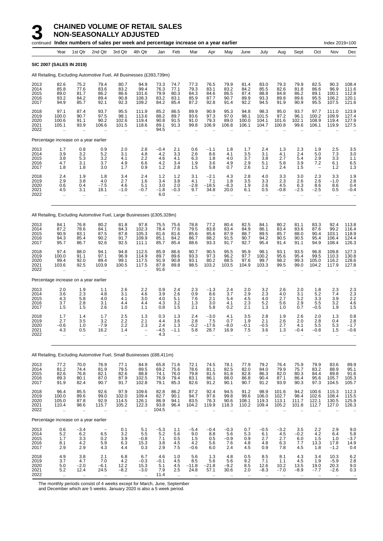**NON-SEASONALLY ADJUSTED**

|                                      |                                                         |                                                      | continued Index numbers of sales per week and percentage increase on a year earlier |                                                       |                                          |                                       |                                                      |                                       |                                      |                                       |                                                      |                                                       |                                          |                                             |                                               | Index 2019=100                                |                                                        |
|--------------------------------------|---------------------------------------------------------|------------------------------------------------------|-------------------------------------------------------------------------------------|-------------------------------------------------------|------------------------------------------|---------------------------------------|------------------------------------------------------|---------------------------------------|--------------------------------------|---------------------------------------|------------------------------------------------------|-------------------------------------------------------|------------------------------------------|---------------------------------------------|-----------------------------------------------|-----------------------------------------------|--------------------------------------------------------|
|                                      | Year                                                    | 1st Qtr                                              | 2nd Qtr                                                                             | 3rd Qtr                                               | 4th Qtr                                  | Jan                                   | Feb                                                  | Mar                                   | Apr                                  | May                                   | June                                                 | July                                                  | Aug                                      | Sept                                        | Oct                                           | Nov                                           | Dec                                                    |
|                                      | SIC 2007 (SALES IN 2019)                                |                                                      |                                                                                     |                                                       |                                          |                                       |                                                      |                                       |                                      |                                       |                                                      |                                                       |                                          |                                             |                                               |                                               |                                                        |
|                                      |                                                         |                                                      | All Retailing, Excluding Automotive Fuel, All Businesses (£393,739m)                |                                                       |                                          |                                       |                                                      |                                       |                                      |                                       |                                                      |                                                       |                                          |                                             |                                               |                                               |                                                        |
| 2013<br>2014<br>2015<br>2016<br>2017 | 82.6<br>85.8<br>89.0<br>93.2<br>94.9                    | 75.2<br>77.6<br>81.7<br>84.2<br>85.7                 | 79.4<br>83.6<br>86.2<br>89.4<br>92.1                                                | 80.7<br>83.2<br>86.6<br>90.8<br>92.3                  | 94.9<br>99.4<br>101.6<br>108.3<br>109.2  | 73.3<br>76.3<br>79.9<br>83.2<br>84.2  | 74.7<br>77.1<br>80.3<br>83.1<br>85.4                 | 77.3<br>79.3<br>84.3<br>85.9<br>87.2  | 76.5<br>83.1<br>84.6<br>87.7<br>92.8 | 79.9<br>83.2<br>86.5<br>90.7<br>91.4  | 81.4<br>84.2<br>87.4<br>89.9<br>92.2                 | 83.0<br>85.5<br>88.8<br>93.3<br>94.5                  | 79.3<br>82.6<br>84.8<br>89.8<br>91.9     | 79.9<br>81.8<br>86.2<br>89.6<br>90.9        | 82.5<br>86.6<br>89.1<br>95.5<br>95.5          | 90.3<br>96.9<br>100.1<br>106.2<br>107.5       | 108.4<br>111.6<br>112.8<br>120.1<br>121.6              |
| 2018<br>2019<br>2020<br>2021<br>2022 | 97.1<br>100.0<br>100.6<br>105.1                         | 87.4<br>90.7<br>91.1<br>93.9                         | 93.7<br>97.5<br>90.2<br>106.6                                                       | 95.5<br>98.1<br>102.6<br>101.5                        | 111.9<br>113.6<br>119.4<br>118.6         | 85.2<br>88.2<br>90.8<br>89.1<br>94.5  | 86.5<br>89.7<br>91.5<br>91.3                         | 89.9<br>93.6<br>91.0<br>99.8          | 90.9<br>97.3<br>79.3<br>106.9        | 95.3<br>97.0<br>89.0<br>106.8         | 94.8<br>98.1<br>100.0<br>106.1                       | 98.3<br>101.5<br>104.1<br>104.7                       | 95.0<br>97.2<br>101.6<br>100.8           | 93.7<br>96.1<br>102.1<br>99.6               | 97.7<br>100.2<br>108.9<br>106.1               | 111.0<br>109.9<br>119.4<br>119.9              | 123.9<br>127.4<br>127.9<br>127.5                       |
|                                      | Percentage increase on a year earlier                   |                                                      |                                                                                     |                                                       |                                          |                                       |                                                      |                                       |                                      |                                       |                                                      |                                                       |                                          |                                             |                                               |                                               |                                                        |
| 2013<br>2014<br>2015<br>2016<br>2017 | 1.7<br>3.9<br>3.8<br>4.7<br>1.8                         | 0.8<br>3.2<br>5.3<br>3.1<br>1.8                      | 0.9<br>5.2<br>3.2<br>3.7<br>3.0                                                     | 2.0<br>3.1<br>4.1<br>4.9<br>1.7                       | 2.8<br>4.8<br>2.2<br>6.6<br>0.9          | $-0.4$<br>4.2<br>4.6<br>4.2<br>1.2    | 2.1<br>3.3<br>4.1<br>3.4<br>2.8                      | 0.6<br>2.6<br>6.3<br>1.9<br>1.5       | $-1.1$<br>8.6<br>1.8<br>3.6<br>5.8   | 1.8<br>4.1<br>4.0<br>4.9<br>0.7       | 1.7<br>3.5<br>3.7<br>2.9<br>2.6                      | 2.4<br>3.1<br>3.8<br>5.1<br>1.2                       | 1.3<br>4.1<br>2.7<br>5.8<br>2.4          | 2.3<br>2.4<br>5.4<br>3.9<br>1.5             | 1.9<br>5.0<br>2.9<br>7.2<br>$\qquad \qquad -$ | 2.5<br>7.3<br>3.3<br>6.1<br>1.2               | 3.5<br>3.0<br>1.1<br>6.5<br>1.3                        |
| 2018<br>2019<br>2020<br>2021<br>2022 | 2.4<br>2.9<br>0.6<br>4.5                                | 1.9<br>3.8<br>0.4<br>3.1                             | 1.8<br>4.0<br>$-7.5$<br>18.1                                                        | 3.4<br>2.7<br>4.6<br>$-1.0$                           | 2.4<br>1.6<br>5.1<br>$-0.7$<br>÷.        | 1.2<br>3.4<br>3.0<br>$-1.8$<br>6.0    | 1.2<br>3.8<br>2.0<br>$-0.3$                          | 3.1<br>4.1<br>$-2.8$<br>9.7           | $-2.1$<br>7.1<br>$-18.5$<br>34.8     | 4.3<br>1.8<br>$-8.3$<br>20.0          | 2.8<br>3.5<br>1.9<br>6.1                             | 4.0<br>3.3<br>2.6<br>0.5                              | 3.3<br>2.3<br>4.5<br>$-0.8$              | 3.0<br>2.6<br>6.3<br>-2.5                   | 2.3<br>2.6<br>8.6<br>-2.5                     | 3.3<br>$-1.0$<br>8.6<br>0.5<br>$\cdot$ .      | 1.9<br>2.8<br>0.4<br>$-0.4$                            |
|                                      |                                                         |                                                      | All Retailing, Excluding Automotive Fuel, Large Businesses (£305,328m)              |                                                       |                                          |                                       |                                                      |                                       |                                      |                                       |                                                      |                                                       |                                          |                                             |                                               |                                               |                                                        |
| 2013<br>2014<br>2015<br>2016<br>2017 | 84.1<br>87.2<br>90.9<br>94.3<br>95.7                    | 76.8<br>78.6<br>83.1<br>85.4<br>86.7                 | 80.2<br>84.1<br>87.5<br>90.2<br>92.6                                                | 81.8<br>84.3<br>87.8<br>91.7<br>92.5                  | 97.8<br>102.3<br>105.3<br>109.9<br>111.1 | 75.5<br>78.4<br>81.6<br>85.1<br>85.7  | 75.6<br>77.6<br>81.6<br>84.2<br>85.4                 | 78.8<br>79.5<br>85.6<br>86.7<br>88.6  | 77.2<br>83.8<br>85.6<br>88.2<br>93.3 | 80.4<br>83.4<br>87.9<br>91.5<br>91.7  | 82.5<br>84.9<br>88.7<br>90.7<br>92.7                 | 84.1<br>86.1<br>89.5<br>94.2<br>95.4                  | 80.2<br>83.4<br>85.7<br>90.5<br>91.4     | 81.1<br>83.6<br>88.0<br>90.5<br>91.1        | 83.3<br>87.6<br>90.4<br>95.4<br>94.9          | 92.4<br>99.2<br>103.1<br>106.4<br>108.4       | 113.8<br>116.4<br>118.9<br>124.4<br>126.3              |
| 2018<br>2019<br>2020<br>2021<br>2022 | 97.4<br>100.0<br>99.4<br>103.6<br>$\ddot{\phantom{a}}$  | 88.0<br>91.1<br>92.0<br>92.5<br>$\ddot{\phantom{a}}$ | 94.1<br>97.1<br>89.4<br>103.9                                                       | 94.8<br>96.9<br>99.1<br>100.5                         | 112.5<br>114.9<br>117.5<br>117.5         | 85.9<br>89.7<br>91.9<br>87.8<br>91.6  | 86.6<br>89.6<br>90.8<br>89.8<br>$\ddot{\phantom{a}}$ | 90.7<br>93.3<br>93.1<br>98.5          | 90.5<br>97.3<br>80.2<br>103.2        | 95.5<br>96.2<br>88.5<br>103.5         | 95.9<br>97.7<br>97.6<br>104.9                        | 98.1<br>100.2<br>99.7<br>103.3                        | 93.1<br>95.6<br>98.2<br>99.5             | 93.5<br>95.4<br>99.3<br>99.0                | 96.8<br>99.5<br>105.0<br>104.2                | 109.8<br>110.3<br>116.2<br>117.9              | 127.3<br>130.8<br>128.6<br>127.8                       |
|                                      | Percentage increase on a year earlier                   |                                                      |                                                                                     |                                                       |                                          |                                       |                                                      |                                       |                                      |                                       |                                                      |                                                       |                                          |                                             |                                               |                                               |                                                        |
| 2013<br>2014<br>2015<br>2016<br>2017 | 2.0<br>3.6<br>4.3<br>3.7<br>1.5                         | 1.9<br>2.3<br>5.8<br>2.8<br>1.5                      | 1.1<br>4.8<br>4.0<br>3.1<br>2.6                                                     | 2.6<br>3.1<br>4.1<br>4.4<br>1.0                       | 2.2<br>4.6<br>3.0<br>4.4<br>1.1          | 0.9<br>3.9<br>4.0<br>4.3<br>0.8       | 2.4<br>2.6<br>5.1<br>3.2<br>1.5                      | 2.3<br>0.9<br>7.6<br>1.3<br>2.1       | $-1.3$<br>8.6<br>2.1<br>3.0<br>5.8   | 2.4<br>3.7<br>5.4<br>4.1<br>0.2       | 2.0<br>2.9<br>4.5<br>2.3<br>2.1                      | 3.2<br>2.3<br>4.0<br>5.2<br>1.3                       | 2.6<br>4.0<br>2.7<br>5.6<br>1.0          | 2.0<br>3.1<br>5.2<br>2.9<br>0.7             | 1.8<br>5.2<br>3.3<br>5.5<br>-0.5              | 2.3<br>7.4<br>3.9<br>3.2<br>1.9               | $^{2.3}_{2.3}$<br>$2.\overline{2}$<br>$^{4.6}_{1.5}$   |
| 2018<br>2019<br>2020<br>2021<br>2022 | 1.7<br>2.7<br>$-0.6$<br>4.3<br>$\ddot{\phantom{a}}$     | 1.4<br>3.5<br>1.0<br>0.5<br>$\ddotsc$                | 1.7<br>3.2<br>$-7.9$<br>16.2<br>$\ddotsc$                                           | 2.5<br>2.2<br>2.2<br>1.4<br>ä.                        | 1.3<br>2.1<br>2.3                        | 0.3<br>4.4<br>2.4<br>$-4.5$<br>4.3    | 1.3<br>3.6<br>1.3<br>$-1.1$                          | 2.4<br>2.8<br>$-0.2$<br>5.8           | $-3.0$<br>7.5<br>$-17.6$<br>28.7     | 4.1<br>0.7<br>$-8.0$<br>16.9          | 3.5<br>1.9<br>-0.1<br>7.5<br>ä.                      | 2.8<br>2.1<br>$-0.5$<br>3.6<br>ä.                     | 1.9<br>2.6<br>2.7<br>1.3<br>$\mathbf{r}$ | 2.6<br>2.0<br>4.1<br>$-0.4$                 | 2.0<br>2.8<br>5.5<br>$-0.8$<br>ä.             | 1.3<br>0.4<br>5.3<br>1.5<br>$\cdot$ .         | 0.8<br>2.8<br>$-1.7$<br>$-0.6$<br>$\ddot{\phantom{a}}$ |
|                                      |                                                         |                                                      | All Retailing, Excluding Automotive Fuel, Small Businesses (£88,411m)               |                                                       |                                          |                                       |                                                      |                                       |                                      |                                       |                                                      |                                                       |                                          |                                             |                                               |                                               |                                                        |
| 2013<br>2014<br>2015<br>2016<br>2017 | 77.2<br>81.2<br>82.6<br>89.3<br>91.9                    | 70.0<br>74.4<br>76.8<br>80.1<br>82.4                 | 76.9<br>81.9<br>82.1<br>87.0<br>90.7                                                | 77.1<br>79.5<br>82.6<br>87.9<br>91.7                  | 84.9<br>89.5<br>88.8<br>102.5<br>102.8   | 65.8<br>69.2<br>74.1<br>76.9<br>79.1  | 71.6<br>75.6<br>76.0<br>79.4<br>85.3                 | 72.1<br>78.6<br>79.8<br>83.1<br>82.6  | 74.5<br>81.1<br>81.5<br>86.1<br>91.2 | 78.1<br>82.5<br>81.8<br>88.0<br>90.1  | 77.9<br>82.0<br>82.8<br>86.8<br>90.7                 | 79.2<br>84.0<br>86.3<br>90.4<br>91.2                  | 76.4<br>79.9<br>82.0<br>87.1<br>93.9     | 75.9<br>75.7<br>80.3<br>86.4<br>90.3        | 79.9<br>83.2<br>84.4<br>95.6<br>97.3          | 83.6<br>88.9<br>89.8<br>105.7<br>104.5        | 89.9<br>95.1<br>91.6<br>105.3<br>105.7                 |
| 2018<br>2019<br>2020<br>2021<br>2022 | 96.4<br>100.0<br>105.0<br>110.4<br>$\ddot{\phantom{1}}$ | 85.5<br>89.6<br>87.8<br>98.6<br>$\ddotsc$            | 92.6<br>99.0<br>92.9<br>115.7<br>$\ddotsc$                                          | 97.9<br>102.0<br>114.5<br>105.2<br>$\bar{\mathbf{a}}$ | 109.6<br>109.4<br>126.1<br>122.3<br>÷.   | 82.8<br>82.7<br>86.9<br>93.8<br>104.5 | 86.2<br>90.1<br>94.1<br>96.4<br>$\ddot{\phantom{1}}$ | 87.2<br>94.7<br>83.5<br>104.2<br>÷.   | 92.4<br>97.6<br>76.3<br>119.9<br>÷.  | 94.5<br>99.8<br>90.6<br>118.3         | 91.2<br>99.6<br>108.1<br>110.2<br>$\bar{\mathbf{r}}$ | 98.9<br>106.0<br>119.3<br>109.4<br>$\bar{\mathbf{r}}$ | 101.6<br>102.7<br>113.1<br>105.2<br>ä.   | 94.2<br>98.4<br>111.7<br>101.8<br>$\ddotsc$ | 100.6<br>102.6<br>122.1<br>112.7<br>$\ddotsc$ | 115.3<br>108.4<br>130.5<br>127.0<br>$\ddotsc$ | 112.3<br>115.5<br>125.9<br>126.3                       |
|                                      | Percentage increase on a year earlier                   |                                                      |                                                                                     |                                                       |                                          |                                       |                                                      |                                       |                                      |                                       |                                                      |                                                       |                                          |                                             |                                               |                                               |                                                        |
| 2013<br>2014<br>2015<br>2016<br>2017 | 0.6<br>5.2<br>1.7<br>8.1<br>2.9                         | $-3.4$<br>6.2<br>3.3<br>4.2<br>2.9                   | 6.5<br>0.2<br>5.9<br>4.3                                                            | 0.1<br>3.2<br>3.9<br>6.3<br>4.4                       | 5.1<br>5.5<br>$-0.8$<br>15.3<br>0.3      | $-5.3$<br>5.2<br>7.1<br>3.8<br>2.9    | 1.1<br>5.6<br>0.5<br>4.5<br>7.5                      | $-5.4$<br>9.0<br>1.5<br>4.2<br>$-0.6$ | $-0.4$<br>8.8<br>0.5<br>5.6<br>6.0   | $-0.3$<br>5.6<br>$-0.9$<br>7.6<br>2.4 | 0.7<br>5.3<br>0.9<br>4.8<br>4.5                      | $-0.5$<br>6.1<br>2.7<br>4.8<br>0.9                    | $-3.2$<br>4.5<br>2.7<br>6.3<br>7.8       | 3.5<br>$-0.2$<br>6.0<br>7.7<br>4.5          | 2.2<br>4.2<br>1.5<br>13.3<br>1.8              | 2.9<br>6.4<br>1.0<br>17.8<br>$-1.2$           | 9.0<br>$\frac{5.8}{-3.7}$<br>14.9<br>0.4               |
| 2018<br>2019<br>2020<br>2021<br>2022 | 4.9<br>3.7<br>5.0<br>5.2                                | 3.8<br>4.7<br>$-2.0$<br>12.4                         | 2.1<br>7.0<br>$-6.1$<br>24.5                                                        | 6.8<br>4.2<br>12.2<br>$-8.2$                          | 6.7<br>$-0.3$<br>15.3<br>$-3.0$          | 4.6<br>$-0.1$<br>5.1<br>7.9<br>11.4   | 1.0<br>4.5<br>4.5<br>2.5                             | 5.6<br>8.5<br>$-11.8$<br>24.8         | 1.3<br>5.6<br>$-21.8$<br>57.1        | 4.8<br>5.6<br>$-9.2$<br>30.6          | 0.5<br>9.2<br>8.5<br>2.0                             | 8.5<br>7.1<br>12.6<br>$-8.3$                          | 8.1<br>1.1<br>10.2<br>$-7.0$             | 4.3<br>4.5<br>13.5<br>$-8.9$                | 3.4<br>1.9<br>19.0<br>$-7.7$                  | 10.3<br>$-5.9$<br>20.3<br>$-2.6$              | 6.2<br>2.8<br>9.0<br>0.3                               |

The monthly periods consist of 4 weeks except for March, June, September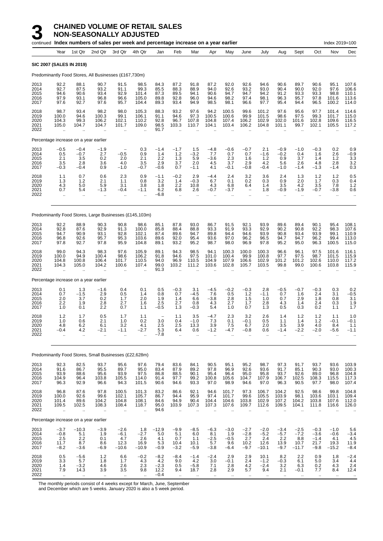#### **3 CHAINED VOLUME OF RETAIL SALES NON-SEASONALLY ADJUSTED**

|                                      |                                                         |                                                        | continued Index numbers of sales per week and percentage increase on a year earlier |                                                        |                                                          |                                        |                                                       |                                           |                                             |                                          |                                            |                                                  |                                                       |                                            |                                                     | Index 2019=100                                  |                                                        |
|--------------------------------------|---------------------------------------------------------|--------------------------------------------------------|-------------------------------------------------------------------------------------|--------------------------------------------------------|----------------------------------------------------------|----------------------------------------|-------------------------------------------------------|-------------------------------------------|---------------------------------------------|------------------------------------------|--------------------------------------------|--------------------------------------------------|-------------------------------------------------------|--------------------------------------------|-----------------------------------------------------|-------------------------------------------------|--------------------------------------------------------|
|                                      | Year                                                    | 1st Qtr                                                | 2nd Qtr                                                                             | 3rd Qtr                                                | 4th Qtr                                                  | Jan                                    | Feb                                                   | Mar                                       | Apr                                         | May                                      | June                                       | July                                             | Aug                                                   | Sept                                       | Oct                                                 | Nov                                             | Dec                                                    |
|                                      | <b>SIC 2007 (SALES IN 2019)</b>                         |                                                        |                                                                                     |                                                        |                                                          |                                        |                                                       |                                           |                                             |                                          |                                            |                                                  |                                                       |                                            |                                                     |                                                 |                                                        |
|                                      |                                                         |                                                        | Predominantly Food Stores, All Businesses (£167,730m)                               |                                                        |                                                          |                                        |                                                       |                                           |                                             |                                          |                                            |                                                  |                                                       |                                            |                                                     |                                                 |                                                        |
| 2013<br>2014<br>2015<br>2016<br>2017 | 92.2<br>92.7<br>94.6<br>97.9<br>97.6                    | 88.1<br>87.5<br>90.6<br>93.1<br>92.7                   | 90.7<br>93.2<br>93.4<br>96.8<br>97.6                                                | 91.5<br>91.1<br>92.9<br>96.6<br>95.7                   | 98.5<br>99.3<br>101.4<br>105.0<br>104.4                  | 84.3<br>85.5<br>87.3<br>89.8<br>89.3   | 87.2<br>88.3<br>89.5<br>92.8<br>93.4                  | 91.8<br>88.9<br>94.1<br>96.0<br>94.9      | 87.2<br>94.0<br>90.6<br>94.6<br>98.5        | 92.0<br>92.6<br>94.7<br>98.2<br>98.1     | 92.6<br>93.2<br>94.7<br>97.4<br>96.6       | 94.6<br>93.0<br>94.2<br>98.1<br>97.7             | 90.6<br>90.4<br>91.2<br>96.3<br>95.4                  | 89.7<br>90.0<br>93.3<br>95.7<br>94.4       | 90.6<br>92.0<br>93.3<br>97.8<br>96.5                | 95.1<br>97.6<br>98.8<br>101.6<br>100.2          | 107.6<br>106.6<br>110.1<br>113.6<br>114.0              |
| 2018<br>2019<br>2020<br>2021<br>2022 | 98.7<br>100.0<br>104.3<br>105.0                         | 93.4<br>94.6<br>99.3<br>104.7                          | 98.2<br>100.3<br>106.2<br>104.7                                                     | 98.0<br>99.1<br>102.1<br>101.7                         | 105.3<br>106.1<br>110.2<br>109.0                         | 88.3<br>91.1<br>92.8<br>98.5<br>91.7   | 93.2<br>94.6<br>96.7<br>103.3                         | 97.6<br>97.3<br>107.8<br>110.7            | 94.2<br>100.5<br>104.8<br>104.1             | 100.5<br>100.6<br>107.4<br>103.4         | 99.6<br>99.9<br>106.2<br>106.2             | 101.2<br>101.5<br>102.9<br>104.8                 | 97.6<br>98.6<br>102.0<br>101.1                        | 95.6<br>97.5<br>101.6<br>99.7              | 97.7<br>99.3<br>102.8<br>102.1                      | 101.4<br>101.7<br>109.6<br>105.5                | 114.6<br>115.0<br>116.5<br>117.2                       |
|                                      | Percentage increase on a year earlier                   |                                                        |                                                                                     |                                                        |                                                          |                                        |                                                       |                                           |                                             |                                          |                                            |                                                  |                                                       |                                            |                                                     |                                                 |                                                        |
| 2013<br>2014<br>2015<br>2016<br>2017 | $-0.5$<br>$0.5$<br>$2.1$<br>3.5<br>$-0.3$               | $-0.4$<br>$-0.7$<br>3.5<br>2.8<br>$-0.4$               | $-1.9$<br>2.7<br>0.2<br>3.6<br>0.9                                                  | $-0.5$<br>2.0<br>4.0<br>$-1.0$                         | 0.3<br>0.9<br>2.1<br>3.5<br>$-0.7$                       | $-1.4$<br>1.4<br>2.2<br>2.9<br>$-0.6$  | $-1.7$<br>1.2<br>1.3<br>3.7<br>0.7                    | 1.5<br>$-3.2$<br>5.9<br>2.0<br>$-1.1$     | $-4.8$<br>7.7<br>$-3.6$<br>4.5<br>4.1       | $-0.6$<br>0.7<br>2.3<br>3.7<br>$-0.1$    | $-0.7$<br>0.7<br>1.6<br>2.9<br>$-0.8$      | 2.1<br>$-1.6$<br>1.2<br>4.2<br>$-0.4$            | $-0.9$<br>$-0.2$<br>0.9<br>5.6<br>$-1.0$              | $-1.0$<br>0.4<br>3.7<br>2.6<br>$-1.4$      | $-0.3$<br>1.6<br>1.4<br>4.8<br>$-1.3$               | 0.2<br>2.6<br>$\overline{1.2}$<br>2.8<br>$-1.4$ | 0.9<br>$-0.9$<br>3.3<br>3.2<br>0.3                     |
| 2018<br>2019<br>2020<br>2021<br>2022 | 1.1<br>1.3<br>4.3<br>0.7<br>$\mathbf{r}$                | 0.7<br>1.2<br>5.0<br>5.4                               | 0.6<br>2.1<br>5.9<br>$-1.3$                                                         | 2.3<br>1.1<br>3.1<br>$-0.4$                            | 0.9<br>0.8<br>3.8<br>$-1.1$                              | $-1.1$<br>3.2<br>1.8<br>6.2<br>-6.8    | $-0.2$<br>1.4<br>2.2<br>6.8<br>$\ddot{\phantom{a}}$   | 2.9<br>$-0.3$<br>10.8<br>2.6              | -4.4<br>6.7<br>4.3<br>$-0.7$                | 2.4<br>0.1<br>6.8<br>$-3.7$              | 3.2<br>0.2<br>6.4                          | 3.6<br>0.3<br>1.4<br>1.8                         | 2.4<br>0.9<br>3.5<br>$-0.9$                           | 1.3<br>2.0<br>4.2<br>$-1.9$                | 1.2<br>1.7<br>3.5<br>$-0.7$<br>$\ddotsc$            | 1.2<br>0.3<br>7.8<br>$-3.8$<br>ä.               | 0.5<br>0.4<br>1.2<br>0.6<br>$\ddotsc$                  |
|                                      |                                                         |                                                        | Predominantly Food Stores, Large Businesses (£145,103m)                             |                                                        |                                                          |                                        |                                                       |                                           |                                             |                                          |                                            |                                                  |                                                       |                                            |                                                     |                                                 |                                                        |
| 2013<br>2014<br>2015<br>2016<br>2017 | 92.2<br>92.8<br>94.7<br>96.8<br>97.8                    | 88.9<br>87.6<br>90.9<br>92.6<br>92.7                   | 90.3<br>92.9<br>93.1<br>95.7<br>97.8                                                | 90.8<br>91.3<br>92.8<br>95.3<br>95.9                   | 98.6<br>100.0<br>102.1<br>103.6<br>104.8                 | 85.1<br>85.8<br>87.4<br>89.6<br>89.1   | 87.8<br>88.4<br>89.6<br>92.0<br>93.2                  | 93.0<br>88.8<br>94.7<br>95.4<br>95.2      | 86.7<br>93.3<br>89.8<br>93.6<br>98.7        | 91.5<br>91.9<br>94.4<br>97.0<br>98.0     | 92.1<br>93.3<br>94.6<br>96.2<br>96.9       | 93.9<br>92.9<br>93.9<br>96.5<br>97.8             | 89.6<br>90.2<br>90.8<br>94.7<br>95.2                  | 89.4<br>90.8<br>93.4<br>94.7<br>95.0       | 90.1<br>92.2<br>93.9<br>96.2<br>96.3                | 95.4<br>98.3<br>99.1<br>99.4<br>100.5           | 108.1<br>107.6<br>110.9<br>113.0<br>115.0              |
| 2018<br>2019<br>2020<br>2021<br>2022 | 99.0<br>100.0<br>104.8<br>104.3                         | 94.3<br>94.9<br>100.8<br>105.0<br>$\ddot{\phantom{a}}$ | 98.3<br>100.4<br>106.4<br>104.2<br>$\ddot{\phantom{a}}$                             | 97.6<br>98.6<br>101.7<br>100.6<br>$\ddot{\phantom{a}}$ | 105.9<br>106.2<br>110.5<br>107.4<br>$\ddot{\phantom{a}}$ | 89.1<br>91.8<br>94.0<br>99.0<br>91.3   | 94.3<br>94.6<br>96.9<br>103.2<br>$\ddot{\phantom{a}}$ | 98.5<br>97.5<br>110.5<br>111.2            | 94.1<br>101.0<br>104.9<br>103.6             | 100.3<br>100.4<br>107.9<br>102.8         | 100.0<br>99.9<br>106.6<br>105.7            | 100.3<br>100.8<br>102.9<br>103.5                 | 96.6<br>97.7<br>101.2<br>99.8<br>$\ddot{\phantom{a}}$ | 96.1<br>97.5<br>101.2<br>99.0              | 97.5<br>98.7<br>102.6<br>100.6                      | 101.6<br>101.5<br>110.0<br>103.8                | 116.1<br>115.9<br>117.2<br>115.9                       |
|                                      | Percentage increase on a year earlier                   |                                                        |                                                                                     |                                                        |                                                          |                                        |                                                       |                                           |                                             |                                          |                                            |                                                  |                                                       |                                            |                                                     |                                                 |                                                        |
| 2013<br>2014<br>2015<br>2016<br>2017 | 0.1<br>0.7<br>2.0<br>2.2<br>1.0                         | 1.3<br>$-1.5$<br>3.7<br>1.9<br>0.1                     | $-1.6$<br>2.9<br>0.2<br>2.8<br>2.2                                                  | 0.4<br>0.5<br>1.7<br>2.7<br>0.7                        | 0.1<br>1.4<br>2.0<br>1.6<br>1.1                          | 0.5<br>0.8<br>1.9<br>2.5<br>$-0.5$     | $-0.3$<br>0.7<br>1.4<br>2.7<br>1.3                    | 3.1<br>$-4.5$<br>6.6<br>0.8<br>-0.3       | $-4.5$<br>7.6<br>$-3.8$<br>4.3<br>5.4       | $-0.2$<br>0.5<br>2.8<br>2.7<br>1.0       | $-0.3$<br>1.2<br>1.5<br>1.7<br>0.7         | 2.8<br>$-1.1$<br>1.0<br>2.8<br>1.3               | $-0.5$<br>0.7<br>0.7<br>4.3<br>0.5                    | $-0.7$<br>1.6<br>2.9<br>1.4<br>0.3         | $-0.3$<br>2.4<br>1.8<br>2.4<br>0.2                  | 0.3<br>3.1<br>0.8<br>0.3<br>1.1                 | 0.2<br>$-0.5$<br>3.1<br>1.9<br>1.7                     |
| 2018<br>2019<br>2020<br>2021<br>2022 | $1.2$<br>1.0<br>4.8<br>$-0.4$<br>ä.                     | 1.7<br>0.6<br>6.2<br>4.2<br>$\ddotsc$                  | 0.5<br>2.1<br>6.1<br>$-2.1$<br>                                                     | 1.7<br>1.0<br>3.2<br>$-1.1$<br>$\ddotsc$               | 1.1<br>0.2<br>4.1<br>-2.7<br>$\ddotsc$                   | 3.0<br>2.5<br>5.3<br>$-7.8$            | 1.1<br>0.4<br>2.5<br>6.4<br>$\ddotsc$                 | 3.5<br>$-1.0$<br>13.3<br>0.6<br>$\ddotsc$ | $-4.7$<br>7.3<br>3.9<br>$-1.2$<br>$\ddotsc$ | 2.3<br>0.1<br>7.5<br>$-4.7$<br>$\ddotsc$ | 3.2<br>$-0.1$<br>6.7<br>$-0.8$<br>$\ldots$ | 2.6<br>0.5<br>2.0<br>0.6<br>$\ddot{\phantom{1}}$ | 1.4<br>1.1<br>3.5<br>$-1.4$<br>$\ldots$               | $1.2$<br>1.4<br>3.9<br>$-2.2$<br>$\ddotsc$ | $1.2$<br>1.2<br>4.0<br>-2.0<br>$\ddot{\phantom{a}}$ | 1.1<br>$-0.1$<br>8.4<br>-5.6<br>$\ddotsc$       | 1.0<br>$-0.1$<br>1.1<br>$-1.1$<br>$\ddot{\phantom{0}}$ |
|                                      |                                                         |                                                        | Predominantly Food Stores, Small Businesses (£22,628m)                              |                                                        |                                                          |                                        |                                                       |                                           |                                             |                                          |                                            |                                                  |                                                       |                                            |                                                     |                                                 |                                                        |
| 2013<br>2014<br>2015<br>2016<br>2017 | 92.3<br>91.6<br>93.9<br>104.9<br>96.3                   | 82.5<br>86.7<br>88.6<br>96.4<br>92.9                   | 93.7<br>95.5<br>95.6<br>103.8<br>96.6                                               | 95.6<br>89.7<br>93.9<br>105.5<br>94.3                  | 97.6<br>95.0<br>97.5<br>114.0<br>101.5                   | 79.4<br>83.4<br>86.8<br>91.4<br>90.6   | 83.6<br>87.9<br>88.5<br>97.7<br>94.6                  | 84.1<br>89.2<br>90.1<br>99.2<br>93.3      | 90.5<br>97.8<br>95.4<br>100.8<br>97.0       | 95.1<br>96.9<br>96.4<br>105.6<br>98.9    | 95.2<br>92.6<br>95.0<br>104.7<br>94.6      | 98.7<br>93.6<br>95.8<br>107.9<br>97.0            | 97.3<br>91.7<br>93.7<br>106.7<br>96.3                 | 91.7<br>85.1<br>92.6<br>102.5<br>90.5      | 93.7<br>90.3<br>89.0<br>108.3<br>97.7               | 93.6<br>93.0<br>96.8<br>115.5<br>98.0           | 103.9<br>100.3<br>$104.8$<br>$117.3$<br>$107.4$        |
| 2018<br>2019<br>2020<br>2021<br>2022 | 96.8<br>100.0<br>101.4<br>109.5<br>$\ddotsc$            | 87.6<br>92.6<br>89.6<br>102.5<br>$\cdot$               | 97.8<br>99.6<br>104.2<br>108.3<br>$\cdot$ .                                         | 100.5<br>102.1<br>104.8<br>108.4<br>$\cdot$ .          | 101.3<br>105.7<br>108.1<br>118.7<br>$\ddotsc$            | 83.2<br>86.7<br>84.6<br>95.0<br>94.6   | 86.6<br>94.4<br>94.9<br>103.9                         | 92.1<br>95.9<br>90.4<br>107.3             | 94.6<br>97.4<br>104.4<br>107.3              | 101.7<br>101.7<br>104.6<br>107.6         | 97.3<br>99.6<br>103.8<br>109.7             | 106.7<br>105.5<br>102.9<br>112.6                 | 104.2<br>103.9<br>107.2<br>109.5                      | 92.5<br>98.1<br>104.2<br>104.1             | 98.6<br>103.6<br>103.8<br>111.8                     | 99.8<br>103.1<br>107.6<br>116.6                 | 104.8<br>109.4<br>112.0<br>126.0                       |
|                                      | Percentage increase on a year earlier                   |                                                        |                                                                                     |                                                        |                                                          |                                        |                                                       |                                           |                                             |                                          |                                            |                                                  |                                                       |                                            |                                                     |                                                 |                                                        |
| 2013<br>2014<br>2015<br>2016<br>2017 | $-3.7$<br>$-0.8$<br>2.5<br>11.7<br>$-8.2$               | $-10.3$<br>5.1<br>2.2<br>8.7<br>$-3.6$                 | $-3.9$<br>1.9<br>0.1<br>8.6<br>$-6.9$                                               | $-2.6$<br>$-6.1$<br>4.7<br>12.3<br>$-10.6$             | 1.8<br>$-2.7$<br>$\overline{2.6}$<br>16.9<br>$-10.9$     | $-12.9$<br>5.0<br>4.1<br>5.3<br>$-0.9$ | $-9.9$<br>5.1<br>0.7<br>10.4<br>$-3.2$                | $-8.5$<br>6.0<br>1.1<br>10.1<br>$-5.9$    | $-6.3$<br>8.1<br>$-2.5$<br>5.7<br>$-3.8$    | $-3.0$<br>1.9<br>$-0.5$<br>9.6<br>$-6.4$ | $-2.7$<br>$-2.8$<br>2.7<br>10.2<br>$-9.7$  | $-2.0$<br>$-5.2$<br>2.4<br>12.6<br>$-10.1$       | $-3.4$<br>$-5.7$<br>2.2<br>13.9<br>$-9.7$             | $-2.5$<br>$-7.2$<br>8.8<br>10.7<br>$-11.7$ | $-0.3$<br>$-3.6$<br>$-1.4$<br>21.7<br>$-9.8$        | $-1.0$<br>$-0.6$<br>4.1<br>19.3<br>$-15.2$      | 5.6<br>$-3.4$<br>4.5<br>11.9<br>$-8.4$                 |
| 2018<br>2019<br>2020<br>2021         | $\begin{array}{c} 0.5 \\ 3.3 \\ 1.4 \end{array}$<br>7.9 | $-5.6$<br>5.7<br>$-3.2$<br>14.3                        | 1.2<br>1.8<br>4.6<br>3.9                                                            | 6.6<br>1.7<br>2.6<br>3.5                               | $-0.2$<br>4.3<br>2.3<br>9.8                              | $-8.2$<br>4.2<br>$-2.3$<br>12.2        | $-8.4$<br>9.0<br>0.5<br>9.4                           | $-1.4$<br>4.2<br>$-5.8$<br>18.7           | $-2.4$<br>3.0<br>7.1<br>2.8                 | 2.9<br>$-0.1$<br>2.8<br>2.9              | 2.9<br>2.4<br>4.2<br>5.7                   | 10.1<br>$-1.2$<br>$-2.4$<br>9.4                  | 8.2<br>$-0.3$<br>3.2<br>2.1                           | 2.2<br>6.1<br>6.3<br>$-0.1$                | 0.9<br>5.0<br>0.2<br>7.7                            | 1.8<br>3.4<br>4.3<br>8.4                        | $-2.4$<br>4.4<br>2.4<br>12.4                           |

2022 .. .. .. .. .. −0.4 .. .. .. .. .. .. .. .. .. .. ..

The monthly periods consist of 4 weeks except for March, June, September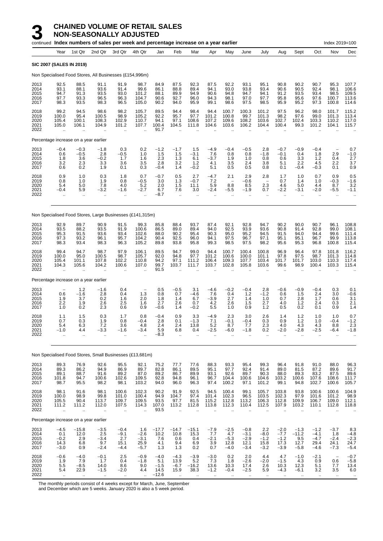|                                      |                                           |                                                        | continued Index numbers of sales per week and percentage increase on a year earlier |                                           |                                                          |                                       |                                       |                                           |                                       |                                                                        |                                              |                                                            |                                              |                                            |                                                          | Index 2019=100                                           |                                                      |
|--------------------------------------|-------------------------------------------|--------------------------------------------------------|-------------------------------------------------------------------------------------|-------------------------------------------|----------------------------------------------------------|---------------------------------------|---------------------------------------|-------------------------------------------|---------------------------------------|------------------------------------------------------------------------|----------------------------------------------|------------------------------------------------------------|----------------------------------------------|--------------------------------------------|----------------------------------------------------------|----------------------------------------------------------|------------------------------------------------------|
|                                      | Year                                      | 1st Qtr                                                | 2nd Qtr                                                                             | 3rd Qtr                                   | 4th Qtr                                                  | Jan                                   | Feb                                   | Mar                                       | Apr                                   | May                                                                    | June                                         | July                                                       | Aug                                          | Sept                                       | Oct                                                      | Nov                                                      | Dec                                                  |
|                                      |                                           | <b>SIC 2007 (SALES IN 2019)</b>                        |                                                                                     |                                           |                                                          |                                       |                                       |                                           |                                       |                                                                        |                                              |                                                            |                                              |                                            |                                                          |                                                          |                                                      |
|                                      |                                           |                                                        | Non Specialised Food Stores, All Businesses (£154,996m)                             |                                           |                                                          |                                       |                                       |                                           |                                       |                                                                        |                                              |                                                            |                                              |                                            |                                                          |                                                          |                                                      |
| 2013<br>2014<br>2015<br>2016<br>2017 | 92.5<br>93.1<br>94.7<br>97.7<br>98.3      | 88.5<br>88.1<br>91.3<br>93.3<br>93.5                   | 91.1<br>93.6<br>93.5<br>96.5<br>98.3                                                | 91.9<br>91.4<br>93.0<br>96.3<br>96.5      | 98.7<br>99.6<br>101.2<br>104.7<br>105.0                  | 84.9<br>86.1<br>88.1<br>90.6<br>90.2  | 87.5<br>88.8<br>89.9<br>92.7<br>94.0  | 92.3<br>89.4<br>94.9<br>96.0<br>95.9      | 87.5<br>94.1<br>90.6<br>94.3<br>99.1  | 92.2<br>93.0<br>94.8<br>98.1<br>98.6                                   | 93.1<br>93.8<br>94.7<br>97.0<br>97.5         | 95.1<br>93.4<br>94.1<br>97.7<br>98.5                       | 90.8<br>90.6<br>91.2<br>95.8<br>95.9         | 90.2<br>90.5<br>93.5<br>95.6<br>95.2       | 90.7<br>92.4<br>93.4<br>97.6<br>97.3                     | 95.3<br>98.1<br>98.5<br>100.7<br>100.8                   | 107.7<br>106.6<br>109.5<br>113.6<br>114.6            |
| 2018<br>2019<br>2020<br>2021<br>2022 | 99.2<br>100.0<br>105.4<br>105.0           | 94.5<br>95.4<br>100.1<br>106.1                         | 98.6<br>100.5<br>108.3<br>104.9                                                     | 98.2<br>98.9<br>102.9<br>101.2            | 105.7<br>105.2<br>110.7<br>107.7                         | 89.5<br>92.2<br>94.1<br>100.4<br>91.7 | 94.4<br>95.7<br>97.1<br>104.5         | 98.4<br>97.7<br>108.6<br>111.8            | 94.4<br>101.2<br>107.2<br>104.6       | 100.7<br>100.8<br>109.6<br>103.6                                       | 100.3<br>99.7<br>108.2<br>106.2              | 101.2<br>101.3<br>103.6<br>104.4                           | 97.5<br>98.2<br>102.7<br>100.4               | 96.2<br>97.6<br>102.4<br>99.3              | 98.0<br>99.0<br>103.3<br>101.2                           | 101.7<br>101.3<br>110.2<br>104.1                         | 115.2<br>113.4<br>117.0<br>115.7                     |
|                                      |                                           | Percentage increase on a year earlier                  |                                                                                     |                                           |                                                          |                                       |                                       |                                           |                                       |                                                                        |                                              |                                                            |                                              |                                            |                                                          |                                                          |                                                      |
| 2013<br>2014<br>2015<br>2016<br>2017 | $-0.4$<br>0.6<br>1.8<br>3.2<br>0.6        | $-0.3$<br>$-0.5$<br>3.6<br>2.3<br>0.2                  | $-1.8$<br>2.8<br>-0.2<br>3.3<br>1.9                                                 | 0.3<br>$-0.5$<br>1.7<br>3.6<br>0.1        | 0.2<br>1.0<br>1.6<br>3.5<br>0.3                          | $-1.2$<br>1.5<br>2.3<br>2.8<br>$-0.4$ | $-1.7$<br>1.5<br>1.3<br>3.2<br>1.4    | 1.5<br>$-3.1$<br>6.1<br>$1.2$<br>$-0.2$   | $-4.9$<br>7.6<br>$-3.7$<br>4.1<br>5.1 | $-0.4$<br>0.8<br>1.9<br>3.5<br>0.5                                     | $-0.5$<br>0.8<br>1.0<br>2.4<br>0.5           | 2.8<br>$-1.8$<br>0.8<br>3.8<br>0.8                         | $-0.7$<br>$-0.1$<br>0.6<br>5.1<br>0.1        | $-0.9$<br>0.4<br>3.3<br>2.2<br>$-0.4$      | $-0.4$<br>1.8<br>1.2<br>4.5<br>$-0.3$                    | 2.9<br>0.4<br>2.2<br>0.1                                 | 0.7<br>$-1.0$<br>2.7<br>3.7<br>0.9                   |
| 2018<br>2019<br>2020<br>2021<br>2022 | 0.9<br>0.8<br>5.4<br>$-0.4$               | 1.0<br>1.0<br>5.0<br>5.9<br>$\ddot{\phantom{a}}$       | 0.3<br>1.9<br>7.8<br>-3.2<br>                                                       | 1.8<br>0.8<br>4.0<br>$-1.6$<br>$\ddotsc$  | 0.7<br>$-0.5$<br>5.2<br>$-2.7$<br>$\ddotsc$              | $-0.7$<br>3.0<br>2.0<br>6.7<br>-8.7   | 0.5<br>1.3<br>1.5<br>7.6<br>$\cdot$ . | 2.7<br>$-0.7$<br>11.1<br>3.0<br>$\ddotsc$ | $-4.7$<br>7.2<br>5.9<br>-2.4          | 2.1<br>$\overline{\phantom{a}}$<br>8.8<br>-5.5<br>$\ddot{\phantom{a}}$ | 2.9<br>-0.6<br>8.5<br>$-1.9$<br>Ω.           | 2.8<br>$\overline{\phantom{a}}$<br>2.3<br>0.7<br>$\ddotsc$ | 1.7<br>0.7<br>4.6<br>$-2.2$<br>ä.            | 1.0<br>1.4<br>5.0<br>-3.1<br>$\ddotsc$     | 0.7<br>1.0<br>4.4<br>$-2.0$<br>$\ddot{\phantom{a}}$      | 0.9<br>$-0.3$<br>8.7<br>$-5.5$<br>$\ddotsc$              | 0.5<br>-1.6<br>3.2<br>$-1.1$                         |
|                                      |                                           |                                                        | Non Specialised Food Stores, Large Businesses (£141,315m)                           |                                           |                                                          |                                       |                                       |                                           |                                       |                                                                        |                                              |                                                            |                                              |                                            |                                                          |                                                          |                                                      |
| 2013<br>2014<br>2015<br>2016<br>2017 | 92.9<br>93.5<br>95.3<br>97.3<br>98.3      | 89.7<br>88.2<br>91.5<br>93.2<br>93.4                   | 90.9<br>93.5<br>93.6<br>96.1<br>98.3                                                | 91.5<br>91.9<br>93.4<br>95.7<br>96.3      | 99.3<br>100.6<br>102.6<br>104.2<br>105.2                 | 85.8<br>86.5<br>88.0<br>90.4<br>89.8  | 88.4<br>89.0<br>90.2<br>92.5<br>93.8  | 93.7<br>89.4<br>95.4<br>96.0<br>95.8      | 87.4<br>94.0<br>90.3<br>94.1<br>99.3  | 92.1<br>92.5<br>95.0<br>97.5<br>98.5                                   | 92.8<br>93.9<br>95.2<br>96.7<br>97.5         | 94.7<br>93.6<br>94.5<br>97.1<br>98.2                       | 90.2<br>90.8<br>91.5<br>95.1<br>95.6         | 90.0<br>91.4<br>94.0<br>95.1<br>95.3       | 90.7<br>92.8<br>94.4<br>96.7<br>96.8                     | 96.1<br>99.0<br>99.6<br>99.9<br>100.8                    | 108.8<br>108.1<br>111.4<br>113.8<br>115.4            |
| 2018<br>2019<br>2020<br>2021<br>2022 | 99.4<br>100.0<br>105.4<br>104.3           | 94.7<br>95.0<br>101.1<br>105.6<br>$\ddot{\phantom{a}}$ | 98.7<br>100.5<br>107.8<br>104.2                                                     | 97.9<br>98.7<br>102.2<br>100.6<br>ä.      | 106.1<br>105.7<br>110.8<br>107.0<br>$\ddot{\phantom{a}}$ | 89.5<br>92.0<br>94.2<br>99.7<br>91.5  | 94.7<br>94.8<br>97.1<br>103.7         | 99.0<br>97.7<br>111.2<br>111.7            | 94.4<br>101.2<br>106.4<br>103.7       | 100.7<br>100.6<br>109.3<br>102.8                                       | 100.4<br>100.0<br>107.7<br>105.8             | 100.8<br>101.1<br>103.4<br>103.6                           | 96.9<br>97.8<br>101.7<br>99.6                | 96.4<br>97.5<br>101.7<br>98.9              | 97.8<br>98.7<br>103.0<br>100.4                           | 101.8<br>101.3<br>110.3<br>103.3                         | 116.2<br>114.8<br>117.4<br>115.4                     |
|                                      |                                           | Percentage increase on a year earlier                  |                                                                                     |                                           |                                                          |                                       |                                       |                                           |                                       |                                                                        |                                              |                                                            |                                              |                                            |                                                          |                                                          |                                                      |
| 2013<br>2014<br>2015<br>2016<br>2017 | 0.6<br>1.9<br>2.2<br>1.0                  | $1.2 - 1.6$<br>3.7<br>1.9<br>0.2                       | $-1.6$<br>2.8<br>0.2<br>2.6<br>2.3                                                  | 0.4<br>0.4<br>1.6<br>2.5<br>0.6           | 1.3<br>2.0<br>1.6<br>0.9                                 | 0.5<br>0.8<br>1.8<br>2.7<br>$-0.6$    | $-0.5$<br>0.7<br>1.4<br>2.6<br>1.4    | 3.1<br>$-4.6$<br>6.7<br>0.7<br>$-0.2$     | $-4.6$<br>7.6<br>$-3.9$<br>4.2<br>5.5 | $-0.2$<br>0.4<br>2.7<br>2.6<br>1.0                                     | $-0.4$<br>1.2<br>1.4<br>1.5<br>0.9           | 2.8<br>$-1.\overline{2}$<br>1.0<br>2.7<br>1.2              | $-0.6$<br>0.6<br>0.7<br>4.0<br>0.5           | $-0.9$<br>1.5<br>2.8<br>1.2<br>0.2         | $-0.4$<br>2.4<br>1.7<br>2.4<br>0.1                       | 0.3<br>3.0<br>0.6<br>0.3<br>0.9                          | 0.1<br>$-0.6$<br>3.1<br>2.1<br>1.4                   |
| 2018<br>2019<br>2020<br>2021<br>2022 | 1.1<br>0.7<br>5.4<br>$-1.0$               | 1.5<br>0.3<br>6.3<br>4.4                               | 0.3<br>1.9<br>7.2<br>-3.3                                                           | 1.7<br>0.8<br>3.6<br>$-1.6$               | 0.8<br>$-0.4$<br>4.8<br>-3.4                             | $-0.4$<br>2.8<br>2.4<br>5.9<br>$-8.3$ | 0.9<br>0.1<br>2.4<br>6.8<br>ä.        | 3.3<br>$-1.3$<br>13.8<br>0.4              | -4.9<br>7.1<br>5.2<br>$-2.5$          | 2.3<br>$-0.1$<br>8.7<br>-6.0                                           | 3.0<br>$-0.4$<br>7.7<br>$-1.8$               | 2.6<br>0.3<br>2.3<br>0.2                                   | 1.4<br>0.9<br>4.0<br>$-2.0$                  | $1.2$<br>1.2<br>4.3<br>$-2.8$              | 1.0<br>1.0<br>4.3<br>$-2.5$                              | 1.0<br>-0.4<br>8.8<br>-6.4                               | 0.7<br>$-1.2$<br>2.3<br>$^{-1.8}$                    |
|                                      |                                           |                                                        | Non Specialised Food Stores, Small Businesses (£13,681m)                            |                                           |                                                          |                                       |                                       |                                           |                                       |                                                                        |                                              |                                                            |                                              |                                            |                                                          |                                                          |                                                      |
| 2013<br>2014<br>2015<br>2016<br>2017 | 89.3<br>89.3<br>89.1<br>101.8<br>98.7     | 76.9<br>86.2<br>88.7<br>94.7<br>95.5                   | 92.6<br>94.9<br>91.6<br>100.6<br>98.2                                               | 95.5<br>86.9<br>89.2<br>102.6<br>98.1     | 92.1<br>89.7<br>87.0<br>109.5<br>103.2                   | 75.2<br>82.8<br>89.2<br>92.8<br>94.0  | 77.7<br>86.1<br>86.7<br>94.8<br>96.0  | 77.6<br>89.5<br>89.9<br>96.1<br>96.3      | 88.3<br>95.1<br>93.1<br>96.7<br>97.4  | 93.3<br>97.7<br>92.6<br>104.4<br>100.2                                 | 95.4<br>92.4<br>89.7<br>100.6<br>97.1        | 99.3<br>91.4<br>90.3<br>104.6<br>101.2                     | 96.4<br>89.0<br>88.0<br>103.2<br>99.1        | 91.8<br>81.5<br>89.3<br>100.6<br>94.8      | 91.0<br>87.2<br>83.2<br>107.6<br>102.7                   | 88.0<br>89.6<br>87.5<br>108.6<br>100.6                   | 96.3<br>91.7<br>89.6<br>111.7<br>105.7               |
| 2018<br>2019<br>2020<br>2021<br>2022 | 98.1<br>100.0<br>105.5<br>111.2<br>÷.     | 91.6<br>98.9<br>90.4<br>111.2<br>$\ddotsc$             | 98.1<br>99.8<br>113.7<br>112.0<br>$\ddotsc$                                         | 100.6<br>101.0<br>109.7<br>107.5<br>ä,    | 102.3<br>100.4<br>109.5<br>114.3                         | 90.2<br>94.9<br>93.5<br>107.0<br>93.5 | 91.9<br>104.7<br>97.7<br>113.2<br>ä.  | 92.5<br>97.4<br>81.5<br>112.8             | 94.5<br>101.4<br>115.2<br>113.8       | 100.4<br>102.3<br>112.8<br>112.3                                       | 99.1<br>96.5<br>113.2<br>110.4               | 105.7<br>103.5<br>106.3<br>112.5                           | 103.8<br>102.3<br>112.8<br>107.9<br>ä.       | 93.8<br>97.9<br>109.9<br>103.2<br>ä.       | 100.6<br>101.6<br>106.7<br>110.1<br>$\ddot{\phantom{a}}$ | 100.6<br>101.2<br>109.0<br>112.8<br>$\ddot{\phantom{a}}$ | 104.9<br>98.9<br>112.1<br>118.8                      |
|                                      |                                           | Percentage increase on a year earlier                  |                                                                                     |                                           |                                                          |                                       |                                       |                                           |                                       |                                                                        |                                              |                                                            |                                              |                                            |                                                          |                                                          |                                                      |
| 2013<br>2014<br>2015<br>2016<br>2017 | $-4.5$<br>0.1<br>$-0.2$<br>14.3<br>$-3.0$ | $-15.8$<br>12.0<br>2.9<br>6.8<br>0.9                   | $-3.5$<br>2.5<br>$-3.\bar{4}$<br>9.7<br>$-2.4$                                      | $-0.4$<br>$-9.1$<br>2.7<br>15.1<br>$-4.4$ | 1.6<br>$-2.6$<br>$-3.1$<br>25.9<br>$-5.7$                | $-17.7$<br>10.2<br>7.6<br>4.1<br>1.3  | $-14.7$<br>10.8<br>0.6<br>9.4<br>1.3  | $-15.1$<br>15.3<br>0.4<br>6.9<br>0.2      | $-7.9$<br>7.7<br>$-2.1$<br>3.9<br>0.7 | $-2.5$<br>4.7<br>$-5.3$<br>12.8<br>$-4.0$                              | $-0.8$<br>$-3.1$<br>$-2.9$<br>12.1<br>$-3.4$ | 2.2<br>$-8.0$<br>$-1.2$<br>15.8<br>$-3.2$                  | $-2.0$<br>$-7.7$<br>$-1.2$<br>17.3<br>$-3.9$ | $-1.3$<br>$-11.2$<br>9.5<br>12.7<br>$-5.8$ | $-1.2$<br>$-4.1$<br>$-4.7$<br>29.4<br>$-4.6$             | $-3.7$<br>1.8<br>$-2.4$<br>24.1<br>$-7.3$                | 8.3<br>$-4.8$<br>$-2.\overline{3}$<br>24.7<br>$-5.4$ |
| 2018<br>2019<br>2020<br>2021         | $-0.6$<br>1.9<br>5.5<br>5.4               | $-4.0$<br>7.9<br>$-8.5$<br>22.9                        | $-0.1$<br>1.7<br>14.0<br>$-1.5$                                                     | 2.5<br>0.4<br>8.6<br>$-2.0$               | $-0.9$<br>$-1.8$<br>9.0<br>4.4                           | $-4.0$<br>5.1<br>$-1.5$<br>14.5       | $-4.3$<br>13.9<br>$-6.7$<br>15.9      | $-3.9$<br>$-16.2$<br>38.3                 | $-3.0$<br>7.3<br>13.6<br>$-1.2$       | 0.2<br>1.8<br>10.3<br>$-0.4$                                           | 2.0<br>$-2.6$<br>17.4<br>$-2.5$              | 4.4<br>$^{-2.0}_{2.6}$<br>5.9                              | 4.7<br>$-1.5$<br>10.3<br>$-4.3$              | $-1.0$<br>$4.3$<br>12.3<br>$-6.1$          | $-2.1$<br>0.9<br>5.1<br>3.2                              | $\overline{\phantom{0}}$<br>0.6<br>7.7<br>3.5            | $-0.7$<br>$-5.8$<br>13.4<br>6.0                      |

2022 .. .. .. .. .. −12.6 .. .. .. .. .. .. .. .. .. .. ..

The monthly periods consist of 4 weeks except for March, June, September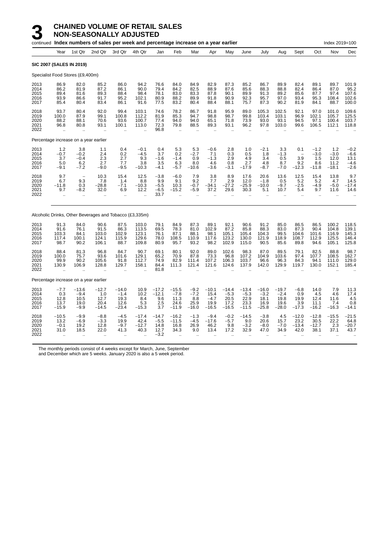|                                       |                                                        |                                                  | continued Index numbers of sales per week and percentage increase on a year earlier |                                                      |                                           |                                             |                                                          |                                        |                                              |                                              |                                              |                                              |                                              |                                                          |                                                    | Index 2019=100                            |                                              |
|---------------------------------------|--------------------------------------------------------|--------------------------------------------------|-------------------------------------------------------------------------------------|------------------------------------------------------|-------------------------------------------|---------------------------------------------|----------------------------------------------------------|----------------------------------------|----------------------------------------------|----------------------------------------------|----------------------------------------------|----------------------------------------------|----------------------------------------------|----------------------------------------------------------|----------------------------------------------------|-------------------------------------------|----------------------------------------------|
|                                       | Year                                                   | 1st Qtr                                          | 2nd Qtr                                                                             | 3rd Qtr                                              | 4th Qtr                                   | Jan                                         | Feb                                                      | Mar                                    | Apr                                          | May                                          | June                                         | July                                         | Aug                                          | Sept                                                     | Oct                                                | Nov                                       | Dec                                          |
| <b>SIC 2007 (SALES IN 2019)</b>       |                                                        |                                                  |                                                                                     |                                                      |                                           |                                             |                                                          |                                        |                                              |                                              |                                              |                                              |                                              |                                                          |                                                    |                                           |                                              |
| Specialist Food Stores (£9,400m)      |                                                        |                                                  |                                                                                     |                                                      |                                           |                                             |                                                          |                                        |                                              |                                              |                                              |                                              |                                              |                                                          |                                                    |                                           |                                              |
| 2013<br>2014<br>2015<br>2016<br>2017  | 86.9<br>86.2<br>89.4<br>93.9<br>85.4                   | 82.0<br>81.9<br>81.6<br>86.6<br>80.4             | 85.2<br>87.2<br>89.3<br>91.7<br>83.4                                                | 86.0<br>86.1<br>88.4<br>95.2<br>86.1                 | 94.2<br>90.0<br>98.4<br>102.1<br>91.6     | 76.6<br>79.4<br>78.1<br>80.9<br>77.5        | 84.0<br>84.2<br>83.0<br>88.2<br>83.2                     | 84.9<br>82.5<br>83.3<br>89.9<br>80.4   | 82.9<br>88.9<br>87.8<br>91.8<br>88.4         | 87.3<br>87.6<br>90.1<br>90.9<br>88.1         | 85.2<br>85.6<br>89.9<br>92.3<br>75.7         | 86.7<br>88.3<br>91.3<br>95.7<br>87.3         | 89.9<br>88.8<br>89.2<br>97.0<br>90.2         | 82.4<br>82.4<br>85.6<br>93.4<br>81.9                     | 89.1<br>86.4<br>87.7<br>95.3<br>84.1               | 89.7<br>87.0<br>97.4<br>108.4<br>88.7     | 101.9<br>95.2<br>107.6<br>102.6<br>100.0     |
| 2018<br>2019<br>2020<br>2021<br>2022  | 93.7<br>100.0<br>88.2<br>96.8<br>.,                    | 80.4<br>87.9<br>88.1<br>80.8                     | 92.0<br>99.1<br>70.6<br>93.1                                                        | 99.4<br>100.8<br>93.6<br>100.1                       | 103.1<br>112.2<br>100.7<br>113.0          | 74.6<br>81.9<br>77.4<br>72.3<br>96.8        | 78.2<br>85.3<br>94.0<br>79.8                             | 86.7<br>94.7<br>94.0<br>88.5           | 91.8<br>98.8<br>65.1<br>89.3                 | 95.9<br>98.7<br>71.8<br>93.1                 | 89.0<br>99.8<br>73.9<br>96.2                 | 105.3<br>103.4<br>93.0<br>97.8               | 102.5<br>103.1<br>93.1<br>103.0              | 92.1<br>96.9<br>94.5<br>99.6                             | 97.0<br>102.1<br>97.1<br>106.5                     | 101.0<br>105.7<br>100.4<br>112.1          | 109.6<br>125.5<br>103.7<br>118.8             |
| Percentage increase on a year earlier |                                                        |                                                  |                                                                                     |                                                      |                                           |                                             |                                                          |                                        |                                              |                                              |                                              |                                              |                                              |                                                          |                                                    |                                           |                                              |
| 2013<br>2014<br>2015<br>2016<br>2017  | 1.2<br>$-0.7$<br>3.7<br>5.0<br>$-9.1$                  | 3.8<br>$-0.2$<br>$-0.4$<br>6.2<br>$-7.2$         | 1.1<br>2.4<br>2.3<br>2.7<br>$-9.0$                                                  | 0.4<br>0.2<br>2.7<br>7.7<br>$-9.5$                   | $-0.1$<br>$-4.5$<br>9.3<br>3.8<br>$-10.3$ | 0.4<br>3.7<br>$-1.6$<br>3.5<br>$-4.1$       | 5.3<br>0.2<br>$-1.4$<br>6.3<br>$-5.7$                    | 5.3<br>$-2.7$<br>0.9<br>8.0<br>$-10.6$ | $-0.6$<br>7.1<br>$-1.3$<br>4.6<br>$-3.6$     | 2.8<br>0.3<br>2.9<br>0.8<br>$-3.1$           | 1.0<br>0.5<br>4.9<br>2.7<br>$-17.9$          | $-2.1$<br>1.8<br>3.4<br>4.8<br>$-8.7$        | 3.3<br>$-1.3$<br>0.5<br>8.7<br>$-7.0$        | 0.1<br>$\overline{\phantom{a}}$<br>3.9<br>9.2<br>$-12.3$ | $-1.2$<br>$-3.0$<br>1.5<br>8.6<br>$-11.8$          | 1.2<br>$-3.0$<br>12.0<br>11.2<br>$-18.1$  | $-0.2$<br>$-6.6$<br>13.1<br>$-4.6$<br>$-2.6$ |
| 2018<br>2019<br>2020<br>2021<br>2022  | 9.7<br>6.7<br>$-11.8$<br>9.7<br>ă.                     | $\overline{\phantom{a}}$<br>9.3<br>0.3<br>$-8.2$ | 10.3<br>7.8<br>$-28.8$<br>32.0                                                      | 15.4<br>1.4<br>$-7.1$<br>6.9<br>$\ddot{\phantom{a}}$ | 12.5<br>8.8<br>$-10.3$<br>12.2            | $-3.8$<br>9.9<br>$-5.5$<br>$-6.5$<br>33.7   | $-6.0$<br>9.1<br>10.3<br>$-15.2$<br>$\ddot{\phantom{a}}$ | 7.9<br>9.2<br>$-0.7$<br>$-5.9$         | 3.8<br>7.7<br>$-34.1$<br>37.2                | 8.9<br>2.9<br>$-27.2$<br>29.6                | 17.6<br>12.0<br>$-25.9$<br>30.3              | 20.6<br>$-1.8$<br>$-10.0$<br>5.1             | 13.6<br>0.5<br>$-9.7$<br>10.7                | 12.5<br>5.2<br>$-2.5$<br>5.4<br>$\bar{a}$                | 15.4<br>5.2<br>$-4.9$<br>9.7<br>$\bar{\mathbf{r}}$ | 13.8<br>4.7<br>$-5.0$<br>11.6             | 9.7<br>14.5<br>$-17.4$<br>14.6               |
|                                       |                                                        |                                                  | Alcoholic Drinks, Other Beverages and Tobacco (£3,335m)                             |                                                      |                                           |                                             |                                                          |                                        |                                              |                                              |                                              |                                              |                                              |                                                          |                                                    |                                           |                                              |
| 2013<br>2014<br>2015<br>2016<br>2017  | 91.3<br>91.6<br>103.3<br>117.4<br>98.7                 | 84.0<br>76.1<br>84.1<br>100.1<br>90.2            | 90.6<br>91.5<br>103.0<br>124.1<br>106.1                                             | 87.5<br>86.3<br>102.9<br>115.9<br>88.7               | 103.0<br>113.5<br>123.1<br>129.6<br>109.8 | 79.1<br>69.5<br>76.1<br>78.0<br>80.9        | 84.9<br>78.3<br>87.1<br>108.5<br>95.7                    | 87.3<br>81.0<br>88.1<br>110.9<br>93.2  | 89.1<br>102.9<br>98.1<br>117.6<br>98.2       | 92.1<br>87.2<br>105.1<br>123.2<br>102.9      | 90.6<br>85.8<br>105.4<br>130.0<br>115.0      | 91.2<br>88.3<br>104.3<br>121.9<br>90.5       | 85.0<br>83.0<br>99.5<br>118.9<br>85.6        | 86.5<br>87.3<br>104.6<br>108.7<br>89.8                   | 86.5<br>90.4<br>101.6<br>112.9<br>94.6             | 100.2<br>104.8<br>116.9<br>125.5<br>105.1 | 118.5<br>139.1<br>145.3<br>146.4<br>125.8    |
| 2018<br>2019<br>2020<br>2021<br>2022  | 88.4<br>100.0<br>99.9<br>130.9<br>$\ddot{\phantom{a}}$ | 81.3<br>75.7<br>90.2<br>106.9<br>μ,              | 96.8<br>93.6<br>105.6<br>128.8                                                      | 84.7<br>101.6<br>91.8<br>129.7                       | 90.7<br>129.1<br>112.7<br>158.1           | 69.1<br>65.2<br>74.9<br>84.4<br>81.8        | 80.1<br>70.9<br>82.9<br>111.3                            | 92.0<br>87.8<br>111.4<br>121.4         | 89.0<br>73.3<br>107.2<br>121.6               | 102.6<br>96.8<br>106.3<br>124.6              | 98.3<br>107.2<br>103.7<br>137.9              | 87.0<br>104.9<br>96.6<br>142.0               | 89.5<br>103.6<br>96.3<br>129.9               | 79.1<br>97.4<br>84.3<br>119.7                            | 82.5<br>107.7<br>94.1<br>130.0                     | 88.8<br>108.5<br>111.0<br>152.1           | 98.7<br>162.7<br>129.0<br>185.4              |
| Percentage increase on a year earlier |                                                        |                                                  |                                                                                     |                                                      |                                           |                                             |                                                          |                                        |                                              |                                              |                                              |                                              |                                              |                                                          |                                                    |                                           |                                              |
| 2013<br>2014<br>2015<br>2016<br>2017  | $^{-7.7}_{-0.3}$<br>12.8<br>13.7<br>$-15.9$            | $-13.6$<br>$-9.4$<br>10.5<br>19.0<br>$-9.9$      | $-12.7$<br>1.0<br>12.7<br>20.4<br>$-14.5$                                           | $-14.0$<br>$-1.4$<br>19.3<br>12.6<br>-23.4           | 10.9<br>10.2<br>8.4<br>5.3<br>$-15.3$     | $-17.2$<br>$-12.1$<br>9.6<br>2.5<br>3.7     | $-15.5$<br>$-7.8$<br>11.3<br>24.6<br>$-11.9$             | $-9.2 - 7.2$<br>8.8<br>25.9<br>$-16.0$ | $-10.1$<br>15.4<br>$-4.7$<br>19.9<br>$-16.5$ | $-14.4$<br>$-5.3$<br>20.5<br>17.2<br>$-16.5$ | $-13.4$<br>$-5.3$<br>22.9<br>23.3<br>$-11.5$ | $-16.0$<br>$-3.2$<br>18.1<br>16.9<br>$-25.8$ | $-19.7$<br>$-2.4$<br>19.8<br>19.6<br>$-28.0$ | $-6.8$<br>0.9<br>19.9<br>3.9<br>$-17.3$                  | 14.0<br>4.5<br>12.4<br>11.1<br>$-16.2$             | 7.9<br>4.6<br>11.6<br>7.4<br>$-16.3$      | 11.3<br>17.4<br>4.5<br>0.8<br>$-14.1$        |
| 2018<br>2019<br>2020<br>2021<br>2022  | $-10.5$<br>13.2<br>$-0.1$<br>31.0                      | $-9.9$<br>$-6.9$<br>19.2<br>18.5                 | $-8.8$<br>$-3.3$<br>12.8<br>22.0                                                    | $-4.5$<br>19.9<br>$-9.7$<br>41.3                     | $-17.4$<br>42.4<br>$-12.7$<br>40.3        | $-14.7$<br>$-5.5$<br>14.8<br>12.7<br>$-3.2$ | $-16.2$<br>$-11.5$<br>16.8<br>34.3                       | $-1.3$<br>$-4.5$<br>26.9<br>9.0        | $-9.4$<br>$-17.6$<br>46.2<br>13.4            | $-0.2$<br>$-5.7$<br>9.8<br>17.2              | $-14.5$<br>9.0<br>$-3.2$<br>32.9             | $-3.8$<br>20.6<br>$-8.0$<br>47.0             | 4.5<br>15.7<br>$-7.0$<br>34.9                | $-12.0$<br>23.2<br>$-13.4$<br>42.0                       | $-12.8$<br>30.5<br>$-12.7$<br>38.1                 | $-15.5$<br>22.2<br>2.3<br>37.1            | $-21.5$<br>64.8<br>$-20.7$<br>43.7           |

The monthly periods consist of 4 weeks except for March, June, September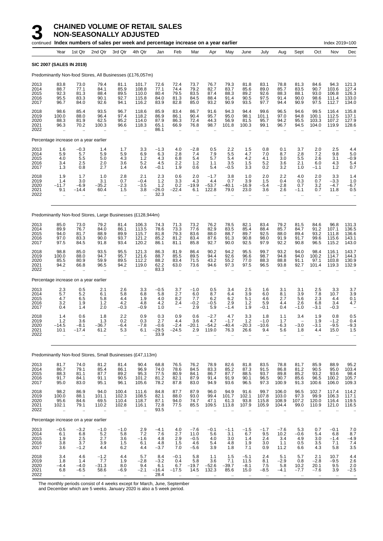#### **3 CHAINED VOLUME OF RETAIL SALES NON-SEASONALLY ADJUSTED**

|                                      |                                                       |                                                                | continued Index numbers of sales per week and percentage increase on a year earlier |                                                          |                                                                   |                                         |                                                      |                                           |                                                                   |                                      |                                        |                                                     |                                                   |                                                               |                                                     | Index 2019=100                               |                                           |
|--------------------------------------|-------------------------------------------------------|----------------------------------------------------------------|-------------------------------------------------------------------------------------|----------------------------------------------------------|-------------------------------------------------------------------|-----------------------------------------|------------------------------------------------------|-------------------------------------------|-------------------------------------------------------------------|--------------------------------------|----------------------------------------|-----------------------------------------------------|---------------------------------------------------|---------------------------------------------------------------|-----------------------------------------------------|----------------------------------------------|-------------------------------------------|
|                                      | Year                                                  | 1st Qtr                                                        | 2nd Qtr                                                                             | 3rd Qtr                                                  | 4th Qtr                                                           | Jan                                     | Feb                                                  | Mar                                       | Apr                                                               | May                                  | June                                   | July                                                | Aug                                               | Sept                                                          | Oct                                                 | Nov                                          | Dec                                       |
|                                      |                                                       | <b>SIC 2007 (SALES IN 2019)</b>                                |                                                                                     |                                                          |                                                                   |                                         |                                                      |                                           |                                                                   |                                      |                                        |                                                     |                                                   |                                                               |                                                     |                                              |                                           |
|                                      |                                                       |                                                                | Predominantly Non-food Stores, All Businesses (£176,057m)                           |                                                          |                                                                   |                                         |                                                      |                                           |                                                                   |                                      |                                        |                                                     |                                                   |                                                               |                                                     |                                              |                                           |
| 2013<br>2014<br>2015<br>2016<br>2017 | 83.8<br>88.7<br>92.3<br>95.5<br>96.7                  | 73.0<br>77.1<br>81.3<br>83.3<br>84.0                           | 79.4<br>84.1<br>88.4<br>90.1<br>92.6                                                | 81.1<br>85.9<br>89.5<br>92.7<br>94.1                     | 101.7<br>108.8<br>110.0<br>115.8<br>116.2                         | 72.6<br>77.1<br>80.4<br>84.0<br>83.9    | 72.4<br>74.4<br>79.5<br>81.3<br>82.8                 | 73.7<br>79.2<br>83.5<br>84.5<br>85.0      | 76.7<br>82.7<br>87.4<br>88.4<br>93.2                              | 79.3<br>83.7<br>88.3<br>91.4<br>90.9 | 81.8<br>85.6<br>89.2<br>90.5<br>93.5   | 83.1<br>89.0<br>92.6<br>97.5<br>97.7                | 78.8<br>85.7<br>88.3<br>91.4<br>94.4              | 81.3<br>83.5<br>88.1<br>90.0<br>90.9                          | 84.6<br>90.7<br>93.0<br>98.6<br>97.5                | 94.3<br>103.6<br>106.8<br>111.4<br>112.7     | 121.3<br>127.4<br>126.3<br>133.0<br>134.0 |
| 2018<br>2019<br>2020<br>2021<br>2022 | 98.6<br>100.0<br>88.3<br>96.3<br>$\ddot{\phantom{1}}$ | 85.4<br>88.0<br>81.9<br>70.2<br>$\ddot{\phantom{a}}$           | 93.5<br>96.4<br>62.5<br>100.3                                                       | 96.7<br>97.4<br>95.2<br>96.6<br>$\ddotsc$                | 118.6<br>118.2<br>114.0<br>118.3                                  | 85.9<br>86.9<br>87.9<br>65.1<br>86.1    | 83.4<br>86.1<br>86.3<br>66.9<br>$\ddotsc$            | 86.7<br>90.4<br>72.4<br>76.8<br>÷.        | 91.6<br>95.7<br>44.3<br>98.7                                      | 94.3<br>95.0<br>56.9<br>101.8        | 94.4<br>98.1<br>81.5<br>100.3          | 99.6<br>101.1<br>95.7<br>99.1                       | 96.5<br>97.0<br>94.2<br>96.7                      | 94.6<br>94.8<br>95.5<br>94.5                                  | 99.5<br>100.1<br>103.3<br>104.0                     | 116.4<br>112.5<br>107.2<br>119.9             | 135.8<br>137.1<br>127.9<br>128.6          |
|                                      |                                                       |                                                                | Percentage increase on a year earlier                                               |                                                          |                                                                   |                                         |                                                      |                                           |                                                                   |                                      |                                        |                                                     |                                                   |                                                               |                                                     |                                              |                                           |
| 2013<br>2014<br>2015<br>2016<br>2017 | 1.6<br>5.9<br>4.0<br>3.4<br>1.3                       | $-0.3$<br>5.7<br>5.5<br>2.5<br>0.8                             | 1.4<br>5.9<br>5.0<br>2.0<br>2.7                                                     | 1.7<br>5.9<br>4.3<br>3.6<br>1.4                          | 3.3<br>6.9<br>1.2<br>5.2<br>0.4                                   | $-1.3$<br>6.3<br>4.3<br>4.5<br>$-0.1$   | 4.0<br>2.8<br>6.8<br>2.2<br>1.9                      | $-2.8$<br>7.4<br>5.4<br>1.2<br>0.6        | 0.5<br>7.9<br>5.7<br>1.1<br>5.4                                   | 2.2<br>5.5<br>5.4<br>3.5<br>$-0.5$   | 1.5<br>4.7<br>4.2<br>1.5<br>3.3        | 0.8<br>7.0<br>4.1<br>5.2<br>0.2                     | 0.1<br>8.7<br>3.0<br>3.6<br>3.2                   | 3.7<br>2.8<br>5.5<br>2.1<br>1.0                               | 2.0<br>7.2<br>2.6<br>6.0<br>$-1.1$                  | 2.5<br>9.8<br>3.1<br>4.3<br>1.2              | 4.4<br>5.0<br>$-0.9$<br>5.4<br>0.7        |
| 2018<br>2019<br>2020<br>2021<br>2022 | 1.9<br>1.4<br>$-11.7$<br>9.1<br>$\ddotsc$             | 1.7<br>3.0<br>$-6.9$<br>$-14.4$                                | 1.0<br>3.1<br>$-35.2$<br>60.4                                                       | 2.8<br>0.7<br>$-2.3$<br>1.5<br>$\ddot{\phantom{a}}$      | 2.1<br>$-0.4$<br>$-3.5$<br>3.8<br>$\ddot{\phantom{a}}$            | 2.3<br>1.2<br>1.2<br>$-26.0$<br>32.3    | 0.6<br>3.3<br>0.2<br>$-22.4$<br>$\ddot{\phantom{a}}$ | 2.0<br>4.3<br>$-19.9$<br>6.1              | $-1.7$<br>4.4<br>$-53.7$<br>122.8                                 | 3.8<br>0.7<br>-40.1<br>79.0          | 1.0<br>3.9<br>–16.9<br>23.0            | 2.0<br>1.5<br>$-5.4$<br>3.6<br>$\ddot{\phantom{a}}$ | 2.2<br>0.4<br>$-2.8$<br>2.6<br>ä.                 | 4.0<br>0.3<br>0.7<br>$-1.1$<br>ä.                             | 2.0<br>0.7<br>3.2<br>0.7<br>$\cdot$ .               | 3.3<br>$-3.3$<br>$-4.7$<br>11.8<br>$\ddotsc$ | 1.4<br>1.0<br>-6.7<br>0.5                 |
|                                      |                                                       |                                                                | Predominantly Non-food Stores, Large Businesses (£128,944m)                         |                                                          |                                                                   |                                         |                                                      |                                           |                                                                   |                                      |                                        |                                                     |                                                   |                                                               |                                                     |                                              |                                           |
| 2013<br>2014<br>2015<br>2016<br>2017 | 85.0<br>89.9<br>94.0<br>97.0<br>97.5                  | 73.0<br>76.7<br>81.7<br>83.3<br>84.5                           | 79.2<br>84.0<br>88.9<br>90.0<br>91.8                                                | 81.4<br>86.1<br>89.9<br>93.7<br>93.4                     | 106.3<br>113.5<br>115.7<br>121.2<br>120.2                         | 74.3<br>78.6<br>81.8<br>85.2<br>86.1    | 71.3<br>73.3<br>79.3<br>81.2<br>81.1                 | 73.2<br>77.6<br>83.6<br>83.4<br>85.8      | 76.2<br>82.9<br>88.0<br>87.6<br>92.7                              | 78.5<br>83.5<br>88.7<br>91.3<br>90.0 | 82.1<br>85.4<br>89.7<br>90.8<br>92.5   | 83.4<br>88.4<br>92.5<br>98.0<br>97.9                | 79.2<br>85.7<br>88.0<br>91.9<br>92.2              | 81.5<br>84.7<br>89.4<br>91.7<br>90.8                          | 84.6<br>91.2<br>93.2<br>99.6<br>96.5                | 96.8<br>107.1<br>111.8<br>115.6<br>115.2     | 131.3<br>136.5<br>136.6<br>143.1<br>143.0 |
| 2018<br>2019<br>2020<br>2021<br>2022 | 98.8<br>100.0<br>85.5<br>94.2<br>$\ddotsc$            | 85.0<br>88.0<br>80.9<br>66.8<br>$\ddotsc$                      | 93.5<br>94.7<br>59.9<br>96.5                                                        | 95.5<br>95.7<br>89.5<br>94.2<br>$\ddotsc$                | 121.3<br>121.6<br>112.2<br>119.0<br>ä.                            | 86.3<br>88.7<br>88.2<br>62.2<br>83.3    | 81.9<br>85.5<br>83.4<br>63.0<br>$\ddot{\phantom{a}}$ | 86.4<br>89.5<br>71.5<br>73.6<br>÷.        | 90.2<br>94.4<br>43.2<br>94.6<br>$\ddot{\phantom{a}}$              | 94.2<br>92.6<br>55.2<br>97.3<br>ä.   | 95.5<br>96.6<br>77.0<br>97.5           | 99.7<br>98.7<br>88.3<br>96.5                        | 93.2<br>94.8<br>88.8<br>93.8<br>$\ddotsc$         | 94.0<br>94.0<br>91.1<br>92.7                                  | 98.4<br>100.2<br>97.1<br>101.4                      | 116.1<br>114.7<br>103.8<br>119.3             | 143.7<br>144.3<br>130.9<br>132.9          |
|                                      |                                                       |                                                                | Percentage increase on a year earlier                                               |                                                          |                                                                   |                                         |                                                      |                                           |                                                                   |                                      |                                        |                                                     |                                                   |                                                               |                                                     |                                              |                                           |
| 2013<br>2014<br>2015<br>2016<br>2017 | $\frac{2.3}{5.7}$<br>4.7<br>3.2<br>0.4                | $\begin{array}{c} 0.5 \\ 5.2 \end{array}$<br>6.5<br>1.9<br>1.4 | 2.1<br>6.1<br>5.8<br>1.2<br>2.0                                                     | $\frac{2.6}{5.8}$<br>4.4<br>4.2<br>$-0.3$                | $\begin{array}{c} 3.3 \\ 6.8 \end{array}$<br>1.9<br>4.8<br>$-0.9$ | $-0.5$<br>5.8<br>4.0<br>4.2<br>1.0      | 3.7<br>2.7<br>8.2<br>2.4                             | $-1.0$<br>6.0<br>7.7<br>$-0.2$<br>2.9     | $\begin{array}{c} 0.5 \\ 8.7 \end{array}$<br>6.2<br>$-0.5$<br>5.9 | 3.4<br>6.4<br>6.2<br>2.9<br>$-1.4$   | $\frac{2.5}{3.9}$<br>5.1<br>1.2<br>1.9 | 1.6<br>6.0<br>4.6<br>5.9<br>$-0.1$                  | 3.1<br>8.1<br>2.7<br>4.4<br>0.4                   | $\frac{3.1}{3.9}$<br>5.6<br>2.6<br>$-1.0$                     | $\frac{2.5}{7.8}$<br>2.3<br>6.8<br>$-3.1$           | $\frac{3.3}{10.7}$<br>4.4<br>3.4<br>$-0.3$   | $\frac{3.7}{3.9}$<br>0.1<br>4.7           |
| 2018<br>2019<br>2020<br>2021<br>2022 | 1.4<br>1.2<br>-14.5<br>10.1                           | 0.6<br>3.6<br>-8.1<br>$-17.4$                                  | 1.8<br>1.3<br>$-36.7$<br>61.2<br>$\ddot{\phantom{a}}$                               | $^{2.2}_{0.2}$<br>-6.4<br>5.3<br>$\ddotsc$               | 0.9<br>0.3<br>$-7.8$<br>6.1                                       | 0.3<br>2.7<br>$-0.6$<br>$-29.5$<br>33.9 | 0.9<br>4.4<br>$-2.4$<br>$-24.5$                      | 0.6<br>3.6<br>$-20.1$<br>2.9              | $-2.7$<br>4.7<br>$-54.2$<br>119.0                                 | $4.7 - 1.7$<br>-40.4<br>76.3         | $3.3$<br>$1.2$<br>-20.3<br>26.6        | 1.8<br>$-1.0$<br>$-10.6$<br>9.4                     | 1.1<br>1.7<br>-6.3<br>5.6                         | 3.4<br>$\overline{\phantom{m}}$<br>$-3.0$<br>1.8<br>$\ddotsc$ | 1.9<br>1.9<br>$-3.1$<br>4.4<br>$\ddot{\phantom{a}}$ | 0.8<br>$-1.2$<br>$-9.5$<br>15.0<br>$\ddotsc$ | 0.5<br>0.4<br>-9.3<br>1.5                 |
|                                      |                                                       |                                                                | Predominantly Non-food Stores, Small Businesses (£47,113m)                          |                                                          |                                                                   |                                         |                                                      |                                           |                                                                   |                                      |                                        |                                                     |                                                   |                                                               |                                                     |                                              |                                           |
| 2013<br>2014<br>2015<br>2016<br>2017 | 81.7<br>86.7<br>88.3<br>91.7<br>95.0                  | 74.0<br>79.1<br>81.1<br>84.1<br>83.0                           | 81.2<br>85.4<br>87.7<br>91.1<br>95.1                                                | 81.4<br>86.1<br>89.2<br>90.5<br>96.1                     | 90.4<br>96.9<br>95.3<br>101.2<br>105.6                            | 68.8<br>74.0<br>77.5<br>81.2<br>78.2    | 76.5<br>78.6<br>80.9<br>82.1<br>87.8                 | 76.2<br>84.5<br>84.1<br>87.9<br>83.0      | 78.9<br>83.3<br>86.7<br>91.4<br>94.9                              | 82.6<br>85.2<br>87.7<br>91.9<br>93.6 | 81.8<br>87.3<br>88.5<br>90.1<br>96.5   | 83.5<br>91.5<br>93.7<br>96.5<br>97.3                | 78.8<br>86.8<br>89.8<br>90.7<br>100.9             | 81.7<br>81.2<br>85.2<br>85.6<br>91.3                          | 85.9<br>90.5<br>93.2<br>96.5<br>100.6               | 88.9<br>95.0<br>93.6<br>100.2<br>106.0       | 95.2<br>103.4<br>98.4<br>105.7<br>109.3   |
| 2018<br>2019<br>2020<br>2021<br>2022 | 98.2<br>100.0<br>95.6<br>102.1<br>ä.                  | 86.9<br>88.1<br>84.6<br>79.1<br>$\ddot{\phantom{1}}$           | 94.0<br>101.1<br>69.5<br>110.2<br>ä.                                                | 100.4<br>102.3<br>110.4<br>102.8<br>$\ddot{\phantom{a}}$ | 111.6<br>108.5<br>118.7<br>116.1<br>$\ddotsc$                     | 84.8<br>82.1<br>87.1<br>72.8<br>93.5    | 87.7<br>88.0<br>94.0<br>77.5<br>$\ddot{\phantom{a}}$ | 87.9<br>93.0<br>74.7<br>85.5              | 96.0<br>99.4<br>47.1<br>109.5                                     | 94.9<br>101.7<br>61.3<br>113.8       | 91.6<br>102.1<br>93.8<br>107.9         | 99.7<br>107.8<br>115.8<br>105.9                     | 106.0<br>103.0<br>108.9<br>104.4                  | 96.5<br>97.3<br>107.2<br>99.0<br>ä.                           | 102.7<br>99.9<br>120.0<br>110.9                     | 117.4<br>106.3<br>116.4<br>121.0             | 114.2<br>117.1<br>119.5<br>116.5          |
|                                      |                                                       |                                                                | Percentage increase on a year earlier                                               |                                                          |                                                                   |                                         |                                                      |                                           |                                                                   |                                      |                                        |                                                     |                                                   |                                                               |                                                     |                                              |                                           |
| 2013<br>2014<br>2015<br>2016<br>2017 | $-0.5$<br>6.1<br>1.9<br>3.8<br>3.6                    | $-3.2$<br>$6.8$<br>2.5<br>3.7<br>$-1.2$                        | $-1.0$<br>$\frac{5.2}{2.7}$<br>3.9<br>4.4                                           | $-1.0$<br>$\frac{5.8}{3.6}$<br>1.5<br>6.2                | 2.9<br>$7.2 - 1.6$<br>6.1<br>4.4                                  | $-4.1$<br>7.6<br>4.8<br>4.8<br>$-3.7$   | 4.0<br>2.7<br>2.9<br>1.5<br>7.0                      | $-7.6$<br>11.0<br>$-0.5$<br>4.6<br>$-5.6$ | $-0.1$<br>5.6<br>4.0<br>5.4<br>3.9                                | $-1.1$<br>3.1<br>3.0<br>4.8<br>1.8   | $-1.5$<br>6.7<br>1.4<br>1.9<br>7.1     | $-1.7$<br>$\frac{9.5}{2.4}$<br>3.0<br>0.9           | $-7.6$<br>10.2<br>$\overline{3.4}$<br>1.1<br>11.2 | 5.3<br>$-0.6$<br>4.9<br>0.5<br>6.6                            | 0.7<br>5.4<br>3.0<br>3.5<br>4.3                     | $-0.1$<br>6.8<br>$-1.4$<br>7.1<br>5.8        | 7.0<br>8.7<br>$-4.9$<br>7.4<br>3.5        |
| 2018<br>2019<br>2020<br>2021<br>2022 | 3.4<br>1.8<br>$-4.4$<br>6.8                           | 4.6<br>1.4<br>$-4.0$<br>$-6.5$                                 | $-1.2$<br>7.7<br>$-31.3$<br>58.6                                                    | 4.4<br>1.9<br>8.0<br>-6.9                                | 5.7<br>$-2.8$<br>9.4<br>$-2.1$                                    | 8.4<br>$-3.2$<br>6.1<br>$-16.4$<br>28.4 | $-0.1$<br>0.4<br>6.7<br>$-17.5$                      | 5.8<br>5.8<br>$-19.7$<br>14.5             | 1.1<br>3.6<br>$-52.6$<br>132.3                                    | 1.5<br>7.1<br>$-39.7$<br>85.6        | $-5.1$<br>11.5<br>$-8.1$<br>15.0       | 2.4<br>8.1<br>7.5<br>-8.5                           | 5.1<br>$-2.9$<br>5.8<br>$-4.1$                    | 5.7<br>0.8<br>10.2<br>$-7.7$                                  | 2.1<br>$-2.8$<br>20.1<br>$-7.6$                     | 10.7<br>$-9.5$<br>9.5<br>3.9                 | 4.4<br>2.6<br>2.0<br>$-2.5$               |

The monthly periods consist of 4 weeks except for March, June, September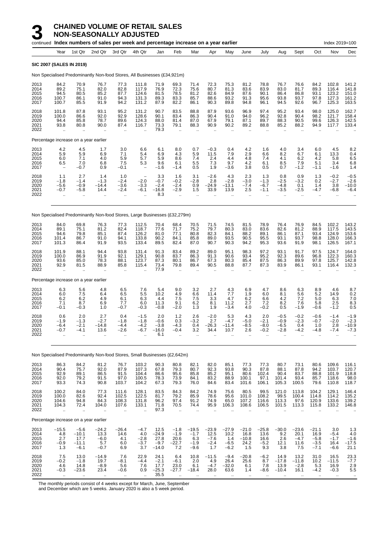**NON-SEASONALLY ADJUSTED**

|                                      |                                                           |                                                      | continued Index numbers of sales per week and percentage increase on a year earlier |                                                          |                                                 |                                                                     |                                                    |                                                                  |                                          |                                                      |                                                      |                                                           |                                                           |                                                 |                                                                   | Index 2019=100                                 |                                           |
|--------------------------------------|-----------------------------------------------------------|------------------------------------------------------|-------------------------------------------------------------------------------------|----------------------------------------------------------|-------------------------------------------------|---------------------------------------------------------------------|----------------------------------------------------|------------------------------------------------------------------|------------------------------------------|------------------------------------------------------|------------------------------------------------------|-----------------------------------------------------------|-----------------------------------------------------------|-------------------------------------------------|-------------------------------------------------------------------|------------------------------------------------|-------------------------------------------|
|                                      | Year                                                      | 1st Qtr                                              | 2nd Qtr                                                                             | 3rd Qtr                                                  | 4th Qtr                                         | Jan                                                                 | Feb                                                | Mar                                                              | Apr                                      | May                                                  | June                                                 | July                                                      | Aug                                                       | Sept                                            | Oct                                                               | Nov                                            | Dec                                       |
|                                      | <b>SIC 2007 (SALES IN 2019)</b>                           |                                                      |                                                                                     |                                                          |                                                 |                                                                     |                                                    |                                                                  |                                          |                                                      |                                                      |                                                           |                                                           |                                                 |                                                                   |                                                |                                           |
|                                      |                                                           |                                                      | Non Specialised Predominantly Non-food Stores, All Businesses (£34,921m)            |                                                          |                                                 |                                                                     |                                                    |                                                                  |                                          |                                                      |                                                      |                                                           |                                                           |                                                 |                                                                   |                                                |                                           |
| 2013<br>2014<br>2015<br>2016<br>2017 | 84.2<br>89.2<br>94.5<br>100.7<br>100.7                    | 70.9<br>75.1<br>80.5<br>86.1<br>85.5                 | 76.7<br>82.0<br>85.2<br>91.0<br>91.9                                                | 77.3<br>82.8<br>87.7<br>94.3<br>94.2                     | 111.8<br>117.9<br>124.6<br>131.3<br>131.2       | 71.9<br>76.9<br>81.5<br>89.3<br>87.9                                | 69.3<br>72.3<br>78.5<br>83.3<br>82.2               | 71.4<br>75.6<br>81.2<br>85.7<br>86.1                             | 72.3<br>80.7<br>82.6<br>88.6<br>90.3     | 75.3<br>81.3<br>84.9<br>93.2<br>89.8                 | 81.2<br>83.6<br>87.6<br>91.3<br>94.8                 | 78.8<br>83.9<br>90.1<br>95.6<br>96.1                      | 76.7<br>83.0<br>86.4<br>93.8<br>94.5                      | 76.6<br>81.7<br>86.8<br>93.7<br>92.6            | 84.2<br>89.3<br>93.1<br>97.8<br>96.7                              | 102.8<br>116.4<br>123.2<br>127.3<br>125.3      | 141.2<br>141.8<br>151.0<br>161.2<br>163.5 |
| 2018<br>2019<br>2020<br>2021<br>2022 | 101.8<br>100.0<br>94.4<br>93.8                            | 87.8<br>86.6<br>85.8<br>80.8                         | 93.1<br>92.0<br>78.7<br>90.0                                                        | 95.2<br>92.9<br>89.6<br>87.4<br>$\bar{\mathbf{r}}$       | 131.2<br>128.6<br>124.3<br>116.7                | 90.7<br>90.1<br>88.0<br>73.3<br>79.3                                | 83.5<br>83.4<br>81.4<br>79.1<br>$\ddotsc$          | 88.8<br>86.3<br>87.0<br>88.3                                     | 87.9<br>90.4<br>67.9<br>90.9             | 93.6<br>91.0<br>79.1<br>90.2<br>$\ddot{\phantom{1}}$ | 96.9<br>94.0<br>87.1<br>89.2<br>$\ddot{\phantom{1}}$ | 97.4<br>96.2<br>89.7<br>88.8<br>$\mathbf{r}$              | 95.2<br>92.8<br>88.3<br>85.2                              | 93.4<br>90.4<br>90.5<br>88.2                    | 98.0<br>98.2<br>99.6<br>94.9                                      | 125.0<br>121.7<br>126.3<br>117.7               | 162.7<br>158.4<br>142.5<br>133.4          |
|                                      |                                                           | Percentage increase on a year earlier                |                                                                                     |                                                          |                                                 |                                                                     |                                                    |                                                                  |                                          |                                                      |                                                      |                                                           |                                                           |                                                 |                                                                   |                                                |                                           |
| 2013<br>2014<br>2015<br>2016<br>2017 | 4.2<br>5.9<br>6.0<br>6.5<br>$\overline{\phantom{a}}$      | 4.5<br>5.9<br>7.1<br>7.0<br>-0.7                     | 1.7<br>6.9<br>4.0<br>6.8<br>0.9                                                     | 3.0<br>7.1<br>5.9<br>7.5<br>$-0.1$                       | 6.6<br>5.4<br>5.7<br>5.3                        | 6.1<br>6.9<br>5.9<br>9.6<br>$-1.6$                                  | 8.0<br>4.3<br>8.6<br>6.1<br>$-1.4$                 | 0.7<br>5.9<br>7.4<br>5.5<br>0.5                                  | $-0.3$<br>11.5<br>2.4<br>7.3<br>1.9      | 0.4<br>7.9<br>4.4<br>9.7<br>$-3.6$                   | 4.2<br>2.9<br>4.8<br>4.2<br>3.8                      | 1.6<br>6.6<br>7.4<br>6.1<br>0.5                           | 4.0<br>8.2<br>4.1<br>8.5<br>0.7                           | 3.4<br>6.7<br>6.2<br>7.9<br>$-1.2$              | 6.0<br>6.1<br>4.2<br>5.1<br>$-1.1$                                | 4.5<br>13.3<br>5.8<br>3.4<br>$-1.6$            | 8.2<br>0.4<br>6.5<br>6.8<br>1.4           |
| 2018<br>2019<br>2020<br>2021<br>2022 | 1.1<br>$-1.8$<br>$-5.6$<br>$-0.7$<br>$\ddot{\phantom{a}}$ | 2.7<br>$-1.4$<br>$-0.9$<br>$-5.8$<br>$\ddotsc$       | 1.4<br>$-1.3$<br>$-14.4$<br>14.4                                                    | 1.0<br>$-2.4$<br>$-3.6$<br>$-2.4$<br>÷.                  | $-2.0$<br>$-3.3$<br>$-6.1$                      | 3.3<br>$-0.7$<br>$-2.4$<br>$-16.8$<br>8.3                           | 1.6<br>$-0.2$<br>$-2.4$<br>$-2.9$<br>$\ddotsc$     | 3.1<br>$-2.8$<br>0.9<br>1.5<br>$\ddot{\phantom{a}}$              | $-2.6$<br>2.8<br>$-24.9$<br>33.9         | 4.3<br>$-2.8$<br>$-13.1$<br>13.9<br>$\ddotsc$        | 2.3<br>$-3.0$<br>$-7.4$<br>2.5<br>$\ddotsc$          | 1.3<br>$-1.3$<br>$-6.7$<br>$-1.1$<br>$\cdot$ .            | 0.8<br>$-2.5$<br>$-4.8$<br>$-3.5$<br>$\ddot{\phantom{a}}$ | 0.9<br>$-3.2$<br>0.1<br>$-2.5$<br>$\ddotsc$     | 1.3<br>0.2<br>1.4<br>$-4.7$                                       | $-0.2$<br>$-2.7$<br>3.8<br>$-6.8$<br>$\ddotsc$ | $-0.5$<br>$-2.6$<br>$-10.0$<br>$-6.4$     |
|                                      |                                                           |                                                      | Non Specialised Predominantly Non-food Stores, Large Businesses (£32,279m)          |                                                          |                                                 |                                                                     |                                                    |                                                                  |                                          |                                                      |                                                      |                                                           |                                                           |                                                 |                                                                   |                                                |                                           |
| 2013<br>2014<br>2015<br>2016<br>2017 | 84.0<br>89.1<br>94.6<br>101.4<br>101.3                    | 69.8<br>75.1<br>79.8<br>86.7<br>86.4                 | 76.3<br>81.2<br>85.1<br>91.0<br>91.9                                                | 77.3<br>82.4<br>87.4<br>94.1<br>93.5                     | 112.5<br>118.7<br>126.2<br>133.8<br>133.4       | 70.4<br>77.6<br>81.0<br>90.2<br>89.5                                | 68.4<br>71.7<br>77.1<br>84.1<br>82.4               | 70.5<br>75.2<br>80.8<br>85.8<br>87.0                             | 71.5<br>79.7<br>82.3<br>89.0<br>90.7     | 74.5<br>80.3<br>84.1<br>93.5<br>90.3                 | 81.5<br>83.0<br>88.2<br>90.5<br>94.2                 | 78.9<br>83.6<br>89.1<br>95.5<br>95.3                      | 76.4<br>82.6<br>86.1<br>93.1<br>93.6                      | 76.9<br>81.2<br>87.1<br>93.7<br>91.9            | 84.5<br>88.9<br>93.4<br>98.8<br>98.1                              | 102.2<br>117.5<br>124.9<br>128.0<br>126.5      | 143.2<br>143.5<br>153.6<br>166.3<br>167.1 |
| 2018<br>2019<br>2020<br>2021<br>2022 | 101.9<br>100.0<br>93.6<br>92.9<br>$\ddot{\phantom{a}}$    | 88.1<br>86.9<br>85.0<br>81.5                         | 94.4<br>91.9<br>78.3<br>88.9                                                        | 93.8<br>92.1<br>88.1<br>85.8                             | 131.4<br>129.1<br>123.7<br>115.4                | 91.3<br>90.8<br>87.3<br>73.4<br>77.9                                | 83.4<br>83.7<br>80.1<br>79.8                       | 89.2<br>86.3<br>86.7<br>89.4                                     | 89.0<br>91.3<br>67.3<br>90.5             | 95.1<br>90.6<br>80.3<br>88.8                         | 98.3<br>93.4<br>85.4<br>87.7                         | 97.2<br>95.2<br>87.5<br>87.3                              | 93.1<br>92.3<br>86.3<br>83.9                              | 91.7<br>89.6<br>89.9<br>86.1                    | 97.5<br>96.8<br>97.8<br>93.1                                      | 124.7<br>122.3<br>125.7<br>116.4               | 164.0<br>160.3<br>142.8<br>132.3          |
|                                      |                                                           | Percentage increase on a year earlier                |                                                                                     |                                                          |                                                 |                                                                     |                                                    |                                                                  |                                          |                                                      |                                                      |                                                           |                                                           |                                                 |                                                                   |                                                |                                           |
| 2013<br>2014<br>2015<br>2016<br>2017 | 6.3<br>6.0<br>6.2<br>7.1<br>$-0.1$                        | 5.6<br>7.5<br>6.2<br>8.7<br>$-0.3$                   | 4.8<br>6.4<br>4.9<br>6.9<br>1.0                                                     | $6.5$<br>$6.5$<br>6.1<br>7.7<br>$-0.7$                   | 7.6<br>$5.\overline{5}$<br>6.3<br>6.0<br>$-0.3$ | 5.4<br>10.2<br>4.4<br>11.3<br>$-0.8$                                | 9.0<br>4.9<br>7.5<br>9.1<br>$-2.0$                 | $\begin{array}{c} 3.2 \\ 6.6 \end{array}$<br>7.5<br>$6.2$<br>1.3 | 2.7<br>11.4<br>3.3<br>8.1<br>1.9         | 4.3<br>7.7<br>4.7<br>11.2<br>$-3.4$                  | $^{6.9}_{1.9}$<br>6.2<br>2.7<br>4.0                  | 4.7<br>6.0<br>6.6<br>$7.2 - 0.2$                          | 8.6<br>8.1<br>4.2<br>$_{0.5}^{8.2}$                       | 6.3<br>$5.\overline{6}$<br>7.2<br>7.6<br>$-1.9$ | $\begin{array}{c} 8.9 \\ 5.2 \end{array}$<br>5.0<br>5.8<br>$-0.6$ | 4.6<br>14.9<br>6.3<br>$^{2.5}_{-1.2}$          | ${}^{8.7}_{0.2}$<br>7.0<br>$_{0.5}^{8.3}$ |
| 2018<br>2019<br>2020<br>2021<br>2022 | 0.6<br>$-1.9$<br>$-6.4$<br>$-0.7$                         | 2.0<br>$-1.3$<br>$-2.1$<br>$-4.1$<br>ä.              | 2.7<br>$-2.7$<br>$-14.8$<br>13.6<br>ä,                                              | 0.4<br>$-1.8$<br>$-4.4$<br>-2.6                          | $-1.5$<br>$-1.8$<br>$-4.2$<br>-6.7              | 2.0<br>$-0.6$<br>$-3.8$<br>$-16.0$<br>6.1                           | $1.2$<br>0.3<br>$-4.3$<br>$-0.4$                   | 2.6<br>$-3.2$<br>0.4<br>3.2                                      | $-2.0$<br>2.7<br>$-26.3$<br>34.4         | 5.3<br>$-4.7$<br>$-11.4$<br>10.7                     | 4.3<br>$-5.0$<br>$-8.5$<br>2.6<br>$\ddotsc$          | 2.0<br>$-2.1$<br>$-8.0$<br>$-0.2$<br>$\ddot{\phantom{a}}$ | $-0.5$<br>$-0.9$<br>$-6.5$<br>$-2.8$                      | $-0.2$<br>$-2.3$<br>0.4<br>-4.2                 | $-0.6$<br>$-0.7$<br>1.0<br>$-4.8$                                 | $-1.4$<br>$-2.0$<br>2.8<br>$-7.4$              | $-1.9$<br>$-2.3$<br>$-10.9$<br>$-7.3$     |
|                                      |                                                           |                                                      | Non Specialised Predominantly Non-food Stores, Small Businesses (£2,642m)           |                                                          |                                                 |                                                                     |                                                    |                                                                  |                                          |                                                      |                                                      |                                                           |                                                           |                                                 |                                                                   |                                                |                                           |
| 2013<br>2014<br>2015<br>2016<br>2017 | 86.3<br>90.4<br>92.9<br>92.0<br>93.3                      | 84.2<br>75.7<br>89.1<br>79.2<br>74.3                 | 81.2<br>92.0<br>86.5<br>91.5<br>90.8                                                | 76.7<br>87.9<br>91.5<br>97.0<br>103.7                    | 103.2<br>107.3<br>104.4<br>100.5<br>104.2       | $\begin{array}{c} 90.3 \\ 67.8 \end{array}$<br>86.6<br>78.3<br>67.3 | 80.8<br>79.3<br>95.6<br>73.9<br>79.3               | 82.1<br>80.7<br>85.8<br>84.1<br>76.0                             | 82.0<br>92.3<br>85.2<br>83.2<br>84.6     | 85.1<br>93.8<br>95.1<br>88.9<br>83.4                 | 77.3<br>90.3<br>80.6<br>100.1<br>101.6               | 77.3<br>87.8<br>102.4<br>97.1<br>106.1                    | 80.788.1<br>90.4<br>101.4<br>105.3                        | 73.1<br>87.8<br>83.7<br>93.4<br>100.5           | 80.6<br>94.2<br>88.8<br>85.7<br>79.6                              | 109.6<br>103.7<br>101.9<br>118.6<br>110.8      | 116.1<br>120.7<br>118.8<br>98.0<br>118.7  |
| 2018<br>2019<br>2020<br>2021<br>2022 | 100.2<br>100.0<br>104.6<br>104.3<br>$\ddot{\phantom{a}}$  | 84.0<br>82.6<br>94.8<br>72.4<br>$\ddot{\phantom{a}}$ | 77.3<br>92.4<br>84.3<br>104.0<br>ä,                                                 | 111.6<br>102.5<br>108.3<br>107.6<br>$\ddot{\phantom{a}}$ | 128.1<br>122.5<br>131.8<br>133.1<br>ä.          | 83.5<br>81.7<br>96.2<br>71.8<br>97.3                                | 84.3<br>79.2<br>97.4<br>70.5<br>$\bar{\mathbf{r}}$ | 84.2<br>85.9<br>91.2<br>74.4<br>$\ddot{\phantom{a}}$             | 74.9<br>78.6<br>74.9<br>95.9<br>÷.       | 75.6<br>95.6<br>65.0<br>106.3<br>÷.                  | $80.5$<br>101.0<br>107.2<br>108.6<br>$\ddotsc$       | 99.5<br>108.2<br>116.6<br>106.5<br>$\ddotsc$              | 121.0<br>99.5<br>113.3<br>101.5                           | 113.8<br>100.4<br>97.6<br>113.3                 | 104.2<br>114.8<br>120.9<br>115.8                                  | 129.1<br>114.2<br>133.6<br>133.2<br>μ,         | 146.4<br>135.2<br>139.2<br>146.8          |
|                                      |                                                           | Percentage increase on a year earlier                |                                                                                     |                                                          |                                                 |                                                                     |                                                    |                                                                  |                                          |                                                      |                                                      |                                                           |                                                           |                                                 |                                                                   |                                                |                                           |
| 2013<br>2014<br>2015<br>2016<br>2017 | $-15.5$<br>$\frac{4.8}{2.7}$<br>$-0.9$<br>1.3             | $-5.6$<br>$-10.1$<br>17.7<br>$-11.1$<br>$-6.1$       | -24.2<br>13.3<br>$-6.0$<br>5.7<br>$-0.7$                                            | $-26.4$<br>14.6<br>4.1<br>6.0<br>6.9                     | $-4.7$<br>4.0<br>$-2.8$<br>-3.7<br>3.7          | 12.5<br>$-24.9$<br>27.8<br>$-9.7$<br>$-14.0$                        | $-1.8$<br>$-1.9$<br>20.6<br>-22.7<br>7.2           | $-19.5$<br>$-1.7$<br>6.3<br>$-1.9$<br>$-9.6$                     | $-23.9$<br>$12.5 - 7.6$<br>$-2.4$<br>1.7 | $-27.9$<br>10.2<br>1.4<br>$-6.5$<br>$-6.2$           | $-21.0$<br>16.8<br>$-10.8$<br>24.2<br>1.5            | $-25.8$<br>13.6<br>16.6<br>$-5.2$<br>9.3                  | $-30.0$<br>$\frac{9.2}{2.6}$<br>12.1<br>3.8               | $-23.6$<br>20.1<br>$-4.7$<br>11.6<br>7.5        | $-21.1$<br>16.9<br>$-5.8$<br>$-3.5$<br>$-7.1$                     | 3.0<br>$-5.4$<br>$-1.7$<br>16.4<br>$-6.6$      | 1.3<br>$4.0 - 1.6$<br>$-17.5$<br>21.1     |
| 2018<br>2019<br>2020<br>2021<br>2022 | 7.5<br>$-0.2$<br>4.6<br>$-0.3$                            | 13.0<br>$-1.8$<br>14.8<br>$-23.6$                    | $-14.9$<br>19.7<br>$-8.9$<br>23.4                                                   | 7.6<br>$-8.1$<br>5.6<br>$-0.6$                           | 22.9<br>$-4.4$<br>7.6<br>0.9                    | 24.1<br>$\frac{-2.1}{17.7}$<br>$-25.3$<br>35.5                      | 6.4<br>$\substack{ -6.1 \\ -23.0 }$<br>$-27.7$     | 10.8<br>2.0<br>6.1<br>$-18.4$                                    | $-11.5$<br>4.9<br>$-4.7$<br>28.0         | $-9.4$<br>$26.4 - 32.0$<br>63.6                      | $-20.8$<br>25.6<br>6.1<br>1.4                        | $-6.2$<br>8.7<br>7.8<br>$-8.6$                            | 14.9<br>$-17.8$<br>13.9<br>$-10.4$                        | 13.2<br>$-11.8$<br>$-2.8$<br>16.1               | 31.0<br>$\frac{10.2}{5.3}$<br>$-4.2$                              | 16.5<br>$-11.5$<br>16.9<br>$-0.3$              | 23.3<br>$-7.7$<br>2.9<br>5.5              |

The monthly periods consist of 4 weeks except for March, June, September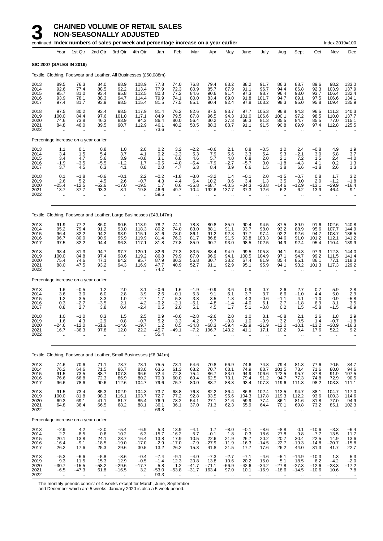**NON-SEASONALLY ADJUSTED**

|                                      |                                                            |                                                              | continued Index numbers of sales per week and percentage increase on a year earlier |                                                              |                                                            |                                            |                                                      |                                           |                                                      |                                           |                                                       |                                                        |                                             |                                          |                                                      | Index 2019=100                                           |                                                         |
|--------------------------------------|------------------------------------------------------------|--------------------------------------------------------------|-------------------------------------------------------------------------------------|--------------------------------------------------------------|------------------------------------------------------------|--------------------------------------------|------------------------------------------------------|-------------------------------------------|------------------------------------------------------|-------------------------------------------|-------------------------------------------------------|--------------------------------------------------------|---------------------------------------------|------------------------------------------|------------------------------------------------------|----------------------------------------------------------|---------------------------------------------------------|
|                                      | Year                                                       | 1st Qtr                                                      | 2nd Qtr                                                                             | 3rd Qtr                                                      | 4th Qtr                                                    | Jan                                        | Feb                                                  | Mar                                       | Apr                                                  | May                                       | June                                                  | July                                                   | Aug                                         | Sept                                     | Oct                                                  | Nov                                                      | Dec                                                     |
|                                      | SIC 2007 (SALES IN 2019)                                   |                                                              |                                                                                     |                                                              |                                                            |                                            |                                                      |                                           |                                                      |                                           |                                                       |                                                        |                                             |                                          |                                                      |                                                          |                                                         |
|                                      |                                                            |                                                              | Textile, Clothing, Footwear and Leather, All Businesses (£50,088m)                  |                                                              |                                                            |                                            |                                                      |                                           |                                                      |                                           |                                                       |                                                        |                                             |                                          |                                                      |                                                          |                                                         |
| 2013<br>2014<br>2015<br>2016<br>2017 | 89.5<br>92.6<br>95.7<br>93.9<br>97.4                       | 76.3<br>77.4<br>81.0<br>78.1<br>81.7                         | 84.0<br>88.5<br>93.4<br>88.3<br>93.9                                                | 88.9<br>92.2<br>95.8<br>94.7<br>98.5                         | 108.9<br>113.4<br>112.5<br>114.4<br>115.4                  | 77.8<br>77.9<br>80.3<br>79.9<br>81.5       | 74.0<br>72.3<br>77.2<br>74.1<br>77.5                 | 76.8<br>80.9<br>84.6<br>80.0<br>85.1      | 79.4<br>85.7<br>90.6<br>83.4<br>90.4                 | 83.2<br>87.9<br>91.4<br>89.0<br>92.4      | 88.2<br>91.1<br>97.3<br>91.8<br>97.8                  | 91.7<br>96.7<br>98.7<br>101.7<br>103.2                 | 86.3<br>94.4<br>96.4<br>94.7<br>98.3        | 88.7<br>86.8<br>93.0<br>89.1<br>95.0     | 89.6<br>92.3<br>93.7<br>97.5<br>95.8                 | 98.2<br>103.9<br>106.4<br>106.6<br>109.4                 | 133.0<br>137.9<br>132.4<br>134.1<br>135.9               |
| 2018<br>2019<br>2020<br>2021<br>2022 | 97.5<br>100.0<br>74.6<br>84.8                              | 80.2<br>84.4<br>73.8<br>46.0                                 | 93.4<br>97.6<br>46.3<br>89.5                                                        | 98.5<br>101.0<br>83.9<br>90.7                                | 117.9<br>117.1<br>94.3<br>112.9                            | 81.4<br>84.9<br>86.4<br>46.1<br>73.6       | 76.2<br>79.5<br>80.0<br>40.2<br>$\ddotsc$            | 82.6<br>87.8<br>56.4<br>50.5              | 87.5<br>96.5<br>30.2<br>88.3<br>$\ddot{\phantom{a}}$ | 93.7<br>94.3<br>37.3<br>88.7<br>$\ddotsc$ | 97.7<br>101.0<br>66.3<br>91.1                         | 105.3<br>106.6<br>81.3<br>91.5                         | 96.8<br>100.1<br>85.5<br>90.8               | 94.3<br>97.2<br>84.7<br>89.9             | 96.5<br>98.5<br>85.5<br>97.4                         | 111.3<br>110.0<br>77.0<br>112.8                          | 140.3<br>137.7<br>115.1<br>125.5                        |
|                                      |                                                            | Percentage increase on a year earlier                        |                                                                                     |                                                              |                                                            |                                            |                                                      |                                           |                                                      |                                           |                                                       |                                                        |                                             |                                          |                                                      |                                                          |                                                         |
| 2013<br>2014<br>2015<br>2016<br>2017 | 1.1<br>3.4<br>3.4<br>$-1.9$<br>3.7                         | 0.1<br>1.5<br>4.7<br>-3.5<br>4.5                             | 0.8<br>5.4<br>5.6<br>$-5.5$<br>6.3                                                  | 1.0<br>3.7<br>3.9<br>$-1.2$<br>4.1                           | 2.0<br>4.1<br>$-0.8$<br>1.7<br>0.8                         | 0.2<br>0.2<br>3.1<br>$-0.5$<br>2.0         | 3.2<br>$-2.3$<br>6.8<br>$-4.0$<br>4.7                | $-2.2$<br>5.3<br>4.6<br>$-5.4$<br>6.3     | $-0.6$<br>7.9<br>5.7<br>$-7.9$<br>8.4                | 2.1<br>5.6<br>4.0<br>$-2.7$<br>3.9        | 0.8<br>3.3<br>6.8<br>$-5.7$<br>6.6                    | $-0.5$<br>5.4<br>2.0<br>3.0<br>1.5                     | 1.0<br>9.3<br>2.1<br>$-1.8$<br>3.8          | 2.4<br>$-2.1$<br>7.2<br>$-4.3$<br>6.6    | $-0.8$<br>3.0<br>1.5<br>4.1<br>$-1.8$                | 4.9<br>5.8<br>2.4<br>0.2<br>2.6                          | 1.9<br>3.7<br>$-4.0$<br>1.3<br>1.3                      |
| 2018<br>2019<br>2020<br>2021<br>2022 | 0.1<br>2.6<br>$-25.4$<br>13.7                              | $-1.8$<br>5.2<br>$-12.5$<br>$-37.7$                          | $-0.6$<br>4.5<br>-52.6<br>93.3                                                      | $-0.1$<br>2.6<br>$-17.0$<br>8.1<br>÷.                        | 2.2<br>$-0.7$<br>$-19.5$<br>19.8                           | $-0.2$<br>4.3<br>1.7<br>$-46.6$<br>59.5    | $-1.8$<br>4.4<br>0.6<br>$-49.7$                      | $-3.0$<br>6.4<br>$-35.8$<br>$-10.4$       | $-3.2$<br>10.2<br>$-68.7$<br>192.6                   | 1.4<br>0.6<br>$-60.5$<br>137.7            | $-0.1$<br>3.4<br>$-34.3$<br>37.3                      | 2.0<br>1.3<br>$-23.8$<br>12.6                          | $-1.5$<br>3.5<br>$-14.6$<br>6.2             | $-0.7$<br>3.0<br>$-12.9$<br>6.2          | 0.8<br>2.0<br>$-13.1$<br>13.9                        | 1.7<br>$-1.2$<br>–29.9<br>46.4                           | 3.2<br>$-1.8$<br>-16.4<br>9.1                           |
|                                      |                                                            |                                                              | Textile, Clothing, Footwear and Leather, Large Businesses (£43,147m)                |                                                              |                                                            |                                            |                                                      |                                           |                                                      |                                           |                                                       |                                                        |                                             |                                          |                                                      |                                                          |                                                         |
| 2013<br>2014<br>2015<br>2016<br>2017 | 91.9<br>95.2<br>96.4<br>96.7<br>97.5                       | 77.2<br>79.4<br>82.2<br>80.0<br>82.2                         | 86.0<br>91.2<br>94.2<br>90.9<br>94.4                                                | 90.5<br>93.0<br>93.9<br>95.9<br>96.3                         | 113.9<br>118.3<br>115.1<br>119.9<br>117.1                  | 78.2<br>80.2<br>81.6<br>81.4<br>81.8       | 74.1<br>74.0<br>78.0<br>76.3<br>77.8                 | 78.8<br>83.0<br>86.1<br>81.7<br>85.9      | 80.8<br>88.1<br>91.2<br>86.8<br>90.7                 | 85.9<br>91.1<br>92.8<br>91.5<br>93.0      | 90.4<br>93.7<br>97.7<br>93.8<br>98.5                  | 94.5<br>98.0<br>97.4<br>103.3<br>102.5                 | 87.5<br>93.2<br>92.2<br>94.6<br>94.9        | 89.9<br>88.9<br>92.6<br>91.0<br>92.4     | 91.6<br>95.6<br>94.7<br>101.2<br>95.4                | 102.6<br>107.7<br>108.7<br>112.1<br>110.4                | 140.8<br>144.9<br>136.5<br>141.2<br>139.9               |
| 2018<br>2019<br>2020<br>2021<br>2022 | 98.4<br>100.0<br>75.4<br>88.0<br>$\ddot{\phantom{a}}$      | 81.3<br>84.8<br>74.6<br>47.5<br>$\ddot{\phantom{a}}$         | 94.7<br>97.4<br>47.1<br>93.2                                                        | 97.7<br>98.6<br>84.2<br>94.3<br>$\ddot{\phantom{a}}$         | 120.1<br>119.2<br>95.7<br>116.9                            | 82.6<br>86.8<br>87.9<br>47.7<br>74.2       | 77.3<br>79.9<br>80.3<br>40.9<br>$\ddot{\phantom{a}}$ | 83.5<br>87.0<br>56.8<br>52.7<br>÷.        | 88.4<br>96.9<br>30.7<br>91.1                         | 94.9<br>94.1<br>38.2<br>92.9              | 99.5<br>100.5<br>67.4<br>95.1                         | 105.8<br>104.9<br>81.9<br>95.9                         | 94.1<br>97.1<br>85.4<br>94.1                | 94.3<br>94.7<br>85.1<br>93.2             | 97.9<br>99.2<br>86.1<br>101.3                        | 112.3<br>111.5<br>77.1<br>117.3                          | 144.0<br>141.4<br>118.3<br>129.2                        |
|                                      |                                                            | Percentage increase on a year earlier                        |                                                                                     |                                                              |                                                            |                                            |                                                      |                                           |                                                      |                                           |                                                       |                                                        |                                             |                                          |                                                      |                                                          |                                                         |
| 2013<br>2014<br>2015<br>2016<br>2017 | 1.6<br>3.6<br>$1.2$<br>0.3<br>0.8                          | $-0.5$<br>3.0<br>3.5<br>$-2.7$<br>2.7                        | 1.2<br>6.0<br>3.3<br>$-3.5$<br>3.8                                                  | 2.0<br>2.8<br>1.0<br>2.1<br>0.4                              | 3.1<br>3.9<br>$-2.7$<br>4.2<br>$-2.4$                      | $-0.6$<br>2.6<br>1.7<br>-0.2<br>0.5        | 1.6<br>$-0.1$<br>5.3<br>$-2.1$<br>2.0                | $-1.9$<br>5.3<br>3.8<br>$-5.1$<br>5.1     | $-0.9$<br>9.1<br>3.5<br>-4.8<br>4.5                  | 3.6<br>6.1<br>1.8<br>$-1.4$<br>1.7        | 0.9<br>3.7<br>4.3<br>$-4.0$<br>5.1                    | 0.7<br>3.7<br>$-0.6$<br>6.1<br>$-0.8$                  | 2.6<br>6.6<br>$-1.1$<br>2.7<br>0.2          | 2.7<br>$-1.0$<br>4.1<br>$-1.8$<br>1.5    | 0.7<br>4.4<br>$-1.0$<br>6.9<br>$-5.8$                | 5.9<br>5.0<br>0.9<br>3.1<br>$-1.5$                       | 2.8<br>2.9<br>$-5.8$<br>3.5<br>$-0.9$                   |
| 2018<br>2019<br>2020<br>2021<br>2022 | 1.0<br>1.6<br>-24.6<br>16.7<br>÷.                          | $-1.0$<br>4.3<br>$-12.0$<br>$-36.3$<br>$\ddot{\phantom{a}}$  | 0.3<br>2.9<br>$-51.6$<br>97.8<br>$\ddot{\phantom{1}}$                               | 1.5<br>0.8<br>$-14.6$<br>12.0<br>$\ddot{\phantom{a}}$        | 2.5<br>$-0.7$<br>$-19.7$<br>22.2                           | 0.9<br>5.2<br>1.2<br>$-45.7$<br>55.4       | $-0.6$<br>3.3<br>0.5<br>$-49.1$                      | $-2.8$<br>4.2<br>$-34.8$<br>$-7.2$        | $-2.6$<br>9.7<br>$-68.3$<br>196.7                    | 2.0<br>$-0.8$<br>$-59.4$<br>143.2         | 1.0<br>1.0<br>$-32.9$<br>41.1<br>$\ddot{\phantom{a}}$ | 3.1<br>$-0.9$<br>$-21.9$<br>17.1                       | $-0.8$<br>3.2<br>$-12.0$<br>10.2            | 2.1<br>0.5<br>$-10.1$<br>9.4             | 2.6<br>1.4<br>$-13.2$<br>17.6<br>μ.                  | 1.8<br>$-0.7$<br>$-30.9$<br>52.2<br>$\ddot{\phantom{a}}$ | 2.9<br>$-1.8$<br>$-16.3$<br>9.2<br>$\ddot{\phantom{a}}$ |
|                                      |                                                            |                                                              | Textile, Clothing, Footwear and Leather, Small Businesses (£6,941m)                 |                                                              |                                                            |                                            |                                                      |                                           |                                                      |                                           |                                                       |                                                        |                                             |                                          |                                                      |                                                          |                                                         |
| 2013<br>2014<br>2015<br>2016<br>2017 | 74.6<br>76.2<br>91.5<br>76.6<br>96.6                       | 70.6<br>64.6<br>73.5<br>66.8<br>78.6                         | 71.1<br>71.5<br>88.7<br>72.3<br>90.6                                                | 78.7<br>86.7<br>107.3<br>86.9<br>112.6                       | 78.1<br>83.0<br>96.6<br>80.2<br>104.7                      | 75.5<br>63.6<br>72.4<br>70.3<br>79.6       | 73.1<br>61.3<br>72.3<br>60.0<br>75.7                 | 64.6<br>68.2<br>75.4<br>69.4<br>80.0      | 70.8<br>70.7<br>86.7<br>62.5<br>88.7                 | 66.9<br>68.1<br>83.0<br>73.1<br>88.8      | 74.6<br>74.9<br>94.9<br>79.4<br>93.4                  | 74.8<br>88.7<br>106.6<br>91.2<br>107.3                 | 79.4<br>101.5<br>122.5<br>94.7<br>119.6     | 81.3<br>73.4<br>95.7<br>77.3<br>111.3    | 77.6<br>71.6<br>87.8<br>74.8<br>98.2                 | 70.5<br>80.0<br>91.9<br>72.9<br>103.3                    | 84.7<br>94.6<br>107.5<br>90.5<br>111.1                  |
| 2018<br>2019<br>2020<br>2021<br>2022 | 91.5<br>100.0<br>69.3<br>64.8<br>$\bar{\mathbf{r}}$        | 73.4<br>81.8<br>69.1<br>36.4<br>$\ddot{\phantom{a}}$         | 85.3<br>98.3<br>41.1<br>66.5<br>ä.                                                  | 102.9<br>116.1<br>81.7<br>68.2<br>$\ddotsc$                  | 104.3<br>103.7<br>85.4<br>88.1<br>$\ddot{\phantom{1}}$     | 73.7<br>72.7<br>76.9<br>36.1<br>69.8       | 68.8<br>77.2<br>78.2<br>36.1<br>$\ddot{\phantom{a}}$ | 76.8<br>92.8<br>54.1<br>37.0<br>$\ddotsc$ | 82.2<br>93.5<br>27.1<br>71.3<br>$\ddotsc$            | 86.4<br>95.6<br>31.6<br>62.3<br>$\ldots$  | 86.8<br>104.3<br>59.9<br>65.9<br>ä.                   | 102.4<br>117.8<br>77.4<br>64.4<br>$\ddot{\phantom{a}}$ | 113.5<br>119.3<br>86.1<br>70.1<br>$\ddotsc$ | 94.7<br>112.2<br>81.6<br>69.8<br>ä,      | 88.1<br>93.6<br>81.8<br>73.2<br>$\ddot{\phantom{a}}$ | 104.7<br>100.3<br>77.0<br>85.1<br>$\ddotsc$              | 117.0<br>114.6<br>94.9<br>102.3                         |
|                                      |                                                            | Percentage increase on a year earlier                        |                                                                                     |                                                              |                                                            |                                            |                                                      |                                           |                                                      |                                           |                                                       |                                                        |                                             |                                          |                                                      |                                                          |                                                         |
| 2013<br>2014<br>2015<br>2016<br>2017 | $-2.9$<br>2.2<br>20.1<br>$-16.4$<br>26.2                   | 4.2<br>$-8.5$<br>13.8<br>$-9.1$<br>17.6                      | $-2.0$<br>0.6<br>24.1<br>$-18.5$<br>25.3                                            | $-5.4$<br>10.2<br>23.7<br>$-19.0$<br>29.6                    | $-6.9$<br>6.3<br>16.4<br>$-17.0$<br>30.5                   | 5.3<br>$-15.7$<br>13.8<br>$-2.9$<br>13.2   | 13.9<br>$-16.2$<br>17.9<br>$-17.0$<br>26.2           | $-4.1$<br>5.7<br>10.5<br>$-7.9$<br>15.3   | 1.7<br>$-0.1$<br>22.6<br>$-27.9$<br>41.8             | $-8.0$<br>1.8<br>21.9<br>$-11.9$<br>21.5  | $-0.1$<br>0.3<br>26.7<br>$-16.3$<br>17.7              | $-8.6$<br>18.6<br>20.2<br>$-14.5$<br>17.6              | $-8.8$<br>27.8<br>20.7<br>$-22.7$<br>26.2   | 0.1<br>$-9.8$<br>30.4<br>$-19.3$<br>44.0 | $-10.6$<br>$-7.7$<br>22.5<br>$-14.8$<br>31.3         | $-3.3$<br>13.5<br>14.9<br>$-20.7$<br>41.7                | -6.4<br>11.7<br>13.6<br>$-15.8$<br>22.7                 |
| 2018<br>2019<br>2020<br>2021<br>2022 | $-5.3$<br>9.3<br>$-30.7$<br>$-6.5$<br>$\ddot{\phantom{a}}$ | $-6.6$<br>11.5<br>$-15.5$<br>$-47.3$<br>$\ddot{\phantom{a}}$ | $-5.8$<br>15.3<br>-58.2<br>61.8<br>$\ddot{\phantom{a}}$                             | $-8.6$<br>12.9<br>$-29.6$<br>$-16.5$<br>$\ddot{\phantom{a}}$ | $-0.4$<br>$-0.5$<br>$-17.7$<br>3.2<br>$\ddot{\phantom{a}}$ | $-7.4$<br>$-1.4$<br>5.8<br>$-53.0$<br>93.3 | $-9.1$<br>12.3<br>1.2<br>$-53.8$                     | $-4.0$<br>20.8<br>$-41.7$<br>$-31.7$      | $-7.3$<br>13.8<br>$-71.1$<br>163.4                   | $-2.7$<br>10.6<br>-66.9<br>97.0           | $-7.1$<br>20.2<br>$-42.6$<br>10.1                     | $-4.6$<br>15.0<br>$-34.2$<br>$-16.9$                   | $-5.1$<br>5.1<br>$-27.8$<br>$-18.6$         | $-14.9$<br>18.5<br>$-27.3$<br>$-14.5$    | $-10.3$<br>6.2<br>$-12.6$<br>$-10.6$                 | 1.3<br>$-4.2$<br>-23.3<br>10.6<br>$\ddot{\phantom{a}}$   | 5.3<br>$-2.0$<br>$-17.2$<br>7.8<br>$\ddot{\phantom{1}}$ |

The monthly periods consist of 4 weeks except for March, June, September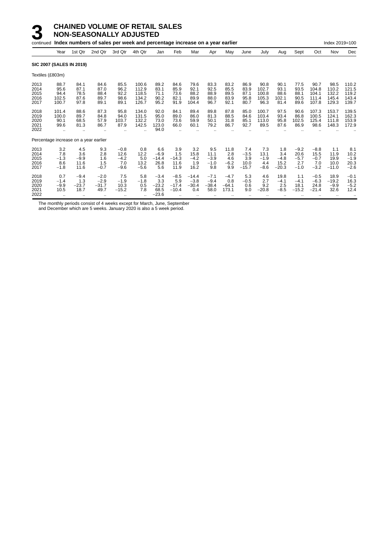|                                      |                                              |                                                      | continued Index numbers of sales per week and percentage increase on a year earlier |                                           |                                           |                                             |                                                  |                                       |                                        |                                      |                                         |                                         |                                         |                                           |                                           | Index 2019=100                           |                                           |
|--------------------------------------|----------------------------------------------|------------------------------------------------------|-------------------------------------------------------------------------------------|-------------------------------------------|-------------------------------------------|---------------------------------------------|--------------------------------------------------|---------------------------------------|----------------------------------------|--------------------------------------|-----------------------------------------|-----------------------------------------|-----------------------------------------|-------------------------------------------|-------------------------------------------|------------------------------------------|-------------------------------------------|
|                                      | Year                                         | 1st Qtr                                              | 2nd Qtr                                                                             | 3rd Qtr                                   | 4th Qtr                                   | Jan                                         | Feb                                              | Mar                                   | Apr                                    | May                                  | June                                    | July                                    | Aug                                     | Sept                                      | Oct                                       | Nov                                      | Dec                                       |
|                                      | <b>SIC 2007 (SALES IN 2019)</b>              |                                                      |                                                                                     |                                           |                                           |                                             |                                                  |                                       |                                        |                                      |                                         |                                         |                                         |                                           |                                           |                                          |                                           |
|                                      | Textiles (£803m)                             |                                                      |                                                                                     |                                           |                                           |                                             |                                                  |                                       |                                        |                                      |                                         |                                         |                                         |                                           |                                           |                                          |                                           |
| 2013<br>2014<br>2015<br>2016<br>2017 | 88.7<br>95.6<br>94.4<br>102.5<br>100.7       | 84.1<br>87.1<br>78.5<br>87.6<br>97.8                 | 84.6<br>87.0<br>88.4<br>89.7<br>89.1                                                | 85.5<br>96.2<br>92.2<br>98.6<br>89.1      | 100.6<br>112.9<br>118.5<br>134.2<br>126.7 | 89.2<br>83.1<br>71.1<br>90.2<br>95.2        | 84.6<br>85.9<br>73.6<br>82.1<br>91.9             | 79.6<br>92.1<br>88.2<br>89.9<br>104.4 | 83.3<br>92.5<br>88.9<br>88.0<br>96.7   | 83.2<br>85.5<br>89.5<br>83.9<br>92.1 | 86.9<br>83.9<br>87.1<br>95.8<br>80.7    | 90.8<br>102.7<br>100.8<br>105.3<br>96.3 | 90.1<br>93.1<br>88.6<br>102.1<br>81.4   | 77.5<br>93.5<br>88.1<br>90.5<br>89.6      | 90.7<br>104.8<br>104.1<br>111.4<br>107.8  | 98.5<br>110.2<br>132.2<br>145.4<br>129.3 | 110.2<br>121.5<br>119.2<br>143.4<br>139.7 |
| 2018<br>2019<br>2020<br>2021<br>2022 | 101.4<br>100.0<br>90.1<br>99.6<br>$\ddotsc$  | 88.6<br>89.7<br>68.5<br>81.3<br>$\ddot{\phantom{0}}$ | 87.3<br>84.8<br>57.9<br>86.7                                                        | 95.8<br>94.0<br>103.7<br>87.9             | 134.0<br>131.5<br>132.2<br>142.5          | 92.0<br>95.0<br>73.0<br>123.0<br>94.0       | 84.1<br>89.0<br>73.6<br>66.0                     | 89.4<br>86.0<br>59.9<br>60.1          | 89.8<br>81.3<br>50.1<br>79.2           | 87.8<br>88.5<br>31.8<br>86.7         | 85.0<br>84.6<br>85.1<br>92.7            | 100.7<br>103.4<br>113.0<br>89.5         | 97.5<br>93.4<br>95.8<br>87.6            | 90.6<br>86.8<br>102.5<br>86.9             | 107.3<br>100.5<br>125.4<br>98.6           | 153.7<br>124.1<br>111.8<br>148.3         | 139.5<br>162.3<br>153.9<br>172.9          |
|                                      | Percentage increase on a year earlier        |                                                      |                                                                                     |                                           |                                           |                                             |                                                  |                                       |                                        |                                      |                                         |                                         |                                         |                                           |                                           |                                          |                                           |
| 2013<br>2014<br>2015<br>2016<br>2017 | 3.2<br>7.8<br>$-1.3$<br>8.6<br>$-1.8$        | 4.5<br>3.6<br>$-9.9$<br>11.6<br>11.6                 | 9.3<br>2.8<br>1.6<br>1.5<br>$-0.7$                                                  | $-0.8$<br>12.6<br>$-4.2$<br>7.0<br>$-9.6$ | 0.8<br>12.2<br>5.0<br>13.2<br>$-5.6$      | 6.6<br>$-6.9$<br>$-14.4$<br>26.8<br>5.6     | 3.9<br>1.5<br>$-14.3$<br>11.6<br>11.9            | 3.2<br>15.8<br>$-4.2$<br>1.9<br>16.2  | 9.5<br>11.1<br>$-3.9$<br>$-1.0$<br>9.8 | 11.8<br>2.8<br>4.6<br>$-6.2$<br>9.9  | 7.4<br>$-3.5$<br>3.9<br>10.0<br>$-15.7$ | 7.3<br>13.1<br>$-1.9$<br>4.4<br>$-8.6$  | 1.8<br>3.4<br>$-4.8$<br>15.2<br>$-20.3$ | $-9.2$<br>20.6<br>$-5.7$<br>2.7<br>$-1.0$ | $-8.8$<br>15.5<br>$-0.7$<br>7.0<br>$-3.2$ | 1.1<br>11.9<br>19.9<br>10.0<br>$-11.0$   | 8.1<br>10.2<br>$-1.9$<br>20.3<br>$-2.6$   |
| 2018<br>2019<br>2020<br>2021<br>2022 | 0.7<br>$-1.4$<br>$-9.9$<br>10.5<br>$\ddotsc$ | $-9.4$<br>1.3<br>$-23.7$<br>18.7<br>$\ddotsc$        | $-2.0$<br>$-2.9$<br>$-31.7$<br>49.7                                                 | 7.5<br>$-1.9$<br>10.3<br>$-15.2$          | 5.8<br>$-1.8$<br>0.5<br>7.8<br>$\ddotsc$  | $-3.4$<br>3.3<br>$-23.2$<br>68.5<br>$-23.6$ | $-8.5$<br>5.9<br>$-17.4$<br>$-10.4$<br>$\ddotsc$ | $-14.4$<br>$-3.8$<br>$-30.4$<br>0.4   | $-7.1$<br>$-9.4$<br>$-38.4$<br>58.0    | $-4.7$<br>0.8<br>$-64.1$<br>173.1    | 5.3<br>$-0.5$<br>0.6<br>9.0             | 4.6<br>2.7<br>9.2<br>$-20.8$            | 19.8<br>$-4.1$<br>2.5<br>$-8.5$         | 1.1<br>$-4.1$<br>18.1<br>$-15.2$          | $-0.5$<br>$-6.3$<br>24.8<br>$-21.4$       | 18.9<br>$-19.2$<br>$-9.9$<br>32.6        | $-0.1$<br>16.3<br>$-5.2$<br>12.4          |

The monthly periods consist of 4 weeks except for March, June, September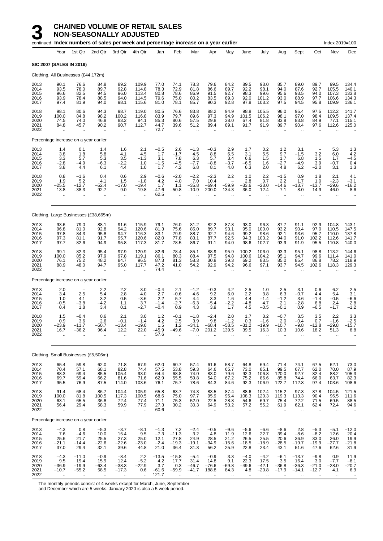|                                      |                                                       |                                                             | continued Index numbers of sales per week and percentage increase on a year earlier |                                                      |                                                         |                                                        |                                                         |                                                             |                                                            |                                              |                                                     |                                                       |                                                       |                                                       |                                                       | Index 2019=100                                         |                                                |
|--------------------------------------|-------------------------------------------------------|-------------------------------------------------------------|-------------------------------------------------------------------------------------|------------------------------------------------------|---------------------------------------------------------|--------------------------------------------------------|---------------------------------------------------------|-------------------------------------------------------------|------------------------------------------------------------|----------------------------------------------|-----------------------------------------------------|-------------------------------------------------------|-------------------------------------------------------|-------------------------------------------------------|-------------------------------------------------------|--------------------------------------------------------|------------------------------------------------|
|                                      | Year                                                  | 1st Qtr                                                     | 2nd Qtr                                                                             | 3rd Qtr                                              | 4th Qtr                                                 | Jan                                                    | Feb                                                     | Mar                                                         | Apr                                                        | May                                          | June                                                | July                                                  | Aug                                                   | Sept                                                  | Oct                                                   | Nov                                                    | Dec                                            |
|                                      |                                                       | SIC 2007 (SALES IN 2019)                                    |                                                                                     |                                                      |                                                         |                                                        |                                                         |                                                             |                                                            |                                              |                                                     |                                                       |                                                       |                                                       |                                                       |                                                        |                                                |
|                                      |                                                       | Clothing, All Businesses (£44,172m)                         |                                                                                     |                                                      |                                                         |                                                        |                                                         |                                                             |                                                            |                                              |                                                     |                                                       |                                                       |                                                       |                                                       |                                                        |                                                |
| 2013<br>2014<br>2015<br>2016<br>2017 | 90.1<br>93.5<br>96.6<br>93.9<br>97.4                  | 76.6<br>78.0<br>82.5<br>78.4<br>81.9                        | 84.8<br>89.7<br>94.5<br>88.5<br>94.0                                                | 89.2<br>92.8<br>96.0<br>94.0<br>98.1                 | 109.9<br>114.8<br>113.4<br>114.5<br>115.6               | 77.0<br>78.3<br>80.8<br>79.6<br>81.0                   | 74.1<br>72.9<br>78.6<br>75.0<br>78.1                    | 78.3<br>81.8<br>86.9<br>80.2<br>85.7                        | 79.6<br>86.6<br>91.5<br>83.5<br>90.3                       | 84.2<br>89.7<br>92.7<br>89.3<br>92.8         | 89.5<br>92.2<br>98.3<br>92.0<br>97.8                | 93.0<br>98.1<br>99.6<br>101.2<br>103.2                | 85.7<br>94.0<br>95.6<br>93.0<br>97.5                  | 89.0<br>87.6<br>93.5<br>88.9<br>94.5                  | 89.7<br>92.7<br>94.0<br>97.7<br>95.8                  | 99.5<br>105.5<br>107.3<br>106.6<br>109.9               | 134.4<br>140.1<br>133.8<br>134.3<br>136.1      |
| 2018<br>2019<br>2020<br>2021<br>2022 | 98.1<br>100.0<br>74.5<br>84.8                         | 80.6<br>84.8<br>74.0<br>45.7                                | 94.3<br>98.2<br>46.8<br>90.2                                                        | 98.7<br>100.2<br>83.2<br>90.7<br>$\bar{\mathbf{r}}$  | 119.0<br>116.8<br>94.1<br>112.7<br>$\ddot{\phantom{a}}$ | 80.5<br>83.9<br>85.3<br>44.7<br>72.7                   | 76.6<br>79.7<br>80.6<br>39.6<br>$\mathbf{r}$ .          | 83.8<br>89.6<br>57.5<br>51.2<br>ä.                          | 88.2<br>97.3<br>29.8<br>89.4                               | 94.9<br>94.9<br>38.0<br>89.1<br>ä.           | 98.8<br>101.5<br>67.4<br>91.7                       | 105.5<br>106.2<br>81.8<br>91.9                        | 96.0<br>98.1<br>83.8<br>89.7<br>$\ddot{\phantom{a}}$  | 95.4<br>97.0<br>83.8<br>90.4<br>ä.                    | 97.5<br>98.4<br>84.9<br>97.6                          | 112.2<br>109.5<br>77.1<br>112.6                        | 141.7<br>137.4<br>115.1<br>125.0               |
|                                      |                                                       | Percentage increase on a year earlier                       |                                                                                     |                                                      |                                                         |                                                        |                                                         |                                                             |                                                            |                                              |                                                     |                                                       |                                                       |                                                       |                                                       |                                                        |                                                |
| 2013<br>2014<br>2015<br>2016<br>2017 | 1.4<br>3.8<br>3.3<br>$-2.8$<br>3.8                    | 0.1<br>1.8<br>5.7<br>$-4.9$<br>4.4                          | 1.4<br>5.8<br>5.3<br>$-6.3$<br>6.1                                                  | 1.6<br>4.1<br>3.5<br>$-2.2$<br>4.4                   | 2.1<br>4.5<br>$-1.3$<br>1.0<br>1.0                      | $-0.5$<br>1.7<br>3.1<br>$-1.5$<br>1.7                  | 2.6<br>$-1.7$<br>7.8<br>$-4.5$<br>4.2                   | $-1.3$<br>4.5<br>6.3<br>$-7.7$<br>6.8                       | $-0.3$<br>8.8<br>5.7<br>$-8.8$<br>8.1                      | 2.9<br>6.5<br>3.4<br>$-3.7$<br>4.0           | 1.7<br>3.1<br>6.6<br>$-6.5$<br>6.3                  | 0.2<br>5.5<br>1.5<br>1.6<br>2.0                       | 1.2<br>9.7<br>1.7<br>$-2.7$<br>4.8                    | 3.1<br>$-1.5$<br>6.8<br>$-4.9$<br>6.2                 | $\qquad \qquad -$<br>3.2<br>1.5<br>3.9<br>$-2.0$      | 5.3<br>6.0<br>1.7<br>$-0.7$<br>3.1                     | 1.3<br>$4.2 - 4.5$<br>0.4<br>1.3               |
| 2018<br>2019<br>2020<br>2021<br>2022 | 0.8<br>1.9<br>$-25.5$<br>13.8<br>$\ddot{\phantom{a}}$ | $-1.6$<br>5.2<br>$-12.7$<br>$-38.3$<br>$\ddot{\phantom{a}}$ | 0.4<br>4.1<br>$-52.4$<br>92.7<br>$\ddot{\phantom{a}}$                               | 0.6<br>1.5<br>$-17.0$<br>9.0<br>$\ddot{\phantom{a}}$ | 2.9<br>$-1.8$<br>$-19.4$<br>19.8                        | $-0.6$<br>4.2<br>1.7<br>$-47.6$<br>62.5                | $-2.0$<br>4.0<br>1.1<br>$-50.8$<br>$\ddot{\phantom{a}}$ | $-2.2$<br>7.0<br>$-35.8$<br>$-10.9$<br>$\ddot{\phantom{a}}$ | $-2.3$<br>10.4<br>$-69.4$<br>200.0<br>$\ddot{\phantom{a}}$ | 2.2<br>-59.9<br>134.3                        | 1.0<br>2.8<br>-33.6<br>36.0<br>$\ddot{\phantom{a}}$ | 2.2<br>0.7<br>$-23.0$<br>12.4<br>$\ddot{\phantom{a}}$ | $-1.5$<br>2.2<br>-14.6<br>7.1<br>$\ddot{\phantom{a}}$ | 0.9<br>1.7<br>$-13.7$<br>8.0<br>$\ddot{\phantom{a}}$  | 1.8<br>1.0<br>$-13.7$<br>14.9<br>$\ddot{\phantom{a}}$ | 2.1<br>$-2.3$<br>-29.6<br>46.0<br>$\ddot{\phantom{1}}$ | 4.1<br>$-3.1$<br>$-16.2$<br>8.6<br>            |
|                                      |                                                       |                                                             | Clothing, Large Businesses (£38,665m)                                               |                                                      |                                                         |                                                        |                                                         |                                                             |                                                            |                                              |                                                     |                                                       |                                                       |                                                       |                                                       |                                                        |                                                |
| 2013<br>2014<br>2015<br>2016<br>2017 | 93.6<br>96.8<br>97.8<br>97.3<br>97.7                  | 79.0<br>81.0<br>84.3<br>81.1<br>82.6                        | 88.1<br>92.8<br>95.8<br>91.7<br>94.9                                                | 91.6<br>94.2<br>94.7<br>95.7<br>95.8                 | 115.9<br>120.6<br>116.3<br>120.6<br>117.3               | 79.1<br>81.3<br>83.1<br>82.0<br>81.7                   | 76.0<br>75.6<br>79.9<br>77.8<br>78.5                    | 81.2<br>85.0<br>88.7<br>83.1<br>86.7                        | 82.2<br>89.7<br>92.7<br>87.7<br>91.1                       | 87.8<br>93.1<br>94.6<br>92.5<br>94.0         | 93.0<br>95.0<br>99.2<br>94.3<br>98.6                | 96.3<br>100.0<br>98.6<br>103.2<br>102.7               | 87.7<br>93.2<br>92.1<br>94.0<br>93.9                  | 91.1<br>90.4<br>93.6<br>91.0<br>91.9                  | 92.9<br>97.0<br>95.7<br>102.2<br>95.5                 | 104.8<br>110.5<br>110.0<br>112.6<br>110.8              | 143.1<br>147.5<br>137.8<br>141.7<br>140.0      |
| 2018<br>2019<br>2020<br>2021<br>2022 | 99.1<br>100.0<br>76.1<br>88.9<br>$\ddotsc$            | 82.3<br>85.2<br>75.2<br>48.0<br>$\ddot{\phantom{1}}$        | 95.4<br>97.9<br>48.2<br>94.7                                                        | 97.9<br>97.8<br>84.7<br>95.0<br>$\ddot{\phantom{a}}$ | 120.9<br>119.1<br>96.5<br>117.7                         | 82.6<br>86.1<br>87.3<br>47.2<br>74.4                   | 78.4<br>80.3<br>81.3<br>41.0<br>$\ddot{\phantom{a}}$    | 85.1<br>88.4<br>58.3<br>54.2                                | 88.9<br>97.5<br>30.8<br>92.9                               | 95.9<br>94.8<br>39.3<br>94.2                 | 100.2<br>100.6<br>69.2<br>96.6                      | 106.0<br>104.2<br>83.5<br>97.1                        | 93.3<br>95.1<br>85.0<br>93.7                          | 95.1<br>94.7<br>85.4<br>94.5                          | 98.8<br>99.6<br>86.8<br>102.6                         | 113.2<br>111.4<br>78.2<br>118.3                        | 144.6<br>141.0<br>118.9<br>129.3               |
|                                      |                                                       | Percentage increase on a year earlier                       |                                                                                     |                                                      |                                                         |                                                        |                                                         |                                                             |                                                            |                                              |                                                     |                                                       |                                                       |                                                       |                                                       |                                                        |                                                |
| 2013<br>2014<br>2015<br>2016<br>2017 | 2.0<br>3.4<br>1.0<br>$-0.5$<br>0.4                    | 2.5<br>4.1<br>$-3.8$<br>1.8                                 | 2.2<br>5.4<br>3.2<br>$-4.2$<br>3.4                                                  | 2.2<br>2.8<br>0.5<br>1.1<br>0.1                      | 3.0<br>4.0<br>$-3.6$<br>3.7<br>$-2.7$                   | $-0.4$<br>2.7<br>2.2<br>$-1.4$<br>$-0.4$               | 2.1<br>$-0.6$<br>5.7<br>$-2.7$<br>0.9                   | $-1.2$<br>$4.6\,$<br>4.4<br>-6.3<br>4.3                     | $-0.3$<br>9.2<br>3.3<br>$-5.4$<br>3.9                      | 4.2<br>6.0<br>1.6<br>$-2.2$<br>1.7           | 2.5<br>2.2<br>4.4<br>-4.8<br>4.5                    | 1.0<br>3.8<br>$-1.4$<br>4.7<br>$-0.5$                 | 2.5<br>6.3<br>$-1.2$<br>2.1<br>$-0.1$                 | 3.1<br>$-0.7$<br>3.6<br>$-2.8$<br>0.9                 | 0.6<br>4.4<br>$-1.4$<br>6.8<br>$-6.5$                 | 6.2<br>5.4<br>$-0.5$<br>2.4<br>$-1.7$                  | 2.5<br>3.1<br>-6.6<br>2.8<br>$-1.\overline{2}$ |
| 2018<br>2019<br>2020<br>2021<br>2022 | 1.5<br>0.9<br>$-23.9$<br>16.7<br>$\ddotsc$            | $-0.4$<br>3.6<br>$-11.7$<br>-36.2                           | 0.6<br>2.6<br>$-50.7$<br>96.4                                                       | 2.1<br>$-0.1$<br>$-13.4$<br>12.2                     | 3.0<br>$-1.4$<br>$-19.0$<br>22.0                        | 1.2<br>4.2<br>1.5<br>$-45.9$<br>57.6                   | $-0.1$<br>2.5<br>1.2<br>$-49.6$                         | $-1.8$<br>3.9<br>$-34.1$<br>-7.0                            | $-2.4$<br>9.8<br>$-68.4$<br>201.2                          | 2.0<br>$-1.2$<br>$-58.5$<br>139.5            | 1.7<br>0.3<br>$-31.2$<br>39.5                       | 3.2<br>$-1.6$<br>$-19.9$<br>16.3                      | $-0.7$<br>2.0<br>$-10.7$<br>10.3                      | 3.5<br>$-0.4$<br>$-9.8$<br>10.6                       | 3.5<br>0.7<br>$-12.8$<br>18.2                         | 2.2<br>$-1.6$<br>$-29.8$<br>51.3                       | 3.3<br>$-2.5$<br>$-15.7$<br>8.8                |
|                                      |                                                       |                                                             | Clothing, Small Businesses (£5,506m)                                                |                                                      |                                                         |                                                        |                                                         |                                                             |                                                            |                                              |                                                     |                                                       |                                                       |                                                       |                                                       |                                                        |                                                |
| 2013<br>2014<br>2015<br>2016<br>2017 | 65.4<br>70.4<br>88.3<br>69.7<br>95.5                  | 59.8<br>57.1<br>69.4<br>59.4<br>76.9                        | 62.0<br>68.1<br>85.5<br>66.2<br>87.5                                                | 71.8<br>82.8<br>105.4<br>81.6<br>114.0               | 67.9<br>74.4<br>93.0<br>71.6<br>103.6                   | 62.0<br>57.5<br>64.4<br>62.9<br>76.1                   | 60.7<br>53.8<br>68.8<br>55.5<br>75.7                    | 57.4<br>59.3<br>74.0<br>59.8<br>78.6                        | 61.6<br>64.6<br>83.0<br>54.0<br>84.3                       | 58.7<br>65.7<br>79.6<br>67.2<br>84.6         | 64.8<br>73.0<br>92.3<br>75.2<br>92.3                | 69.4<br>85.1<br>106.8<br>86.6<br>106.9                | 71.4<br>99.5<br>120.0<br>85.8<br>122.7                | 74.1<br>67.7<br>92.7<br>74.4<br>112.8                 | 67.5<br>62.0<br>82.4<br>66.0<br>97.4                  | 62.1<br>70.0<br>88.2<br>63.7<br>103.6                  | 73.0<br>87.9<br>105.3<br>82.3<br>108.6         |
| 2018<br>2019<br>2020<br>2021<br>2022 | 91.4<br>100.0<br>63.1<br>56.4<br>$\bar{\mathbf{r}}$   | 68.4<br>81.8<br>65.5<br>29.4<br>$\ddotsc$                   | 86.7<br>100.5<br>36.8<br>58.3                                                       | 104.4<br>117.3<br>72.4<br>59.9<br>à.                 | 105.9<br>100.5<br>77.4<br>77.9<br>$\ddot{\phantom{a}}$  | 65.8<br>68.6<br>71.1<br>27.3<br>60.6                   | 63.7<br>75.0<br>75.3<br>30.2<br>$\ddot{\phantom{a}}$    | 74.3<br>97.7<br>52.0<br>30.3<br>$\ddotsc$                   | 83.5<br>95.9<br>22.5<br>64.9<br>÷.                         | 87.4<br>95.4<br>28.8<br>53.2<br>$\mathbf{r}$ | 88.6<br>108.3<br>54.6<br>57.2<br>ä.                 | 102.4<br>120.3<br>69.7<br>55.2<br>ä.                  | 115.2<br>119.3<br>75.4<br>61.9<br>ä.                  | 97.3<br>113.3<br>72.2<br>62.1<br>$\ddot{\phantom{a}}$ | 87.8<br>90.4<br>71.5<br>62.4<br>$\ddot{\phantom{a}}$  | 104.5<br>96.5<br>69.5<br>72.4<br>$\ddot{\phantom{a}}$  | 121.5<br>111.6<br>88.5<br>94.6                 |
|                                      |                                                       | Percentage increase on a year earlier                       |                                                                                     |                                                      |                                                         |                                                        |                                                         |                                                             |                                                            |                                              |                                                     |                                                       |                                                       |                                                       |                                                       |                                                        |                                                |
| 2013<br>2014<br>2015<br>2016<br>2017 | $-4.3$<br>7.6<br>25.6<br>$-21.1$<br>37.0              | 0.8<br>$-4.6$<br>21.7<br>$-14.4$<br>29.4                    | $-5.3$<br>10.0<br>25.5<br>$-22.6$<br>32.1                                           | $-3.7$<br>15.4<br>27.3<br>$-22.6$<br>39.6            | $-8.1$<br>9.5<br>25.0<br>$-23.0$<br>44.8                | $-1.3$<br>$-7.3$<br>12.1<br>$-2.4$<br>21.0             | 7.2<br>$-11.3$<br>27.8<br>$-19.3$<br>36.4               | $-2.4$<br>$\frac{3.2}{24.9}$<br>$-19.1$<br>31.3             | $-0.5$<br>4.8<br>28.5<br>$-34.9$<br>56.2                   | $-9.6$<br>11.9<br>21.2<br>$-15.6$<br>25.9    | $-5.6$<br>12.6<br>26.5<br>$-18.5$<br>22.8           | $-6.6$<br>22.7<br>25.5<br>$-18.9$<br>23.4             | $-8.6$<br>39.4<br>20.6<br>-28.5<br>43.1               | 2.8<br>$-8.6$<br>36.9<br>$-19.7$<br>51.6              | $-5.3$<br>$-8.2$<br>33.0<br>$-19.9$<br>47.6           | $-5.1$<br>12.6<br>26.0<br>$-27.7$<br>62.6              | $-12.0$<br>20.4<br>19.9<br>$-21.8$<br>31.9     |
| 2018<br>2019<br>2020<br>2021<br>2022 | $-4.3$<br>9.5<br>$-36.9$<br>$-10.7$                   | $-11.0$<br>19.4<br>$-19.9$<br>$-55.2$                       | $-0.9$<br>15.9<br>$-63.4$<br>58.5                                                   | $-8.4$<br>12.4<br>$-38.3$<br>$-17.3$                 | $2.2\,$<br>$-5.2$<br>$-22.9$<br>0.6                     | $-13.5$<br>4.2<br>$3.\overline{7}$<br>$-61.6$<br>121.7 | $-15.8$<br>17.7<br>0.3<br>$-59.9$                       | $-5.4$<br>31.4<br>$-46.7$<br>$-41.7$                        | $-0.9$<br>14.8<br>$-76.6$<br>188.8                         | 3.3<br>9.1<br>$-69.8$<br>84.3                | $-4.0$<br>22.3<br>$-49.6$<br>4.8                    | $-4.2$<br>17.5<br>$-42.1$<br>$-20.8$                  | $-6.1$<br>3.5<br>$-36.8$<br>$-17.9$                   | $-13.7$<br>16.4<br>$-36.3$<br>$-14.1$                 | $-9.8$<br>3.0<br>$-21.0$<br>$-12.7$                   | 0.9<br>$-7.7$<br>$-28.0$<br>4.1                        | 11.9<br>$-8.1$<br>$-20.7$<br>6.9               |

The monthly periods consist of 4 weeks except for March, June, September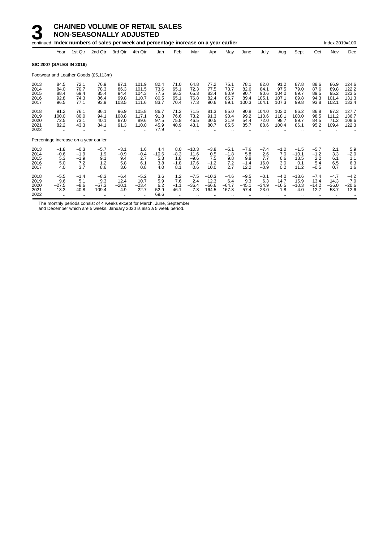|                                                                              | continued Index numbers of sales per week and percentage increase on a year earlier<br>Index 2019=100<br>1st Qtr<br>2nd Qtr<br>3rd Qtr<br>Sept<br>4th Qtr<br>Feb<br>Mar<br>July<br>Oct<br>Dec<br>Year<br>Jan<br>Apr<br>May<br>Aug<br>Nov<br>June<br><b>SIC 2007 (SALES IN 2019)</b><br>Footwear and Leather Goods (£5,113m)<br>84.5<br>87.1<br>101.9<br>77.2<br>87.8<br>86.9<br>72.1<br>76.9<br>82.4<br>71.0<br>64.8<br>75.1<br>78.1<br>82.0<br>91.2<br>88.6<br>124.6<br>72.3<br>97.5<br>70.7<br>78.3<br>86.3<br>73.6<br>77.5<br>73.7<br>82.6<br>84.1<br>79.0<br>87.6<br>89.8<br>122.2<br>84.0<br>101.5<br>65.1<br>66.3<br>65.3<br>69.4<br>85.4<br>104.3<br>77.5<br>83.4<br>80.9<br>90.7<br>90.6<br>89.5<br>95.2<br>123.5<br>88.4<br>94.4<br>104.0<br>89.7<br>74.3<br>86.4<br>99.8<br>110.7<br>80.5<br>65.1<br>76.8<br>82.4<br>86.7<br>89.4<br>105.1<br>107.1<br>89.8<br>94.3<br>101.4<br>131.3<br>92.8<br>96.5<br>93.9<br>103.5<br>111.6<br>83.7<br>70.4<br>77.3<br>90.6<br>89.1<br>100.3<br>104.1<br>107.3<br>99.8<br>93.8<br>102.1<br>133.4<br>77.1<br>71.5<br>127.7<br>91.2<br>76.1<br>86.1<br>96.9<br>105.8<br>86.7<br>71.2<br>81.3<br>85.0<br>103.0<br>86.2<br>86.8<br>97.3<br>90.8<br>104.0<br>76.6<br>73.2<br>98.5<br>117.1<br>91.8<br>91.3<br>90.4<br>99.2<br>110.6<br>118.1<br>111.2<br>136.7<br>100.0<br>80.0<br>94.1<br>108.8<br>100.0<br>40.1<br>87.0<br>89.6<br>97.5<br>46.5<br>30.5<br>31.9<br>54.4<br>72.0<br>98.7<br>89.7<br>84.5<br>71.2<br>108.6<br>72.5<br>73.1<br>75.8<br>95.2<br>82.2<br>43.3<br>84.1<br>91.3<br>110.0<br>45.9<br>80.7<br>85.5<br>85.7<br>88.6<br>100.4<br>86.1<br>109.4<br>122.3<br>40.9<br>43.1<br>77.9<br>Percentage increase on a year earlier<br>$-0.3$<br>1.6<br>$-10.3$<br>$-3.8$<br>$-7.6$<br>$-1.5$<br>5.9<br>$-1.8$<br>$-5.7$<br>$-3.1$<br>4.4<br>8.0<br>$-5.1$<br>$-7.4$<br>$-1.0$<br>$-5.7$<br>2.1<br>$-10.6$<br>$-8.3$<br>11.6<br>5.8<br>2.6<br>7.0<br>3.3<br>$-0.6$<br>$-1.9$<br>1.9<br>$-0.9$<br>$-0.4$<br>0.5<br>$-1.8$<br>$-10.1$<br>$-1.2$<br>$-2.0$<br>5.3<br>5.3<br>7.5<br>9.8<br>7.7<br>13.5<br>2.2<br>$-1.9$<br>9.4<br>2.7<br>1.8<br>$-9.6$<br>9.8<br>6.6<br>6.1<br>1.1<br>9.1 |                                                            |                                       |                                               |                                       |                                      |                                 |                                    |                                     |                                   |                                  |                                  |                                  |                                      |                                   |                                   |                                  |
|------------------------------------------------------------------------------|--------------------------------------------------------------------------------------------------------------------------------------------------------------------------------------------------------------------------------------------------------------------------------------------------------------------------------------------------------------------------------------------------------------------------------------------------------------------------------------------------------------------------------------------------------------------------------------------------------------------------------------------------------------------------------------------------------------------------------------------------------------------------------------------------------------------------------------------------------------------------------------------------------------------------------------------------------------------------------------------------------------------------------------------------------------------------------------------------------------------------------------------------------------------------------------------------------------------------------------------------------------------------------------------------------------------------------------------------------------------------------------------------------------------------------------------------------------------------------------------------------------------------------------------------------------------------------------------------------------------------------------------------------------------------------------------------------------------------------------------------------------------------------------------------------------------------------------------------------------------------------------------------------------------------------------------------------------------------------------------------------------------------------------------------------------------------------------------------------------------------------------------|------------------------------------------------------------|---------------------------------------|-----------------------------------------------|---------------------------------------|--------------------------------------|---------------------------------|------------------------------------|-------------------------------------|-----------------------------------|----------------------------------|----------------------------------|----------------------------------|--------------------------------------|-----------------------------------|-----------------------------------|----------------------------------|
|                                                                              |                                                                                                                                                                                                                                                                                                                                                                                                                                                                                                                                                                                                                                                                                                                                                                                                                                                                                                                                                                                                                                                                                                                                                                                                                                                                                                                                                                                                                                                                                                                                                                                                                                                                                                                                                                                                                                                                                                                                                                                                                                                                                                                                            |                                                            |                                       |                                               |                                       |                                      |                                 |                                    |                                     |                                   |                                  |                                  |                                  |                                      |                                   |                                   |                                  |
|                                                                              |                                                                                                                                                                                                                                                                                                                                                                                                                                                                                                                                                                                                                                                                                                                                                                                                                                                                                                                                                                                                                                                                                                                                                                                                                                                                                                                                                                                                                                                                                                                                                                                                                                                                                                                                                                                                                                                                                                                                                                                                                                                                                                                                            |                                                            |                                       |                                               |                                       |                                      |                                 |                                    |                                     |                                   |                                  |                                  |                                  |                                      |                                   |                                   |                                  |
|                                                                              |                                                                                                                                                                                                                                                                                                                                                                                                                                                                                                                                                                                                                                                                                                                                                                                                                                                                                                                                                                                                                                                                                                                                                                                                                                                                                                                                                                                                                                                                                                                                                                                                                                                                                                                                                                                                                                                                                                                                                                                                                                                                                                                                            |                                                            |                                       |                                               |                                       |                                      |                                 |                                    |                                     |                                   |                                  |                                  |                                  |                                      |                                   |                                   |                                  |
| 2013<br>2014<br>2015<br>2016<br>2017<br>2018<br>2019<br>2020<br>2021<br>2022 |                                                                                                                                                                                                                                                                                                                                                                                                                                                                                                                                                                                                                                                                                                                                                                                                                                                                                                                                                                                                                                                                                                                                                                                                                                                                                                                                                                                                                                                                                                                                                                                                                                                                                                                                                                                                                                                                                                                                                                                                                                                                                                                                            |                                                            |                                       |                                               |                                       |                                      |                                 |                                    |                                     |                                   |                                  |                                  |                                  |                                      |                                   |                                   |                                  |
|                                                                              |                                                                                                                                                                                                                                                                                                                                                                                                                                                                                                                                                                                                                                                                                                                                                                                                                                                                                                                                                                                                                                                                                                                                                                                                                                                                                                                                                                                                                                                                                                                                                                                                                                                                                                                                                                                                                                                                                                                                                                                                                                                                                                                                            |                                                            |                                       |                                               |                                       |                                      |                                 |                                    |                                     |                                   |                                  |                                  |                                  |                                      |                                   |                                   |                                  |
| 2013<br>2014<br>2015<br>2016<br>2017                                         | 5.0<br>4.0                                                                                                                                                                                                                                                                                                                                                                                                                                                                                                                                                                                                                                                                                                                                                                                                                                                                                                                                                                                                                                                                                                                                                                                                                                                                                                                                                                                                                                                                                                                                                                                                                                                                                                                                                                                                                                                                                                                                                                                                                                                                                                                                 | 7.2<br>3.7                                                 | 1.2<br>8.6                            | 5.8<br>3.6                                    | 6.1<br>0.8                            | 3.8<br>4.0                           | $-1.8$<br>8.1                   | 17.6<br>0.6                        | $-1.2$<br>10.0                      | 7.2<br>2.7                        | $-1.4$<br>12.2                   | 16.0<br>$-0.9$                   | 3.0<br>0.2                       | 0.1<br>11.2                          | 5.4<br>$-0.5$                     | 6.5<br>0.7                        | 6.3<br>1.6                       |
| 2018<br>2019<br>2020<br>2021<br>2022                                         | $-5.5$<br>9.6<br>$-27.5$<br>13.3<br>$\ddotsc$                                                                                                                                                                                                                                                                                                                                                                                                                                                                                                                                                                                                                                                                                                                                                                                                                                                                                                                                                                                                                                                                                                                                                                                                                                                                                                                                                                                                                                                                                                                                                                                                                                                                                                                                                                                                                                                                                                                                                                                                                                                                                              | $-1.4$<br>5.1<br>$-8.6$<br>$-40.8$<br>$\ddot{\phantom{0}}$ | $-8.3$<br>9.3<br>$-57.3$<br>109.4<br> | $-6.4$<br>12.4<br>$-20.1$<br>4.9<br>$\ddotsc$ | $-5.2$<br>10.7<br>$-23.4$<br>22.7<br> | 3.6<br>5.9<br>6.2<br>$-52.9$<br>69.6 | 1.2<br>7.6<br>$-1.1$<br>$-46.1$ | $-7.5$<br>2.4<br>$-36.4$<br>$-7.3$ | $-10.3$<br>12.3<br>$-66.6$<br>164.5 | $-4.6$<br>6.4<br>$-64.7$<br>167.8 | $-9.5$<br>9.3<br>$-45.1$<br>57.4 | $-0.1$<br>6.3<br>$-34.9$<br>23.0 | $-4.0$<br>14.7<br>$-16.5$<br>1.8 | $-13.6$<br>15.9<br>$-10.3$<br>$-4.0$ | $-7.4$<br>13.4<br>$-14.2$<br>12.7 | $-4.7$<br>14.3<br>$-36.0$<br>53.7 | $-4.2$<br>7.0<br>$-20.6$<br>12.6 |

The monthly periods consist of 4 weeks except for March, June, September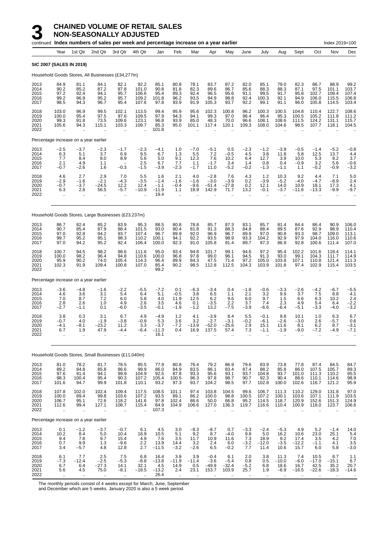|                                      |                                                          |                                                        | continued Index numbers of sales per week and percentage increase on a year earlier |                                                            |                                                                         |                                            |                                                        |                                                         |                                                              |                                                          |                                                   |                                                         |                                                          |                                        |                                                          | Index 2019=100                           |                                           |
|--------------------------------------|----------------------------------------------------------|--------------------------------------------------------|-------------------------------------------------------------------------------------|------------------------------------------------------------|-------------------------------------------------------------------------|--------------------------------------------|--------------------------------------------------------|---------------------------------------------------------|--------------------------------------------------------------|----------------------------------------------------------|---------------------------------------------------|---------------------------------------------------------|----------------------------------------------------------|----------------------------------------|----------------------------------------------------------|------------------------------------------|-------------------------------------------|
|                                      | Year                                                     | 1st Qtr                                                | 2nd Qtr                                                                             | 3rd Qtr                                                    | 4th Qtr                                                                 | Jan                                        | Feb                                                    | Mar                                                     | Apr                                                          | May                                                      | June                                              | July                                                    | Aug                                                      | Sept                                   | Oct                                                      | Nov                                      | Dec                                       |
| <b>SIC 2007 (SALES IN 2019)</b>      |                                                          |                                                        |                                                                                     |                                                            |                                                                         |                                            |                                                        |                                                         |                                                              |                                                          |                                                   |                                                         |                                                          |                                        |                                                          |                                          |                                           |
|                                      |                                                          |                                                        | Household Goods Stores, All Businesses (£34,277m)                                   |                                                            |                                                                         |                                            |                                                        |                                                         |                                                              |                                                          |                                                   |                                                         |                                                          |                                        |                                                          |                                          |                                           |
| 2013<br>2014<br>2015<br>2016<br>2017 | 84.9<br>90.2<br>97.2<br>99.2<br>98.5                     | 81.1<br>85.2<br>92.4<br>96.9<br>94.3                   | 84.1<br>87.2<br>94.1<br>95.2<br>96.7                                                | 82.1<br>87.8<br>95.7<br>95.7<br>95.4                       | $\begin{array}{c} 92.2 \\ 101.0 \end{array}$<br>106.6<br>109.2<br>107.6 | 85.1<br>90.8<br>95.4<br>101.8<br>97.8      | 80.8<br>81.8<br>89.3<br>96.2<br>93.9                   | 78.1<br>82.3<br>92.4<br>93.5<br>91.9                    | 83.7<br>89.6<br>96.5<br>94.9<br>105.3                        | 87.2<br>86.7<br>95.6<br>98.8<br>93.7                     | 82.0<br>85.6<br>91.1<br>92.4<br>92.2              | 85.1<br>88.3<br>99.5<br>100.3<br>99.1                   | 79.0<br>88.3<br>91.7<br>92.1<br>91.1                     | 82.3<br>87.1<br>95.8<br>94.9<br>96.0   | 86.7<br>97.5<br>102.7<br>106.0<br>105.8                  | 88.9<br>101.1<br>109.4<br>115.5<br>114.5 | 99.2<br>103.7<br>107.4<br>106.8<br>103.4  |
| 2018<br>2019<br>2020<br>2021<br>2022 | 103.0<br>100.0<br>99.3<br>105.6                          | 96.9<br>95.4<br>91.8<br>94.3                           | 99.5<br>97.5<br>73.5<br>115.1                                                       | 102.1<br>97.6<br>109.6<br>103.3                            | 113.5<br>109.5<br>123.1<br>109.7                                        | 99.4<br>97.9<br>96.8<br>85.3<br>101.8      | 95.9<br>94.3<br>93.9<br>95.0                           | 95.6<br>94.1<br>85.0<br>101.1                           | 102.3<br>99.3<br>48.3<br>117.4                               | 100.8<br>97.0<br>70.0<br>120.1                           | 96.2<br>96.4<br>96.6<br>109.3                     | 100.3<br>96.4<br>108.1<br>108.0                         | 100.5<br>95.3<br>108.6<br>104.6                          | 104.8<br>100.5<br>111.5<br>98.5        | 110.4<br>105.2<br>124.2<br>107.7                         | 122.7<br>111.8<br>131.1<br>118.1         | 108.6<br>111.2<br>115.7<br>104.5          |
|                                      |                                                          | Percentage increase on a year earlier                  |                                                                                     |                                                            |                                                                         |                                            |                                                        |                                                         |                                                              |                                                          |                                                   |                                                         |                                                          |                                        |                                                          |                                          |                                           |
| 2013<br>2014<br>2015<br>2016<br>2017 | $-2.5$<br>$\frac{6.3}{7.7}$<br>2.1<br>$-0.7$             | $-3.7$<br>5.1<br>8.4<br>4.9<br>$-2.6$                  | $-2.3$<br>3.7<br>8.0<br>1.1<br>1.6                                                  | $-1.7$<br>6.9<br>8.9<br>$\overline{\phantom{0}}$<br>$-0.3$ | $-2.3$<br>9.5<br>5.6<br>2.5<br>$-1.5$                                   | $-4.1$<br>6.7<br>5.0<br>6.7<br>$-3.9$      | 1.0<br>1.3<br>9.1<br>7.7<br>$-2.3$                     | $-7.0$<br>5.5<br>12.3<br>1.1<br>$-1.7$                  | $-5.1$<br>7.2<br>7.6<br>$-1.7$<br>11.0                       | 0.5<br>$-0.5$<br>10.2<br>3.4<br>$-5.2$                   | $-2.3$<br>4.5<br>6.4<br>1.4<br>$-0.2$             | $-1.2$<br>3.8<br>12.7<br>0.8<br>$-1.3$                  | $-3.9$<br>11.8<br>3.9<br>0.4<br>$-1.1$                   | $-0.5$<br>5.8<br>10.0<br>$-0.9$<br>1.1 | $-1.4$<br>12.5<br>5.3<br>3.2<br>$-0.2$                   | -5.2<br>13.7<br>8.2<br>5.6<br>$-0.9$     | $-0.8$<br>4.4<br>3.7<br>$-0.6$<br>$-3.2$  |
| 2018<br>2019<br>2020<br>2021<br>2022 | 4.6<br>$^{-2.9}_{-0.7}$<br>6.3<br>$\ddotsc$              | 2.7<br>$-1.6$<br>$-3.7$<br>2.8<br>$\ddot{\phantom{a}}$ | 2.9<br>$-2.1$<br>$-24.5$<br>56.5<br>$\ddot{\phantom{a}}$                            | 7.0<br>$-4.3$<br>12.2<br>$-5.7$<br>ä,                      | 5.5<br>$-3.5$<br>12.4<br>$-10.9$                                        | 1.6<br>$-1.4$<br>$-1.1$<br>$-11.9$<br>19.4 | 2.1<br>$-1.6$<br>$-0.4$<br>1.1<br>$\ddot{\phantom{a}}$ | 4.0<br>$-1.6$<br>$-9.6$<br>18.9<br>$\ddot{\phantom{a}}$ | $-2.8$<br>$-3.0$<br>$-51.4$<br>142.9<br>$\ddot{\phantom{a}}$ | 7.6<br>$-3.9$<br>$-27.8$<br>71.7<br>$\ddot{\phantom{a}}$ | 4.3<br>0.2<br>0.2<br>13.2<br>$\ddot{\phantom{1}}$ | 1.2<br>$-3.9$<br>12.1<br>$-0.1$<br>$\ddot{\phantom{a}}$ | 10.3<br>$-5.2$<br>14.0<br>$-3.7$                         | 9.2<br>$-4.0$<br>10.9<br>$-11.6$       | 4.4<br>$-4.7$<br>18.1<br>$-13.3$<br>$\ddot{\phantom{a}}$ | 7.1<br>$-8.9$<br>17.3<br>-9.9<br>ä,      | 5.0<br>2.4<br>4.1<br>$-9.7$               |
|                                      |                                                          |                                                        | Household Goods Stores, Large Businesses (£23,237m)                                 |                                                            |                                                                         |                                            |                                                        |                                                         |                                                              |                                                          |                                                   |                                                         |                                                          |                                        |                                                          |                                          |                                           |
| 2013<br>2014<br>2015<br>2016<br>2017 | 86.7<br>90.7<br>97.0<br>99.7<br>97.0                     | 82.4<br>85.4<br>92.8<br>95.2<br>94.2                   | 85.2<br>87.9<br>94.2<br>95.1<br>95.2                                                | 83.9<br>88.4<br>93.7<br>98.3<br>92.4                       | 95.3<br>101.5<br>107.4<br>110.2<br>106.4                                | 88.5<br>93.0<br>96.7<br>100.1<br>100.0     | 80.8<br>80.4<br>89.9<br>94.1<br>92.3                   | 78.8<br>81.8<br>92.0<br>92.2<br>91.0                    | 85.7<br>91.3<br>96.9<br>93.5<br>105.8                        | 87.3<br>88.3<br>96.7<br>98.9<br>91.4                     | 83.1<br>84.8<br>89.9<br>93.3<br>89.7              | 85.7<br>88.4<br>97.0<br>104.2<br>97.3                   | 81.4<br>89.5<br>90.8<br>92.9<br>86.9                     | 84.4<br>87.6<br>93.3<br>97.9<br>92.8   | 86.4<br>92.9<br>98.7<br>104.0<br>100.6                   | 90.9<br>98.9<br>109.0<br>116.0<br>111.4  | 106.0<br>110.4<br>113.1<br>110.6<br>107.0 |
| 2018<br>2019<br>2020<br>2021<br>2022 | 100.7<br>100.0<br>95.9<br>102.3<br>ä.                    | 94.5<br>98.2<br>90.2<br>91.9<br>$\ddot{\phantom{a}}$   | 98.2<br>96.4<br>74.0<br>109.4                                                       | 98.6<br>94.8<br>105.4<br>100.8                             | 111.6<br>110.6<br>114.3<br>107.0                                        | 95.0<br>100.0<br>96.4<br>85.4<br>99.2      | 93.4<br>96.8<br>89.9<br>90.2<br>$\ddot{\phantom{a}}$   | 94.8<br>97.8<br>84.3<br>98.5                            | 101.7<br>99.0<br>47.5<br>112.8                               | 99.1<br>96.1<br>71.4<br>112.5                            | 94.6<br>94.5<br>97.2<br>104.3                     | 97.2<br>91.3<br>105.0<br>103.9                          | 95.4<br>93.0<br>103.8<br>101.8                           | 102.2<br>99.1<br>107.1<br>97.4         | 101.6<br>104.3<br>110.8<br>102.9                         | 118.4<br>111.7<br>121.4<br>115.4         | 114.1<br>114.9<br>111.3<br>103.5          |
|                                      |                                                          | Percentage increase on a year earlier                  |                                                                                     |                                                            |                                                                         |                                            |                                                        |                                                         |                                                              |                                                          |                                                   |                                                         |                                                          |                                        |                                                          |                                          |                                           |
| 2013<br>2014<br>2015<br>2016<br>2017 | $-3.6$<br>4.6<br>7.0<br>2.8<br>$-2.7$                    | $-4.8$<br>3.6<br>8.7<br>2.6<br>$-1.1$                  | $-1.6$<br>3.1<br>7.2<br>1.0<br>0.1                                                  | $-2.2$<br>5.4<br>6.0<br>4.9<br>$-6.0$                      | $-5.5$<br>6.4<br>5.8<br>2.6<br>$-3.5$                                   | $-7.2$<br>5.1<br>4.0<br>3.5<br>$-0.1$      | 0.1<br>$-0.5$<br>11.9<br>4.6<br>$-1.9$                 | $-6.3$<br>3.8<br>12.5<br>0.1<br>$-1.2$                  | $-3.4$<br>6.5<br>6.2<br>$-3.5$<br>13.2                       | 0.4<br>1.1<br>9.6<br>2.2<br>$-7.5$                       | $-1.8$<br>2.1<br>6.0<br>3.7<br>$-3.9$             | $-0.6$<br>3.2<br>9.7<br>7.4<br>$-6.6$                   | $-3.3$<br>9.9<br>1.5<br>2.3<br>$-6.4$                    | $-2.6$<br>3.7<br>6.6<br>4.9<br>$-5.1$  | $-4.2$<br>7.5<br>6.3<br>5.4<br>$-3.3$                    | $-6.7$<br>8.8<br>10.2<br>6.4<br>$-4.0$   | $-5.5$<br>4.1<br>2.4<br>$-2.2$<br>$-3.2$  |
| 2018<br>2019<br>2020<br>2021<br>2022 | 3.8<br>$-0.7$<br>$-4.1$<br>6.7<br>$\ddot{\phantom{a}}$   | 0.3<br>4.0<br>$-8.1$<br>1.9<br>.,                      | 3.1<br>-1.9<br>$-23.2$<br>47.9                                                      | 6.7<br>$-3.8$<br>11.2<br>-4.4                              | 4.9<br>$-0.9$<br>3.3<br>-6.4                                            | $-4.9$<br>5.3<br>$-3.7$<br>$-11.3$<br>16.1 | $1.2$<br>3.6<br>$-7.2$<br>0.4                          | 4.1<br>3.2<br>$-13.9$<br>16.9                           | $-3.9$<br>$-2.7$<br>$-52.0$<br>137.5                         | 8.4<br>$-3.1$<br>$-25.6$<br>57.4                         | 5.5<br>$-0.2$<br>2.9<br>7.3                       | $-0.1$<br>$-6.1$<br>15.1<br>$-1.1$                      | 9.8<br>$-2.6$<br>11.6<br>$-1.9$                          | 10.1<br>$-3.0$<br>8.1<br>$-9.0$        | 1.0<br>2.6<br>6.2<br>-7.2                                | 6.3<br>-5.7<br>8.7<br>-4.9               | 6.7<br>0.6<br>$-3.1$<br>$-7.1$            |
|                                      |                                                          |                                                        | Household Goods Stores, Small Businesses (£11,040m)                                 |                                                            |                                                                         |                                            |                                                        |                                                         |                                                              |                                                          |                                                   |                                                         |                                                          |                                        |                                                          |                                          |                                           |
| 2013<br>2014<br>2015<br>2016<br>2017 | 81.0<br>89.2<br>97.6<br>98.3<br>101.6                    | 78.2<br>84.8<br>91.4<br>100.4<br>94.7                  | 81.7<br>85.8<br>94.1<br>95.4<br>99.9                                                | 78.5<br>86.6<br>99.9<br>90.3<br>101.8                      | 85.5<br>99.9<br>104.9<br>107.2<br>110.1                                 | 77.9<br>86.0<br>92.5<br>105.4<br>93.2      | 80.8<br>84.9<br>87.8<br>100.5<br>97.3                  | 76.4<br>83.5<br>93.3<br>96.3<br>93.7                    | 79.2<br>86.1<br>95.6<br>97.8<br>104.2                        | 86.9<br>83.4<br>93.1<br>98.7<br>98.5                     | 79.6<br>87.4<br>93.7<br>90.7<br>97.7              | 83.9<br>88.2<br>104.8<br>92.3<br>102.8                  | 73.8<br>85.8<br>93.7<br>90.4<br>100.0                    | 77.8<br>86.0<br>101.0<br>88.6<br>102.6 | 87.4<br>107.5<br>111.3<br>110.1<br>116.7                 | 84.5<br>105.7<br>110.2<br>114.6<br>121.2 | 84.7<br>89.3<br>95.5<br>98.9<br>95.9      |
| 2018<br>2019<br>2020<br>2021<br>2022 | 107.8<br>100.0<br>106.7<br>112.6<br>$\ddot{\phantom{1}}$ | 102.0<br>89.4<br>95.1<br>99.4<br>$\ddot{\phantom{a}}$  | 102.4<br>99.8<br>72.6<br>127.1                                                      | 109.4<br>103.6<br>118.2<br>108.7<br>ä,                     | 117.5<br>107.2<br>141.6<br>115.4<br>$\ddot{\phantom{a}}$                | 108.5<br>93.5<br>97.8<br>84.9<br>107.3     | 101.1<br>89.1<br>102.4<br>104.9                        | 97.4<br>86.2<br>86.6<br>106.6                           | 103.8<br>100.0<br>50.0<br>127.0<br>$\ddot{\phantom{a}}$      | 104.5<br>98.8<br>66.8<br>136.3<br>$\ddotsc$              | 99.6<br>100.5<br>95.2<br>119.7                    | 106.7<br>107.2<br>114.5<br>116.6<br>$\ddotsc$           | 111.3<br>100.1<br>118.7<br>110.4<br>$\ddot{\phantom{0}}$ | 110.2<br>103.6<br>120.9<br>100.9       | 129.0<br>107.1<br>152.6<br>118.0                         | 131.8<br>111.9<br>151.3<br>123.7         | 97.0<br>103.5<br>124.9<br>106.6           |
|                                      |                                                          | Percentage increase on a year earlier                  |                                                                                     |                                                            |                                                                         |                                            |                                                        |                                                         |                                                              |                                                          |                                                   |                                                         |                                                          |                                        |                                                          |                                          |                                           |
| 2013<br>2014<br>2015<br>2016<br>2017 | 0.1<br>10.2<br>9.4<br>0.7<br>3.4                         | $-1.2$<br>8.4<br>7.8<br>9.9<br>$-5.7$                  | -3.7<br>5.0<br>9.7<br>1.3<br>4.8                                                    | $-0.7$<br>10.4<br>15.4<br>$-9.6$<br>12.8                   | 6.1<br>16.9<br>4.9<br>2.2<br>2.7                                        | 4.5<br>10.5<br>7.6<br>13.9<br>$-11.5$      | 3.0<br>5.1<br>3.5<br>14.4<br>$-3.2$                    | $-8.3$<br>9.2<br>11.7<br>3.2<br>$-2.6$                  | $-8.7$<br>8.7<br>10.9<br>2.4<br>6.5                          | 0.7<br>$-4.0$<br>11.6<br>6.0<br>$-0.2$                   | -3.3<br>9.8<br>7.3<br>$-3.2$<br>7.7               | $-2.4$<br>5.0<br>18.9<br>$-12.0$<br>11.4                | $-5.3$<br>16.2<br>9.2<br>$-3.5$<br>10.6                  | 4.9<br>10.6<br>17.4<br>$-12.2$<br>15.7 | $5.2$<br>23.0<br>3.5<br>$-1.1$<br>6.0                    | $-1.4$<br>25.1<br>4.2<br>4.1<br>5.8      | 14.0<br>5.4<br>7.0<br>3.5<br>$-3.0$       |
| 2018<br>2019<br>2020<br>2021<br>2022 | 6.1<br>$-7.3$<br>6.7<br>5.6                              | 7.7<br>$-12.4$<br>6.4<br>4.5                           | 2.5<br>$-2.5$<br>-27.3<br>75.0                                                      | 7.5<br>$-5.3$<br>14.1<br>$-8.1$                            | 6.8<br>$-8.8$<br>32.1<br>$-18.5$                                        | 16.4<br>$-13.8$<br>4.5<br>$-13.2$<br>26.4  | 3.9<br>$-11.9$<br>14.9<br>2.4                          | 3.9<br>$-11.4$<br>0.5<br>23.1                           | $-0.4$<br>$-3.6$<br>$-49.9$<br>153.7                         | 6.1<br>$-5.4$<br>$-32.4$<br>103.9                        | 2.0<br>0.8<br>$-5.2$<br>25.7                      | 3.8<br>0.5<br>6.8<br>1.9                                | 11.3<br>$-10.0$<br>18.6<br>$-6.9$                        | 7.4<br>$-6.0$<br>16.7<br>$-16.5$       | 10.5<br>$-17.0$<br>42.5<br>$-22.6$                       | 8.7<br>$-15.1$<br>35.2<br>$-18.3$        | 1.1<br>6.7<br>20.7<br>$-14.6$             |

The monthly periods consist of 4 weeks except for March, June, September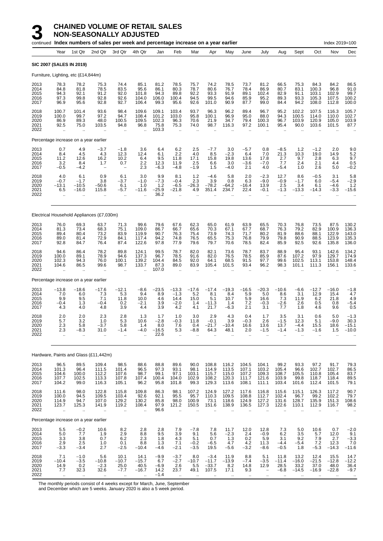|                                      |                                                         |                                                             | continued Index numbers of sales per week and percentage increase on a year earlier |                                                          |                                                         |                                           |                                                            |                                                      |                                                         |                                                          |                                                       |                                                            |                                                         |                                              |                                                         | Index 2019=100                                            |                                           |
|--------------------------------------|---------------------------------------------------------|-------------------------------------------------------------|-------------------------------------------------------------------------------------|----------------------------------------------------------|---------------------------------------------------------|-------------------------------------------|------------------------------------------------------------|------------------------------------------------------|---------------------------------------------------------|----------------------------------------------------------|-------------------------------------------------------|------------------------------------------------------------|---------------------------------------------------------|----------------------------------------------|---------------------------------------------------------|-----------------------------------------------------------|-------------------------------------------|
|                                      | Year                                                    | 1st Qtr                                                     | 2nd Qtr                                                                             | 3rd Qtr                                                  | 4th Qtr                                                 | Jan                                       | Feb                                                        | Mar                                                  | Apr                                                     | May                                                      | June                                                  | July                                                       | Aug                                                     | Sept                                         | Oct                                                     | Nov                                                       | Dec                                       |
|                                      |                                                         | SIC 2007 (SALES IN 2019)                                    |                                                                                     |                                                          |                                                         |                                           |                                                            |                                                      |                                                         |                                                          |                                                       |                                                            |                                                         |                                              |                                                         |                                                           |                                           |
|                                      |                                                         | Furniture, Lighting, etc (£14,844m)                         |                                                                                     |                                                          |                                                         |                                           |                                                            |                                                      |                                                         |                                                          |                                                       |                                                            |                                                         |                                              |                                                         |                                                           |                                           |
| 2013<br>2014<br>2015<br>2016<br>2017 | 78.3<br>84.8<br>94.3<br>97.3<br>96.9                    | 78.2<br>81.8<br>92.1<br>99.8<br>95.6                        | 75.3<br>78.5<br>91.2<br>92.8<br>92.8                                                | 74.4<br>83.5<br>92.0<br>92.6<br>92.7                     | 85.1<br>95.6<br>101.8<br>104.0<br>106.4                 | 81.2<br>86.1<br>94.3<br>106.0<br>99.3     | 78.5<br>80.3<br>89.8<br>100.4<br>95.6                      | 75.7<br>78.7<br>92.2<br>94.5<br>92.6                 | 74.2<br>80.6<br>93.3<br>99.5<br>101.0                   | 78.5<br>76.7<br>91.9<br>94.6<br>90.9                     | 73.7<br>78.4<br>89.1<br>85.9<br>87.7                  | 81.2<br>86.9<br>102.4<br>95.2<br>99.0                      | 66.5<br>80.7<br>82.9<br>89.3<br>84.4                    | 75.3<br>83.1<br>91.1<br>93.3<br>94.2         | 84.3<br>100.3<br>103.1<br>105.3<br>108.0                | 84.2<br>96.8<br>102.9<br>107.5<br>112.8                   | 86.5<br>91.0<br>99.7<br>100.2<br>100.0    |
| 2018<br>2019<br>2020<br>2021<br>2022 | 100.7<br>100.0<br>86.9<br>92.5                          | 101.4<br>99.7<br>89.3<br>75.0                               | 93.6<br>97.2<br>48.0<br>103.5                                                       | 98.4<br>94.7<br>100.5<br>94.8<br>ä,                      | 109.6<br>108.4<br>109.5<br>96.8<br>$\ddot{\phantom{a}}$ | 109.1<br>101.2<br>102.3<br>75.8<br>103.3  | 103.4<br>103.0<br>96.3<br>75.3<br>$\ddotsc$                | 93.7<br>95.8<br>70.6<br>74.0<br>$\ddot{\phantom{a}}$ | 96.3<br>100.1<br>21.9<br>98.7                           | 96.2<br>96.9<br>34.7<br>116.3                            | 89.4<br>95.0<br>79.4<br>97.2                          | 96.7<br>88.0<br>100.3<br>100.1                             | 95.2<br>94.3<br>96.7<br>95.4                            | 102.2<br>100.5<br>103.9<br>90.0              | 107.5<br>114.0<br>120.9<br>103.6                        | 116.3<br>110.0<br>105.0<br>101.5                          | 105.7<br>102.7<br>103.9<br>87.7           |
|                                      |                                                         | Percentage increase on a year earlier                       |                                                                                     |                                                          |                                                         |                                           |                                                            |                                                      |                                                         |                                                          |                                                       |                                                            |                                                         |                                              |                                                         |                                                           |                                           |
| 2013<br>2014<br>2015<br>2016<br>2017 | 0.7<br>8.4<br>11.2<br>3.2<br>$-0.5$                     | 4.9<br>4.5<br>12.6<br>8.4<br>$-4.2$                         | $-3.7$<br>4.3<br>16.2<br>1.7<br>$\overline{\phantom{m}}$                            | $-1.8$<br>12.3<br>10.2<br>0.7<br>$\qquad \qquad -$       | 3.6<br>12.4<br>6.4<br>2.2<br>2.3                        | 6.4<br>6.1<br>9.5<br>12.3<br>$-6.3$       | 6.2<br>2.2<br>11.8<br>11.9<br>$-4.8$                       | 2.5<br>4.0<br>17.1<br>2.5<br>$-1.9$                  | $-7.7$<br>8.5<br>15.8<br>6.6<br>1.5                     | 3.0<br>$-2.3$<br>19.8<br>3.0<br>$-4.0$                   | $-5.7$<br>6.4<br>13.6<br>$-3.6$<br>2.1                | 0.8<br>7.0<br>17.8<br>$-7.0$<br>4.0                        | $-8.5$<br>21.3<br>2.7<br>7.7<br>$-5.4$                  | 1.2<br>10.3<br>9.7<br>2.4<br>1.0             | $-1.2$<br>19.0<br>2.8<br>2.1<br>2.6                     | 2.0<br>14.9<br>6.3<br>4.4<br>5.0                          | 9.0<br>5.2<br>9.7<br>0.5<br>$-0.2$        |
| 2018<br>2019<br>2020<br>2021<br>2022 | 4.0<br>$-0.7$<br>$-13.1$<br>6.5<br>$\ddot{\phantom{a}}$ | 6.1<br>$-1.7$<br>$-10.5$<br>$-16.0$<br>$\ddot{\phantom{a}}$ | 0.9<br>3.8<br>$-50.6$<br>115.8                                                      | 6.1<br>$-3.7$<br>6.1<br>$-5.7$<br>$\ddot{\phantom{a}}$   | 3.0<br>$-1.0$<br>1.0<br>$-11.6$                         | 9.9<br>$-7.3$<br>1.2<br>$-25.9$<br>36.2   | 8.1<br>$-0.4$<br>$-6.5$<br>$-21.8$<br>$\ddot{\phantom{a}}$ | 1.2<br>2.3<br>$-26.3$<br>4.9<br>$\ddot{\phantom{a}}$ | $-4.6$<br>3.9<br>$-78.2$<br>351.4                       | 5.8<br>0.8<br>$-64.2$<br>234.7                           | 2.0<br>6.3<br>$-16.4$<br>22.4<br>$\ddot{\phantom{a}}$ | $-2.3$<br>$-9.0$<br>13.9<br>$-0.1$<br>$\ddot{\phantom{a}}$ | 12.7<br>$-0.9$<br>2.5<br>$-1.3$<br>$\ddot{\phantom{a}}$ | 8.6<br>$-1.7$<br>3.4<br>$-13.3$              | $-0.5$<br>6.0<br>6.1<br>$-14.3$<br>$\ddot{\phantom{a}}$ | 3.1<br>$-5.4$<br>$-4.6$<br>$-3.3$<br>$\ddot{\phantom{a}}$ | 5.8<br>$-2.9$<br>1.2<br>$-15.6$           |
|                                      |                                                         |                                                             | Electrical Household Appliances (£7,030m)                                           |                                                          |                                                         |                                           |                                                            |                                                      |                                                         |                                                          |                                                       |                                                            |                                                         |                                              |                                                         |                                                           |                                           |
| 2013<br>2014<br>2015<br>2016<br>2017 | 76.0<br>81.3<br>89.4<br>89.0<br>92.8                    | 69.3<br>73.4<br>80.4<br>81.4<br>84.7                        | 63.7<br>68.3<br>73.2<br>72.9<br>76.4                                                | 71.3<br>75.1<br>83.9<br>84.1<br>87.4                     | 99.6<br>109.0<br>119.9<br>117.4<br>122.6                | 79.6<br>86.7<br>90.7<br>94.2<br>97.8      | 67.6<br>66.7<br>76.3<br>74.8<br>77.9                       | 62.3<br>65.6<br>75.4<br>76.5<br>79.6                 | 65.0<br>70.3<br>73.9<br>65.5<br>79.7                    | 61.9<br>67.1<br>74.3<br>75.3<br>70.6                     | 63.9<br>67.7<br>71.7<br>76.8<br>78.5                  | 65.5<br>68.7<br>80.2<br>79.9<br>82.4                       | 70.3<br>76.3<br>81.9<br>79.8<br>85.9                    | 76.8<br>79.2<br>88.6<br>90.9<br>92.5         | 73.5<br>82.9<br>88.1<br>88.5<br>92.6                    | 87.5<br>100.9<br>122.9<br>123.9<br>135.8                  | 130.2<br>136.3<br>143.0<br>135.3<br>136.0 |
| 2018<br>2019<br>2020<br>2021<br>2022 | 94.6<br>100.0<br>102.3<br>104.6                         | 86.4<br>89.1<br>94.3<br>86.5                                | 78.2<br>78.9<br>76.0<br>99.6                                                        | 89.8<br>94.6<br>100.1<br>98.7                            | 124.1<br>137.3<br>139.2<br>133.7                        | 99.5<br>96.7<br>104.4<br>87.3<br>107.0    | 78.7<br>78.5<br>84.5<br>89.0                               | 82.0<br>91.6<br>92.0<br>83.9                         | 82.1<br>82.0<br>64.1<br>105.4                           | 73.6<br>76.5<br>68.5<br>101.5                            | 78.7<br>78.5<br>91.5<br>93.4                          | 83.7<br>85.9<br>97.7<br>96.2                               | 88.9<br>87.6<br>99.6<br>98.3                            | 95.4<br>107.2<br>102.5<br>101.1              | 93.1<br>97.9<br>113.1<br>111.3                          | 142.6<br>129.7<br>153.8<br>156.1                          | 134.2<br>174.9<br>148.4<br>133.6          |
|                                      |                                                         | Percentage increase on a year earlier                       |                                                                                     |                                                          |                                                         |                                           |                                                            |                                                      |                                                         |                                                          |                                                       |                                                            |                                                         |                                              |                                                         |                                                           |                                           |
| 2013<br>2014<br>2015<br>2016<br>2017 | $-13.8$<br>7.0<br>9.9<br>$-0.4$<br>4.3                  | $-18.6$<br>6.0<br>9.5<br>1.3<br>4.0                         | $-17.6$<br>7.3<br>7.1<br>$-0.4$<br>4.8                                              | $-12.1$<br>5.3<br>11.8<br>0.2<br>3.9                     | $-8.6$<br>9.4<br>10.0<br>$-2.1$<br>4.4                  | $-23.5$<br>8.9<br>4.6<br>3.9<br>3.9       | $-13.3$<br>$-1.3$<br>14.4<br>$-2.0$<br>4.2                 | $-17.6$<br>5.2<br>15.0<br>1.4<br>4.1                 | $-17.4$<br>8.1<br>5.1<br>$-11.3$<br>21.7                | $-19.3$<br>8.4<br>10.7<br>1.4<br>$-6.3$                  | $-16.5$<br>5.9<br>5.9<br>7.2<br>2.1                   | $-20.3$<br>5.0<br>16.6<br>$-0.3$<br>3.1                    | $-10.6$<br>8.6<br>7.3<br>$-2.6$<br>7.7                  | $-6.6$<br>3.1<br>11.9<br>2.6<br>1.8          | $-12.7$<br>12.9<br>6.2<br>0.5<br>4.6                    | $-16.0$<br>15.4<br>21.8<br>0.8<br>9.6                     | $-1.8$<br>4.7<br>4.9<br>-5.4<br>0.5       |
| 2018<br>2019<br>2020<br>2021<br>2022 | 2.0<br>5.7<br>2.3<br>2.3                                | 2.0<br>3.2<br>5.8<br>$-8.3$                                 | 2.3<br>1.0<br>$-3.7$<br>31.0                                                        | 2.8<br>5.3<br>5.8<br>-1.4                                | 1.3<br>10.6<br>1.4<br>-4.0                              | 1.7<br>$-2.8$<br>8.0<br>$-16.5$<br>22.6   | 1.0<br>$-0.3$<br>7.6<br>5.3                                | 3.0<br>11.8<br>0.4<br>$-8.8$                         | 2.9<br>$-0.1$<br>$-21.7$<br>64.3                        | 4.3<br>3.9<br>$-10.4$<br>48.1                            | 0.4<br>$-0.3$<br>16.6<br>2.0                          | 1.7<br>2.6<br>13.6<br>$-1.5$                               | 3.5<br>$-1.5$<br>13.7<br>-1.4                           | 3.1<br>12.3<br>$-4.4$<br>$^{-1.3}$           | 0.6<br>5.1<br>15.5<br>$-1.6$                            | 5.0<br>$-9.0$<br>18.6<br>1.5                              | $-1.3$<br>30.3<br>$-15.1$<br>$-10.0$      |
|                                      |                                                         |                                                             | Hardware, Paints and Glass (£11,442m)                                               |                                                          |                                                         |                                           |                                                            |                                                      |                                                         |                                                          |                                                       |                                                            |                                                         |                                              |                                                         |                                                           |                                           |
| 2013<br>2014<br>2015<br>2016<br>2017 | 96.5<br>101.3<br>104.6<br>107.7<br>104.2                | 89.5<br>96.4<br>100.0<br>102.5<br>99.0                      | 109.4<br>111.5<br>112.2<br>113.3<br>116.3                                           | 98.5<br>101.4<br>107.6<br>107.8<br>105.1                 | 88.6<br>96.5<br>98.7<br>107.4<br>96.2                   | 88.8<br>97.3<br>99.1<br>100.4<br>95.8     | 89.6<br>93.1<br>97.1<br>104.0<br>101.8                     | 90.0<br>98.1<br>103.1<br>102.9<br>99.3               | 108.8<br>114.9<br>115.7<br>108.2<br>129.3               | 116.2<br>113.5<br>115.0<br>120.3<br>113.6                | 104.5<br>107.1<br>107.2<br>111.7<br>108.1             | 104.1<br>103.2<br>109.3<br>121.6<br>111.1                  | 99.2<br>105.4<br>108.7<br>103.9<br>103.4                | 93.3<br>96.6<br>105.5<br>99.8<br>101.6       | 97.2<br>102.7<br>110.8<br>118.7<br>112.4                | 91.7<br>102.7<br>105.4<br>118.4<br>101.5                  | 79.3<br>86.5<br>83.7<br>89.5<br>79.1      |
| 2018<br>2019<br>2020<br>2021<br>2022 | 111.6<br>100.0<br>114.9<br>123.7<br>$\ddotsc$           | 98.0<br>94.5<br>94.7<br>125.3<br>$\ddotsc$                  | 122.8<br>109.5<br>107.0<br>141.9<br>$\ddot{\phantom{a}}$                            | 115.8<br>103.4<br>129.2<br>119.2<br>$\ddot{\phantom{a}}$ | 109.8<br>92.6<br>130.2<br>108.4<br>$\ddot{\phantom{a}}$ | 86.3<br>92.1<br>85.8<br>97.9<br>96.6      | 98.1<br>95.5<br>98.0<br>121.2<br>$\ddotsc$                 | 107.2<br>95.7<br>100.9<br>150.5<br>$\ddotsc$         | 124.9<br>110.3<br>73.1<br>151.6<br>$\ddot{\phantom{a}}$ | 127.2<br>109.5<br>118.6<br>138.9<br>$\ddot{\phantom{a}}$ | 117.6<br>108.8<br>124.9<br>136.5                      | 116.8<br>112.7<br>127.2<br>127.3                           | 115.6<br>102.4<br>131.6<br>122.6<br>$\ddotsc$           | 115.1<br>96.7<br>128.7<br>110.1<br>$\ddotsc$ | 126.3<br>99.2<br>135.9<br>112.9<br>$\ddot{\phantom{a}}$ | 117.2<br>102.2<br>151.3<br>116.7<br>$\ddotsc$             | 90.7<br>79.7<br>108.6<br>98.2             |
|                                      |                                                         | Percentage increase on a year earlier                       |                                                                                     |                                                          |                                                         |                                           |                                                            |                                                      |                                                         |                                                          |                                                       |                                                            |                                                         |                                              |                                                         |                                                           |                                           |
| 2013<br>2014<br>2015<br>2016<br>2017 | 5.5<br>$\frac{5.0}{3.3}$<br>2.9<br>$-3.3$               | $-0.2$<br>7.7<br>3.8<br>2.5<br>$-3.4$                       | 10.6<br>1.9<br>0.7<br>1.0<br>2.7                                                    | 8.2<br>$^{2.9}_{6.2}$<br>0.1<br>$-2.5$                   | 2.8<br>8.8<br>2.3<br>8.8<br>$-10.4$                     | 2.8<br>9.5<br>1.8<br>1.3<br>$-4.6$        | 7.9<br>3.9<br>4.3<br>7.1<br>$-2.1$                         | $-7.8$<br>9.1<br>5.1<br>$-0.2$<br>$-3.5$             | 7.8<br>5.6<br>0.7<br>$-6.5$<br>19.5                     | 11.7<br>$-2.3$<br>$1.\overline{3}$<br>4.7<br>$-5.6$      | 12.0<br>2.4<br>0.2<br>4.2<br>$-3.2$                   | 12.8<br>$-0.9$<br>5.9<br>11.3<br>$-8.6$                    | 7.3<br>6.2<br>3.1<br>$-4.4$<br>$-0.5$                   | 5.0<br>$\frac{3.5}{9.2}$<br>$-5.4$<br>1.8    | 10.6<br>$\frac{5.7}{7.9}$<br>7.2<br>$-5.3$              | 0.7<br>12.0<br>2.7<br>12.3<br>$-14.3$                     | $-2.0$<br>9.1<br>$-3.3$<br>7.0<br>$-11.6$ |
| 2018<br>2019<br>2020<br>2021<br>2022 | 7.1<br>$-10.4$<br>14.9<br>7.7<br>$\ddot{\phantom{a}}$   | $-1.0$<br>$-3.5$<br>0.2<br>32.3                             | 5.6<br>$-10.8$<br>$-2.3$<br>32.6                                                    | 10.1<br>$-10.7$<br>25.0<br>$-7.7$                        | 14.1<br>$-15.7$<br>40.5<br>$-16.7$                      | $-9.9$<br>6.7<br>$-6.9$<br>14.2<br>$-1.4$ | $-3.7$<br>$\frac{-2.7}{2.6}$<br>23.7                       | 8.0<br>$-10.7$<br>5.5<br>49.1                        | $-3.4$<br>$-11.7$<br>$-33.7$<br>107.5                   | 11.9<br>$-13.9$<br>8.2<br>17.1                           | 8.8<br>$-7.4$<br>14.8<br>9.3                          | 5.1<br>$-3.5$<br>12.9<br>$\qquad \qquad -$                 | 11.8<br>$-11.4$<br>28.5<br>$-6.8$                       | 13.2<br>$-16.0$<br>33.2<br>$-14.5$           | 12.4<br>$-21.5$<br>37.0<br>$-16.9$                      | 15.5<br>$-12.8$<br>48.0<br>$-22.8$                        | 14.7<br>$-12.2$<br>36.4<br>$-9.7$         |

The monthly periods consist of 4 weeks except for March, June, September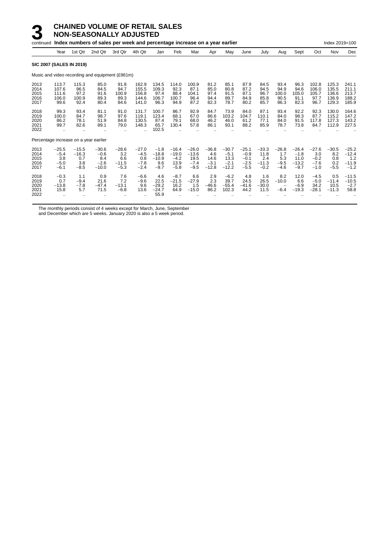|                                      |                                              |                                                      | continued Index numbers of sales per week and percentage increase on a year earlier |                                            |                                                          |                                               |                                                |                                                |                                             |                                                |                                                 |                                             |                                           |                                                |                                              | Index 2019=100                            |                                                |
|--------------------------------------|----------------------------------------------|------------------------------------------------------|-------------------------------------------------------------------------------------|--------------------------------------------|----------------------------------------------------------|-----------------------------------------------|------------------------------------------------|------------------------------------------------|---------------------------------------------|------------------------------------------------|-------------------------------------------------|---------------------------------------------|-------------------------------------------|------------------------------------------------|----------------------------------------------|-------------------------------------------|------------------------------------------------|
|                                      | Year                                         | 1st Qtr                                              | 2nd Qtr                                                                             | 3rd Qtr                                    | 4th Qtr                                                  | Jan                                           | Feb                                            | Mar                                            | Apr                                         | May                                            | June                                            | July                                        | Aug                                       | Sept                                           | Oct                                          | Nov                                       | Dec                                            |
|                                      |                                              | <b>SIC 2007 (SALES IN 2019)</b>                      |                                                                                     |                                            |                                                          |                                               |                                                |                                                |                                             |                                                |                                                 |                                             |                                           |                                                |                                              |                                           |                                                |
|                                      |                                              |                                                      | Music and video recording and equipment (£961m)                                     |                                            |                                                          |                                               |                                                |                                                |                                             |                                                |                                                 |                                             |                                           |                                                |                                              |                                           |                                                |
| 2013<br>2014<br>2015<br>2016<br>2017 | 113.7<br>107.6<br>111.6<br>106.0<br>99.6     | 115.3<br>96.5<br>97.2<br>100.9<br>92.4               | 85.0<br>84.5<br>91.6<br>89.3<br>80.4                                                | 91.8<br>94.7<br>100.9<br>89.3<br>84.6      | 162.9<br>155.5<br>156.8<br>144.6<br>141.0                | 134.5<br>109.3<br>97.4<br>106.7<br>96.3       | 114.0<br>92.3<br>88.4<br>100.7<br>94.9         | 100.9<br>87.1<br>104.1<br>96.4<br>87.2         | 81.2<br>85.0<br>97.4<br>94.4<br>82.3        | 85.1<br>80.8<br>91.5<br>89.7<br>78.7           | 87.9<br>87.2<br>87.1<br>84.9<br>80.2            | 84.5<br>94.5<br>96.7<br>85.8<br>85.7        | 93.4<br>94.9<br>100.0<br>90.5<br>86.3     | 96.3<br>94.6<br>105.0<br>91.1<br>82.3          | 102.8<br>106.0<br>105.7<br>97.7<br>96.7      | 125.3<br>135.5<br>136.6<br>136.9<br>129.3 | 241.1<br>211.1<br>213.7<br>188.2<br>185.9      |
| 2018<br>2019<br>2020<br>2021<br>2022 | 99.3<br>100.0<br>86.2<br>99.7<br>$\ddotsc$   | 93.4<br>84.7<br>78.1<br>82.6<br>$\ddot{\phantom{a}}$ | 81.1<br>98.7<br>51.9<br>89.1                                                        | 91.0<br>97.6<br>84.8<br>79.0               | 131.7<br>119.1<br>130.5<br>148.3<br>$\ddot{\phantom{a}}$ | 100.7<br>123.4<br>87.4<br>65.7<br>102.5       | 86.7<br>68.1<br>79.1<br>130.4                  | 92.9<br>67.0<br>68.0<br>57.8                   | 84.7<br>86.6<br>46.2<br>86.1                | 73.9<br>103.2<br>46.0<br>93.1                  | 84.0<br>104.7<br>61.2<br>88.2                   | 87.1<br>110.1<br>77.1<br>85.9               | 93.4<br>84.0<br>84.0<br>78.7              | 92.2<br>98.3<br>91.5<br>73.8                   | 92.3<br>87.7<br>117.8<br>84.7                | 130.0<br>115.2<br>127.3<br>112.9          | 164.6<br>147.2<br>143.2<br>227.5               |
|                                      |                                              | Percentage increase on a year earlier                |                                                                                     |                                            |                                                          |                                               |                                                |                                                |                                             |                                                |                                                 |                                             |                                           |                                                |                                              |                                           |                                                |
| 2013<br>2014<br>2015<br>2016<br>2017 | $-25.5$<br>$-5.4$<br>3.8<br>$-5.0$<br>$-6.1$ | $-15.5$<br>$-16.3$<br>0.7<br>3.8<br>$-8.5$           | $-30.6$<br>$-0.6$<br>8.4<br>$-2.6$<br>$-10.0$                                       | $-28.6$<br>3.2<br>6.6<br>$-11.5$<br>$-5.3$ | $-27.0$<br>$-4.5$<br>0.8<br>$-7.8$<br>$-2.4$             | $-1.8$<br>$-18.8$<br>$-10.9$<br>9.6<br>$-9.7$ | $-16.4$<br>$-19.0$<br>$-4.2$<br>13.9<br>$-5.8$ | $-26.0$<br>$-13.6$<br>19.5<br>$-7.4$<br>$-9.5$ | $-36.8$<br>4.6<br>14.6<br>$-3.1$<br>$-12.8$ | $-30.7$<br>$-5.1$<br>13.3<br>$-2.1$<br>$-12.2$ | $-25.1$<br>$-0.9$<br>$-0.1$<br>$-2.5$<br>$-5.5$ | $-33.3$<br>11.8<br>2.4<br>$-11.3$<br>$-0.2$ | $-26.8$<br>1.7<br>5.3<br>$-9.5$<br>$-4.6$ | $-26.4$<br>$-1.8$<br>11.0<br>$-13.2$<br>$-9.7$ | $-27.6$<br>3.0<br>$-0.2$<br>$-7.6$<br>$-1.0$ | $-30.5$<br>8.2<br>0.8<br>0.2<br>$-5.5$    | $-25.2$<br>$-12.4$<br>1.2<br>$-11.9$<br>$-1.2$ |
| 2018<br>2019<br>2020<br>2021<br>2022 | $-0.3$<br>0.7<br>$-13.8$<br>15.8             | 1.1<br>$-9.4$<br>$-7.8$<br>5.7                       | 0.9<br>21.6<br>$-47.4$<br>71.5                                                      | 7.6<br>7.2<br>$-13.1$<br>$-6.8$            | $-6.6$<br>$-9.6$<br>9.6<br>13.6                          | 4.6<br>22.5<br>$-29.2$<br>$-24.7$<br>55.9     | $-8.7$<br>$-21.5$<br>16.2<br>64.9              | 6.6<br>$-27.9$<br>1.5<br>$-15.0$               | 2.9<br>2.3<br>$-46.6$<br>86.2               | $-6.2$<br>39.7<br>$-55.4$<br>102.3             | 4.8<br>24.5<br>$-41.6$<br>44.2                  | 1.6<br>26.5<br>$-30.0$<br>11.5              | 8.2<br>$-10.0$<br>$-6.4$                  | 12.0<br>6.6<br>$-6.9$<br>$-19.3$               | $-4.5$<br>$-5.0$<br>34.2<br>$-28.1$          | 0.5<br>$-11.4$<br>10.5<br>$-11.3$         | $-11.5$<br>$-10.5$<br>$-2.7$<br>58.8           |

The monthly periods consist of 4 weeks except for March, June, September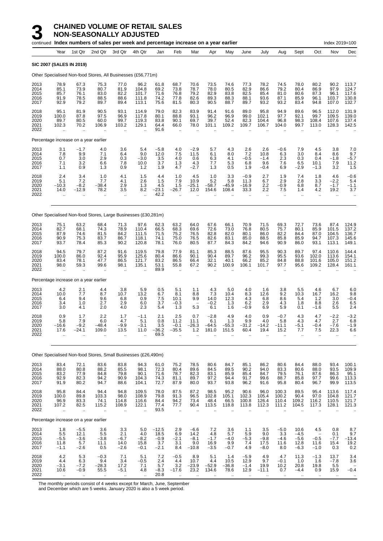# **3 CHAINED VOLUME OF RETAIL SALES**

**NON-SEASONALLY ADJUSTED** continued **Index numbers of sales per week and percentage increase on a year earlier** Index 2019=100 Index 2019=100 Year 1st Qtr 2nd Qtr 3rd Qtr 4th Qtr Jan Feb Mar Apr May June July Aug Sept Oct Nov Dec **SIC 2007 (SALES IN 2019)** Other Specialised Non-food Stores, All Businesses (£56,771m) 2013 78.9 67.3 75.3 77.0 96.2 61.8 68.7 70.6 73.5 74.6 77.3 78.2 74.5 78.0 80.2 90.2 113.7 2014 85.1 73.9 80.7 81.9 104.8 69.2 73.8 78.7 78.0 80.5 82.9 86.6 79.2 80.4 86.9 97.9 124.7 2015 85.7 76.1 83.0 82.2 101.7 71.6 76.8 79.2 82.9 83.8 82.5 85.4 81.0 80.6 87.3 96.1 117.6 2016 91.9 78.5 88.5 88.6 111.8 74.2 77.8 82.6 89.3 88.3 88.1 93.6 87.1 85.9 96.1 103.7 130.8 2017 92.9 79.2 89.7 89.4 113.1 75.6 81.5 80.3 90.5 88.7 89.7 93.2 93.2 83.4 94.8 107.0 132.7 2018 95.1 81.9 90.5 93.1 114.9 79.0 82.3 83.9 91.4 91.6 89.0 95.8 94.9 89.6 96.5 112.0 131.9 2019 100.0 87.8 97.5 96.9 117.8 80.1 88.8 93.1 96.2 96.9 99.0 102.1 97.7 92.1 99.7 109.5 139.0 2020 89.7 80.5 60.0 99.7 119.3 83.8 90.1 69.7 39.7 52.4 82.3 104.4 96.8 98.3 108.4 107.6 137.4 2021 102.3 70.2 106.9 103.2 129.1 64.4 66.0 78.0 101.1 109.2 109.7 106.7 104.0 99.7 113.0 128.3 142.5 2022 .. .. .. .. .. 91.6 .. .. .. .. .. .. .. .. .. .. .. Percentage increase on a year earlier 2013 3.1 −1.7 4.0 3.6 5.4 −5.8 4.0 −2.9 5.7 4.3 2.6 2.6 −0.6 7.9 4.5 3.8 7.0 2014 7.8 9.9 7.1 6.4 9.0 12.0 7.5 11.5 6.1 8.0 7.2 10.8 6.3 3.0 8.4 8.6 9.7 2015 0.7 3.0 2.9 0.3 −3.0 3.5 4.0 0.6 6.3 4.1 −0.5 −1.4 2.3 0.3 0.4 −1.8 −5.7 2016 7.1 3.2 6.6 7.8 10.0 3.7 1.3 4.3 7.7 5.3 6.8 9.6 7.6 6.5 10.1 7.9 11.2 2017 1.1 0.9 1.3 0.9 1.2 1.9 4.7 −2.7 1.3 0.5 1.9 −0.4 6.9 −2.9 −1.3 3.2 1.5 2018 2.4 3.4 1.0 4.1 1.5 4.4 1.0 4.5 1.0 3.3 −0.9 2.7 1.9 7.4 1.8 4.6 −0.6 2019 5.1 7.2 7.7 4.1 2.6 1.5 7.9 10.9 5.2 5.8 11.3 6.7 2.9 2.8 3.3 −2.2 5.4 2020 −10.3 −8.2 −38.4 2.9 1.3 4.5 1.5 −25.1 −58.7 −45.9 −16.9 2.2 −0.9 6.8 8.7 −1.7 −1.1 2021 14.0 −12.9 78.2 3.5 8.2 −23.1 −26.7 12.0 154.6 108.4 33.3 2.2 7.5 1.4 4.2 19.2 3.7 2022 .. .. .. .. .. 42.2 .. .. .. .. .. .. .. .. .. .. .. Other Specialised Non-food Stores, Large Businesses (£30,281m) 2013 75.1 63.2 68.4 71.3 97.6 62.3 63.2 64.0 67.6 66.1 70.9 71.5 69.3 72.7 73.6 87.4 124.9 2014 82.7 68.1 74.3 78.9 110.4 66.5 68.3 69.6 72.6 73.0 76.8 80.5 75.7 80.1 85.9 101.5 137.2 2015 87.9 74.6 81.5 84.2 111.5 71.5 75.2 76.5 82.8 82.0 80.1 86.0 82.2 84.4 87.0 104.5 136.7 2016 90.9 75.3 83.7 86.7 118.1 74.1 75.0 76.5 82.6 83.1 85.0 88.5 85.8 85.9 94.7 107.3 145.6 2017 93.7 78.4 85.3 90.2 120.8 78.1 76.0 80.5 87.7 84.3 84.2 94.6 90.9 86.0 93.1 113.1 149.1 2018 94.5 79.7 87.2 91.6 119.5 79.8 77.9 81.1 85.3 88.5 87.6 95.5 90.3 89.7 97.4 110.6 144.4 2019 100.0 86.0 92.4 95.9 125.6 80.4 86.6 90.1 90.4 89.7 96.2 99.3 95.5 93.6 102.0 113.6 154.1 2020 83.4 78.1 47.7 86.5 121.7 83.2 86.5 66.4 32.1 40.1 66.2 85.2 84.8 88.8 101.6 105.0 151.2 2021 98.0 59.3 99.6 98.1 135.1 53.1 55.8 67.2 90.2 100.9 106.1 101.7 97.7 95.6 109.2 128.4 161.1 2022 .. .. .. .. .. 89.9 .. .. .. .. .. .. .. .. .. .. .. Percentage increase on a year earlier 2013 4.2 2.1 4.4 3.8 5.9 0.5 5.1 1.1 4.3 5.0 4.0 1.6 3.8 5.5 4.6 6.7 6.0 2014 10.0 7.7 8.7 10.7 13.2 6.7 8.1 8.8 7.3 10.4 8.3 12.6 9.2 10.3 16.7 16.2 9.8 2015 6.4 9.4 9.6 6.8 0.9 7.5 10.1 9.9 14.0 12.3 4.3 6.8 8.6 5.4 1.2 3.0 −0.4 2016 3.4 1.0 2.7 2.9 6.0 3.7 −0.3 − −0.2 1.3 6.2 2.9 4.3 1.8 8.8 2.6 6.5 2017 3.0 4.1 2.0 4.0 2.3 5.4 1.3 5.3 6.1 1.6 −0.9 6.9 5.9 0.1 −1.6 5.5 2.4 2018 0.9 1.7 2.2 1.7 −1.1 2.1 2.5 0.7 −2.8 4.9 4.0 0.9 −0.7 4.3 4.7 −2.2 −3.2 2019 5.8 7.9 6.0 4.7 5.1 0.8 11.2 11.1 6.1 1.3 9.9 4.0 5.8 4.3 4.7 2.7 6.8 2020 −16.6 −9.2 −48.4 −9.9 −3.1 3.5 −0.1 −26.3 −64.5 −55.3 −31.2 −14.2 −11.1 −5.1 −0.4 −7.6 −1.9 2021 17.6 −24.1 109.0 13.5 11.0 −36.2 −35.5 1.2 181.0 151.5 60.4 19.4 15.2 7.7 7.5 22.3 6.6 2022 .. .. .. .. .. 69.5 .. .. .. .. .. .. .. .. .. .. .. Other Specialised Non-food Stores, Small Businesses (£26,490m) 2013 83.4 72.1 83.6 83.8 94.3 61.0 75.2 78.5 80.6 84.7 85.1 86.2 80.6 84.4 88.0 93.4 100.1 2014 88.0 80.8 88.2 85.5 98.1 72.3 80.4 89.6 84.5 89.5 90.2 94.0 83.3 80.6 88.0 93.5 109.9

2015 83.2 77.9 84.8 79.8 90.1 71.6 78.7 82.3 83.1 85.9 85.4 84.7 79.5 76.1 87.6 86.3 95.1 2016 92.9 82.3 94.2 90.9 104.3 74.3 81.1 89.7 97.2 94.4 91.7 99.6 88.7 85.8 97.7 99.6 113.3 2017 91.9 80.2 94.7 88.6 104.1 72.7 87.9 80.0 93.7 93.8 96.2 91.6 95.8 80.4 96.7 99.9 113.5 2018 95.8 84.4 94.4 94.8 109.5 78.0 87.5 87.2 98.5 95.2 90.6 96.0 100.3 89.5 95.4 113.6 117.4 2019 100.0 89.8 103.3 98.0 108.9 79.8 91.3 96.5 102.8 105.1 102.3 105.4 100.2 90.4 97.0 104.8 121.7 2020 96.9 83.3 74.1 114.8 116.6 84.4 94.2 73.4 48.4 66.5 100.8 126.4 110.4 109.2 116.2 110.5 121.7 2021 107.2 82.5 115.2 108.9 122.1 77.4 77.7 90.4 113.5 118.8 113.8 112.3 111.2 104.5 117.3 128.1 121.3 2022 .. .. .. .. .. 93.5 .. .. .. .. .. .. .. .. .. .. .. Percentage increase on a year earlier 2013 1.8 −5.5 3.6 3.3 5.0 −12.5 2.9 −6.6 7.2 3.6 1.1 3.5 −5.0 10.6 4.5 0.8 8.7 2014 5.5 12.1 5.5 2.1 4.0 18.5 6.9 14.2 4.8 5.7 5.9 9.0 3.3 −4.5 − 0.1 9.7 2015 −5.5 −3.6 −3.8 −6.7 −8.2 −0.9 −2.1 −8.1 −1.7 −4.0 −5.3 −9.8 −4.6 −5.6 −0.5 −7.7 −13.4 2016 11.8 5.7 11.1 14.0 15.8 3.7 3.1 9.0 16.9 9.9 7.4 17.5 11.6 12.8 11.6 15.4 19.2 2017 −1.1 −2.6 0.5 −2.6 −0.1 −2.1 8.4 −10.8 −3.5 −0.7 4.9 −8.0 8.0 −6.3 −1.0 0.3 0.2 2018 4.2 5.3 −0.3 7.1 5.1 7.2 −0.5 8.9 5.1 1.4 −5.9 4.9 4.7 11.3 −1.3 13.7 3.4 2019 4.4 6.3 9.4 3.4 −0.5 2.4 4.4 10.7 4.4 10.5 12.9 9.7 −0.1 1.0 1.6 −7.8 3.6 2020 −3.1 −7.2 −28.3 17.2 7.1 5.7 3.2 −23.9 −52.9 −36.8 −1.4 19.9 10.2 20.8 19.8 5.5 −<br>2021 10.6 −0.9 55.5 −5.1 4.8 −8.3 −17.6 23.2 134.6 78.6 12.9 −11.1 0.7 −4.4 0.9 15.9 −0.4 2022 .. .. .. .. .. 20.8 .. .. .. .. .. .. .. .. .. .. ..

The monthly periods consist of 4 weeks except for March, June, September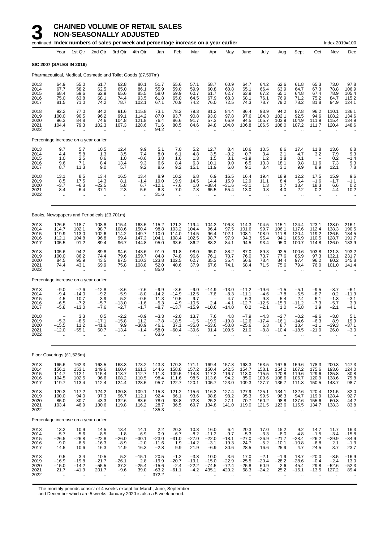### **3 CHAINED VOLUME OF RETAIL SALES**

**NON-SEASONALLY ADJUSTED** continued **Index numbers of sales per week and percentage increase on a year earlier** Index 2019=100 Index 2019=100 Year 1st Qtr 2nd Qtr 3rd Qtr 4th Qtr Jan Feb Mar Apr May June July Aug Sept Oct Nov Dec **SIC 2007 (SALES IN 2019)** Pharmaceutical, Medical, Cosmetic and Toilet Goods (£7,597m) 2013 64.9 55.0 61.7 62.8 80.1 51.7 55.6 57.1 58.7 60.9 64.7 64.2 62.6 61.8 65.3 73.0 97.8 2014 67.7 58.2 62.5 65.0 86.1 55.9 59.0 59.9 60.8 60.8 65.1 66.4 63.9 64.7 67.3 78.8 106.9 2015 68.4 59.6 62.9 65.6 85.5 58.0 59.9 60.7 61.7 62.7 63.9 67.2 65.1 64.8 67.4 78.9 105.4 2016 75.0 63.8 68.1 74.4 93.5 61.8 65.0 64.5 67.9 68.3 68.1 76.1 76.9 71.2 75.2 84.7 115.2 2017 81.5 71.0 74.2 78.7 102.1 67.1 70.9 74.2 76.0 72.5 74.3 78.7 79.2 78.2 81.8 94.9 124.1 2018 92.2 77.0 84.2 91.6 115.8 73.1 78.2 79.3 81.2 84.4 86.4 93.9 94.2 87.8 96.2 110.1 136.1 2019 100.0 90.5 96.2 99.1 114.2 87.0 93.7 90.8 93.0 97.8 97.6 104.3 102.1 92.5 94.6 108.2 134.6 2020 96.3 84.8 74.6 104.8 121.8 76.4 86.6 91.7 57.3 66.9 94.5 105.7 103.9 104.9 111.9 115.4 134.9 2021 104.4 79.3 102.3 107.3 128.6 71.6 80.5 84.6 94.8 104.0 106.8 106.5 108.0 107.2 111.7 120.4 148.6 2022 .. .. .. .. .. 94.2 .. .. .. .. .. .. .. .. .. .. .. Percentage increase on a year earlier 2013 9.7 5.7 10.5 12.4 9.9 5.1 7.0 5.2 12.7 8.4 10.6 10.5 8.6 17.4 11.8 13.6 6.8 2014 4.4 5.8 1.3 3.5 7.4 8.0 6.1 4.8 3.5 −0.2 0.7 3.4 2.1 4.7 3.2 7.9 9.3 2015 1.0 2.5 0.6 1.0 −0.6 3.8 1.6 1.3 1.5 3.1 −1.9 1.2 1.8 0.1 − 0.2 −1.4 2016 9.6 7.1 8.4 13.4 9.3 6.6 8.4 6.3 10.1 9.0 6.5 13.3 18.1 9.8 11.6 7.3 9.3 2017 8.7 11.3 9.0 5.7 9.2 8.6 9.2 15.1 11.9 6.0 9.1 3.4 3.1 9.9 8.9 12.1 7.8 2018 13.1 8.5 13.4 16.5 13.4 8.9 10.2 6.8 6.9 16.5 16.4 19.4 18.9 12.2 17.5 15.9 9.6 2019 8.5 17.5 14.3 8.1 −1.4 19.0 19.9 14.5 14.4 15.9 12.9 11.1 8.4 5.4 −1.6 −1.7 −1.1 2020 −3.7 −6.3 −22.5 5.8 6.7 −12.1 −7.6 1.0 −38.4 −31.6 −3.1 1.3 1.7 13.4 18.3 6.6 0.2 2021 8.4 −6.4 37.1 2.3 5.6 −6.3 −7.0 −7.8 65.5 55.4 13.0 0.8 4.0 2.2 −0.2 4.4 10.2 2022 .. .. .. .. .. 31.6 .. .. .. .. .. .. .. .. .. .. .. Books, Newspapers and Periodicals (£3,701m) 2013 126.6 118.7 108.8 115.4 163.5 115.2 121.2 119.4 104.3 106.3 114.3 104.5 115.1 124.4 123.1 138.0 216.1 2014 114.7 102.1 98.7 108.6 150.4 98.8 103.2 104.4 96.4 97.5 101.6 99.7 106.1 117.6 112.4 138.3 190.5 2015 119.9 113.0 102.6 114.2 149.7 110.0 114.0 114.5 96.4 102.1 108.1 108.9 111.8 120.4 119.2 136.5 184.5 2016 112.1 104.8 96.8 99.4 147.3 104.1 108.4 102.5 98.7 97.9 94.3 95.4 94.1 106.9 110.5 128.7 191.7 2017 105.5 91.2 89.4 96.7 144.8 95.0 93.6 86.2 88.2 84.1 94.5 93.4 95.0 100.7 114.8 126.0 183.9 2018 105.6 94.2 89.8 94.6 143.6 91.9 91.8 98.0 95.0 88.2 87.0 89.3 92.5 100.6 103.8 121.3 193.2 2019 100.0 86.2 74.4 79.6 159.7 84.8 74.8 96.6 76.1 70.7 76.0 73.7 77.6 85.9 97.3 132.1 231.7 2020 84.5 95.9 43.5 87.5 110.3 123.8 102.5 62.7 35.3 35.4 56.6 78.4 84.4 97.4 96.2 80.2 145.8 2021 74.4 43.1 69.9 75.8 108.8 52.0 40.6 37.9 67.6 74.1 68.4 71.5 75.6 79.4 76.0 101.0 141.4 2022 .. .. .. .. .. 85.0 .. .. .. .. .. .. .. .. .. .. .. Percentage increase on a year earlier 2013 −9.0 −7.6 −12.8 −8.6 −7.6 −9.9 −3.6 −9.0 −14.9 −13.0 −11.2 −19.6 −1.5 −5.1 −9.5 −8.7 −6.1 2014 −9.4 −14.0 −9.2 −5.9 −8.0 −14.2 −14.9 −12.5 −7.6 −8.3 −11.1 −4.6 −7.8 −5.5 −8.7 0.2 −11.9 2015 4.5 10.7 3.9 5.2 −0.5 11.3 10.5 9.7 − 4.7 6.3 9.3 5.4 2.4 6.1 −1.3 −3.1 2016 −6.5 −7.2 −5.7 −13.0 −1.6 −5.3 −4.9 −10.5 2.4 −4.1 −12.7 −12.5 −15.9 −11.2 −7.3 −5.7 3.9 2017 −5.8 −13.0 −7.6 −2.7 −1.7 −8.7 −13.7 −15.9 −10.6 −14.0 0.2 −2.1 1.0 −5.8 3.9 −2.1 −4.1 2018 − 3.3 0.5 −2.2 −0.9 −3.3 −2.0 13.7 7.6 4.8 −7.9 −4.3 −2.7 −0.2 −9.6 −3.8 5.1 2019 −5.3 −8.5 −17.1 −15.8 11.2 −7.8 −18.5 −1.5 −19.9 −19.8 −12.6 −17.4 −16.1 −14.6 −6.3 8.9 19.9 2020 −15.5 11.2 −41.6 9.9 −30.9 46.1 37.1 −35.0 −53.6 −50.0 −25.6 6.3 8.7 13.4 −1.1 −39.3 −37.1 2021 −12.0 −55.1 60.7 −13.4 −1.4 −58.0 −60.4 −39.6 91.4 109.5 21.0 −8.8 −10.4 −18.5 −21.0 26.0 −3.0 2022 .. .. .. .. .. 63.6 .. .. .. .. .. .. .. .. .. .. .. Floor Coverings (£1,526m) 2013 165.6 162.3 163.5 163.3 173.2 143.3 170.3 171.1 169.4 157.8 163.3 163.5 167.6 159.6 178.3 200.3 147.3 2014 156.1 153.1 149.6 160.4 161.3 144.6 158.8 157.2 150.4 142.5 154.7 158.1 154.2 167.2 175.6 193.6 124.0 2015 114.7 112.1 115.4 118.7 112.7 111.3 109.5 114.8 117.3 116.7 113.0 115.5 120.8 119.6 129.6 135.8 80.8 2016 104.5 102.5 96.6 108.2 110.5 98.4 111.6 98.5 113.6 94.2 85.0 109.6 108.6 106.7 120.9 138.6 79.8 2017 119.7 113.4 112.4 124.4 128.5 95.7 122.7 120.1 105.7 123.0 109.3 127.7 136.7 111.8 150.5 143.7 98.7 2018 120.3 117.2 124.2 130.8 109.1 115.3 121.2 115.6 116.3 127.4 127.9 125.1 134.1 132.6 120.4 131.5 82.0 2019 100.0 94.0 97.3 96.7 112.1 92.4 96.1 93.6 98.8 98.2 95.3 99.5 96.3 94.7 119.9 128.4 92.7 2020 85.0 80.7 43.3 132.6 83.6 78.0 93.8 72.8 25.2 27.1 70.7 160.2 98.8 137.6 155.6 60.8 44.2 2021 103.4 46.9 130.6 119.8 116.2 28.7 36.5 69.7 134.8 141.0 119.0 121.5 123.6 115.5 134.7 138.3 83.8 2022 .. .. .. .. .. 135.3 .. .. .. .. .. .. .. .. .. .. ..

Percentage increase on a year earlier 2013 13.2 10.9 14.5 13.4 14.1 2.2 20.3 10.3 16.0 6.4 20.3 17.0 15.2 9.2 14.7 11.7 16.3 2014 −5.7 −5.6 −8.5 −1.8 −6.9 0.9 −6.7 −8.2 −11.2 −9.7 −5.3 −3.3 −8.0 4.8 −1.5 −3.4 −15.8 2015 −26.5 −26.8 −22.8 −26.0 −30.1 −23.0 −31.0 −27.0 −22.0 −18.1 −27.0 −26.9 −21.7 −28.4 −26.2 −29.9 −34.9 2016 −9.0 −8.5 −16.3 −8.9 −2.0 −11.6 1.9 −14.2 −3.1 −19.3 −24.7 −5.2 −10.1 −10.8 −6.8 2.1 −1.3 2017 14.5 10.6 16.3 14.9 16.3 −2.8 9.9 21.9 −6.9 30.6 28.5 16.6 25.9 4.7 24.5 3.7 23.7 2018 0.5 3.4 10.5 5.2 −15.1 20.5 −1.2 −3.8 10.0 3.6 17.0 −2.1 −1.9 18.7 −20.0 −8.5 −16.9 2019 −16.9 −19.8 −21.7 −26.1 2.8 −19.9 −20.7 −19.1 −15.0 −22.9 −25.5 −20.4 −28.2 −28.6 −0.4 −2.4 13.0 2020 −15.0 −14.2 −55.5 37.2 −25.4 −15.6 −2.4 −22.2 −74.5 −72.4 −25.8 60.9 2.6 45.4 29.8 −52.6 −52.3 2021 21.7 −41.9 201.7 −9.6 39.0 −63.2 −61.1 −4.2 435.1 420.2 68.3 −24.2 25.2 −16.1 −13.5 127.2 89.4 2022 .. .. .. .. .. 372.2 .. .. .. .. .. .. .. .. .. .. ..

The monthly periods consist of 4 weeks except for March, June, September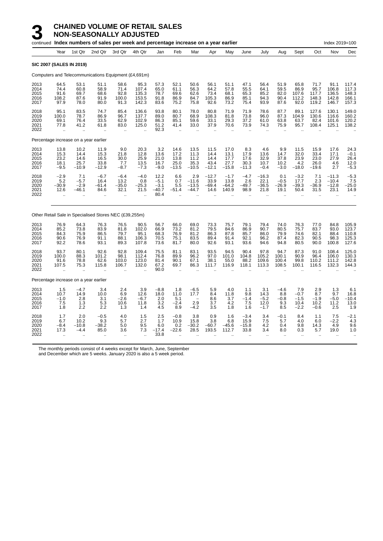|                                      |                                        |                                         | continued Index numbers of sales per week and percentage increase on a year earlier |                                                      |                                          |                                             |                                          |                                         |                                         |                                         |                                        |                                         |                                       |                                           |                                         | Index 2019=100                           |                                           |
|--------------------------------------|----------------------------------------|-----------------------------------------|-------------------------------------------------------------------------------------|------------------------------------------------------|------------------------------------------|---------------------------------------------|------------------------------------------|-----------------------------------------|-----------------------------------------|-----------------------------------------|----------------------------------------|-----------------------------------------|---------------------------------------|-------------------------------------------|-----------------------------------------|------------------------------------------|-------------------------------------------|
|                                      | Year                                   | 1st Qtr                                 | 2nd Qtr                                                                             | 3rd Qtr                                              | 4th Qtr                                  | Jan                                         | Feb                                      | Mar                                     | Apr                                     | May                                     | June                                   | July                                    | Aug                                   | Sept                                      | Oct                                     | Nov                                      | Dec                                       |
|                                      |                                        | <b>SIC 2007 (SALES IN 2019)</b>         |                                                                                     |                                                      |                                          |                                             |                                          |                                         |                                         |                                         |                                        |                                         |                                       |                                           |                                         |                                          |                                           |
|                                      |                                        |                                         | Computers and Telecommunications Equipment (£4,691m)                                |                                                      |                                          |                                             |                                          |                                         |                                         |                                         |                                        |                                         |                                       |                                           |                                         |                                          |                                           |
| 2013<br>2014<br>2015<br>2016<br>2017 | 64.5<br>74.4<br>91.6<br>108.2<br>97.9  | 53.1<br>60.8<br>69.7<br>87.6<br>78.0    | 51.1<br>58.9<br>68.6<br>91.9<br>80.0                                                | 58.6<br>71.4<br>92.8<br>100.0<br>91.3                | 95.3<br>107.4<br>135.3<br>153.5<br>142.3 | 57.3<br>65.0<br>78.7<br>91.8<br>83.6        | $52.1$<br>$61.1$<br>69.6<br>86.9<br>75.2 | 50.6<br>56.3<br>62.6<br>84.7<br>75.8    | 56.1<br>64.2<br>73.4<br>105.3<br>92.6   | 51.1<br>57.8<br>68.1<br>86.9<br>73.2    | 47.1<br>55.5<br>65.3<br>85.1<br>75.4   | 56.4<br>64.1<br>85.2<br>94.3<br>93.9    | 51.9<br>59.5<br>82.0<br>90.4<br>87.6  | 65.8<br>86.9<br>107.6<br>112.2<br>92.0    | 71.7<br>95.7<br>117.7<br>148.3<br>119.2 | 91.1<br>106.8<br>136.5<br>142.8<br>146.7 | 117.4<br>117.3<br>148.3<br>166.1<br>157.3 |
| 2018<br>2019<br>2020<br>2021<br>2022 | 95.1<br>100.0<br>69.1<br>77.8          | 83.5<br>78.7<br>76.4<br>41.2<br>ä.      | 74.7<br>86.9<br>33.5<br>61.8                                                        | 85.4<br>96.7<br>62.9<br>83.0<br>$\ddot{\phantom{a}}$ | 136.6<br>137.7<br>102.9<br>125.0         | 93.8<br>89.0<br>86.3<br>51.2<br>92.3        | 80.1<br>80.7<br>85.1<br>41.4             | 78.0<br>68.9<br>59.6<br>33.0            | 80.8<br>108.3<br>33.1<br>37.9           | 71.9<br>81.8<br>29.3<br>70.6            | 71.9<br>73.8<br>37.2<br>73.9           | 78.6<br>96.0<br>61.0<br>74.3            | 87.7<br>87.3<br>63.8<br>75.9          | 89.1<br>104.9<br>63.7<br>95.7             | 127.6<br>130.6<br>82.4<br>108.4         | 130.1<br>116.6<br>101.6<br>125.1         | 149.0<br>160.2<br>120.2<br>138.2          |
|                                      |                                        | Percentage increase on a year earlier   |                                                                                     |                                                      |                                          |                                             |                                          |                                         |                                         |                                         |                                        |                                         |                                       |                                           |                                         |                                          |                                           |
| 2013<br>2014<br>2015<br>2016<br>2017 | 13.8<br>15.3<br>23.2<br>18.1<br>$-9.5$ | 10.2<br>14.4<br>14.6<br>25.7<br>$-10.9$ | 11.9<br>15.3<br>16.5<br>33.8<br>$-12.9$                                             | 9.0<br>21.8<br>30.0<br>7.7<br>$-8.7$                 | 20.3<br>12.8<br>25.9<br>13.5<br>$-7.3$   | 3.2<br>13.6<br>21.0<br>16.7<br>$-9.0$       | 14.6<br>17.2<br>13.8<br>25.0<br>$-13.5$  | 13.5<br>11.3<br>11.2<br>35.3<br>$-10.5$ | 11.5<br>14.4<br>14.4<br>43.4<br>$-12.1$ | 17.0<br>13.1<br>17.7<br>27.7<br>$-15.8$ | 8.3<br>17.9<br>17.6<br>30.3<br>$-11.3$ | 4.6<br>13.6<br>32.9<br>10.7<br>$-0.4$   | 9.9<br>14.7<br>37.8<br>10.2<br>$-3.0$ | 11.5<br>32.0<br>23.9<br>4.2<br>$-18.0$    | 15.9<br>33.4<br>23.0<br>26.0<br>$-19.6$ | 17.6<br>17.1<br>27.9<br>4.6<br>2.7       | 24.3<br>$-0.1$<br>26.4<br>12.0<br>$-5.3$  |
| 2018<br>2019<br>2020<br>2021<br>2022 | $-2.9$<br>5.2<br>-30.9<br>12.6         | 7.1<br>$-5.7$<br>$-2.9$<br>$-46.1$      | $-6.7$<br>16.4<br>$-61.4$<br>84.6                                                   | $-6.4$<br>13.2<br>$-35.0$<br>32.1                    | $-4.0$<br>0.8<br>$-25.3$<br>21.5         | 12.2<br>$-5.1$<br>$-3.1$<br>$-40.7$<br>80.4 | 6.6<br>0.7<br>5.5<br>$-51.4$             | 2.9<br>$-11.6$<br>$-13.5$<br>$-44.7$    | $-12.7$<br>33.9<br>$-69.4$<br>14.6      | $-1.7$<br>13.8<br>$-64.2$<br>140.9      | $-4.7$<br>2.6<br>$-49.7$<br>98.9       | $-16.3$<br>22.1<br>$-36.5$<br>21.8      | 0.1<br>$-0.5$<br>$-26.9$<br>19.1      | $-3.2$<br>17.7<br>$-39.3$<br>50.4         | 7.1<br>2.3<br>$-36.9$<br>31.5           | $-11.3$<br>$-10.4$<br>$-12.8$<br>23.1    | $-5.3$<br>7.5<br>$-25.0$<br>14.9          |
|                                      |                                        |                                         | Other Retail Sale in Specialised Stores NEC (£39,255m)                              |                                                      |                                          |                                             |                                          |                                         |                                         |                                         |                                        |                                         |                                       |                                           |                                         |                                          |                                           |
| 2013<br>2014<br>2015<br>2016<br>2017 | 76.9<br>85.2<br>84.3<br>90.6<br>92.2   | 64.3<br>73.8<br>75.9<br>76.9<br>78.6    | 76.3<br>83.9<br>86.5<br>91.1<br>93.1                                                | 76.5<br>81.8<br>79.7<br>88.1<br>89.3                 | 90.5<br>102.0<br>95.1<br>106.3<br>107.8  | 56.7<br>66.9<br>68.3<br>70.5<br>73.6        | 66.0<br>73.2<br>76.9<br>75.1<br>81.7     | 69.0<br>81.2<br>81.2<br>83.5<br>80.0    | 73.3<br>79.5<br>86.3<br>89.4<br>92.6    | 75.7<br>84.6<br>87.8<br>91.4<br>93.1    | 79.1<br>86.9<br>85.7<br>92.1<br>93.6   | 79.4<br>90.7<br>86.0<br>96.2<br>94.6    | 74.0<br>80.5<br>79.9<br>87.4<br>94.8  | 76.3<br>75.7<br>74.6<br>82.3<br>80.5      | 77.0<br>83.7<br>82.1<br>90.5<br>90.0    | 84.8<br>93.0<br>88.4<br>98.3<br>100.8    | 105.9<br>123.7<br>110.8<br>125.3<br>127.6 |
| 2018<br>2019<br>2020<br>2021<br>2022 | 93.7<br>100.0<br>91.6<br>107.5         | 80.1<br>88.3<br>78.8<br>75.3            | 92.6<br>101.2<br>62.6<br>115.8                                                      | 92.8<br>98.1<br>103.0<br>106.7                       | 109.4<br>112.4<br>123.0<br>132.0         | 75.5<br>76.8<br>81.4<br>67.2<br>90.0        | 81.1<br>89.9<br>90.1<br>69.7             | 83.1<br>96.2<br>67.1<br>86.3            | 93.5<br>97.0<br>38.1<br>111.7           | 94.5<br>101.0<br>55.0<br>116.9          | 90.4<br>104.8<br>88.2<br>118.1         | 97.8<br>105.2<br>109.6<br>113.3         | 94.7<br>100.1<br>100.4<br>108.5       | 87.3<br>90.9<br>99.8<br>100.1             | 91.0<br>96.4<br>110.2<br>116.5          | 108.4<br>106.0<br>111.2<br>132.3         | 125.0<br>130.3<br>142.8<br>144.3          |
|                                      |                                        | Percentage increase on a year earlier   |                                                                                     |                                                      |                                          |                                             |                                          |                                         |                                         |                                         |                                        |                                         |                                       |                                           |                                         |                                          |                                           |
| 2013<br>2014<br>2015<br>2016<br>2017 | 1.5<br>10.7<br>$-1.0$<br>7.5<br>1.8    | $-4.7$<br>14.9<br>2.8<br>1.3<br>2.2     | 3.4<br>10.0<br>3.1<br>5.3<br>2.2                                                    | 2.4<br>6.9<br>$-2.6$<br>10.6<br>1.3                  | 3.9<br>12.6<br>$-6.7$<br>11.8<br>1.4     | $-8.8$<br>18.0<br>2.0<br>3.2<br>4.5         | 1.8<br>11.0<br>5.1<br>$-2.4$<br>8.9      | $-6.5$<br>17.7<br>2.9<br>$-4.2$         | 5.9<br>8.4<br>8.6<br>3.7<br>3.5         | 4.0<br>11.8<br>3.7<br>4.2<br>1.8        | 1.1<br>9.8<br>$-1.4$<br>7.5<br>1.6     | 3.1<br>14.3<br>$-5.2$<br>12.0<br>$-1.7$ | $-4.6$<br>8.8<br>-0.8<br>9.3<br>8.5   | 7.9<br>$-0.7$<br>$-1.5$<br>10.4<br>$-2.2$ | 2.9<br>8.7<br>$-1.9$<br>10.2<br>$-0.6$  | 1.3<br>9.7<br>$-5.0$<br>11.2<br>2.5      | 6.1<br>16.8<br>$-10.4$<br>13.0<br>1.9     |
| 2018<br>2019<br>2020<br>2021<br>2022 | 1.7<br>6.7<br>$-8.4$<br>17.3           | 2.0<br>10.2<br>$-10.8$<br>$-4.4$        | $-0.5$<br>9.3<br>$-38.2$<br>85.0                                                    | 4.0<br>5.7<br>5.0<br>3.6                             | 1.5<br>2.7<br>9.5<br>7.3                 | 2.5<br>1.7<br>6.0<br>$-17.4$<br>33.8        | $-0.8$<br>10.9<br>0.2<br>$-22.6$         | 3.8<br>15.8<br>$-30.2$<br>28.5          | 0.9<br>3.8<br>$-60.7$<br>193.5          | 1.6<br>6.8<br>$-45.6$<br>112.7          | $-3.4$<br>15.9<br>$-15.8$<br>33.8      | 3.4<br>7.5<br>4.2<br>3.4                | $-0.1$<br>5.7<br>0.4<br>8.0           | 8.4<br>4.0<br>9.8<br>0.3                  | 1.1<br>6.0<br>14.3<br>5.7               | 7.5<br>$-2.2$<br>4.9<br>19.0             | $-2.1$<br>4.3<br>9.6<br>1.0               |

The monthly periods consist of 4 weeks except for March, June, September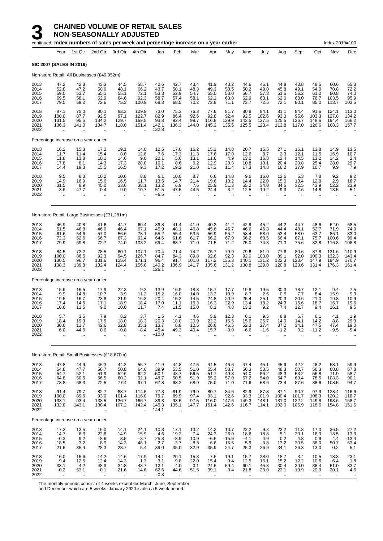#### **3** CHAINED VOLUME OF RETAIL SALES **NON-SEASONALLY ADJUSTED**

|                                      |                                                         | continued Index numbers of sales per week and percentage increase on a year earlier |                                       |                                                         |                                               |                                          |                                            |                                            |                                                     |                                             |                                                        |                                                         |                                              |                                         |                                            | Index 2019=100                          |                                                     |
|--------------------------------------|---------------------------------------------------------|-------------------------------------------------------------------------------------|---------------------------------------|---------------------------------------------------------|-----------------------------------------------|------------------------------------------|--------------------------------------------|--------------------------------------------|-----------------------------------------------------|---------------------------------------------|--------------------------------------------------------|---------------------------------------------------------|----------------------------------------------|-----------------------------------------|--------------------------------------------|-----------------------------------------|-----------------------------------------------------|
|                                      | Year                                                    | 1st Qtr                                                                             | 2nd Qtr                               | 3rd Qtr                                                 | 4th Qtr                                       | Jan                                      | Feb                                        | Mar                                        | Apr                                                 | May                                         | June                                                   | July                                                    | Aug                                          | Sept                                    | Oct                                        | Nov                                     | Dec                                                 |
|                                      |                                                         | <b>SIC 2007 (SALES IN 2019)</b>                                                     |                                       |                                                         |                                               |                                          |                                            |                                            |                                                     |                                             |                                                        |                                                         |                                              |                                         |                                            |                                         |                                                     |
|                                      |                                                         | Non-store Retail, All Businesses (£49,952m)                                         |                                       |                                                         |                                               |                                          |                                            |                                            |                                                     |                                             |                                                        |                                                         |                                              |                                         |                                            |                                         |                                                     |
| 2013<br>2014<br>2015<br>2016<br>2017 | 47.2<br>52.8<br>59.0<br>69.5<br>79.5                    | 42.3<br>47.2<br>53.7<br>58.1<br>69.2                                                | 43.3<br>50.0<br>55.1<br>62.9<br>72.6  | 44.5<br>48.1<br>55.1<br>64.6<br>75.3                    | 58.7<br>66.2<br>72.1<br>92.3<br>100.9         | 40.6<br>43.7<br>53.3<br>58.7<br>68.8     | 42.7<br>50.1<br>52.9<br>57.4<br>68.5       | 43.4<br>48.3<br>54.7<br>58.1<br>70.2       | 41.9<br>49.3<br>55.0<br>62.1<br>72.8                | 43.2<br>50.5<br>53.0<br>63.8<br>71.1        | 44.6<br>50.2<br>56.7<br>62.9<br>73.7                   | 45.1<br>49.0<br>57.3<br>63.1<br>72.5                    | 44.8<br>45.8<br>51.5<br>62.0<br>72.1         | 43.8<br>49.1<br>56.2<br>68.0<br>80.1    | 48.5<br>54.0<br>61.2<br>76.7<br>85.0       | 60.6<br>70.8<br>80.8<br>103.5<br>113.7  | 65.3<br>72.2<br>74.0<br>95.9<br>103.5               |
| 2018<br>2019<br>2020<br>2021<br>2022 | 87.1<br>100.0<br>131.5<br>136.3                         | 75.0<br>87.7<br>95.5<br>141.0<br>$\mathbf{r}$                                       | 80.1<br>92.5<br>134.2<br>134.7<br>ä.  | 83.3<br>97.1<br>129.7<br>118.0                          | 109.8<br>122.7<br>169.5<br>151.4              | 73.0<br>82.9<br>93.8<br>142.1<br>132.8   | 75.3<br>86.4<br>92.4<br>136.3              | 76.3<br>92.6<br>99.7<br>144.0              | 77.6<br>92.8<br>116.8<br>145.2                      | 81.7<br>92.4<br>139.9<br>135.5              | 80.8<br>92.5<br>143.5<br>125.5                         | 84.1<br>102.6<br>137.5<br>123.4                         | 81.1<br>93.3<br>125.5<br>113.8               | 84.4<br>95.6<br>126.7<br>117.0          | 91.6<br>103.3<br>148.6<br>126.6            | 124.1<br>127.8<br>194.4<br>168.3        | 113.0<br>134.2<br>166.2<br>157.7                    |
|                                      |                                                         | Percentage increase on a year earlier                                               |                                       |                                                         |                                               |                                          |                                            |                                            |                                                     |                                             |                                                        |                                                         |                                              |                                         |                                            |                                         |                                                     |
| 2013<br>2014<br>2015<br>2016<br>2017 | 16.2<br>11.7<br>11.8<br>17.8<br>14.4                    | 15.3<br>11.4<br>13.8<br>8.1<br>19.3                                                 | 17.2<br>15.4<br>10.1<br>14.3<br>15.5  | 19.1<br>8.0<br>14.6<br>17.3<br>16.5                     | 14.0<br>12.8<br>9.0<br>28.0<br>9.3            | 12.5<br>7.6<br>22.1<br>10.1<br>17.2      | 17.0<br>17.3<br>5.6<br>8.6<br>19.2         | 16.2<br>11.3<br>13.1<br>6.2<br>21.0        | 15.1<br>17.6<br>11.6<br>12.9<br>17.3                | 14.8<br>17.0<br>4.9<br>20.3<br>11.4         | 20.7<br>12.6<br>13.0<br>10.8<br>17.3                   | 15.5<br>8.7<br>16.8<br>10.1<br>14.8                     | 27.1<br>2.3<br>12.4<br>20.4<br>16.2          | 16.1<br>12.1<br>14.5<br>20.8<br>17.9    | 13.8<br>11.5<br>13.2<br>25.4<br>10.7       | 14.9<br>16.9<br>14.2<br>28.0<br>9.9     | 13.5<br>10.7<br>2.4<br>29.7<br>7.9                  |
| 2018<br>2019<br>2020<br>2021<br>2022 | 9.5<br>14.9<br>31.5<br>3.6<br>$\ddotsc$                 | 8.3<br>16.9<br>8.9<br>47.7                                                          | 10.2<br>15.6<br>45.0<br>0.4           | 10.6<br>16.5<br>33.6<br>$-9.0$                          | 8.8<br>11.7<br>38.1<br>$-10.7$                | 6.1<br>13.5<br>13.2<br>51.5<br>-6.5      | 10.0<br>14.7<br>6.9<br>47.5<br>ä.          | 8.7<br>21.4<br>7.6<br>44.5                 | 6.6<br>19.6<br>25.9<br>24.4<br>                     | 14.8<br>13.2<br>51.3<br>$-3.2$              | 9.6<br>14.4<br>55.2<br>$-12.5$                         | 16.0<br>22.0<br>34.0<br>$-10.2$                         | 12.6<br>15.0<br>34.5<br>$-9.3$               | 5.3<br>13.4<br>32.5<br>$-7.6$           | 7.8<br>12.8<br>43.9<br>$-14.8$             | 9.2<br>$\frac{2.9}{52.2}$<br>$-13.5$    | 9.2<br>18.7<br>23.9<br>$-5.1$                       |
|                                      |                                                         | Non-store Retail, Large Businesses (£31,281m)                                       |                                       |                                                         |                                               |                                          |                                            |                                            |                                                     |                                             |                                                        |                                                         |                                              |                                         |                                            |                                         |                                                     |
| 2013<br>2014<br>2015<br>2016<br>2017 | 46.9<br>51.5<br>61.6<br>72.3<br>79.9                    | 40.8<br>46.8<br>54.6<br>62.6<br>69.8                                                | 41.6<br>46.0<br>57.0<br>66.7<br>72.7  | 44.7<br>46.4<br>56.6<br>67.3<br>74.0                    | 60.4<br>67.1<br>78.1<br>92.4<br>103.2         | 39.8<br>45.9<br>55.2<br>64.6<br>69.4     | 41.4<br>48.1<br>55.4<br>61.6<br>68.7       | 41.0<br>46.8<br>53.5<br>61.7<br>71.0       | 40.3<br>45.6<br>56.9<br>66.2<br>71.5                | 41.2<br>45.7<br>55.2<br>67.9<br>71.2        | 42.9<br>46.6<br>58.4<br>66.2<br>75.0                   | 45.2<br>46.3<br>58.0<br>68.5<br>74.8                    | 44.2<br>44.4<br>53.4<br>66.4<br>71.3         | 44.7<br>48.1<br>58.0<br>67.1<br>75.6    | 48.6<br>52.7<br>63.7<br>75.7<br>82.8       | 62.0<br>71.9<br>86.1<br>100.6<br>116.8  | 68.5<br>74.9<br>83.0<br>99.4<br>108.8               |
| 2018<br>2019<br>2020<br>2021<br>2022 | 84.5<br>100.0<br>130.5<br>138.3<br>$\ddot{\phantom{a}}$ | 72.2<br>86.5<br>96.7<br>139.8                                                       | 78.5<br>92.3<br>131.6<br>132.4        | 80.1<br>94.5<br>125.4<br>124.4                          | 107.1<br>126.7<br>171.1<br>156.8              | 70.4<br>84.7<br>96.4<br>140.2<br>126.1   | 71.4<br>84.3<br>91.7<br>136.9              | 74.2<br>89.8<br>101.0<br>141.7             | 75.7<br>92.6<br>117.2<br>135.6                      | 79.9<br>92.3<br>135.3<br>131.2              | 79.6<br>92.0<br>140.1<br>130.8                         | 81.9<br>103.0<br>131.2<br>129.0                         | 77.6<br>89.1<br>122.3<br>120.8               | 80.6<br>92.0<br>123.4<br>123.6          | 87.8<br>100.3<br>147.9<br>131.4            | 121.6<br>132.3<br>194.9<br>176.3        | 110.9<br>143.4<br>170.7<br>161.4                    |
|                                      |                                                         | Percentage increase on a year earlier                                               |                                       |                                                         |                                               |                                          |                                            |                                            |                                                     |                                             |                                                        |                                                         |                                              |                                         |                                            |                                         |                                                     |
| 2013<br>2014<br>2015<br>2016<br>2017 | 15.6<br>9.9<br>19.5<br>17.4<br>10.6                     | 16.5<br>14.8<br>16.7<br>14.5<br>11.5                                                | 17.9<br>10.7<br>23.8<br>17.1<br>9.0   | $^{22.3}_{3.9}$<br>21.9<br>18.9<br>10.0                 | $\frac{9.2}{11.2}$<br>16.3<br>18.4<br>11.7    | 13.9<br>15.2<br>20.4<br>17.0<br>7.4      | 16.9<br>16.0<br>15.2<br>11.1<br>11.5       | 18.3<br>14.0<br>14.5<br>15.3<br>15.0       | 15.7<br>13.2<br>24.8<br>16.3<br>8.1                 | 17.7<br>10.9<br>20.9<br>22.9<br>4.8         | 19.8<br>8.7<br>25.4<br>13.4<br>13.2                    | 19.5<br>2.6<br>25.1<br>18.2<br>9.2                      | 30.3<br>0.5<br>20.3<br>24.3<br>7.4           | 18.7<br>7.7<br>20.6<br>15.6<br>12.7     | 12.1<br>8.4<br>21.0<br>18.7<br>9.4         | 9.4<br>15.9<br>19.8<br>16.7<br>16.1     | $7.5$<br>9.3<br>10.9<br>$19.6$<br>9.5               |
| 2018<br>2019<br>2020<br>2021<br>2022 | 5.7<br>18.4<br>30.6<br>6.0<br>÷.                        | 3.5<br>19.9<br>11.7<br>44.6<br>$\ddot{\phantom{a}}$                                 | 7.9<br>17.5<br>42.6<br>0.6<br>$\cdot$ | 8.2<br>18.0<br>32.8<br>$-0.8$<br>$\ddot{\phantom{a}}$   | 3.7<br>18.3<br>35.1<br>$-8.4$                 | 1.5<br>20.3<br>13.7<br>45.4<br>$-10.0$   | 4.1<br>18.0<br>8.8<br>49.3                 | 4.6<br>20.9<br>12.5<br>40.4                | 5.9<br>22.2<br>26.6<br>15.7<br>$\ddot{\phantom{a}}$ | 12.3<br>15.5<br>46.5<br>$-3.0$<br>$\ddotsc$ | 6.1<br>15.6<br>52.3<br>-6.6<br>$\ddotsc$               | 9.5<br>25.7<br>27.4<br>-1.6<br>$\ddotsc$                | 8.8<br>14.9<br>37.2<br>$-1.2$<br>$\ddotsc$   | 6.7<br>14.1<br>34.1<br>0.2<br>$\cdot$ . | 6.1<br>14.2<br>47.5<br>$-11.2$<br>$\ldots$ | 4.1<br>8.8<br>47.4<br>-9.5<br>$\ddotsc$ | 1.9<br>29.3<br>19.0<br>-5.4<br>$\ddot{\phantom{0}}$ |
|                                      |                                                         | Non-store Retail, Small Businesses (£18,670m)                                       |                                       |                                                         |                                               |                                          |                                            |                                            |                                                     |                                             |                                                        |                                                         |                                              |                                         |                                            |                                         |                                                     |
| 2013<br>2014<br>2015<br>2016<br>2017 | 47.8<br>54.8<br>54.7<br>64.8<br>78.8                    | 44.9<br>47.7<br>52.1<br>50.5<br>68.3                                                | 46.3<br>56.7<br>51.9<br>56.5<br>72.5  | 44.2<br>50.8<br>52.6<br>60.2<br>77.4                    | 55.7<br>64.6<br>62.2<br>92.1<br>97.1          | 41.9<br>39.9<br>50.1<br>48.7<br>67.8     | 44.8<br>53.5<br>48.7<br>50.5<br>68.2       | 47.5<br>51.0<br>56.5<br>51.9<br>68.9       | 44.5<br>55.4<br>51.7<br>55.2<br>75.0                | 46.6<br>58.7<br>49.3<br>57.0<br>71.0        | 47.4<br>56.3<br>54.0<br>57.2<br>71.6                   | 45.1<br>53.5<br>56.2<br>54.0<br>68.6                    | 45.9<br>48.3<br>48.3<br>54.7<br>73.4         | 42.2<br>50.7<br>53.2<br>69.4<br>87.6    | 48.2<br>56.3<br>56.8<br>78.5<br>88.6       | 58.1<br>68.8<br>71.9<br>108.3<br>108.5  | 59.9<br>67.8<br>58.7<br>90.1<br>94.7                |
| 2018<br>2019<br>2020<br>2021<br>2022 | 91.4<br>100.0<br>133.1<br>132.8<br>$\ddotsc$            | 79.7<br>89.6<br>93.4<br>143.1<br>$\ddot{\phantom{1}}$                               | 82.7<br>93.0<br>138.5<br>138.4<br>μ,  | 88.7<br>101.4<br>136.7<br>107.2<br>$\ddot{\phantom{a}}$ | 114.5<br>116.0<br>166.7<br>142.4<br>$\ddotsc$ | 77.3<br>79.7<br>89.3<br>145.3<br>144.1   | 81.9<br>89.9<br>93.5<br>135.1<br>$\ddotsc$ | 79.9<br>97.4<br>97.5<br>147.7<br>$\ddotsc$ | 80.7<br>93.1<br>116.0<br>161.4                      | 84.6<br>92.6<br>147.6<br>142.6              | 82.9<br>93.3<br>149.3<br>116.7<br>$\ddot{\phantom{a}}$ | 87.8<br>101.9<br>148.1<br>114.1<br>$\ddot{\phantom{a}}$ | 87.1<br>100.4<br>131.0<br>102.0<br>$\ddotsc$ | 90.7<br>101.7<br>132.2<br>105.9         | 97.9<br>108.3<br>149.8<br>118.6            | 128.4<br>120.2<br>193.6<br>154.8        | 116.6<br>118.7<br>158.7<br>151.5                    |
|                                      |                                                         | Percentage increase on a year earlier                                               |                                       |                                                         |                                               |                                          |                                            |                                            |                                                     |                                             |                                                        |                                                         |                                              |                                         |                                            |                                         |                                                     |
| 2013<br>2014<br>2015<br>2016<br>2017 | $17.2$<br>$14.7$<br>$-0.3$<br>18.5<br>21.6              | 13.5<br>$6.3$<br>9.2<br>$-3.2$<br>35.4                                              | 16.0<br>22.6<br>$-8.6$<br>8.9<br>28.3 | 14.1<br>14.9<br>3.5<br>14.3<br>28.7                     | 24.1<br>15.9<br>$-3.7$<br>48.1<br>5.4         | 10.3<br>$-4.6$<br>25.3<br>$-2.7$<br>39.0 | 17.1<br>19.2<br>$-8.9$<br>3.7<br>35.0      | 13.2<br>7.4<br>10.9<br>$-8.3$<br>32.9      | 14.2<br>24.3<br>$-6.6$<br>6.6<br>35.9               | 10.7<br>26.0<br>$-15.9$<br>15.5<br>24.7     | 22.2<br>18.6<br>$-4.1$<br>5.9<br>25.3                  | 9.3<br>18.8<br>4.9<br>$-3.8$<br>26.9                    | 22.2<br>5.1<br>0.2<br>13.2<br>34.1           | 11.8<br>20.1<br>4.8<br>30.5<br>26.3     | 17.0<br>16.9<br>0.9<br>38.0<br>13.0        | 26.5<br>18.5<br>4.4<br>50.7<br>0.2      | $27.2$<br>$13.3$<br>$-13.4$<br>53.4<br>5.1          |
| 2018<br>2019<br>2020<br>2021<br>2022 | 16.0<br>9.4<br>33.1<br>$-0.2$                           | 16.6<br>$^{12.5}_{4.2}$<br>53.1                                                     | 14.2<br>12.4<br>48.9<br>$-0.1$        | 14.6<br>14.3<br>34.8<br>$-21.6$                         | 17.9<br>1.3<br>43.7<br>$-14.6$                | 14.1<br>3.1<br>12.1<br>62.6<br>$-0.8$    | 20.1<br>9.8<br>4.0<br>44.6                 | 15.8<br>22.0<br>0.1<br>51.5                | 7.6<br>15.4<br>24.6<br>39.1                         | 19.1<br>9.4<br>59.4<br>$-3.4$               | 15.7<br>12.5<br>60.1<br>$-21.8$                        | 28.0<br>16.1<br>45.3<br>$-23.0$                         | 18.7<br>15.2<br>30.4<br>$-22.1$              | 3.4<br>12.2<br>30.0<br>$-19.9$          | 10.5<br>10.6<br>38.4<br>$-20.9$            | 18.3<br>$-6.4$<br>61.0<br>$-20.1$       | 23.1<br>1.8<br>33.7<br>$-4.6$                       |

The monthly periods consist of 4 weeks except for March, June, September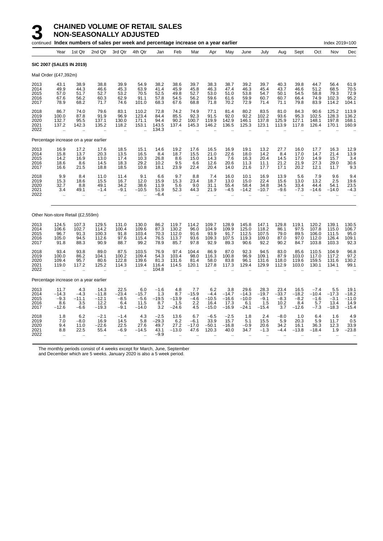|                                      |                                                         | continued Index numbers of sales per week and percentage increase on a year earlier<br>Index 2019=100<br>1st Qtr<br>2nd Qtr<br>4th Qtr<br>3rd Qtr<br>Jan<br>Feb<br>Mar<br>Apr<br>May<br>June<br>July<br>Aug<br>Sept<br>Oct<br>Nov<br>Dec<br><b>SIC 2007 (SALES IN 2019)</b> |                                               |                                                          |                                                          |                                             |                                                    |                                        |                                             |                                              |                                              |                                             |                                          |                                             |                                              |                                             |                                               |
|--------------------------------------|---------------------------------------------------------|-----------------------------------------------------------------------------------------------------------------------------------------------------------------------------------------------------------------------------------------------------------------------------|-----------------------------------------------|----------------------------------------------------------|----------------------------------------------------------|---------------------------------------------|----------------------------------------------------|----------------------------------------|---------------------------------------------|----------------------------------------------|----------------------------------------------|---------------------------------------------|------------------------------------------|---------------------------------------------|----------------------------------------------|---------------------------------------------|-----------------------------------------------|
|                                      | Year                                                    |                                                                                                                                                                                                                                                                             |                                               |                                                          |                                                          |                                             |                                                    |                                        |                                             |                                              |                                              |                                             |                                          |                                             |                                              |                                             |                                               |
|                                      |                                                         |                                                                                                                                                                                                                                                                             |                                               |                                                          |                                                          |                                             |                                                    |                                        |                                             |                                              |                                              |                                             |                                          |                                             |                                              |                                             |                                               |
|                                      | Mail Order (£47,392m)                                   |                                                                                                                                                                                                                                                                             |                                               |                                                          |                                                          |                                             |                                                    |                                        |                                             |                                              |                                              |                                             |                                          |                                             |                                              |                                             |                                               |
| 2013<br>2014<br>2015<br>2016<br>2017 | 43.1<br>49.9<br>57.0<br>67.6<br>78.9                    | 38.9<br>44.3<br>51.7<br>56.2<br>68.2                                                                                                                                                                                                                                        | 38.8<br>46.6<br>52.7<br>60.3<br>71.7          | 39.9<br>45.3<br>53.2<br>62.9<br>74.6                     | 54.9<br>63.9<br>70.5<br>91.1<br>101.0                    | 38.2<br>41.4<br>52.5<br>57.8<br>68.3        | 38.6<br>45.9<br>49.8<br>54.5<br>67.6               | 39.7<br>45.8<br>52.7<br>56.2<br>68.8   | 38.3<br>46.3<br>53.0<br>59.6<br>71.8        | 38.7<br>47.4<br>51.0<br>61.6<br>70.2         | 39.2<br>46.3<br>53.8<br>59.9<br>72.9         | 39.7<br>45.4<br>54.7<br>60.7<br>71.4        | 40.3<br>43.7<br>50.1<br>60.7<br>71.1     | 39.8<br>46.6<br>54.5<br>66.4<br>79.8        | 44.7<br>51.2<br>58.8<br>74.9<br>83.9         | 56.4<br>68.5<br>79.3<br>102.3<br>114.2      | 61.9<br>70.5<br>72.9<br>95.2<br>104.1         |
| 2018<br>2019<br>2020<br>2021<br>2022 | 86.7<br>100.0<br>132.7<br>137.2<br>ă.                   | 74.0<br>87.8<br>95.5<br>142.3<br>μ.                                                                                                                                                                                                                                         | 79.6<br>91.9<br>137.1<br>135.2<br>$\ddotsc$   | 83.1<br>96.9<br>130.0<br>118.2<br>٠.                     | 110.2<br>123.4<br>171.1<br>153.1                         | 72.8<br>84.4<br>94.4<br>143.5<br>134.3      | 74.2<br>85.5<br>90.2<br>137.4                      | 74.9<br>92.3<br>100.7<br>145.3         | 77.1<br>91.5<br>119.9<br>146.2              | 81.4<br>92.0<br>142.9<br>136.5               | 80.2<br>92.2<br>146.1<br>125.3               | 83.5<br>102.2<br>137.8<br>123.1             | 81.0<br>93.6<br>125.9<br>113.9           | 84.3<br>95.3<br>127.1<br>117.8              | 90.6<br>102.5<br>148.1<br>126.4              | 125.2<br>128.3<br>197.8<br>170.1            | 113.9<br>136.2<br>168.1<br>160.9              |
|                                      | Percentage increase on a year earlier                   |                                                                                                                                                                                                                                                                             |                                               |                                                          |                                                          |                                             |                                                    |                                        |                                             |                                              |                                              |                                             |                                          |                                             |                                              |                                             |                                               |
| 2013<br>2014<br>2015<br>2016<br>2017 | 16.9<br>15.8<br>14.2<br>18.6<br>16.6                    | 17.2<br>13.7<br>16.9<br>8.6<br>21.5                                                                                                                                                                                                                                         | 17.6<br>20.3<br>13.0<br>14.5<br>18.8          | 18.5<br>13.5<br>17.4<br>18.3<br>18.5                     | 15.1<br>16.5<br>10.3<br>29.2<br>10.8                     | 14.6<br>8.4<br>26.8<br>10.2<br>18.1         | 19.2<br>18.7<br>8.6<br>9.5<br>23.9                 | 17.6<br>15.5<br>15.0<br>6.6<br>22.4    | 16.5<br>21.0<br>14.3<br>12.6<br>20.4        | 16.9<br>22.6<br>7.6<br>20.6<br>14.0          | 19.1<br>18.0<br>16.3<br>11.3<br>21.6         | 13.2<br>14.2<br>20.4<br>11.1<br>17.7        | 27.7<br>8.4<br>14.5<br>21.2<br>17.1      | 16.0<br>17.0<br>17.0<br>21.9<br>20.2        | 17.7<br>14.7<br>14.9<br>27.3<br>12.1         | 16.3<br>21.4<br>15.7<br>29.0<br>11.7        | 12.9<br>13.9<br>3.4<br>30.6<br>9.3            |
| 2018<br>2019<br>2020<br>2021<br>2022 | 9.9<br>15.3<br>32.7<br>3.4<br>ä.                        | 8.4<br>18.6<br>8.8<br>49.1                                                                                                                                                                                                                                                  | 11.0<br>15.5<br>49.1<br>$-1.4$                | 11.4<br>16.7<br>34.2<br>$-9.1$<br>ä,                     | 9.1<br>12.0<br>38.6<br>$-10.5$                           | 6.6<br>15.9<br>11.9<br>51.9<br>$-6.4$       | 9.7<br>15.3<br>5.6<br>52.3<br>$\ddot{\phantom{a}}$ | 8.8<br>23.4<br>9.0<br>44.3             | 7.4<br>18.7<br>31.1<br>21.9                 | 16.0<br>13.0<br>55.4<br>-4.5                 | 10.1<br>15.0<br>58.4<br>$-14.2$              | 16.9<br>22.4<br>34.8<br>$-10.7$             | 13.9<br>15.6<br>34.5<br>$-9.6$           | 5.6<br>13.0<br>33.4<br>$-7.3$               | 7.9<br>13.2<br>44.4<br>$-14.6$               | 9.6<br>2.5<br>54.1<br>$-14.0$               | 9.4<br>19.6<br>23.5<br>$-4.3$                 |
|                                      | Other Non-store Retail (£2,559m)                        |                                                                                                                                                                                                                                                                             |                                               |                                                          |                                                          |                                             |                                                    |                                        |                                             |                                              |                                              |                                             |                                          |                                             |                                              |                                             |                                               |
| 2013<br>2014<br>2015<br>2016<br>2017 | 124.5<br>106.6<br>96.7<br>105.0<br>91.8                 | 107.3<br>102.7<br>91.3<br>94.5<br>88.3                                                                                                                                                                                                                                      | 129.5<br>114.2<br>100.3<br>112.6<br>90.9      | 131.0<br>100.4<br>91.8<br>97.6<br>88.7                   | 130.0<br>109.6<br>103.4<br>115.4<br>99.2                 | 86.2<br>87.3<br>70.3<br>76.5<br>78.9        | 119.7<br>130.2<br>112.0<br>113.7<br>85.7           | 114.2<br>96.0<br>91.6<br>93.6<br>97.8  | 109.7<br>104.9<br>93.9<br>109.3<br>92.9     | 128.9<br>109.9<br>91.7<br>107.5<br>89.3      | 145.8<br>125.0<br>112.5<br>119.3<br>90.6     | 147.1<br>118.2<br>107.5<br>109.0<br>92.2    | 129.8<br>86.1<br>79.0<br>87.0<br>90.2    | 119.1<br>97.5<br>89.5<br>97.0<br>84.7       | 120.2<br>107.8<br>106.0<br>112.0<br>103.8    | 139.1<br>115.0<br>111.5<br>126.4<br>103.3   | 130.5<br>106.7<br>95.0<br>109.1<br>92.3       |
| 2018<br>2019<br>2020<br>2021<br>2022 | 93.4<br>100.0<br>109.4<br>119.0<br>$\ddot{\phantom{a}}$ | 93.8<br>86.2<br>95.7<br>117.2<br>ä.                                                                                                                                                                                                                                         | 89.0<br>104.1<br>80.6<br>125.2                | 87.5<br>100.2<br>122.8<br>114.3<br>$\ddot{\phantom{a}}$  | 103.5<br>109.4<br>139.6<br>119.4<br>$\ddot{\phantom{a}}$ | 76.9<br>54.3<br>81.3<br>116.4<br>104.8      | 97.4<br>103.4<br>131.6<br>114.5                    | 104.4<br>98.0<br>81.4<br>120.1         | 86.9<br>116.3<br>58.0<br>127.8              | 87.0<br>100.8<br>83.8<br>117.3               | 92.3<br>96.9<br>96.1<br>129.4                | 94.5<br>109.1<br>131.6<br>129.9             | 83.0<br>87.9<br>118.0<br>112.9           | 85.6<br>103.0<br>119.6<br>103.0             | 110.5<br>117.0<br>159.5<br>130.1             | 104.9<br>117.2<br>131.6<br>134.1            | 96.8<br>97.2<br>130.2<br>99.1                 |
|                                      | Percentage increase on a year earlier                   |                                                                                                                                                                                                                                                                             |                                               |                                                          |                                                          |                                             |                                                    |                                        |                                             |                                              |                                              |                                             |                                          |                                             |                                              |                                             |                                               |
| 2013<br>2014<br>2015<br>2016<br>2017 | 11.7<br>$-14.3$<br>$-9.3$<br>8.6<br>$-12.6$             | 4.3<br>$-4.3$<br>$-11.1$<br>3.5<br>$-6.6$                                                                                                                                                                                                                                   | 14.3<br>$-11.8$<br>$-12.1$<br>12.2<br>$-19.3$ | 22.5<br>$-23.4$<br>$-8.5$<br>6.4<br>$-9.1$               | 6.0<br>$-15.7$<br>$-5.6$<br>11.5<br>$-14.0$              | $-1.6$<br>1.3<br>$-19.5$<br>8.7<br>3.2      | 4.8<br>8.7<br>$-13.9$<br>1.5<br>$-24.6$            | 7.7<br>$-15.9$<br>$-4.6$<br>2.2<br>4.5 | 6.2<br>$-4.4$<br>$-10.5$<br>16.4<br>$-15.0$ | 3.8<br>$-14.7$<br>$-16.6$<br>17.3<br>$-16.9$ | 29.6<br>$-14.3$<br>$-10.0$<br>6.1<br>$-24.1$ | 28.3<br>$-19.7$<br>$-9.1$<br>1.5<br>$-15.4$ | 23.4<br>$-33.7$<br>$-8.3$<br>10.2<br>3.7 | 16.5<br>$-18.2$<br>$-8.2$<br>8.4<br>$-12.6$ | $-7.4$<br>$-10.4$<br>$-1.6$<br>5.7<br>$-7.3$ | 5.5<br>$-17.3$<br>$-3.1$<br>13.4<br>$-18.3$ | 19.1<br>$-18.2$<br>$-11.0$<br>14.9<br>$-15.4$ |
| 2018<br>2019<br>2020<br>2021<br>2022 | 1.8<br>7.0<br>9.4<br>8.8<br>÷.                          | 6.2<br>$-8.0$<br>11.0<br>22.5                                                                                                                                                                                                                                               | $-2.1$<br>16.9<br>$-22.6$<br>55.4             | $-1.4$<br>14.5<br>22.5<br>$-6.9$<br>$\ddot{\phantom{a}}$ | 4.3<br>5.8<br>27.6<br>$-14.5$                            | $-2.5$<br>$-29.3$<br>49.7<br>43.1<br>$-9.9$ | 13.6<br>6.2<br>27.2<br>$-13.0$                     | 6.7<br>$-6.1$<br>$-17.0$<br>47.6       | $-6.5$<br>33.9<br>$-50.1$<br>120.3          | $-2.5$<br>15.7<br>$-16.8$<br>40.0            | 1.8<br>5.1<br>$-0.9$<br>34.7                 | 2.4<br>15.5<br>20.6<br>$-1.3$               | $-8.0$<br>5.9<br>34.2<br>$-4.4$          | 1.0<br>20.3<br>16.1<br>$-13.8$              | 6.4<br>5.9<br>36.3<br>$-18.4$                | 1.6<br>11.7<br>12.3<br>1.9                  | 4.9<br>0.5<br>33.9<br>$-23.8$                 |

The monthly periods consist of 4 weeks except for March, June, September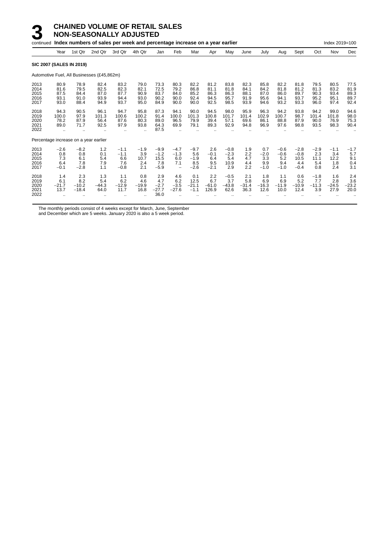|                                      |                                       |                                       | continued Index numbers of sales per week and percentage increase on a year earlier |                                                       |                                      |                                           |                                                            |                                          |                                       |                                        |                                      |                                       |                                          |                                           |                                      | Index 2019=100                       |                                      |
|--------------------------------------|---------------------------------------|---------------------------------------|-------------------------------------------------------------------------------------|-------------------------------------------------------|--------------------------------------|-------------------------------------------|------------------------------------------------------------|------------------------------------------|---------------------------------------|----------------------------------------|--------------------------------------|---------------------------------------|------------------------------------------|-------------------------------------------|--------------------------------------|--------------------------------------|--------------------------------------|
|                                      | Year                                  | 1st Qtr                               | 2nd Qtr                                                                             | 3rd Qtr                                               | 4th Qtr                              | Jan                                       | Feb                                                        | Mar                                      | Apr                                   | May                                    | June                                 | July                                  | Aug                                      | Sept                                      | Oct                                  | Nov                                  | Dec                                  |
|                                      | <b>SIC 2007 (SALES IN 2019)</b>       |                                       |                                                                                     |                                                       |                                      |                                           |                                                            |                                          |                                       |                                        |                                      |                                       |                                          |                                           |                                      |                                      |                                      |
|                                      |                                       |                                       | Automotive Fuel, All Businesses (£45,862m)                                          |                                                       |                                      |                                           |                                                            |                                          |                                       |                                        |                                      |                                       |                                          |                                           |                                      |                                      |                                      |
| 2013<br>2014<br>2015<br>2016<br>2017 | 80.9<br>81.6<br>87.5<br>93.1<br>93.0  | 78.9<br>79.5<br>84.4<br>91.0<br>88.4  | 82.4<br>82.5<br>87.0<br>93.9<br>94.9                                                | 83.2<br>82.3<br>87.7<br>94.4<br>93.7                  | 79.0<br>82.1<br>90.9<br>93.0<br>95.0 | 73.3<br>72.5<br>83.7<br>90.2<br>84.9      | 80.3<br>79.2<br>84.0<br>90.0<br>90.0                       | 82.2<br>86.8<br>85.2<br>92.4<br>90.0     | 81.2<br>81.1<br>86.3<br>94.5<br>92.5  | 83.8<br>81.8<br>86.3<br>95.7<br>98.5   | 82.3<br>84.1<br>88.1<br>91.9<br>93.9 | 85.8<br>84.2<br>87.0<br>95.6<br>94.6  | 82.2<br>81.8<br>86.0<br>94.1<br>93.2     | 81.8<br>81.2<br>89.7<br>93.7<br>93.3      | 79.5<br>81.3<br>90.3<br>95.2<br>96.0 | 80.5<br>83.2<br>93.4<br>95.1<br>97.4 | 77.5<br>81.9<br>89.3<br>89.7<br>92.4 |
| 2018<br>2019<br>2020<br>2021<br>2022 | 94.3<br>100.0<br>78.2<br>89.0         | 90.5<br>97.9<br>87.9<br>71.7          | 96.1<br>101.3<br>56.4<br>92.5                                                       | 94.7<br>100.6<br>87.6<br>97.9<br>$\ddot{\phantom{a}}$ | 95.8<br>100.2<br>80.3<br>93.8        | 87.3<br>91.4<br>89.0<br>64.3<br>87.5      | 94.1<br>100.0<br>96.5<br>69.9                              | 90.0<br>101.3<br>79.9<br>79.1            | 94.5<br>100.8<br>39.4<br>89.3         | 98.0<br>101.7<br>57.1<br>92.9          | 95.9<br>101.4<br>69.6<br>94.8        | 96.3<br>102.9<br>86.1<br>96.9         | 94.2<br>100.7<br>88.8<br>97.6            | 93.8<br>98.7<br>87.9<br>98.8              | 94.2<br>101.4<br>90.0<br>93.5        | 99.0<br>101.8<br>76.9<br>98.3        | 94.6<br>98.0<br>75.3<br>90.4         |
|                                      |                                       |                                       | Percentage increase on a year earlier                                               |                                                       |                                      |                                           |                                                            |                                          |                                       |                                        |                                      |                                       |                                          |                                           |                                      |                                      |                                      |
| 2013<br>2014<br>2015<br>2016<br>2017 | $-2.6$<br>0.8<br>7.3<br>6.4<br>$-0.1$ | $-8.2$<br>0.8<br>6.1<br>7.8<br>$-2.8$ | 1.2<br>0.1<br>5.4<br>7.9<br>1.1                                                     | $-1.1$<br>$-1.1$<br>6.6<br>7.6<br>$-0.8$              | $-1.9$<br>3.9<br>10.7<br>2.4<br>2.1  | $-9.9$<br>$-1.2$<br>15.5<br>7.8<br>$-5.9$ | $-4.7$<br>$-1.3$<br>6.0<br>7.1<br>$\overline{\phantom{0}}$ | $-9.7$<br>5.6<br>$-1.9$<br>8.5<br>$-2.6$ | 2.6<br>$-0.1$<br>6.4<br>9.5<br>$-2.1$ | $-0.8$<br>$-2.3$<br>5.4<br>10.9<br>2.9 | 1.9<br>2.2<br>4.7<br>4.4<br>2.2      | 0.7<br>$-2.0$<br>3.3<br>9.9<br>$-1.0$ | $-0.6$<br>$-0.6$<br>5.2<br>9.4<br>$-1.0$ | $-2.8$<br>$-0.8$<br>10.5<br>4.4<br>$-0.4$ | $-2.9$<br>2.3<br>11.1<br>5.4<br>0.8  | $-1.1$<br>3.4<br>12.2<br>1.8<br>2.4  | $-1.7$<br>5.7<br>9.1<br>0.4<br>3.1   |
| 2018<br>2019<br>2020<br>2021<br>2022 | 1.4<br>6.1<br>$-21.7$<br>13.7         | 2.3<br>8.2<br>$-10.2$<br>$-18.4$      | 1.3<br>5.4<br>$-44.3$<br>64.0                                                       | 1.1<br>6.2<br>$-12.9$<br>11.7                         | 0.8<br>4.6<br>$-19.9$<br>16.8        | 2.9<br>4.7<br>$-2.7$<br>$-27.7$<br>36.0   | 4.6<br>6.2<br>$-3.5$<br>$-27.6$                            | 0.1<br>12.5<br>$-21.1$<br>$-1.1$         | 2.2<br>6.7<br>$-61.0$<br>126.9        | $-0.5$<br>3.7<br>$-43.8$<br>62.6       | 2.1<br>5.8<br>$-31.4$<br>36.3        | 1.8<br>6.9<br>$-16.3$<br>12.6         | 1.1<br>6.9<br>$-11.9$<br>10.0            | 0.6<br>5.2<br>$-10.9$<br>12.4             | $-1.8$<br>7.7<br>$-11.3$<br>3.9      | 1.6<br>2.8<br>$-24.5$<br>27.9        | 2.4<br>3.6<br>-23.2<br>20.0          |

The monthly periods consist of 4 weeks except for March, June, September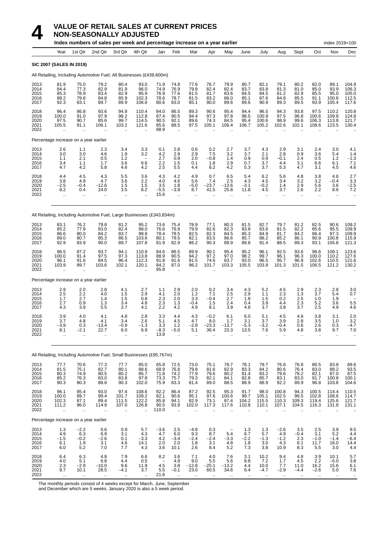|                                      |                                                     |                                                      | Index numbers of sales per week and percentage increase on a year earlier |                                                  |                                                      |                                        |                                                      |                                       |                                                          |                                                       |                                                    |                                        |                                                  |                                                  |                                                  | Index 2019=100                         |                                           |
|--------------------------------------|-----------------------------------------------------|------------------------------------------------------|---------------------------------------------------------------------------|--------------------------------------------------|------------------------------------------------------|----------------------------------------|------------------------------------------------------|---------------------------------------|----------------------------------------------------------|-------------------------------------------------------|----------------------------------------------------|----------------------------------------|--------------------------------------------------|--------------------------------------------------|--------------------------------------------------|----------------------------------------|-------------------------------------------|
|                                      | Year                                                | 1st Qtr                                              | 2nd Qtr                                                                   | 3rd Qtr                                          | 4th Qtr                                              | Jan                                    | Feb                                                  | Mar                                   | Apr                                                      | May                                                   | June                                               | July                                   | Aug                                              | Sept                                             | Oct                                              | Nov                                    | Dec                                       |
|                                      | <b>SIC 2007 (SALES IN 2019)</b>                     |                                                      |                                                                           |                                                  |                                                      |                                        |                                                      |                                       |                                                          |                                                       |                                                    |                                        |                                                  |                                                  |                                                  |                                        |                                           |
|                                      |                                                     |                                                      | All Retailing, Including Automotive Fuel, All Businesses (£439,600m)      |                                                  |                                                      |                                        |                                                      |                                       |                                                          |                                                       |                                                    |                                        |                                                  |                                                  |                                                  |                                        |                                           |
| 2013<br>2014<br>2015<br>2016<br>2017 | 81.9<br>84.4<br>85.3<br>88.2<br>92.3                | 75.0<br>77.3<br>78.9<br>79.8<br>83.1                 | 79.2<br>82.9<br>83.4<br>84.8<br>89.7                                      | 80.4<br>81.9<br>82.9<br>85.9<br>89.9             | 93.0<br>96.0<br>95.9<br>102.3<br>106.6               | 71.9<br>74.9<br>76.9<br>78.6<br>80.6   | 74.8<br>76.9<br>77.6<br>78.7<br>83.0                 | 77.6<br>79.8<br>81.5<br>81.5<br>85.1  | 76.7<br>82.4<br>81.7<br>83.2<br>90.0                     | 79.9<br>82.4<br>83.6<br>86.0<br>89.6                  | 80.7<br>83.7<br>84.5<br>85.1<br>89.6               | 82.1<br>83.8<br>84.5<br>87.6<br>90.9   | 79.1<br>81.3<br>81.2<br>84.8<br>89.3             | 80.2<br>81.0<br>82.9<br>85.5<br>89.5             | 82.0<br>85.0<br>85.5<br>91.1<br>93.9             | 89.1<br>93.9<br>95.0<br>100.8<br>105.4 | 104.9<br>106.3<br>105.0<br>112.5<br>117.6 |
| 2018<br>2019<br>2020<br>2021<br>2022 | $96.4$<br>100.0<br>97.5<br>105.5                    | 86.8<br>91.0<br>90.7<br>91.1                         | 93.6<br>97.9<br>85.6<br>106.1                                             | 94.8<br>98.2<br>99.7<br>103.2                    | 110.4<br>112.8<br>114.5<br>121.6                     | 84.0<br>87.4<br>90.5<br>85.6<br>98.9   | 86.5<br>90.5<br>92.1<br>88.5                         | 89.3<br>94.4<br>89.6<br>97.5          | 90.6<br>97.3<br>74.3<br>105.1                            | 95.4<br>97.8<br>84.5<br>106.4                         | 94.4<br>98.5<br>95.4<br>106.7                      | 96.5<br>100.9<br>100.6<br>105.2        | 94.3<br>97.5<br>98.9<br>102.6                    | 93.8<br>96.8<br>99.6<br>102.1                    | 97.5<br>100.6<br>106.3<br>108.6                  | 110.2<br>109.8<br>113.8<br>123.5       | 120.8<br>124.8<br>121.7<br>130.4          |
|                                      | Percentage increase on a year earlier               |                                                      |                                                                           |                                                  |                                                      |                                        |                                                      |                                       |                                                          |                                                       |                                                    |                                        |                                                  |                                                  |                                                  |                                        |                                           |
| 2013<br>2014<br>2015<br>2016<br>2017 | 2.6<br>3.0<br>1.1<br>3.4<br>4.7                     | 1.1<br>3.0<br>2.1<br>1.1<br>4.2                      | 2.3<br>4.6<br>0.5<br>1.7<br>5.8                                           | 3.4<br>1.9<br>1.2<br>3.6<br>4.6                  | 3.3<br>3.2<br>$\overline{\phantom{0}}$<br>6.6<br>4.2 | 0.1<br>$^{4.2}_{2.7}$<br>2.2<br>2.5    | 2.8<br>$^{2.9}_{0.9}$<br>1.5<br>5.5                  | 0.6<br>$^{2.9}_{2.0}$<br>0.1<br>4.4   | 0.2<br>$^{7.5}_{-0.8}$<br>1.8<br>8.2                     | 2.7<br>3.2<br>1.4<br>2.9<br>4.2                       | 3.7<br>3.7<br>0.9<br>0.7<br>5.3                    | 4.3<br>2.1<br>0.9<br>3.7<br>3.7        | 2.9<br>2.8<br>$-0.1$<br>4.4<br>5.3               | 3.1<br>0.9<br>2.4<br>3.1<br>4.7                  | 2.4<br>3.6<br>0.5<br>6.6<br>3.1                  | 3.0<br>5.4<br>1.2<br>6.1<br>4.5        | 4.1<br>1.4<br>$^{-1.3}$<br>7.1<br>4.6     |
| 2018<br>2019<br>2020<br>2021<br>2022 | 4.4<br>3.8<br>$-2.5$<br>8.2<br>$\ddot{\phantom{a}}$ | 4.5<br>4.9<br>$-0.4$<br>0.4                          | 4.3<br>4.7<br>$-12.6$<br>24.0                                             | 5.5<br>3.6<br>1.5<br>3.5<br>$\ddot{\phantom{a}}$ | 3.6<br>2.2<br>1.5<br>6.2<br>$\ddot{\phantom{a}}$     | 4.3<br>4.0<br>3.5<br>$-5.5$<br>15.6    | 4.2<br>4.6<br>1.8<br>$-3.9$<br>$\ddot{\phantom{a}}$  | 4.9<br>5.6<br>$-5.0$<br>8.7           | 0.7<br>7.4<br>$-23.7$<br>41.5                            | 6.5<br>2.5<br>$-13.6$<br>25.8                         | 5.4<br>4.3<br>$-3.1$<br>11.8                       | 6.2<br>4.5<br>$-0.2$<br>4.5            | 5.6<br>3.4<br>1.4<br>3.7<br>$\ddot{\phantom{a}}$ | 4.8<br>3.2<br>2.9<br>2.6<br>$\ddot{\phantom{a}}$ | 3.8<br>3.2<br>5.6<br>2.2<br>$\ddot{\phantom{a}}$ | 4.6<br>$-0.4$<br>3.6<br>8.6<br>ä.      | 2.7<br>3.3<br>$-2.5$<br>7.2               |
|                                      |                                                     |                                                      | All Retailing, Including Automotive Fuel, Large Businesses (£343,834m)    |                                                  |                                                      |                                        |                                                      |                                       |                                                          |                                                       |                                                    |                                        |                                                  |                                                  |                                                  |                                        |                                           |
| 2013<br>2014<br>2015<br>2016<br>2017 | 83.1<br>85.2<br>86.6<br>89.0<br>92.9                | 76.2<br>77.9<br>80.0<br>80.7<br>83.9                 | 79.8<br>83.0<br>84.2<br>85.3<br>90.0                                      | 81.2<br>82.4<br>83.7<br>86.5<br>89.7             | 95.2<br>98.0<br>98.8<br>103.6<br>107.8               | 73.6<br>76.6<br>78.4<br>80.1<br>81.9   | 75.4<br>76.9<br>78.5<br>79.5<br>82.9                 | 78.9<br>79.9<br>82.5<br>82.1<br>86.2  | 77.1<br>82.6<br>82.3<br>83.5<br>90.3                     | 80.3<br>82.3<br>84.5<br>86.6<br>89.9                  | 81.5<br>83.8<br>85.3<br>85.7<br>89.8               | 82.7<br>83.6<br>84.9<br>88.2<br>91.4   | 79.7<br>81.5<br>81.7<br>85.2<br>88.5             | 81.2<br>82.2<br>84.2<br>86.1<br>89.3             | 82.5<br>85.6<br>86.4<br>90.9<br>93.1             | 90.6<br>95.5<br>97.3<br>100.8<br>105.8 | 109.2<br>109.9<br>109.9<br>115.9<br>121.3 |
| 2018<br>2019<br>2020<br>2021<br>2022 | 96.5<br>100.0<br>96.1<br>103.9                      | 87.2<br>91.4<br>91.6<br>89.7<br>$\ddot{\phantom{a}}$ | 93.7<br>97.5<br>84.5<br>103.6                                             | 94.1<br>97.3<br>96.4<br>102.1<br>ä.              | 110.9<br>113.8<br>112.3<br>120.1<br>$\ddotsc$        | 84.6<br>88.9<br>91.8<br>84.2<br>95.8   | 86.5<br>90.5<br>91.6<br>87.0<br>$\ddot{\phantom{a}}$ | 89.9<br>94.2<br>91.5<br>96.2          | 90.1<br>97.2<br>74.6<br>101.7                            | 95.4<br>97.0<br>83.7<br>103.3                         | 95.2<br>98.2<br>93.0<br>105.5                      | 96.1<br>99.7<br>96.5<br>103.8          | 92.5<br>96.1<br>95.7<br>101.3                    | 93.6<br>96.3<br>96.9<br>101.5                    | 96.6<br>100.0<br>102.6<br>106.5                  | 109.1<br>110.2<br>110.5<br>121.2       | 123.6<br>127.6<br>121.6<br>130.2          |
|                                      | Percentage increase on a year earlier               |                                                      |                                                                           |                                                  |                                                      |                                        |                                                      |                                       |                                                          |                                                       |                                                    |                                        |                                                  |                                                  |                                                  |                                        |                                           |
| 2013<br>2014<br>2015<br>2016<br>2017 | 2.9<br>2.5<br>1.7<br>2.7<br>4.3                     | 2.0<br>2.2<br>2.7<br>0.9<br>3.9                      | 2.8<br>4.0<br>1.4<br>1.3<br>5.5                                           | 4.1<br>1.5<br>1.5<br>3.4<br>3.7                  | 2.7<br>2.9<br>0.8<br>4.8<br>4.1                      | 1.1<br>4.1<br>2.3<br>2.3<br>2.2        | 2.9<br>2.0<br>2.0<br>1.3<br>4.2                      | 2.0<br>1.2<br>3.3<br>$-0.4$<br>4.9    | 0.2<br>7.1<br>$-0.4$<br>1.5<br>8.1                       | 3.4<br>2.5<br>2.7<br>2.4<br>3.9                       | 4.3<br>2.9<br>1.8<br>0.4<br>48                     | 5.2<br>1.1<br>1.5<br>3.9<br>3.7        | 4.5<br>2.3<br>0.2<br>4.4<br>3.8                  | 2.9<br>1.3<br>2.5<br>2.3<br>3.7                  | 2.3<br>3.7<br>1.0<br>5.2<br>2.5                  | 2.8<br>5.4<br>1.9<br>3.6<br>4.9        | 3.0<br>0.7<br>5.5<br>4.6                  |
| 2018<br>2019<br>2020<br>2021<br>2022 | 3.9<br>3.7<br>-3.9<br>8.1<br>$\ddot{\phantom{a}}$   | 4.0<br>4.8<br>0.3<br>$-2.1$<br>$\ddotsc$             | 4.1<br>4.1<br>13.4<br>22.7<br>$\ddotsc$                                   | 4.8<br>3.4<br>0.9<br>6.0<br>$\ddotsc$            | 2.8<br>2.6<br>-1.3<br>6.9<br>$\ddot{\phantom{1}}$    | 3.3<br>5.1<br>3.3<br>$-8.3$<br>13.8    | 4.4<br>4.5<br>1.2<br>$-5.0$<br>$\ddot{\phantom{a}}$  | 4.3<br>4.7<br>$-2.8$<br>5.1<br>ă,     | $-0.2$<br>8.0<br>$-23.3$<br>36.4<br>$\ddot{\phantom{a}}$ | 6.1<br>1.7<br>$-13.7$<br>23.3<br>$\ddot{\phantom{a}}$ | 6.0<br>3.1<br>-5.3<br>13.5<br>$\ddot{\phantom{a}}$ | 5.1<br>3.7<br>-3.2<br>7.6<br>$\ddotsc$ | 4.5<br>3.9<br>0.4<br>5.9<br>$\ddotsc$            | 4.8<br>2.8<br>0.6<br>4.8<br>$\ldots$             | 3.8<br>3.5<br>2.6<br>3.8<br>$\ddotsc$            | 3.1<br>1.0<br>0.3<br>9.7<br>$\ddotsc$  | 2.0<br>3.2<br>4.7<br>7.0                  |
|                                      |                                                     |                                                      | All Retailing, Including Automotive Fuel, Small Businesses (£95,767m)     |                                                  |                                                      |                                        |                                                      |                                       |                                                          |                                                       |                                                    |                                        |                                                  |                                                  |                                                  |                                        |                                           |
| 2013<br>2014<br>2015<br>2016<br>2017 | 77.7<br>81.5<br>80.3<br>85.2<br>90.3                | 70.6<br>75.1<br>74.9<br>76.3<br>80.3                 | 77.3<br>82.7<br>80.5<br>83.0<br>88.8                                      | 77.7<br>80.1<br>80.2<br>83.8<br>90.3             | 85.0<br>88.6<br>85.7<br>97.8<br>102.0                | 65.8<br>68.9<br>71.8<br>73.3<br>75.9   | 72.5<br>76.8<br>74.2<br>75.7<br>83.3                 | 73.0<br>79.8<br>77.9<br>79.3<br>81.4  | 75.1<br>81.6<br>79.6<br>82.1<br>89.0                     | 78.7<br>82.9<br>80.2<br>84.1<br>88.5                  | 78.1<br>83.3<br>81.4<br>82.8<br>88.9               | 79.7<br>84.2<br>83.2<br>85.7<br>88.9   | 76.8<br>80.6<br>79.6<br>83.1<br>92.2             | 76.8<br>76.4<br>78.2<br>83.0<br>89.9             | 80.5<br>83.0<br>82.1<br>91.7<br>96.8             | 83.8<br>88.2<br>87.0<br>100.8<br>103.8 | 89.6<br>93.5<br>87.5<br>100.1<br>104.6    |
| 2018<br>2019<br>2020<br>2021<br>2022 | 96.1<br>100.0<br>102.3<br>111.2<br>$\ldots$         | 85.4<br>89.7<br>87.1<br>96.0<br>$\cdot$ .            | 93.0<br>99.4<br>89.4<br>114.9<br>$\ddotsc$                                | 97.4<br>101.7<br>111.5<br>107.0<br>$\ddotsc$     | 108.6<br>109.2<br>122.2<br>126.8<br>$\ddotsc$        | 82.2<br>82.1<br>85.8<br>90.5<br>110.0  | 86.4<br>90.6<br>94.1<br>93.9<br>$\ddotsc$            | 87.2<br>95.1<br>82.9<br>102.0         | 92.5<br>97.6<br>73.1<br>117.3                            | 95.3<br>100.6<br>87.4<br>117.6                        | 91.7<br>99.7<br>104.2<br>110.8                     | 98.0<br>105.1<br>115.5<br>110.1        | 100.8<br>102.5<br>110.3<br>107.1                 | 94.3<br>98.5<br>109.3<br>104.5                   | 100.5<br>102.8<br>119.4<br>116.3                 | 114.4<br>108.6<br>125.6<br>131.8       | 110.5<br>114.7<br>121.7<br>131.1          |
|                                      | Percentage increase on a year earlier               |                                                      |                                                                           |                                                  |                                                      |                                        |                                                      |                                       |                                                          |                                                       |                                                    |                                        |                                                  |                                                  |                                                  |                                        |                                           |
| 2013<br>2014<br>2015<br>2016<br>2017 | 1.3<br>4.9<br>$-1.5$<br>6.1<br>6.0                  | $-2.2$<br>6.3<br>$-0.2$<br>1.9<br>5.2                | 0.6<br>6.9<br>$-2.6$<br>3.1<br>7.0                                        | 0.9<br>3.1<br>0.1<br>4.6<br>7.7                  | 5.7<br>4.3<br>$-3.3$<br>14.1<br>4.3                  | $-3.6$<br>4.7<br>4.2<br>2.0<br>3.6     | 2.5<br>6.0<br>$-3.4$<br>2.0<br>10.1                  | $-4.8$<br>9.3<br>$-2.4$<br>1.8<br>2.6 | 0.3<br>8.7<br>$-2.4$<br>3.1<br>8.4                       | 5.4<br>$-3.3$<br>4.8<br>5.2                           | 1.3<br>6.7<br>$-2.2$<br>1.8<br>7.3                 | 1.3<br>5.7<br>$-1.3$<br>3.0<br>3.8     | $-2.6$<br>4.9<br>$-1.2$<br>4.3<br>10.9           | 3.5<br>$-0.4$<br>2.3<br>6.1<br>8.3               | 2.5<br>3.1<br>$-1.0$<br>11.7<br>5.5              | 3.9<br>5.2<br>$-1.4$<br>16.0<br>3.0    | 9.5<br>4.4<br>-6.4<br>14.4<br>4.4         |
| 2018<br>2019<br>2020                 | 6.4<br>4.0<br>$2.\overline{3}$                      | 6.3<br>5.1<br>$-2.9$                                 | 4.8<br>6.8<br>$-10.0$                                                     | 7.9<br>4.4<br>9.6                                | 6.6<br>0.5<br>11.9                                   | 8.2<br>$\overline{\phantom{0}}$<br>4.5 | 3.6<br>4.9<br>3.8                                    | 7.1<br>9.0<br>$-12.8$                 | 4.0<br>5.5<br>$-25.1$                                    | 7.6<br>5.6<br>$-13.2$                                 | 3.1<br>8.8<br>4.4                                  | 10.2<br>7.2<br>10.0                    | 9.4<br>1.7<br>7.7                                | 4.8<br>4.5<br>11.0                               | 3.9<br>2.2<br>16.2                               | 10.1<br>$-5.0$<br>15.6                 | 5.7<br>3.8<br>6.1                         |

2021 8.7 10.1 28.5 −4.1 3.7 5.5 −0.1 23.0 60.5 34.6 6.4 −4.7 −2.9 −4.4 −2.6 5.0 7.6 2022 .. .. .. .. .. 21.6 .. .. .. .. .. .. .. .. .. .. ..

The monthly periods consist of 4 weeks except for March, June, September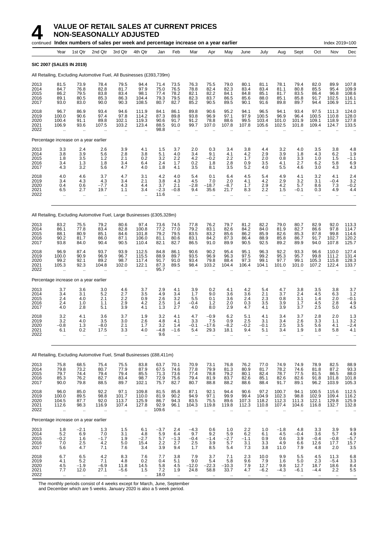|                                      |                                                  |                                           | continued Index numbers of sales per week and percentage increase on a year earlier |                                                  |                                                  |                                       |                                                     |                                        |                                                        |                                      |                                                   |                                              |                                                  |                                      |                                                | Index 2019=100                                        |                                           |
|--------------------------------------|--------------------------------------------------|-------------------------------------------|-------------------------------------------------------------------------------------|--------------------------------------------------|--------------------------------------------------|---------------------------------------|-----------------------------------------------------|----------------------------------------|--------------------------------------------------------|--------------------------------------|---------------------------------------------------|----------------------------------------------|--------------------------------------------------|--------------------------------------|------------------------------------------------|-------------------------------------------------------|-------------------------------------------|
|                                      | Year                                             | 1st Qtr                                   | 2nd Qtr                                                                             | 3rd Qtr                                          | 4th Qtr                                          | Jan                                   | Feb                                                 | Mar                                    | Apr                                                    | May                                  | June                                              | July                                         | Aug                                              | Sept                                 | Oct                                            | Nov                                                   | Dec                                       |
|                                      | <b>SIC 2007 (SALES IN 2019)</b>                  |                                           |                                                                                     |                                                  |                                                  |                                       |                                                     |                                        |                                                        |                                      |                                                   |                                              |                                                  |                                      |                                                |                                                       |                                           |
|                                      |                                                  |                                           | All Retailing, Excluding Automotive Fuel, All Businesses (£393,739m)                |                                                  |                                                  |                                       |                                                     |                                        |                                                        |                                      |                                                   |                                              |                                                  |                                      |                                                |                                                       |                                           |
| 2013<br>2014<br>2015<br>2016<br>2017 | 81.5<br>84.7<br>86.2<br>89.1<br>93.0             | 73.9<br>76.8<br>79.5<br>80.5<br>83.0      | 78.4<br>82.8<br>83.8<br>85.3<br>90.0                                                | 79.5<br>81.7<br>83.4<br>86.3<br>90.3             | 94.4<br>97.9<br>98.1<br>104.4<br>108.5           | 71.4<br>75.0<br>77.4<br>79.3<br>80.7  | 73.5<br>76.5<br>78.2<br>79.5<br>82.7                | 76.3<br>78.8<br>82.1<br>82.3<br>85.2   | 75.5<br>82.4<br>82.2<br>83.7<br>90.5                   | 79.0<br>82.3<br>84.1<br>86.5<br>89.5 | 80.1<br>83.4<br>84.8<br>85.6<br>90.1              | 81.1<br>83.4<br>85.1<br>88.0<br>91.6         | 78.1<br>81.1<br>81.7<br>85.1<br>89.8             | 79.4<br>80.8<br>83.5<br>85.8<br>89.7 | 82.0<br>85.5<br>86.4<br>91.7<br>94.4           | 89.9<br>95.4<br>96.8<br>102.5<br>106.9                | 107.8<br>109.9<br>108.6<br>116.1<br>121.1 |
| 2018<br>2019<br>2020<br>2021<br>2022 | 96.7<br>100.0<br>100.4<br>106.9                  | 86.9<br>90.6<br>91.1<br>93.6<br>÷.        | 93.4<br>97.4<br>89.8<br>107.5                                                       | 94.6<br>97.8<br>102.1<br>103.2                   | 111.9<br>114.2<br>119.3<br>123.4                 | 84.1<br>87.3<br>90.6<br>88.5<br>98.8  | 86.1<br>89.8<br>91.7<br>91.0                        | 89.8<br>93.8<br>91.2<br>99.7           | 90.6<br>96.9<br>78.8<br>107.0                          | 95.2<br>97.1<br>88.6<br>107.8        | 94.1<br>97.9<br>99.5<br>107.8                     | 96.5<br>100.5<br>103.4<br>105.6              | 94.1<br>96.9<br>101.0<br>102.5                   | 93.4<br>96.4<br>101.9<br>101.8       | 97.5<br>100.5<br>109.1<br>109.4                | 111.3<br>110.8<br>118.9<br>124.7                      | 124.0<br>128.0<br>127.8<br>133.5          |
|                                      | Percentage increase on a year earlier            |                                           |                                                                                     |                                                  |                                                  |                                       |                                                     |                                        |                                                        |                                      |                                                   |                                              |                                                  |                                      |                                                |                                                       |                                           |
| 2013<br>2014<br>2015<br>2016<br>2017 | 3.3<br>3.8<br>1.8<br>3.4<br>4.3                  | 2.4<br>3.9<br>3.5<br>1.3<br>3.2           | 2.6<br>5.6<br>1.2<br>1.8<br>5.6                                                     | 3.9<br>2.8<br>2.1<br>3.4<br>4.7                  | 4.1<br>3.8<br>0.2<br>6.4<br>4.0                  | 1.5<br>5.1<br>3.2<br>2.4<br>1.8       | 3.7<br>4.0<br>2.2<br>1.7<br>4.1                     | 2.0<br>3.4<br>4.2<br>0.2<br>3.5        | 0.3<br>9.1<br>-0.2<br>1.8<br>8.1                       | 3.4<br>4.1<br>2.2<br>2.8<br>3.5      | 3.8<br>4.2<br>1.7<br>0.9<br>5.2                   | 44<br>2.9<br>2.0<br>3.5<br>4.0               | 3.2<br>3.9<br>0.8<br>4.1<br>5.5                  | 4.0<br>1.8<br>3.3<br>2.7<br>4.6      | 3.5<br>4.3<br>1.0<br>6.2<br>3.0                | 3.8<br>6.2<br>1.5<br>5.8<br>4.3                       | 4.8<br>1.9<br>$-1.1$<br>6.9<br>4.3        |
| 2018<br>2019<br>2020<br>2021<br>2022 | 4.0<br>3.4<br>0.4<br>6.5<br>$\ddot{\phantom{a}}$ | 4.6<br>4.3<br>0.6<br>2.7<br>ä.            | 3.7<br>4.3<br>$-7.7$<br>19.7                                                        | 4.7<br>3.4<br>4.3<br>1.1                         | 3.1<br>2.1<br>4.4<br>3.4                         | 4.2<br>3.8<br>3.7<br>$-2.3$<br>11.6   | 4.0<br>4.3<br>2.1<br>$-0.8$<br>$\sim$               | 5.4<br>4.5<br>$-2.8$<br>9.4            | 0.1<br>7.0<br>-18.7<br>35.6                            | 6.4<br>2.0<br>$-8.7$<br>21.7         | 4.5<br>4.1<br>1.7<br>8.3<br>$\ddot{\phantom{a}}$  | 5.4<br>4.2<br>2.9<br>2.2                     | 4.9<br>2.9<br>4.2<br>1.5                         | 4.1<br>3.2<br>5.7<br>$-0.1$          | 3.2<br>3.1<br>8.6<br>0.3                       | 4.1<br>-0.4<br>7.3<br>4.9                             | 2.4<br>3.2<br>$-0.2$<br>4.4               |
|                                      |                                                  |                                           | All Retailing, Excluding Automotive Fuel, Large Businesses (£305,328m)              |                                                  |                                                  |                                       |                                                     |                                        |                                                        |                                      |                                                   |                                              |                                                  |                                      |                                                |                                                       |                                           |
| 2013<br>2014<br>2015<br>2016<br>2017 | 83.2<br>86.1<br>88.1<br>90.2<br>93.8             | 75.5<br>77.8<br>80.9<br>81.7<br>84.0      | 79.2<br>83.4<br>85.1<br>86.0<br>90.4                                                | 80.6<br>82.8<br>84.6<br>87.1<br>90.5             | 97.4<br>100.8<br>101.8<br>106.0<br>110.4         | 73.6<br>77.2<br>79.2<br>81.1<br>82.1  | 74.5<br>77.0<br>79.5<br>80.6<br>82.7                | 77.8<br>79.2<br>83.5<br>83.1<br>86.5   | 76.2<br>83.1<br>83.2<br>84.2<br>91.0                   | 79.7<br>82.6<br>85.6<br>87.3<br>89.9 | 81.2<br>84.2<br>86.2<br>86.4<br>90.5              | 82.2<br>84.0<br>85.9<br>88.9<br>92.5         | 79.0<br>81.9<br>82.6<br>85.8<br>89.2             | 80.7<br>82.7<br>85.3<br>86.7<br>89.9 | 82.9<br>86.6<br>87.8<br>91.7<br>94.0           | 92.0<br>97.8<br>99.8<br>102.7<br>107.8                | 113.3<br>114.7<br>114.6<br>120.2<br>125.7 |
| 2018<br>2019<br>2020<br>2021<br>2022 | 96.9<br>100.0<br>99.2<br>105.3                   | 87.4<br>90.9<br>92.1<br>92.3<br>$\ddotsc$ | 93.7<br>96.9<br>89.2<br>104.8                                                       | 93.9<br>96.7<br>98.7<br>102.0                    | 112.5<br>115.5<br>117.4<br>122.1                 | 84.8<br>88.9<br>91.7<br>87.3<br>95.7  | 86.1<br>89.7<br>91.0<br>89.5                        | 90.6<br>93.5<br>93.4<br>98.4           | 90.2<br>96.9<br>79.8<br>103.2                          | 95.4<br>96.3<br>88.4<br>104.4        | 95.1<br>97.5<br>97.3<br>106.4                     | 96.3<br>99.2<br>99.1<br>104.1                | 92.2<br>95.3<br>97.7<br>101.0                    | 93.3<br>95.7<br>99.1<br>101.0        | 96.6<br>99.8<br>105.3<br>107.2                 | 110.0<br>111.2<br>115.8<br>122.4                      | 127.4<br>131.4<br>128.3<br>133.7          |
|                                      | Percentage increase on a year earlier            |                                           |                                                                                     |                                                  |                                                  |                                       |                                                     |                                        |                                                        |                                      |                                                   |                                              |                                                  |                                      |                                                |                                                       |                                           |
| 2013<br>2014<br>2015<br>2016<br>2017 | 3.7<br>3.4<br>2.4<br>2.4<br>4.0                  | 3.6<br>3.1<br>4.0<br>1.0<br>2.8           | 3.0<br>5.2<br>2.1<br>1.1<br>5.1                                                     | 4.6<br>2.7<br>2.2<br>2.9<br>3.9                  | 3.7<br>3.5<br>0.9<br>4.2<br>4.1                  | 2.9<br>4.9<br>2.6<br>2.5<br>1.3       | 4.1<br>3.4<br>3.2<br>1.4<br>2.7                     | 3.9<br>1.7<br>5.5<br>-0.4<br>4.0       | 0.2<br>9.0<br>0.1<br>1.2<br>8.0                        | 4.1<br>3.6<br>3.6<br>2.0<br>2.9      | 4.2<br>3.6<br>2.4<br>0.3<br>4.7                   | 5.4<br>2.1<br>2.3<br>3.5<br>4.1              | 4.7<br>3.7<br>0.8<br>3.9<br>3.9                  | 3.8<br>2.4<br>3.1<br>1.7<br>3.7      | 3.5<br>4.5<br>1.4<br>4.5<br>2.5                | 3.8<br>6.3<br>2.0<br>2.8<br>5.0                       | 3.7<br>1.2<br>$-0.1$<br>4.9<br>4.5        |
| 2018<br>2019<br>2020<br>2021<br>2022 | 3.2<br>3.2<br>$-0.8$<br>6.1<br>$\ddotsc$         | 4.1<br>4.0<br>1.3<br>0.2<br>$\ddotsc$     | 3.6<br>3.5<br>$-8.0$<br>17.5<br>.,                                                  | 3.7<br>3.0<br>2.1<br>3.3<br>$\ddot{\phantom{a}}$ | 1.9<br>2.6<br>1.7<br>4.0<br>$\ddot{\phantom{a}}$ | 3.2<br>4.8<br>3.2<br>$-4.8$<br>9.6    | 4.1<br>4.1<br>1.4<br>$-1.6$<br>$\ddot{\phantom{1}}$ | 4.7<br>3.3<br>-0.1<br>5.4<br>$\ddotsc$ | $-0.9$<br>7.5<br>-17.6<br>29.3<br>$\ddot{\phantom{a}}$ | 6.2<br>0.9<br>$-8.2$<br>18.1<br>ä.   | 5.1<br>2.5<br>-0.2<br>9.4<br>$\ddot{\phantom{1}}$ | 4.1<br>3.1<br>-0.1<br>5.1<br>$\ddotsc$       | 3.4<br>3.4<br>2.5<br>3.4<br>$\ddot{\phantom{a}}$ | 3.7<br>2.6<br>3.5<br>1.9<br>$\ldots$ | 2.8<br>3.3<br>5.6<br>1.8<br>$\bar{\mathbf{r}}$ | 2.0<br>1.1<br>4.1<br>5.8<br>$\ddotsc$                 | 1.3<br>3.2<br>-2.4<br>4.1<br>             |
|                                      |                                                  |                                           | All Retailing, Excluding Automotive Fuel, Small Businesses (£88,411m)               |                                                  |                                                  |                                       |                                                     |                                        |                                                        |                                      |                                                   |                                              |                                                  |                                      |                                                |                                                       |                                           |
| 2013<br>2014<br>2015<br>2016<br>2017 | 75.8<br>79.8<br>79.7<br>85.3<br>90.0             | 68.5<br>73.2<br>74.4<br>76.2<br>79.8      | 75.4<br>80.7<br>79.4<br>82.7<br>88.5                                                | 75.5<br>77.9<br>79.4<br>83.4<br>89.7             | 83.8<br>87.9<br>85.5<br>98.7<br>102.1            | 63.7<br>67.5<br>71.3<br>72.9<br>75.7  | 70.1<br>74.6<br>73.6<br>75.6<br>82.7                | 70.9<br>77.8<br>77.4<br>79.4<br>80.7   | 73.1<br>79.9<br>78.8<br>81.9<br>88.8                   | 76.8<br>81.3<br>79.2<br>83.7<br>88.2 | 76.2<br>80.9<br>80.1<br>82.6<br>88.6              | 77.0<br>81.7<br>82.4<br>85.1<br>88.4         | 74.9<br>78.2<br>78.7<br>82.6<br>91.7             | 74.9<br>74.6<br>77.5<br>82.6<br>89.1 | 78.9<br>81.8<br>81.5<br>91.8<br>96.2           | 82.5<br>87.2<br>86.5<br>101.8<br>103.9                | 88.9<br>93.3<br>88.0<br>101.8<br>105.3    |
| 2018<br>2019<br>2020<br>2021<br>2022 | 96.0<br>100.0<br>104.5<br>112.6<br>$\ddotsc$     | 85.0<br>89.5<br>87.7<br>98.3<br>$\ldots$  | 92.2<br>98.8<br>92.0<br>116.9                                                       | 97.1<br>101.7<br>113.7<br>107.4<br>$\ddotsc$     | 109.8<br>110.0<br>125.9<br>127.8                 | 81.5<br>81.9<br>86.7<br>92.9<br>109.6 | 85.8<br>90.2<br>94.3<br>96.1                        | 87.1<br>94.9<br>83.5<br>104.3          | 92.1<br>97.1<br>75.5<br>119.8                          | 94.4<br>99.9<br>89.6<br>119.8        | 90.6<br>99.4<br>107.3<br>112.3                    | 97.2<br>$104.\overline{9}$<br>118.2<br>110.8 | 100.7<br>102.3<br>112.3<br>107.4                 | 94.1<br>98.8<br>111.3<br>104.6       | 100.5<br>102.9<br>122.1<br>116.8               | 115.6<br>109.4<br>129.8<br>132.7                      | 112.5<br>116.2<br>125.9<br>132.8          |
|                                      | Percentage increase on a year earlier            |                                           |                                                                                     |                                                  |                                                  |                                       |                                                     |                                        |                                                        |                                      |                                                   |                                              |                                                  |                                      |                                                |                                                       |                                           |
| 2013<br>2014<br>2015<br>2016<br>2017 | 1.8<br>5.2<br>$-0.2$<br>7.0<br>5.6               | $-2.1$<br>6.9<br>1.6<br>2.5<br>4.7        | 1.3<br>7.0<br>$-1.7$<br>4.2<br>7.1                                                  | 1.5<br>3.1<br>1.9<br>5.0<br>7.6                  | 6.1<br>4.8<br>$-2.7$<br>15.4<br>3.4              | $-3.7$<br>5.9<br>5.7<br>2.2<br>3.9    | 2.4<br>6.4<br>$-1.3$<br>2.7<br>9.4                  | $-4.3$<br>9.7<br>$-0.4$<br>2.5<br>1.7  | 0.6<br>9.2<br>$-1.4$<br>3.9<br>8.5                     | 1.0<br>5.9<br>$-2.7$<br>5.7<br>5.4   | 2.2<br>6.2<br>$-1.1$<br>3.1<br>7.3                | 1.0<br>6.1<br>0.9<br>3.3<br>3.8              | $-1.8$<br>4.5<br>0.6<br>4.9<br>11.0              | 4.8<br>$-0.4$<br>3.9<br>6.6<br>7.9   | 3.3<br>3.6<br>$-0.4$<br>12.6<br>4.8            | 3.9<br>5.7<br>$-0.8$<br>17.7<br>2.0                   | 9.9<br>4.9<br>$-5.7$<br>15.7<br>3.5       |
| 2018<br>2019<br>2020<br>2021<br>2022 | 6.7<br>4.1<br>4.5<br>7.7                         | 6.5<br>5.2<br>$-1.9$<br>12.0              | 4.2<br>7.1<br>$-6.9$<br>27.1                                                        | 8.3<br>4.8<br>11.8<br>$-5.6$                     | 7.6<br>0.2<br>14.5<br>1.5                        | 7.7<br>0.4<br>5.8<br>7.2<br>18.0      | 3.8<br>5.1<br>4.5<br>1.9                            | 7.9<br>9.0<br>$-12.0$<br>24.8          | 3.7<br>5.4<br>$-22.3$<br>58.8                          | 7.1<br>5.8<br>$-10.3$<br>33.7        | 2.3<br>9.6<br>7.9<br>4.7                          | 10.0<br>7.9<br>12.7<br>$-6.2$                | 9.9<br>1.6<br>9.8<br>$-4.3$                      | 5.5<br>5.0<br>12.7<br>$-6.1$         | 4.5<br>2.3<br>18.7<br>$-4.4$                   | 11.3<br>$-5.4$<br>18.6<br>2.2<br>$\ddot{\phantom{a}}$ | 6.8<br>3.3<br>8.4<br>5.5                  |

The monthly periods consist of 4 weeks except for March, June, September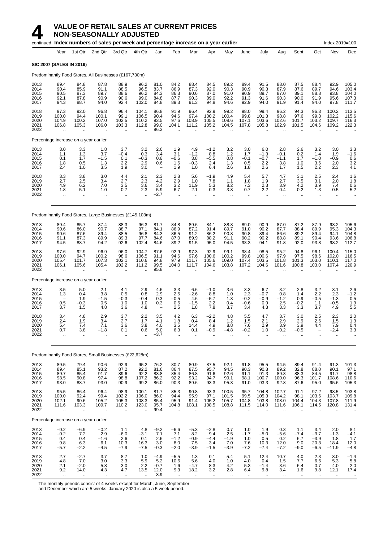|                                      |                                                         |                                                        | continued Index numbers of sales per week and percentage increase on a year earlier |                                                        |                                                          |                                                      |                                                       |                                            |                                             |                                                          |                                                  |                                        |                                                  |                                          |                                           | Index 2019=100                                      |                                                  |
|--------------------------------------|---------------------------------------------------------|--------------------------------------------------------|-------------------------------------------------------------------------------------|--------------------------------------------------------|----------------------------------------------------------|------------------------------------------------------|-------------------------------------------------------|--------------------------------------------|---------------------------------------------|----------------------------------------------------------|--------------------------------------------------|----------------------------------------|--------------------------------------------------|------------------------------------------|-------------------------------------------|-----------------------------------------------------|--------------------------------------------------|
|                                      | Year                                                    | 1st Qtr                                                | 2nd Qtr                                                                             | 3rd Qtr                                                | 4th Qtr                                                  | Jan                                                  | Feb                                                   | Mar                                        | Apr                                         | May                                                      | June                                             | July                                   | Aug                                              | Sept                                     | Oct                                       | Nov                                                 | Dec                                              |
|                                      | <b>SIC 2007 (SALES IN 2019)</b>                         |                                                        |                                                                                     |                                                        |                                                          |                                                      |                                                       |                                            |                                             |                                                          |                                                  |                                        |                                                  |                                          |                                           |                                                     |                                                  |
|                                      |                                                         |                                                        | Predominantly Food Stores, All Businesses (£167,730m)                               |                                                        |                                                          |                                                      |                                                       |                                            |                                             |                                                          |                                                  |                                        |                                                  |                                          |                                           |                                                     |                                                  |
| 2013<br>2014<br>2015<br>2016<br>2017 | 89.4<br>90.4<br>90.5<br>92.1<br>94.3                    | 84.8<br>85.9<br>87.3<br>87.8<br>88.7                   | 87.8<br>91.1<br>89.7<br>90.9<br>94.0                                                | 88.9<br>88.5<br>88.6<br>90.6<br>92.4                   | 96.2<br>96.5<br>96.2<br>99.0<br>102.0                    | 81.0<br>83.7<br>84.3<br>84.8<br>84.8                 | 84.2<br>86.9<br>86.3<br>87.7<br>89.3                  | 88.4<br>87.3<br>90.6<br>90.3<br>91.3       | 84.5<br>92.0<br>87.0<br>89.0<br>94.8        | 89.2<br>90.3<br>91.0<br>92.2<br>94.6                     | 89.4<br>90.9<br>90.9<br>91.3<br>92.9             | 91.5<br>90.3<br>89.7<br>91.6<br>94.0   | 88.0<br>87.9<br>87.0<br>90.3<br>91.9             | 87.5<br>87.6<br>89.1<br>90.0<br>91.4     | 88.4<br>89.7<br>88.8<br>91.9<br>94.0      | 92.9<br>94.6<br>93.8<br>95.6<br>97.8                | 105.0<br>103.4<br>104.0<br>107.3<br>111.7        |
| 2018<br>2019<br>2020<br>2021<br>2022 | 97.3<br>100.0<br>104.9<br>106.8                         | 92.0<br>94.4<br>100.2<br>105.3                         | 96.8<br>100.1<br>107.0<br>106.0<br>$\mathbf{r}$                                     | 96.4<br>99.1<br>102.5<br>103.3                         | 104.1<br>106.5<br>110.2<br>112.8                         | 86.8<br>90.4<br>93.5<br>99.0<br>96.3                 | 91.9<br>94.6<br>97.6<br>104.1                         | 96.4<br>97.4<br>108.9<br>111.2             | 92.9<br>100.2<br>105.5<br>105.2             | 99.2<br>100.4<br>108.6<br>104.5                          | 98.0<br>99.8<br>107.1<br>107.8                   | 99.4<br>101.3<br>103.6<br>105.8        | 96.2<br>98.8<br>102.6<br>102.9                   | 94.3<br>97.6<br>101.7<br>101.5           | 96.3<br>99.3<br>103.2<br>104.6            | 100.2<br>102.2<br>109.7<br>109.2                    | 113.5<br>115.6<br>116.3<br>122.3                 |
|                                      |                                                         | Percentage increase on a year earlier                  |                                                                                     |                                                        |                                                          |                                                      |                                                       |                                            |                                             |                                                          |                                                  |                                        |                                                  |                                          |                                           |                                                     |                                                  |
| 2013<br>2014<br>2015<br>2016<br>2017 | 3.0<br>1.1<br>0.1<br>1.8<br>2.4                         | 3.3<br>1.3<br>1.7<br>0.5<br>1.0                        | 1.8<br>3.7<br>$-1.5$<br>1.3<br>3.5                                                  | 3.7<br>$-0.4$<br>0.1<br>2.2<br>1.9                     | 3.2<br>0.3<br>$-0.3$<br>2.9<br>3.0                       | 2.6<br>3.4<br>0.6<br>0.6<br>$\overline{\phantom{a}}$ | 1.9<br>3.1<br>-0.6<br>1.6<br>1.9                      | 4.9<br>$-1.2$<br>3.8<br>$-0.3$<br>1.0      | $-1.2$<br>8.8<br>-5.5<br>2.4<br>6.4         | 3.2<br>1.2<br>0.8<br>1.3<br>2.6                          | 3.0<br>1.7<br>$-0.1$<br>0.5<br>1.8               | 6.0<br>$-1.3$<br>$-0.7$<br>2.2<br>2.6  | 2.8<br>$-0.1$<br>$-1.1$<br>3.8<br>1.7            | 2.6<br>0.2<br>1.7<br>1.0<br>1.5          | 3.2<br>1.4<br>$-1.0$<br>3.6<br>2.2        | 3.0<br>1.9<br>$-0.9$<br>2.0<br>2.3                  | 3.3<br>$-1.6$<br>0.6<br>3.2<br>4.1               |
| 2018<br>2019<br>2020<br>2021<br>2022 | 3.3<br>2.7<br>4.9<br>1.8<br>$\ddotsc$                   | 3.8<br>2.5<br>6.2<br>5.1<br>$\ddot{\phantom{a}}$       | 3.0<br>3.4<br>7.0<br>$-1.0$<br>$\ddotsc$                                            | 4.4<br>2.7<br>3.5<br>0.7<br>$\ddot{\phantom{a}}$       | 2.1<br>2.3<br>3.6<br>2.3<br>$\ddotsc$                    | 2.3<br>4.2<br>3.4<br>5.9<br>-2.7                     | 2.8<br>2.9<br>3.2<br>6.7<br>$\ddotsc$                 | 5.6<br>1.0<br>11.9<br>2.1<br>$\ddotsc$     | -1.9<br>7.8<br>5.3<br>-0.3                  | 4.9<br>1.1<br>8.2<br>$-3.8$<br>                          | 5.4<br>1.8<br>7.3<br>0.7<br>$\ddot{\phantom{a}}$ | 5.7<br>1.9<br>2.3<br>2.2<br>$\ldots$   | 4.7<br>2.7<br>3.9<br>0.4<br>$\ddot{\phantom{a}}$ | 3.1<br>3.5<br>4.2<br>$-0.2$<br>$\ddotsc$ | 2.5<br>3.1<br>3.9<br>1.3<br>$\ddotsc$     | 2.4<br>2.0<br>7.4<br>$-0.5$<br>$\ddot{\phantom{a}}$ | 1.6<br>1.8<br>0.6<br>5.2<br>$\ddot{\phantom{0}}$ |
|                                      |                                                         |                                                        | Predominantly Food Stores, Large Businesses (£145,103m)                             |                                                        |                                                          |                                                      |                                                       |                                            |                                             |                                                          |                                                  |                                        |                                                  |                                          |                                           |                                                     |                                                  |
| 2013<br>2014<br>2015<br>2016<br>2017 | 89.4<br>90.6<br>90.6<br>91.1<br>94.5                    | 85.7<br>86.0<br>87.6<br>87.3<br>88.7                   | 87.4<br>90.7<br>89.4<br>89.9<br>94.2                                                | 88.3<br>88.7<br>88.5<br>89.3<br>92.6                   | 96.3<br>97.1<br>96.8<br>97.7<br>102.4                    | 81.7<br>84.1<br>84.3<br>84.6<br>84.6                 | 84.8<br>86.9<br>86.5<br>87.0<br>89.2                  | 89.6<br>87.2<br>91.2<br>89.9<br>91.5       | 84.1<br>91.4<br>86.2<br>88.2<br>95.0        | 88.8<br>89.7<br>90.8<br>91.1<br>94.5                     | 89.0<br>91.0<br>90.8<br>90.2<br>93.3             | 90.9<br>90.2<br>89.4<br>90.2<br>94.1   | 87.0<br>87.7<br>86.6<br>88.8<br>91.8             | 87.2<br>88.4<br>89.2<br>89.1<br>92.0     | 87.9<br>89.9<br>89.4<br>90.4<br>93.8      | 93.2<br>95.3<br>94.1<br>93.6<br>98.2                | 105.6<br>104.3<br>104.8<br>106.8<br>112.7        |
| 2018<br>2019<br>2020<br>2021<br>2022 | 97.6<br>100.0<br>105.4<br>106.1<br>$\ddot{\phantom{a}}$ | 92.9<br>94.7<br>101.7<br>105.6<br>$\ddot{\phantom{a}}$ | 96.9<br>100.2<br>107.3<br>105.4<br>$\ddot{\phantom{a}}$                             | 96.0<br>98.6<br>102.1<br>102.2<br>$\ddot{\phantom{a}}$ | 104.7<br>106.5<br>110.6<br>111.2<br>$\ddot{\phantom{a}}$ | 87.6<br>91.1<br>94.8<br>99.5<br>95.8                 | 92.9<br>94.6<br>97.9<br>104.0<br>$\ddot{\phantom{a}}$ | 97.3<br>97.6<br>111.7<br>111.7             | 92.9<br>100.6<br>105.6<br>104.6             | 99.1<br>100.2<br>109.0<br>103.8                          | 98.4<br>99.8<br>107.4<br>107.2                   | 98.5<br>100.6<br>103.5<br>104.6        | 95.2<br>97.9<br>101.8<br>101.6                   | 94.8<br>97.5<br>101.3<br>100.8           | 96.1<br>98.6<br>103.0<br>103.0            | 100.4<br>102.0<br>110.1<br>107.4                    | 115.0<br>116.5<br>117.0<br>120.9                 |
|                                      |                                                         | Percentage increase on a year earlier                  |                                                                                     |                                                        |                                                          |                                                      |                                                       |                                            |                                             |                                                          |                                                  |                                        |                                                  |                                          |                                           |                                                     |                                                  |
| 2013<br>2014<br>2015<br>2016<br>2017 | 3.5<br>1.3<br>$\overline{\phantom{0}}$<br>0.5<br>3.7    | 5.0<br>0.4<br>1.9<br>$-0.3$<br>1.5                     | 2.1<br>3.8<br>$-1.5$<br>0.5<br>4.8                                                  | 4.1<br>0.5<br>$-0.3$<br>1.0<br>3.6                     | 2.9<br>0.8<br>$-0.4$<br>1.0<br>4.8                       | 4.6<br>2.9<br>0.3<br>0.3                             | 3.3<br>2.5<br>-0.5<br>0.6<br>2.5                      | 6.6<br>-2.6<br>4.6<br>$-1.5$<br>1.8        | $-1.0$<br>8.8<br>-5.7<br>2.2<br>7.8         | 3.6<br>1.0<br>1.3<br>0.4<br>3.7                          | 3.3<br>2.3<br>$-0.2$<br>$-0.6$<br>3.4            | 6.7<br>$-0.7$<br>$-0.9$<br>0.9<br>4.3  | 3.2<br>0.8<br>$-1.2$<br>2.5<br>$3.\overline{3}$  | 2.8<br>1.4<br>0.9<br>$-0.2$<br>3.3       | $\frac{3.2}{2.2}$<br>$-0.5$<br>1.1<br>3.7 | 3.1<br>2.3<br>$-1.3$<br>$-0.5$<br>4.9               | 2.6<br>$-1.\overline{2}$<br>0.5<br>1.9<br>5.5    |
| 2018<br>2019<br>2020<br>2021<br>2022 | 3.4<br>2.4<br>5.4<br>0.7<br>$\ddotsc$                   | 4.8<br>1.9<br>7.4<br>3.8                               | 2.9<br>3.4<br>7.1<br>$-1.8$<br>ä.                                                   | 3.7<br>2.7<br>3.6<br>0.1<br>$\ddotsc$                  | 2.2<br>1.7<br>3.8<br>0.6                                 | 3.5<br>4.1<br>4.0<br>5.0<br>-3.7                     | 4.2<br>1.8<br>3.5<br>6.3<br>$\ddotsc$                 | 6.3<br>0.4<br>14.4<br>0.1                  | $-2.2$<br>8.4<br>4.9<br>-0.9                | 4.8<br>1.2<br>8.8<br>-4.8                                | 5.5<br>1.5<br>7.6<br>$-0.2$                      | 4.7<br>2.1<br>2.9<br>1.0               | 3.7<br>2.9<br>3.9<br>$-0.2$                      | 3.0<br>2.9<br>3.9<br>$-0.5$              | 2.5<br>2.6<br>4.4                         | 2.3<br>1.5<br>7.9<br>-2.4                           | 2.0<br>1.3<br>0.4<br>3.3                         |
|                                      |                                                         |                                                        | Predominantly Food Stores, Small Businesses (£22,628m)                              |                                                        |                                                          |                                                      |                                                       |                                            |                                             |                                                          |                                                  |                                        |                                                  |                                          |                                           |                                                     |                                                  |
| 2013<br>2014<br>2015<br>2016<br>2017 | 89.5<br>89.4<br>89.7<br>98.5<br>93.0                    | 79.4<br>85.1<br>85.4<br>90.8<br>88.7                   | 90.6<br>93.2<br>91.7<br>97.4<br>93.0                                                | 92.9<br>87.2<br>89.6<br>98.8<br>90.9                   | 95.2<br>92.2<br>92.2<br>107.2<br>99.2                    | 76.2<br>81.6<br>83.8<br>86.2<br>86.0                 | 80.7<br>86.4<br>85.4<br>92.2<br>90.3                  | 80.9<br>87.5<br>86.8<br>93.2<br>89.6       | 87.5<br>95.7<br>91.6<br>94.7<br>93.3        | 92.1<br>94.5<br>92.6<br>99.1<br>95.3                     | 91.8<br>90.3<br>91.1<br>98.1<br>91.0             | 95.5<br>90.8<br>91.3<br>100.7<br>93.3  | 94.5<br>89.2<br>89.3<br>100.0<br>92.8            | 89.4<br>82.8<br>88.3<br>96.3<br>87.6     | 91.4<br>88.0<br>84.5<br>101.7<br>95.0     | 91.3<br>90.1<br>91.7<br>108.6<br>95.6               | 101.3<br>97.1<br>98.8<br>110.6<br>105.3          |
| 2018<br>2019<br>2020<br>2021<br>2022 | 95.5<br>100.0<br>102.1<br>111.6<br>$\ddot{\phantom{a}}$ | 86.4<br>92.4<br>90.6<br>103.3<br>$\cdot$ .             | 96.4<br>99.4<br>105.2<br>109.7<br>$\ldots$                                          | 98.9<br>102.2<br>105.3<br>110.2<br>$\bar{\mathbf{a}}$  | 100.1<br>106.0<br>108.3<br>123.0<br>ä.                   | 81.7<br>86.0<br>85.4<br>95.7<br>99.4                 | 85.3<br>94.4<br>95.9<br>104.8<br>$\ddot{\phantom{a}}$ | 90.8<br>95.9<br>91.4<br>108.1<br>$\ddotsc$ | 93.3<br>97.1<br>105.2<br>108.5<br>$\ddotsc$ | 100.5<br>101.5<br>105.7<br>108.8<br>$\ddot{\phantom{a}}$ | 95.7<br>99.5<br>104.8<br>111.5                   | 104.8<br>105.3<br>103.8<br>114.0<br>ä. | 102.7<br>104.2<br>108.0<br>111.6<br>÷.           | 91.1<br>98.1<br>104.4<br>106.1           | 97.2<br>103.6<br>104.3<br>114.5           | 98.5<br>103.7<br>107.8<br>120.8<br>$\ddotsc$        | 103.8<br>109.8<br>111.9<br>131.4                 |
|                                      |                                                         | Percentage increase on a year earlier                  |                                                                                     |                                                        |                                                          |                                                      |                                                       |                                            |                                             |                                                          |                                                  |                                        |                                                  |                                          |                                           |                                                     |                                                  |
| 2013<br>2014<br>2015<br>2016<br>2017 | $-0.2$<br>$-0.2$<br>0.4<br>9.8<br>$-5.7$                | $-6.9$<br>7.2<br>0.4<br>6.3<br>$-2.2$                  | $-0.2$<br>2.9<br>$-1.6$<br>6.1<br>$-4.5$                                            | 1.1<br>$-6.0$<br>2.6<br>10.3<br>$-7.9$                 | 4.8<br>$-3.1$<br>0.1<br>16.3<br>$-7.5$                   | $-9.2$<br>7.1<br>2.6<br>3.0<br>$-0.3$                | $-6.6$<br>7.1<br>$-1.2$<br>8.0<br>$-2.0$              | $-5.3$<br>8.2<br>$-0.9$<br>7.5<br>$-3.9$   | $-2.8$<br>9.4<br>$-4.4$<br>3.4<br>$-1.5$    | 0.7<br>2.5<br>$-1.9$<br>7.0<br>$-3.9$                    | 1.0<br>$-1.7$<br>1.0<br>7.6<br>$-7.2$            | 1.9<br>$-5.0$<br>0.5<br>10.3<br>$-7.4$ | 0.3<br>$-5.6$<br>0.2<br>12.0<br>$-7.2$           | 1.1<br>$-7.4$<br>6.7<br>9.0<br>$-9.0$    | 3.4<br>$-3.7$<br>$-3.9$<br>20.3<br>$-6.5$ | 2.0<br>$-1.3$<br>1.8<br>18.4<br>$-11.9$             | 8.1<br>$-4.1$<br>1.7<br>12.0<br>$-4.8$           |
| 2018<br>2019<br>2020<br>2021         | 2.7<br>4.8<br>2.1<br>9.2                                | $-2.7$<br>7.0<br>$-2.0$<br>14.0                        | 3.7<br>3.0<br>5.8<br>4.3                                                            | 8.7<br>3.3<br>$3.0\,$<br>4.7                           | 1.0<br>$\frac{5.9}{2.2}$<br>13.5                         | $-4.9$<br>5.2<br>$-0.7$<br>12.0                      | $-5.5$<br>10.6<br>1.6<br>9.3                          | 1.3<br>5.6<br>$-4.7$<br>18.2               | 0.1<br>4.0<br>8.3<br>3.2                    | 5.4<br>1.0<br>4.2<br>2.8                                 | 5.1<br>4.0<br>5.3<br>6.4                         | 12.4<br>0.4<br>$-1.4$<br>9.8           | 10.7<br>1.5<br>3.6<br>3.4                        | 4.0<br>7.7<br>6.4<br>1.6                 | 2.3<br>6.6<br>0.7<br>9.8                  | 3.0<br>5.3<br>4.0<br>12.1                           | $-1.4$<br>$\frac{5.8}{2.0}$<br>17.4              |

2022 .. .. .. .. .. 3.9 .. .. .. .. .. .. .. .. .. .. ..

The monthly periods consist of 4 weeks except for March, June, September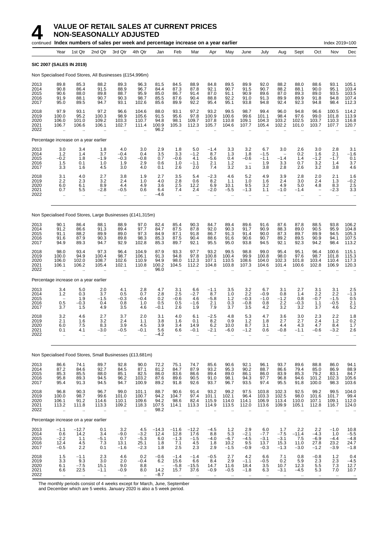|                                      |                                                          | continued Index numbers of sales per week and percentage increase on a year earlier |                                             |                                             |                                                  |                                       |                                                  |                                            |                                                        |                                                         |                                          |                                               |                                               |                                             |                                              | Index 2019=100                                          |                                                         |
|--------------------------------------|----------------------------------------------------------|-------------------------------------------------------------------------------------|---------------------------------------------|---------------------------------------------|--------------------------------------------------|---------------------------------------|--------------------------------------------------|--------------------------------------------|--------------------------------------------------------|---------------------------------------------------------|------------------------------------------|-----------------------------------------------|-----------------------------------------------|---------------------------------------------|----------------------------------------------|---------------------------------------------------------|---------------------------------------------------------|
|                                      | Year                                                     | 1st Qtr                                                                             | 2nd Qtr                                     | 3rd Qtr                                     | 4th Qtr                                          | Jan                                   | Feb                                              | Mar                                        | Apr                                                    | May                                                     | June                                     | July                                          | Aug                                           | Sept                                        | Oct                                          | Nov                                                     | Dec                                                     |
|                                      | <b>SIC 2007 (SALES IN 2019)</b>                          |                                                                                     |                                             |                                             |                                                  |                                       |                                                  |                                            |                                                        |                                                         |                                          |                                               |                                               |                                             |                                              |                                                         |                                                         |
|                                      |                                                          | Non Specialised Food Stores, All Businesses (£154,996m)                             |                                             |                                             |                                                  |                                       |                                                  |                                            |                                                        |                                                         |                                          |                                               |                                               |                                             |                                              |                                                         |                                                         |
| 2013<br>2014<br>2015<br>2016<br>2017 | 89.8<br>90.8<br>90.6<br>91.9<br>95.0                     | 85.3<br>86.4<br>88.0<br>88.1<br>89.5                                                | 88.2<br>91.5<br>89.8<br>90.7<br>94.7        | 89.3<br>88.9<br>88.7<br>90.3<br>93.1        | 96.3<br>96.7<br>95.9<br>98.7<br>102.6            | 81.5<br>84.4<br>85.0<br>85.5<br>85.6  | 84.5<br>87.3<br>86.7<br>87.6<br>89.9             | 88.9<br>87.8<br>91.4<br>90.4<br>92.2       | 84.8<br>92.1<br>87.0<br>88.8<br>95.4                   | 89.5<br>90.7<br>91.1<br>92.2<br>95.1                    | 89.9<br>91.5<br>90.9<br>91.0<br>93.8     | 92.0<br>90.7<br>89.6<br>91.3<br>94.8          | 88.2<br>88.2<br>87.0<br>89.9<br>92.4          | 88.0<br>88.1<br>89.3<br>89.9<br>92.3        | 88.6<br>90.0<br>89.0<br>91.8<br>94.8         | 93.1<br>95.1<br>93.5<br>94.8<br>98.4                    | 105.1<br>103.4<br>103.5<br>107.4<br>112.3               |
| 2018<br>2019<br>2020<br>2021<br>2022 | 97.9<br>100.0<br>106.0<br>106.7                          | 93.1<br>95.2<br>101.0<br>106.6                                                      | 97.2<br>100.3<br>109.2<br>106.1             | 96.6<br>98.9<br>103.3<br>102.7              | 104.6<br>105.6<br>110.7<br>111.4                 | 88.0<br>91.5<br>94.8<br>100.9<br>96.2 | 93.1<br>95.6<br>98.1<br>105.3                    | 97.2<br>97.8<br>109.7<br>112.3             | 93.2<br>100.9<br>107.8<br>105.7                        | 99.5<br>100.6<br>110.8<br>104.6                         | 98.7<br>99.6<br>109.1<br>107.7           | 99.4<br>101.1<br>104.3<br>105.4               | 96.0<br>98.4<br>103.2<br>102.2                | 94.8<br>97.6<br>102.5<br>101.0              | 96.6<br>99.0<br>103.7<br>103.7               | 100.5<br>101.8<br>110.3<br>107.7                        | 114.2<br>113.9<br>116.8<br>120.7                        |
|                                      |                                                          | Percentage increase on a year earlier                                               |                                             |                                             |                                                  |                                       |                                                  |                                            |                                                        |                                                         |                                          |                                               |                                               |                                             |                                              |                                                         |                                                         |
| 2013<br>2014<br>2015<br>2016<br>2017 | 3.0<br>1.2<br>$-0.2$<br>1.5<br>3.3                       | 3.4<br>1.4<br>1.8<br>0.1<br>1.6                                                     | 1.8<br>3.7<br>$-1.9$<br>1.0<br>4.5          | 4.0<br>$-0.4$<br>$-0.3$<br>1.9<br>3.0       | 3.0<br>0.4<br>$-0.8$<br>2.9<br>4.0               | 2.9<br>3.5<br>0.7<br>0.6<br>0.1       | 1.8<br>3.3<br>$-0.6$<br>1.0<br>2.6               | 5.0<br>$-1.2$<br>4.1<br>$-1.1$<br>2.0      | $-1.4$<br>8.7<br>$-5.6$<br>2.1<br>7.4                  | 3.3<br>1.3<br>0.4<br>1.2<br>3.2                         | 3.2<br>1.8<br>$-0.6$<br>3.1              | 6.7<br>$-1.5$<br>$-1.1$<br>1.9<br>3.8         | 3.0<br>$-1.4$<br>3.3<br>2.8                   | 2.6<br>0.2<br>1.4<br>0.7<br>2.6             | 3.0<br>1.6<br>$-1.2$<br>3.2<br>3.2           | 2.8<br>2.1<br>$-1.7$<br>1.4<br>3.8                      | 3.1<br>$-1.6$<br>0.1<br>3.7<br>4.6                      |
| 2018<br>2019<br>2020<br>2021<br>2022 | 3.1<br>2.2<br>6.0<br>0.7<br>.,                           | 4.0<br>2.3<br>6.1<br>5.5<br>$\ddotsc$                                               | 2.7<br>3.2<br>8.9<br>$-2.8$                 | 3.8<br>2.4<br>4.4<br>$-0.5$<br>ä.           | 1.9<br>1.0<br>4.9<br>0.6<br>$\ddot{\phantom{a}}$ | 2.7<br>4.0<br>3.6<br>6.4<br>-4.6      | 3.5<br>2.8<br>2.5<br>7.4<br>$\ddot{\phantom{1}}$ | 5.4<br>0.6<br>12.2<br>2.4<br>$\ddotsc$     | $-2.3$<br>8.2<br>6.9<br>$-2.0$<br>$\ddot{\phantom{a}}$ | 4.6<br>1.1<br>10.1<br>$-5.5$                            | 5.2<br>1.0<br>9.5<br>$-1.3$              | 4.9<br>1.6<br>3.2<br>1.1<br>$\ddotsc$         | 3.9<br>2.4<br>4.9<br>$-1.0$<br>$\ddotsc$      | 2.8<br>3.0<br>5.0<br>$-1.4$<br>ä.           | 2.0<br>2.4<br>4.8<br>$\qquad \qquad -$<br>ä. | 2.1<br>1.3<br>8.3<br>$-2.3$<br>$\ddotsc$                | 1.6<br>$-0.2$<br>2.5<br>3.3                             |
|                                      |                                                          | Non Specialised Food Stores, Large Businesses (£141,315m)                           |                                             |                                             |                                                  |                                       |                                                  |                                            |                                                        |                                                         |                                          |                                               |                                               |                                             |                                              |                                                         |                                                         |
| 2013<br>2014<br>2015<br>2016<br>2017 | 90.1<br>91.2<br>91.1<br>91.6<br>94.9                     | 86.4<br>86.6<br>88.2<br>87.9<br>89.3                                                | 88.1<br>91.3<br>89.9<br>90.3<br>94.7        | 88.9<br>89.4<br>89.0<br>89.8<br>92.9        | 97.0<br>97.7<br>97.3<br>98.3<br>102.8            | 82.4<br>84.7<br>84.9<br>85.3<br>85.3  | 85.4<br>87.5<br>87.1<br>87.5<br>89.7             | 90.3<br>87.8<br>91.8<br>90.4<br>92.1       | 84.7<br>92.0<br>86.7<br>88.6<br>95.5                   | 89.4<br>90.3<br>91.3<br>91.6<br>95.0                    | 89.6<br>91.7<br>91.4<br>90.6<br>93.8     | 91.6<br>90.9<br>90.0<br>90.7<br>94.5          | 87.6<br>88.3<br>87.3<br>89.2<br>92.1          | 87.8<br>89.0<br>89.7<br>89.5<br>92.3        | 88.5<br>90.5<br>89.9<br>90.9<br>94.2         | 93.8<br>95.9<br>94.5<br>94.1<br>98.4                    | 106.2<br>104.8<br>105.3<br>107.5<br>113.2               |
| 2018<br>2019<br>2020<br>2021<br>2022 | 98.0<br>100.0<br>106.0<br>106.1<br>÷.                    | 93.4<br>94.9<br>102.0<br>106.2<br>ä.                                                | 97.3<br>100.4<br>108.7<br>105.4             | 96.4<br>98.7<br>102.6<br>102.1<br>÷.        | 104.9<br>106.1<br>110.9<br>110.8                 | 87.9<br>91.3<br>94.9<br>100.2<br>96.0 | 93.3<br>94.8<br>98.0<br>104.5                    | 97.7<br>97.8<br>112.3<br>112.2             | 93.2<br>100.8<br>107.1<br>104.8                        | 99.5<br>100.4<br>110.5<br>103.8                         | 98.8<br>99.9<br>108.6<br>107.3           | 99.0<br>100.8<br>104.0<br>104.6               | 95.4<br>98.0<br>102.3<br>101.4                | 95.1<br>97.6<br>101.8<br>100.6              | 96.4<br>98.7<br>103.4<br>102.8               | 100.6<br>101.8<br>110.4<br>106.9                        | 115.1<br>115.3<br>117.3<br>120.3                        |
|                                      |                                                          | Percentage increase on a year earlier                                               |                                             |                                             |                                                  |                                       |                                                  |                                            |                                                        |                                                         |                                          |                                               |                                               |                                             |                                              |                                                         |                                                         |
| 2013<br>2014<br>2015<br>2016<br>2017 | $3.4$<br>$1.2$<br>$\overline{\phantom{a}}$<br>0.5<br>3.7 | 5.0<br>0.3<br>1.9<br>$-0.3$<br>1.5                                                  | 2.0<br>3.7<br>$-1.5$<br>0.4<br>4.9          | 4.1<br>0.5<br>$-0.3$<br>0.8<br>3.5          | 2.8<br>0.7<br>$-0.4$<br>1.0<br>4.6               | 4.7<br>2.8<br>0.2<br>0.5<br>$-0.1$    | 3.1<br>2.5<br>$-0.6$<br>0.5<br>2.6               | 6.6<br>$-2.7$<br>4.6<br>$-1.6$<br>1.9      | $-1.1$<br>8.7<br>$-5.8$<br>2.1<br>7.9                  | 3.5<br>1.0<br>$1.2$<br>0.3<br>3.7                       | 3.2<br>2.2<br>$-0.3$<br>$-0.8$<br>3.5    | 6.7<br>$-0.9$<br>$-1.0$<br>0.8<br>4.2         | 3.1<br>0.8<br>$-1.2$<br>2.2<br>3.2            | 2.7<br>1.4<br>0.8<br>$-0.3$<br>3.2          | 3.1<br>2.2<br>$-0.7$<br>1.1<br>3.7           | 3.1<br>2.2<br>$-1.5$<br>$-0.5$<br>4.6                   | $^{2.5}_{-1.3}$<br>0.5<br>$2.1$<br>5.2                  |
| 2018<br>2019<br>2020<br>2021<br>2022 | 3.2<br>2.1<br>6.0<br>0.1<br>.,                           | 4.6<br>1.6<br>7.5<br>4.1<br>ä.                                                      | 2.7<br>3.2<br>8.3<br>$-3.0$<br>$\mathbf{r}$ | 3.7<br>2.4<br>3.9<br>$-0.5$<br>ä.           | 2.0<br>1.1<br>4.5<br>$-0.1$                      | 3.1<br>3.8<br>3.9<br>5.6<br>$-4.2$    | 4.0<br>1.6<br>3.4<br>6.6<br>$\ddot{\phantom{1}}$ | 6.1<br>0.1<br>14.9<br>$-0.1$<br>ä.         | $-2.5$<br>8.2<br>6.2<br>$-2.1$<br>$\ddot{\phantom{a}}$ | 4.8<br>0.9<br>10.0<br>$-6.0$<br>ä.                      | 5.3<br>1.2<br>8.7<br>$-1.2$<br>ä.        | 4.7<br>1.8<br>3.1<br>0.6<br>$\mathbf{r}$      | 3.6<br>2.7<br>4.4<br>$-0.8$<br>ä.             | 3.0<br>2.7<br>4.3<br>$-1.1$<br>ä.           | 2.3<br>2.4<br>4.7<br>$-0.6$<br>ä.            | 2.2<br>$1.2$<br>8.4<br>$-3.2$<br>$\ddotsc$              | 1.8<br>0.2<br>1.7<br>2.6<br>$\ddot{\phantom{a}}$        |
|                                      |                                                          | Non Specialised Food Stores, Small Businesses (£13,681m)                            |                                             |                                             |                                                  |                                       |                                                  |                                            |                                                        |                                                         |                                          |                                               |                                               |                                             |                                              |                                                         |                                                         |
| 2013<br>2014<br>2015<br>2016<br>2017 | 86.6<br>87.2<br>85.3<br>95.8<br>95.4                     | 74.1<br>84.6<br>85.5<br>89.3<br>91.3                                                | 89.7<br>92.7<br>88.0<br>94.5<br>94.5        | 92.8<br>84.5<br>85.1<br>96.2<br>94.7        | 90.0<br>87.1<br>82.5<br>103.2<br>100.9           | 72.2<br>81.2<br>86.0<br>87.6<br>89.2  | 75.1<br>84.7<br>83.6<br>89.6<br>91.8             | 74.7<br>87.9<br>86.6<br>90.5<br>92.6       | 85.6<br>93.2<br>89.4<br>91.0<br>93.7                   | 90.6<br>95.3<br>89.0<br>98.1<br>96.7                    | 92.1<br>90.2<br>86.1<br>94.3<br>93.5     | 96.1<br>88.7<br>86.0<br>97.7<br>97.4          | 93.7<br>86.6<br>83.9<br>96.8<br>95.5          | 89.6<br>79.4<br>85.3<br>94.6<br>91.8        | 88.8<br>85.0<br>79.2<br>101.2<br>100.0       | 86.0<br>86.9<br>83.1<br>102.3<br>98.3                   | 94.1<br>88.9<br>84.7<br>105.6<br>103.6                  |
| 2018<br>2019<br>2020<br>2021<br>2022 | 96.8<br>100.0<br>106.1<br>113.2                          | 90.3<br>98.7<br>91.2<br>111.8<br>$\ddotsc$                                          | 96.7<br>99.6<br>114.6<br>113.3<br>$\cdot$ . | 99.0<br>101.0<br>110.1<br>109.2<br>$\ldots$ | 101.1<br>100.7<br>109.6<br>118.3<br>ä,           | 88.7<br>94.2<br>94.2<br>107.5<br>98.2 | 90.6<br>104.7<br>98.6<br>114.1<br>ä.             | 91.4<br>97.4<br>82.4<br>113.3<br>$\ddotsc$ | 93.2<br>101.1<br>115.9<br>114.9<br>.,                  | 99.2<br>102.1<br>114.0<br>113.5<br>$\ddot{\phantom{a}}$ | 97.5<br>96.4<br>114.1<br>112.0<br>ä.     | 103.8<br>103.3<br>106.9<br>113.6<br>$\ddotsc$ | 102.3<br>102.5<br>113.4<br>109.9<br>$\ddotsc$ | 92.5<br>98.0<br>110.0<br>105.1<br>$\ddotsc$ | 99.2<br>101.6<br>107.1<br>112.8<br>$\cdot$ . | 99.5<br>101.7<br>109.1<br>116.7<br>$\ddot{\phantom{a}}$ | 104.0<br>99.4<br>112.0<br>124.0<br>$\ddot{\phantom{0}}$ |
|                                      |                                                          | Percentage increase on a year earlier                                               |                                             |                                             |                                                  |                                       |                                                  |                                            |                                                        |                                                         |                                          |                                               |                                               |                                             |                                              |                                                         |                                                         |
| 2013<br>2014<br>2015<br>2016<br>2017 | $-1.1$<br>0.6<br>$-2.2$<br>12.4<br>$-0.5$                | $-12.7$<br>14.2<br>1.1<br>4.5<br>2.2                                                | 0.1<br>3.4<br>$-5.1$<br>7.3<br>0.1          | 3.2<br>$-9.0$<br>0.7<br>13.1<br>$-1.6$      | 4.5<br>$-3.2$<br>$-5.3$<br>25.1<br>$-2.3$        | $-14.3$<br>12.4<br>6.0<br>1.8<br>1.8  | $-11.6$<br>12.8<br>$-1.3$<br>7.1<br>2.5          | $-12.2$<br>17.6<br>$-1.5$<br>4.5<br>2.3    | -4.5<br>8.8<br>$-4.0$<br>1.8<br>2.9                    | $1.2$<br>5.3<br>$-6.7$<br>10.2<br>$-1.5$                | 2.9<br>$-2.1$<br>$-4.5$<br>9.5<br>$-0.9$ | 6.0<br>$-7.7$<br>$-3.1$<br>13.7<br>$-0.3$     | 1.7<br>$-7.5$<br>$-3.1$<br>15.3<br>$-1.3$     | 2.2<br>$-11.4$<br>7.5<br>11.0<br>$-3.0$     | 2.2<br>$-4.3$<br>$-6.9$<br>27.8<br>$-1.2$    | $-1.0$<br>1.0<br>$-4.4$<br>23.2<br>$-3.9$               | 10.8<br>$-5.5$<br>$-4.8$<br>24.7<br>$-1.8$              |
| 2018<br>2019<br>2020<br>2021         | 1.5<br>3.3<br>6.1<br>6.6                                 | $-1.1$<br>$\frac{9.3}{-7.5}$<br>22.5                                                | 2.3<br>3.0<br>15.1<br>$-1.1$                | 4.6<br>2.0<br>9.0<br>$-0.9$                 | 0.2<br>$-0.4$<br>8.8<br>8.0                      | $-0.6$<br>6.2<br>14.2                 | $-1.4$<br>15.6<br>$-5.8$<br>15.7                 | $-1.4$<br>6.6<br>$-15.5$<br>37.6           | $-0.5$<br>8.4<br>14.7<br>$-0.9$                        | 2.7<br>2.9<br>11.6<br>$-0.5$                            | 4.2<br>$-1.1$<br>18.4<br>$-1.8$          | 6.6<br>$-0.5$<br>3.5<br>6.3                   | 7.1<br>0.2<br>10.7<br>$-3.1$                  | 0.8<br>$\frac{5.9}{12.3}$<br>$-4.5$         | $-0.8$<br>$\frac{2.3}{5.5}$<br>5.3           | $1.2$<br>$\frac{2.3}{7.3}$<br>7.0                       | 0.4<br>$-4.5$<br>12.7<br>10.7                           |

2022 .. .. .. .. .. −8.7 .. .. .. .. .. .. .. .. .. .. ..

The monthly periods consist of 4 weeks except for March, June, September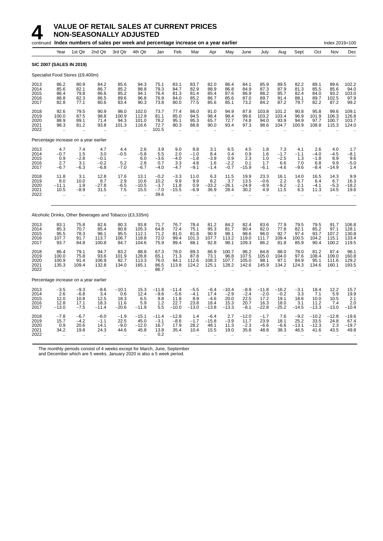

|                                      |                                                        |                                                      | continued Index numbers of sales per week and percentage increase on a year earlier |                                       |                                          |                                            |                                                          |                                            |                                             |                                              |                                                   |                                                         |                                                       |                                                      |                                                       | Index 2019=100                          |                                           |
|--------------------------------------|--------------------------------------------------------|------------------------------------------------------|-------------------------------------------------------------------------------------|---------------------------------------|------------------------------------------|--------------------------------------------|----------------------------------------------------------|--------------------------------------------|---------------------------------------------|----------------------------------------------|---------------------------------------------------|---------------------------------------------------------|-------------------------------------------------------|------------------------------------------------------|-------------------------------------------------------|-----------------------------------------|-------------------------------------------|
|                                      | Year                                                   | 1st Qtr                                              | 2nd Qtr                                                                             | 3rd Qtr                               | 4th Qtr                                  | Jan                                        | Feb                                                      | Mar                                        | Apr                                         | May                                          | June                                              | July                                                    | Aug                                                   | Sept                                                 | Oct                                                   | Nov                                     | Dec                                       |
|                                      | SIC 2007 (SALES IN 2019)                               |                                                      |                                                                                     |                                       |                                          |                                            |                                                          |                                            |                                             |                                              |                                                   |                                                         |                                                       |                                                      |                                                       |                                         |                                           |
|                                      | Specialist Food Stores (£9,400m)                       |                                                      |                                                                                     |                                       |                                          |                                            |                                                          |                                            |                                             |                                              |                                                   |                                                         |                                                       |                                                      |                                                       |                                         |                                           |
| 2013<br>2014<br>2015<br>2016<br>2017 | 86.2<br>85.6<br>86.4<br>88.8<br>82.8                   | 80.9<br>82.1<br>79.8<br>82.3<br>77.1                 | 84.2<br>86.7<br>86.6<br>86.5<br>80.6                                                | 85.6<br>85.2<br>85.2<br>89.6<br>83.4  | 94.3<br>88.8<br>94.1<br>96.8<br>90.3     | 75.1<br>79.3<br>76.4<br>76.9<br>73.8       | 83.1<br>84.7<br>81.3<br>84.0<br>80.0                     | 83.7<br>82.9<br>81.4<br>85.2<br>77.5       | 82.0<br>88.9<br>85.4<br>86.7<br>85.6        | 86.4<br>86.8<br>87.6<br>85.6<br>85.1         | 84.1<br>84.9<br>86.9<br>87.0<br>73.2              | 85.9<br>87.3<br>88.2<br>89.7<br>84.2                    | 89.5<br>87.9<br>85.7<br>91.4<br>87.2                  | 82.2<br>81.3<br>82.4<br>88.1<br>79.7                 | 89.1<br>85.5<br>84.0<br>89.7<br>82.2                  | 89.6<br>85.6<br>93.2<br>102.5<br>87.2   | 102.2<br>94.0<br>103.0<br>97.9<br>99.2    |
| 2018<br>2019<br>2020<br>2021<br>2022 | 92.6<br>100.0<br>88.9<br>98.3                          | 79.5<br>87.5<br>89.1<br>81.2                         | 90.9<br>98.8<br>71.4<br>93.8                                                        | 98.0<br>100.9<br>94.3<br>101.3        | 102.0<br>112.9<br>101.0<br>116.6         | 73.7<br>81.1<br>78.2<br>72.7<br>101.5      | 77.4<br>85.0<br>95.1<br>80.3<br>ä.                       | 86.0<br>94.5<br>95.3<br>88.8               | 91.0<br>98.4<br>65.7<br>90.0                | 94.9<br>98.4<br>72.7<br>93.4                 | 87.8<br>99.6<br>74.8<br>97.3                      | 103.8<br>103.2<br>94.0<br>98.6                          | 101.2<br>103.4<br>93.9<br>104.7                       | 90.8<br>96.9<br>94.9<br>100.9                        | 95.8<br>101.9<br>97.7<br>108.8                        | 99.6<br>106.3<br>100.7<br>115.3         | 109.1<br>126.8<br>103.7<br>124.0          |
|                                      | Percentage increase on a year earlier                  |                                                      |                                                                                     |                                       |                                          |                                            |                                                          |                                            |                                             |                                              |                                                   |                                                         |                                                       |                                                      |                                                       |                                         |                                           |
| 2013<br>2014<br>2015<br>2016<br>2017 | 4.7<br>$-0.7$<br>0.9<br>2.7<br>-6.7                    | 7.4<br>1.5<br>$-2.8$<br>3.1<br>$-6.3$                | 4.7<br>3.0<br>$-0.1$<br>$-0.2$<br>$-6.8$                                            | 4.4<br>$-0.5$<br>5.2<br>$-7.0$        | 2.6<br>$-5.8$<br>6.0<br>2.8<br>$-6.7$    | 3.9<br>5.5<br>$-3.6$<br>0.7<br>$-4.0$      | 9.0<br>2.0<br>$-4.0$<br>3.3<br>$-4.7$                    | 8.8<br>$-1.0$<br>$-1.8$<br>4.8<br>$-9.1$   | 3.1<br>8.4<br>$-3.9$<br>1.6<br>$-1.4$       | 6.5<br>0.4<br>0.9<br>$-2.2$<br>$-0.7$        | 4.5<br>0.9<br>2.3<br>0.1<br>$-15.9$               | 1.8<br>1.6<br>1.0<br>1.7<br>$-6.1$                      | 7.3<br>$-1.7$<br>$-2.5$<br>6.6<br>$-4.6$              | 4.1<br>$-1.1$<br>1.3<br>7.0<br>$-9.6$                | 2.6<br>$-4.0$<br>$-1.8$<br>6.8<br>$-8.4$              | 4.0<br>$-4.5$<br>8.9<br>9.9<br>$-14.9$  | 1.7<br>$-8.1$<br>9.6<br>$-5.0$<br>1.4     |
| 2018<br>2019<br>2020<br>2021<br>2022 | 11.8<br>8.0<br>$-11.1$<br>10.5<br>$\ddot{\phantom{a}}$ | 3.1<br>10.0<br>1.9<br>$-8.9$<br>$\ddot{\phantom{a}}$ | 12.8<br>8.7<br>$-27.8$<br>31.5                                                      | 17.6<br>2.9<br>$-6.5$<br>7.5<br>÷.    | 13.1<br>10.6<br>$-10.5$<br>15.5          | $-0.2$<br>10.2<br>$-3.7$<br>$-7.0$<br>39.6 | $-3.3$<br>9.9<br>11.8<br>$-15.5$<br>$\ddot{\phantom{a}}$ | 11.0<br>9.9<br>0.9<br>$-6.9$               | 6.3<br>8.2<br>$-33.2$<br>36.9               | 11.5<br>3.7<br>$-26.1$<br>28.4               | 19.9<br>13.5<br>$-24.9$<br>30.2<br>$\mathbb{Z}^2$ | 23.3<br>$-0.6$<br>$-8.9$<br>4.9<br>$\ddot{\phantom{a}}$ | 16.1<br>2.2<br>$-9.2$<br>11.5<br>$\ddot{\phantom{a}}$ | 14.0<br>6.7<br>$-2.1$<br>6.3<br>$\ddot{\phantom{a}}$ | 16.5<br>6.4<br>$-4.1$<br>11.3<br>$\ddot{\phantom{a}}$ | 14.3<br>6.7<br>$-5.3$<br>14.5           | 9.9<br>16.3<br>$-18.2$<br>19.6            |
|                                      |                                                        |                                                      | Alcoholic Drinks, Other Beverages and Tobacco (£3,335m)                             |                                       |                                          |                                            |                                                          |                                            |                                             |                                              |                                                   |                                                         |                                                       |                                                      |                                                       |                                         |                                           |
| 2013<br>2014<br>2015<br>2016<br>2017 | 83.1<br>85.3<br>95.5<br>107.7<br>93.7                  | 75.8<br>70.7<br>78.3<br>91.7<br>84.8                 | 82.6<br>85.4<br>96.1<br>113.7<br>100.8                                              | 80.3<br>80.8<br>95.5<br>106.7<br>84.7 | 93.8<br>105.3<br>112.1<br>118.8<br>104.6 | 71.7<br>64.8<br>71.2<br>72.0<br>75.9       | 76.7<br>72.4<br>81.0<br>99.4<br>89.4                     | 78.4<br>75.1<br>81.8<br>101.3<br>88.1      | 81.2<br>95.3<br>90.9<br>107.7<br>92.8       | 84.2<br>81.7<br>98.1<br>113.2<br>98.1        | 82.4<br>80.4<br>98.6<br>119.0<br>109.3            | 83.6<br>82.0<br>96.0<br>111.7<br>86.2                   | 77.9<br>77.8<br>92.7<br>109.4<br>81.8                 | 79.5<br>82.1<br>97.4<br>100.5<br>85.9                | 79.5<br>85.2<br>93.7<br>104.2<br>90.4                 | 91.7<br>97.1<br>107.2<br>115.1<br>100.2 | 106.8<br>128.1<br>130.8<br>133.4<br>119.5 |
| 2018<br>2019<br>2020<br>2021<br>2022 | 86.4<br>100.0<br>100.9<br>135.3<br>ä.                  | 79.1<br>75.8<br>91.4<br>109.4<br>ä,                  | 94.7<br>93.6<br>106.9<br>132.8                                                      | 83.2<br>101.9<br>92.7<br>134.0<br>ä,  | 88.8<br>128.8<br>113.3<br>165.1          | 67.3<br>65.1<br>76.0<br>86.5<br>86.7       | 78.0<br>71.3<br>84.1<br>113.8                            | 89.3<br>87.8<br>112.6<br>124.2             | 86.9<br>73.1<br>108.3<br>125.1              | 100.7<br>96.8<br>107.7<br>128.2              | 96.2<br>107.5<br>105.0<br>142.6                   | 84.8<br>105.0<br>98.1<br>145.9                          | 88.0<br>104.0<br>97.1<br>134.2                        | 78.0<br>97.6<br>84.9<br>124.3                        | 81.2<br>108.4<br>95.1<br>134.6                        | 87.4<br>109.0<br>111.6<br>160.1         | 96.1<br>160.8<br>129.2<br>193.5           |
|                                      | Percentage increase on a year earlier                  |                                                      |                                                                                     |                                       |                                          |                                            |                                                          |                                            |                                             |                                              |                                                   |                                                         |                                                       |                                                      |                                                       |                                         |                                           |
| 2013<br>2014<br>2015<br>2016<br>2017 | $-3.5$<br>2.6<br>12.0<br>12.8<br>$-13.0$               | $-9.3$<br>$-6.8$<br>10.8<br>17.1<br>$-7.5$           | $-8.6$<br>3.4<br>12.5<br>18.3<br>$-11.4$                                            | -10.1<br>0.6<br>18.3<br>11.6<br>-20.6 | 15.3<br>12.4<br>6.5<br>5.9<br>$-11.9$    | $-11.8$<br>$-9.6$<br>9.8<br>1.2<br>5.5     | $-11.4$<br>$-5.6$<br>11.8<br>22.7<br>$-10.0$             | $-5.5$<br>$-4.1$<br>8.9<br>23.8<br>$-13.0$ | $-6.4$<br>17.4<br>$-4.6$<br>18.4<br>$-13.8$ | $-10.4$<br>$-2.9$<br>20.0<br>15.3<br>$-13.3$ | $-8.9$<br>$-2.4$<br>22.5<br>20.7<br>$-8.1$        | $-11.8$<br>$-2.0$<br>17.2<br>16.3<br>$-22.8$            | $-16.2$<br>$-0.2$<br>19.1<br>18.0<br>$-25.2$          | $-3.1$<br>3.3<br>18.6<br>3.1<br>$-14.5$              | 18.4<br>7.1<br>10.0<br>11.2<br>$-13.3$                | 12.2<br>5.9<br>10.5<br>7.4<br>$-13.0$   | 15.7<br>19.9<br>2.1<br>2.0<br>$-10.4$     |
| 2018<br>2019<br>2020<br>2021<br>2022 | $-7.8$<br>15.7<br>0.9<br>34.2                          | $-6.7$<br>$-4.2$<br>20.6<br>19.8                     | $-6.0$<br>$-1.1$<br>14.1<br>24.3                                                    | $-1.9$<br>22.5<br>$-9.0$<br>44.6      | $-15.1$<br>45.0<br>$-12.0$<br>45.8       | $-11.4$<br>$-3.1$<br>16.7<br>13.8<br>0.2   | $-12.8$<br>$-8.6$<br>17.9<br>35.4                        | 1.4<br>$-1.7$<br>28.2<br>10.4              | $-6.4$<br>$-15.8$<br>48.1<br>15.5           | 2.7<br>$-3.9$<br>11.3<br>19.0                | $-12.0$<br>11.7<br>$-2.3$<br>35.8                 | $-1.7$<br>23.9<br>$-6.6$<br>48.8                        | 7.6<br>18.1<br>$-6.6$<br>38.3                         | $-9.2$<br>25.2<br>$-13.1$<br>46.5                    | $-10.2$<br>33.5<br>$-12.3$<br>41.6                    | $-12.8$<br>24.8<br>2.3<br>43.5          | $-19.6$<br>67.4<br>$-19.7$<br>49.8        |

The monthly periods consist of 4 weeks except for March, June, September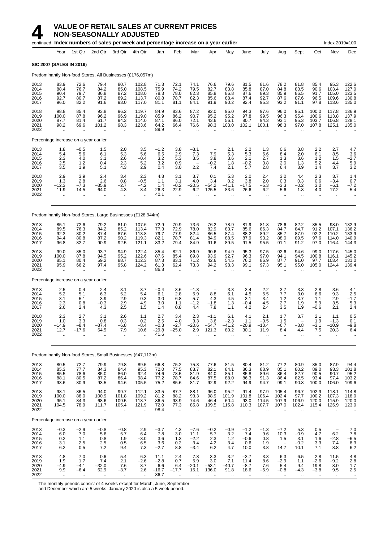|                                      |                                                        |                                                      | continued Index numbers of sales per week and percentage increase on a year earlier |                                                      |                                                          |                                       |                                                      |                                                         |                                                         |                                                       |                                                       |                                                       |                                                      |                                                                       |                                                   | Index 2019=100                                          |                                           |
|--------------------------------------|--------------------------------------------------------|------------------------------------------------------|-------------------------------------------------------------------------------------|------------------------------------------------------|----------------------------------------------------------|---------------------------------------|------------------------------------------------------|---------------------------------------------------------|---------------------------------------------------------|-------------------------------------------------------|-------------------------------------------------------|-------------------------------------------------------|------------------------------------------------------|-----------------------------------------------------------------------|---------------------------------------------------|---------------------------------------------------------|-------------------------------------------|
|                                      | Year                                                   | 1st Qtr                                              | 2nd Qtr                                                                             | 3rd Qtr                                              | 4th Qtr                                                  | Jan                                   | Feb                                                  | Mar                                                     | Apr                                                     | May                                                   | June                                                  | July                                                  | Aug                                                  | Sept                                                                  | Oct                                               | Nov                                                     | Dec                                       |
|                                      | <b>SIC 2007 (SALES IN 2019)</b>                        |                                                      |                                                                                     |                                                      |                                                          |                                       |                                                      |                                                         |                                                         |                                                       |                                                       |                                                       |                                                      |                                                                       |                                                   |                                                         |                                           |
|                                      |                                                        |                                                      | Predominantly Non-food Stores, All Businesses (£176,057m)                           |                                                      |                                                          |                                       |                                                      |                                                         |                                                         |                                                       |                                                       |                                                       |                                                      |                                                                       |                                                   |                                                         |                                           |
| 2013<br>2014<br>2015<br>2016<br>2017 | 83.9<br>88.4<br>90.4<br>92.7<br>96.0                   | 72.6<br>76.7<br>79.7<br>80.7<br>82.2                 | 79.4<br>84.2<br>86.8<br>87.2<br>91.6                                                | 80.7<br>85.0<br>87.2<br>89.2<br>93.0                 | 102.8<br>108.5<br>108.0<br>113.7<br>117.0                | 71.3<br>75.9<br>78.3<br>80.8<br>81.1  | 72.1<br>74.2<br>78.0<br>78.7<br>81.1                 | 74.1<br>79.5<br>82.3<br>82.3<br>84.1                    | 76.6<br>82.7<br>85.8<br>85.6<br>91.9                    | 79.6<br>83.8<br>86.8<br>88.4<br>90.2                  | 81.5<br>85.8<br>87.6<br>87.4<br>92.4                  | 81.6<br>87.0<br>89.3<br>92.7<br>95.3                  | 78.2<br>84.8<br>85.9<br>87.6<br>93.2                 | 81.8<br>83.5<br>86.5<br>87.6<br>91.1                                  | 85.4<br>90.6<br>91.7<br>96.5<br>97.8              | 95.3<br>103.4<br>105.0<br>109.6<br>113.6                | 122.6<br>127.0<br>123.5<br>130.8<br>135.0 |
| 2018<br>2019<br>2020<br>2021<br>2022 | 98.8<br>100.0<br>87.7<br>98.2<br>$\ddotsc$             | 85.4<br>87.8<br>81.4<br>69.6<br>$\epsilon$           | 93.8<br>96.2<br>61.7<br>101.2                                                       | 96.2<br>96.9<br>94.3<br>98.3<br>$\ddotsc$            | 119.7<br>119.0<br>114.0<br>123.6<br>÷.                   | 84.9<br>85.9<br>87.1<br>64.2<br>89.9  | 83.6<br>86.2<br>86.0<br>66.4<br>$\mathbf{r}$         | 87.2<br>90.7<br>72.1<br>76.6<br>$\ddotsc$               | 92.0<br>95.2<br>43.6<br>98.3<br>$\ddot{\phantom{a}}$    | 95.0<br>95.2<br>56.1<br>103.0<br>$\ddot{\phantom{0}}$ | 94.3<br>97.8<br>80.7<br>102.1                         | 97.6<br>99.5<br>94.3<br>100.1<br>$\ddot{\phantom{a}}$ | 96.0<br>96.3<br>93.1<br>98.3<br>÷.                   | 95.1<br>95.4<br>95.3<br>97.0                                          | 100.0<br>100.6<br>103.7<br>107.8                  | 117.8<br>113.8<br>106.8<br>125.1                        | 136.9<br>137.9<br>128.1<br>135.0          |
|                                      | Percentage increase on a year earlier                  |                                                      |                                                                                     |                                                      |                                                          |                                       |                                                      |                                                         |                                                         |                                                       |                                                       |                                                       |                                                      |                                                                       |                                                   |                                                         |                                           |
| 2013<br>2014<br>2015<br>2016<br>2017 | 1.8<br>5.4<br>2.3<br>2.5<br>3.5                        | $-0.5$<br>5.6<br>4.0<br>1.2<br>1.9                   | 1.5<br>6.1<br>3.1<br>0.4<br>5.1                                                     | 2.0<br>5.3<br>2.6<br>2.3<br>4.3                      | 3.5<br>5.6<br>$-0.4$<br>5.2<br>2.9                       | $-1.2$<br>6.5<br>3.2<br>3.2<br>0.4    | 3.8<br>2.9<br>5.3<br>0.9<br>3.0                      | $-3.1$<br>7.3<br>3.5<br>$\overline{\phantom{0}}$<br>2.2 | $\overline{\phantom{0}}$<br>7.9<br>3.8<br>$-0.2$<br>7.4 | 2.1<br>5.3<br>3.6<br>1.8<br>2.1                       | 2.2<br>5.3<br>2.1<br>$-0.2$<br>5.7                    | 1.3<br>6.6<br>2.7<br>3.8<br>2.8                       | 0.6<br>8.4<br>1.3<br>2.0<br>6.4                      | 3.8<br>2.0<br>3.6<br>1.3<br>3.9                                       | 2.2<br>6.1<br>1.2<br>5.2<br>1.4                   | 2.7<br>8.5<br>1.5<br>4.4<br>3.7                         | 4.7<br>$\frac{3.6}{-2.7}$<br>5.9<br>3.2   |
| 2018<br>2019<br>2020<br>2021<br>2022 | 2.9<br>1.3<br>$-12.3$<br>11.9                          | 3.9<br>2.8<br>$-7.3$<br>-14.5                        | 2.4<br>2.6<br>$-35.9$<br>64.0                                                       | 3.4<br>0.8<br>$-2.7$<br>4.3<br>$\ddotsc$             | 2.3<br>$-0.5$<br>$-4.2$<br>8.4                           | 4.8<br>1.1<br>1.4<br>$-26.3$<br>40.1  | 3.1<br>3.1<br>$-0.2$<br>–22.9                        | 3.7<br>4.0<br>$-20.5$<br>6.2<br>$\ddot{\phantom{a}}$    | 0.1<br>3.4<br>$-54.2$<br>125.5                          | 5.3<br>0.2<br>$-41.1$<br>83.6                         | 2.0<br>3.8<br>$-17.5$<br>26.6<br>$\ddot{\phantom{a}}$ | 2.4<br>2.0<br>$-5.3$<br>6.2<br>$\mathbf{r}$           | 3.0<br>0.3<br>$-3.3$<br>5.6<br>$\mathbf{r}$          | 4.4<br>0.3<br>$-0.\overline{2}$<br>1.8<br>$\ddot{\phantom{a}}$        | 2.3<br>0.6<br>3.0<br>4.0<br>ä.                    | 3.7<br>$-3.4$<br>$-6.1$<br>17.2<br>$\ddot{\phantom{a}}$ | 1.4<br>0.7<br>$-7.2$<br>5.4               |
|                                      |                                                        |                                                      | Predominantly Non-food Stores, Large Businesses (£128,944m)                         |                                                      |                                                          |                                       |                                                      |                                                         |                                                         |                                                       |                                                       |                                                       |                                                      |                                                                       |                                                   |                                                         |                                           |
| 2013<br>2014<br>2015<br>2016<br>2017 | 85.1<br>89.5<br>92.3<br>94.4<br>96.8                   | 72.6<br>76.3<br>80.2<br>80.8<br>82.7                 | 79.2<br>84.2<br>87.4<br>87.2<br>90.9                                                | 81.0<br>85.2<br>87.6<br>90.2<br>92.5                 | 107.6<br>113.4<br>113.8<br>119.3<br>121.1                | 72.9<br>77.3<br>79.7<br>82.1<br>83.2  | 70.9<br>72.9<br>77.9<br>78.7<br>79.4                 | 73.6<br>78.0<br>82.4<br>81.4<br>84.9                    | 76.2<br>82.9<br>86.5<br>84.9<br>91.6                    | 78.9<br>83.7<br>87.4<br>88.5<br>89.5                  | 81.9<br>85.6<br>88.2<br>87.9<br>91.5                  | 81.8<br>86.3<br>89.2<br>93.2<br>95.5                  | 78.6<br>84.7<br>85.7<br>88.0<br>91.1                 | 82.2<br>84.7<br>87.9<br>89.5<br>91.2                                  | 85.5<br>91.2<br>92.2<br>97.6<br>97.0              | 98.0<br>107.1<br>110.2<br>114.0<br>116.4                | 132.9<br>136.2<br>133.9<br>140.9<br>144.3 |
| 2018<br>2019<br>2020<br>2021<br>2022 | 99.0<br>100.0<br>85.1<br>95.9<br>ă,                    | 85.0<br>87.8<br>80.4<br>66.2<br>$\ddot{\phantom{1}}$ | 93.7<br>94.5<br>59.2<br>97.4                                                        | 94.9<br>95.2<br>88.7<br>95.8<br>$\ddot{\phantom{a}}$ | 122.4<br>122.6<br>112.3<br>124.2<br>$\ddot{\phantom{1}}$ | 85.4<br>87.6<br>87.3<br>61.3<br>86.8  | 82.1<br>85.4<br>83.1<br>62.4<br>$\ddot{\phantom{a}}$ | 86.9<br>89.8<br>71.2<br>73.3<br>$\mathbf{r}$            | 90.6<br>93.9<br>42.6<br>94.2<br>$\ddot{\phantom{a}}$    | 94.9<br>92.7<br>54.5<br>98.3<br>ä.                    | 95.3<br>96.3<br>76.2<br>99.1<br>$\ddot{\phantom{1}}$  | 97.5<br>97.0<br>86.9<br>97.3<br>$\ddot{\phantom{a}}$  | 92.6<br>94.1<br>87.7<br>95.1<br>$\ddot{\phantom{1}}$ | 94.6<br>94.5<br>91.0<br>95.0                                          | 99.0<br>100.8<br>97.7<br>105.0                    | 117.6<br>116.1<br>103.4<br>124.4                        | 145.0<br>145.2<br>131.0<br>139.4          |
|                                      | Percentage increase on a year earlier                  |                                                      |                                                                                     |                                                      |                                                          |                                       |                                                      |                                                         |                                                         |                                                       |                                                       |                                                       |                                                      |                                                                       |                                                   |                                                         |                                           |
| 2013<br>2014<br>2015<br>2016<br>2017 | 2.5<br>5.2<br>3.1<br>2.3<br>2.6                        | 0.4<br>5.1<br>5.1<br>0.8<br>2.4                      | 2.4<br>6.3<br>3.9<br>$-0.3$<br>4.3                                                  | 3.1<br>5.2<br>2.9<br>2.9<br>2.5                      | 3.7<br>5.4<br>0.3<br>4.9<br>1.5                          | $-0.4$<br>6.1<br>3.0<br>3.0<br>1.4    | 3.6<br>2.8<br>6.8<br>1.1<br>0.8                      | $-1.3$<br>5.9<br>5.7<br>$-1.2$<br>4.4                   | 8.8<br>4.3<br>$-1.8$<br>7.8                             | 3.3<br>6.1<br>4.5<br>1.3<br>1.1                       | 3.4<br>4.5<br>3.1<br>$-0.4$<br>4.2                    | 2.2<br>5.5<br>3.4<br>4.5<br>2.4                       | 3.7<br>7.7<br>1.2<br>2.7<br>3.5                      | 3.3<br>3.0<br>3.7<br>1.9<br>1.9                                       | 2.8<br>6.6<br>1.1<br>5.9<br>$-0.6$                | 3.6<br>9.3<br>2.9<br>3.5<br>2.1                         | 4.1<br>2.5<br>$-1.7$<br>5.3<br>2.4        |
| 2018<br>2019<br>2020<br>2021<br>2022 | 2.3<br>1.0<br>14.9<br>12.7<br>$\ddot{\phantom{a}}$     | 2.7<br>3.3<br>-8.4<br>-17.6<br>ä,                    | 3.1<br>0.8<br>37.4<br>64.5                                                          | 2.6<br>0.3<br>-6.8<br>7.9<br>$\ddot{\phantom{a}}$    | 1.1<br>0.2<br>8.4<br>10.6                                | 2.7<br>2.5<br>-0.3<br>$-29.8$<br>41.6 | 3.4<br>4.0<br>2.7<br>$-25.0$<br>$\ddot{\phantom{0}}$ | 2.3<br>3.3<br>20.6<br>2.9<br>$\ddot{\phantom{a}}$       | $-1.1$<br>3.6<br>54.7<br>121.3                          | 6.1<br>$-2.3$<br>41.2<br>80.2<br>ä.                   | 4.1<br>1.1<br>20.9<br>30.1<br>$\ddotsc$               | 2.1<br>$-0.5$<br>10.4<br>11.9<br>$\ddot{\phantom{a}}$ | 1.7<br>1.5<br>6.7<br>8.4<br>$\ddot{\phantom{a}}$     | 3.7<br>$\overline{\phantom{0}}$<br>3.8<br>4.4<br>$\ddot{\phantom{a}}$ | 2.1<br>1.9<br>-3.1<br>7.5<br>$\ddot{\phantom{a}}$ | 1.1<br>$-1.3$<br>-10.9<br>20.3<br>$\ddot{\phantom{a}}$  | 0.5<br>0.1<br>-9.8<br>6.4                 |
|                                      |                                                        |                                                      | Predominantly Non-food Stores, Small Businesses (£47,113m)                          |                                                      |                                                          |                                       |                                                      |                                                         |                                                         |                                                       |                                                       |                                                       |                                                      |                                                                       |                                                   |                                                         |                                           |
| 2013<br>2014<br>2015<br>2016<br>2017 | 80.5<br>85.3<br>85.5<br>88.1<br>93.6                   | 72.7<br>77.7<br>78.6<br>80.5<br>80.9                 | 79.9<br>84.3<br>85.0<br>87.2<br>93.5                                                | 79.8<br>84.4<br>86.0<br>86.4<br>94.6                 | 89.5<br>95.3<br>92.4<br>98.4<br>105.5                    | 66.8<br>72.0<br>74.6<br>77.2<br>75.2  | 75.2<br>77.5<br>78.5<br>78.7<br>85.6                 | 75.3<br>83.7<br>81.9<br>84.6<br>81.7                    | 77.6<br>82.1<br>84.0<br>87.5<br>92.9                    | 81.5<br>84.1<br>85.1<br>88.0<br>92.2                  | 80.4<br>86.3<br>85.8<br>86.3<br>94.9                  | 81.2<br>88.9<br>89.6<br>91.3<br>94.7                  | 77.2<br>85.1<br>86.4<br>86.4<br>99.1                 | 80.9<br>80.2<br>82.7<br>82.5<br>90.8                                  | 85.0<br>89.0<br>90.5<br>93.4<br>100.0             | 87.9<br>93.3<br>90.7<br>97.4<br>106.0                   | 94.4<br>101.8<br>$95.2$<br>103.2<br>109.6 |
| 2018<br>2019<br>2020<br>2021<br>2022 | 98.1<br>100.0<br>95.1<br>104.5<br>$\ddot{\phantom{a}}$ | 86.5<br>88.0<br>84.3<br>78.9<br>$\ddotsc$            | 94.0<br>100.9<br>68.6<br>111.7<br>$\ddotsc$                                         | 99.7<br>101.8<br>109.5<br>105.4<br>$\ddotsc$         | 112.1<br>109.2<br>118.7<br>121.9                         | 83.5<br>81.2<br>86.5<br>72.0<br>98.4  | 87.7<br>88.2<br>93.9<br>77.3<br>$\ldots$             | 88.1<br>93.3<br>74.6<br>85.8                            | 96.0<br>98.9<br>46.4<br>109.5                           | 95.2<br>101.9<br>60.4<br>115.8                        | 91.4<br>101.8<br>93.0<br>110.3                        | 97.9<br>106.4<br>114.5<br>107.7                       | 105.4<br>102.4<br>107.9<br>107.0                     | 96.7<br>97.7<br>106.9<br>102.4                                        | 102.9<br>100.2<br>120.0<br>115.4                  | 118.1<br>107.3<br>115.9<br>126.9                        | 114.8<br>118.0<br>120.0<br>123.0          |
|                                      | Percentage increase on a year earlier                  |                                                      |                                                                                     |                                                      |                                                          |                                       |                                                      |                                                         |                                                         |                                                       |                                                       |                                                       |                                                      |                                                                       |                                                   |                                                         |                                           |
| 2013<br>2014<br>2015                 | $-0.3$<br>6.0<br>0.2                                   | $-2.9$<br>7.0<br>1.1                                 | $-0.8$<br>5.6<br>0.8                                                                | $-0.8$<br>5.7<br>1.9                                 | 2.9<br>6.4<br>$-3.0$                                     | $-3.7$<br>7.8<br>3.6                  | 4.3<br>3.0<br>1.3                                    | $-7.6$<br>11.1<br>$-2.2$                                | $-0.2$<br>5.7<br>2.3                                    | $-0.9$<br>3.2<br>1.2                                  | $-1.2$<br>7.4<br>$-0.6$                               | $-1.3$<br>9.6<br>0.8                                  | $-7.2$<br>10.3<br>1.5                                | 5.3<br>$-0.9$<br>3.1                                                  | 0.5<br>4.7<br>1.6                                 | 6.2<br>$-2.8$                                           | $7.0$<br>$7.8$<br>$-6.5$                  |

2016 3.1 2.5 2.5 0.5 6.5 3.6 0.2 3.4 4.2 3.4 0.6 1.9 − −0.2 3.3 7.4 8.3 2017 6.2 0.5 7.2 9.4 7.3 −2.7 8.8 −3.4 6.2 4.7 10.0 3.8 14.7 10.1 7.1 8.8 6.2 2018 4.8 7.0 0.6 5.4 6.3 11.1 2.4 7.8 3.3 3.2 −3.7 3.3 6.3 6.5 2.8 11.5 4.8 2019 1.9 1.7 7.4 2.1 −2.6 −2.8 0.7 5.9 3.0 7.1 11.4 8.6 −2.9 1.1 −2.6 −9.2 2.8 2020 −4.9 −4.1 −32.0 7.6 8.7 6.6 6.4 −20.1 −53.1 −40.7 −8.7 7.6 5.4 9.4 19.8 8.0 1.7 2021 9.9 −6.4 62.9 −3.7 2.6 −16.7 −17.7 15.1 136.0 91.8 18.6 −5.9 −0.8 −4.3 −3.8 9.5 2.5 2022 .. .. .. .. .. 36.7 .. .. .. .. .. .. .. .. .. .. ..

The monthly periods consist of 4 weeks except for March, June, September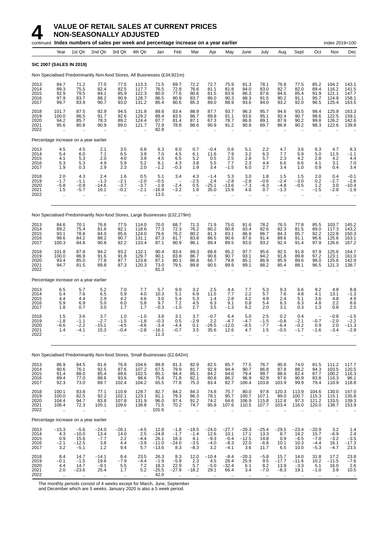|                                      |                                                        |                                                           | continued Index numbers of sales per week and percentage increase on a year earlier |                                                           |                                           |                                            |                                                      |                                                      |                                                      |                                              |                                             |                                                        |                                                           |                                                                  |                                                     | Index 2019=100                                         |                                           |
|--------------------------------------|--------------------------------------------------------|-----------------------------------------------------------|-------------------------------------------------------------------------------------|-----------------------------------------------------------|-------------------------------------------|--------------------------------------------|------------------------------------------------------|------------------------------------------------------|------------------------------------------------------|----------------------------------------------|---------------------------------------------|--------------------------------------------------------|-----------------------------------------------------------|------------------------------------------------------------------|-----------------------------------------------------|--------------------------------------------------------|-------------------------------------------|
|                                      | Year                                                   | 1st Qtr                                                   | 2nd Qtr                                                                             | 3rd Qtr                                                   | 4th Qtr                                   | Jan                                        | Feb                                                  | Mar                                                  | Apr                                                  | May                                          | June                                        | July                                                   | Aug                                                       | Sept                                                             | Oct                                                 | Nov                                                    | Dec                                       |
|                                      |                                                        | <b>SIC 2007 (SALES IN 2019)</b>                           |                                                                                     |                                                           |                                           |                                            |                                                      |                                                      |                                                      |                                              |                                             |                                                        |                                                           |                                                                  |                                                     |                                                        |                                           |
|                                      |                                                        |                                                           | Non Specialised Predominantly Non-food Stores, All Businesses (£34,921m)            |                                                           |                                           |                                            |                                                      |                                                      |                                                      |                                              |                                             |                                                        |                                                           |                                                                  |                                                     |                                                        |                                           |
| 2013<br>2014<br>2015<br>2016<br>2017 | 84.7<br>89.3<br>92.9<br>97.9<br>99.7                   | 71.2<br>$75.\overline{5}$<br>79.5<br>83.7<br>83.9         | 77.0<br>82.4<br>84.1<br>88.2<br>90.7                                                | 77.5<br>82.5<br>85.9<br>90.9<br>93.0                      | 113.3<br>117.7<br>122.3<br>128.7<br>131.2 | 71.5<br>76.5<br>80.0<br>86.5<br>85.4       | 69.7<br>72.8<br>77.6<br>80.9<br>80.6                 | 72.2<br>76.6<br>80.6<br>83.7<br>85.3                 | 72.7<br>81.1<br>81.5<br>86.0<br>89.0                 | 75.9<br>81.8<br>83.9<br>90.3<br>88.9         | 81.3<br>84.0<br>86.3<br>88.3<br>93.6        | 78.1<br>83.0<br>87.6<br>91.5<br>94.0                   | 76.8<br>82.7<br>84.6<br>90.2<br>93.2                      | 77.5<br>82.0<br>85.4<br>91.1<br>92.0                             | 85.2<br>89.4<br>91.9<br>95.7<br>96.5                | 104.2<br>116.2<br>121.1<br>124.9<br>125.4              | 143.1<br>141.5<br>147.7<br>158.1<br>163.5 |
| 2018<br>2019<br>2020<br>2021<br>2022 | 101.7<br>100.0<br>94.2<br>95.6<br>÷.                   | 87.5<br>86.5<br>85.7<br>80.8<br>$\ddot{\phantom{a}}$      | 92.9<br>91.7<br>78.3<br>90.9<br>ä.                                                  | 94.5<br>92.6<br>89.2<br>89.0<br>$\ddotsc$                 | 131.8<br>129.2<br>124.4<br>121.7<br>÷.    | 89.8<br>89.4<br>87.7<br>72.9<br>82.8       | 83.4<br>83.5<br>81.4<br>78.8<br>÷.                   | 88.9<br>86.7<br>87.1<br>88.6<br>$\ddotsc$            | 87.7<br>89.8<br>67.3<br>90.9<br>$\ddotsc$            | 93.7<br>91.1<br>78.7<br>91.2<br>$\mathbf{r}$ | 96.3<br>93.6<br>86.8<br>90.8<br>$\ddotsc$   | 95.7<br>95.1<br>89.1<br>89.7                           | 94.6<br>92.4<br>87.9<br>86.8<br>$\ddot{\phantom{a}}$      | 93.5<br>90.7<br>90.2<br>90.2<br>$\ddot{\phantom{a}}$             | 98.4<br>98.6<br>99.8<br>98.3                        | 125.9<br>122.5<br>126.2<br>122.6                       | 163.3<br>159.1<br>142.6<br>139.8          |
|                                      |                                                        |                                                           | Percentage increase on a year earlier                                               |                                                           |                                           |                                            |                                                      |                                                      |                                                      |                                              |                                             |                                                        |                                                           |                                                                  |                                                     |                                                        |                                           |
| 2013<br>2014<br>2015<br>2016<br>2017 | 4.5<br>5.4<br>4.1<br>5.3<br>1.9                        | 4.5<br>6.0<br>5.3<br>5.3<br>0.3                           | 2.1<br>7.1<br>2.0<br>4.9<br>2.9                                                     | 3.5<br>6.5<br>4.0<br>5.9<br>2.3                           | 6.8<br>3.9<br>3.9<br>5.2<br>2.0           | 6.3<br>7.0<br>4.5<br>8.1<br>$-1.2$         | 8.0<br>4.5<br>6.5<br>4.3<br>$-0.3$                   | 0.7<br>6.1<br>5.2<br>3.8<br>1.9                      | $-0.4$<br>11.6<br>0.5<br>5.5<br>3.4                  | 0.6<br>7.9<br>2.5<br>7.7<br>$-1.5$           | 5.1<br>3.2<br>2.8<br>2.3<br>6.0             | 2.2<br>6.3<br>5.7<br>4.4<br>2.7                        | 4.7<br>7.7<br>2.3<br>6.6<br>3.4                           | 3.6<br>5.9<br>4.2<br>6.6<br>1.0                                  | 6.3<br>5.0<br>2.8<br>4.1<br>0.9                     | 4.7<br>11.5<br>4.2<br>3.1<br>0.4                       | 8.3<br>$-1.1$<br>4.4<br>7.0<br>3.4        |
| 2018<br>2019<br>2020<br>2021<br>2022 | 2.0<br>$-1.7$<br>$-5.8$<br>1.5<br>$\ddot{\phantom{a}}$ | 4.3<br>$-1.1$<br>$-0.9$<br>$-5.7$<br>$\ddot{\phantom{a}}$ | 2.4<br>$-1.3$<br>$-14.6$<br>16.1                                                    | 1.6<br>$-2.1$<br>$-3.7$<br>$-0.2$<br>$\ddot{\phantom{a}}$ | 0.5<br>$-2.0$<br>$-3.7$<br>$-2.1$         | 5.1<br>$-0.5$<br>$-1.9$<br>$-16.9$<br>13.5 | 3.4<br>$-2.4$<br>$-3.2$<br>$\ddot{\phantom{a}}$      | 4.3<br>$-2.5$<br>0.5<br>1.8<br>$\ddot{\phantom{a}}$  | $-1.4$<br>2.4<br>$-25.1$<br>35.0                     | 5.3<br>$-2.8$<br>$-13.6$<br>15.9             | 3.0<br>$-2.8$<br>$-7.3$<br>4.6<br>$\ddotsc$ | 1.8<br>$-0.6$<br>$-6.3$<br>0.7<br>$\ddot{\phantom{a}}$ | 1.5<br>$-2.4$<br>$-4.8$<br>$-1.3$<br>$\ddot{\phantom{a}}$ | 1.5<br>$-3.0$<br>$-0.5$<br>$\overline{\phantom{0}}$<br>$\ddotsc$ | 2.0<br>0.2<br>1.2<br>$-1.5$<br>$\ddot{\phantom{a}}$ | 0.4<br>$-2.7$<br>3.0<br>$-2.8$<br>$\ddot{\phantom{a}}$ | $-0.1$<br>$-2.6$<br>$-10.4$<br>$-1.9$     |
|                                      |                                                        |                                                           | Non Specialised Predominantly Non-food Stores, Large Businesses (£32,279m)          |                                                           |                                           |                                            |                                                      |                                                      |                                                      |                                              |                                             |                                                        |                                                           |                                                                  |                                                     |                                                        |                                           |
| 2013<br>2014<br>2015<br>2016<br>2017 | 84.6<br>89.2<br>93.1<br>98.6<br>100.3                  | 70.1<br>75.4<br>78.8<br>84.2<br>84.8                      | 76.6<br>81.6<br>84.0<br>88.2<br>90.8                                                | 77.5<br>82.1<br>85.6<br>90.7<br>92.2                      | 114.0<br>118.6<br>124.0<br>131.1<br>133.4 | 70.0<br>77.3<br>79.6<br>87.3<br>87.1       | 68.7<br>72.3<br>76.2<br>81.7<br>80.9                 | 71.3<br>76.2<br>80.2<br>83.8<br>86.1                 | 71.9<br>80.2<br>81.3<br>86.5<br>89.4                 | 75.0<br>80.8<br>83.1<br>90.6<br>89.5         | 81.6<br>83.4<br>86.9<br>87.6<br>93.0        | 78.2<br>82.6<br>86.7<br>91.4<br>93.2                   | 76.5<br>82.3<br>84.3<br>89.6<br>92.4                      | 77.8<br>81.5<br>85.7<br>91.1<br>91.4                             | 85.5<br>89.0<br>92.2<br>96.6<br>97.9                | 103.7<br>117.3<br>122.8<br>125.6<br>126.6              | 145.2<br>143.2<br>150.3<br>163.1<br>167.2 |
| 2018<br>2019<br>2020<br>2021<br>2022 | 101.8<br>100.0<br>93.4<br>94.7<br>÷.                   | 87.8<br>86.9<br>85.0<br>81.5<br>ä.                        | 94.2<br>91.6<br>77.8<br>89.8                                                        | 93.2<br>91.8<br>87.7<br>87.3<br>$\ddot{\phantom{a}}$      | 132.1<br>129.7<br>123.8<br>120.3          | 90.4<br>90.1<br>87.1<br>73.0<br>81.3       | 83.4<br>83.8<br>80.1<br>79.5<br>$\ddot{\phantom{a}}$ | 89.3<br>86.7<br>86.8<br>89.8<br>$\ddot{\phantom{a}}$ | 88.8<br>90.8<br>66.7<br>90.5<br>$\ddot{\phantom{a}}$ | 95.2<br>90.7<br>79.8<br>89.9<br>$\sim$       | 97.7<br>93.1<br>85.1<br>89.1                | 95.6<br>94.2<br>86.9<br>88.2<br>$\ddot{\phantom{a}}$   | 92.5<br>91.8<br>85.9<br>85.4                              | 91.8<br>89.8<br>89.6<br>88.1<br>$\ddot{\phantom{a}}$             | 97.9<br>97.2<br>98.0<br>96.5                        | 125.6<br>123.1<br>125.6<br>121.3                       | 164.7<br>161.0<br>142.9<br>138.7          |
|                                      |                                                        |                                                           | Percentage increase on a year earlier                                               |                                                           |                                           |                                            |                                                      |                                                      |                                                      |                                              |                                             |                                                        |                                                           |                                                                  |                                                     |                                                        |                                           |
| 2013<br>2014<br>2015<br>2016<br>2017 | 6.5<br>5.4<br>4.4<br>5.9<br>1.8                        | 5.7<br>7.6<br>4.4<br>6.9<br>0.7                           | 5.2<br>6.5<br>2.9<br>5.0<br>3.0                                                     | 7.0<br>5.9<br>4.2<br>6.0<br>1.7                           | 7.7<br>4.0<br>4.6<br>5.8<br>1.7           | 5.7<br>10.3<br>3.0<br>9.7<br>$-0.3$        | 9.0<br>5.1<br>5.4<br>7.2<br>$-1.0$                   | 3.2<br>6.9<br>5.3<br>4.5<br>2.7                      | 2.5<br>11.5<br>1.4<br>6.3<br>3.5                     | 4.4<br>7.7<br>2.8<br>9.1<br>$-1.3$           | 7.7<br>2.2<br>4.2<br>0.8<br>6.2             | 5.3<br>5.7<br>4.9<br>5.4<br>2.0                        | 9.3<br>7.6<br>2.4<br>6.3<br>3.1                           | 6.6<br>4.8<br>5.1<br>6.3<br>0.3                                  | 9.2<br>4.1<br>3.6<br>4.8<br>1.3                     | 4.8<br>13.1<br>4.8<br>2.2<br>0.8                       | $8.8 - 1.3$<br>4.9<br>8.6<br>2.5          |
| 2018<br>2019<br>2020<br>2021<br>2022 | 1.5<br>-1.8<br>-6.6<br>1.4<br>$\ddotsc$                | 3.6<br>$-1.1$<br>$-2.2$<br>$-4.1$<br>$\ddot{\phantom{a}}$ | 3.7<br>-2.7<br>-15.1<br>15.3                                                        | 1.0<br>$-1.5$<br>-4.5<br>$-0.4$<br>$\ddotsc$              | $-1.0$<br>$-1.8$<br>$-4.6$<br>$-2.8$      | 3.8<br>$-0.3$<br>$-3.4$<br>$-16.1$<br>11.3 | 3.1<br>0.5<br>$-4.4$<br>$-0.7$                       | 3.7<br>$-2.9$<br>0.1<br>3.5<br>$\ddot{\phantom{a}}$  | $-0.7$<br>2.2<br>$-26.5$<br>35.6                     | 6.4<br>-4.7<br>$-12.0$<br>12.6               | 5.0<br>-4.7<br>-8.5<br>4.7<br>$\ddotsc$     | 2.5<br>$-1.5$<br>1.5<br>$\ddotsc$                      | 0.2<br>-0.8<br>-6.4<br>-0.5                               | 0.4<br>$-2.1$<br>$-0.2$<br>$-1.7$<br>$\ddotsc$                   | $-0.7$<br>0.9<br>$-1.6$<br>$\ddot{\phantom{a}}$     | $-0.8$<br>-2.0<br>2.0<br>$-3.4$<br>$\ddotsc$           | $-1.5$<br>$-2.2$<br>$-11.3$<br>$-2.9$     |
|                                      |                                                        |                                                           | Non Specialised Predominantly Non-food Stores, Small Businesses (£2,642m)           |                                                           |                                           |                                            |                                                      |                                                      |                                                      |                                              |                                             |                                                        |                                                           |                                                                  |                                                     |                                                        |                                           |
| 2013<br>2014<br>2015<br>2016<br>2017 | 86.9<br>90.6<br>91.4<br>89.4<br>92.3                   | 84.5<br>76.1<br>88.0<br>77.0<br>73.0                      | 81.6<br>92.5<br>85.4<br>88.6<br>89.7                                                | 76.9<br>87.6<br>89.6<br>93.6<br>102.4                     | 104.6<br>107.2<br>102.5<br>98.6<br>104.2  | 89.8<br>67.5<br>85.1<br>75.8<br>65.5       | 81.3<br>79.9<br>94.4<br>71.8<br>77.8                 | 82.9<br>81.7<br>85.1<br>82.1<br>75.3                 | 82.5<br>92.9<br>84.2<br>80.8<br>83.4                 | 85.7<br>94.4<br>94.0<br>86.2<br>82.7         | 77.5<br>90.7<br>79.4<br>96.9<br>100.4       | 76.7<br>86.8<br>99.7<br>92.9<br>103.8                  | 80.8<br>87.8<br>88.6<br>97.6<br>103.9                     | 74.0<br>88.2<br>82.4<br>90.9<br>99.9                             | 81.5<br>94.3<br>87.7<br>83.8<br>79.4                | 111.2<br>103.5<br>100.2<br>116.3<br>110.9              | 117.7<br>120.5<br>116.3<br>96.1<br>118.8  |
| 2018                                 | 100.1                                                  | 83.8                                                      | 77.1                                                                                | 110.9                                                     | 128.7                                     | 82.7                                       | 84.2                                                 | 84.3                                                 | 74.8                                                 | 75.7                                         | 80.0                                        | 97.8                                                   | 120.3                                                     | 113.9                                                            | 104.6                                               | 130.0                                                  | 147.0                                     |

2019 100.0 82.5 92.2 102.1 123.1 81.1 79.3 86.3 78.1 95.7 100.7 107.1 99.0 100.7 115.3 115.1 135.8 2020 104.4 94.7 83.8 107.8 131.9 96.0 97.4 91.2 74.2 64.6 106.9 115.8 112.8 97.3 121.2 133.5 139.3 2021 106.4 72.3 105.1 109.6 138.8 71.5 70.2 74.7 95.8 107.6 110.5 107.7 103.4 116.0 120.0 138.7 153.9 2022 .. .. .. .. .. 101.6 .. .. .. .. .. .. .. .. .. .. ..

2013 −15.3 −5.6 −24.0 −26.1 −4.5 12.8 −1.8 −19.5 −24.0 −27.7 −20.3 −25.4 −29.5 −23.4 −20.9 3.2 1.4 2014 4.3 −10.0 13.4 14.0 2.5 −24.8 −1.7 −1.4 12.6 10.1 17.1 13.3 8.7 19.2 15.7 −6.9 2.4 2015 0.9 15.6 −7.7 2.2 −4.4 26.1 18.3 4.1 −9.3 −0.4 −12.5 14.8 0.9 −6.5 −7.0 −3.2 −3.5 2016 −2.1 −12.5 3.8 4.4 −3.9 −11.0 −24.0 −3.5 −4.0 −8.3 22.0 −6.8 10.1 10.3 −4.4 16.1 −17.3 2017 3.2 −5.1 1.2 9.4 5.7 −13.6 8.3 −8.3 3.2 −4.1 3.6 11.7 6.5 10.0 −5.3 −4.7 23.5 2018 8.4 14.7 −14.1 8.4 23.5 26.3 8.3 12.0 −10.4 −8.4 −20.3 −5.8 15.7 14.0 31.8 17.2 23.8 2019 −0.1 −1.5 19.6 −7.9 −4.4 −1.9 −5.9 2.3 4.5 26.4 25.9 9.5 −17.7 −11.6 10.2 −11.5 −7.6 2020 4.4 14.7 −9.1 5.5 7.2 18.3 22.9 5.7 −5.0 −32.4 6.1 8.2 13.9 −3.3 5.1 16.0 2.6 2021 2.0 −23.6 25.4 1.7 5.2 −25.5 −27.9 −18.2 29.1 66.4 3.4 −7.0 −8.3 19.1 −1.0 3.9 10.5 2022 .. .. .. .. .. 42.0 .. .. .. .. .. .. .. .. .. .. ..

The monthly periods consist of 4 weeks except for March, June, September

and December which are 5 weeks. January 2020 is also a 5 week period.

Percentage increase on a year earlier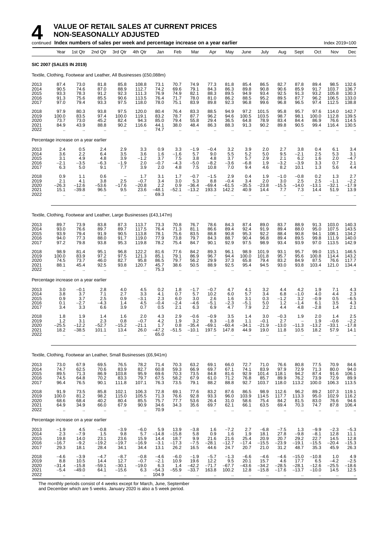**NON-SEASONALLY ADJUSTED**

|                                      |                                                         |                                                          | continued Index numbers of sales per week and percentage increase on a year earlier |                                                                           |                                                          |                                             |                                              |                                                      |                                                      |                                                      |                                              |                                            |                                              |                                              |                                                       | Index 2019=100                                |                                                  |
|--------------------------------------|---------------------------------------------------------|----------------------------------------------------------|-------------------------------------------------------------------------------------|---------------------------------------------------------------------------|----------------------------------------------------------|---------------------------------------------|----------------------------------------------|------------------------------------------------------|------------------------------------------------------|------------------------------------------------------|----------------------------------------------|--------------------------------------------|----------------------------------------------|----------------------------------------------|-------------------------------------------------------|-----------------------------------------------|--------------------------------------------------|
|                                      | Year                                                    | 1st Qtr                                                  | 2nd Qtr                                                                             | 3rd Qtr                                                                   | 4th Qtr                                                  | Jan                                         | Feb                                          | Mar                                                  | Apr                                                  | May                                                  | June                                         | July                                       | Aug                                          | Sept                                         | Oct                                                   | Nov                                           | Dec                                              |
|                                      | <b>SIC 2007 (SALES IN 2019)</b>                         |                                                          |                                                                                     |                                                                           |                                                          |                                             |                                              |                                                      |                                                      |                                                      |                                              |                                            |                                              |                                              |                                                       |                                               |                                                  |
|                                      |                                                         |                                                          | Textile, Clothing, Footwear and Leather, All Businesses (£50,088m)                  |                                                                           |                                                          |                                             |                                              |                                                      |                                                      |                                                      |                                              |                                            |                                              |                                              |                                                       |                                               |                                                  |
| 2013<br>2014<br>2015<br>2016<br>2017 | 87.4<br>90.5<br>93.3<br>91.3<br>97.0                    | 73.0<br>74.6<br>78.3<br>75.6<br>79.4                     | 81.8<br>87.0<br>91.2<br>85.5<br>93.3                                                | 85.8<br>88.9<br>92.3<br>90.6<br>97.5                                      | 108.8<br>112.7<br>111.3<br>113.5<br>118.0                | 73.1<br>74.2<br>76.9<br>76.4<br>78.0        | 70.7<br>69.6<br>74.9<br>71.7<br>75.1         | 74.9<br>79.1<br>82.1<br>78.0<br>83.9                 | 77.3<br>84.3<br>88.3<br>81.0<br>89.8                 | 81.8<br>86.3<br>89.5<br>86.2<br>92.3                 | 85.4<br>89.8<br>94.9<br>88.5<br>96.8         | 86.5<br>90.8<br>93.4<br>95.2<br>99.6       | 82.7<br>90.6<br>92.5<br>89.5<br>96.8         | 87.8<br>85.9<br>91.3<br>87.7<br>96.5         | 89.4<br>91.7<br>93.2<br>96.2<br>97.4                  | 98.5<br>103.7<br>105.8<br>106.5<br>112.5      | 132.6<br>136.7<br>130.3<br>133.0<br>138.8        |
| 2018<br>2019<br>2020<br>2021<br>2022 | 97.9<br>100.0<br>73.7<br>84.9                           | 80.3<br>83.5<br>73.0<br>43.9<br>$\bar{\mathbf{r}}$       | 93.8<br>97.4<br>45.2<br>88.8<br>                                                    | 97.5<br>100.0<br>82.4<br>90.2<br>$\bar{\mathbf{r}}$                       | 120.0<br>119.1<br>94.3<br>116.6<br>$\ddot{\phantom{a}}$  | 80.4<br>83.2<br>85.0<br>44.1<br>74.7        | 76.4<br>78.7<br>79.4<br>38.0<br>$\ddotsc$    | 83.3<br>87.7<br>55.8<br>48.4<br>$\ddot{\phantom{a}}$ | 88.5<br>96.2<br>29.4<br>86.3<br>$\ddot{\phantom{a}}$ | 94.9<br>94.6<br>36.5<br>88.3<br>$\ddot{\phantom{a}}$ | 97.2<br>100.5<br>64.8<br>91.3                | 101.5<br>103.5<br>78.9<br>90.2             | 95.8<br>98.7<br>83.4<br>89.8                 | 95.7<br>98.1<br>84.4<br>90.5                 | 97.6<br>100.0<br>86.9<br>99.4                         | 114.0<br>112.8<br>76.6<br>116.4               | 142.7<br>139.5<br>114.5<br>130.5                 |
|                                      |                                                         | Percentage increase on a year earlier                    |                                                                                     |                                                                           |                                                          |                                             |                                              |                                                      |                                                      |                                                      |                                              |                                            |                                              |                                              |                                                       |                                               |                                                  |
| 2013<br>2014<br>2015<br>2016<br>2017 | 2.4<br>3.6<br>3.1<br>$-2.1$<br>6.3                      | 0.5<br>2.2<br>4.9<br>$-3.5$<br>5.0                       | 2.4<br>6.4<br>4.8<br>$-6.3$<br>9.1                                                  | 2.9<br>3.5<br>3.9<br>$-1.9$<br>7.7                                        | 3.3<br>3.6<br>$-1.2$<br>2.0<br>3.9                       | 0.9<br>1.6<br>3.7<br>$-0.7$<br>2.0          | 3.3<br>$-1.6$<br>7.5<br>$-4.3$<br>4.8        | $-1.9$<br>5.7<br>3.8<br>$-5.0$<br>7.5                | $-0.4$<br>9.0<br>4.8<br>$-8.2$<br>10.8               | 3.2<br>5.5<br>3.7<br>$-3.6$<br>7.0                   | 3.9<br>5.2<br>5.7<br>$-6.8$<br>9.4           | 2.0<br>5.0<br>2.9<br>1.9<br>4.6            | 2.7<br>9.5<br>2.1<br>$-3.2$<br>8.2           | 3.8<br>$-2.1$<br>6.2<br>$-3.9$<br>10.1       | 0.4<br>2.5<br>1.6<br>3.3<br>1.3                       | 6.1<br>5.3<br>2.0<br>0.7<br>5.6               | 3.4<br>3.1<br>$-4.7$<br>2.1<br>4.4               |
| 2018<br>2019<br>2020<br>2021<br>2022 | 0.9<br>2.1<br>$-26.3$<br>15.1<br>$\ddotsc$              | 1.1<br>4.1<br>$-12.6$<br>$-39.8$<br>$\ddot{\phantom{a}}$ | 0.6<br>3.8<br>-53.6<br>96.5<br>.,                                                   | $\overline{\phantom{a}}$<br>2.5<br>$-17.6$<br>9.5<br>$\ddot{\phantom{a}}$ | 1.7<br>$-0.7$<br>$-20.8$<br>23.6<br>$\ddot{\phantom{a}}$ | 3.1<br>3.4<br>2.2<br>$-48.1$<br>69.3        | 1.7<br>3.0<br>0.9<br>$-52.1$<br>$\sim$       | $-0.7$<br>5.3<br>$-36.4$<br>$-13.2$<br>$\ddotsc$     | $-1.5$<br>8.8<br>$-69.4$<br>193.3<br>÷.              | 2.9<br>$-0.4$<br>$-61.5$<br>142.2<br>$\mathbf{r}$    | 0.4<br>3.4<br>$-35.5$<br>40.9<br>ä.          | 1.9<br>2.0<br>$-23.8$<br>14.4<br>$\cdot$ . | $-1.0$<br>3.0<br>$-15.5$<br>7.7<br>$\ddotsc$ | $-0.8$<br>2.5<br>$-14.0$<br>7.3<br>$\ddotsc$ | 0.2<br>2.5<br>$-13.1$<br>14.4<br>ä.                   | 1.3<br>$-1.1$<br>$-32.1$<br>51.9<br>$\ddotsc$ | 2.7<br>$-2.2$<br>$-17.9$<br>13.9                 |
|                                      |                                                         |                                                          | Textile, Clothing, Footwear and Leather, Large Businesses (£43,147m)                |                                                                           |                                                          |                                             |                                              |                                                      |                                                      |                                                      |                                              |                                            |                                              |                                              |                                                       |                                               |                                                  |
| 2013<br>2014<br>2015<br>2016<br>2017 | 89.7<br>93.0<br>93.9<br>94.0<br>97.2                    | 73.9<br>76.6<br>79.4<br>77.3<br>79.8                     | 83.8<br>89.7<br>91.9<br>88.0<br>93.8                                                | 87.3<br>89.7<br>90.5<br>91.7<br>95.3                                      | 113.7<br>117.5<br>113.8<br>119.0<br>119.8                | 73.3<br>76.4<br>78.1<br>77.9<br>78.2        | 70.8<br>71.3<br>75.6<br>73.8<br>75.4         | 76.7<br>81.1<br>83.5<br>79.7<br>84.7                 | 78.6<br>86.6<br>88.8<br>84.3<br>90.1                 | 84.3<br>89.4<br>90.8<br>88.7<br>92.9                 | 87.4<br>92.4<br>95.3<br>90.4<br>97.5         | 89.0<br>91.9<br>92.2<br>96.8<br>98.9       | 83.7<br>89.4<br>88.4<br>89.4<br>93.4         | 88.9<br>88.0<br>90.8<br>89.5<br>93.9         | 91.3<br>95.0<br>94.1<br>99.8<br>97.0                  | 103.0<br>107.5<br>108.1<br>111.9<br>113.5     | 140.3<br>143.5<br>134.2<br>140.0<br>142.9        |
| 2018<br>2019<br>2020<br>2021<br>2022 | 98.9<br>100.0<br>74.5<br>88.1<br>$\bar{\mathbf{r}}$     | 81.4<br>83.9<br>73.7<br>45.4<br>$\mathbf{r}$             | 95.1<br>97.2<br>46.0<br>92.5                                                        | 96.8<br>97.5<br>82.7<br>93.8<br>$\ddot{\phantom{a}}$                      | 122.2<br>121.3<br>95.8<br>120.7                          | 81.6<br>85.1<br>86.5<br>45.7<br>75.3        | 77.6<br>79.1<br>79.7<br>38.6<br>$\mathbf{r}$ | 84.2<br>86.9<br>56.2<br>50.5                         | 89.3<br>96.7<br>29.9<br>88.9                         | 96.1<br>94.4<br>37.3<br>92.5                         | 98.9<br>100.0<br>65.8<br>95.4                | 101.9<br>101.8<br>79.4<br>94.5             | 93.1<br>95.7<br>83.2<br>93.0                 | 95.7<br>95.6<br>84.9<br>93.8                 | 99.0<br>100.8<br>87.5<br>103.4                        | 115.1<br>114.4<br>76.6<br>121.0               | 146.5<br>143.2<br>117.7<br>134.4                 |
|                                      |                                                         | Percentage increase on a year earlier                    |                                                                                     |                                                                           |                                                          |                                             |                                              |                                                      |                                                      |                                                      |                                              |                                            |                                              |                                              |                                                       |                                               |                                                  |
| 2013<br>2014<br>2015<br>2016<br>2017 | 3.0<br>3.8<br>0.9<br>0.1<br>3.4                         | $-0.1$<br>3.7<br>3.7<br>$-2.7$<br>3.3                    | 2.8<br>7.1<br>2.5<br>$-4.3$<br>6.6                                                  | 4.0<br>2.7<br>0.9<br>1.4<br>3.9                                           | 4.5<br>$3.\overline{3}$<br>$-3.1$<br>$^{4.5}_{0.7}$      | 0.2<br>4.1<br>2.3<br>$-0.4$<br>0.5          | 1.8<br>0.7<br>6.0<br>$-2.4$<br>2.1           | $-1.7$<br>5.7<br>3.0<br>-4.6<br>6.3                  | $-0.7$<br>10.2<br>2.6<br>$-5.1$<br>6.9               | 4.7<br>6.0<br>1.6<br>$-2.3$<br>4.7                   | 4.1<br>5.7<br>3.1<br>-5.1<br>7.9             | 3.2<br>3.4<br>0.3<br>5.0<br>2.2            | 4.4<br>6.8<br>$-1.2$<br>$1.2$<br>4.4         | 4.2<br>$-1.0$<br>3.2<br>$-1.4$<br>4.8        | 1.9<br>4.0<br>$-0.9$<br>6.1<br>$-2.8$                 | 7.1<br>4.4<br>0.5<br>3.5<br>1.4               | $\frac{4.3}{2.3}$<br>$-6.5$<br>$\frac{4.3}{2.1}$ |
| 2018<br>2019<br>2020<br>2021<br>2022 | 1.8<br>1.2<br>$-25.5$<br>18.2<br>$\ddotsc$              | 1.9<br>3.1<br>$-12.2$<br>$-38.5$<br>$\ddotsc$            | 1.4<br>2.3<br>-52.7<br>101.1<br>.,                                                  | 1.6<br>0.8<br>$-15.2$<br>13.4<br>÷.                                       | 2.0<br>$-0.7$<br>$-21.1$<br>26.0                         | 4.3<br>4.2<br>1.7<br>$-47.2$<br>65.0        | 2.9<br>1.9<br>0.8<br>$-51.5$                 | $-0.6$<br>3.2<br>$-35.4$<br>$-10.1$                  | $-0.9$<br>8.3<br>$-69.1$<br>197.5                    | 3.5<br>$-1.8$<br>$-60.4$<br>147.8                    | 1.4<br>1.1<br>$-34.1$<br>44.9                | 3.0<br>$-0.1$<br>$-21.9$<br>19.0           | $-0.3$<br>2.7<br>$-13.0$<br>11.8             | 1.9<br>$-11.3$<br>10.5                       | 2.0<br>1.9<br>$-13.2$<br>18.2<br>$\ddot{\phantom{a}}$ | 1.4<br>$-0.6$<br>$-33.1$<br>57.9              | $^{2.5}_{-2.2}$<br>$-17.8$<br>14.1               |
|                                      |                                                         |                                                          | Textile, Clothing, Footwear an Leather, Small Businesses (£6,941m)                  |                                                                           |                                                          |                                             |                                              |                                                      |                                                      |                                                      |                                              |                                            |                                              |                                              |                                                       |                                               |                                                  |
| 2013<br>2014<br>2015<br>2016<br>2017 | 73.0<br>74.7<br>89.5<br>74.5<br>96.4                    | 67.9<br>62.5<br>71.3<br>64.8<br>76.5                     | 69.5<br>70.6<br>86.9<br>70.2<br>90.1                                                | 76.5<br>83.9<br>103.8<br>$83.3$<br>111.8                                  | 78.2<br>82.7<br>95.9<br>79.7<br>107.1                    | 71.4<br>60.8<br>69.6<br>67.5<br>76.3        | 70.3<br>59.3<br>70.3<br>58.2<br>73.5         | 63.2<br>66.9<br>73.5<br>67.9<br>79.1                 | 69.1<br>69.7<br>84.8<br>61.0<br>88.2                 | 66.0<br>67.1<br>81.6<br>$71.2$<br>88.8               | 72.7<br>74.1<br>92.9<br>76.8<br>92.7         | 71.0<br>83.9<br>101.4<br>85.7<br>103.7     | 76.6<br>97.9<br>118.1<br>89.9<br>118.0       | 80.8<br>72.9<br>94.2<br>76.2<br>113.2        | 77.5<br>71.3<br>87.4<br>73.9<br>100.0                 | 70.9<br>80.0<br>91.6<br>72.9<br>106.3         | 84.6<br>94.0<br>106.1<br>89.9<br>113.5           |
| 2018<br>2019<br>2020<br>2021<br>2022 | $91.9$<br>$100.0$<br>68.6<br>64.9<br>$\bar{\mathbf{r}}$ | 73.5<br>81.2<br>68.4<br>34.9<br>$\ddotsc$                | 85.8<br>98.2<br>40.2<br>66.0                                                        | 102.1<br>115.0<br>80.4<br>67.9<br>$\ddotsc$                               | 106.3<br>105.5<br>85.5<br>90.9<br>$\ddot{\phantom{a}}$   | 72.8<br>71.3<br>75.7<br>34.6<br>70.9        | 69.1<br>76.6<br>77.7<br>34.3<br>$\ddotsc$    | 77.6<br>92.8<br>53.6<br>35.6<br>$\ddotsc$            | 83.2<br>93.3<br>26.4<br>69.7<br>$\cdot$ .            | 87.6<br>96.0<br>31.0<br>62.1<br>$\ddotsc$            | 86.5<br>103.9<br>58.6<br>66.1<br>$\ddotsc$   | 98.9<br>114.5<br>75.4<br>63.5<br>$\cdot$ . | 112.6<br>117.7<br>84.2<br>69.4<br>$\ddotsc$  | 96.2<br>113.3<br>81.5<br>70.3<br>$\ddotsc$   | 89.2<br>95.0<br>83.0<br>74.7<br>$\ddotsc$             | 107.3<br>102.9<br>76.6<br>87.8                | 119.1<br>116.2<br>94.6<br>106.4                  |
|                                      |                                                         | Percentage increase on a year earlier                    |                                                                                     |                                                                           |                                                          |                                             |                                              |                                                      |                                                      |                                                      |                                              |                                            |                                              |                                              |                                                       |                                               |                                                  |
| 2013<br>2014<br>2015<br>2016<br>2017 | $-1.9$<br>$\frac{2.3}{19.8}$<br>$-16.7$<br>29.3         | 4.5<br>$-7.9$<br>14.0<br>$-9.2$<br>18.1                  | $-0.8$<br>1.5<br>23.1<br>$-19.2$<br>28.4                                            | $-3.9$<br>9.8<br>23.6<br>$-19.7$<br>34.1                                  | $-6.0$<br>5.7<br>15.9<br>$-16.9$<br>34.4                 | 5.9<br>$-14.8$<br>14.4<br>$-3.1$<br>13.1    | 13.9<br>$-15.8$<br>18.7<br>$-17.3$<br>26.2   | $-3.8$<br>$\frac{5.8}{9.9}$<br>$-7.5$<br>16.5        | 1.6<br>0.9<br>21.6<br>–28.1<br>44.6                  | $-7.2$<br>$\frac{1.6}{21.6}$<br>$-12.7$<br>24.7      | 2.7<br>$\frac{1.9}{25.4}$<br>$-17.4$<br>20.7 | $-6.8$<br>18.1<br>20.9<br>$-15.5$<br>21.0  | $-7.5$<br>27.8<br>20.7<br>$-23.9$<br>31.2    | 1.3<br>$-9.8$<br>29.2<br>$-19.1$<br>48.7     | $-9.9$<br>$\frac{-8.1}{22.7}$<br>$-15.5$<br>35.3      | $-2.3$<br>12.8<br>14.5<br>$-20.4$<br>45.9     | $-5.3$<br>$11.1$<br>$12.8$<br>$-15.3$<br>26.3    |
| 2018<br>2019<br>2020<br>2021<br>2022 | $-4.6$<br>8.8<br>$-31.4$<br>$-5.4$                      | $-3.9$<br>10.5<br>$-15.8$<br>$-49.0$                     | $-4.7$<br>14.4<br>$-59.1$<br>64.1                                                   | $-8.7$<br>12.7<br>$-30.1$<br>$-15.6$                                      | $-0.8$<br>$-0.7$<br>$-19.0$<br>6.3                       | $-4.6$<br>$-2.1$<br>6.3<br>$-54.3$<br>104.9 | $-6.0$<br>10.9<br>1.4<br>$-55.9$             | $-1.9$<br>$19.6 - 42.2$<br>$-33.7$                   | $-5.7$<br>$12.2 - 71.7$<br>163.8                     | $-1.3$<br>$\frac{9.5}{-67.7}$<br>100.2               | $-6.6$<br>20.1<br>$-43.6$<br>12.8            | $-4.6$<br>15.7<br>$-34.2$<br>$-15.8$       | $-4.6$<br>4.6<br>$-28.5$<br>$-17.6$          | $-15.0$<br>17.7<br>$-28.1$<br>$-13.7$        | $-10.8$<br>6.5<br>$-12.6$<br>$-10.0$                  | 1.0<br>$-4.2$<br>$-25.5$<br>14.5              | 4.9<br>$-2.5$<br>-18.6<br>12.5                   |

The monthly periods consist of 4 weeks except for March, June, September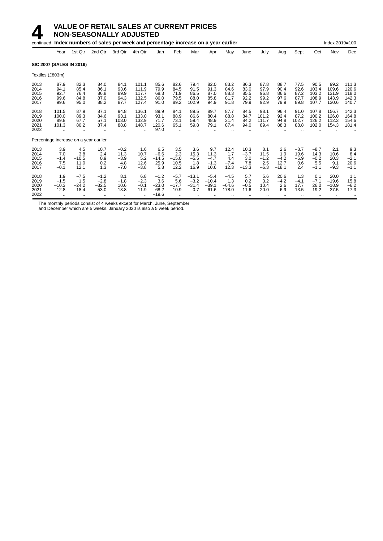

|                                      |                                               |                                               | continued Index numbers of sales per week and percentage increase on a year earlier |                                           |                                           |                                             |                                       |                                       |                                         |                                      |                                         |                                        |                                         |                                        |                                           | Index 2019=100                           |                                           |
|--------------------------------------|-----------------------------------------------|-----------------------------------------------|-------------------------------------------------------------------------------------|-------------------------------------------|-------------------------------------------|---------------------------------------------|---------------------------------------|---------------------------------------|-----------------------------------------|--------------------------------------|-----------------------------------------|----------------------------------------|-----------------------------------------|----------------------------------------|-------------------------------------------|------------------------------------------|-------------------------------------------|
|                                      | Year                                          | 1st Qtr                                       | 2nd Qtr                                                                             | 3rd Qtr                                   | 4th Qtr                                   | Jan                                         | Feb                                   | Mar                                   | Apr                                     | May                                  | June                                    | July                                   | Aug                                     | Sept                                   | Oct                                       | Nov                                      | Dec                                       |
|                                      |                                               | <b>SIC 2007 (SALES IN 2019)</b>               |                                                                                     |                                           |                                           |                                             |                                       |                                       |                                         |                                      |                                         |                                        |                                         |                                        |                                           |                                          |                                           |
| Textiles (£803m)                     |                                               |                                               |                                                                                     |                                           |                                           |                                             |                                       |                                       |                                         |                                      |                                         |                                        |                                         |                                        |                                           |                                          |                                           |
| 2013<br>2014<br>2015<br>2016<br>2017 | 87.9<br>94.1<br>92.7<br>99.6<br>99.6          | 82.3<br>85.4<br>76.4<br>84.8<br>95.0          | 84.0<br>86.1<br>86.8<br>87.0<br>88.2                                                | 84.1<br>93.6<br>89.9<br>94.3<br>87.7      | 101.1<br>111.9<br>117.7<br>132.5<br>127.4 | 85.6<br>79.9<br>68.3<br>86.0<br>91.0        | 82.6<br>84.5<br>71.9<br>79.5<br>89.2  | 79.4<br>91.5<br>86.5<br>88.0<br>102.9 | 82.0<br>91.3<br>87.0<br>85.8<br>94.9    | 83.2<br>84.6<br>88.3<br>81.7<br>91.8 | 86.3<br>83.0<br>85.5<br>92.2<br>79.9    | 87.8<br>97.9<br>96.8<br>99.2<br>92.9   | 88.7<br>90.4<br>86.6<br>97.6<br>79.9    | 77.5<br>92.6<br>87.2<br>87.7<br>89.8   | 90.5<br>103.4<br>103.2<br>108.9<br>107.7  | 99.2<br>109.6<br>131.9<br>143.9<br>130.6 | 111.3<br>120.6<br>118.0<br>142.3<br>140.7 |
| 2018<br>2019<br>2020<br>2021<br>2022 | 101.5<br>100.0<br>89.8<br>101.3               | 87.9<br>89.3<br>67.7<br>80.2                  | 87.1<br>84.6<br>57.1<br>87.4                                                        | 94.8<br>93.1<br>103.0<br>88.8             | 136.1<br>133.0<br>132.9<br>148.7          | 89.9<br>93.1<br>71.7<br>120.6<br>97.0       | 84.1<br>88.9<br>73.1<br>65.1          | 89.5<br>86.6<br>59.4<br>59.8          | 89.7<br>80.4<br>48.9<br>79.1            | 87.7<br>88.8<br>31.4<br>87.4         | 84.5<br>84.7<br>84.2<br>94.0            | 98.1<br>101.2<br>111.7<br>89.4         | 96.4<br>92.4<br>94.8<br>88.3            | 91.0<br>87.2<br>102.7<br>88.8          | 107.8<br>100.2<br>126.2<br>102.0          | 156.7<br>126.0<br>112.3<br>154.3         | 142.3<br>164.8<br>154.6<br>181.4          |
|                                      |                                               | Percentage increase on a year earlier         |                                                                                     |                                           |                                           |                                             |                                       |                                       |                                         |                                      |                                         |                                        |                                         |                                        |                                           |                                          |                                           |
| 2013<br>2014<br>2015<br>2016<br>2017 | 3.9<br>7.0<br>$-1.4$<br>7.5<br>$-0.1$         | 4.5<br>3.8<br>$-10.5$<br>11.0<br>12.1         | 10.7<br>2.4<br>0.9<br>0.2<br>1.3                                                    | $-0.2$<br>11.3<br>$-3.9$<br>4.8<br>$-7.0$ | 1.6<br>10.7<br>5.2<br>12.6<br>$-3.8$      | 6.5<br>$-6.6$<br>$-14.5$<br>25.9<br>5.8     | 3.5<br>2.3<br>$-15.0$<br>10.5<br>12.2 | 3.6<br>15.3<br>$-5.5$<br>1.8<br>16.9  | 9.7<br>11.3<br>$-4.7$<br>$-1.3$<br>10.6 | 12.4<br>1.7<br>4.4<br>$-7.4$<br>12.3 | 10.3<br>$-3.7$<br>3.0<br>7.8<br>$-13.3$ | 8.1<br>11.5<br>$-1.2$<br>2.5<br>$-6.3$ | 2.6<br>1.9<br>$-4.2$<br>12.7<br>$-18.1$ | $-8.7$<br>19.6<br>$-5.9$<br>0.6<br>2.4 | $-8.7$<br>14.3<br>$-0.2$<br>5.5<br>$-1.1$ | 2.1<br>10.6<br>20.3<br>9.1<br>$-9.3$     | 9.3<br>8.4<br>$-2.1$<br>20.6<br>$-1.1$    |
| 2018<br>2019<br>2020<br>2021<br>2022 | 1.9<br>$-1.5$<br>$-10.3$<br>12.8<br>$\ddotsc$ | $-7.5$<br>1.5<br>$-24.2$<br>18.4<br>$\cdot$ . | $-1.2$<br>$-2.8$<br>$-32.5$<br>53.0<br>$\cdot\cdot$                                 | 8.1<br>$-1.8$<br>10.6<br>$-13.8$          | 6.8<br>$-2.3$<br>$-0.1$<br>11.9<br>       | $-1.2$<br>3.6<br>$-23.0$<br>68.2<br>$-19.6$ | $-5.7$<br>5.6<br>$-17.7$<br>$-10.9$   | $-13.1$<br>$-3.2$<br>$-31.4$<br>0.7   | $-5.4$<br>$-10.4$<br>$-39.1$<br>61.6    | $-4.5$<br>1.3<br>$-64.6$<br>178.0    | 5.7<br>0.2<br>$-0.5$<br>11.6            | 5.6<br>3.2<br>10.4<br>$-20.0$          | 20.6<br>$-4.2$<br>2.6<br>$-6.9$         | 1.3<br>$-4.1$<br>17.7<br>$-13.5$       | 0.1<br>$-7.1$<br>26.0<br>$-19.2$          | 20.0<br>$-19.6$<br>$-10.9$<br>37.5       | 1.1<br>15.8<br>$-6.2$<br>17.3             |

The monthly periods consist of 4 weeks except for March, June, September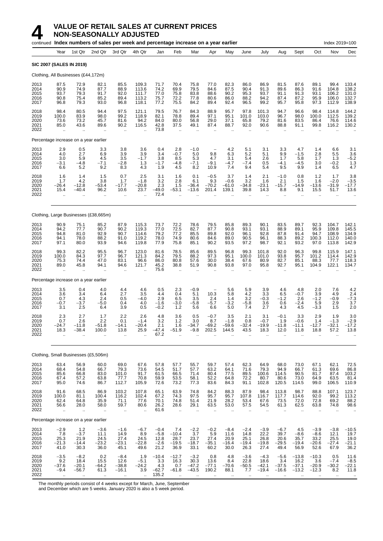

|                                      |                                                       |                                                              | <sub>continued</sub> Index numbers of sales per week and percentage increase on a year earlier |                                                   |                                                          |                                            |                                                      |                                                   |                                              |                                           |                                                       |                                                   |                                                             |                                                    |                                                       | Index 2019=100                                          |                                                        |
|--------------------------------------|-------------------------------------------------------|--------------------------------------------------------------|------------------------------------------------------------------------------------------------|---------------------------------------------------|----------------------------------------------------------|--------------------------------------------|------------------------------------------------------|---------------------------------------------------|----------------------------------------------|-------------------------------------------|-------------------------------------------------------|---------------------------------------------------|-------------------------------------------------------------|----------------------------------------------------|-------------------------------------------------------|---------------------------------------------------------|--------------------------------------------------------|
|                                      | Year                                                  | 1st Qtr                                                      | 2nd Qtr                                                                                        | 3rd Qtr                                           | 4th Qtr                                                  | Jan                                        | Feb                                                  | Mar                                               | Apr                                          | May                                       | June                                                  | July                                              | Aug                                                         | Sept                                               | Oct                                                   | Nov                                                     | Dec                                                    |
|                                      | SIC 2007 (SALES IN 2019)                              |                                                              |                                                                                                |                                                   |                                                          |                                            |                                                      |                                                   |                                              |                                           |                                                       |                                                   |                                                             |                                                    |                                                       |                                                         |                                                        |
|                                      |                                                       | Clothing, All Businesses (£44,172m)                          |                                                                                                |                                                   |                                                          |                                            |                                                      |                                                   |                                              |                                           |                                                       |                                                   |                                                             |                                                    |                                                       |                                                         |                                                        |
| 2013<br>2014<br>2015<br>2016<br>2017 | 87.5<br>90.9<br>93.7<br>90.8<br>96.8                  | 72.9<br>74.9<br>79.3<br>75.4<br>79.3                         | 82.1<br>87.7<br>91.7<br>85.2<br>93.0                                                           | 85.5<br>88.9<br>92.0<br>89.4<br>96.8              | 109.3<br>113.6<br>111.7<br>113.2<br>118.1                | 71.7<br>74.2<br>77.0<br>75.7<br>77.2       | 70.4<br>69.9<br>75.8<br>72.2<br>75.5                 | 75.8<br>79.5<br>83.8<br>77.8<br>84.2              | 77.0<br>84.6<br>88.6<br>80.6<br>89.4         | 82.3<br>87.5<br>90.2<br>86.0<br>92.4      | 86.0<br>90.4<br>95.3<br>88.2<br>96.5                  | 86.9<br>91.3<br>93.7<br>94.2<br>99.2              | 81.5<br>89.6<br>91.1<br>87.4<br>95.7                        | 87.6<br>86.3<br>91.3<br>87.2<br>95.8               | 89.1<br>91.6<br>93.1<br>95.9<br>97.3                  | 99.4<br>104.8<br>106.2<br>106.0<br>112.9                | 133.4<br>138.2<br>131.0<br>132.7<br>138.9              |
| 2018<br>2019<br>2020<br>2021<br>2022 | 98.4<br>100.0<br>73.6<br>85.0<br>$\bar{\mathbf{r}}$   | 80.5<br>83.9<br>73.2<br>43.6                                 | 94.4<br>98.0<br>45.7<br>89.6                                                                   | 97.5<br>99.2<br>81.6<br>90.2<br>ä.                | 121.1<br>118.9<br>94.2<br>116.5                          | 79.5<br>82.1<br>84.0<br>42.8<br>73.8       | 76.7<br>78.8<br>80.0<br>37.5<br>à.                   | 84.3<br>89.4<br>56.8<br>49.1                      | 88.9<br>97.1<br>29.0<br>87.4                 | 95.7<br>95.1<br>37.1<br>88.7              | 97.8<br>101.0<br>65.8<br>92.0                         | 101.3<br>103.0<br>79.2<br>90.6                    | 94.7<br>96.7<br>81.6<br>88.8                                | 96.6<br>98.0<br>83.5<br>91.1                       | 98.4<br>100.0<br>86.4<br>99.8                         | 114.8<br>112.5<br>76.6<br>116.2                         | 144.2<br>139.2<br>114.6<br>130.2                       |
|                                      |                                                       | Percentage increase on a year earlier                        |                                                                                                |                                                   |                                                          |                                            |                                                      |                                                   |                                              |                                           |                                                       |                                                   |                                                             |                                                    |                                                       |                                                         |                                                        |
| 2013<br>2014<br>2015<br>2016<br>2017 | 2.9<br>4.0<br>3.0<br>$-3.1$<br>6.6                    | 0.5<br>2.7<br>5.9<br>$-4.8$<br>5.2                           | 3.3<br>6.9<br>4.5<br>$-7.1$<br>9.2                                                             | 3.8<br>3.9<br>3.5<br>$-2.8$<br>8.3                | 3.6<br>3.9<br>$-1.7$<br>1.3<br>4.3                       | 0.4<br>3.4<br>3.8<br>$-1.7$<br>1.9         | 2.8<br>$-0.7$<br>8.5<br>$-4.8$<br>4.5                | $-1.0$<br>5.0<br>5.3<br>$-7.1$<br>8.2             | 9.8<br>4.7<br>$-9.1$<br>10.9                 | 4.2<br>6.3<br>3.1<br>$-4.7$<br>7.4        | 5.1<br>5.2<br>5.4<br>$-7.4$<br>9.4                    | 3.1<br>5.1<br>2.6<br>0.5<br>5.4                   | 3.3<br>9.9<br>1.7<br>$-4.1$<br>9.5                          | 4.7<br>$-1.5$<br>5.8<br>$-4.5$<br>9.9              | 1.4<br>2.8<br>1.7<br>3.0<br>1.4                       | 6.6<br>5.5<br>1.3<br>$-0.2$<br>6.5                      | 3.1<br>$3.6 - 5.2$<br>1.3<br>4.7                       |
| 2018<br>2019<br>2020<br>2021<br>2022 | 1.6<br>1.7<br>-26.4<br>15.4                           | 1.4<br>4.2<br>$-12.8$<br>$-40.4$<br>$\ddotsc$                | 1.5<br>3.8<br>-53.4<br>96.2<br>ä.                                                              | 0.7<br>1.7<br>$-17.7$<br>10.6<br>$\ddotsc$        | 2.5<br>$-1.8$<br>$-20.8$<br>23.7<br>$\ddot{\phantom{a}}$ | 3.1<br>3.2<br>2.3<br>$-49.0$<br>72.4       | 1.6<br>2.8<br>1.5<br>$-53.1$                         | 0.1<br>6.1<br>$-36.4$<br>$-13.6$                  | $-0.5$<br>9.3<br>$-70.2$<br>201.4            | 3.7<br>$-0.6$<br>$-61.0$<br>139.1         | 1.4<br>3.2<br>$-34.8$<br>39.8                         | 2.1<br>1.6<br>$-23.1$<br>14.3                     | $-1.0$<br>2.1<br>$-15.7$<br>8.8                             | 0.8<br>1.5<br>$-14.9$<br>9.1<br>$\ddotsc$          | 1.2<br>1.6<br>$-13.6$<br>15.5<br>$\ddot{\phantom{a}}$ | 1.7<br>$-2.0$<br>$-31.9$<br>51.7                        | 3.8<br>$-3.5$<br>$-17.7$<br>13.6                       |
|                                      |                                                       |                                                              | Clothing, Large Businesses (£38,665m)                                                          |                                                   |                                                          |                                            |                                                      |                                                   |                                              |                                           |                                                       |                                                   |                                                             |                                                    |                                                       |                                                         |                                                        |
| 2013<br>2014<br>2015<br>2016<br>2017 | 90.9<br>94.2<br>94.8<br>94.1<br>97.1                  | 75.1<br>77.7<br>81.0<br>78.0<br>80.0                         | 85.2<br>90.7<br>92.9<br>88.2<br>93.9                                                           | 87.9<br>90.2<br>90.7<br>91.0<br>94.6              | 115.3<br>119.3<br>114.6<br>119.2<br>119.8                | 73.7<br>77.0<br>79.2<br>78.0<br>77.9       | 72.2<br>72.5<br>77.2<br>74.9<br>75.8                 | 78.6<br>82.7<br>85.5<br>80.6<br>85.1              | 79.5<br>87.7<br>89.8<br>84.6<br>90.2         | 85.8<br>90.8<br>92.0<br>89.0<br>93.5      | 89.3<br>93.1<br>96.1<br>90.5<br>97.2                  | 90.1<br>93.1<br>92.8<br>96.1<br>98.7              | 83.5<br>88.9<br>87.8<br>88.3<br>92.1                        | 89.7<br>89.1<br>91.4<br>89.2<br>93.2               | 92.3<br>95.9<br>94.7<br>100.3<br>97.0                 | 104.7<br>109.8<br>108.9<br>112.0<br>113.8               | 142.1<br>145.5<br>134.9<br>140.0<br>142.9              |
| 2018<br>2019<br>2020<br>2021<br>2022 | 99.3<br>100.0<br>75.3<br>89.0<br>$\ddot{\phantom{a}}$ | 82.2<br>84.3<br>74.4<br>45.8<br>$\ddotsc$                    | 95.5<br>97.7<br>47.0<br>94.1                                                                   | 96.7<br>96.7<br>83.1<br>94.6<br>$\ddotsc$         | 123.0<br>121.3<br>96.6<br>121.7<br>$\ddot{\phantom{a}}$  | 81.6<br>84.2<br>86.0<br>45.2<br>75.6       | 78.5<br>79.5<br>80.8<br>38.8<br>$\ddot{\phantom{a}}$ | 85.6<br>88.2<br>57.6<br>51.9                      | 89.5<br>97.3<br>30.0<br>90.8                 | 96.8<br>95.1<br>38.4<br>93.8              | 99.3<br>100.0<br>67.6<br>97.0                         | 101.8<br>101.0<br>80.9<br>95.8                    | 92.0<br>93.8<br>82.7<br>92.7                                | 96.3<br>95.7<br>85.1<br>95.1                       | 99.8<br>101.2<br>88.3<br>104.9                        | 115.9<br>114.4<br>77.7<br>122.1                         | 147.1<br>142.9<br>118.3<br>134.7                       |
|                                      |                                                       | Percentage increase on a year earlier                        |                                                                                                |                                                   |                                                          |                                            |                                                      |                                                   |                                              |                                           |                                                       |                                                   |                                                             |                                                    |                                                       |                                                         |                                                        |
| 2013<br>2014<br>2015<br>2016<br>2017 | 3.5<br>3.6<br>0.7<br>$-0.7$<br>3.1                    | 0.4<br>3.4<br>4.3<br>$-3.7$<br>2.5                           | 4.0<br>6.4<br>2.4<br>$-5.0$<br>6.4                                                             | 4.4<br>2.7<br>0.5<br>0.4<br>3.9                   | 4.6<br>3.5<br>$-4.0$<br>4.0<br>0.5                       | 0.5<br>4.4<br>2.9<br>$-1.6$<br>$-0.2$      | 2.3<br>0.4<br>6.5<br>$-3.0$<br>1.2                   | $-0.9$<br>5.1<br>3.5<br>$-5.8$<br>5.6             | 10.3<br>2.4<br>$-5.7$<br>6.6                 | 5.6<br>5.8<br>1.4<br>$-3.2$<br>5.0        | 5.9<br>4.2<br>3.2<br>$-5.8$<br>7.4                    | 3.9<br>3.3<br>$-0.3$<br>3.6<br>2.7                | 4.6<br>6.5<br>$-1.2$<br>0.6<br>4.3                          | 4.8<br>$-0.7$<br>2.6<br>$-2.4$<br>4.5              | 2.0<br>3.9<br>$-1.2$<br>5.9<br>$-3.3$                 | 7.6<br>4.9<br>$-0.9$<br>2.9<br>1.5                      | $^{4.2}_{2.4}$<br>$-7.3$<br>3.7<br>2.0                 |
| 2018<br>2019<br>2020<br>2021<br>2022 | 2.3<br>0.7<br>-24.7<br>18.3                           | 2.7<br>2.6<br>$-11.8$<br>$-38.4$                             | 1.7<br>2.2<br>–51.8<br>100.0                                                                   | 2.2<br>0.1<br>$-14.1$<br>13.8<br>$\ddotsc$        | 2.6<br>$-1.4$<br>$-20.4$<br>25.9                         | 4.8<br>3.2<br>2.1<br>$-47.4$<br>67.2       | 3.6<br>1.2<br>1.6<br>$-51.9$                         | 0.5<br>3.0<br>$-34.7$<br>$-9.8$                   | $-0.7$<br>8.7<br>$-69.2$<br>202.5            | 3.5<br>$-1.8$<br>-59.6<br>144.5           | 2.1<br>0.8<br>$-32.4$<br>43.5                         | 3.1<br>$-0.7$<br>$-19.9$<br>18.3                  | $-0.1$<br>1.9<br>$-11.8$<br>12.0                            | 3.3<br>$-0.6$<br>$-11.1$<br>11.8                   | 2.9<br>1.4<br>$-12.7$<br>18.8                         | 1.9<br>$-1.3$<br>$-32.1$<br>57.2                        | 3.0<br>$-2.9$<br>$-17.2$<br>13.8                       |
|                                      |                                                       | Clothing, Small Businesses (£5,506m)                         |                                                                                                |                                                   |                                                          |                                            |                                                      |                                                   |                                              |                                           |                                                       |                                                   |                                                             |                                                    |                                                       |                                                         |                                                        |
| 2013<br>2014<br>2015<br>2016<br>2017 | 63.4<br>68.4<br>85.6<br>67.4<br>95.0                  | 56.9<br>54.8<br>66.8<br>57.2<br>74.6                         | 60.0<br>66.7<br>83.0<br>63.8<br>86.7                                                           | 69.0<br>79.3<br>101.0<br>77.7<br>112.7            | 67.6<br>73.6<br>91.7<br>70.8<br>105.9                    | 57.8<br>54.5<br>61.5<br>59.9<br>72.6       | 57.7<br>51.7<br>66.5<br>53.5<br>73.2                 | 55.7<br>57.7<br>71.4<br>58.1<br>77.3              | 59.7<br>63.2<br>80.4<br>52.2<br>83.6         | 57.4<br>64.1<br>77.5<br>64.8<br>84.3      | 62.3<br>71.6<br>89.5<br>72.2<br>91.1                  | 64.9<br>79.3<br>100.6<br>80.7<br>102.8            | 68.0<br>94.9<br>114.5<br>80.6<br>120.5                      | 73.0<br>66.7<br>90.5<br>73.0<br>114.5              | 67.1<br>61.3<br>81.7<br>64.9<br>99.0                  | 62.1<br>69.6<br>87.4<br>63.5<br>106.5                   | 72.5<br>86.8<br>103.2<br>81.4<br>110.9                 |
| 2018<br>2019<br>2020<br>2021<br>2022 | 91.6<br>100.0<br>62.4<br>56.6<br>$\ddotsc$            | 68.5<br>81.1<br>64.8<br>28.0<br>$\ddotsc$                    | 86.9<br>100.4<br>35.9<br>58.0<br>ä.                                                            | 103.2<br>116.2<br>71.1<br>59.7<br>$\ddotsc$       | 107.8<br>102.4<br>77.6<br>80.6<br>$\ddot{\phantom{a}}$   | 65.1<br>67.2<br>70.1<br>26.2<br>61.6       | 63.9<br>74.3<br>74.8<br>28.6<br>$\ddotsc$            | 74.8<br>97.5<br>51.4<br>29.1<br>$\ddotsc$         | 84.2<br>95.7<br>21.9<br>63.5<br>$\ddotsc$    | 88.3<br>95.7<br>28.2<br>53.0<br>$\ddotsc$ | 87.9<br>107.8<br>53.4<br>57.5<br>$\ddot{\phantom{a}}$ | 98.4<br>116.7<br>67.6<br>54.5<br>$\ddotsc$        | 113.8<br>117.7<br>73.5<br>61.3<br>$\ddotsc$                 | 98.7<br>114.6<br>72.0<br>62.5<br>$\cdot$ .         | 88.8<br>92.0<br>72.8<br>63.8<br>$\ddotsc$             | 107.1<br>99.2<br>69.2<br>74.8<br>$\ddotsc$              | 123.7<br>113.2<br>88.2<br>98.6<br>$\ddot{\phantom{a}}$ |
|                                      |                                                       | Percentage increase on a year earlier                        |                                                                                                |                                                   |                                                          |                                            |                                                      |                                                   |                                              |                                           |                                                       |                                                   |                                                             |                                                    |                                                       |                                                         |                                                        |
| 2013<br>2014<br>2015<br>2016<br>2017 | $-2.9$<br>7.8<br>25.3<br>$-21.3$<br>41.0              | 1.2<br>$-3.7$<br>21.9<br>$-14.4$<br>30.3                     | $-3.6$<br>11.1<br>24.5<br>$-23.2$<br>36.0                                                      | $-1.6$<br>14.9<br>27.4<br>$-23.1$<br>45.1         | $-6.7$<br>8.9<br>24.5<br>$-22.8$<br>49.6                 | $-0.4$<br>$-5.8$<br>12.8<br>$-2.6$<br>21.2 | 7.4<br>$-10.4$<br>28.7<br>$-19.5$<br>36.9            | $\frac{-2.2}{3.7}$<br>23.7<br>$-18.7$<br>33.1     | $-0.2$<br>5.9<br>27.4<br>$-35.1$<br>60.2     | $-8.4$<br>11.6<br>20.9<br>$-16.4$<br>30.0 | $-2.4$<br>14.8<br>25.1<br>$-19.4$<br>26.3             | $-3.9$<br>22.2<br>26.8<br>$-19.8$<br>27.4         | $-6.7$<br>39.7<br>20.6<br>$-29.5$<br>49.4                   | 4.5<br>$-8.6$<br>35.7<br>$-19.4$<br>56.9           | $-3.9$<br>$-8.6$<br>33.2<br>$-20.6$<br>52.6           | $-3.8$<br>12.1<br>25.5<br>$-27.4$<br>67.9               | $-10.5$<br>19.7<br>19.0<br>$-21.1$<br>36.2             |
| 2018<br>2019<br>2020<br>2021<br>2022 | $-3.5$<br>9.2<br>$-37.6$<br>$-9.4$<br>$\ddotsc$       | $-8.2$<br>18.4<br>$-20.1$<br>$-56.7$<br>$\ddot{\phantom{1}}$ | 0.2<br>15.5<br>$-64.2$<br>61.3<br>$\cdot$                                                      | $-8.4$<br>12.6<br>$-38.8$<br>$-16.1$<br>$\cdot$ . | 1.9<br>$-5.1$<br>$-24.2$<br>3.9<br>$\ddot{\phantom{a}}$  | $-10.4$<br>3.3<br>4.3<br>$-62.7$<br>135.2  | $-12.7$<br>16.3<br>0.7<br>$-61.8$<br>ä.              | $-3.2$<br>30.3<br>$-47.2$<br>$-43.5$<br>$\ddotsc$ | 0.8<br>13.6<br>$-77.1$<br>190.2<br>$\ddotsc$ | 4.8<br>8.4<br>$-70.6$<br>88.1<br>$\ldots$ | $-3.6$<br>22.8<br>$-50.5$<br>7.7<br>$\cdot$           | $-4.3$<br>18.6<br>$-42.1$<br>$-19.4$<br>$\ddotsc$ | $-5.6$<br>3.4<br>$-37.5$<br>$-16.6$<br>$\ddot{\phantom{1}}$ | $-13.8$<br>16.2<br>$-37.1$<br>$-13.2$<br>$\cdot$ . | $-10.3$<br>3.6<br>$-20.9$<br>$-12.3$<br>$\ldots$      | 0.5<br>$-7.4$<br>$-30.2$<br>8.2<br>$\ddot{\phantom{1}}$ | 11.6<br>$-8.5$<br>$-22.1$<br>11.8<br>$\sim$            |

The monthly periods consist of 4 weeks except for March, June, September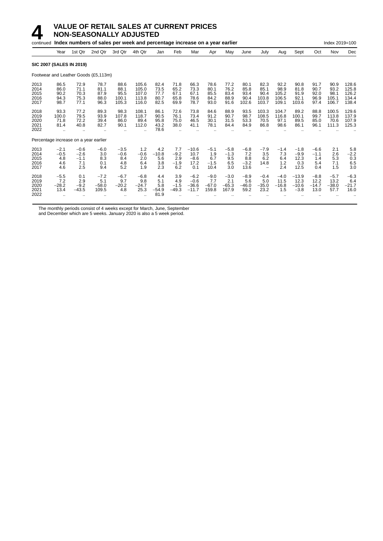|                                      |                                            |                                          | continued Index numbers of sales per week and percentage increase on a year earlier |                                        |                                           |                                      |                                                      |                                          |                                        |                                       |                                        |                                                          |                                         |                                         |                                       | Index 2019=100                         |                                           |
|--------------------------------------|--------------------------------------------|------------------------------------------|-------------------------------------------------------------------------------------|----------------------------------------|-------------------------------------------|--------------------------------------|------------------------------------------------------|------------------------------------------|----------------------------------------|---------------------------------------|----------------------------------------|----------------------------------------------------------|-----------------------------------------|-----------------------------------------|---------------------------------------|----------------------------------------|-------------------------------------------|
|                                      | Year                                       | 1st Qtr                                  | 2nd Qtr                                                                             | 3rd Qtr                                | 4th Qtr                                   | Jan                                  | Feb                                                  | Mar                                      | Apr                                    | May                                   | June                                   | July                                                     | Aug                                     | Sept                                    | Oct                                   | Nov                                    | Dec                                       |
|                                      | <b>SIC 2007 (SALES IN 2019)</b>            |                                          |                                                                                     |                                        |                                           |                                      |                                                      |                                          |                                        |                                       |                                        |                                                          |                                         |                                         |                                       |                                        |                                           |
|                                      |                                            |                                          | Footwear and Leather Goods (£5,113m)                                                |                                        |                                           |                                      |                                                      |                                          |                                        |                                       |                                        |                                                          |                                         |                                         |                                       |                                        |                                           |
| 2013<br>2014<br>2015<br>2016<br>2017 | 86.5<br>86.0<br>90.2<br>94.3<br>98.7       | 72.9<br>71.1<br>70.3<br>75.3<br>77.1     | 78.7<br>81.1<br>87.9<br>88.0<br>96.3                                                | 88.6<br>88.1<br>95.5<br>100.1<br>105.3 | 105.6<br>105.0<br>107.0<br>113.8<br>116.0 | 82.4<br>73.5<br>77.7<br>80.7<br>82.5 | 71.8<br>65.2<br>67.1<br>65.8<br>69.9                 | 66.3<br>73.3<br>67.1<br>78.6<br>78.7     | 78.6<br>80.1<br>85.5<br>84.2<br>93.0   | 77.2<br>76.2<br>83.4<br>88.9<br>91.6  | 80.1<br>85.8<br>93.4<br>90.4<br>102.6  | 82.3<br>85.1<br>90.4<br>103.8<br>103.7                   | 92.2<br>98.9<br>105.2<br>106.5<br>109.1 | 90.8<br>81.8<br>91.9<br>92.1<br>103.6   | 91.7<br>90.7<br>92.0<br>96.9<br>97.4  | 90.9<br>93.2<br>98.1<br>105.1<br>106.7 | 128.6<br>125.8<br>126.2<br>134.4<br>138.4 |
| 2018<br>2019<br>2020<br>2021<br>2022 | 93.3<br>100.0<br>71.8<br>81.4<br>$\ddotsc$ | 77.2<br>79.5<br>72.2<br>40.8             | 89.3<br>93.9<br>39.4<br>82.7                                                        | 98.3<br>107.8<br>86.0<br>90.1          | 108.1<br>118.7<br>89.4<br>112.0           | 86.1<br>90.5<br>95.8<br>43.2<br>78.6 | 72.6<br>76.1<br>75.0<br>38.0<br>$\ddot{\phantom{a}}$ | 73.8<br>73.4<br>46.5<br>41.1             | 84.6<br>91.2<br>30.1<br>78.1           | 88.9<br>90.7<br>31.5<br>84.4          | 93.5<br>98.7<br>53.3<br>84.9           | 103.3<br>108.5<br>70.5<br>86.8                           | 104.7<br>116.8<br>97.1<br>98.6          | 89.2<br>100.1<br>89.5<br>86.1           | 88.8<br>99.7<br>85.0<br>96.1          | 100.5<br>113.8<br>70.6<br>111.3        | 129.6<br>137.9<br>107.9<br>125.3          |
|                                      | Percentage increase on a year earlier      |                                          |                                                                                     |                                        |                                           |                                      |                                                      |                                          |                                        |                                       |                                        |                                                          |                                         |                                         |                                       |                                        |                                           |
| 2013<br>2014<br>2015<br>2016<br>2017 | $-2.1$<br>$-0.5$<br>4.8<br>4.6<br>4.6      | $-0.6$<br>$-2.6$<br>$-1.1$<br>7.1<br>2.5 | $-6.0$<br>3.0<br>8.3<br>0.1<br>9.4                                                  | $-3.5$<br>$-0.6$<br>8.4<br>4.8<br>5.2  | 1.2<br>$-0.6$<br>2.0<br>6.4<br>1.9        | 4.2<br>$-10.8$<br>5.6<br>3.8<br>2.3  | 7.7<br>$-9.2$<br>2.9<br>$-1.9$<br>6.2                | $-10.6$<br>10.7<br>$-8.6$<br>17.2<br>0.1 | $-5.1$<br>1.9<br>6.7<br>$-1.5$<br>10.4 | $-5.8$<br>$-1.3$<br>9.5<br>6.5<br>3.0 | $-6.8$<br>7.2<br>8.8<br>$-3.2$<br>13.6 | $-7.9$<br>3.5<br>6.2<br>14.8<br>$\overline{\phantom{0}}$ | $-1.4$<br>7.3<br>6.4<br>1.2<br>2.4      | $-1.8$<br>$-9.9$<br>12.3<br>0.3<br>12.5 | $-6.6$<br>$-1.1$<br>1.4<br>5.4<br>0.4 | 2.1<br>2.6<br>5.3<br>7.1<br>1.5        | 5.8<br>$-2.2$<br>0.3<br>6.5<br>3.0        |
| 2018<br>2019<br>2020<br>2021<br>2022 | $-5.5$<br>7.2<br>$-28.2$<br>13.4           | 0.1<br>2.9<br>$-9.2$<br>$-43.5$          | $-7.2$<br>5.1<br>$-58.0$<br>109.5                                                   | $-6.7$<br>9.7<br>$-20.2$<br>4.8        | $-6.8$<br>9.8<br>$-24.7$<br>25.3          | 4.4<br>5.1<br>5.8<br>$-54.9$<br>81.9 | 3.9<br>4.9<br>$-1.5$<br>$-49.3$                      | $-6.2$<br>$-0.6$<br>$-36.6$<br>$-11.7$   | $-9.0$<br>7.7<br>$-67.0$<br>159.8      | $-3.0$<br>2.1<br>$-65.3$<br>167.9     | $-8.9$<br>5.6<br>$-46.0$<br>59.2       | $-0.4$<br>5.0<br>$-35.0$<br>23.2                         | $-4.0$<br>11.5<br>$-16.8$<br>1.5        | $-13.9$<br>12.3<br>$-10.6$<br>$-3.8$    | $-8.8$<br>12.2<br>$-14.7$<br>13.0     | $-5.7$<br>13.2<br>$-38.0$<br>57.7      | $-6.3$<br>6.4<br>$-21.7$<br>16.0          |

The monthly periods consist of 4 weeks except for March, June, September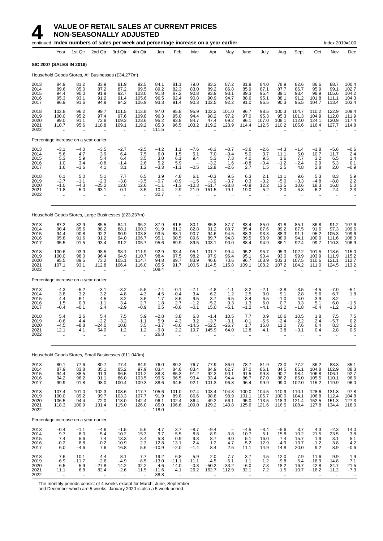|                                      |                                                          | continued Index numbers of sales per week and percentage increase on a year earlier |                                                       |                                                        |                                                          |                                            |                                                       |                                            |                                        |                                                           |                                         |                                          |                                          |                                                         |                                                         | Index 2019=100                                          |                                                     |
|--------------------------------------|----------------------------------------------------------|-------------------------------------------------------------------------------------|-------------------------------------------------------|--------------------------------------------------------|----------------------------------------------------------|--------------------------------------------|-------------------------------------------------------|--------------------------------------------|----------------------------------------|-----------------------------------------------------------|-----------------------------------------|------------------------------------------|------------------------------------------|---------------------------------------------------------|---------------------------------------------------------|---------------------------------------------------------|-----------------------------------------------------|
|                                      | Year                                                     | 1st Qtr                                                                             | 2nd Qtr                                               | 3rd Qtr                                                | 4th Qtr                                                  | Jan                                        | Feb                                                   | Mar                                        | Apr                                    | May                                                       | June                                    | July                                     | Aug                                      | Sept                                                    | Oct                                                     | Nov                                                     | Dec                                                 |
|                                      |                                                          | <b>SIC 2007 (SALES IN 2019)</b>                                                     |                                                       |                                                        |                                                          |                                            |                                                       |                                            |                                        |                                                           |                                         |                                          |                                          |                                                         |                                                         |                                                         |                                                     |
|                                      |                                                          | Household Goods Stores, All Businesses (£34,277m)                                   |                                                       |                                                        |                                                          |                                            |                                                       |                                            |                                        |                                                           |                                         |                                          |                                          |                                                         |                                                         |                                                         |                                                     |
| 2013<br>2014<br>2015<br>2016<br>2017 | 84.9<br>89.6<br>94.4<br>95.3<br>96.9                     | 81.2<br>85.0<br>90.0<br>93.1<br>91.6                                                | 83.9<br>87.2<br>91.9<br>91.2<br>94.9                  | 81.9<br>87.2<br>92.7<br>91.4<br>94.2                   | 92.5<br>99.5<br>103.0<br>105.6<br>106.9                  | 84.1<br>89.2<br>91.8<br>96.5<br>93.3       | 81.1<br>82.3<br>87.2<br>92.4<br>91.4                  | 79.0<br>83.0<br>90.8<br>90.8<br>90.3       | 83.3<br>89.2<br>93.9<br>90.9<br>102.5  | 87.2<br>86.8<br>93.1<br>94.7<br>92.2                      | 81.9<br>85.9<br>89.3<br>88.6<br>91.0    | 84.0<br>87.1<br>95.4<br>95.1<br>96.5     | 78.9<br>87.7<br>89.1<br>88.1<br>90.3     | 82.6<br>86.7<br>93.4<br>91.2<br>95.5                    | 86.6<br>95.9<br>98.9<br>101.8<br>104.7                  | 88.7<br>99.1<br>105.6<br>111.1<br>113.4                 | 100.4<br>102.7<br>104.2<br>104.3<br>103.4           |
| 2018<br>2019<br>2020<br>2021<br>2022 | 102.8<br>100.0<br>99.0<br>110.7                          | 96.2<br>95.2<br>91.1<br>95.6                                                        | 99.7<br>97.4<br>72.8<br>118.8                         | 101.5<br>97.6<br>109.3<br>109.1                        | 113.8<br>109.8<br>123.6<br>119.2                         | 97.0<br>96.3<br>95.2<br>85.3<br>111.5      | 95.8<br>95.0<br>93.8<br>96.5                          | 95.9<br>94.4<br>84.7<br>103.2              | 102.2<br>98.2<br>47.4<br>119.2         | 101.0<br>97.2<br>69.2<br>123.9                            | 96.7<br>97.0<br>96.1<br>114.4           | 98.5<br>95.3<br>107.0<br>112.5           | 100.3<br>95.3<br>108.1<br>110.2          | 104.7<br>101.3<br>112.0<br>105.6                        | 110.2<br>104.9<br>124.1<br>116.4                        | 122.9<br>112.0<br>130.9<br>127.7                        | 109.4<br>111.9<br>117.4<br>114.8                    |
|                                      |                                                          | Percentage increase on a year earlier                                               |                                                       |                                                        |                                                          |                                            |                                                       |                                            |                                        |                                                           |                                         |                                          |                                          |                                                         |                                                         |                                                         |                                                     |
| 2013<br>2014<br>2015<br>2016<br>2017 | $-3.1$<br>5.6<br>5.3<br>1.0<br>1.6                       | $-4.0$<br>4.7<br>5.9<br>3.4<br>$-1.6$                                               | $-3.5$<br>3.9<br>5.4<br>$-0.8$<br>4.1                 | $-2.7$<br>6.4<br>6.4<br>$-1.4$<br>3.1                  | $-2.5$<br>7.5<br>3.5<br>2.6<br>1.2                       | $-4.2$<br>6.0<br>3.0<br>5.2<br>$-3.3$      | 1.1<br>1.5<br>6.1<br>5.9<br>$-1.1$                    | $-7.6$<br>5.1<br>9.4<br>$-0.5$             | $-6.3$<br>7.0<br>5.3<br>$-3.2$<br>12.8 | $-0.7$<br>$-0.4$<br>7.3<br>1.6<br>$-2.6$                  | $-3.6$<br>5.0<br>4.0<br>$-0.8$<br>2.7   | $-2.6$<br>3.7<br>9.5<br>$-0.4$<br>1.5    | $-4.3$<br>11.1<br>1.6<br>$-1.2$<br>2.5   | $-1.4$<br>5.0<br>7.7<br>$-2.4$<br>4.8                   | $-1.8$<br>10.7<br>3.2<br>2.9<br>2.8                     | $-5.6$<br>11.7<br>6.5<br>5.3<br>2.0                     | $-0.6$<br>2.4<br>1.4<br>0.1<br>$-0.9$               |
| 2018<br>2019<br>2020<br>2021<br>2022 | 6.1<br>$-2.7$<br>$-1.0$<br>11.8<br>$\ddot{\phantom{a}}$  | 5.0<br>$-1.1$<br>$-4.3$<br>5.0<br>ă,                                                | 5.1<br>$-2.3$<br>$-25.2$<br>63.1<br>$\mathbf{r}$      | 7.7<br>$-3.8$<br>12.0<br>$-0.1$<br>$\ddotsc$           | 6.5<br>$-3.5$<br>12.6<br>$-3.5$                          | 3.9<br>$-0.7$<br>$-1.1$<br>$-10.4$<br>30.7 | 4.8<br>$-0.9$<br>$-1.3$<br>2.9<br>ä.                  | 6.1<br>$-1.5$<br>$-10.3$<br>21.9<br>ä.     | $-0.3$<br>$-3.9$<br>$-51.7$<br>151.5   | 9.5<br>$-3.7$<br>$-28.8$<br>79.1                          | 6.3<br>0.3<br>$-0.9$<br>19.0<br>ä,      | 2.1<br>$-3.2$<br>12.2<br>5.2<br>ä.       | 11.1<br>$-5.0$<br>13.5<br>2.0<br>ä,      | 9.6<br>$-3.3$<br>10.6<br>$-5.8$<br>$\ddot{\phantom{a}}$ | 5.3<br>$-4.8$<br>18.3<br>$-6.2$<br>$\ddot{\phantom{1}}$ | 8.3<br>$-8.8$<br>16.8<br>$-2.4$<br>$\ddot{\phantom{a}}$ | 5.9<br>2.2<br>5.0<br>$-2.3$                         |
|                                      |                                                          | Household Goods Stores, Large Businesses (£23,237m)                                 |                                                       |                                                        |                                                          |                                            |                                                       |                                            |                                        |                                                           |                                         |                                          |                                          |                                                         |                                                         |                                                         |                                                     |
| 2013<br>2014<br>2015<br>2016<br>2017 | 87.2<br>90.4<br>94.4<br>95.8<br>95.5                     | 82.9<br>85.6<br>90.8<br>91.6<br>91.5                                                | 85.5<br>88.2<br>92.2<br>91.2<br>93.4                  | 84.1<br>88.1<br>90.9<br>94.0<br>91.2                   | 96.2<br>100.3<br>103.8<br>106.7<br>105.7                 | 87.9<br>91.9<br>93.5<br>95.1<br>95.6       | 81.5<br>81.2<br>88.1<br>90.5<br>89.9                  | 80.1<br>82.8<br>90.7<br>89.6<br>89.5       | 85.8<br>91.2<br>94.6<br>89.7<br>103.1  | 87.7<br>88.7<br>94.5<br>94.8<br>90.0                      | 83.4<br>85.4<br>88.3<br>89.5<br>88.4    | 85.0<br>87.6<br>93.3<br>98.9<br>94.9     | 81.8<br>89.2<br>88.3<br>88.9<br>86.1     | 85.1<br>87.5<br>91.1<br>94.1<br>92.4                    | 86.8<br>91.6<br>95.2<br>100.0<br>99.7                   | 91.2<br>97.3<br>105.3<br>111.6<br>110.3                 | 107.6<br>109.6<br>109.6<br>108.0<br>106.9           |
| 2018<br>2019<br>2020<br>2021<br>2022 | 100.6<br>100.0<br>95.5<br>107.1<br>$\ddot{\phantom{a}}$  | 93.9<br>98.0<br>89.5<br>93.1<br>$\ddot{\phantom{a}}$                                | 98.5<br>96.4<br>73.2<br>112.8<br>$\ddot{\phantom{a}}$ | 98.1<br>94.9<br>105.1<br>106.4<br>$\ddot{\phantom{a}}$ | 111.9<br>110.7<br>114.7<br>116.0<br>$\ddot{\phantom{a}}$ | 92.9<br>98.4<br>94.8<br>85.5<br>108.4      | 93.4<br>97.5<br>89.7<br>91.7<br>$\ddot{\phantom{a}}$  | 95.1<br>98.2<br>83.9<br>100.5              | 101.7<br>97.9<br>46.6<br>114.5         | 99.4<br>96.4<br>70.6<br>115.8                             | 95.2<br>95.1<br>96.7<br>109.1           | 95.7<br>90.4<br>103.9<br>108.2           | 95.3<br>93.0<br>103.3<br>107.2           | 102.2<br>99.9<br>107.5<br>104.2                         | 101.5<br>103.9<br>110.6<br>111.0                        | 118.6<br>111.9<br>121.1<br>124.5                        | 115.0<br>115.2<br>112.7<br>113.2                    |
|                                      |                                                          | Percentage increase on a year earlier                                               |                                                       |                                                        |                                                          |                                            |                                                       |                                            |                                        |                                                           |                                         |                                          |                                          |                                                         |                                                         |                                                         |                                                     |
| 2013<br>2014<br>2015<br>2016<br>2017 | $-4.3$<br>3.8<br>4.4<br>1.5<br>$-0.4$                    | $-5.2$<br>3.2<br>6.1<br>0.9<br>$-0.1$                                               | $-3.1$<br>3.2<br>4.5<br>$-1.1$<br>2.4                 | $-3.2$<br>4.8<br>3.2<br>3.4<br>$-2.9$                  | $-5.5$<br>4.3<br>3.5<br>2.7<br>$-0.9$                    | $-7.4$<br>4.5<br>1.7<br>1.8<br>0.5         | $-0.1$<br>$-0.4$<br>8.6<br>2.7<br>$-0.6$              | $-7.1$<br>3.4<br>9.5<br>$-1.2$<br>$-0.1$   | $-4.8$<br>6.2<br>3.7<br>$-5.2$<br>15.0 | $-1.1$<br>1.2<br>6.5<br>0.3<br>$-5.1$                     | $-3.2$<br>2.5<br>3.4<br>1.3<br>$-1.2$   | $-2.1$<br>3.0<br>6.5<br>6.0<br>$-4.1$    | $-3.8$<br>9.1<br>$-1.0$<br>0.7<br>$-3.2$ | $-3.5$<br>2.8<br>4.0<br>3.3<br>$-1.8$                   | $-4.5$<br>5.6<br>3.9<br>5.1<br>$-0.4$                   | $-7.0$<br>6.7<br>8.2<br>6.0<br>$-1.2$                   | $-5.1$<br>1.8<br>$-1.5$<br>$-1.0$                   |
| 2018<br>2019<br>2020<br>2021<br>2022 | 5.4<br>$-0.6$<br>$-4.5$<br>12.1                          | 2.6<br>4.4<br>$-8.8$<br>4.1<br>                                                     | 5.4<br>$-2.2$<br>$-24.0$<br>54.0<br>$\mathbf{r}$      | 7.5<br>$-3.2$<br>10.8<br>1.2<br>$\ldots$               | 5.9<br>$-1.1$<br>3.5<br>1.2                              | $-2.8$<br>5.9<br>$-3.7$<br>-9.8<br>26.8    | 3.8<br>4.3<br>$-8.0$<br>2.2<br>$\bar{\mathbf{r}}$     | 6.3<br>3.2<br>$-14.5$<br>19.7              | $-1.4$<br>$-3.7$<br>$-52.5$<br>145.9   | 10.5<br>$-3.1$<br>$-26.7$<br>64.0<br>$\ddot{\phantom{a}}$ | 7.7<br>$-0.1$<br>1.7<br>12.8<br>ä.      | 0.9<br>$-5.5$<br>15.0<br>4.1<br>ä.       | 10.6<br>$-2.4$<br>11.0<br>3.8<br>ä.      | 10.5<br>$-2.2$<br>7.6<br>-3.1<br>ä.                     | 1.8<br>2.4<br>6.4<br>0.4<br>$\ddot{\phantom{a}}$        | 7.5<br>$-5.7$<br>8.3<br>2.8<br>$\ddot{\phantom{a}}$     | 7.5<br>0.2<br>$-2.2$<br>0.5<br>$\ddot{\phantom{a}}$ |
|                                      |                                                          | Household Goods Stores, Small Businesses (£11,040m)                                 |                                                       |                                                        |                                                          |                                            |                                                       |                                            |                                        |                                                           |                                         |                                          |                                          |                                                         |                                                         |                                                         |                                                     |
| 2013<br>2014<br>2015<br>2016<br>2017 | 80.1<br>87.9<br>94.4<br>94.2<br>99.9                     | 77.6<br>83.8<br>88.5<br>96.2<br>91.8                                                | 80.7<br>85.1<br>91.3<br>91.1<br>98.0                  | 77.4<br>85.2<br>96.5<br>86.0<br>100.4                  | 84.9<br>97.9<br>101.2<br>103.5<br>109.3                  | 76.0<br>83.4<br>88.3<br>99.5<br>88.6       | 80.2<br>84.6<br>85.3<br>96.5<br>94.5                  | 76.7<br>83.4<br>91.2<br>93.4<br>92.1       | 77.9<br>84.9<br>92.3<br>93.4<br>101.3  | 86.0<br>82.7<br>90.1<br>94.4<br>96.8                      | 78.7<br>87.0<br>91.5<br>86.7<br>96.4    | 81.9<br>86.1<br>99.8<br>87.0<br>99.9     | 73.0<br>84.5<br>90.7<br>86.2<br>99.0     | 77.2<br>85.1<br>98.4<br>85.0<br>102.0                   | 86.2<br>104.8<br>106.8<br>105.5<br>115.2                | 83.3<br>102.9<br>106.1<br>110.1<br>119.9                | 85.1<br>88.3<br>92.7<br>96.6<br>96.0                |
| 2018<br>2019<br>2020<br>2021<br>2022 | 107.4<br>100.0<br>106.5<br>118.3<br>$\ddot{\phantom{a}}$ | 101.0<br>89.2<br>94.4<br>100.9<br>ä.                                                | 102.3<br>99.7<br>72.0<br>131.4<br>ä.                  | 108.6<br>103.3<br>118.0<br>115.0<br>ä,                 | 117.7<br>107.7<br>142.4<br>126.0<br>ä.                   | 105.6<br>91.9<br>96.1<br>85.0<br>118.0     | 101.0<br>89.8<br>102.4<br>106.6<br>$\bar{\mathbf{r}}$ | 97.4<br>86.6<br>86.4<br>109.0<br>$\ddotsc$ | 103.4<br>98.8<br>49.2<br>129.2         | 104.3<br>98.9<br>66.1<br>140.8                            | 100.0<br>101.1<br>95.0<br>125.6<br>ä.   | 104.5<br>105.7<br>113.5<br>121.6<br>ä.   | 110.9<br>100.0<br>118.3<br>116.5<br>ä.   | 110.1<br>104.1<br>121.4<br>108.4<br>ä.                  | 128.6<br>106.8<br>152.5<br>127.8<br>ä.                  | 131.8<br>112.4<br>151.3<br>134.4                        | 97.8<br>104.8<br>127.3<br>118.0                     |
|                                      |                                                          | Percentage increase on a year earlier                                               |                                                       |                                                        |                                                          |                                            |                                                       |                                            |                                        |                                                           |                                         |                                          |                                          |                                                         |                                                         |                                                         |                                                     |
| 2013<br>2014<br>2015<br>2016<br>2017 | $-0.4$<br>9.7<br>7.4<br>$-0.2$<br>6.0                    | $-1.1$<br>8.0<br>5.6<br>8.8<br>$-4.6$                                               | $-4.6$<br>5.4<br>7.4<br>$-0.2$<br>7.6                 | $-1.5$<br>10.2<br>13.3<br>$-10.9$<br>16.8              | 5.6<br>15.3<br>3.4<br>2.3<br>5.6                         | 4.7<br>9.7<br>5.8<br>12.8<br>$-10.9$       | 3.7<br>5.5<br>0.9<br>13.1<br>$-2.0$                   | $-8.7$<br>8.8<br>9.3<br>2.4<br>$-1.4$      | $-9.4$<br>8.9<br>8.7<br>1.2<br>8.4     | $-3.8$<br>9.0<br>4.7<br>2.6                               | $-4.5$<br>10.7<br>5.1<br>$-5.2$<br>11.1 | $-3.4$<br>5.1<br>16.0<br>$-12.9$<br>14.9 | $-5.6$<br>15.8<br>7.4<br>$-4.9$<br>14.8  | 3.7<br>10.2<br>15.7<br>$-13.7$<br>20.0                  | 4.3<br>21.5<br>1.9<br>$-1.\overline{2}$<br>9.2          | $-2.3$<br>23.5<br>3.1<br>3.8<br>8.9                     | 14.0<br>3.8<br>5.1<br>4.2<br>$-0.6$                 |
| 2018<br>2019<br>2020<br>2021<br>2022 | 7.6<br>$-6.9$<br>6.5<br>11.1                             | 10.1<br>$-11.7$<br>5.9<br>6.8                                                       | 4.4<br>$-2.6$<br>$-27.8$<br>82.4                      | 8.1<br>$-4.9$<br>14.2<br>$-2.6$                        | 7.7<br>$-8.5$<br>32.2<br>$-11.5$                         | 19.2<br>$-13.0$<br>4.6<br>$-11.6$<br>38.8  | 6.8<br>$-11.1$<br>14.0<br>4.1                         | 5.9<br>$-11.1$<br>$-0.3$<br>26.2           | 2.0<br>$-4.5$<br>$-50.2$<br>162.7      | 7.7<br>$-5.1$<br>$-33.2$<br>112.9                         | 3.7<br>1.1<br>$-6.0$<br>32.1            | 4.5<br>1.2<br>7.3<br>7.2                 | 12.0<br>$-9.8$<br>18.2<br>$-1.5$         | 7.9<br>$-5.4$<br>16.7<br>$-10.7$                        | 11.6<br>$-16.9$<br>42.8<br>$-16.2$                      | 9.9<br>$-14.8$<br>34.7<br>$-11.2$                       | 1.9<br>7.1<br>21.5<br>$-7.3$                        |

The monthly periods consist of 4 weeks except for March, June, September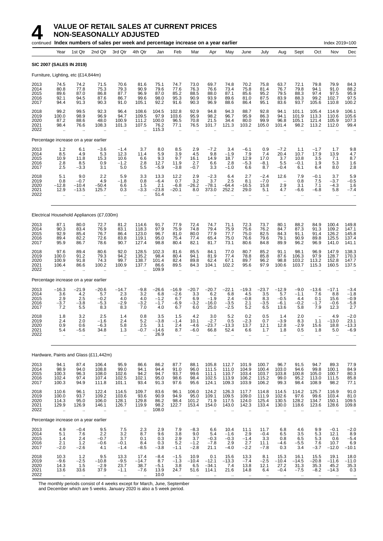

|                                      |                                                  |                                                      | continued Index numbers of sales per week and percentage increase on a year earlier |                                                       |                                                |                                                 |                                                         |                                                       |                                                  |                                                        |                                                      |                                                      |                                                           |                                                   |                                                | Index 2019=100                                        |                                                |
|--------------------------------------|--------------------------------------------------|------------------------------------------------------|-------------------------------------------------------------------------------------|-------------------------------------------------------|------------------------------------------------|-------------------------------------------------|---------------------------------------------------------|-------------------------------------------------------|--------------------------------------------------|--------------------------------------------------------|------------------------------------------------------|------------------------------------------------------|-----------------------------------------------------------|---------------------------------------------------|------------------------------------------------|-------------------------------------------------------|------------------------------------------------|
|                                      | Year                                             | 1st Qtr                                              | 2nd Qtr                                                                             | 3rd Qtr                                               | 4th Qtr                                        | Jan                                             | Feb                                                     | Mar                                                   | Apr                                              | May                                                    | June                                                 | July                                                 | Aug                                                       | Sept                                              | Oct                                            | Nov                                                   | Dec                                            |
|                                      | <b>SIC 2007 (SALES IN 2019)</b>                  |                                                      |                                                                                     |                                                       |                                                |                                                 |                                                         |                                                       |                                                  |                                                        |                                                      |                                                      |                                                           |                                                   |                                                |                                                       |                                                |
|                                      | Furniture, Lighting, etc (£14,844m)              |                                                      |                                                                                     |                                                       |                                                |                                                 |                                                         |                                                       |                                                  |                                                        |                                                      |                                                      |                                                           |                                                   |                                                |                                                       |                                                |
| 2013<br>2014<br>2015<br>2016<br>2017 | 74.5<br>80.8<br>89.6<br>92.1<br>94.4             | 74.2<br>77.8<br>87.0<br>94.5<br>91.3                 | 71.5<br>75.3<br>86.8<br>87.6<br>90.3                                                | 70.6<br>79.3<br>87.7<br>86.7<br>91.0                  | 81.6<br>90.9<br>96.9<br>99.6<br>105.1          | 75.1<br>79.6<br>87.0<br>98.0<br>92.2            | 74.7<br>77.6<br>85.2<br>95.3<br>91.6                    | 73.0<br>76.3<br>88.5<br>90.9<br>90.3                  | 69.7<br>76.6<br>88.0<br>93.9<br>96.9             | 74.8<br>73.4<br>87.1<br>89.6<br>88.6                   | 70.2<br>75.8<br>85.6<br>81.0<br>86.4                 | 75.8<br>81.4<br>95.2<br>87.5<br>95.1                 | 63.7<br>76.7<br>79.5<br>83.9<br>83.6                      | 72.1<br>79.8<br>88.3<br>88.3<br>93.7              | 79.8<br>94.1<br>97.4<br>99.2<br>105.6          | 79.9<br>91.0<br>97.5<br>102.7<br>110.8                | 84.3<br>88.2<br>95.9<br>97.5<br>100.2          |
| 2018<br>2019<br>2020<br>2021<br>2022 | 99.2<br>100.0<br>87.2<br>98.4                    | 99.5<br>98.9<br>88.6<br>76.6                         | 92.3<br>96.9<br>48.0<br>108.3                                                       | 96.4<br>94.7<br>100.9<br>101.3                        | 108.6<br>109.5<br>111.2<br>107.5               | 104.5<br>97.9<br>100.0<br>76.2<br>115.3         | 102.8<br>103.6<br>96.5<br>77.1<br>$\ddot{\phantom{a}}$  | 92.9<br>95.9<br>70.8<br>76.5                          | 94.8<br>98.2<br>21.5<br>101.7                    | 94.3<br>96.7<br>34.4<br>121.3                          | 88.7<br>95.9<br>80.0<br>103.2                        | 92.8<br>86.3<br>99.9<br>105.0                        | 94.1<br>94.1<br>96.8<br>101.4                             | 101.1<br>101.9<br>105.1<br>98.2                   | 105.4<br>113.3<br>121.4<br>113.2               | 114.9<br>110.6<br>105.9<br>112.0                      | 106.1<br>105.6<br>107.3<br>99.4                |
|                                      | Percentage increase on a year earlier            |                                                      |                                                                                     |                                                       |                                                |                                                 |                                                         |                                                       |                                                  |                                                        |                                                      |                                                      |                                                           |                                                   |                                                |                                                       |                                                |
| 2013<br>2014<br>2015<br>2016<br>2017 | $1.2$<br>8.5<br>10.9<br>2.8<br>2.5               | 6.1<br>4.9<br>11.8<br>8.5<br>$-3.3$                  | $-3.6$<br>5.3<br>15.3<br>0.9<br>3.1                                                 | $-1.4$<br>12.3<br>10.6<br>$-1.2$<br>5.0               | 3.7<br>11.4<br>6.6<br>2.8<br>5.5               | 8.0<br>5.9<br>9.3<br>12.7<br>$-5.9$             | 8.5<br>3.9<br>9.7<br>11.9<br>$-3.8$                     | 2.9<br>4.5<br>16.1<br>2.7<br>$-0.7$                   | $-7.2$<br>9.8<br>14.9<br>6.6<br>3.3              | 3.4<br>$-1.9$<br>18.7<br>2.8<br>$-1.0$                 | $-6.1$<br>7.9<br>12.9<br>$-5.3$<br>6.6               | 0.9<br>7.4<br>17.0<br>$-8.1$<br>8.7                  | $-7.2$<br>20.4<br>3.7<br>5.5<br>$-0.4$                    | 1.1<br>10.7<br>10.8<br>$-0.1$<br>6.1              | $-1.7$<br>17.9<br>3.5<br>1.9<br>6.4            | 1.7<br>13.9<br>7.1<br>5.3<br>8.0                      | 9.8<br>4.7<br>8.7<br>1.6<br>2.8                |
| 2018<br>2019<br>2020<br>2021<br>2022 | 5.1<br>0.8<br>$-12.8$<br>12.9                    | 9.0<br>$-0.7$<br>$-10.4$<br>$-13.5$                  | 2.2<br>4.9<br>$-50.4$<br>125.7                                                      | 5.9<br>$-1.8$<br>6.6<br>0.3<br>÷.                     | 3.3<br>0.8<br>1.5<br>-3.3                      | 13.3<br>$-6.4$<br>2.1<br>$-23.8$<br>51.4        | 12.2<br>0.7<br>$-6.8$<br>$-20.1$                        | 2.9<br>3.2<br>$-26.2$<br>8.0                          | $-2.3$<br>3.7<br>$-78.1$<br>373.0                | 6.4<br>2.5<br>$-64.4$<br>252.2                         | 2.7<br>8.1<br>$-16.5$<br>29.0                        | $-2.4$<br>$-7.0$<br>15.8<br>5.1                      | 12.6<br>$\overline{\phantom{a}}$<br>2.9<br>4.7            | 7.9<br>0.8<br>3.1<br>-6.6                         | -0.1<br>7.5<br>7.1<br>-6.8                     | 3.7<br>$-3.7$<br>$-4.3$<br>5.8                        | 5.9<br>$-0.5$<br>1.6<br>$-7.4$                 |
|                                      |                                                  |                                                      | Electrical Household Appliances (£7,030m)                                           |                                                       |                                                |                                                 |                                                         |                                                       |                                                  |                                                        |                                                      |                                                      |                                                           |                                                   |                                                |                                                       |                                                |
| 2013<br>2014<br>2015<br>2016<br>2017 | 87.1<br>90.3<br>92.9<br>89.4<br>95.9             | 80.0<br>83.4<br>85.4<br>82.2<br>86.7                 | 72.7<br>76.9<br>76.7<br>72.6<br>78.6                                                | 81.2<br>83.1<br>86.4<br>83.8<br>90.7                  | 114.6<br>118.3<br>123.0<br>119.1<br>127.4      | 91.7<br>97.9<br>96.7<br>95.0<br>98.8            | 77.9<br>75.9<br>81.0<br>75.4<br>80.4                    | 72.4<br>74.8<br>80.0<br>77.4<br>82.1                  | 74.7<br>79.4<br>77.9<br>65.4<br>81.7             | 71.1<br>75.9<br>77.7<br>75.0<br>73.1                   | 72.3<br>75.6<br>75.0<br>76.6<br>80.6                 | 73.7<br>76.2<br>82.5<br>79.6<br>84.8                 | 80.1<br>84.7<br>84.3<br>79.1<br>89.9                      | 88.2<br>87.3<br>91.1<br>90.9<br>96.2              | 84.9<br>91.3<br>91.4<br>89.8<br>96.9           | 100.4<br>109.2<br>126.2<br>125.5<br>141.0             | 149.8<br>147.1<br>145.8<br>137.4<br>141.1      |
| 2018<br>2019<br>2020<br>2021<br>2022 | 97.6<br>100.0<br>100.9<br>106.4                  | 89.4<br>91.2<br>91.8<br>86.6<br>$\mathbf{r}$         | 80.6<br>79.3<br>74.3<br>100.2                                                       | 92.0<br>94.2<br>99.7<br>100.9<br>$\ddot{\phantom{a}}$ | 128.5<br>135.2<br>138.7<br>137.7<br>ä.         | 102.3<br>98.4<br>101.4<br>86.6<br>109.9         | 81.6<br>80.4<br>82.4<br>89.5<br>$\mathbf{r}$            | 85.5<br>94.1<br>89.8<br>84.3                          | 84.1<br>81.9<br>62.4<br>104.1                    | 77.0<br>77.4<br>67.1<br>102.2                          | 80.7<br>78.8<br>89.7<br>95.6<br>$\ddot{\phantom{a}}$ | 85.2<br>85.8<br>96.2<br>97.9                         | 91.1<br>87.6<br>98.8<br>100.6                             | 98.1<br>106.3<br>103.2<br>103.7                   | 96.9<br>97.9<br>113.2<br>115.3                 | 147.9<br>128.7<br>152.8<br>160.5                      | 138.3<br>170.3<br>147.7<br>137.5               |
|                                      | Percentage increase on a year earlier            |                                                      |                                                                                     |                                                       |                                                |                                                 |                                                         |                                                       |                                                  |                                                        |                                                      |                                                      |                                                           |                                                   |                                                |                                                       |                                                |
| 2013<br>2014<br>2015<br>2016<br>2017 | $-16.3$<br>3.6<br>2.9<br>$-3.7$<br>7.2           | $-21.9$<br>4.2<br>2.5<br>$-3.8$<br>5.5               | $-20.6$<br>5.7<br>$-0.2$<br>$-5.3$<br>8.3                                           | $-14.7$<br>2.3<br>4.0<br>$-2.9$<br>8.3                | $-9.8$<br>3.2<br>4.0<br>-3.2<br>7.0            | $-26.6$<br>6.8<br>$-1.2$<br>$-1.7$<br>4.0       | $-16.9$<br>$-2.6$<br>6.7<br>$-6.9$<br>6.7               | $-20.7$<br>3.3<br>6.9<br>-3.2<br>6.0                  | $-20.7$<br>6.2<br>$-1.9$<br>$-16.0$<br>25.0      | $-22.1$<br>6.8<br>2.4<br>$-3.5$<br>$-2.5$              | $-19.3$<br>4.5<br>$-0.8$<br>2.1<br>5.2               | $-23.7$<br>3.5<br>8.3<br>$-3.5$<br>6.5               | $-12.9$<br>5.7<br>$-0.5$<br>$-6.1$<br>13.6                | $-9.0$<br>$-1.1$<br>4.4<br>$-0.2$<br>5.8          | $-13.6$<br>7.6<br>0.1<br>$-1.7$<br>7.9         | $-17.1$<br>8.8<br>15.6<br>$-0.6$<br>12.3              | $-3.4$<br>$-1.8$<br>$-0.9$<br>$-5.8$<br>2.7    |
| 2018<br>2019<br>2020<br>2021<br>2022 | 1.8<br>2.4<br>0.9<br>5.4<br>$\ddot{\phantom{a}}$ | 3.2<br>2.0<br>0.6<br>$-5.6$<br>$\ddot{\phantom{a}}$  | 2.5<br>$-1.6$<br>$-6.3$<br>34.8                                                     | 1.4<br>2.4<br>5.8<br>1.3<br>$\bar{\mathbf{a}}$        | 0.8<br>5.2<br>2.5<br>$-0.7$                    | 3.5<br>$-3.8$<br>3.1<br>$-14.6$<br>26.9         | 1.5<br>$-1.4$<br>2.4<br>8.7<br>$\ddot{\phantom{1}}$     | 4.2<br>10.1<br>-4.6<br>$-6.0$<br>$\ddot{\phantom{a}}$ | 3.0<br>$-2.7$<br>$-23.7$<br>66.8<br>$\mathbf{r}$ | 5.2<br>0.5<br>-13.3<br>52.4<br>$\ddot{\phantom{a}}$    | 0.2<br>$-2.3$<br>13.7<br>6.6<br>$\ddotsc$            | 0.5<br>0.7<br>12.1<br>1.7<br>$\ddot{\phantom{1}}$    | 1.4<br>$-3.9$<br>12.8<br>1.8<br>$\ddotsc$                 | 2.0<br>8.3<br>-2.9<br>0.5<br>$\ddot{\phantom{a}}$ | 1.1<br>15.6<br>1.8<br>ä.                       | 4.9<br>$-13.0$<br>18.8<br>5.0<br>$\ddot{\phantom{1}}$ | $-2.0$<br>23.1<br>$-13.3$<br>$-6.9$<br>        |
|                                      |                                                  |                                                      | Hardware, Paints and Glass (£11,442m)                                               |                                                       |                                                |                                                 |                                                         |                                                       |                                                  |                                                        |                                                      |                                                      |                                                           |                                                   |                                                |                                                       |                                                |
| 2013<br>2014<br>2015<br>2016<br>2017 | 94.1<br>98.9<br>100.3<br>102.4<br>100.3          | 87.4<br>94.0<br>96.3<br>97.4<br>94.9                 | 106.4<br>108.8<br>108.0<br>107.4<br>111.8                                           | 95.9<br>99.0<br>102.6<br>102.5<br>101.1               | 86.6<br>94.1<br>94.2<br>102.1<br>93.4          | 86.2<br>94.4<br>94.7<br>95.0<br>91.3            | 87.7<br>91.0<br>93.7<br>98.6<br>97.6                    | 88.1<br>96.0<br>99.6<br>98.4<br>95.6                  | 105.8<br>111.5<br>111.1<br>102.5<br>124.1        | 112.7<br>111.0<br>110.7<br>113.9<br>109.3              | 101.9<br>104.9<br>103.4<br>106.2<br>103.9            | 100.7<br>100.4<br>103.7<br>115.2<br>106.2            | 96.7<br>103.0<br>103.8<br>99.0<br>99.3                    | 91.5<br>94.6<br>100.8<br>95.2<br>98.4             | 94.7<br>99.8<br>105.0<br>113.0<br>108.9        | 89.3<br>100.1<br>100.7<br>111.5<br>98.2               | 77.9<br>84.9<br>80.3<br>85.8<br>77.1           |
| 2018<br>2019<br>2020<br>2021<br>2022 | 110.6<br>100.0<br>114.3<br>129.9<br>$\ddotsc$    | 96.1<br>93.7<br>95.0<br>126.9<br>$\cdot$ .           | 122.4<br>109.2<br>106.0<br>146.1<br>ä,                                              | 114.5<br>103.6<br>128.1<br>126.7                      | 109.7<br>93.6<br>129.8<br>119.9<br>$\ldots$    | 83.6<br>90.9<br>86.2<br>98.2<br>108.0           | 96.1<br>94.9<br>98.4<br>122.7<br>$\ddotsc$              | 106.0<br>95.0<br>101.2<br>153.4                       | 124.2<br>109.1<br>71.9<br>154.0                  | 126.3<br>109.5<br>117.5<br>143.0                       | 117.7<br>109.0<br>124.0<br>142.3                     | 114.8<br>111.9<br>125.4<br>133.4                     | 114.5<br>102.6<br>130.5<br>130.0                          | 114.2<br>97.6<br>128.2<br>118.6                   | 125.7<br>99.6<br>134.7<br>123.6                | 116.9<br>103.4<br>150.1<br>128.6                      | $91.0$<br>$81.0$<br>109.5<br>109.8             |
|                                      | Percentage increase on a year earlier            |                                                      |                                                                                     |                                                       |                                                |                                                 |                                                         |                                                       |                                                  |                                                        |                                                      |                                                      |                                                           |                                                   |                                                |                                                       |                                                |
| 2013<br>2014<br>2015<br>2016<br>2017 | 4.9<br>5.1<br>1.4<br>2.1<br>$-2.0$               | $-0.4$<br>7.6<br>2.4<br>1.2<br>$-2.6$                | 9.5<br>2.2<br>$-0.7$<br>$-0.6$<br>4.1                                               | 7.5<br>$\frac{3.2}{3.7}$<br>$-0.1$<br>$-1.4$          | 2.3<br>8.7<br>0.1<br>8.4<br>$-8.5$             | 2.9<br>$\substack{9.6 \\ 0.3}$<br>0.3<br>$-3.8$ | 7.9<br>3.8<br>2.9<br>5.2<br>$-1.1$                      | $-8.3$<br>9.0<br>3.7<br>$-1.2$<br>$-2.8$              | 6.6<br>5.4<br>$-0.3$<br>$-7.8$<br>21.1           | 10.4<br>$-1.6$<br>$-0.3$<br>2.9<br>$-4.0$              | 11.1<br>2.9<br>$-1.4$<br>2.7<br>$-2.2$               | 11.7<br>$-0.4$<br>3.3<br>11.1<br>$-7.8$              | 6.8<br>6.5<br>0.8<br>$-4.6$<br>0.3                        | 4.6<br>3.5<br>6.5<br>$-5.5$<br>3.4                | 9.9<br>5.3<br>5.3<br>7.6<br>$-3.7$             | $-0.1$<br>12.1<br>0.6<br>10.7<br>$-12.0$              | $-2.0$<br>$8.9 - 5.4$<br>6.9<br>$-10.1$        |
| 2018<br>2019<br>2020<br>2021<br>2022 | 10.3<br>$-9.6$<br>14.3<br>13.6<br>$\ddotsc$      | 1.2<br>$-2.5$<br>1.5<br>33.6<br>$\ddot{\phantom{1}}$ | 9.5<br>$-10.8$<br>$-2.9$<br>37.9<br>ä.                                              | 13.3<br>$-9.5$<br>23.7<br>$-1.1$<br>$\cdot$           | 17.4<br>$-14.7$<br>38.7<br>$-7.6$<br>$\ddotsc$ | $-8.4$<br>8.7<br>$-5.1$<br>13.9<br>10.0         | $-1.5$<br>$-1.3$<br>3.8<br>24.7<br>$\ddot{\phantom{1}}$ | 10.9<br>$-10.4$<br>6.5<br>51.6                        | 0.1<br>$-12.1$<br>$-34.1$<br>114.1               | 15.6<br>$-13.3$<br>7.4<br>21.6<br>$\ddot{\phantom{0}}$ | 13.3<br>$-7.4$<br>13.8<br>14.8<br>$\ldots$           | 8.1<br>$-2.5$<br>12.1<br>6.4<br>$\ddot{\phantom{a}}$ | 15.3<br>$-10.4$<br>27.2<br>$-0.4$<br>$\ddot{\phantom{1}}$ | 16.1<br>$-14.5$<br>31.3<br>$-7.5$<br>$\cdot$ .    | 15.5<br>$-20.8$<br>35.3<br>$-8.2$<br>$\ddotsc$ | 19.1<br>$-11.6$<br>45.2<br>$-14.3$                    | 18.0<br>$-11.0$<br>35.3<br>0.3<br>$\cdot\cdot$ |

The monthly periods consist of 4 weeks except for March, June, September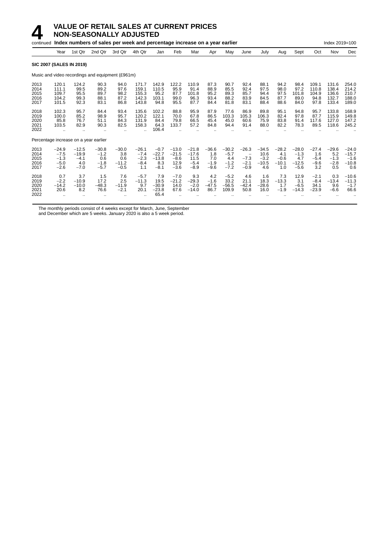|                                       |                                                 |                                               | continued Index numbers of sales per week and percentage increase on a year earlier |                                            |                                              |                                               |                                                |                                                |                                           |                                              |                                                                   |                                             |                                            |                                               |                                           | Index 2019=100                            |                                                |
|---------------------------------------|-------------------------------------------------|-----------------------------------------------|-------------------------------------------------------------------------------------|--------------------------------------------|----------------------------------------------|-----------------------------------------------|------------------------------------------------|------------------------------------------------|-------------------------------------------|----------------------------------------------|-------------------------------------------------------------------|---------------------------------------------|--------------------------------------------|-----------------------------------------------|-------------------------------------------|-------------------------------------------|------------------------------------------------|
|                                       | Year                                            | 1st Qtr                                       | 2nd Qtr                                                                             | 3rd Qtr                                    | 4th Qtr                                      | Jan                                           | Feb                                            | Mar                                            | Apr                                       | May                                          | June                                                              | July                                        | Aug                                        | Sept                                          | Oct                                       | Nov                                       | Dec                                            |
| <b>SIC 2007 (SALES IN 2019)</b>       |                                                 |                                               |                                                                                     |                                            |                                              |                                               |                                                |                                                |                                           |                                              |                                                                   |                                             |                                            |                                               |                                           |                                           |                                                |
|                                       |                                                 |                                               | Music and video recordings and equipment (£961m)                                    |                                            |                                              |                                               |                                                |                                                |                                           |                                              |                                                                   |                                             |                                            |                                               |                                           |                                           |                                                |
| 2013<br>2014<br>2015<br>2016<br>2017  | 120.1<br>111.1<br>109.7<br>104.2<br>101.5       | 124.2<br>99.5<br>95.5<br>99.3<br>92.3         | 90.3<br>89.2<br>89.7<br>88.1<br>83.1                                                | 94.0<br>97.6<br>98.2<br>87.2<br>86.8       | 171.7<br>159.1<br>155.3<br>142.3<br>143.8    | 142.9<br>110.5<br>95.2<br>103.1<br>94.8       | 122.2<br>95.9<br>87.7<br>99.0<br>95.5          | 110.9<br>91.4<br>101.8<br>96.3<br>87.7         | 87.3<br>88.9<br>95.2<br>93.4<br>84.4      | 90.7<br>85.5<br>89.3<br>88.2<br>81.8         | 92.4<br>92.4<br>85.7<br>83.9<br>83.1                              | 88.1<br>97.5<br>94.4<br>84.5<br>88.4        | 94.2<br>98.0<br>97.5<br>87.7<br>88.6       | 98.4<br>97.2<br>101.8<br>89.0<br>84.0         | 109.1<br>110.8<br>104.9<br>94.8<br>97.8   | 131.6<br>138.4<br>136.6<br>132.7<br>133.4 | 254.0<br>214.2<br>210.7<br>188.0<br>189.0      |
| 2018<br>2019<br>2020<br>2021<br>2022  | 102.3<br>100.0<br>85.8<br>103.5<br>$\ddotsc$    | 95.7<br>85.2<br>76.7<br>82.9                  | 84.4<br>98.9<br>51.1<br>90.3                                                        | 93.4<br>95.7<br>84.3<br>82.5               | 135.6<br>120.2<br>131.9<br>158.3             | 102.2<br>122.1<br>84.4<br>64.3<br>106.4       | 88.8<br>70.0<br>79.8<br>133.7                  | 95.9<br>67.8<br>66.5<br>57.2                   | 87.9<br>86.5<br>45.4<br>84.8              | 77.6<br>103.3<br>45.0<br>94.4                | 86.9<br>105.3<br>60.6<br>91.4                                     | 89.8<br>106.3<br>75.9<br>88.0               | 95.1<br>82.4<br>83.8<br>82.2               | 94.8<br>97.8<br>91.4<br>78.3                  | 95.7<br>87.7<br>117.6<br>89.5             | 133.8<br>115.9<br>127.0<br>118.6          | 168.9<br>149.8<br>147.2<br>245.2               |
| Percentage increase on a year earlier |                                                 |                                               |                                                                                     |                                            |                                              |                                               |                                                |                                                |                                           |                                              |                                                                   |                                             |                                            |                                               |                                           |                                           |                                                |
| 2013<br>2014<br>2015<br>2016<br>2017  | $-24.9$<br>$-7.5$<br>$-1.3$<br>$-5.0$<br>$-2.6$ | $-12.5$<br>$-19.9$<br>$-4.1$<br>4.0<br>$-7.0$ | $-30.8$<br>$-1.2$<br>0.6<br>$-1.8$<br>$-5.7$                                        | $-30.0$<br>3.8<br>0.6<br>$-11.2$<br>$-0.5$ | $-26.1$<br>$-7.4$<br>$-2.3$<br>$-8.4$<br>1.1 | $-0.7$<br>$-22.7$<br>$-13.8$<br>8.3<br>$-8.1$ | $-13.0$<br>$-21.5$<br>$-8.6$<br>12.9<br>$-3.6$ | $-21.8$<br>$-17.6$<br>11.5<br>$-5.4$<br>$-8.9$ | $-36.6$<br>1.8<br>7.0<br>$-1.9$<br>$-9.6$ | $-30.2$<br>$-5.7$<br>4.4<br>$-1.2$<br>$-7.2$ | $-26.3$<br>$\overline{\phantom{m}}$<br>$-7.3$<br>$-2.1$<br>$-0.9$ | $-34.5$<br>10.6<br>$-3.2$<br>$-10.5$<br>4.6 | $-28.2$<br>4.1<br>$-0.6$<br>$-10.1$<br>1.0 | $-28.0$<br>$-1.3$<br>4.7<br>$-12.5$<br>$-5.6$ | $-27.4$<br>1.6<br>$-5.4$<br>$-9.6$<br>3.2 | $-29.6$<br>5.2<br>$-1.3$<br>$-2.8$<br>0.5 | $-24.0$<br>$-15.7$<br>$-1.6$<br>$-10.8$<br>0.6 |
| 2018<br>2019<br>2020<br>2021<br>2022  | 0.7<br>$-2.2$<br>$-14.2$<br>20.6                | 3.7<br>$-10.9$<br>$-10.0$<br>8.2              | 1.5<br>17.2<br>$-48.3$<br>76.6                                                      | 7.6<br>2.5<br>$-11.9$<br>$-2.1$            | $-5.7$<br>$-11.3$<br>9.7<br>20.1             | 7.9<br>19.5<br>$-30.9$<br>$-23.8$<br>65.4     | $-7.0$<br>$-21.2$<br>14.0<br>67.6              | 9.3<br>$-29.3$<br>$-2.0$<br>$-14.0$            | 4.2<br>$-1.6$<br>$-47.5$<br>86.7          | $-5.2$<br>33.2<br>$-56.5$<br>109.9           | 4.6<br>21.1<br>$-42.4$<br>50.8                                    | 1.6<br>18.3<br>$-28.6$<br>16.0              | 7.3<br>$-13.3$<br>1.7<br>$-1.9$            | 12.9<br>3.1<br>$-6.5$<br>$-14.3$              | $-2.1$<br>$-8.4$<br>34.1<br>$-23.9$       | 0.3<br>$-13.4$<br>9.6<br>$-6.6$           | $-10.6$<br>$-11.3$<br>$-1.7$<br>66.6           |

The monthly periods consist of 4 weeks except for March, June, September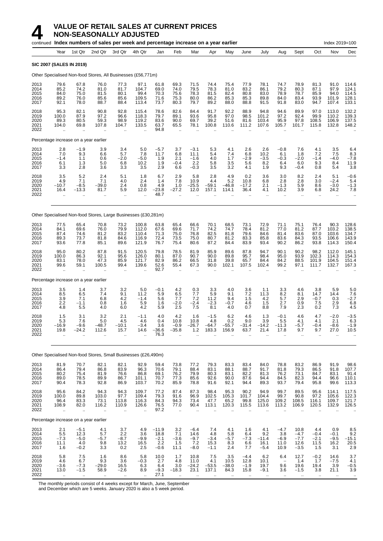|                                      |                                                        |                                                      | continued Index numbers of sales per week and percentage increase on a year earlier |                                                       |                                               |                                      |                                                        |                                           |                                      |                                      |                                      |                                                    |                                             |                                                   |                                                   | Index 2019=100                                          |                                           |
|--------------------------------------|--------------------------------------------------------|------------------------------------------------------|-------------------------------------------------------------------------------------|-------------------------------------------------------|-----------------------------------------------|--------------------------------------|--------------------------------------------------------|-------------------------------------------|--------------------------------------|--------------------------------------|--------------------------------------|----------------------------------------------------|---------------------------------------------|---------------------------------------------------|---------------------------------------------------|---------------------------------------------------------|-------------------------------------------|
|                                      | Year                                                   | 1st Qtr                                              | 2nd Qtr                                                                             | 3rd Qtr                                               | 4th Qtr                                       | Jan                                  | Feb                                                    | Mar                                       | Apr                                  | May                                  | June                                 | July                                               | Aug                                         | Sept                                              | Oct                                               | Nov                                                     | Dec                                       |
|                                      | <b>SIC 2007 (SALES IN 2019)</b>                        |                                                      |                                                                                     |                                                       |                                               |                                      |                                                        |                                           |                                      |                                      |                                      |                                                    |                                             |                                                   |                                                   |                                                         |                                           |
|                                      |                                                        |                                                      | Other Specialised Non-food Stores, All Businesses (£56,771m)                        |                                                       |                                               |                                      |                                                        |                                           |                                      |                                      |                                      |                                                    |                                             |                                                   |                                                   |                                                         |                                           |
| 2013<br>2014<br>2015<br>2016<br>2017 | 79.6<br>85.2<br>84.0<br>89.2<br>92.1                   | 67.8<br>74.2<br>75.0<br>76.0<br>78.0                 | 76.0<br>81.0<br>81.5<br>85.6<br>88.7                                                | 77.3<br>81.7<br>80.1<br>85.6<br>88.4                  | 97.1<br>104.7<br>99.4<br>109.5<br>113.4       | 61.8<br>69.0<br>70.3<br>71.6<br>73.7 | 69.3<br>74.0<br>75.6<br>75.3<br>80.3                   | 71.5<br>79.5<br>78.3<br>80.0<br>79.7      | 74.4<br>78.3<br>81.5<br>86.2<br>89.2 | 75.4<br>81.0<br>82.4<br>85.3<br>88.0 | 77.9<br>83.2<br>80.8<br>85.3<br>88.8 | 78.1<br>86.1<br>83.0<br>89.8<br>91.5               | 74.7<br>79.2<br>78.9<br>84.0<br>91.8        | 78.9<br>80.3<br>78.7<br>83.4<br>83.0              | 81.3<br>87.1<br>85.9<br>93.9<br>94.7              | 91.0<br>97.9<br>94.0<br>101.9<br>107.4                  | 114.6<br>124.1<br>114.5<br>128.1<br>133.1 |
| 2018<br>2019<br>2020<br>2021<br>2022 | 95.3<br>100.0<br>89.3<br>104.0<br>$\ddot{\phantom{a}}$ | 82.1<br>87.9<br>80.5<br>69.8<br>$\ddot{\phantom{a}}$ | 90.8<br>97.2<br>59.3<br>107.8                                                       | 92.8<br>96.6<br>98.9<br>104.7<br>$\ddot{\phantom{a}}$ | 115.4<br>118.3<br>119.2<br>133.5<br>ä.        | 78.6<br>79.7<br>83.6<br>63.7<br>94.8 | 82.6<br>89.1<br>90.0<br>65.5<br>÷.                     | 84.4<br>93.6<br>69.7<br>78.1              | 91.7<br>95.8<br>39.2<br>100.8        | 92.2<br>97.0<br>51.6<br>110.6        | 88.9<br>98.5<br>81.6<br>111.2        | 94.8<br>101.2<br>103.4<br>107.6                    | 94.6<br>97.2<br>95.9<br>105.7               | 89.9<br>92.4<br>97.8<br>101.7                     | 97.0<br>99.9<br>108.5<br>115.8                    | 113.0<br>110.2<br>106.9<br>132.8                        | 132.2<br>139.3<br>137.5<br>148.2          |
|                                      | Percentage increase on a year earlier                  |                                                      |                                                                                     |                                                       |                                               |                                      |                                                        |                                           |                                      |                                      |                                      |                                                    |                                             |                                                   |                                                   |                                                         |                                           |
| 2013<br>2014<br>2015<br>2016<br>2017 | 2.8<br>7.0<br>$-1.4$<br>6.1<br>3.3                     | $-1.9$<br>9.3<br>1.1<br>1.3<br>2.8                   | 3.9<br>6.6<br>0.6<br>5.0<br>3.6                                                     | 3.4<br>5.7<br>$-2.0$<br>6.8<br>3.3                    | 5.0<br>7.8<br>$-5.0$<br>10.2<br>3.5           | $-5.7$<br>11.7<br>1.9<br>1.9<br>2.9  | 3.7<br>6.8<br>2.1<br>$-0.4$<br>6.6                     | $-3.1$<br>11.1<br>$-1.6$<br>2.2<br>$-0.3$ | 5.3<br>5.4<br>4.0<br>5.8<br>3.5      | 4.1<br>7.4<br>1.7<br>3.5<br>3.2      | 2.6<br>6.8<br>$-2.9$<br>5.6<br>4.1   | 2.6<br>10.2<br>$-3.5$<br>8.2<br>1.9                | $-0.8$<br>6.1<br>$-0.3$<br>6.4<br>9.3       | 7.6<br>1.8<br>$-2.0$<br>6.0<br>$-0.4$             | 4.1<br>7.2<br>$-1.4$<br>9.3<br>0.8                | 3.5<br>7.5<br>$-4.0$<br>8.4<br>5.4                      | 6.4<br>$\frac{8.3}{-7.8}$<br>11.9<br>3.8  |
| 2018<br>2019<br>2020<br>2021<br>2022 | 3.5<br>4.9<br>$-10.7$<br>16.4                          | 5.2<br>7.1<br>$-8.5$<br>$-13.3$                      | 2.4<br>7.1<br>$-39.0$<br>81.7                                                       | 5.1<br>4.0<br>2.4<br>5.9<br>$\ddot{\phantom{a}}$      | 1.8<br>2.4<br>0.8<br>12.0                     | 6.7<br>1.4<br>4.9<br>$-23.8$<br>48.7 | 2.9<br>7.8<br>1.0<br>$-27.2$                           | 5.8<br>10.9<br>$-25.5$<br>12.0            | 2.8<br>4.4<br>$-59.1$<br>157.1       | 4.9<br>5.2<br>$-46.8$<br>114.1       | 0.2<br>10.8<br>$-17.2$<br>36.4       | 3.6<br>6.8<br>2.1<br>4.1<br>$\ddotsc$              | 3.0<br>2.8<br>$-1.3$<br>10.2                | 8.2<br>2.8<br>5.9<br>3.9<br>$\ddotsc$             | 2.4<br>3.0<br>8.6<br>6.8<br>$\ddot{\phantom{a}}$  | 5.1<br>$-2.4$<br>$-3.0$<br>24.2<br>$\ddot{\phantom{a}}$ | $-0.6$<br>5.4<br>$-1.3$<br>7.8            |
|                                      |                                                        |                                                      | Other Specialised Non-food Stores, Large Businesses (£30,281m)                      |                                                       |                                               |                                      |                                                        |                                           |                                      |                                      |                                      |                                                    |                                             |                                                   |                                                   |                                                         |                                           |
| 2013<br>2014<br>2015<br>2016<br>2017 | 77.5<br>84.1<br>87.4<br>89.3<br>93.6                   | 65.4<br>69.6<br>74.6<br>73.7<br>77.8                 | 70.8<br>76.0<br>81.2<br>81.8<br>85.1                                                | 73.2<br>79.9<br>83.2<br>84.6<br>89.6                  | 100.8<br>112.0<br>110.4<br>116.9<br>121.9     | 63.8<br>67.6<br>71.3<br>72.4<br>76.7 | 65.4<br>69.6<br>75.0<br>73.5<br>75.4                   | 66.6<br>71.7<br>76.8<br>75.0<br>80.6      | 70.1<br>74.2<br>82.5<br>80.7<br>87.2 | 68.5<br>74.7<br>81.8<br>81.2<br>84.4 | 73.1<br>78.4<br>79.6<br>83.3<br>83.9 | 72.9<br>81.2<br>84.6<br>85.8<br>93.4               | 71.1<br>77.0<br>81.4<br>83.6<br>90.2        | 75.1<br>81.2<br>83.6<br>84.3<br>86.2              | 76.4<br>87.7<br>87.0<br>93.5<br>93.8              | 90.3<br>103.2<br>103.6<br>106.6<br>114.3                | 128.6<br>138.5<br>134.7<br>143.9<br>150.4 |
| 2018<br>2019<br>2020<br>2021<br>2022 | 95.0<br>100.0<br>83.1<br>99.6<br>ă,                    | 80.2<br>86.3<br>78.0<br>59.1<br>ä.                   | 87.8<br>92.1<br>47.3<br>100.5                                                       | 91.5<br>95.6<br>85.9<br>99.4<br>$\ddotsc$             | 120.5<br>126.0<br>121.7<br>139.6<br>$\ddotsc$ | 79.8<br>80.1<br>82.9<br>52.6<br>92.7 | 78.5<br>87.0<br>86.2<br>55.4<br>$\bar{\mathbf{r}}$     | 81.9<br>90.7<br>66.5<br>67.3<br>$\ddotsc$ | 85.9<br>90.0<br>31.8<br>90.0         | 89.6<br>89.8<br>39.8<br>102.1        | 87.8<br>95.7<br>65.7<br>107.5        | 94.7<br>98.4<br>84.4<br>102.4                      | 90.1<br>95.0<br>84.2<br>99.2<br>ä.          | 90.2<br>93.9<br>88.5<br>97.1                      | 98.2<br>102.3<br>101.9<br>111.7                   | 112.0<br>114.3<br>104.5<br>132.7                        | 145.1<br>154.3<br>151.4<br>167.3          |
|                                      | Percentage increase on a year earlier                  |                                                      |                                                                                     |                                                       |                                               |                                      |                                                        |                                           |                                      |                                      |                                      |                                                    |                                             |                                                   |                                                   |                                                         |                                           |
| 2013<br>2014<br>2015<br>2016<br>2017 | 3.5<br>8.5<br>3.9<br>2.2<br>4.8                        | 1.4<br>6.5<br>7.1<br>$-1.1$<br>5.5                   | 3.7<br>7.4<br>6.8<br>0.8<br>4.0                                                     | 3.2<br>9.1<br>4.2<br>1.6<br>6.0                       | 5.0<br>11.2<br>$-1.4$<br>5.9<br>4.2           | $-0.1$<br>5.9<br>5.6<br>1.6<br>5.9   | 4.2<br>6.5<br>7.7<br>$-2.0$<br>2.5                     | 0.3<br>7.7<br>7.2<br>$-2.4$<br>7.5        | 3.3<br>5.9<br>11.2<br>$-2.3$<br>8.1  | 4.0<br>9.1<br>9.4<br>$-0.7$<br>4.0   | 3.6<br>7.2<br>1.5<br>4.6<br>0.7      | 1.1<br>11.3<br>4.2<br>1.5<br>8.8                   | 3.3<br>8.2<br>5.7<br>2.7<br>7.9             | 4.6<br>8.1<br>2.9<br>0.9<br>2.3                   | 3.8<br>14.7<br>$-0.7$<br>7.5<br>0.2               | 5.9<br>14.4<br>0.3<br>2.9<br>7.3                        | 5.0<br>7.6<br>$-2.7$<br>6.8<br>4.5        |
| 2018<br>2019<br>2020<br>2021<br>2022 | 1.5<br>5.3<br>16.9<br>19.8<br>$\ddotsc$                | 3.1<br>7.6<br>-9.6<br>-24.2<br>ä.                    | 3.2<br>5.0<br>48.7<br>112.6<br>ä.                                                   | 2.1<br>4.5<br>10.1<br>15.7<br>$\ddotsc$               | $-1.1$<br>4.6<br>3.4<br>14.6                  | 4.0<br>0.4<br>3.6<br>$-36.6$<br>76.3 | 4.2<br>10.8<br>-0.9<br>$-35.8$<br>$\ddot{\phantom{a}}$ | 1.6<br>10.8<br>26.7<br>$1.2$<br>ä,        | $-1.5$<br>4.8<br>-64.7<br>183.3      | 6.2<br>0.2<br>55.7<br>156.9          | 4.6<br>9.0<br>31.4<br>63.7           | 1.3<br>3.9<br>14.2<br>21.4<br>$\ddot{\phantom{a}}$ | $-0.1$<br>5.5<br>11.3<br>17.8<br>$\ddotsc$  | 4.6<br>4.1<br>-5.7<br>9.7<br>$\ddot{\phantom{a}}$ | 4.7<br>4.1<br>-0.4<br>9.7<br>$\ddot{\phantom{a}}$ | $-2.0$<br>2.1<br>-8.6<br>27.0<br>÷.                     | $-3.5$<br>6.3<br>-1.9<br>10.5             |
|                                      |                                                        |                                                      | Other Specialised Non-food Stores, Small Businesses (£26,490m)                      |                                                       |                                               |                                      |                                                        |                                           |                                      |                                      |                                      |                                                    |                                             |                                                   |                                                   |                                                         |                                           |
| 2013<br>2014<br>2015<br>2016<br>2017 | 81.9<br>86.4<br>80.2<br>89.0<br>90.4                   | 70.7<br>79.4<br>75.4<br>78.5<br>78.3                 | 82.1<br>86.8<br>81.9<br>89.9<br>92.8                                                | 82.1<br>83.9<br>76.6<br>86.7<br>86.9                  | 92.9<br>96.3<br>86.8<br>101.1<br>103.7        | 59.4<br>70.6<br>69.1<br>70.7<br>70.2 | 73.8<br>79.1<br>76.2<br>77.3<br>85.9                   | 77.2<br>88.4<br>79.9<br>85.6<br>78.8      | 79.3<br>83.1<br>80.3<br>92.6<br>91.6 | 83.3<br>88.1<br>83.1<br>90.0<br>92.1 | 83.4<br>88.7<br>82.2<br>87.6<br>94.4 | 84.0<br>91.7<br>81.3<br>94.4<br>89.3               | 78.8<br>81.8<br>76.2<br>84.5<br>93.7        | 83.2<br>79.3<br>73.1<br>82.3<br>79.4              | 86.9<br>86.5<br>84.7<br>94.4<br>95.8              | 91.9<br>91.8<br>83.1<br>96.6<br>99.6                    | 98.6<br>107.7<br>91.4<br>110.1<br>113.3   |
| 2018<br>2019<br>2020<br>2021<br>2022 | 95.6<br>100.0<br>96.4<br>108.9                         | 84.2<br>89.8<br>83.3<br>82.0<br>$\ddotsc$            | 94.3<br>103.0<br>73.1<br>116.2<br>$\bar{\mathbf{r}}$                                | 94.3<br>97.7<br>113.8<br>110.9<br>μ.                  | 109.7<br>109.4<br>116.3<br>126.6<br>ä.        | 77.2<br>79.3<br>84.3<br>76.5<br>97.2 | 87.4<br>91.6<br>94.3<br>77.0<br>$\ddotsc$              | 87.3<br>96.9<br>73.4<br>90.4              | 98.4<br>102.5<br>47.7<br>113.1       | 95.3<br>105.3<br>65.2<br>120.3       | 90.2<br>101.7<br>99.8<br>115.5       | 94.9<br>104.4<br>125.0<br>113.6                    | 99.7<br>99.7<br>109.2<br>113.2<br>$\ddotsc$ | 89.5<br>90.8<br>108.5<br>106.9                    | 95.6<br>97.2<br>116.1<br>120.5                    | 114.1<br>105.6<br>109.7<br>132.9                        | 117.5<br>122.3<br>121.7<br>126.5          |
|                                      | Percentage increase on a year earlier                  |                                                      |                                                                                     |                                                       |                                               |                                      |                                                        |                                           |                                      |                                      |                                      |                                                    |                                             |                                                   |                                                   |                                                         |                                           |
| 2013<br>2014                         | 2.1<br>5.5                                             | $-5.1$<br>12.3                                       | 4.1<br>5.7                                                                          | 3.7<br>$2.2\,$                                        | $\frac{4.9}{3.6}$                             | $-11.9$<br>18.8                      | 3.2<br>7.1                                             | $-6.4$<br>14.6                            | $7.4 \\ 4.8$                         | 4.1<br>5.8                           | 1.6<br>6.4                           | 4.1<br>9.2                                         | $-4.7$<br>3.8                               | 10.8<br>$-4.7$                                    | 4.4<br>$-0.4$                                     | 0.9<br>$-0.1$                                           | $\begin{array}{c} 8.5 \\ 9.2 \end{array}$ |

2015 −7.3 −5.0 −5.7 −8.7 −9.9 −2.1 −3.6 −9.7 −3.4 −5.7 −7.3 −11.4 −6.9 −7.7 −2.1 −9.5 −15.1 2016 11.1 4.0 9.8 13.2 16.5 2.2 1.5 7.2 15.3 8.3 6.6 16.1 11.0 12.6 11.5 16.2 20.5 2017 1.6 −0.2 3.3 0.2 2.5 −0.6 11.1 −8.0 −1.1 2.4 7.7 −5.4 10.9 −3.5 1.5 3.1 2.9 2018 5.8 7.5 1.6 8.6 5.8 10.0 1.7 10.8 7.5 3.5 −4.4 6.2 6.4 12.7 −0.2 14.6 3.7 2019 4.6 6.7 9.3 3.6 −0.3 2.7 4.8 11.0 4.1 10.5 12.8 10.1 − 1.4 1.7 −7.5 4.1 2020 −3.6 −7.3 −29.0 16.5 6.3 6.4 3.0 −24.2 −53.5 −38.0 −1.9 19.7 9.6 19.6 19.4 3.9 −0.5 2021 13.0 −1.5 58.9 −2.6 8.9 −9.3 −18.3 23.1 137.1 84.3 15.8 −9.1 3.6 −1.5 3.8 21.1 3.9 2022 .. .. .. .. .. 27.1 .. .. .. .. .. .. .. .. .. .. ..

The monthly periods consist of 4 weeks except for March, June, September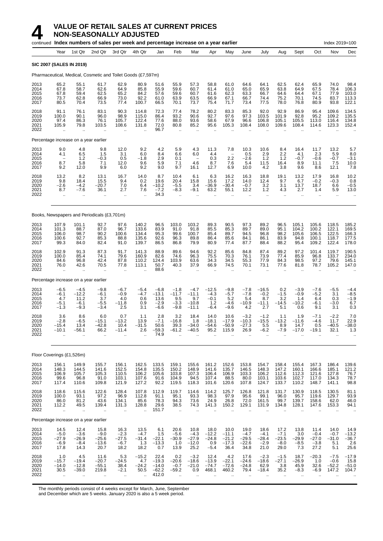# **4** VALUE OF RETAIL SALES AT CURRENT PRICES

**NON-SEASONALLY ADJUSTED**

|                                      |                                                        |                                                       | continued Index numbers of sales per week and percentage increase on a year earlier |                                                      |                                                                      |                                                |                                                       |                                                       |                                              |                                               |                                                        |                                                    |                                                   |                                                      |                                                                    | Index 2019=100                                       |                                                      |
|--------------------------------------|--------------------------------------------------------|-------------------------------------------------------|-------------------------------------------------------------------------------------|------------------------------------------------------|----------------------------------------------------------------------|------------------------------------------------|-------------------------------------------------------|-------------------------------------------------------|----------------------------------------------|-----------------------------------------------|--------------------------------------------------------|----------------------------------------------------|---------------------------------------------------|------------------------------------------------------|--------------------------------------------------------------------|------------------------------------------------------|------------------------------------------------------|
|                                      | Year                                                   | 1st Qtr                                               | 2nd Qtr                                                                             | 3rd Qtr                                              | 4th Qtr                                                              | Jan                                            | Feb                                                   | Mar                                                   | Apr                                          | May                                           | June                                                   | July                                               | Aug                                               | Sept                                                 | Oct                                                                | Nov                                                  | Dec                                                  |
|                                      | <b>SIC 2007 (SALES IN 2019)</b>                        |                                                       |                                                                                     |                                                      |                                                                      |                                                |                                                       |                                                       |                                              |                                               |                                                        |                                                    |                                                   |                                                      |                                                                    |                                                      |                                                      |
|                                      |                                                        |                                                       | Pharmaceutical, Medical, Cosmetic and Toilet Goods (£7,597m)                        |                                                      |                                                                      |                                                |                                                       |                                                       |                                              |                                               |                                                        |                                                    |                                                   |                                                      |                                                                    |                                                      |                                                      |
| 2013<br>2014<br>2015<br>2016<br>2017 | 65.2<br>67.8<br>67.8<br>73.7<br>80.5                   | 55.1<br>58.7<br>59.4<br>62.8<br>70.4                  | 61.7<br>62.6<br>62.5<br>66.9<br>73.5                                                | 62.9<br>64.9<br>65.2<br>73.0<br>77.4                 | 80.9<br>85.8<br>84.2<br>$\begin{array}{c} 92.2 \\ 100.7 \end{array}$ | 51.6<br>55.9<br>57.6<br>61.0<br>66.5           | 55.9<br>59.6<br>59.6<br>63.9<br>70.1                  | 57.3<br>60.7<br>60.7<br>63.5<br>73.7                  | 58.8<br>61.4<br>61.6<br>66.9<br>75.4         | 61.0<br>61.0<br>62.3<br>67.1<br>71.7          | 64.6<br>65.0<br>63.3<br>66.7<br>73.4                   | 64.1<br>65.9<br>66.7<br>74.4<br>77.5               | 62.5<br>63.8<br>64.6<br>75.2<br>78.0              | 62.4<br>64.9<br>64.4<br>70.1<br>76.8                 | 65.9<br>67.5<br>67.1<br>74.5<br>80.9                               | 74.0<br>78.4<br>77.9<br>83.7<br>93.8                 | 98.4<br>106.3<br>103.0<br>113.3<br>122.1             |
| 2018<br>2019<br>2020<br>2021<br>2022 | 91.1<br>100.0<br>97.4<br>105.9                         | 76.1<br>90.1<br>86.3<br>79.8                          | 83.1<br>96.0<br>76.1<br>103.5                                                       | 90.3<br>98.9<br>105.7<br>108.6                       | 114.8<br>115.0<br>122.4<br>131.8                                     | 72.3<br>86.4<br>77.6<br>72.0<br>96.7           | 77.4<br>93.2<br>88.0<br>80.8<br>$\mathbf{r}$          | 78.2<br>90.6<br>93.6<br>85.2                          | 80.2<br>92.7<br>58.6<br>95.6                 | 83.3<br>97.6<br>67.9<br>105.3                 | 85.3<br>97.3<br>96.6<br>108.4                          | 92.0<br>103.5<br>106.8<br>108.0                    | 92.9<br>101.9<br>105.1<br>109.6                   | 86.9<br>92.8<br>105.5<br>108.4                       | 95.4<br>95.2<br>113.0<br>114.6                                     | 109.6<br>109.2<br>116.4<br>123.3                     | 134.5<br>135.5<br>134.8<br>152.4                     |
|                                      |                                                        | Percentage increase on a year earlier                 |                                                                                     |                                                      |                                                                      |                                                |                                                       |                                                       |                                              |                                               |                                                        |                                                    |                                                   |                                                      |                                                                    |                                                      |                                                      |
| 2013<br>2014<br>2015<br>2016<br>2017 | 9.0<br>4.1<br>$\qquad \qquad -$<br>8.7<br>9.2          | 4.8<br>$6.5$<br>1.2<br>5.8<br>12.0                    | 9.8<br>1.5<br>$-0.3$<br>7.1<br>9.9                                                  | 12.0<br>3.1<br>0.5<br>12.0<br>6.0                    | 9.2<br>6.0<br>$-1.8$<br>9.6<br>9.2                                   | 4.2<br>8.4<br>2.9<br>5.9<br>9.0                | 5.9<br>6.6<br>0.1<br>7.1<br>9.7                       | 4.3<br>6.0<br>$\overline{\phantom{a}}$<br>4.6<br>16.1 | 11.3<br>4.4<br>0.3<br>8.7<br>12.7            | 7.8<br>2.2<br>7.6<br>6.9                      | 10.3<br>0.5<br>$-2.6$<br>5.4<br>10.0                   | 10.6<br>$^{2.9}_{1.2}$<br>11.5<br>4.2              | 8.4<br>$^{2.2}_{1.2}$<br>16.4<br>3.8              | 16.4<br>4.1<br>$-0.7$<br>8.9<br>9.6                  | 11.7<br>2.3<br>$-0.6$<br>11.1<br>8.6                               | 13.2<br>$\frac{5.9}{-0.7}$<br>7.5<br>12.1            | 5.7<br>$8.0 - 3.1$<br>10.0<br>7.8                    |
| 2018<br>2019<br>2020<br>2021<br>2022 | 13.2<br>$\frac{9.8}{-2.6}$<br>8.7<br>$\ddotsc$         | 8.2<br>$18.4 - 4.2$<br>$-7.6$<br>$\ddot{\phantom{a}}$ | 13.1<br>15.5<br>$-20.7$<br>36.1                                                     | 16.7<br>9.4<br>7.0<br>2.7<br>÷.                      | 14.0<br>$\substack{0.2 \\ 6.4}$<br>7.6                               | 8.7<br>19.6<br>$-10.2$<br>$-7.2$<br>34.3       | 10.4<br>20.4<br>$-5.5$<br>$-8.3$<br>$\sim$            | 6.1<br>15.8<br>3.4<br>$-9.1$                          | 6.3<br>15.6<br>$-36.9$<br>63.2               | 16.2<br>17.2<br>$-30.4$<br>55.1               | 16.3<br>14.0<br>$-0.7$<br>12.2<br>$\ddot{\phantom{a}}$ | 18.8<br>12.4<br>3.2<br>1.2<br>$\ddot{\phantom{a}}$ | 19.1<br>9.7<br>3.1<br>4.3<br>$\ddot{\phantom{a}}$ | 13.2<br>$6.7$<br>13.7<br>2.7<br>$\ddot{\phantom{a}}$ | 17.9<br>$\substack{ -0.2 \\ 18.7 }$<br>1.4<br>$\ddot{\phantom{a}}$ | 16.8<br>$-0.3$<br>6.6<br>5.9<br>$\ddot{\phantom{1}}$ | 10.2<br>0.8<br>$-0.5$<br>13.0                        |
|                                      |                                                        |                                                       | Books, Newspapers and Periodicals (£3,701m)                                         |                                                      |                                                                      |                                                |                                                       |                                                       |                                              |                                               |                                                        |                                                    |                                                   |                                                      |                                                                    |                                                      |                                                      |
| 2013<br>2014<br>2015<br>2016<br>2017 | 107.9<br>101.3<br>106.0<br>100.6<br>99.3               | 101.1<br>88.7<br>98.7<br>92.7<br>84.0                 | 92.7<br>87.0<br>90.2<br>85.3<br>82.4                                                | 97.6<br>96.7<br>100.6<br>88.8<br>91.0                | 140.2<br>133.6<br>134.4<br>135.6<br>139.7                            | 96.5<br>83.9<br>95.3<br>92.6<br>86.5           | 103.0<br>91.0<br>99.6<br>96.3<br>86.8                 | 103.2<br>91.8<br>100.7<br>89.8<br>79.9                | 89.3<br>85.5<br>85.4<br>86.4<br>80.9         | 90.5<br>85.3<br>89.7<br>85.6<br>77.4          | 97.3<br>89.7<br>94.5<br>84.1<br>87.7                   | 89.2<br>89.0<br>96.8<br>86.1<br>88.4               | 96.5<br>95.1<br>98.2<br>83.9<br>88.2              | 105.1<br>104.2<br>105.6<br>94.8<br>95.4              | 105.6<br>100.2<br>106.5<br>100.1<br>109.2                          | 118.5<br>122.1<br>122.5<br>118.7<br>122.4            | 185.2<br>169.5<br>166.3<br>177.5<br>178.0            |
| 2018<br>2019<br>2020<br>2021<br>2022 | 102.9<br>100.0<br>84.6<br>76.0<br>$\ddot{\phantom{a}}$ | 91.3<br>85.4<br>96.8<br>42.6<br>$\ddot{\phantom{a}}$  | 87.3<br>74.1<br>42.4<br>70.5                                                        | 91.7<br>79.6<br>87.8<br>77.8<br>$\ddot{\phantom{a}}$ | 141.3<br>160.9<br>110.2<br>113.1                                     | 88.9<br>82.6<br>124.4<br>50.7<br>88.6          | 89.6<br>74.6<br>103.9<br>40.3                         | 94.6<br>96.3<br>63.6<br>37.9                          | 92.2<br>75.5<br>34.3<br>66.9                 | 85.6<br>70.3<br>34.5<br>74.5                  | 84.8<br>76.1<br>55.3<br>70.1                           | 87.4<br>73.9<br>77.9<br>73.1                       | 89.2<br>77.4<br>84.3<br>77.6                      | 97.2<br>85.9<br>98.5<br>81.8                         | 101.4<br>96.8<br>97.2<br>78.7                                      | 119.7<br>133.7<br>79.6<br>105.2                      | 190.5<br>234.0<br>145.1<br>147.0                     |
|                                      |                                                        | Percentage increase on a year earlier                 |                                                                                     |                                                      |                                                                      |                                                |                                                       |                                                       |                                              |                                               |                                                        |                                                    |                                                   |                                                      |                                                                    |                                                      |                                                      |
| 2013<br>2014<br>2015<br>2016<br>2017 | $-6.5$<br>$-6.1$<br>4.7<br>$-5.1$<br>$-1.3$            | $-4.5$<br>$-12.2$<br>11.2<br>$-6.1$<br>$-9.3$         | $-9.8$<br>$-6.1$<br>3.7<br>$-5.5$<br>$-3.4$                                         | $-6.7$<br>$-0.9$<br>4.0<br>$-11.8$<br>2.5            | $-5.4$<br>$-4.7$<br>0.6<br>0.9<br>3.1                                | $-6.8$<br>$-13.1$<br>13.6<br>$-2.9$<br>$-6.6$  | $-1.8$<br>$-11.7$<br>9.5<br>$-3.3$<br>$-9.8$          | $-4.7$<br>$-11.1$<br>9.7<br>$-10.8$<br>$-11.1$        | $-12.5$<br>$-4.3$<br>$-0.1$<br>1.2<br>$-6.4$ | $-9.8$<br>$-5.7$<br>5.2<br>$-4.6$<br>$-9.6$   | $-7.8$<br>$-7.8$<br>5.4<br>$-10.9$<br>4.2              | $-16.5$<br>$-0.2$<br>8.7<br>$-11.1$<br>2.7         | 0.2<br>$-1.\overline{5}$<br>3.2<br>$-14.5$<br>5.1 | $-3.9$<br>$-0.9$<br>1.4<br>$-10.2$<br>0.6            | $-7.6$<br>$-5.2$<br>6.4<br>$-6.1$<br>9.1                           | $-5.5$<br>3.1<br>0.3<br>$-3.0$<br>3.1                | $-4.4$<br>$-8.5$<br>$-1.9$<br>6.7<br>0.3             |
| 2018<br>2019<br>2020<br>2021<br>2022 | 3.6<br>$-2.8$<br>-15.4<br>-10.1                        | 8.6<br>$-6.5$<br>13.4<br>-56.1                        | 6.0<br>$-15.1$<br>$-42.8$<br>66.2                                                   | 0.7<br>$-13.2$<br>10.4<br>-11.4<br>$\ldots$          | 1.1<br>13.9<br>$-31.5$<br>2.b                                        | 2.8<br>$-7.1$<br>50.6<br>-59.3<br>74.9         | 3.2<br>$-16.8$<br>39.3<br>$-61.2$                     | 18.4<br>1.8<br>$-34.0$<br>-40.5                       | 14.0<br>$-18.1$<br>$-54.6$<br>95.Z           | 10.6<br>-17.9<br>$-50.9$<br>115.9             | $-3.2$<br>$-10.3$<br>$-27.3$<br>26.9                   | $-1.2$<br>$-15.5$<br>5.5<br>-6.2                   | 1.1<br>$-13.2$<br>8.9<br>-7.9<br>$\ddotsc$        | 1.9<br>$-11.6$<br>14.7<br>$-1/0$                     | $-7.1$<br>$-4.6$<br>0.5<br>-19.1                                   | $-2.2$<br>11.7<br>$-40.5$<br>32.1                    | 7.0<br>22.9<br>$-38.0$<br>1.3                        |
|                                      | Floor Coverings (£1,526m)                              |                                                       |                                                                                     |                                                      |                                                                      |                                                |                                                       |                                                       |                                              |                                               |                                                        |                                                    |                                                   |                                                      |                                                                    |                                                      |                                                      |
| 2013<br>2014<br>2015<br>2016<br>2017 | 156.1<br>148.3<br>106.9<br>99.6<br>117.4               | 149.9<br>144.5<br>105.7<br>96.8<br>110.6              | 155.7<br>141.6<br>105.3<br>91.0<br>109.8                                            | 156.1<br>152.5<br>110.5<br>103.1<br>121.9            | 162.5<br>154.8<br>106.2<br>107.6<br>127.2                            | 133.5<br>135.5<br>105.6<br>91.6<br>92.2        | 159.1<br>150.2<br>103.8<br>104.9<br>119.5             | 155.6<br>148.9<br>107.3<br>94.5<br>118.3              | 161.2<br>141.6<br>106.4<br>107.4<br>101.6    | 152.6<br>135.7<br>106.9<br>88.5<br>120.6      | 153.8<br>146.5<br>103.3<br>80.0<br>107.8               | 154.7<br>148.3<br>106.2<br>103.1<br>124.7          | 158.4<br>147.2<br>112.6<br>103.6<br>133.7         | 155.4<br>160.1<br>112.3<br>102.7<br>110.2            | 167.3<br>166.6<br>121.6<br>117.0<br>148.7                          | 186.4<br>185.1<br>127.8<br>134.3<br>141.1            | 139.6<br>121.2<br>76.7<br>78.7<br>98.8               |
| 2018<br>2019<br>2020<br>2021<br>2022 | 118.6<br>100.0<br>86.0<br>112.2<br>$\ldots$            | 115.6<br>93.1<br>81.2<br>49.5<br>$\bar{a}$            | 122.6<br>97.2<br>43.6<br>139.4<br>$\ddotsc$                                         | 128.4<br>96.9<br>134.1<br>131.3<br>$\cdot$           | 107.8<br>112.8<br>85.6<br>128.8                                      | 112.9<br>91.1<br>78.3<br>29.6<br>151.7         | 119.7<br>95.1<br>94.3<br>38.5<br>$\ddot{\phantom{1}}$ | 114.6<br>93.3<br>73.6<br>74.3                         | 114.2<br>98.3<br>24.9<br>141.3               | 125.7<br>97.9<br>26.8<br>150.2                | 126.8<br>95.6<br>72.0<br>129.1                         | 121.8<br>99.1<br>161.5<br>131.9                    | 131.7<br>96.0<br>99.7<br>134.8                    | 130.9<br>95.7<br>139.7<br>128.1                      | 118.5<br>119.6<br>158.6<br>147.6                                   | 130.5<br>129.7<br>62.0<br>153.3                      | 81.1<br>93.9<br>46.0<br>94.1<br>$\ddot{\phantom{0}}$ |
|                                      |                                                        | Percentage increase on a year earlier                 |                                                                                     |                                                      |                                                                      |                                                |                                                       |                                                       |                                              |                                               |                                                        |                                                    |                                                   |                                                      |                                                                    |                                                      |                                                      |
| 2013<br>2014<br>2015<br>2016<br>2017 | 14.5<br>$-5.0$<br>$-27.9$<br>$-6.9$<br>17.8            | 12.4<br>$-3.6$<br>$-26.9$<br>$-8.4$<br>14.3           | 15.8<br>$-9.0$<br>$-25.6$<br>$-13.6$<br>20.7                                        | 16.3<br>$-2.3$<br>$-27.5$<br>$-6.7$<br>18.2          | 13.5<br>$-4.7$<br>$-31.4$<br>1.3<br>18.2                             | 6.1<br>1.5<br>$-22.1$<br>$-13.3$<br>0.7        | 20.6<br>$-5.6$<br>$-30.9$<br>1.0<br>13.9              | 10.8<br>$-4.3$<br>$-27.9$<br>$-12.0$<br>25.2          | 18.0<br>$-12.2$<br>$-24.8$<br>0.9<br>$-5.4$  | 10.0<br>$-11.1$<br>$-21.2$<br>$-17.3$<br>36.4 | 19.0<br>$-4.7$<br>$-29.5$<br>$-22.6$<br>34.8           | 18.6<br>$-4.1$<br>$-28.4$<br>$-2.9$<br>21.0        | 17.2<br>$-7.1$<br>$-23.5$<br>$-8.0$<br>29.0       | 13.8<br>3.0<br>$-29.9$<br>$-8.5$<br>7.3              | 11.4<br>$-0.4$<br>$-27.0$<br>$-3.8$<br>27.2                        | 14.0<br>$-0.7$<br>$-31.0$<br>5.1<br>5.1              | 14.9<br>$-13.2$<br>$-36.7$<br>$\frac{2.6}{25.6}$     |
| 2018<br>2019<br>2020<br>2021<br>2022 | 1.0<br>$-15.7$<br>$-14.0$<br>30.5<br>$\sim$            | 4.5<br>$-19.4$<br>$-12.8$<br>$-39.0$                  | 11.6<br>$-20.7$<br>$-55.1$<br>219.8                                                 | 5.3<br>$-24.5$<br>38.4<br>$-2.1$                     | $-15.2$<br>4.7<br>$-24.2$<br>50.5                                    | 22.4<br>$-19.3$<br>$-14.0$<br>$-62.2$<br>412.0 | 0.2<br>$-20.6$<br>$-0.7$<br>$-59.2$                   | $-3.2$<br>$-18.6$<br>$-21.0$<br>0.9                   | 12.4<br>$-13.9$<br>$-74.7$<br>468.1          | 4.2<br>$-22.1$<br>$-72.6$<br>460.2            | 17.6<br>$-24.6$<br>$-24.8$<br>79.4                     | $-2.3$<br>$-18.6$<br>62.9<br>$-18.4$               | $-1.5$<br>$-27.1$<br>3.8<br>35.2                  | 18.7<br>$-26.9$<br>45.9<br>$-8.3$                    | $-20.3$<br>1.0<br>32.6<br>$-6.9$                                   | $-7.5$<br>$-0.6$<br>$-52.2$<br>147.2                 | $-17.9$<br>15.8<br>$-51.0$<br>104.7                  |

The monthly periods consist of 4 weeks except for March, June, September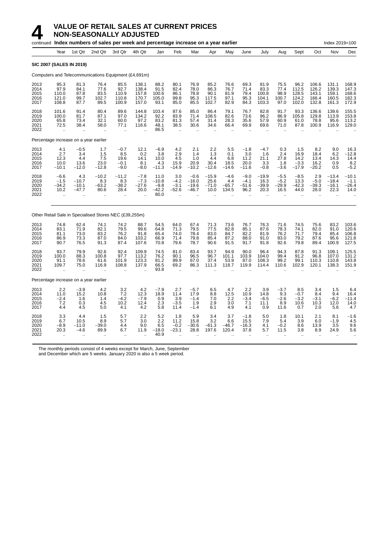|                                      |                                                        |                                                      | continued Index numbers of sales per week and percentage increase on a year earlier |                                                           |                                           |                                              |                                           |                                           |                                        |                                                      |                                                      |                                                      |                                                      |                                          |                                           | Index 2019=100                            |                                           |
|--------------------------------------|--------------------------------------------------------|------------------------------------------------------|-------------------------------------------------------------------------------------|-----------------------------------------------------------|-------------------------------------------|----------------------------------------------|-------------------------------------------|-------------------------------------------|----------------------------------------|------------------------------------------------------|------------------------------------------------------|------------------------------------------------------|------------------------------------------------------|------------------------------------------|-------------------------------------------|-------------------------------------------|-------------------------------------------|
|                                      | Year                                                   | 1st Qtr                                              | 2nd Qtr                                                                             | 3rd Qtr                                                   | 4th Qtr                                   | Jan                                          | Feb                                       | Mar                                       | Apr                                    | May                                                  | June                                                 | July                                                 | Aug                                                  | Sept                                     | Oct                                       | Nov                                       | Dec                                       |
|                                      | <b>SIC 2007 (SALES IN 2019)</b>                        |                                                      |                                                                                     |                                                           |                                           |                                              |                                           |                                           |                                        |                                                      |                                                      |                                                      |                                                      |                                          |                                           |                                           |                                           |
|                                      |                                                        |                                                      | Computers and Telecommunications Equipment (£4,691m)                                |                                                           |                                           |                                              |                                           |                                           |                                        |                                                      |                                                      |                                                      |                                                      |                                          |                                           |                                           |                                           |
| 2013<br>2014<br>2015<br>2016<br>2017 | 95.3<br>97.9<br>110.0<br>121.0<br>108.8                | 81.3<br>84.1<br>87.8<br>99.7<br>87.7                 | 76.4<br>77.6<br>83.5<br>102.7<br>89.5                                               | 85.5<br>92.7<br>110.9<br>110.8<br>100.9                   | 138.1<br>138.4<br>157.8<br>170.7<br>157.0 | 88.2<br>91.5<br>100.6<br>105.0<br>93.1       | 80.1<br>82.4<br>86.1<br>99.8<br>85.0      | 76.9<br>78.0<br>78.8<br>95.3<br>85.5      | 85.2<br>86.3<br>90.1<br>117.5<br>102.7 | 76.6<br>76.7<br>81.9<br>97.1<br>82.9                 | 69.3<br>71.4<br>79.4<br>95.3<br>84.3                 | 81.9<br>83.3<br>100.8<br>104.1<br>103.3              | 75.5<br>77.4<br>98.9<br>100.7<br>97.0                | 96.2<br>112.5<br>128.5<br>124.2<br>102.0 | 106.6<br>126.2<br>143.1<br>166.4<br>132.8 | 131.1<br>139.3<br>159.1<br>160.5<br>161.3 | 168.9<br>147.3<br>168.6<br>182.3<br>172.9 |
| 2018<br>2019<br>2020<br>2021<br>2022 | 101.6<br>100.0<br>65.8<br>72.5<br>$\ddot{\phantom{a}}$ | 91.4<br>81.7<br>73.4<br>38.4<br>$\ddot{\phantom{a}}$ | 80.4<br>87.1<br>32.1<br>58.0<br>$\ddot{\phantom{a}}$                                | 89.6<br>97.0<br>60.0<br>77.1<br>$\ddot{\phantom{a}}$      | 144.8<br>134.2<br>97.2<br>116.6           | 103.4<br>92.2<br>83.2<br>48.1<br>86.5        | 87.6<br>83.9<br>81.3<br>38.5<br>$\ddotsc$ | 85.0<br>71.4<br>57.4<br>30.6              | 86.4<br>108.5<br>31.4<br>34.6          | 79.1<br>82.6<br>28.3<br>66.4<br>$\ddot{\phantom{a}}$ | 76.7<br>73.6<br>35.6<br>69.9<br>$\ddot{\phantom{a}}$ | 82.8<br>96.2<br>57.9<br>69.6<br>$\ddot{\phantom{a}}$ | 91.7<br>86.9<br>60.9<br>71.0<br>$\ddot{\phantom{a}}$ | 93.3<br>105.8<br>61.0<br>87.8            | 136.6<br>129.8<br>78.8<br>100.9           | 139.6<br>113.9<br>95.6<br>116.9           | 155.5<br>153.8<br>113.2<br>129.0          |
|                                      | Percentage increase on a year earlier                  |                                                      |                                                                                     |                                                           |                                           |                                              |                                           |                                           |                                        |                                                      |                                                      |                                                      |                                                      |                                          |                                           |                                           |                                           |
| 2013<br>2014<br>2015<br>2016<br>2017 | 4.1<br>2.7<br>12.3<br>10.0<br>$-10.1$                  | $-0.5$<br>3.4<br>4.4<br>13.6<br>$-12.0$              | 1.7<br>1.5<br>7.5<br>23.0<br>$-12.8$                                                | $-0.7$<br>8.5<br>19.6<br>$-0.1$<br>$-9.0$                 | 12.1<br>0.2<br>14.1<br>8.1<br>$-8.0$      | $-6.9$<br>3.8<br>10.0<br>4.3<br>$-11.3$      | 4.2<br>2.9<br>4.5<br>15.9<br>$-14.9$      | 2.1<br>1.4<br>1.0<br>20.9<br>$-10.2$      | 2.2<br>1.3<br>4.4<br>30.4<br>$-12.6$   | 5.5<br>0.1<br>6.8<br>18.5<br>$-14.6$                 | $-1.8$<br>3.0<br>11.2<br>20.0<br>$-11.6$             | $-4.7$<br>1.6<br>21.1<br>3.3<br>$-0.8$               | 0.3<br>2.4<br>27.8<br>1.8<br>$-3.6$                  | 1.5<br>16.9<br>14.2<br>$-3.3$<br>$-17.9$ | 8.2<br>18.4<br>13.4<br>16.2<br>$-20.2$    | 9.0<br>6.2<br>14.3<br>0.9<br>0.5          | 16.3<br>$-12.8$<br>14.4<br>8.2<br>$-5.2$  |
| 2018<br>2019<br>2020<br>2021<br>2022 | $-6.6$<br>$-1.5$<br>$-34.2$<br>10.2<br>٠.              | 4.3<br>$-10.7$<br>$-10.1$<br>$-47.7$                 | $-10.2$<br>8.3<br>$-63.2$<br>80.6                                                   | $-11.2$<br>8.3<br>$-38.2$<br>28.4<br>$\ddot{\phantom{0}}$ | $-7.8$<br>$-7.3$<br>$-27.6$<br>20.0       | 11.0<br>$-10.8$<br>$-9.8$<br>$-42.2$<br>80.0 | 3.0<br>$-4.2$<br>$-3.1$<br>$-52.6$        | $-0.6$<br>$-16.0$<br>$-19.6$<br>$-46.7$   | $-15.9$<br>25.6<br>$-71.0$<br>10.0     | $-4.6$<br>4.4<br>$-65.7$<br>134.5                    | $-9.0$<br>$-4.1$<br>$-51.6$<br>96.2                  | $-19.9$<br>16.3<br>$-39.9$<br>20.3                   | $-5.5$<br>$-5.2$<br>$-29.9$<br>16.5                  | $-8.5$<br>13.3<br>$-42.3$<br>44.0        | 2.9<br>$-5.0$<br>-39.3<br>28.0            | $-13.4$<br>$-18.4$<br>$-16.1$<br>22.3     | $-10.1$<br>$-1.1$<br>-26.4<br>14.0        |
|                                      |                                                        |                                                      | Other Retail Sale in Specialised Stores NEC (£39,255m)                              |                                                           |                                           |                                              |                                           |                                           |                                        |                                                      |                                                      |                                                      |                                                      |                                          |                                           |                                           |                                           |
| 2013<br>2014<br>2015<br>2016<br>2017 | 74.8<br>83.1<br>81.1<br>86.9<br>90.7                   | 62.4<br>71.9<br>73.0<br>73.3<br>76.5                 | 74.1<br>82.1<br>83.2<br>87.0<br>91.3                                                | 74.2<br>79.5<br>76.2<br>84.0<br>87.4                      | 88.7<br>99.6<br>91.8<br>103.2<br>107.6    | 54.5<br>64.8<br>65.4<br>66.9<br>70.8         | 64.0<br>71.3<br>74.0<br>71.4<br>79.6      | 67.4<br>79.5<br>78.4<br>79.8<br>78.7      | 71.3<br>77.5<br>83.0<br>85.4<br>90.6   | 73.6<br>82.8<br>84.7<br>87.2<br>91.5                 | 76.7<br>85.1<br>82.2<br>88.0<br>91.7                 | 76.3<br>87.6<br>81.9<br>91.0<br>91.8                 | 71.6<br>78.3<br>76.2<br>83.0<br>92.6                 | 74.5<br>74.1<br>71.7<br>79.2<br>79.8     | 75.6<br>82.0<br>79.4<br>87.6<br>89.4      | 83.2<br>91.0<br>85.4<br>95.6<br>100.9     | 103.6<br>120.6<br>106.8<br>121.8<br>127.5 |
| 2018<br>2019<br>2020<br>2021<br>2022 | 93.7<br>100.0<br>91.1<br>109.7                         | 79.9<br>88.3<br>78.6<br>75.0                         | 92.6<br>100.8<br>61.6<br>116.9                                                      | 92.4<br>97.7<br>101.9<br>108.8                            | 109.9<br>113.2<br>123.3<br>137.9          | 74.5<br>76.2<br>81.2<br>66.5<br>93.8         | 81.0<br>90.1<br>89.9<br>69.2              | 83.4<br>96.5<br>67.0<br>86.3              | 93.7<br>96.7<br>37.4<br>111.3          | 94.9<br>101.1<br>53.9<br>118.7                       | 90.0<br>103.9<br>87.0<br>119.9                       | 96.4<br>104.0<br>108.3<br>114.4                      | 94.3<br>99.4<br>99.2<br>110.6                        | 87.8<br>91.2<br>99.1<br>102.9            | 91.3<br>96.8<br>110.3<br>120.1            | 109.1<br>107.0<br>110.8<br>138.3          | 125.5<br>131.2<br>143.8<br>151.9          |
|                                      | Percentage increase on a year earlier                  |                                                      |                                                                                     |                                                           |                                           |                                              |                                           |                                           |                                        |                                                      |                                                      |                                                      |                                                      |                                          |                                           |                                           |                                           |
| 2013<br>2014<br>2015<br>2016<br>2017 | 2.2<br>11.0<br>$-2.4$<br>7.2<br>4.4                    | $-3.9$<br>15.2<br>1.6<br>0.3<br>4.5                  | 4.2<br>10.8<br>1.4<br>4.5<br>5.0                                                    | 3.2<br>7.2<br>$-4.2$<br>10.2<br>4.1                       | $4.2$<br>12.3<br>$-7.9$<br>12.4<br>4.2    | $-7.9$<br>18.9<br>0.9<br>2.3<br>5.8          | 2.7<br>11.4<br>3.9<br>$-3.5$<br>11.4      | $-5.7$<br>17.9<br>$-1.4$<br>1.9<br>$-1.4$ | 6.5<br>8.8<br>7.0<br>2.9<br>6.1        | 4.7<br>12.5<br>2.2<br>3.0<br>4.9                     | 2.2<br>10.9<br>$-3.4$<br>7.1<br>4.1                  | 3.9<br>14.8<br>$-6.5$<br>11.1<br>0.9                 | $-3.7$<br>9.3<br>$-2.6$<br>8.9<br>11.6               | 8.5<br>$-0.7$<br>$-3.2$<br>10.6<br>0.7   | 3.4<br>8.4<br>$-3.1$<br>10.3<br>2.0       | 1.5<br>9.4<br>$-6.2$<br>12.0<br>5.6       | 6.4<br>16.4<br>$-11.4$<br>14.0<br>4.7     |
| 2018<br>2019<br>2020<br>2021<br>2022 | 3.3<br>6.7<br>$-8.9$<br>20.3                           | 4.4<br>10.5<br>$-11.0$<br>$-4.6$                     | 1.5<br>8.9<br>-39.0<br>89.9                                                         | 5.7<br>5.7<br>4.4<br>6.7                                  | 2.2<br>3.0<br>9.0<br>11.9                 | 5.2<br>2.2<br>6.5<br>$-18.0$<br>40.9         | 1.8<br>11.2<br>$-0.2$<br>$-23.1$          | 5.9<br>15.8<br>$-30.6$<br>28.8            | 3.4<br>3.2<br>$-61.3$<br>197.6         | 3.7<br>6.6<br>$-46.7$<br>120.4                       | $-1.8$<br>15.5<br>$-16.3$<br>37.8                    | 5.0<br>7.9<br>4.1<br>5.7<br>$\ddotsc$                | 1.8<br>5.4<br>$-0.2$<br>11.5                         | 10.1<br>3.9<br>8.6<br>3.8<br>ä.          | 2.1<br>6.0<br>13.9<br>8.9                 | 8.1<br>$-1.9$<br>3.5<br>24.9              | $-1.6$<br>4.5<br>9.6<br>5.6               |

The monthly periods consist of 4 weeks except for March, June, September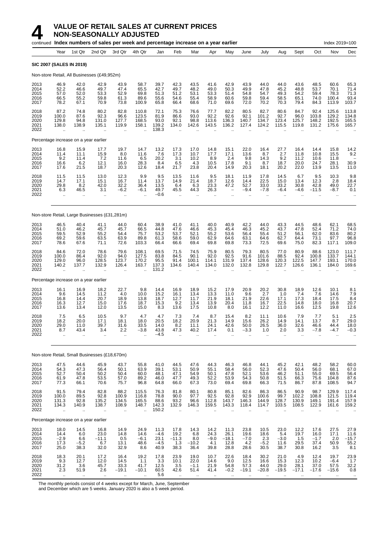

#### **4 VALUE OF RETAIL SALES AT CURRENT PRICES**<br>**14 NON-SEASONALLY ADJUSTED**<br>continued Index numbers of sales per week and percentage increase on a vector **NON-SEASONALLY ADJUSTED**

|                                      |                                                         |                                                       | continued Index numbers of sales per week and percentage increase on a year earlier |                                              |                                                        |                                          |                                             |                                                        |                                                      |                                                        |                                       |                                              |                                       |                                                        |                                              | Index 2019=100                                            |                                                  |
|--------------------------------------|---------------------------------------------------------|-------------------------------------------------------|-------------------------------------------------------------------------------------|----------------------------------------------|--------------------------------------------------------|------------------------------------------|---------------------------------------------|--------------------------------------------------------|------------------------------------------------------|--------------------------------------------------------|---------------------------------------|----------------------------------------------|---------------------------------------|--------------------------------------------------------|----------------------------------------------|-----------------------------------------------------------|--------------------------------------------------|
|                                      | Year                                                    | 1st Qtr                                               | 2nd Qtr                                                                             | 3rd Qtr                                      | 4th Qtr                                                | Jan                                      | Feb                                         | Mar                                                    | Apr                                                  | May                                                    | June                                  | July                                         | Aug                                   | Sept                                                   | Oct                                          | Nov                                                       | Dec                                              |
|                                      | <b>SIC 2007 (SALES IN 2019)</b>                         |                                                       |                                                                                     |                                              |                                                        |                                          |                                             |                                                        |                                                      |                                                        |                                       |                                              |                                       |                                                        |                                              |                                                           |                                                  |
|                                      |                                                         |                                                       | Non-store Retail, All Businesses (£49,952m)                                         |                                              |                                                        |                                          |                                             |                                                        |                                                      |                                                        |                                       |                                              |                                       |                                                        |                                              |                                                           |                                                  |
| 2013<br>2014<br>2015<br>2016<br>2017 | 46.9<br>52.2<br>57.0<br>66.5<br>78.2                    | 42.0<br>46.6<br>52.0<br>55.2<br>67.1                  | 42.9<br>49.7<br>53.3<br>59.8<br>70.9                                                | 43.9<br>47.4<br>52.9<br>61.3<br>73.8         | 58.7<br>65.5<br>69.8<br>89.6<br>100.9                  | 39.7<br>42.7<br>51.3<br>55.6<br>65.8     | 42.3<br>49.7<br>51.2<br>54.6<br>66.4        | 43.5<br>48.2<br>53.1<br>55.4<br>68.6                   | 41.6<br>49.0<br>53.3<br>58.9<br>71.0                 | 42.9<br>50.3<br>51.4<br>60.6<br>69.6                   | 43.9<br>49.9<br>54.8<br>59.8<br>72.0  | 44.0<br>47.8<br>54.7<br>59.4<br>70.2         | 44.0<br>45.2<br>49.3<br>58.5<br>70.3  | 43.6<br>48.8<br>54.2<br>65.1<br>79.4                   | 48.5<br>53.7<br>59.4<br>74.0<br>84.3         | 60.6<br>70.1<br>78.3<br>100.4<br>113.9                    | 65.3<br>71.4<br>71.3<br>93.4<br>103.7            |
| 2018<br>2019<br>2020<br>2021<br>2022 | 87.2<br>100.0<br>129.8<br>138.0<br>$\ddot{\phantom{a}}$ | 74.8<br>87.6<br>94.8<br>138.9<br>$\ddotsc$            | 80.2<br>92.3<br>131.0<br>135.1<br>$\ddot{\phantom{a}}$                              | 82.8<br>96.6<br>127.7<br>119.9<br>$\ddotsc$  | 110.8<br>123.5<br>168.5<br>158.1                       | 72.1<br>81.9<br>93.0<br>139.2<br>138.3   | 75.3<br>86.6<br>92.1<br>134.0<br>$\sim$     | 76.6<br>93.0<br>98.8<br>142.6                          | 77.7<br>92.2<br>113.6<br>143.5                       | 82.2<br>92.6<br>136.3<br>136.2<br>$\ddot{\phantom{a}}$ | 80.5<br>92.1<br>140.7<br>127.4        | 82.7<br>101.2<br>134.7<br>124.2<br>$\ddotsc$ | 80.6<br>92.7<br>123.4<br>115.5        | 84.7<br>96.0<br>125.7<br>119.8<br>$\ddot{\phantom{a}}$ | 92.4<br>103.8<br>148.2<br>131.2<br>$\ddotsc$ | 125.6<br>129.2<br>192.5<br>175.6<br>$\sim$                | 113.8<br>134.8<br>165.5<br>165.7                 |
|                                      | Percentage increase on a year earlier                   |                                                       |                                                                                     |                                              |                                                        |                                          |                                             |                                                        |                                                      |                                                        |                                       |                                              |                                       |                                                        |                                              |                                                           |                                                  |
| 2013<br>2014<br>2015<br>2016<br>2017 | 16.8<br>11.4<br>9.2<br>16.6<br>17.6                     | 15.9<br>11.1<br>11.4<br>6.2<br>21.5                   | 17.7<br>15.9<br>7.2<br>12.1<br>18.7                                                 | 19.7<br>8.0<br>11.6<br>16.0<br>20.3          | 14.7<br>11.6<br>6.5<br>28.3<br>12.6                    | 13.2<br>7.6<br>20.2<br>8.4<br>18.4       | 17.3<br>17.3<br>3.1<br>6.5<br>21.7          | 17.0<br>10.7<br>10.2<br>4.3<br>23.8                    | 14.8<br>17.7<br>8.9<br>10.5<br>20.4                  | 15.1<br>17.1<br>2.4<br>17.8<br>14.9                    | 22.0<br>13.6<br>9.8<br>9.1<br>20.3    | 16.4<br>8.7<br>14.3<br>8.7<br>18.1           | 27.7<br>2.7<br>9.2<br>18.7<br>20.2    | 16.4<br>11.8<br>11.2<br>20.0<br>22.0                   | 14.4<br>10.8<br>10.6<br>24.7<br>13.9         | 15.8<br>15.5<br>11.8<br>28.1<br>13.5                      | 14.2<br>9.2<br>30.9<br>11.0                      |
| 2018<br>2019<br>2020<br>2021<br>2022 | 11.5<br>14.7<br>29.8<br>6.3<br>$\ddotsc$                | 11.5<br>17.1<br>8.2<br>46.5                           | 13.0<br>15.1<br>42.0<br>3.1<br>$\mathbf{r}$                                         | 12.3<br>16.7<br>32.2<br>$-6.2$<br>ä.         | 9.9<br>11.4<br>36.4<br>$-6.1$                          | 9.5<br>13.7<br>13.5<br>49.7<br>$-0.6$    | 13.5<br>14.9<br>6.4<br>45.5<br>$\mathbf{r}$ | 11.6<br>21.4<br>6.3<br>44.3                            | 9.5<br>18.7<br>23.3<br>26.3                          | 18.1<br>12.6<br>47.2<br>$\overline{\phantom{m}}$       | 11.9<br>14.4<br>52.7<br>-9.4          | 17.8<br>22.5<br>33.0<br>$-7.8$               | 14.5<br>15.0<br>33.2<br>$-6.4$        | 6.7<br>13.4<br>30.8<br>-4.6                            | 9.5<br>12.3<br>42.8<br>$-11.5$               | 10.3<br>2.8<br>49.0<br>$-8.7$<br>$\ddot{\phantom{a}}$     | 9.8<br>18.4<br>22.7<br>0.1                       |
|                                      |                                                         |                                                       | Non-store Retail, Large Businesses (£31,281m)                                       |                                              |                                                        |                                          |                                             |                                                        |                                                      |                                                        |                                       |                                              |                                       |                                                        |                                              |                                                           |                                                  |
| 2013<br>2014<br>2015<br>2016<br>2017 | 46.5<br>51.0<br>59.5<br>69.2<br>78.6                    | 40.4<br>46.2<br>52.9<br>59.6<br>67.6                  | 41.1<br>45.7<br>55.2<br>63.5<br>71.1                                                | 44.0<br>45.7<br>54.4<br>63.9<br>72.6         | 60.4<br>66.5<br>75.7<br>89.8<br>103.3                  | 38.9<br>44.8<br>53.2<br>61.3<br>66.4     | 41.0<br>47.6<br>53.7<br>58.6<br>66.6        | 41.1<br>46.6<br>52.1<br>59.0<br>69.4                   | 40.0<br>45.3<br>55.2<br>62.9<br>69.8                 | 40.9<br>45.4<br>53.6<br>64.6<br>69.8                   | 42.2<br>46.3<br>56.4<br>63.1<br>73.3  | 44.0<br>45.2<br>55.4<br>64.6<br>72.5         | 43.3<br>43.7<br>51.2<br>62.7<br>69.6  | 44.5<br>47.8<br>56.1<br>64.4<br>75.0                   | 48.6<br>52.4<br>62.0<br>73.1<br>82.3         | 62.1<br>71.2<br>83.6<br>97.7<br>117.1                     | 68.5<br>74.0<br>80.2<br>96.8<br>109.0            |
| 2018<br>2019<br>2020<br>2021<br>2022 | 84.6<br>100.0<br>129.0<br>140.2<br>ă,                   | 72.0<br>86.4<br>96.0<br>137.7<br>ä.                   | 78.6<br>92.0<br>128.5<br>132.9                                                      | 79.6<br>94.0<br>123.7<br>126.4<br>ä.         | 108.1<br>127.5<br>170.2<br>163.7                       | 69.5<br>83.8<br>95.5<br>137.3<br>131.2   | 71.5<br>84.5<br>91.4<br>134.6               | 74.5<br>90.1<br>100.1<br>140.4                         | 75.9<br>92.0<br>114.1<br>134.0                       | 80.5<br>92.5<br>131.9<br>132.0                         | 79.3<br>91.6<br>137.4<br>132.8        | 80.5<br>101.6<br>128.6<br>129.8              | 77.0<br>88.5<br>120.3<br>122.7        | 80.9<br>92.4<br>122.5<br>126.6                         | 88.6<br>100.8<br>147.7<br>136.1              | 123.0<br>133.7<br>193.1<br>184.0                          | 111.7<br>144.1<br>170.0<br>169.6                 |
|                                      | Percentage increase on a year earlier                   |                                                       |                                                                                     |                                              |                                                        |                                          |                                             |                                                        |                                                      |                                                        |                                       |                                              |                                       |                                                        |                                              |                                                           |                                                  |
| 2013<br>2014<br>2015<br>2016<br>2017 | 16.1<br>9.6<br>16.8<br>16.3<br>13.6                     | 16.9<br>14.5<br>14.4<br>12.7<br>13.4                  | 18.2<br>11.2<br>20.7<br>15.0<br>12.0                                                | 22.7<br>4.0<br>18.9<br>17.6<br>13.5          | 9.8<br>10.0<br>13.8<br>18.7<br>15.0                    | 14.4<br>15.2<br>18.7<br>15.3<br>8.3      | 16.9<br>16.1<br>12.7<br>9.2<br>13.6         | 18.9<br>13.4<br>11.7<br>13.4<br>17.5                   | 15.2<br>13.3<br>21.9<br>13.9<br>10.8                 | 17.9<br>11.0<br>18.1<br>20.4<br>8.0                    | 20.9<br>9.6<br>21.9<br>11.8<br>16.1   | 20.2<br>2.7<br>22.6<br>16.7<br>12.2          | 30.8<br>1.0<br>17.1<br>22.5<br>11.0   | 18.9<br>7.4<br>17.3<br>14.8<br>16.6                    | 12.6<br>7.6<br>18.4<br>18.0<br>12.5          | 10.1<br>14.6<br>17.5<br>16.8<br>19.8                      | 8.1<br>7.9<br>8.4<br>20.7<br>12.6                |
| 2018<br>2019<br>2020<br>2021<br>2022 | 7.5<br>18.2<br>29.0<br>8.7<br>$\ddotsc$                 | 6.5<br>20.0<br>11.0<br>43.4<br>ä.                     | 10.5<br>17.1<br>39.7<br>3.4<br>ä.                                                   | 9.7<br>18.1<br>31.6<br>2.2<br>ä,             | 4.7<br>18.0<br>33.5<br>$-3.8$                          | 4.7<br>20.5<br>14.0<br>43.8<br>$-4.5$    | 7.3<br>18.2<br>8.2<br>47.3                  | 7.4<br>20.9<br>11.1<br>40.2<br>$\ddot{\phantom{a}}$    | 8.7<br>21.3<br>24.1<br>17.4                          | 15.4<br>14.9<br>42.6<br>0.1                            | 8.2<br>15.6<br>50.0<br>$-3.3$         | 11.1<br>26.2<br>26.5<br>1.0                  | 10.6<br>14.9<br>36.0<br>2.0           | 7.9<br>14.1<br>32.6<br>3.3                             | 7.7<br>13.7<br>46.6<br>$-7.8$                | 5.1<br>8.7<br>44.4<br>-4.7                                | 2.5<br>29.0<br>18.0<br>$-0.3$                    |
|                                      |                                                         |                                                       | Non-store Retail, Small Businesses (£18,670m)                                       |                                              |                                                        |                                          |                                             |                                                        |                                                      |                                                        |                                       |                                              |                                       |                                                        |                                              |                                                           |                                                  |
| 2013<br>2014<br>2015<br>2016<br>2017 | 47.5<br>54.3<br>52.7<br>61.9<br>77.3                    | 44.6<br>47.3<br>50.4<br>47.8<br>66.1                  | 45.9<br>56.4<br>50.2<br>53.5<br>70.6                                                | 43.7<br>50.1<br>50.4<br>57.0<br>75.7         | 55.8<br>63.9<br>60.0<br>89.2<br>96.8                   | 41.0<br>39.1<br>48.1<br>46.0<br>64.8     | 44.5<br>53.1<br>47.1<br>47.7<br>66.0        | 47.6<br>50.9<br>54.9<br>49.3<br>67.3                   | 44.3<br>55.1<br>50.1<br>52.2<br>73.0                 | 46.3<br>58.4<br>47.8<br>53.9<br>69.4                   | 46.8<br>56.0<br>52.1<br>54.3<br>69.8  | 44.1<br>52.3<br>53.6<br>50.8<br>66.3         | 45.2<br>47.6<br>46.2<br>51.5<br>71.5  | 42.1<br>50.4<br>51.1<br>66.3<br>86.7                   | 48.2<br>56.0<br>55.0<br>75.6<br>87.8         | 58.2<br>68.1<br>69.5<br>104.8<br>108.5                    | 60.0<br>67.0<br>56.4<br>87.6<br>94.7             |
| 2018<br>2019<br>2020<br>2021<br>2022 | 91.5<br>100.0<br>131.3<br>134.3<br>$\ddotsc$            | 79.4<br>89.5<br>92.8<br>140.9<br>$\ddot{\phantom{1}}$ | 82.8<br>92.8<br>135.2<br>138.7<br>$\cdot$ .                                         | 88.2<br>100.9<br>134.5<br>108.9<br>ä,        | 115.5<br>116.8<br>165.5<br>148.7                       | 76.3<br>78.8<br>88.6<br>142.3<br>150.2   | 81.8<br>90.0<br>93.2<br>132.9               | 80.1<br>97.7<br>96.6<br>146.3                          | 80.8<br>92.5<br>112.8<br>159.5                       | 85.1<br>92.8<br>143.7<br>143.3                         | 82.6<br>92.9<br>146.3<br>118.4        | 86.3<br>100.6<br>144.9<br>114.7              | 86.5<br>99.7<br>128.7<br>103.5        | 90.9<br>102.2<br>130.9<br>108.5                        | 98.7<br>108.8<br>149.1<br>122.9              | 129.9<br>121.5<br>191.4<br>161.6                          | 117.4<br>119.4<br>157.9<br>159.2                 |
|                                      | Percentage increase on a year earlier                   |                                                       |                                                                                     |                                              |                                                        |                                          |                                             |                                                        |                                                      |                                                        |                                       |                                              |                                       |                                                        |                                              |                                                           |                                                  |
| 2013<br>2014<br>2015<br>2016<br>2017 | 18.0<br>14.4<br>$-2.9$<br>17.3<br>25.0                  | 14.5<br>6.0<br>6.6<br>$-5.2$<br>38.3                  | 16.8<br>23.0<br>$-11.1$<br>6.7<br>32.0                                              | 14.9<br>14.8<br>0.5<br>13.1<br>32.9          | 24.9<br>14.6<br>$-6.1$<br>48.6<br>8.6                  | 11.3<br>$-4.6$<br>23.1<br>$-4.5$<br>40.9 | 17.8<br>19.2<br>$-11.3$<br>1.3<br>38.3      | 14.3<br>6.8<br>8.0<br>$-10.2$<br>36.4                  | 14.2<br>24.3<br>$-9.0$<br>4.1<br>39.8                | 11.3<br>26.1<br>$-18.1$<br>12.8<br>28.8                | 23.8<br>19.6<br>$-7.0$<br>4.2<br>28.6 | 10.5<br>18.6<br>2.3<br>$-5.2$<br>30.5        | 23.0<br>5.4<br>$-3.0$<br>11.6<br>38.7 | 12.2<br>19.7<br>1.5<br>29.5<br>30.8                    | 17.6<br>16.0<br>$-1.7$<br>37.4<br>16.2       | 27.5<br>17.1<br>2.0<br>50.9<br>3.5                        | 27.9<br>11.6<br>$-15.7$<br>55.2<br>8.1           |
| 2018<br>2019<br>2020<br>2021<br>2022 | 18.3<br>$\frac{9.3}{31.2}$<br>2.3<br>$\ddotsc$          | 20.1<br>12.7<br>3.6<br>51.9<br>$\cdot$                | 17.2<br>12.0<br>45.7<br>2.6<br>$\ddotsc$                                            | 16.4<br>14.5<br>33.3<br>$-19.1$<br>$\ddotsc$ | 19.2<br>1.1<br>41.7<br>$-10.1$<br>$\ddot{\phantom{a}}$ | 17.8<br>3.3<br>12.5<br>60.5<br>5.6       | 23.9<br>10.1<br>3.5<br>42.6<br>$\ddotsc$    | 19.0<br>22.0<br>$-1.1$<br>51.4<br>$\ddot{\phantom{a}}$ | 10.7<br>14.6<br>21.9<br>41.4<br>$\ddot{\phantom{a}}$ | 22.6<br>9.0<br>54.8<br>$-0.2$                          | 18.4<br>12.5<br>57.3<br>$-19.1$       | 30.2<br>16.6<br>44.0<br>$-20.8$              | 21.0<br>15.3<br>29.0<br>$-19.5$       | 4.9<br>12.3<br>28.1<br>$-17.1$                         | 12.4<br>10.2<br>37.0<br>$-17.6$<br>÷.        | 19.7<br>$-6.4$<br>57.5<br>$-15.6$<br>$\ddot{\phantom{a}}$ | 23.9<br>$1.7$<br>32.2<br>0.8<br>$\bullet\bullet$ |

The monthly periods consist of 4 weeks except for March, June, September

and December which are 5 weeks. January 2020 is also a 5 week period.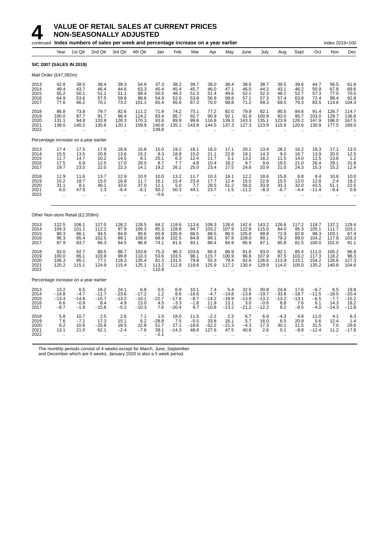

#### **4** VALUE OF RETAIL SALES AT CURRENT PRICES<br>NON-SEASONALLY ADJUSTED **NON-SEASONALLY ADJUSTED**

|                                      |                                                     |                                                       | continued Index numbers of sales per week and percentage increase on a year earlier |                                                        |                                              |                                          |                                                        |                                            |                                             |                                              |                                                      |                                                  |                                                      |                                             |                                              | Index 2019=100                              |                                             |
|--------------------------------------|-----------------------------------------------------|-------------------------------------------------------|-------------------------------------------------------------------------------------|--------------------------------------------------------|----------------------------------------------|------------------------------------------|--------------------------------------------------------|--------------------------------------------|---------------------------------------------|----------------------------------------------|------------------------------------------------------|--------------------------------------------------|------------------------------------------------------|---------------------------------------------|----------------------------------------------|---------------------------------------------|---------------------------------------------|
|                                      | Year                                                | 1st Qtr                                               | 2nd Qtr                                                                             | 3rd Qtr                                                | 4th Qtr                                      | Jan                                      | Feb                                                    | Mar                                        | Apr                                         | May                                          | June                                                 | July                                             | Aug                                                  | Sept                                        | Oct                                          | Nov                                         | Dec                                         |
|                                      |                                                     | <b>SIC 2007 (SALES IN 2019)</b>                       |                                                                                     |                                                        |                                              |                                          |                                                        |                                            |                                             |                                              |                                                      |                                                  |                                                      |                                             |                                              |                                             |                                             |
| Mail Order (£47,392m)                |                                                     |                                                       |                                                                                     |                                                        |                                              |                                          |                                                        |                                            |                                             |                                              |                                                      |                                                  |                                                      |                                             |                                              |                                             |                                             |
| 2013<br>2014<br>2015<br>2016<br>2017 | 42.8<br>49.4<br>55.2<br>64.9<br>77.6                | 38.5<br>43.7<br>50.1<br>53.6<br>66.2                  | 38.4<br>46.4<br>51.1<br>57.5<br>70.1                                                | 39.3<br>44.6<br>51.1<br>59.8<br>73.2                   | 54.9<br>63.3<br>68.4<br>88.6<br>101.1        | 37.3<br>40.4<br>50.5<br>54.9<br>65.4     | 38.2<br>45.4<br>48.3<br>52.0<br>65.6                   | 39.7<br>45.7<br>51.3<br>53.8<br>67.3       | 38.0<br>46.0<br>51.4<br>56.8<br>70.0        | 38.4<br>47.1<br>49.6<br>58.6<br>68.8         | 38.6<br>46.0<br>52.1<br>57.1<br>71.2                 | 38.7<br>44.2<br>52.3<br>57.3<br>69.3             | 39.5<br>43.1<br>48.1<br>57.4<br>69.5                 | 39.6<br>46.2<br>52.7<br>63.8<br>79.3        | 44.7<br>50.9<br>57.3<br>72.4<br>83.5         | 56.5<br>67.8<br>77.0<br>99.4<br>114.6       | 61.9<br>69.6<br>70.5<br>92.8<br>104.3       |
| 2018<br>2019<br>2020<br>2021<br>2022 | 86.8<br>100.0<br>131.1<br>139.0                     | 73.8<br>87.7<br>94.8<br>140.2                         | 79.7<br>91.7<br>133.9<br>135.6                                                      | 82.6<br>96.4<br>128.3<br>120.1                         | 111.2<br>124.2<br>170.3<br>159.9             | 71.9<br>83.4<br>93.6<br>140.6<br>139.8   | 74.2<br>85.7<br>89.9<br>135.1                          | 75.1<br>92.7<br>99.8<br>143.9              | 77.2<br>90.9<br>116.8<br>144.5              | 82.0<br>92.1<br>139.3<br>137.3               | 79.9<br>91.9<br>143.3<br>127.3                       | 82.1<br>100.9<br>135.1<br>123.9                  | 80.5<br>93.0<br>123.9<br>115.6                       | 84.6<br>95.7<br>126.2<br>120.6              | 91.4<br>103.0<br>147.9<br>130.9              | 126.7<br>129.7<br>196.0<br>177.5            | 114.7<br>136.8<br>167.5<br>169.0            |
|                                      |                                                     | Percentage increase on a year earlier                 |                                                                                     |                                                        |                                              |                                          |                                                        |                                            |                                             |                                              |                                                      |                                                  |                                                      |                                             |                                              |                                             |                                             |
| 2013<br>2014<br>2015<br>2016<br>2017 | 17.4<br>15.5<br>11.7<br>17.5<br>19.7                | 17.5<br>13.5<br>14.7<br>6.9<br>23.5                   | 17.9<br>20.8<br>10.2<br>12.5<br>22.0                                                | 18.9<br>13.6<br>14.5<br>17.0<br>22.3                   | 15.8<br>15.2<br>8.1<br>29.5<br>14.1          | 15.0<br>8.3<br>25.1<br>8.7<br>19.2       | 19.2<br>18.8<br>6.3<br>7.7<br>26.1                     | 18.1<br>15.0<br>12.4<br>4.8<br>25.0        | 16.0<br>21.1<br>11.7<br>10.4<br>23.4        | 17.1<br>22.8<br>5.1<br>18.2<br>17.5          | 20.1<br>19.1<br>13.2<br>9.7<br>24.6                  | 13.9<br>14.3<br>18.2<br>9.6<br>20.9              | 28.2<br>9.0<br>11.5<br>19.5<br>21.0                  | 16.2<br>16.7<br>14.0<br>21.0<br>24.3        | 18.3<br>13.9<br>12.5<br>26.4<br>15.3         | 17.1<br>20.0<br>13.6<br>29.1<br>15.2        | 13.5<br>$12.5$<br>1.2<br>31.8<br>12.4       |
| 2018<br>2019<br>2020<br>2021<br>2022 | 11.9<br>15.2<br>31.1<br>6.0<br>$\ddot{\phantom{a}}$ | 11.6<br>18.7<br>8.1<br>47.9                           | 13.7<br>15.0<br>46.1<br>1.3<br>ä.                                                   | 12.9<br>16.8<br>33.0<br>$-6.4$<br>$\ddot{\phantom{a}}$ | 10.0<br>11.7<br>37.0<br>$-6.1$               | 10.0<br>16.1<br>12.1<br>50.2<br>$-0.6$   | 13.2<br>15.4<br>5.0<br>50.3<br>$\ddot{\phantom{a}}$    | 11.7<br>23.4<br>7.7<br>44.1                | 10.3<br>17.7<br>28.5<br>23.7                | 19.1<br>12.4<br>51.2<br>$-1.5$               | 12.2<br>15.0<br>56.0<br>$-11.2$                      | 18.6<br>22.8<br>33.9<br>$-8.3$                   | 15.8<br>15.5<br>33.3<br>$-6.7$                       | 6.8<br>13.0<br>32.0<br>$-4.4$               | 9.4<br>12.8<br>43.5<br>$-11.4$               | 10.6<br>2.4<br>51.1<br>$-9.4$               | 10.0<br>19.2<br>22.5<br>0.9                 |
|                                      |                                                     | Other Non-store Retail (£2,559m)                      |                                                                                     |                                                        |                                              |                                          |                                                        |                                            |                                             |                                              |                                                      |                                                  |                                                      |                                             |                                              |                                             |                                             |
| 2013<br>2014<br>2015<br>2016<br>2017 | 122.5<br>104.3<br>90.3<br>96.3<br>87.9              | 106.1<br>101.1<br>86.1<br>85.4<br>83.7                | 127.0<br>112.2<br>94.5<br>102.5<br>86.3                                             | 128.2<br>97.9<br>84.9<br>89.1<br>84.5                  | 128.5<br>106.3<br>95.6<br>108.0<br>96.9      | 84.2<br>85.3<br>65.9<br>68.9<br>74.1     | 118.6<br>128.8<br>105.9<br>102.5<br>81.6               | 113.6<br>94.7<br>86.5<br>84.9<br>93.1      | 108.3<br>103.2<br>88.5<br>99.1<br>88.4      | 126.6<br>107.9<br>86.5<br>97.8<br>84.9       | 142.4<br>122.8<br>105.8<br>109.0<br>85.9             | 143.2<br>115.0<br>99.8<br>99.1<br>87.1           | 126.8<br>84.0<br>72.9<br>79.3<br>85.8                | 117.2<br>95.3<br>82.8<br>89.0<br>81.5       | 118.7<br>105.1<br>98.3<br>104.2<br>100.0     | 137.2<br>111.7<br>103.1<br>117.8<br>101.0   | 129.4<br>103.1<br>87.4<br>103.3<br>91.1     |
| 2018<br>2019<br>2020<br>2021<br>2022 | 93.0<br>100.0<br>106.3<br>120.2                     | 92.7<br>86.1<br>95.1<br>115.1<br>$\ddot{\phantom{a}}$ | 88.5<br>103.9<br>77.1<br>124.9                                                      | 86.7<br>99.8<br>118.3<br>115.4                         | 103.8<br>110.3<br>135.4<br>125.1             | 75.3<br>53.6<br>81.3<br>113.2<br>110.8   | 96.3<br>103.5<br>131.5<br>112.8                        | 103.8<br>98.1<br>79.8<br>118.6             | 86.4<br>115.7<br>55.3<br>125.9              | 86.9<br>100.9<br>79.4<br>117.2               | 91.6<br>96.8<br>92.6<br>130.4                        | 93.0<br>107.9<br>126.6<br>129.9                  | 82.1<br>87.5<br>113.9<br>114.0                       | 85.4<br>103.2<br>115.1<br>105.0             | 111.0<br>117.3<br>154.2<br>135.2             | 105.2<br>118.2<br>126.6<br>140.8            | 96.9<br>$98.3$<br>127.3<br>104.6            |
|                                      |                                                     | Percentage increase on a year earlier                 |                                                                                     |                                                        |                                              |                                          |                                                        |                                            |                                             |                                              |                                                      |                                                  |                                                      |                                             |                                              |                                             |                                             |
| 2013<br>2014<br>2015<br>2016<br>2017 | 13.2<br>$-14.8$<br>$-13.4$<br>6.6<br>$-8.7$         | 6.5<br>$-4.7$<br>$-14.8$<br>$-0.9$<br>$-1.9$          | 16.2<br>$-11.7$<br>$-15.7$<br>8.4<br>$-15.8$                                        | 24.1<br>$-23.6$<br>$-13.2$<br>4.9<br>$-5.2$            | 6.8<br>$-17.2$<br>$-10.1$<br>13.0<br>$-10.3$ | 0.5<br>1.2<br>$-22.7$<br>4.5<br>7.6      | 6.9<br>8.6<br>$-17.8$<br>$-3.3$<br>$-20.4$             | 10.1<br>$-16.6$<br>$-8.7$<br>$-1.8$<br>9.7 | 7.4<br>$-4.7$<br>$-14.2$<br>11.9<br>$-10.8$ | 5.4<br>$-14.8$<br>$-19.9$<br>13.1<br>$-13.2$ | 32.5<br>$-13.8$<br>$-13.9$<br>3.0<br>$-21.2$         | 30.8<br>$-19.7$<br>$-13.2$<br>$-0.6$<br>$-12.2$  | 24.8<br>$-33.8$<br>$-13.2$<br>8.8<br>8.2             | 17.6<br>$-18.7$<br>$-13.1$<br>7.6<br>$-8.5$ | $-6.7$<br>$-11.5$<br>$-6.5$<br>6.1<br>$-4.0$ | 6.5<br>$-18.5$<br>$-7.7$<br>14.3<br>$-14.3$ | 19.8<br>$-20.4$<br>$-15.2$<br>$18.2 - 11.8$ |
| 2018<br>2019<br>2020<br>2021<br>2022 | 5.8<br>7.6<br>6.2<br>13.1<br>$\mathbf{r}$           | 10.7<br>$-7.2$<br>10.6<br>21.0<br>$\ddotsc$           | 2.5<br>17.3<br>$-25.8$<br>62.1<br>ä.                                                | 2.6<br>15.1<br>18.5<br>$-2.4$<br>$\mathbf{r}$          | 7.1<br>6.2<br>22.8<br>$-7.6$                 | 1.5<br>$-28.8$<br>51.7<br>39.1<br>$-2.1$ | 18.0<br>7.5<br>27.1<br>$-14.3$<br>$\ddot{\phantom{a}}$ | $11.5 - 5.5$<br>$-18.6$<br>48.6            | $-2.2$<br>33.8<br>$-52.2$<br>127.6          | 2.3<br>16.1<br>$-21.3$<br>47.5               | 6.7<br>5.7<br>$-4.3$<br>40.8<br>$\ddot{\phantom{a}}$ | 6.9<br>16.0<br>17.3<br>2.6<br>$\bar{\mathbf{a}}$ | $-4.3$<br>6.5<br>30.1<br>0.1<br>$\ddot{\phantom{a}}$ | 4.8<br>20.9<br>11.5<br>$-8.8$               | 11.0<br>5.6<br>31.5<br>$-12.4$<br>ä.         | 4.1<br>12.4<br>7.0<br>11.2<br>$\ddotsc$     | 6.3<br>1.4<br>29.6<br>$-17.8$               |

The monthly periods consist of 4 weeks except for March, June, September

and December which are 5 weeks. January 2020 is also a 5 week period.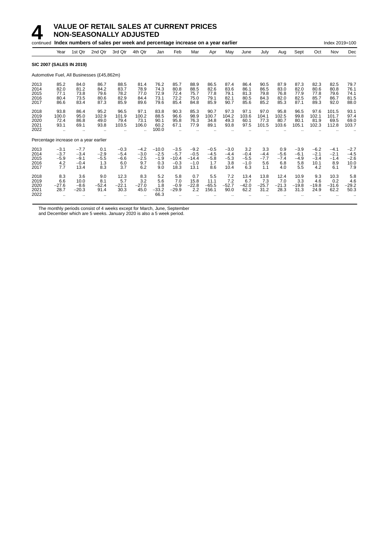#### **4 VALUE OF RETAIL SALES AT CURRENT PRICES**<br>**14 NON-SEASONALLY ADJUSTED**<br>continued Index numbers of sales per week and percentage increase on a vector **NON-SEASONALLY ADJUSTED**

| continued Index numbers of sales per week and percentage increase on a year earlier<br>Index 2019=100 |                                               |                                              |                                            |                                          |                                          |                                           |                                               |                                               |                                          |                                           |                                          |                                       |                                       |                                          |                                           |                                          |                                           |
|-------------------------------------------------------------------------------------------------------|-----------------------------------------------|----------------------------------------------|--------------------------------------------|------------------------------------------|------------------------------------------|-------------------------------------------|-----------------------------------------------|-----------------------------------------------|------------------------------------------|-------------------------------------------|------------------------------------------|---------------------------------------|---------------------------------------|------------------------------------------|-------------------------------------------|------------------------------------------|-------------------------------------------|
|                                                                                                       | Year                                          | 1st Qtr                                      | 2nd Qtr                                    | 3rd Qtr                                  | 4th Qtr                                  | Jan                                       | Feb                                           | Mar                                           | Apr                                      | May                                       | June                                     | July                                  | Aug                                   | Sept                                     | Oct                                       | Nov                                      | Dec                                       |
|                                                                                                       | <b>SIC 2007 (SALES IN 2019)</b>               |                                              |                                            |                                          |                                          |                                           |                                               |                                               |                                          |                                           |                                          |                                       |                                       |                                          |                                           |                                          |                                           |
|                                                                                                       |                                               |                                              | Automotive Fuel, All Businesses (£45,862m) |                                          |                                          |                                           |                                               |                                               |                                          |                                           |                                          |                                       |                                       |                                          |                                           |                                          |                                           |
| 2013<br>2014<br>2015<br>2016<br>2017                                                                  | 85.2<br>82.0<br>77.1<br>80.4<br>86.6          | 84.0<br>81.2<br>73.8<br>73.5<br>83.4         | 86.7<br>84.2<br>79.6<br>80.6<br>87.3       | 88.5<br>83.7<br>78.2<br>82.9<br>85.9     | 81.4<br>78.9<br>77.0<br>84.4<br>89.6     | 76.2<br>74.3<br>72.9<br>73.1<br>79.6      | 85.7<br>80.8<br>72.4<br>72.2<br>85.4          | 88.9<br>88.5<br>75.7<br>75.0<br>84.8          | 86.5<br>82.6<br>77.8<br>79.1<br>85.9     | 87.4<br>83.6<br>79.1<br>82.1<br>90.7      | 86.4<br>86.1<br>81.3<br>80.5<br>85.6     | 90.5<br>86.5<br>79.8<br>84.3<br>85.2  | 87.9<br>83.0<br>76.8<br>82.0<br>85.3  | 87.3<br>82.0<br>77.9<br>82.5<br>87.1     | 82.3<br>80.6<br>77.8<br>85.7<br>89.3      | 82.5<br>80.8<br>79.6<br>86.7<br>92.0     | 79.7<br>76.1<br>74.1<br>81.5<br>88.0      |
| 2018<br>2019<br>2020<br>2021<br>2022                                                                  | 93.8<br>100.0<br>72.4<br>93.1<br>$\ddotsc$    | 86.4<br>95.0<br>86.8<br>69.1                 | 95.2<br>102.9<br>49.0<br>93.8              | 96.5<br>101.9<br>79.4<br>103.5           | 97.1<br>100.2<br>73.1<br>106.0           | 83.8<br>88.5<br>90.1<br>60.2<br>100.0     | 90.3<br>96.6<br>95.8<br>67.1                  | 85.3<br>98.9<br>76.3<br>77.9                  | 90.7<br>100.7<br>34.8<br>89.1            | 97.3<br>104.2<br>49.3<br>93.8             | 97.1<br>103.6<br>60.1<br>97.5            | 97.0<br>104.1<br>77.3<br>101.5        | 95.8<br>102.5<br>80.7<br>103.6        | 96.5<br>99.8<br>80.1<br>105.1            | 97.6<br>102.1<br>81.9<br>102.3            | 101.5<br>101.7<br>69.5<br>112.8          | 93.1<br>97.4<br>69.0<br>103.7             |
|                                                                                                       | Percentage increase on a year earlier         |                                              |                                            |                                          |                                          |                                           |                                               |                                               |                                          |                                           |                                          |                                       |                                       |                                          |                                           |                                          |                                           |
| 2013<br>2014<br>2015<br>2016<br>2017                                                                  | $-3.1$<br>$-3.7$<br>$-5.9$<br>4.2<br>7.7      | $-7.7$<br>$-3.4$<br>$-9.1$<br>$-0.4$<br>13.4 | 0.1<br>$-2.9$<br>$-5.5$<br>1.3<br>8.3      | $-0.3$<br>$-5.4$<br>$-6.6$<br>6.0<br>3.7 | $-4.2$<br>$-3.0$<br>$-2.5$<br>9.7<br>6.2 | $-10.0$<br>$-2.5$<br>$-1.9$<br>0.3<br>9.0 | $-3.5$<br>$-5.7$<br>$-10.4$<br>$-0.3$<br>18.3 | $-9.2$<br>$-0.5$<br>$-14.4$<br>$-1.0$<br>13.1 | $-0.5$<br>$-4.5$<br>$-5.8$<br>1.7<br>8.6 | $-3.0$<br>$-4.4$<br>$-5.3$<br>3.8<br>10.4 | 3.2<br>$-0.4$<br>$-5.5$<br>$-1.0$<br>6.3 | 3.3<br>$-4.4$<br>$-7.7$<br>5.6<br>1.1 | 0.9<br>$-5.6$<br>$-7.4$<br>6.8<br>4.0 | $-3.9$<br>$-6.1$<br>$-4.9$<br>5.8<br>5.5 | $-6.2$<br>$-2.1$<br>$-3.4$<br>10.1<br>4.2 | $-4.1$<br>$-2.1$<br>$-1.4$<br>8.9<br>6.1 | $-2.7$<br>$-4.5$<br>$-2.6$<br>10.0<br>7.9 |
| 2018<br>2019<br>2020<br>2021<br>2022                                                                  | 8.3<br>6.6<br>$-27.6$<br>28.7<br>$\cdot\cdot$ | 3.6<br>10.0<br>$-8.6$<br>$-20.3$             | 9.0<br>8.1<br>$-52.4$<br>91.4              | 12.3<br>5.7<br>$-22.1$<br>30.3           | 8.3<br>3.2<br>$-27.0$<br>45.0            | 5.2<br>5.6<br>1.8<br>$-33.2$<br>66.3      | 5.8<br>7.0<br>$-0.9$<br>$-29.9$               | 0.7<br>15.8<br>$-22.8$<br>2.2                 | 5.5<br>11.1<br>$-65.5$<br>156.1          | 7.2<br>7.2<br>$-52.7$<br>90.0             | 13.4<br>6.7<br>$-42.0$<br>62.2           | 13.8<br>7.3<br>$-25.7$<br>31.2        | 12.4<br>7.0<br>$-21.3$<br>28.3        | 10.9<br>3.3<br>$-19.8$<br>31.3           | 9.3<br>4.6<br>$-19.8$<br>24.9             | 10.3<br>0.2<br>$-31.6$<br>62.2           | 5.8<br>4.6<br>$-29.2$<br>50.3             |

The monthly periods consist of 4 weeks except for March, June, September

and December which are 5 weeks. January 2020 is also a 5 week period.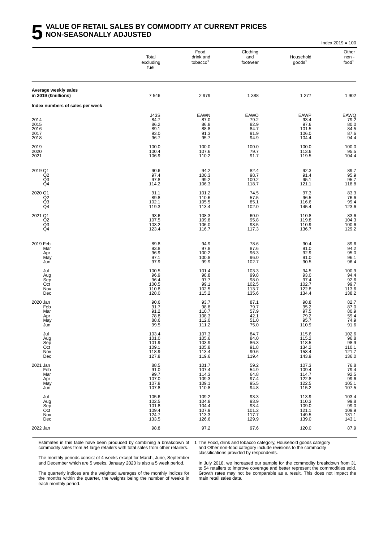#### **5 VALUE OF RETAIL SALES BY COMMODITY AT CURRENT PRICES NON-SEASONALLY ADJUSTED**

|                                                   |                                                    |                                                    |                                                                              |                                                        | Index $2019 = 100$                                   |
|---------------------------------------------------|----------------------------------------------------|----------------------------------------------------|------------------------------------------------------------------------------|--------------------------------------------------------|------------------------------------------------------|
|                                                   | Total<br>excluding<br>fuel                         | Food,<br>drink and<br>tobacco <sup>1</sup>         | Clothing<br>and<br>footwear                                                  | Household<br>goods <sup>1</sup>                        | Other<br>non-<br>food <sup>1</sup>                   |
| Average weekly sales<br>in 2019 (£millions)       | 7546                                               | 2979                                               | 1 3 8 8                                                                      | 1 277                                                  | 1902                                                 |
| Index numbers of sales per week                   |                                                    |                                                    |                                                                              |                                                        |                                                      |
| 2014<br>2015<br>2016<br>2017<br>2018              | J43S<br>84.7<br>86.2<br>89.1<br>93.0<br>96.7       | EAWN<br>87.0<br>86.8<br>88.8<br>91.3<br>95.7       | EAWO<br>79.2<br>82.9<br>84.7<br>91.9<br>94.9                                 | <b>EAWP</b><br>93.4<br>97.6<br>101.5<br>106.0<br>104.4 | EAWQ<br>79.2<br>80.0<br>84.5<br>87.6<br>94.4         |
| 2019<br>2020<br>2021                              | 100.0<br>100.4<br>106.9                            | 100.0<br>107.6<br>110.2                            | 100.0<br>79.7<br>91.7                                                        | 100.0<br>113.6<br>119.5                                | 100.0<br>95.5<br>104.4                               |
| 2019 Q1<br>Q2<br>Q3<br>Q4                         | 90.6<br>97.4<br>97.8<br>114.2                      | 94.2<br>100.3<br>99.2<br>106.3                     | 82.4<br>98.7<br>100.2<br>118.7                                               | 92.3<br>91.4<br>95.1<br>121.1                          | 89.7<br>95.9<br>95.7<br>118.8                        |
| 2020 Q1<br>Q <sub>2</sub><br>Q <sub>3</sub><br>Q4 | 91.1<br>89.8<br>102.1<br>119.3                     | 101.2<br>110.6<br>105.5<br>113.4                   | 74.5<br>57.5<br>85.1<br>102.0                                                | 97.3<br>96.5<br>116.6<br>145.4                         | 83.3<br>76.6<br>99.4<br>123.6                        |
| 2021 Q1<br>Q <sub>2</sub><br>Q3<br>Q4             | 93.6<br>107.5<br>103.2<br>123.4                    | 108.3<br>109.8<br>106.0<br>116.7                   | 60.0<br>95.8<br>93.5<br>117.3                                                | 110.8<br>119.8<br>110.9<br>136.7                       | $83.6$<br>$104.3$<br>$100.6$<br>129.2                |
| 2019 Feb<br>Mar<br>Apr<br>May<br>Jun              | 89.8<br>93.8<br>96.9<br>97.1<br>97.9               | 94.9<br>97.8<br>100.2<br>100.8<br>99.9             | 78.6<br>87.6<br>96.3<br>96.0<br>102.7                                        | 90.4<br>91.0<br>92.9<br>91.0<br>90.5                   | 89.6<br>94.2<br>95.0<br>96.1<br>96.4                 |
| Jul<br>Aug<br>Sep<br>Oct<br>Nov<br>Dec            | 100.5<br>96.9<br>96.4<br>100.5<br>110.8<br>128.0   | 101.4<br>98.8<br>97.7<br>99.1<br>102.5<br>115.2    | 103.3<br>99.8<br>98.0<br>102.5<br>113.7<br>135.6                             | 94.5<br>93.0<br>97.4<br>102.7<br>122.8<br>134.4        | 100.9<br>94.4<br>92.6<br>99.7<br>113.6<br>138.2      |
| 2020 Jan<br>Feb<br>Mar<br>Apr<br>May<br>Jun       | 90.6<br>91.7<br>91.2<br>78.8<br>88.6<br>99.5       | 93.7<br>$98.8$<br>110.7<br>108.3<br>112.0<br>111.2 | 87.1<br>79.7<br>57.9<br>42.1<br>51.0<br>75.0                                 | 98.8<br>95.2<br>97.5<br>79.2<br>95.7<br>110.9          | 82.7<br>87.0<br>80.9<br>59.4<br>74.9<br>91.6         |
| Jul<br>Aug<br>Sep<br>Oct<br>Nov<br>Dec            | 103.4<br>101.0<br>101.9<br>109.1<br>118.9<br>127.8 | 107.3<br>105.6<br>103.9<br>105.8<br>113.4<br>119.6 | 84.7<br>84.0<br>86.3<br>$\begin{array}{c} 91.8 \\ 90.6 \end{array}$<br>119.4 | 115.6<br>115.2<br>118.5<br>134.2<br>158.4<br>143.9     | 102.6<br>96.8<br>98.9<br>110.1<br>121.7<br>136.0     |
| 2021 Jan<br>Feb<br>Mar<br>Apr<br>May<br>Jun       | 88.5<br>91.0<br>99.7<br>107.0<br>107.8<br>107.8    | 101.7<br>107.4<br>114.3<br>109.3<br>109.1<br>110.8 | 59.2<br>54.9<br>64.8<br>97.4<br>95.5<br>94.8                                 | 107.3<br>109.4<br>114.7<br>122.8<br>122.5<br>115.2     | 76.8<br>$79.4$<br>$92.5$<br>$99.6$<br>105.1<br>107.5 |
| Jul<br>Aug<br>Sep<br>Oct<br>Nov<br>Dec            | 105.6<br>102.5<br>101.8<br>109.4<br>124.7<br>133.5 | 109.2<br>104.8<br>104.4<br>107.9<br>113.3<br>126.6 | 93.3<br>93.9<br>93.4<br>101.2<br>117.7<br>129.9                              | 113.9<br>110.3<br>109.0<br>121.1<br>149.5<br>139.0     | 103.4<br>99.8<br>99.0<br>109.9<br>131.1<br>143.1     |
| 2022 Jan                                          | 98.8                                               | 97.2                                               | 97.6                                                                         | 120.0                                                  | 87.9                                                 |

Estimates in this table have been produced by combining a breakdown of commodity sales from 54 large retailers with total sales from other retailers.

1 The Food, drink and tobacco category, Household goods category and Other non-food category include revisions to the commodity

classifications provided by respondents.

The monthly periods consist of 4 weeks except for March, June, September and December which are 5 weeks. January 2020 is also a 5 week period.

In July 2018, we increased our sample for the commodity breakdown from 31 to 54 retailers to improve coverage and better represent the commodities sold. Growth rates may not be comparable as a result. This does not impact the main retail sales data.

The quarterly indices are the weighted averages of the monthly indices for the months within the quarter, the weights being the number of weeks in each monthly period.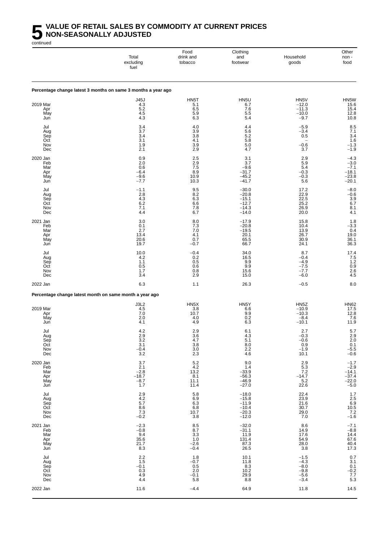#### **5 VALUE OF RETAIL SALES BY COMMODITY AT CURRENT PRICES NON-SEASONALLY ADJUSTED** continued

Food Clothing Clothing Clothing Clothing Clothing Club<br>drink and and Household non-Total drink and and Household non excluding tobacco footwear goods food fuel Percentage change latest 3 months on same 3 months a year ago J45J HN5T HN5U HN5V HN5W 2019 Mar 4.3 5.1 6.7 −12.0 15.6 Apr 5.2 6.5 7.6 −11.3 15.4 May 4.5 5.9 5.5 −10.0 12.8 Jun 4.3 6.3 5.4 −9.7 10.8 Jul 3.4 4.0 4.4 −5.9 8.5 Aug 3.7 3.9 5.6 −3.4 7.1 Sep 3.4 3.8 5.2 0.5 3.4 Oct 3.1 4.1 5.8 − 1.6 Nov 1.9 3.9 5.0 −0.6 −1.3 Dec 2.1 2.9 4.7 3.7 −1.9 2020 Jan 0.9 2.5 3.1 2.9 −4.3 Feb 2.0 2.9 3.7 5.9 −3.0 Mar 0.6 7.5 −9.6 5.4 −7.1 Apr −6.4 −6.4 5.9 −5.4 −6.4 5.9 −9.3 −0.3 −18.1 May −9.6 10.9 −45.2 −0.3 −23.8 Jun −7.7 10.3 −41.7 5.6 −20.1 Jul −1.1 9.5 −30.0 17.2 −8.0 Aug 2.8 8.2 −20.8 22.9 −0.6 Sep 4.3 6.3 −15.1 22.5 3.9 Oct 6.2 6.6 −12.7 25.2 6.7 Nov 7.1 7.8 −14.3 26.9 8.1 Dec 4.4 6.7 −14.0 20.0 4.1 2021 Jan 3.0 3.0 8.0 −17.9 15.8 1.8 1.8 1.8 Feb 0.1 7.3 −20.8 10.4 −3.3 Mar 2.7 7.0 −19.5 13.9 0.4 Apr 13.4 13.4 4.1 20.1 26.7 19.0 May 20.6 0.7 65.5 30.9 36.1 Jun 19.7 −0.7 66.7 24.1 36.3 Jul 10.0 −0.4 34.0 8.7 17.4 Aug 4.2 0.2 16.5 −0.4 7.5 Sep 1.2 −4.9 − 1.1 0.5 9.9 − 4.9 − 4.9 1.2 Oct 0.5 0.6 9.9 −7.5 0.9 Nov 1.7 0.8 15.6 −7.7 2.6 Dec 3.4 2.9 15.0 −6.0 4.5 2022 Jan 6.3 −0.5 −0.5 8.0 1.1 26.3 −0.5 −0.5 8.0 Percentage change latest month on same month a year ago J3L2 HN5X HN5Y HN5Z HN62 2019 Mar 4.5 3.8 6.6 −10.9 17.5 Apr 7.0 10.7 9.9 −10.3 12.8 May 2.0 4.0 0.2 −8.4 7.6 Jun 4.1 4.9 6.3 −10.1 11.9 Jul 4.2 2.9 6.1 2.7 5.7 Aug 2.9 3.6 4.3 −0.3 2.9 Sep 3.2 4.7 5.1 −0.6 2.0 Oct 3.1 3.8 8.0 0.9 0.1 Nov −0.4 −0.4 3.0 2.2 −1.9 −5.5 Dec 3.2 3.2 2.3 4.6 10.1 −0.6 2020 Jan 3.7 5.2 9.0 2.9 −1.7 ב-1.7 ב-1.7 ב-1.7 ב-2020 Jan Feb 2.1 4.2 1.4 5.3 −2.9 Mar −2.8 −2.8 13.2 −33.9 7.2 −14.1 Apr −18.7 −18.7 −18.7 8.1 −56.3 −14.7 −37.4 May −8.7 11.1 −46.9 5.2 −22.0 Jun 1.7 11.4 −27.0 22.6 −5.0 Jul 2.9 5.8 −18.0 22.4 1.7 Aug 4.2 6.9 −15.8 23.9 2.5 Sep 5.7 6.3 −11.9 21.6 6.9 5.7 6.9 Oct 8.6 6.8 −10.4 30.7 10.5 Nov 7.3 10.7 −20.3 29.0 7.2 Dec −0.2 −0.2 3.8 −12.0 7.0 −1.6 2021 Jan −2.3 −2.3 8.5 −32.0 8.6 −7.1 Feb −0.8 8.7 −31.1 14.9 −8.8 Mar 9.4 3.3 11.9 17.6 14.4 Apr 35.6 1.0 131.4 54.9 54.9 67.6 54.9 554.9 554.9 554.9 554.9 54.9 57.6 May 21.7 −2.6 87.3 28.0 40.4 Jun 8.3 −0.4 26.5 3.8 17.3 Jul 2.2 1.8 10.1 −1.5 0.7 Aug 1.5 −0.7 11.8 −4.3 3.1 Sep −0.1 −0.1 0.5 8.3 −8.0 0.1 0.1 0.1 and 5.3 −8.0 0.1 0.1 and 5.4 and 5.4 and 5.4 and 5.4 and 5.4 and 5.4 and 5.4 and 5.4 and 5.4 and 5.4 and 5.4 and 5.4 and 5.4 and 5.4 and 5.4 and 5.4 and 5.4 and 5.4 and 5.4 and 5.4 a Oct 0.3 2.0 10.2 −9.8 −0.2 Nov 4.9 −0.1 29.9 −5.6 7.7 Dec 4.4 5.8 8.8 −3.4 5.3 2022 Jan 11.6 −4.4 64.9 11.8 14.5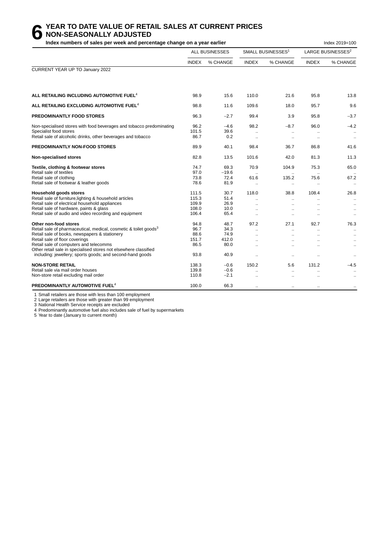#### **6 YEAR TO DATE VALUE OF RETAIL SALES AT CURRENT PRICES**<br> **6 NON-SEASONALLY ADJUSTED**<br>
Index numbers of sales per week and percentage change on a vear earlier **NON-SEASONALLY ADJUSTED**

Index numbers of sales per week and percentage change on a year earlier **Index 2019** and the same of sales 2019=100

|                                                                                                                                                                                                                                                                                                                                                                     |                                               | <b>ALL BUSINESSES</b>                         |                                                         | SMALL BUSINESSES <sup>1</sup>                        |                              | LARGE BUSINESSES <sup>2</sup>                                                  |
|---------------------------------------------------------------------------------------------------------------------------------------------------------------------------------------------------------------------------------------------------------------------------------------------------------------------------------------------------------------------|-----------------------------------------------|-----------------------------------------------|---------------------------------------------------------|------------------------------------------------------|------------------------------|--------------------------------------------------------------------------------|
|                                                                                                                                                                                                                                                                                                                                                                     | <b>INDEX</b>                                  | % CHANGE                                      | <b>INDEX</b>                                            | % CHANGE                                             | <b>INDEX</b>                 | % CHANGE                                                                       |
| CURRENT YEAR UP TO January 2022                                                                                                                                                                                                                                                                                                                                     |                                               |                                               |                                                         |                                                      |                              |                                                                                |
| ALL RETAILING INCLUDING AUTOMOTIVE FUEL <sup>4</sup>                                                                                                                                                                                                                                                                                                                | 98.9                                          | 15.6                                          | 110.0                                                   | 21.6                                                 | 95.8                         | 13.8                                                                           |
| ALL RETAILING EXCLUDING AUTOMOTIVE FUEL <sup>4</sup>                                                                                                                                                                                                                                                                                                                | 98.8                                          | 11.6                                          | 109.6                                                   | 18.0                                                 | 95.7                         | 9.6                                                                            |
| <b>PREDOMINANTLY FOOD STORES</b>                                                                                                                                                                                                                                                                                                                                    | 96.3                                          | $-2.7$                                        | 99.4                                                    | 3.9                                                  | 95.8                         | $-3.7$                                                                         |
| Non-specialised stores with food beverages and tobacco predominating<br>Specialist food stores<br>Retail sale of alcoholic drinks, other beverages and tobacco                                                                                                                                                                                                      | 96.2<br>101.5<br>86.7                         | $-4.6$<br>39.6<br>0.2                         | 98.2<br>$\ddotsc$<br>$\ddotsc$                          | $-8.7$<br>$\ddot{\phantom{1}}$<br>$\ddotsc$          | 96.0                         | $-4.2$<br>$\bullet\bullet$<br>$\cdot$ .                                        |
| PREDOMINANTLY NON-FOOD STORES                                                                                                                                                                                                                                                                                                                                       | 89.9                                          | 40.1                                          | 98.4                                                    | 36.7                                                 | 86.8                         | 41.6                                                                           |
| Non-specialised stores                                                                                                                                                                                                                                                                                                                                              | 82.8                                          | 13.5                                          | 101.6                                                   | 42.0                                                 | 81.3                         | 11.3                                                                           |
| Textile, clothing & footwear stores<br>Retail sale of textiles<br>Retail sale of clothing<br>Retail sale of footwear & leather goods                                                                                                                                                                                                                                | 74.7<br>97.0<br>73.8<br>78.6                  | 69.3<br>$-19.6$<br>72.4<br>81.9               | 70.9<br>61.6<br>$\ddotsc$                               | 104.9<br>135.2<br>$\ddot{\phantom{a}}$               | 75.3<br>75.6                 | 65.0<br>67.2<br>$\cdot$ .                                                      |
| Household goods stores<br>Retail sale of furniture, lighting & household articles<br>Retail sale of electrical household appliances<br>Retail sale of hardware, paints & glass<br>Retail sale of audio and video recording and equipment                                                                                                                            | 111.5<br>115.3<br>109.9<br>108.0<br>106.4     | 30.7<br>51.4<br>26.9<br>10.0<br>65.4          | 118.0<br>$\ddot{\phantom{a}}$<br>$\ddotsc$<br>$\ddotsc$ | 38.8<br>$\ddot{\phantom{a}}$                         | 108.4                        | 26.8<br>$\ddotsc$<br>$\ddotsc$<br>$\ldots$                                     |
| Other non-food stores<br>Retail sale of pharmaceutical, medical, cosmetic & toilet goods <sup>3</sup><br>Retail sale of books, newspapers & stationery<br>Retail sale of floor coverings<br>Retail sale of computers and telecomms<br>Other retail sale in specialised stores not elsewhere classified<br>including: jewellery; sports goods; and second-hand goods | 94.8<br>96.7<br>88.6<br>151.7<br>86.5<br>93.8 | 48.7<br>34.3<br>74.9<br>412.0<br>80.0<br>40.9 | 97.2<br>$\sim$                                          | 27.1<br>$\ddot{\phantom{a}}$<br>$\ddot{\phantom{a}}$ | 92.7<br>$\ddot{\phantom{a}}$ | 76.3<br>$\ddotsc$<br>$\ddot{\phantom{1}}$<br>$\ddotsc$<br>$\ldots$<br>$\ldots$ |
| <b>NON-STORE RETAIL</b><br>Retail sale via mail order houses<br>Non-store retail excluding mail order<br>PREDOMINANTLY AUTOMOTIVE FUEL <sup>4</sup>                                                                                                                                                                                                                 | 138.3<br>139.8<br>110.8<br>100.0              | $-0.6$<br>$-0.6$<br>$-2.1$<br>66.3            | 150.2                                                   | 5.6<br>$\ddot{\phantom{a}}$<br>$\ddotsc$             | 131.2                        | $-4.5$<br>$\ddot{\phantom{a}}$<br>$\ddotsc$                                    |

1 Small retailers are those with less than 100 employment

2 Large retailers are those with greater than 99 employment

3 National Health Service receipts are excluded

4 Predominantly automotive fuel also includes sale of fuel by supermarkets

5 Year to date (January to current month)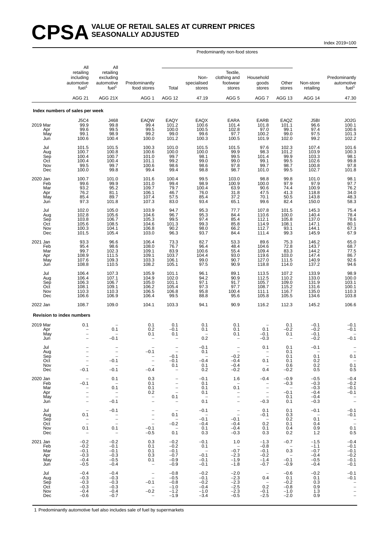#### CPSA<sup>VALUE OF RETAIL SALES AT CURRENT PRICES</sup> **SEASONALLY ADJUSTED**

Index 2019=100

Predominantly non-food stores

|                                             | All<br>retailing<br>including<br>automotive<br>fuel <sup>1</sup>                                                                  | All<br>retailing<br>excluding<br>automotive<br>fuel <sup>1</sup>           | Predominantly<br>food stores                                                                                                  | Total                                                                                     | Non-<br>specialised<br>stores                            | Textile,<br>clothing and<br>footwear<br>stores                                             | Household<br>goods<br>stores                                                                                                  | Other<br>stores                                           | Non-store<br>retailing                                   | Predominantly<br>automotive<br>fuel <sup>1</sup>                                 |
|---------------------------------------------|-----------------------------------------------------------------------------------------------------------------------------------|----------------------------------------------------------------------------|-------------------------------------------------------------------------------------------------------------------------------|-------------------------------------------------------------------------------------------|----------------------------------------------------------|--------------------------------------------------------------------------------------------|-------------------------------------------------------------------------------------------------------------------------------|-----------------------------------------------------------|----------------------------------------------------------|----------------------------------------------------------------------------------|
|                                             | <b>AGG 21</b>                                                                                                                     | AGG 21X                                                                    | AGG 1                                                                                                                         | <b>AGG 12</b>                                                                             | 47.19                                                    | AGG <sub>5</sub>                                                                           | AGG 7                                                                                                                         | AGG 13                                                    | AGG 14                                                   | 47.30                                                                            |
|                                             | Index numbers of sales per week                                                                                                   |                                                                            |                                                                                                                               |                                                                                           |                                                          |                                                                                            |                                                                                                                               |                                                           |                                                          |                                                                                  |
| 2019 Mar<br>Apr<br>May<br>Jun               | <b>J5C4</b><br>99.9<br>99.6<br>99.1<br>100.6                                                                                      | J468<br>99.8<br>99.5<br>98.9<br>100.4                                      | EAQW<br>99.4<br>99.5<br>99.2<br>100.0                                                                                         | EAQY<br>101.2<br>100.0<br>99.0<br>101.2                                                   | EAQX<br>100.6<br>100.5<br>99.6<br>100.3                  | <b>EARA</b><br>101.4<br>102.8<br>97.7<br>100.5                                             | EARB<br>101.8<br>97.0<br>100.2<br>101.9                                                                                       | EAQZ<br>101.1<br>99.1<br>99.0<br>102.0                    | J5BI<br>96.6<br>97.4<br>97.5<br>99.2                     | JO2G<br>100.1<br>100.6<br>101.3<br>102.2                                         |
| Jul<br>Aug<br>Sep<br>Oct<br>Nov<br>Dec      | 101.5<br>100.7<br>100.4<br>100.4<br>99.5<br>100.0                                                                                 | 101.5<br>100.8<br>100.7<br>100.4<br>99.7<br>99.8                           | 100.3<br>100.6<br>101.0<br>101.1<br>100.6<br>99.4                                                                             | 101.0<br>100.0<br>99.7<br>99.2<br>98.6<br>99.4                                            | 101.5<br>100.0<br>98.1<br>99.0<br>98.6<br>98.8           | 101.5<br>99.9<br>99.5<br>99.0<br>97.8<br>98.7                                              | 97.6<br>98.3<br>101.4<br>99.1<br>99.7<br>101.0                                                                                | 102.3<br>101.2<br>99.9<br>99.5<br>98.7<br>99.5            | 107.4<br>103.9<br>103.3<br>102.6<br>100.8<br>102.7       | 101.6<br>100.3<br>98.1<br>99.8<br>97.8<br>101.8                                  |
| 2020 Jan<br>Feb<br>Mar<br>Apr<br>May<br>Jun | 100.7<br>99.6<br>93.2<br>76.2<br>85.4<br>97.3                                                                                     | 101.0<br>99.9<br>95.2<br>81.1<br>89.7<br>101.8                             | 101.6<br>101.0<br>109.7<br>106.1<br>107.4<br>107.3                                                                            | 100.4<br>99.4<br>79.7<br>46.7<br>57.5<br>83.0                                             | 99.5<br>98.9<br>100.4<br>76.0<br>85.4<br>93.4            | 103.0<br>100.9<br>63.9<br>31.8<br>37.2<br>65.1                                             | 98.8<br>100.0<br>90.6<br>47.5<br>70.1<br>99.6                                                                                 | 99.8<br>97.9<br>74.4<br>41.3<br>50.5<br>82.4              | 101.0<br>97.9<br>100.9<br>118.8<br>143.8<br>150.0        | 98.1<br>97.7<br>76.2<br>34.0<br>48.3<br>58.3                                     |
| Jul<br>Aug<br>Sep<br>Oct<br>Nov<br>Dec      | 102.0<br>102.8<br>103.8<br>105.6<br>100.3<br>101.5                                                                                | 105.0<br>105.6<br>106.7<br>108.5<br>104.1<br>105.4                         | 103.9<br>104.6<br>105.3<br>104.6<br>106.8<br>103.0                                                                            | 94.7<br>96.7<br>99.5<br>101.3<br>90.2<br>96.3                                             | 95.3<br>95.3<br>97.4<br>99.3<br>98.0<br>93.7             | 77.7<br>84.4<br>85.4<br>85.8<br>66.2<br>84.4                                               | 107.8<br>110.6<br>112.1<br>114.9<br>112.7<br>111.4                                                                            | 101.5<br>100.0<br>105.8<br>108.1<br>93.1<br>99.3          | 145.3<br>140.4<br>137.0<br>147.1<br>144.1<br>145.9       | 75.4<br>78.4<br>78.6<br>80.1<br>67.3<br>67.9                                     |
| 2021 Jan<br>Feb<br>Mar<br>Apr<br>May<br>Jun | 93.3<br>95.4<br>99.7<br>108.9<br>107.6<br>108.8                                                                                   | 96.6<br>98.6<br>102.3<br>111.5<br>109.3<br>110.5                           | 106.4<br>108.0<br>109.1<br>109.1<br>103.3<br>108.2                                                                            | 73.3<br>76.7<br>83.9<br>103.7<br>106.1<br>105.1                                           | 82.7<br>96.4<br>100.6<br>104.4<br>99.0<br>97.5           | 53.3<br>48.4<br>55.4<br>93.0<br>90.7<br>90.9                                               | 89.6<br>104.6<br>109.4<br>119.6<br>127.0<br>118.8                                                                             | 75.3<br>72.8<br>83.3<br>103.0<br>111.5<br>114.0           | 146.2<br>143.7<br>144.2<br>147.4<br>140.9<br>137.2       | 65.0<br>68.7<br>77.5<br>86.7<br>92.6<br>94.6                                     |
| Jul<br>Aug<br>Sep<br>Oct<br>Nov<br>Dec      | 106.4<br>106.4<br>106.3<br>108.1<br>110.3<br>106.6                                                                                | 107.3<br>107.1<br>106.7<br>109.1<br>110.3<br>106.9                         | 105.9<br>104.9<br>105.0<br>106.2<br>106.5<br>106.4                                                                            | 101.1<br>102.0<br>101.1<br>105.4<br>106.8<br>99.5                                         | 96.1<br>94.2<br>97.1<br>97.3<br>95.8<br>88.8             | 89.1<br>90.9<br>91.7<br>97.7<br>100.4<br>95.6                                              | 113.5<br>112.5<br>105.7<br>108.7<br>111.1<br>105.8                                                                            | 107.2<br>110.2<br>109.0<br>115.2<br>116.7<br>105.5        | 133.9<br>133.0<br>131.9<br>131.6<br>135.0<br>134.6       | 98.9<br>100.0<br>$\begin{array}{c} 103.1 \\ 100.1 \\ 110.3 \\ 103.8 \end{array}$ |
| 2022 Jan                                    | 108.7                                                                                                                             | 109.0                                                                      | 104.1                                                                                                                         | 103.3                                                                                     | 94.1                                                     | 90.9                                                                                       | 116.2                                                                                                                         | 112.3                                                     | 145.2                                                    | 106.6                                                                            |
|                                             | <b>Revision to index numbers</b>                                                                                                  |                                                                            |                                                                                                                               |                                                                                           |                                                          |                                                                                            |                                                                                                                               |                                                           |                                                          |                                                                                  |
| 2019 Mar<br>Apr<br>May<br>Jun               | 0.1<br>$\overline{\phantom{0}}$                                                                                                   | 0.1<br>$-0.1$                                                              | 0.1<br>0.2<br>0.1                                                                                                             | 0.1<br>$-0.1$<br>0.1                                                                      | 0.1<br>0.1<br>0.2                                        | 0.1<br>0.1<br>0.1                                                                          | 0.1<br>$-0.1$<br>$-0.3$                                                                                                       | 0.1<br>$-0.2$<br>0.1                                      | $-0.1$<br>$-0.2$<br>$-0.1$<br>$-0.2$                     | $-0.1$<br>$-0.1$<br>$-0.1$                                                       |
| Jul<br>Aug<br>Sep<br>Oct<br>Nov<br>Dec      | $\qquad \qquad -$<br>$\overline{\phantom{a}}$<br>$\overline{\phantom{a}}$<br>$-0.1$                                               | $-0.1$<br>$\sim$<br>$-0.1$                                                 | $-0.1$<br>$\overline{\phantom{a}}$<br>$\overline{\phantom{a}}$<br>$\overline{\phantom{a}}$<br>$-0.4$                          | $-0.1$<br>$-0.1$<br>0.1<br>$\overline{\phantom{a}}$                                       | $-0.1$<br>0.1<br>$\sim$<br>$-0.4$<br>0.1<br>0.2          | $-0.2$<br>$-0.4$<br>$-0.4$<br>$-0.2$                                                       | 0.1<br>$\hspace{0.1mm}-\hspace{0.1mm}$<br>0.1<br>$\sim$<br>0.4                                                                | 0.1<br>0.1<br>0.1<br>0.1<br>0.6<br>$-0.2$                 | $-0.1$<br>0.1<br>0.2<br>0.2<br>0.5                       | 0.1<br>0.1<br>0.5                                                                |
| 2020 Jan<br>Feb<br>Mar<br>Apr<br>May<br>Jun | $\overline{\phantom{a}}$<br>$-0.1$<br>$\bar{a}$<br>$\qquad \qquad -$<br>$\qquad \qquad -$                                         | 0.1<br>$\overline{\phantom{a}}$<br>0.1<br>$\overline{a}$<br>$-0.1$         | 0.3<br>0.1<br>0.1<br>0.2<br>$\overline{\phantom{a}}$<br>$\overline{\phantom{a}}$                                              | $\overline{\phantom{a}}$<br>$\overline{\phantom{a}}$<br>$\bar{a}$<br>0.1<br>$\frac{1}{2}$ | $-0.1$<br>0.1<br>0.1<br>0.1<br>$\sim$<br>0.1             | 1.6<br>$-$<br>0.1<br>$\frac{1}{2}$<br>$\overline{\phantom{a}}$<br>$\overline{\phantom{a}}$ | $-0.4$<br>$\overline{a}$<br>$\overline{\phantom{a}}$<br>$\overline{\phantom{a}}$<br>$\hspace{0.1mm}-\hspace{0.1mm}$<br>$-0.3$ | $-0.9$<br>$-0.3$<br>$\sim$<br>$-0.1$<br>0.1<br>0.1        | $-0.5$<br>$-0.3$<br>$-0.3$<br>$-0.4$<br>$-0.4$<br>$-0.3$ | $-0.4$<br>$-0.2$<br>$-0.1$<br>$-0.1$<br>$\frac{1}{\sqrt{2}}$                     |
| Jul<br>Aug<br>Sep<br>Oct<br>Nov<br>Dec      | $\overline{\phantom{m}}$<br>0.1<br>$\overline{\phantom{a}}$<br>$\overline{\phantom{a}}$<br>0.1<br>$\hspace{0.1mm}-\hspace{0.1mm}$ | $-0.1$<br>$\sim$<br>$\bar{\mathcal{A}}$<br>$\sim$<br>0.1<br>$\overline{a}$ | $\overline{\phantom{a}}$<br>$\overline{\phantom{a}}$<br>$\qquad \qquad -$<br>$\overline{\phantom{a}}$<br>$-0.1$<br>$-0.5$     | $\overline{\phantom{a}}$<br>0.1<br>$\overline{a}$<br>$-0.2$<br>$\sim$<br>0.1              | $-0.1$<br>$\sim$ $-$<br>$-0.1$<br>$-0.4$<br>0.1<br>0.3   | $\mathbb T$<br>$-0.1$<br>$-0.4$<br>$-0.4$<br>$-0.3$                                        | 0.1<br>$-0.1$<br>$\overline{\phantom{0}}$<br>0.2<br>0.1<br>0.3                                                                | 0.1<br>0.3<br>0.2<br>0.1<br>0.4<br>0.2                    | $-0.1$<br>$\sim$ $-$<br>0.1<br>0.4<br>0.9<br>1.2         | $-0.1$<br>$-0.1$<br>$\frac{1}{2}$<br>0.1<br>0.5                                  |
| 2021 Jan<br>Feb<br>Mar<br>Apr<br>May<br>Jun | $-0.2$<br>$-0.2$<br>$-0.1$<br>$-0.3$<br>$-0.4$<br>$-0.5$                                                                          | $-0.2$<br>$-0.1$<br>$-0.1$<br>$-0.3$<br>$-0.5$<br>$-0.4$                   | 0.3<br>0.1<br>0.1<br>0.3<br>0.1<br>$\hspace{0.1mm}-\hspace{0.1mm}$                                                            | $-0.2$<br>$-0.2$<br>$-0.1$<br>$-0.7$<br>$-0.9$<br>$-0.9$                                  | $-0.1$<br>0.1<br>$\sim$<br>$-0.1$<br>$-0.1$<br>$-0.1$    | 1.0<br>$\sim$ $-$<br>$-0.7$<br>$-2.3$<br>$-1.9$<br>$-1.8$                                  | $-1.3$<br>$-0.8$<br>$-0.1$<br>$-0.2$<br>$-1.4$<br>$-0.7$                                                                      | $-0.7$<br>$\sim$ $-$<br>0.3<br>$\sim$<br>$-0.1$<br>$-0.9$ | $-1.5$<br>$-1.1$<br>$-0.7$<br>$-0.4$<br>$-0.5$<br>$-0.4$ | $-0.4$<br>$-0.1$<br>$-0.1$<br>$-0.2$<br>$-0.1$<br>$-0.1$                         |
| Jul<br>Aug<br>Sep<br>Oct<br>Nov<br>Dec      | $-0.4$<br>$-0.3$<br>$-0.3$<br>$-0.3$<br>$-0.4$<br>$-0.6$                                                                          | $-0.4$<br>$-0.3$<br>$-0.3$<br>$-0.3$<br>$-0.4$<br>$-0.7$                   | $\overline{\phantom{a}}$<br>$\overline{a}$<br>$-0.1$<br>$\hspace{0.1mm}-\hspace{0.1mm}$<br>$-0.2$<br>$\overline{\phantom{a}}$ | $-0.8$<br>$-0.5$<br>$-0.8$<br>$-1.0$<br>$-1.2$<br>$-1.9$                                  | $-0.2$<br>$-0.1$<br>$-0.2$<br>$-0.4$<br>$-1.0$<br>$-3.4$ | $-2.0$<br>$-2.3$<br>$-2.3$<br>$-2.5$<br>$-2.3$<br>$-0.5$                                   | $\overline{\phantom{0}}$<br>0.4<br>$\sim$<br>0.2<br>$-0.1$<br>$-2.5$                                                          | $-0.6$<br>0.1<br>$-0.2$<br>$-0.8$<br>$-1.0$<br>$-2.0$     | $-0.2$<br>0.1<br>0.3<br>0.9<br>1.3<br>0.9                | $-0.1$<br>$-0.1$<br>$\qquad \qquad -$                                            |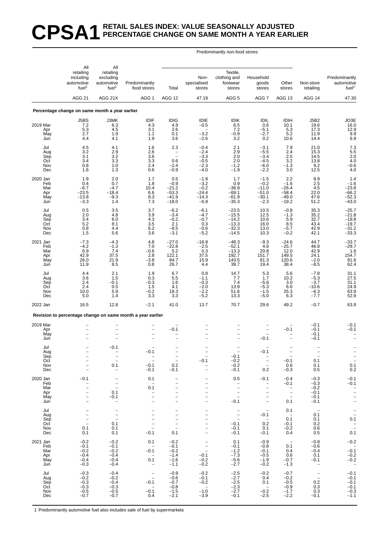## **CPSA1 RETAIL SALES INDEX: VALUE SEASONALLY ADJUSTED PERCENTAGE CHANGE ON SAME MONTH A YEAR EARLIER**

#### Predominantly non-food stores

|                                             | All                                                                                                                            | All                                                                                                         |                                                                                                                                   |                                                                                                                                                               |                                                                                                |                                                                                              |                                                                                                                     |                                                                   |                                                                                |                                                                         |
|---------------------------------------------|--------------------------------------------------------------------------------------------------------------------------------|-------------------------------------------------------------------------------------------------------------|-----------------------------------------------------------------------------------------------------------------------------------|---------------------------------------------------------------------------------------------------------------------------------------------------------------|------------------------------------------------------------------------------------------------|----------------------------------------------------------------------------------------------|---------------------------------------------------------------------------------------------------------------------|-------------------------------------------------------------------|--------------------------------------------------------------------------------|-------------------------------------------------------------------------|
|                                             | retailing<br>including<br>automotive<br>fuel <sup>1</sup>                                                                      | retailing<br>excluding<br>automotive<br>fuel <sup>1</sup>                                                   | Predominantly<br>food stores                                                                                                      | Total                                                                                                                                                         | Non-<br>specialised<br>stores                                                                  | Textile,<br>clothing and<br>footwear<br>stores                                               | Household<br>goods<br>stores                                                                                        | Other<br>stores                                                   | Non-store<br>retailing                                                         | Predominantly<br>automotive<br>fuel <sup>1</sup>                        |
|                                             | <b>AGG 21</b>                                                                                                                  | AGG 21X                                                                                                     | AGG 1                                                                                                                             | <b>AGG 12</b>                                                                                                                                                 | 47.19                                                                                          | AGG <sub>5</sub>                                                                             | AGG <sub>7</sub>                                                                                                    | AGG 13                                                            | AGG 14                                                                         | 47.30                                                                   |
|                                             | Percentage change on same month a year earlier                                                                                 |                                                                                                             |                                                                                                                                   |                                                                                                                                                               |                                                                                                |                                                                                              |                                                                                                                     |                                                                   |                                                                                |                                                                         |
| 2019 Mar<br>Apr<br>May<br>Jun               | J5BS<br>$7.2$<br>$5.3$<br>2.7<br>4.4                                                                                           | J3MK<br>6.3<br>4.5<br>1.9<br>4.1                                                                            | IDIF<br>4.3<br>3.1<br>1.1<br>1.9                                                                                                  | <b>IDIG</b><br>4.9<br>2.6<br>0.1<br>3.6                                                                                                                       | IDIE<br>$-0.5$<br>$-3.2$<br>$-2.6$                                                             | <b>IDIK</b><br>6.5<br>7.2<br>$-0.9$<br>3.2                                                   | IDIL<br>0.6<br>$-5.1$<br>$-2.7$<br>0.2                                                                              | <b>IDIH</b><br>10.1<br>5.3<br>5.2<br>10.6                         | J5B2<br>19.6<br>17.3<br>11.9<br>14.4                                           | JO3E<br>16.0<br>12.9<br>$\overline{9.9}$<br>6.9                         |
| Jul<br>Aug<br>Sep<br>Oct<br>Nov<br>Dec      | 4.5<br>3.2<br>3.1<br>3.4<br>0.8<br>1.6                                                                                         | 4.1<br>2.9<br>3.2<br>3.3<br>1.0<br>1.3                                                                      | 1.6<br>2.6<br>3.6<br>3.3<br>2.4<br>0.6                                                                                            | 2.3<br>$\qquad \qquad -$<br>$\frac{1}{2}$<br>0.6<br>$-2.4$<br>$-0.9$                                                                                          | $-0.4$<br>$-2.4$<br>$-3.3$<br>$-0.5$<br>$-2.3$<br>$-4.0$                                       | 2.1<br>2.9<br>2.0<br>2.0<br>$-1.2$<br>$-1.9$                                                 | $-3.1$<br>$-5.5$<br>$-3.4$<br>$-4.5$<br>$-6.0$<br>$-2.2$                                                            | 7.9<br>2.4<br>$\overline{2.5}$<br>3.2<br>$-1.3$<br>3.0            | 21.0<br>15.3<br>14.5<br>13.8<br>9.2<br>12.5                                    | $7.3$<br>$5.5$<br>$2.0$<br>4.0<br>$^{-0.6}_{4.0}$                       |
| 2020 Jan<br>Feb<br>Mar<br>Apr<br>May<br>Jun | 1.9<br>0.4<br>$-6.7$<br>$-23.5$<br>$-13.8$<br>$-3.3$                                                                           | 2.0<br>0.7<br>$-4.7$<br>$-18.4$<br>$-9.3$<br>1.4                                                            | 1.7<br>1.8<br>10.4<br>6.6<br>8.3<br>7.3                                                                                           | 0.5<br>$-0.9$<br>$-21.2$<br>$-53.3$<br>$-41.9$<br>$-18.0$                                                                                                     | $-1.9$<br>$-3.2$<br>$-0.2$<br>$-24.4$<br>$-14.3$<br>$-6.9$                                     | 1.7<br>0.9<br>$-36.9$<br>$-69.1$<br>$-61.9$<br>$-35.3$                                       | $-1.5$<br>$-0.2$<br>$-11.0$<br>$-51.0$<br>$-30.1$<br>$-2.3$                                                         | 2.2<br>$-1.6$<br>$-26.4$<br>$-58.4$<br>$-49.0$<br>$-19.2$         | $\frac{8.9}{2.5}$<br>4.5<br>22.0<br>47.6<br>51.2                               | $1.4 - 1.6$<br>$-23.8$<br>$-66.2$<br>$-52.3$<br>$-43.0$                 |
| Jul<br>Aug<br>Sep<br>Oct<br>Nov<br>Dec      | 0.5<br>2.0<br>3.4<br>5.2<br>0.8<br>1.5                                                                                         | 3.5<br>4.8<br>6.0<br>8.1<br>4.4<br>5.6                                                                      | 3.7<br>3.9<br>$4.3$<br>3.5<br>6.2<br>3.6                                                                                          | $-6.2$<br>-3.4<br>$-0.2$<br>2.1<br>$-8.5$<br>$-3.1$                                                                                                           | $-6.1$<br>$-4.7$<br>$-0.7$<br>0.3<br>$-0.6$<br>$-5.2$                                          | $-23.5$<br>$-15.5$<br>$-14.2$<br>$-13.3$<br>$-32.3$<br>$-14.5$                               | 10.5<br>12.5<br>10.6<br>16.0<br>13.0<br>10.3                                                                        | $-0.8$<br>$-1.3$<br>5.9<br>8.5<br>$-5.7$<br>$-0.2$                | 35.3<br>35.2<br>32.7<br>43.4<br>42.9<br>42.1                                   | $-25.7$<br>$-21.8$<br>$-19.8$<br>$-19.7$<br>$-31.2$<br>$-33.3$          |
| 2021 Jan<br>Feb<br>Mar<br>Apr<br>May<br>Jun | $-7.3$<br>$-4.2$<br>6.9<br>42.9<br>26.0<br>11.9                                                                                | $-4.3$<br>$-1.3$<br>7.4<br>37.5<br>21.9<br>8.5                                                              | 4.8<br>7.0<br>$-0.6$<br>2.8<br>$-3.8$<br>0.8                                                                                      | $-27.0$<br>$-22.8$<br>5.2<br>122.1<br>84.7<br>26.7                                                                                                            | $-16.9$<br>$-2.5$<br>0.3<br>37.5<br>15.9<br>4.4                                                | $-48.3$<br>$-52.1$<br>$-13.3$<br>192.7<br>143.5<br>39.7                                      | $-9.3$<br>4.6<br>20.8<br>151.7<br>81.3<br>19.4                                                                      | $-24.6$<br>$-25.7$<br>12.0<br>149.5<br>120.6<br>38.4              | 44.7<br>46.8<br>42.9<br>24.1<br>$-2.0$<br>$-8.5$                               | $-33.7$<br>$-29.7$<br>1.6<br>154.7<br>91.6<br>62.4                      |
| Jul<br>Aug<br>Sep<br>Oct<br>Nov<br>Dec      | 4.4<br>3.6<br>2.4<br>2.4<br>10.0<br>5.0                                                                                        | 2.1<br>1.5<br>$-0.1$<br>0.5<br>5.9<br>1.4                                                                   | 1.9<br>0.3<br>$-0.3$<br>1.5<br>$-0.2$<br>3.3                                                                                      | 6.7<br>5.5<br>1.6<br>4.1<br>18.3<br>3.3                                                                                                                       | 0.8<br>$-1.1$<br>$-0.3$<br>$-2.0$<br>$-2.2$<br>$-5.2$                                          | 14.7<br>7.7<br>7.4<br>13.9<br>51.6<br>13.3                                                   | 5.3<br>1.7<br>$-5.6$<br>$-5.3$<br>$-1.5$<br>$-5.0$                                                                  | 5.6<br>10.2<br>3.0<br>6.6<br>25.3<br>6.3                          | $-7.8$<br>$-5.3$<br>$-3.7$<br>$-10.6$<br>-6.3<br>$-7.7$                        | $\frac{31.1}{27.5}$<br>31.1<br>24.9<br>63.9<br>52.9                     |
| 2022 Jan                                    | 16.5                                                                                                                           | 12.8                                                                                                        | $-2.1$                                                                                                                            | 41.0                                                                                                                                                          | 13.7                                                                                           | 70.7                                                                                         | 29.6                                                                                                                | 49.2                                                              | $-0.7$                                                                         | 63.9                                                                    |
|                                             |                                                                                                                                |                                                                                                             | Revision to percentage change on same month a year earlier                                                                        |                                                                                                                                                               |                                                                                                |                                                                                              |                                                                                                                     |                                                                   |                                                                                |                                                                         |
| 2019 Mar<br>Apr<br>May<br>Jun               |                                                                                                                                |                                                                                                             | $\overline{\phantom{0}}$<br>1                                                                                                     | $-0.1$<br>$\overline{\phantom{0}}$                                                                                                                            |                                                                                                |                                                                                              | $-0.1$                                                                                                              | $-0.1$                                                            | $-0.1$<br>$-0.1$<br>$-0.1$<br>$-0.1$                                           | $-0.1$<br>$-0.1$                                                        |
| Jul<br>Aug<br>Sep<br>Oct<br>Nov<br>Dec      | -<br>$\overline{\phantom{0}}$<br>$\overline{a}$<br>$\overline{\phantom{0}}$                                                    | $-0.1$<br>$\overline{\phantom{a}}$<br>0.1<br>$\overline{\phantom{m}}$                                       | $-0.1$<br>$\overline{\phantom{a}}$<br>$\overline{\phantom{a}}$<br>$-0.1$<br>$-0.1$                                                | $\overline{\phantom{a}}$<br>$\overline{\phantom{a}}$<br>0.2<br>$-0.1$                                                                                         | $-0.1$                                                                                         | $-0.1$<br>$-0.2$<br>$-0.2$<br>$-0.1$                                                         | $-0.1$<br>$\overline{\phantom{m}}$<br>0.2                                                                           | $\hspace{0.1mm}-\hspace{0.1mm}$<br>$-0.1$<br>0.6<br>$-0.3$        | 0.1<br>0.1<br>0.5                                                              | $\frac{1}{0.1}$<br>0.2                                                  |
| 2020 Jan<br>Feb<br>Mar<br>Apr<br>May<br>Jun | $-0.1$<br>$\overline{\phantom{0}}$<br>$\overline{a}$<br>$\overline{\phantom{0}}$<br>$\overline{a}$<br>$\overline{\phantom{0}}$ | $\overline{\phantom{0}}$<br>$\qquad \qquad -$<br>$\frac{1}{2}$<br>0.1<br>$-0.1$<br>$\overline{\phantom{a}}$ | 0.1<br>$\hspace{0.1mm}$<br>0.1<br>$\qquad \qquad -$<br>$\overline{a}$<br>$\overline{a}$                                           | $\overline{\phantom{0}}$<br>$\qquad \qquad -$<br>$\overline{\phantom{0}}$<br>$\overline{\phantom{0}}$<br>$\overline{\phantom{0}}$<br>$\overline{\phantom{0}}$ | $\qquad \qquad -$<br>$\overline{\phantom{0}}$                                                  | 0.5<br>$\overline{\phantom{a}}$<br>$\overline{\phantom{0}}$<br>$\bar{a}$<br>$-0.1$           | $-0.1$<br>$\overline{\phantom{a}}$<br>$\overline{a}$<br>$\qquad \qquad -$<br>$\qquad \qquad -$<br>$\qquad \qquad -$ | $-0.4$<br>$-0.1$<br>$\overline{\phantom{a}}$<br>$\bar{a}$<br>0.1  | $-0.3$<br>$-0.3$<br>$-0.2$<br>$-0.1$<br>$-0.1$<br>$-0.1$                       | $-0.1$<br>$-0.1$<br>$\frac{1}{\pi}$<br>$\overline{\phantom{a}}$         |
| Jul<br>Aug<br>Sep<br>Oct<br>Nov<br>Dec      | -<br>$\overline{a}$<br>$\overline{\phantom{0}}$<br>$\overline{a}$<br>0.1<br>0.1                                                | $\overline{\phantom{a}}$<br>$\bar{a}$<br>0.1<br>0.1<br>0.1                                                  | $\qquad \qquad -$<br>$\overline{\phantom{0}}$<br>$\overline{\phantom{0}}$<br>$\overline{a}$<br>$\overline{\phantom{0}}$<br>$-0.1$ | $\overline{\phantom{m}}$<br>$\overline{\phantom{0}}$<br>$\overline{\phantom{0}}$<br>$\frac{1}{2}$<br>$\overline{\phantom{0}}$<br>0.1                          | -                                                                                              | $\overline{\phantom{a}}$<br>$\overline{\phantom{0}}$<br>$\sim$<br>$-0.1$<br>$-0.1$<br>$-0.1$ | $\overline{\phantom{a}}$<br>$-0.1$<br>$\overline{\phantom{0}}$<br>0.2<br>0.1<br>$-0.1$                              | 0.1<br>$\overline{\phantom{0}}$<br>0.1<br>$-0.1$<br>$-0.2$<br>0.4 | $\hspace{0.1mm}-\hspace{0.1mm}$<br>0.1<br>0.1<br>0.2<br>0.6<br>0.5             | $\bar{\mathbb{I}}$<br>0.1<br>$\frac{-}{0.1}$                            |
| 2021 Jan<br>Feb<br>Mar<br>Apr<br>May<br>Jun | $-0.2$<br>$-0.1$<br>$-0.2$<br>$-0.4$<br>$-0.4$<br>$-0.3$                                                                       | $-0.2$<br>$-0.1$<br>$-0.2$<br>$-0.4$<br>$-0.4$<br>$-0.4$                                                    | 0.1<br>$\overline{\phantom{a}}$<br>$-0.1$<br>$\overline{\phantom{a}}$<br>0.1<br>$\overline{\phantom{a}}$                          | $-0.2$<br>$-0.1$<br>$-0.2$<br>$-1.4$<br>$-1.6$<br>$-1.1$                                                                                                      | $\overline{\phantom{m}}$<br>$\overline{\phantom{m}}$<br>$\equiv$<br>$-0.1$<br>$-0.2$<br>$-0.2$ | 0.1<br>$-0.1$<br>$-1.2$<br>$-7.3$<br>$-5.6$<br>$-2.7$                                        | $-0.9$<br>$-0.8$<br>$-0.1$<br>$-0.5$<br>$-1.9$<br>$-0.2$                                                            | $\overline{a}$<br>0.1<br>0.4<br>0.6<br>$-0.7$<br>$-1.3$           | $-0.8$<br>$-0.6$<br>$-0.4$<br>0.1<br>$-0.1$<br>$\hspace{0.1mm}-\hspace{0.1mm}$ | $-0.2$<br>$-0.1$<br>$^{-0.2}_{-0.2}$<br>$\hspace{0.1mm}-\hspace{0.1mm}$ |
| Jul<br>Aug<br>Sep<br>Oct<br>Nov<br>Dec      | $-0.3$<br>$-0.2$<br>$-0.3$<br>$-0.3$<br>$-0.5$<br>$-0.7$                                                                       | $-0.4$<br>$-0.2$<br>$-0.4$<br>$-0.3$<br>$-0.5$<br>$-0.7$                                                    | $\overline{\phantom{a}}$<br>$\overline{\phantom{a}}$<br>$-0.1$<br>$\overline{\phantom{a}}$<br>$-0.1$<br>0.4                       | $-0.9$<br>$-0.6$<br>$-0.7$<br>$-0.8$<br>$-1.5$<br>$-2.1$                                                                                                      | $-0.2$<br>$-0.1$<br>$-0.2$<br>$\sim$<br>$-1.0$<br>$-3.9$                                       | $-2.5$<br>$-2.7$<br>$-2.5$<br>$-2.3$<br>$-2.7$<br>$-0.1$                                     | $-0.2$<br>0.4<br>0.1<br>$\sim$<br>$-0.2$<br>$-2.5$                                                                  | $-0.7$<br>$-0.2$<br>$-0.5$<br>$-0.9$<br>$-1.7$<br>$-2.2$          | $\overline{\phantom{a}}$<br>$\equiv$<br>0.2<br>0.3<br>0.3<br>$-0.1$            | $-0.1$<br>$-0.1$<br>$-0.1$<br>$-0.1$<br>$-0.3$<br>$-1.1$                |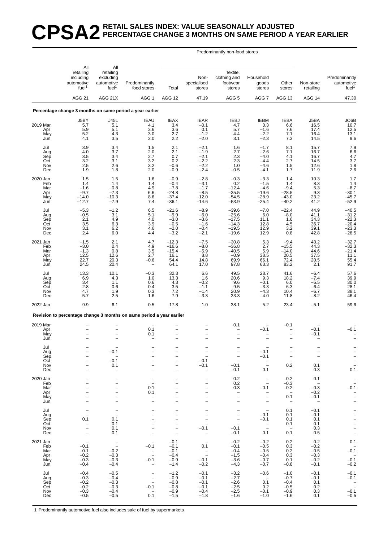#### **CPSA2 RETAIL SALES INDEX: VALUE SEASONALLY ADJUSTED PERCENTAGE CHANGE 3 MONTHS ON SAME PERIOD A YEAR EARLIER**

Predominantly non-food stores

|                                             | All                                                                                                                 | All                                                                                                                                                           |                                                                                                                                                 |                                                                                                                   |                                                                                            |                                                                                                                  |                                                                                                                                             |                                                                                 |                                                                             |                                                                                                             |
|---------------------------------------------|---------------------------------------------------------------------------------------------------------------------|---------------------------------------------------------------------------------------------------------------------------------------------------------------|-------------------------------------------------------------------------------------------------------------------------------------------------|-------------------------------------------------------------------------------------------------------------------|--------------------------------------------------------------------------------------------|------------------------------------------------------------------------------------------------------------------|---------------------------------------------------------------------------------------------------------------------------------------------|---------------------------------------------------------------------------------|-----------------------------------------------------------------------------|-------------------------------------------------------------------------------------------------------------|
|                                             | retailing<br>including<br>automotive<br>fuel <sup>1</sup><br><b>AGG 21</b>                                          | retailing<br>excluding<br>automotive<br>fuel <sup>1</sup>                                                                                                     | Predominantly<br>food stores                                                                                                                    | Total                                                                                                             | Non-<br>specialised<br>stores                                                              | Textile,<br>clothing and<br>footwear<br>stores                                                                   | Household<br>goods<br>stores                                                                                                                | Other<br>stores                                                                 | Non-store<br>retailing                                                      | Predominantly<br>automotive<br>fuel <sup>1</sup>                                                            |
|                                             |                                                                                                                     | AGG 21X                                                                                                                                                       | AGG 1                                                                                                                                           | AGG 12                                                                                                            | 47.19                                                                                      | AGG <sub>5</sub>                                                                                                 | AGG 7                                                                                                                                       | AGG 13                                                                          | AGG 14                                                                      | 47.30                                                                                                       |
|                                             |                                                                                                                     |                                                                                                                                                               | Percentage change 3 months on same period a year earlier                                                                                        |                                                                                                                   |                                                                                            |                                                                                                                  |                                                                                                                                             |                                                                                 |                                                                             |                                                                                                             |
| 2019 Mar<br>Apr<br>May<br>Jun               | J5BY<br>5.7<br>5.9<br>5.2<br>4.1                                                                                    | <b>J45L</b><br>5.1<br>5.1<br>4.3<br>3.5                                                                                                                       | <b>IEAU</b><br>4.1<br>3.6<br>3.0<br>2.0                                                                                                         | <b>IEAX</b><br>3.4<br>3.6<br>2.7<br>2.2                                                                           | <b>IEAR</b><br>$-0.1$<br>0.1<br>$-1.2$<br>$-2.0$                                           | <b>IEBJ</b><br>4.7<br>5.7<br>4.4<br>3.1                                                                          | <b>IEBM</b><br>0.3<br>$-1.6$<br>$-2.2$<br>$-2.3$                                                                                            | <b>IEBA</b><br>6.6<br>7.6<br>7.1<br>7.3                                         | J5BA<br>16.5<br>17.4<br>16.4<br>14.5                                        | JO6B<br>10.7<br>12.5<br>$^{13.1}_{9.6}$                                                                     |
| Jul<br>Aug<br>Sep<br>Oct<br>Nov<br>Dec      | 3.9<br>4.0<br>3.5<br>3.2<br>2.5<br>1.9                                                                              | 3.4<br>3.7<br>3.4<br>3.1<br>2.6<br>1.8                                                                                                                        | 1.5<br>2.0<br>2.7<br>3.2<br>3.2<br>2.0                                                                                                          | 2.1<br>2.1<br>0.7<br>0.2<br>$-0.6$<br>$-0.9$                                                                      | $-2.1$<br>$-1.9$<br>$-2.1$<br>$-2.2$<br>$-2.2$<br>$-2.4$                                   | 1.6<br>2.7<br>$2.3\,$<br>2.3<br>1.0<br>$-0.5$                                                                    | $-1.7$<br>$-2.6$<br>$-4.0$<br>$-4.4$<br>$-4.6$<br>$-4.1$                                                                                    | 8.1<br>7.1<br>4.1<br>2.7<br>1.5<br>1.7                                          | 15.7<br>16.7<br>16.7<br>14.5<br>12.6<br>11.9                                | $7.9$<br>6.6<br>4.7<br>$3.7$<br>$1.8$<br>$2.6$                                                              |
| 2020 Jan<br>Feb<br>Mar<br>Apr<br>May<br>Jun | 1.5<br>1.4<br>$-1.6$<br>$-9.7$<br>$-14.0$<br>$-12.7$                                                                | 1.5<br>1.4<br>$-0.8$<br>$-7.3$<br>$-10.3$<br>$-7.9$                                                                                                           | 1.6<br>1.4<br>4.9<br>6.6<br>8.6<br>7.4                                                                                                          | $-0.9$<br>$-0.4$<br>$-7.8$<br>$-24.8$<br>$-37.4$<br>$-36.1$                                                       | $-2.8$<br>$-3.1$<br>$-1.7$<br>$-8.5$<br>$-12.0$<br>$-14.6$                                 | $-0.3$<br>0.2<br>$-12.4$<br>$-35.5$<br>$-54.5$<br>$-53.9$                                                        | $-3.3$<br>$-1.5$<br>$-4.6$<br>$-19.6$<br>$-28.9$<br>$-25.4$                                                                                 | 1.4<br>1.4<br>$-9.4$<br>$-28.5$<br>$-43.0$<br>$-40.2$                           | 10.3<br>8.3<br>5.3<br>9.3<br>23.2<br>41.2                                   | 1.7<br>1.4<br>$-8.7$<br>$-30.1$<br>$-45.7$<br>$-52.9$                                                       |
| Jul<br>Aug<br>Sep<br>Oct<br>Nov<br>Dec      | $-5.3$<br>$-0.5$<br>2.1<br>3.5<br>3.1<br>2.4                                                                        | $-1.2$<br>3.1<br>4.9<br>$6.\overline{3}$<br>6.2<br>6.0                                                                                                        | 6.5<br>5.1<br>4.0<br>3.9<br>4.6<br>4.4                                                                                                          | $-21.6$<br>$-9.9$<br>$-3.0$<br>$-0.5$<br>$-2.0$<br>$-3.2$                                                         | $-8.9$<br>$-6.0$<br>$-3.6$<br>$-1.6$<br>$-0.4$<br>$-2.1$                                   | $-39.6$<br>$-25.6$<br>$-17.5$<br>$-14.3$<br>$-19.5$<br>$-19.6$                                                   | $-7.0$<br>6.0<br>11.1<br>12.8<br>12.9<br>12.9                                                                                               | $-22.4$<br>$-8.0$<br>1.6<br>4.5<br>3.2<br>0.8                                   | 44.9<br>41.1<br>34.3<br>36.7<br>39.1<br>42.8                                | $-40.5$<br>$-31.2$<br>$-22.3$<br>$-20.4$<br>$-23.3$<br>$-28.5$                                              |
| 2021 Jan<br>Feb<br>Mar<br>Apr<br>May<br>Jun | $-1.5$<br>$-3.0$<br>$-1.3$<br>12.5<br>22.7<br>24.5                                                                  | 2.1<br>0.4<br>0.8<br>12.6<br>20.3<br>20.4                                                                                                                     | 4.7<br>4.9<br>3.5<br>2.7<br>$-0.6$                                                                                                              | $-12.3$<br>$-16.6$<br>$-15.4$<br>16.1<br>54.4<br>64.1                                                             | $-7.5$<br>$-8.0$<br>$-5.9$<br>8.8<br>14.8<br>17.0                                          | $-30.8$<br>$-36.8$<br>$-40.5$<br>$-0.9$<br>69.9<br>97.8                                                          | 5.3<br>2.7<br>5.9<br>38.5<br>66.1<br>63.3                                                                                                   | $-9.4$<br>$-15.5$<br>$-14.0$<br>20.5<br>72.4<br>83.2                            | 43.2<br>44.3<br>44.6<br>37.5<br>20.5<br>2.1                                 | $-32.7$<br>$-32.3$<br>$-21.4$<br>11.1<br>55.4<br>91.7                                                       |
| Jul<br>Aug<br>Sep<br>Oct<br>Nov<br>Dec      | 13.3<br>6.9<br>3.4<br>2.8<br>4.7<br>5.7                                                                             | 10.1<br>4.3<br>1.1<br>0.6<br>1.9<br>2.5                                                                                                                       | $-0.3$<br>1.0<br>0.6<br>0.4<br>0.3<br>1.6                                                                                                       | 32.3<br>13.3<br>4.3<br>3.5<br>7.2<br>7.9                                                                          | 6.6<br>1.6<br>$-0.2$<br>$-1.1$<br>$-1.4$<br>$-3.3$                                         | 49.5<br>20.6<br>9.6<br>9.5<br>20.9<br>23.3                                                                       | 28.7<br>9.3<br>$-0.1$<br>$-3.3$<br>$-4.3$<br>$-4.0$                                                                                         | 41.6<br>18.2<br>6.0<br>6.3<br>10.4<br>11.8                                      | $-6.4$<br>$-7.4$<br>$-5.5$<br>$-6.4$<br>$-6.7$<br>$-8.2$                    | 57.6<br>39.9<br>30.0<br>28.1<br>38.1<br>46.4                                                                |
| 2022 Jan                                    | 9.9                                                                                                                 | 6.1                                                                                                                                                           | 0.5                                                                                                                                             | 17.8                                                                                                              | 1.0                                                                                        | 38.1                                                                                                             | 5.2                                                                                                                                         | 23.4                                                                            | $-5.1$                                                                      | 59.6                                                                                                        |
|                                             |                                                                                                                     |                                                                                                                                                               | Revision to percentage change 3 months on same period a year earlier                                                                            |                                                                                                                   |                                                                                            |                                                                                                                  |                                                                                                                                             |                                                                                 |                                                                             |                                                                                                             |
| 2019 Mar<br>Apr<br>May<br>Jun               |                                                                                                                     |                                                                                                                                                               | 0.1<br>0.1                                                                                                                                      | $\overline{\phantom{0}}$<br>$\overline{\phantom{0}}$                                                              |                                                                                            | 0.1                                                                                                              | $-0.1$                                                                                                                                      | $-0.1$<br>$\overline{\phantom{0}}$                                              | $-0.1$<br>$-0.1$                                                            | $-0.1$                                                                                                      |
| Jul<br>Aug<br>Sep<br>Oct<br>Nov<br>Dec      | $\qquad \qquad -$<br>$\qquad \qquad -$<br>$\overline{\phantom{0}}$                                                  | 0.1<br>$\overline{\phantom{m}}$<br>$-0.1$<br>0.1<br>$\overline{\phantom{m}}$                                                                                  | $\overline{\phantom{0}}$<br>$\overline{a}$                                                                                                      | -<br>$\overline{\phantom{0}}$<br>-<br>-                                                                           | $\overline{\phantom{a}}$<br>$-0.1$<br>$-0.1$<br>$\overline{\phantom{m}}$                   | $\bar{a}$<br>$-0.1$<br>$-0.1$                                                                                    | -0.1<br>$-0.1$<br>$\overline{\mathbb{Z}}$<br>0.1                                                                                            | $\bar{a}$<br>0.2<br>$\overline{\phantom{a}}$                                    | $\overline{\phantom{a}}$<br>$\equiv$<br>0.1<br>0.3                          | $\frac{-}{1}$<br>0.1                                                                                        |
| 2020 Jan<br>Feb<br>Mar<br>Apr<br>May<br>Jun | $\overline{\phantom{0}}$<br>$\overline{\phantom{0}}$<br>$\qquad \qquad -$<br>$\qquad \qquad -$<br>$\qquad \qquad -$ | $\qquad \qquad -$<br>$\overline{\phantom{0}}$<br>$\overline{\phantom{0}}$<br>$\overline{\phantom{0}}$<br>$\overline{\phantom{0}}$<br>$\overline{\phantom{0}}$ | $\overline{\phantom{a}}$<br>0.1<br>0.1<br>$\overline{\phantom{0}}$<br>$\overline{\phantom{0}}$                                                  | $\overline{\phantom{0}}$<br>$\overline{a}$<br>$\overline{\phantom{0}}$<br>-<br>$\overline{a}$                     | $\overline{\phantom{0}}$<br>$\overline{\phantom{0}}$                                       | 0.2<br>0.2<br>0.3<br>$\overline{\phantom{a}}$<br>$\overline{\phantom{0}}$<br>$\qquad \qquad -$                   | $\overline{\phantom{a}}$<br>$\overline{\phantom{a}}$<br>$-0.1$<br>$\overline{\phantom{a}}$<br>$\overline{\phantom{0}}$<br>$\qquad \qquad -$ | $-0.2$<br>$-0.3$<br>$-0.2$<br>$\overline{\phantom{a}}$<br>0.1<br>$\overline{a}$ | 0.1<br>$\overline{\phantom{0}}$<br>$-0.3$<br>$-0.2$<br>$-0.1$<br>$\sim$ $-$ | $\overline{\phantom{0}}$<br>$\overline{\phantom{a}}$<br>$-0.1$<br>$\overline{\phantom{0}}$<br>$\frac{1}{2}$ |
| Jul<br>Aug<br>Sep<br>Oct<br>Nov<br>Dec      | $\overline{\phantom{0}}$<br>$\overline{a}$<br>0.1<br>$\overline{\phantom{a}}$<br>$\equiv$                           | $\bar{a}$<br>0.1<br>0.1<br>0.1<br>0.1                                                                                                                         | $\overline{\phantom{0}}$<br>$\qquad \qquad -$<br>$\overline{\phantom{0}}$<br>$\overline{\phantom{0}}$<br>$\qquad \qquad -$<br>$\qquad \qquad -$ | $\overline{\phantom{0}}$<br>$\overline{\phantom{0}}$<br>-<br>$\overline{\phantom{0}}$<br>$\overline{\phantom{0}}$ | $\overline{\phantom{0}}$<br>$\overline{\phantom{a}}$<br>$-0.1$<br>$\overline{\phantom{0}}$ | $\overline{\phantom{a}}$<br>$\equiv$<br>$\overline{\phantom{0}}$<br>$\overline{\phantom{a}}$<br>$-0.1$<br>$-0.1$ | $\hspace{0.1mm}-\hspace{0.1mm}$<br>$-0.1$<br>$-0.1$<br>$\overline{\phantom{a}}$<br>0.1                                                      | 0.1<br>0.1<br>0.1<br>0.1<br>$-$<br>0.1                                          | $-0.1$<br>$-0.1$<br>0.1<br>0.1<br>0.3<br>0.5                                |                                                                                                             |
| 2021 Jan<br>Feb<br>Mar<br>Apr<br>May<br>Jun | $\overline{\phantom{a}}$<br>$-0.1$<br>$-0.1$<br>$-0.2$<br>$-0.3$<br>$-0.4$                                          | $\bar{\mathbb{I}}$<br>$-0.2$<br>$-0.3$<br>$-0.3$<br>$-0.4$                                                                                                    | $\overline{\phantom{a}}$<br>$-0.1$<br>$\bar{a}$<br>$-0.1$<br>$\overline{\phantom{a}}$                                                           | $-0.1$<br>$-0.1$<br>$-0.1$<br>$-0.4$<br>$-0.9$<br>$-1.4$                                                          | $\overline{\phantom{0}}$<br>0.1<br>$\overline{\phantom{a}}$<br>$-0.1$<br>$-0.2$            | $-0.2$<br>$-0.1$<br>$-0.4$<br>$-1.5$<br>$-3.6$<br>$-4.3$                                                         | $-0.2$<br>$-0.5$<br>$-0.5$<br>$-0.4$<br>$-0.7$<br>$-0.7$                                                                                    | 0.2<br>0.3<br>0.2<br>0.3<br>0.1<br>$-0.8$                                       | 0.2<br>$-0.2$<br>$-0.5$<br>$-0.3$<br>$-0.2$<br>$-0.1$                       | 0.1<br>$-0.1$<br>$-0.\overline{1}$<br>$-0.2$                                                                |
| Jul<br>Aug<br>Sep<br>Oct<br>Nov<br>Dec      | $-0.4$<br>$-0.3$<br>$-0.2$<br>$-0.2$<br>$-0.3$<br>$-0.5$                                                            | $-0.5$<br>$-0.4$<br>$-0.3$<br>$-0.3$<br>$-0.4$<br>$-0.5$                                                                                                      | $\bar{a}$<br>$-0.1$<br>$\hspace{0.1mm}-\hspace{0.1mm}$<br>0.1                                                                                   | $-1.2$<br>$-0.9$<br>$-0.8$<br>$-0.8$<br>$-0.9$<br>$-1.5$                                                          | $-0.1$<br>$-0.1$<br>$-0.1$<br>$-0.1$<br>$-0.4$<br>$-1.8$                                   | $-3.2$<br>$-2.7$<br>$-2.6$<br>$-2.5$<br>$-2.5$<br>$-1.6$                                                         | $-0.6$<br>$\sim$ $-$<br>0.1<br>0.2<br>$-0.1$<br>$-1.0$                                                                                      | $-1.0$<br>$-0.7$<br>$-0.4$<br>$-0.5$<br>$-0.9$<br>$-1.6$                        | $-0.1$<br>$-0.1$<br>0.1<br>0.2<br>0.3<br>0.1                                | $-0.1$<br>$-0.1$<br>$\overline{\phantom{a}}$<br>$-0.1$<br>$-0.5$                                            |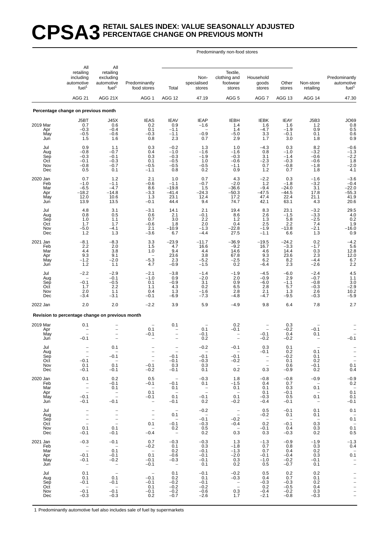#### **CPSA3 RETAIL SALES INDEX: VALUE SEASONALLY ADJUSTED PERCENTAGE CHANGE ON PREVIOUS MONTH**

Predominantly non-food stores

|                                             | All                                                                                         | All                                                        |                                                                                                             |                                                                                 |                                                            |                                                                   |                                                                                                          |                                                                      |                                                                                               |                                                                                                  |
|---------------------------------------------|---------------------------------------------------------------------------------------------|------------------------------------------------------------|-------------------------------------------------------------------------------------------------------------|---------------------------------------------------------------------------------|------------------------------------------------------------|-------------------------------------------------------------------|----------------------------------------------------------------------------------------------------------|----------------------------------------------------------------------|-----------------------------------------------------------------------------------------------|--------------------------------------------------------------------------------------------------|
|                                             | retailing<br>including<br>automotive<br>fuel <sup>1</sup><br><b>AGG 21</b>                  | retailing<br>excluding<br>automotive<br>fuel <sup>1</sup>  | Predominantly<br>food stores                                                                                | Total                                                                           | Non-<br>specialised<br>stores                              | Textile,<br>clothing and<br>footwear<br>stores                    | Household<br>goods<br>stores                                                                             | Other<br>stores                                                      | Non-store<br>retailing                                                                        | Predominantly<br>automotive<br>fuel <sup>1</sup>                                                 |
|                                             |                                                                                             | AGG 21X                                                    | AGG <sub>1</sub>                                                                                            | <b>AGG 12</b>                                                                   | 47.19                                                      | AGG <sub>5</sub>                                                  | AGG 7                                                                                                    | AGG 13                                                               | <b>AGG 14</b>                                                                                 | 47.30                                                                                            |
|                                             | Percentage change on previous month                                                         |                                                            |                                                                                                             |                                                                                 |                                                            |                                                                   |                                                                                                          |                                                                      |                                                                                               |                                                                                                  |
| 2019 Mar<br>Apr<br>May<br>Jun               | J5BT<br>0.7<br>$-0.3$<br>$-0.5$<br>1.5                                                      | J45X<br>0.6<br>$-0.4$<br>$-0.6$<br>1.6                     | <b>IEAS</b><br>0.2<br>0.1<br>$-0.3$<br>0.8                                                                  | <b>IEAV</b><br>0.9<br>$-1.1$<br>$-1.1$<br>2.3                                   | <b>IEAP</b><br>$-1.6$<br>$-0.9$<br>0.7                     | <b>IEBH</b><br>1.4<br>1.4<br>$-5.0$<br>2.9                        | <b>IEBK</b><br>1.6<br>$-4.7$<br>3.3<br>1.7                                                               | <b>IEAY</b><br>1.6<br>$-1.9$<br>$-0.1$<br>3.0                        | J5B3<br>1.2<br>0.9<br>0.1<br>1.8                                                              | JO69<br>$\frac{0.8}{0.5}$<br>0.6<br>0.9                                                          |
| Jul<br>Aug<br>Sep<br>Oct<br>Nov<br>Dec      | 0.9<br>$-0.8$<br>$-0.3$<br>$-0.1$<br>$-0.8$<br>0.5                                          | 1.1<br>$-0.7$<br>$-0.1$<br>$-0.3$<br>$-0.7$<br>0.1         | 0.3<br>0.4<br>0.3<br>0.1<br>$-0.5$<br>$-1.1$                                                                | $-0.2$<br>$-1.0$<br>$-0.3$<br>$-0.5$<br>$-0.5$<br>0.8                           | 1.3<br>$-1.6$<br>$-1.9$<br>1.0<br>$-0.5$<br>0.2            | 1.0<br>$-1.6$<br>$-0.3$<br>$-0.6$<br>$-1.1$<br>0.9                | $-4.3$<br>0.8<br>3.1<br>$-2.3$<br>0.7<br>1.2                                                             | 0.3<br>$-1.0$<br>$-1.4$<br>$-0.3$<br>$-0.8$<br>0.7                   | 8.2<br>$-3.2$<br>$-0.6$<br>$-0.6$<br>$-1.8$<br>1.8                                            | $-0.6$<br>$-1.3$<br>$-2.2$<br>$-2.0$<br>4.1                                                      |
| 2020 Jan<br>Feb<br>Mar<br>Apr<br>May<br>Jun | 0.7<br>$-1.0$<br>$-6.5$<br>$-18.2$<br>12.0<br>13.9                                          | $1.2$<br>$-1.1$<br>$-4.7$<br>$-14.8$<br>10.6<br>13.5       | 2.1<br>$-0.6$<br>8.6<br>$-3.3$<br>1.3<br>$-0.1$                                                             | 1.0<br>$-1.1$<br>$-19.8$<br>$-41.4$<br>23.1<br>44.4                             | 0.7<br>$-0.7$<br>1.5<br>$-24.3$<br>12.4<br>9.4             | 4.3<br>$-2.0$<br>$-36.6$<br>-50.3<br>17.2<br>74.7                 | $-2.2$<br>1.2<br>$-9.4$<br>$-47.5$<br>47.4<br>42.1                                                       | 0.3<br>$-1.8$<br>$-24.0$<br>$-44.5$<br>22.4<br>63.1                  | $-1.6$<br>$-3.2$<br>3.1<br>17.8<br>21.1<br>4.3                                                | $-3.6$<br>$-0.4$<br>$-22.0$<br>$-55.3$<br>41.9<br>20.6                                           |
| Jul<br>Aug<br>Sep<br>Oct<br>Nov<br>Dec      | 4.8<br>0.8<br>1.0<br>1.7<br>-5.0<br>$1.2$                                                   | 3.1<br>0.5<br>1.1<br>1.7<br>$-4.1$<br>1.3                  | $-3.1$<br>0.6<br>0.7<br>$-0.6$<br>2.1<br>$-3.6$                                                             | 14.1<br>2.1<br>3.0<br>1.8<br>$-10.9$<br>6.7                                     | 2.1<br>$-0.1$<br>2.2<br>2.0<br>$-1.3$<br>$-4.4$            | 19.4<br>8.6<br>1.2<br>0.4<br>$-22.8$<br>27.5                      | 8.3<br>2.6<br>1.3<br>2.5<br>$-1.9$<br>$-1.1$                                                             | 23.1<br>$-1.5$<br>5.8<br>2.2<br>$-13.8$<br>6.6                       | $-3.2$<br>$-3.3$<br>$-2.5$<br>7.4<br>$-2.1$<br>1.3                                            | 29.5<br>$^{4.0}_{0.2}$<br>1.9<br>$-16.0$<br>0.9                                                  |
| 2021 Jan<br>Feb<br>Mar<br>Apr<br>May<br>Jun | $-8.1$<br>2.2<br>4.4<br>9.3<br>$-1.2$<br>1.2                                                | $-8.3$<br>2.0<br>3.8<br>9.1<br>$-2.0$<br>1.1               | 3.3<br>1.5<br>1.0<br>$\overline{\phantom{a}}$<br>$-5.3$<br>4.7                                              | $-23.9$<br>4.7<br>9.4<br>23.6<br>2.3<br>$-0.9$                                  | $-11.7$<br>16.6<br>4.4<br>3.8<br>$-5.2$<br>$-1.5$          | $-36.9$<br>$-9.2$<br>14.6<br>67.8<br>$-2.5$<br>0.2                | $-19.5$<br>16.7<br>4.6<br>9.3<br>6.2<br>$-6.4$                                                           | $-24.2$<br>$-3.3$<br>14.4<br>23.6<br>$8.2\,$<br>2.3                  | 0.2<br>$-1.7$<br>0.3<br>2.3<br>$-4.4$<br>$-2.6$                                               | $-4.2$<br>$5.6$<br>$12.8$<br>$12.0$<br>$6.7$<br>$2.2$                                            |
| Jul<br>Aug<br>Sep<br>Oct<br>Nov<br>Dec      | $-2.2$<br>$-0.1$<br>1.7<br>2.0<br>-3.4                                                      | $-2.9$<br>$-0.1$<br>$-0.5$<br>2.2<br>1.1<br>$-3.1$         | $-2.1$<br>$-1.0$<br>0.1<br>1.1<br>0.4<br>$-0.1$                                                             | $-3.8$<br>0.9<br>$-0.9$<br>4.3<br>1.3<br>$-6.9$                                 | $-1.4$<br>$-2.0$<br>3.1<br>0.2<br>$-1.6$<br>$-7.3$         | $-1.9$<br>2.0<br>0.9<br>6.5<br>2.8<br>$-4.8$                      | $-4.5$<br>$-0.9$<br>$-6.0$<br>2.8<br>2.1<br>$-4.7$                                                       | $-6.0$<br>2.9<br>$-1.1$<br>5.7<br>1.3<br>$-9.5$                      | $-2.4$<br>$-0.7$<br>$-0.8$<br>$-0.3$<br>2.6<br>$-0.3$                                         | $\frac{4.5}{1.1}$<br>$\frac{3.0}{-2.9}$<br>10.2<br>$-5.9$                                        |
| 2022 Jan                                    | 2.0                                                                                         | 2.0                                                        | $-2.2$                                                                                                      | 3.9                                                                             | 5.9                                                        | $-4.9$                                                            | 9.8                                                                                                      | 6.4                                                                  | 7.8                                                                                           | 2.7                                                                                              |
|                                             | Revision to percentage change on previous month                                             |                                                            |                                                                                                             |                                                                                 |                                                            |                                                                   |                                                                                                          |                                                                      |                                                                                               |                                                                                                  |
| 2019 Mar<br>Apr<br>May<br>Jun               | 0.1<br>$-0.1$                                                                               |                                                            | 0.1<br>-0.1                                                                                                 | 0.1<br>$\overline{\phantom{0}}$<br>-                                            | 0.1<br>$-0.1$<br>0.2                                       | 0.2<br>$-0.1$                                                     | $-0.1$<br>$-0.2$                                                                                         | 0.3<br>$-0.2$<br>0.4<br>$-0.2$                                       | $-0.1$<br>0.1                                                                                 | $-0.1$                                                                                           |
| Jul<br>Aug<br>Sep<br>Oct<br>Nov<br>Dec      | $\overline{\phantom{a}}$<br>$-0.1$<br>0.1<br>$-0.1$                                         | 0.1<br>$-0.1$<br>$\sim$<br>0.1<br>$-0.1$                   | $\bar{\mathbb{I}}$<br>$-0.1$<br>$-0.2$                                                                      | $\overline{a}$<br>$\overline{\phantom{0}}$<br>$-0.1$<br>$-0.1$<br>0.3<br>$-0.1$ | $-0.2$<br>$-0.1$<br>$-0.3$<br>0.3<br>0.1                   | $-0.1$<br>$-0.1$<br>$-0.2$<br>$\overline{\phantom{0}}$<br>$0.2\,$ | 0.3<br>$-0.1$<br>$\overline{\phantom{m}}$<br>$\overline{\phantom{m}}$<br>$\overline{\phantom{a}}$<br>0.3 | 0.1<br>0.2<br>$-0.2$<br>0.1<br>0.6<br>$-0.9$                         | 0.1<br>0.1<br>0.2<br>$-0.1$<br>0.2                                                            | $\bar{\mathbb{I}}$<br>0.1<br>0.4                                                                 |
| 2020 Jan<br>Feb<br>Mar<br>Apr<br>May<br>Jun | 0.1<br>$\bar{\mathbb{Z}}$<br>$\sim$<br>$-0.1$<br>$-0.1$                                     | 0.2<br>$-0.1$<br>0.1<br>$\overline{\phantom{a}}$<br>$-0.1$ | 0.5<br>$-0.1$<br>$\sim$<br>0.1<br>$-0.1$<br>$\overline{\phantom{a}}$                                        | $\overline{\phantom{a}}$<br>$-0.1$<br>0.1<br>$\sim$<br>0.1<br>$-0.1$            | $-0.3$<br>0.1<br>$\overline{\phantom{a}}$<br>$-0.1$<br>0.2 | 1.8<br>$-1.5$<br>0.1<br>$\sim$ $-$<br>0.1<br>$-0.2$               | $-0.8$<br>0.4<br>0.1<br>0.1<br>$-0.3$<br>$-0.4$                                                          | $-0.8$<br>0.7<br>0.3<br>$-0.1$<br>0.5<br>$-0.1$                      | $-0.9$<br>$\sim$<br>0.1<br>$\overline{\phantom{0}}$<br>0.1<br>$\hspace{0.1mm}-\hspace{0.1mm}$ | $-0.9$<br>0.2<br>$0.\overline{1}$<br>0.1<br>$-0.1$                                               |
| Jul<br>Aug<br>Sep<br>Oct<br>Nov<br>Dec      | $\overline{\phantom{a}}$<br>$\overline{\phantom{a}}$<br>$\bar{\mathbb{I}}$<br>0.1<br>$-0.1$ | $\frac{1}{2}$<br>0.1<br>$-0.1$                             | $\overline{\phantom{a}}$<br>$\overline{\phantom{a}}$<br>$\overline{\phantom{a}}$<br>0.1<br>$\sim$<br>$-0.4$ | $\sim$<br>0.1<br>$\sim$ $-$<br>$-0.1$<br>0.2<br>$\sim$                          | $-0.2$<br>$\sim$<br>$-0.1$<br>$-0.3$<br>0.5<br>0.2         | $\overline{\phantom{a}}$<br>$-0.2$<br>$-0.4$<br>$\sim$<br>0.3     | 0.5<br>$-0.2$<br>$\sim$ $-$<br>0.2<br>$-0.1$<br>0.3                                                      | $-0.1$<br>0.1<br>$\overline{\phantom{0}}$<br>$-0.1$<br>0.4<br>$-0.3$ | 0.1<br>0.1<br>$\sim$<br>0.3<br>0.3<br>0.2                                                     | 0.1<br>$\hspace{0.1mm}$ $\hspace{0.1mm}$<br>0.1<br>$\hspace{0.1mm}-\hspace{0.1mm}$<br>0.1<br>0.5 |
| 2021 Jan<br>Feb<br>Mar<br>Apr<br>May<br>Jun | $-0.3$<br>$\bar{\mathbb{I}}$<br>$-0.1$<br>$-0.1$<br>$\overline{\phantom{a}}$                | $-0.1$<br>$\sim$<br>0.1<br>$-0.1$<br>$-0.2$<br>$\sim$ $-$  | 0.7<br>$-0.2$<br>$\sim$<br>0.1<br>$-0.1$<br>$-0.1$                                                          | $-0.3$<br>0.1<br>0.2<br>$-0.6$<br>$-0.3$<br>$\sim$ $-$                          | $-0.3$<br>0.3<br>$-0.1$<br>$-0.1$<br>$-0.1$<br>0.1         | 1.3<br>$-1.8$<br>$-1.3$<br>$-2.0$<br>0.3<br>0.2                   | $-1.3$<br>0.7<br>0.7<br>$-0.1$<br>$-1.0$<br>0.5                                                          | $-0.9$<br>0.8<br>0.4<br>$-0.4$<br>$-0.2$<br>$-0.7$                   | $-1.9$<br>0.3<br>0.2<br>0.3<br>$-0.1$<br>0.1                                                  | $-1.3$<br>0.4<br>$\hspace{0.1mm}$ $\hspace{0.1mm}$<br>0.1<br>$\bar{\mathbb{I}}$                  |
| Jul<br>Aug<br>Sep<br>Oct<br>Nov<br>Dec      | 0.1<br>0.1<br>$-0.1$<br>$\sim$ $-$<br>$-0.1$<br>$-0.3$                                      | $\sim$<br>0.1<br>$-0.1$<br>$\sim$ $-$<br>$-0.1$<br>$-0.3$  | $\sim$ $-$<br>$-0.1$<br>$-0.1$<br>0.1<br>$-0.1$<br>0.2                                                      | 0.1<br>0.2<br>$-0.2$<br>$-0.2$<br>$-0.2$<br>$-0.7$                              | $-0.1$<br>0.1<br>$-0.1$<br>$-0.2$<br>$-0.6$<br>$-2.6$      | $-0.2$<br>$-0.3$<br>$\overline{\phantom{a}}$<br>0.3<br>1.7        | 0.5<br>0.4<br>$-0.3$<br>0.2<br>$-0.4$<br>$-2.1$                                                          | 0.2<br>0.7<br>$-0.3$<br>$-0.5$<br>$-0.2$<br>$-0.8$                   | 0.2<br>0.1<br>0.2<br>0.4<br>0.3<br>$-0.3$                                                     | $\bar{a}$<br>-<br>$\overline{\phantom{a}}$                                                       |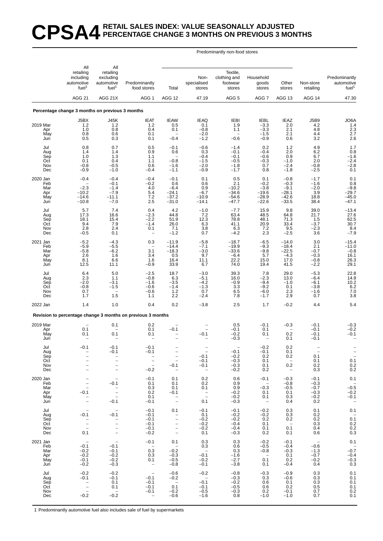### **CPSA4 RETAIL SALES INDEX: VALUE SEASONALLY ADJUSTED PERCENTAGE CHANGE 3 MONTHS ON PREVIOUS 3 MONTHS**

#### Predominantly non-food stores

|                                             | All                                                                                             | All                                                                        |                                                                                       |                                                                                                             |                                                            |                                                          |                                                                                        |                                                                                |                                                                                |                                                                                                |
|---------------------------------------------|-------------------------------------------------------------------------------------------------|----------------------------------------------------------------------------|---------------------------------------------------------------------------------------|-------------------------------------------------------------------------------------------------------------|------------------------------------------------------------|----------------------------------------------------------|----------------------------------------------------------------------------------------|--------------------------------------------------------------------------------|--------------------------------------------------------------------------------|------------------------------------------------------------------------------------------------|
|                                             | retailing<br>including<br>automotive<br>fuel <sup>1</sup>                                       | retailing<br>excluding<br>automotive<br>fuel <sup>1</sup>                  | Predominantly<br>food stores                                                          | Total                                                                                                       | Non-<br>specialised<br>stores                              | Textile,<br>clothing and<br>footwear<br>stores           | Household<br>goods<br>stores                                                           | Other<br>stores                                                                | Non-store<br>retailing                                                         | Predominantly<br>automotive<br>fuel <sup>1</sup>                                               |
|                                             | <b>AGG 21</b>                                                                                   | AGG 21X                                                                    | AGG 1                                                                                 | <b>AGG 12</b>                                                                                               | 47.19                                                      | AGG <sub>5</sub>                                         | AGG 7                                                                                  | AGG 13                                                                         | <b>AGG 14</b>                                                                  | 47.30                                                                                          |
|                                             | Percentage change 3 months on previous 3 months                                                 |                                                                            |                                                                                       |                                                                                                             |                                                            |                                                          |                                                                                        |                                                                                |                                                                                |                                                                                                |
| 2019 Mar<br>Apr<br>May<br>Jun               | J5BX<br>1.2<br>1.0<br>0.8<br>0.5                                                                | J45K<br>$1.2$<br>0.8<br>0.6<br>0.3                                         | <b>IEAT</b><br>1.2<br>0.4<br>0.1<br>0.1                                               | <b>IEAW</b><br>0.5<br>0.1<br>$-0.4$                                                                         | <b>IEAQ</b><br>0.1<br>$-0.8$<br>$-2.0$<br>$-1.2$           | <b>IEBI</b><br>1.9<br>1.1<br>$-0.6$                      | <b>IEBL</b><br>$-3.3$<br>$-3.3$<br>$-1.5$<br>$-0.9$                                    | <b>IEAZ</b><br>2.0<br>2.1<br>2.1<br>0.6                                        | <b>J5B9</b><br>4.2<br>4.8<br>4.4<br>3.2                                        | JO6A<br>$\frac{1.4}{2.3}$<br>2.7<br>2.6                                                        |
| Jul<br>Aug<br>Sep<br>Oct<br>Nov<br>Dec      | 0.8<br>1.4<br>1.0<br>0.1<br>$-0.8$<br>$-0.9$                                                    | 0.7<br>1.4<br>1.3<br>0.4<br>$-0.5$<br>$-1.0$                               | 0.5<br>0.9<br>1.1<br>1.1<br>0.6<br>$-0.4$                                             | $-0.1$<br>0.6<br>$-0.8$<br>$-1.6$<br>$-1.1$                                                                 | $-0.6$<br>0.3<br>$-0.4$<br>$-1.5$<br>$-2.0$<br>$-0.9$      | $-1.4$<br>$-0.1$<br>$-0.1$<br>$-0.5$<br>$-1.8$<br>$-1.7$ | 0.2<br>$-0.4$<br>$-0.6$<br>$-0.3$<br>0.7<br>0.8                                        | $1.2$<br>2.0<br>0.9<br>$-1.0$<br>$-2.4$<br>$-1.8$                              | 4.9<br>6.2<br>6.7<br>2.0<br>$-0.8$<br>$-2.5$                                   | 1.7<br>$0.8 - 1.6$<br>$-2.4$<br>$-2.8$<br>0.1                                                  |
| 2020 Jan<br>Feb<br>Mar<br>Apr<br>May<br>Jun | $-0.4$<br>$-2.3$<br>$-10.2$<br>$-14.6$<br>$-10.8$                                               | $-0.4$<br>$-0.1$<br>$-1.4$<br>$-7.9$<br>$-11.1$<br>$-7.0$                  | $-0.4$<br>$-0.2$<br>4.0<br>5.4<br>7.2<br>2.5                                          | $-0.1$<br>0.6<br>$-6.4$<br>$-24.1$<br>$-37.2$<br>$-31.0$                                                    | 0.1<br>0.6<br>0.9<br>$-6.7$<br>$-10.9$<br>$-14.1$          | 0.5<br>2.1<br>$-10.2$<br>$-34.6$<br>$-54.6$<br>$-47.7$   | 0.1<br>$-0.2$<br>$-3.8$<br>$-19.6$<br>$-28.9$<br>$-22.6$                               | $-0.8$<br>$-0.3$<br>$-9.1$<br>$-28.1$<br>$-42.6$<br>$-33.5$                    | $-1.7$<br>$-1.6$<br>$-2.0$<br>3.9<br>18.8<br>38.4                              | 0.1<br>0.8<br>$-9.8$<br>$-29.7$<br>$-45.0$<br>$-47.1$                                          |
| Jul<br>Aug<br>Sep<br>Oct<br>Nov<br>Dec      | 5.7<br>17.3<br>18.1<br>9.4<br>2.8<br>$-0.5$                                                     | 7.4<br>16.6<br>15.4<br>7.9<br>2.4<br>0.1                                   | 0.4<br>$-2.3$<br>$-2.2$<br>$-1.4$<br>0.1<br>$\qquad \qquad -$                         | 4.2<br>44.8<br>51.9<br>26.0<br>7.1<br>$-1.2$                                                                | $-1.0$<br>7.2<br>12.3<br>6.3<br>3.8<br>0.7                 | $-7.7$<br>63.4<br>78.8<br>41.1<br>6.3<br>$-4.2$          | 15.9<br>48.5<br>48.1<br>20.9<br>7.2<br>2.3                                             | 9.8<br>64.8<br>71.3<br>33.4<br>9.5<br>$-2.5$                                   | 39.0<br>21.7<br>1.5<br>$-3.7$<br>$-2.3$<br>3.6                                 | $-13.4$<br>27.6<br>62.5<br>30.7<br>8.4<br>$-7.9$                                               |
| 2021 Jan<br>Feb<br>Mar<br>Apr<br>May<br>Jun | $-5.2$<br>$-5.9$<br>$-5.8$<br>2.6<br>8.1<br>12.5                                                | $-4.3$<br>$-5.5$<br>$-6.2$<br>1.6<br>6.6<br>11.1                           | 0.3<br>3.1<br>3.4<br>1.6<br>$-0.9$                                                    | $-11.9$<br>$-14.4$<br>$-18.3$<br>0.5<br>16.4<br>33.9                                                        | $-5.8$<br>$-7.1$<br>$-3.0$<br>9.7<br>11.1<br>6.7           | $-18.7$<br>$-19.9$<br>$-33.6$<br>$-6.4$<br>22.2<br>74.0  | $-6.5$<br>$-9.3$<br>$-9.8$<br>5.7<br>15.0<br>19.4                                      | $-14.0$<br>$-18.4$<br>$-22.5$<br>$-4.3$<br>17.0<br>41.5                        | 3.0<br>2.1<br>$-0.7$<br>$-0.3$<br>$-0.8$<br>$-2.2$                             | $-15.4$<br>$-11.0$<br>$-0.8$<br>16.1<br>26.3<br>29.1                                           |
| Jul<br>Aug<br>Sep<br>Oct<br>Nov<br>Dec      | 6.4<br>2.3<br>$-2.0$<br>$-0.8$<br>0.7<br>1.7                                                    | 5.0<br>1.1<br>$-3.1$<br>$-1.5$<br>$\overline{\phantom{a}}$<br>1.5          | $-2.5$<br>$-0.8$<br>$-1.6$<br>$-0.6$<br>$-0.6$<br>1.1                                 | 18.7<br>6.3<br>$-3.5$<br>$-1.4$<br>$1.2$<br>2.2                                                             | $-3.0$<br>$-5.1$<br>$-4.2$<br>$-1.3$<br>0.7<br>$-2.4$      | 39.3<br>16.0<br>$-0.9$<br>3.3<br>6.5<br>7.8              | 7.8<br>$-2.3$<br>$-9.4$<br>$-9.2$<br>$-6.0$<br>$-1.7$                                  | 29.0<br>13.0<br>$-1.0$<br>0.1<br>2.3<br>2.9                                    | $-5.3$<br>$-6.4$<br>$-6.1$<br>$-3.8$<br>$-1.6$<br>0.7                          | 22.8<br>14.9<br>10.2<br>6.2<br>$\!\!\!\!\begin{array}{c} 7.0 \\ 3.8 \end{array}\!\!\!\!\!\!\!$ |
| 2022 Jan                                    | 1.4                                                                                             | 1.0                                                                        | 0.4                                                                                   | 0.2                                                                                                         | $-3.8$                                                     | 2.5                                                      | 1.7                                                                                    | $-0.2$                                                                         | 4.4                                                                            | 5.4                                                                                            |
|                                             |                                                                                                 |                                                                            | Revision to percentage change 3 months on previous 3 months                           |                                                                                                             |                                                            |                                                          |                                                                                        |                                                                                |                                                                                |                                                                                                |
| 2019 Mar<br>Apr<br>May<br>Jun               | 0.1<br>0.1                                                                                      | 0.1<br>0.1                                                                 | 0.2<br>0.1<br>0.1                                                                     | $-0.1$                                                                                                      | $-0.1$                                                     | 0.5<br>$-0.1$<br>$-0.2$<br>$-0.3$                        | $-0.1$<br>0.1<br>0.1                                                                   | $-0.3$<br>0.2<br>0.1                                                           | $-0.1$<br>$-0.1$<br>$-0.1$<br>$-0.1$                                           | $-0.3$<br>$-0.2$<br>$-0.1$                                                                     |
| Jul<br>Aug<br>Sep<br>Oct<br>Nov<br>Dec      | $-0.1$<br>-<br>$\overline{\phantom{0}}$<br>$\overline{\phantom{0}}$<br>$\overline{\phantom{0}}$ | $-0.1$<br>$-0.1$<br>$\qquad \qquad -$<br>$\qquad \qquad -$                 | $-0.1$<br>$-0.1$<br>$\bar{a}$<br>$-0.2$                                               | L.<br>$\overline{a}$<br>$\overline{\phantom{a}}$<br>$\qquad \qquad -$<br>$-0.1$<br>$\overline{\phantom{a}}$ | $-0.1$<br>$-0.1$<br>$-0.1$<br>$\overline{\phantom{a}}$     | $-0.1$<br>$-0.2$<br>$-0.3$<br>$-0.3$<br>$-0.2$           | $-0.2$<br>$-0.1$<br>0.2<br>0.1<br>0.1<br>0.2                                           | 0.2<br>0.1<br>$0.2\,$<br>$\hspace{0.1cm} -$<br>0.2<br>$\overline{\phantom{a}}$ | 0.1<br>0.1<br>0.2<br>0.3                                                       | $\overline{\phantom{m}}$<br>$\begin{array}{c} 0.1 \\ 0.2 \\ 0.2 \end{array}$                   |
| 2020 Jan<br>Feb<br>Mar<br>Apr<br>May<br>Jun | $\overline{\phantom{0}}$<br>$\overline{a}$<br>$-0.1$<br>$\overline{a}$<br>$\overline{a}$        | $\hspace{1.0cm} - \hspace{1.0cm}$<br>$-0.1$<br>$\frac{1}{1}$<br>$-0.1$     | $-0.1$<br>0.1<br>0.3<br>0.2<br>0.1<br>$-0.1$                                          | 0.1<br>0.1<br>0.1<br>$-0.1$<br>$\overline{\phantom{m}}$<br>$\qquad \qquad -$                                | 0.2<br>0.2<br>0.1<br>$\frac{1}{2}$<br>0.1                  | 0.6<br>0.9<br>0.9<br>$-0.2$<br>$-0.2$<br>$-0.3$          | $-0.1$<br>$\overline{\phantom{0}}$<br>$-0.3$<br>0.1<br>0.1<br>$\overline{\phantom{a}}$ | $-0.3$<br>$-0.8$<br>$-0.5$<br>0.1<br>0.3<br>0.4                                | $-0.1$<br>$-0.3$<br>$-0.7$<br>$-0.3$<br>$-0.2$<br>0.2                          | 0.1<br>$-0.5$<br>$-0.2$<br>$-0.1$<br>$\overline{\phantom{a}}$                                  |
| Jul<br>Aug<br>Sep<br>Oct<br>Nov<br>Dec      | $\overline{\phantom{0}}$<br>$-0.1$<br>$\bar{a}$<br>$\overline{a}$<br>0.1                        | $\overline{\phantom{a}}$<br>$-0.1$<br>$\bar{a}$<br>$\bar{a}$               | $-0.1$<br>$-0.1$<br>$-0.1$<br>$-0.1$<br>$-0.1$<br>$-0.2$                              | 0.1<br>$\overline{\phantom{0}}$<br>$\frac{1}{1}$<br>$\overline{\phantom{0}}$<br>$\overline{\phantom{a}}$    | $-0.1$<br>0.1<br>$-0.2$<br>$-0.2$<br>$-0.2$<br>0.1         | $-0.1$<br>$-0.2$<br>$-0.2$<br>$-0.4$<br>$-0.4$<br>$-0.3$ | $-0.2$<br>$-0.2$<br>0.2<br>0.1<br>0.1<br>0.2                                           | 0.3<br>0.3<br>0.2<br>$\hspace{0.1cm} -$<br>0.1<br>0.1                          | 0.1<br>0.2<br>0.2<br>0.3<br>0.4<br>0.6                                         | 0.1<br>$0.\overline{1}$<br>0.2<br>$0.2$<br>$0.3$                                               |
| 2021 Jan<br>Feb<br>Mar<br>Apr<br>May<br>Jun | $\hspace{0.1mm}-\hspace{0.1mm}$<br>$-0.1$<br>$-0.2$<br>$-0.2$<br>$-0.1$<br>$-0.2$               | $\overline{\phantom{m}}$<br>$-0.1$<br>$-0.1$<br>$-0.2$<br>$-0.2$<br>$-0.3$ | $-0.1$<br>$\overline{\phantom{a}}$<br>0.3<br>0.3<br>0.1<br>$\overline{\phantom{a}}$   | 0.1<br>$\overline{\phantom{a}}$<br>$-0.2$<br>$-0.3$<br>$-0.5$<br>$-0.8$                                     | 0.3<br>0.3<br>$\overline{a}$<br>$-0.1$<br>$-0.2$<br>$-0.1$ | 0.3<br>0.6<br>0.3<br>$-1.6$<br>$-2.7$<br>$-3.8$          | $-0.2$<br>$-0.5$<br>$-0.8$<br>$\overline{\phantom{0}}$<br>0.1<br>0.1                   | $-0.1$<br>$-0.4$<br>$-0.3$<br>0.1<br>0.2<br>$-0.4$                             | $\hspace{0.1mm}-\hspace{0.1mm}$<br>$-0.6$<br>$-1.3$<br>$-0.7$<br>$-0.2$<br>0.4 | 0.1<br>$-0.\overline{7}$<br>$-0.4$<br>$-0.3$<br>0.3                                            |
| Jul<br>Aug<br>Sep<br>Oct<br>Nov<br>Dec      | $-0.2$<br>$-0.1$<br>$\overline{\phantom{a}}$<br>$\overline{a}$<br>$\frac{1}{2}$<br>$-0.2$       | $-0.2$<br>$-0.1$<br>0.1<br>0.1<br>$\overline{\phantom{0}}$<br>$-0.2$       | $\qquad \qquad -$<br>$-0.1$<br>$-0.1$<br>$-0.1$<br>$-0.1$<br>$\overline{\phantom{a}}$ | $-0.6$<br>$-0.2$<br>$\sim$<br>0.1<br>$-0.2$<br>$-0.6$                                                       | $-0.2$<br>$\sim$<br>$-0.1$<br>$-0.1$<br>$-0.5$<br>$-1.6$   | $-0.8$<br>$-0.3$<br>$-0.2$<br>$-0.5$<br>$-0.3$<br>0.8    | $-0.3$<br>0.3<br>0.6<br>0.6<br>0.2<br>$-1.0$                                           | $-0.9$<br>$-0.6$<br>0.1<br>0.2<br>$-0.1$<br>$-1.0$                             | 0.3<br>0.3<br>0.3<br>0.5<br>0.7<br>0.7                                         | 0.1<br>0.1<br>0.1<br>0.1<br>0.2<br>0.1                                                         |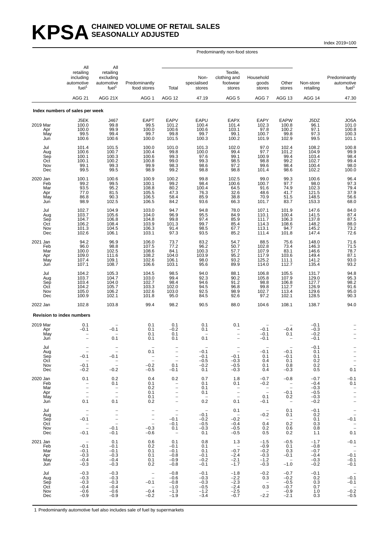#### KPSA SEASONALLY ADJUSTED **SEASONALLY ADJUSTED**

Index 2019=100

Predominantly non-food stores

|                                             | All<br>retailing<br>including                                                                                    | All<br>retailing<br>excluding                                                                          |                                                                                                                       |                                                                                                                                   | Non-                                                                           | Textile,<br>clothing and                                 | Household                                                                |                                                                                     |                                                          | Predominantly                                                                           |
|---------------------------------------------|------------------------------------------------------------------------------------------------------------------|--------------------------------------------------------------------------------------------------------|-----------------------------------------------------------------------------------------------------------------------|-----------------------------------------------------------------------------------------------------------------------------------|--------------------------------------------------------------------------------|----------------------------------------------------------|--------------------------------------------------------------------------|-------------------------------------------------------------------------------------|----------------------------------------------------------|-----------------------------------------------------------------------------------------|
|                                             | automotive<br>fuel <sup>1</sup>                                                                                  | automotive<br>fuel <sup>1</sup>                                                                        | Predominantly<br>food stores                                                                                          | Total                                                                                                                             | specialised<br>stores                                                          | footwear<br>stores                                       | goods<br>stores                                                          | Other<br>stores                                                                     | Non-store<br>retailing                                   | automotive<br>fuel <sup>1</sup>                                                         |
|                                             | <b>AGG 21</b>                                                                                                    | AGG 21X                                                                                                | AGG <sub>1</sub>                                                                                                      | AGG 12                                                                                                                            | 47.19                                                                          | AGG <sub>5</sub>                                         | AGG <sub>7</sub>                                                         | AGG 13                                                                              | AGG 14                                                   | 47.30                                                                                   |
|                                             | Index numbers of sales per week                                                                                  |                                                                                                        |                                                                                                                       |                                                                                                                                   |                                                                                |                                                          |                                                                          |                                                                                     |                                                          |                                                                                         |
| 2019 Mar<br>Apr<br>May<br>Jun               | J5EK<br>100.0<br>100.0<br>99.5<br>100.6                                                                          | J467<br>99.8<br>99.9<br>99.4<br>100.6                                                                  | <b>EAPT</b><br>99.5<br>100.0<br>99.7<br>100.0                                                                         | <b>EAPV</b><br>101.2<br>100.6<br>99.8<br>101.5                                                                                    | EAPU<br>100.4<br>100.6<br>99.7<br>100.3                                        | <b>EAPX</b><br>101.4<br>103.1<br>99.1<br>100.2           | EAPY<br>$\frac{102.3}{97.8}$<br>100.7<br>101.9                           | <b>EAPW</b><br>100.8<br>100.2<br>99.8<br>102.9                                      | J5DZ<br>96.1<br>97.1<br>97.3<br>99.5                     | JO5A<br>$101.0$<br>$100.8$<br>100.3<br>101.1                                            |
| Jul<br>Aug<br>Sep<br>Oct<br>Nov<br>Dec      | 101.4<br>100.6<br>100.1<br>100.1<br>99.1<br>99.5                                                                 | 101.5<br>100.7<br>100.3<br>100.2<br>99.3<br>99.5                                                       | 100.0<br>100.4<br>100.6<br>100.8<br>99.9<br>98.9                                                                      | 101.0<br>99.8<br>99.3<br>99.0<br>98.3<br>99.2                                                                                     | 101.3<br>100.0<br>97.6<br>99.3<br>98.6<br>98.8                                 | 102.0<br>99.4<br>99.1<br>98.5<br>97.2<br>98.8            | 97.0<br>97.7<br>100.9<br>98.8<br>99.6<br>101.4                           | 102.4<br>101.2<br>99.4<br>99.2<br>98.4<br>98.6                                      | 108.2<br>104.9<br>103.4<br>102.7<br>100.4<br>102.2       | 100.8<br>99.9<br>98.4<br>99.4<br>98.0<br>100.0                                          |
| 2020 Jan<br>Feb<br>Mar<br>Apr<br>May<br>Jun | 100.1<br>99.2<br>93.5<br>77.0<br>86.8<br>98.9                                                                    | 100.6<br>99.5<br>95.2<br>81.5<br>90.3<br>102.5                                                         | 100.9<br>100.1<br>108.8<br>105.5<br>106.5<br>106.5                                                                    | 100.2<br>99.2<br>80.2<br>47.3<br>58.4<br>84.2                                                                                     | 99.8<br>98.4<br>100.4<br>76.3<br>85.9<br>93.6                                  | 102.5<br>100.6<br>64.5<br>32.6<br>38.8<br>66.3           | 99.0<br>100.7<br>91.6<br>48.6<br>70.9<br>101.7                           | 99.3<br>97.7<br>74.9<br>41.7<br>51.5<br>83.7                                        | 100.6<br>98.0<br>102.3<br>121.5<br>148.5<br>153.3        | 96.4<br>97.3<br>79.4<br>$37.9$<br>$56.6$<br>$68.0$                                      |
| Jul<br>Aug<br>Sep<br>Oct<br>Nov<br>Dec      | 102.7<br>103.7<br>104.7<br>106.2<br>101.3<br>102.6                                                               | 104.9<br>105.6<br>106.8<br>108.4<br>104.5<br>106.1                                                     | 103.0<br>104.0<br>104.8<br>103.9<br>106.3<br>103.1                                                                    | 94.7<br>96.9<br>99.8<br>101.3<br>91.4<br>97.3                                                                                     | 94.8<br>95.5<br>97.4<br>99.7<br>98.5<br>93.5                                   | 78.0<br>84.9<br>85.9<br>85.4<br>67.7<br>85.2             | 107.1<br>110.1<br>111.7<br>114.3<br>113.1<br>111.4                       | 101.9<br>100.4<br>106.3<br>108.6<br>94.7<br>101.8                                   | 147.6<br>141.5<br>137.8<br>148.2<br>145.2<br>147.4       | 84.0<br>87.4<br>87.5<br>88.0<br>73.2<br>72.6                                            |
| 2021 Jan<br>Feb<br>Mar<br>Apr<br>May<br>Jun | 94.2<br>96.0<br>100.0<br>109.0<br>107.4<br>107.1                                                                 | 96.9<br>98.8<br>102.5<br>111.6<br>109.1<br>108.7                                                       | 106.0<br>107.5<br>108.6<br>108.2<br>102.6<br>106.6                                                                    | 73.7<br>77.2<br>84.1<br>104.0<br>106.1<br>103.1                                                                                   | 83.2<br>$\frac{96.2}{100.3}$<br>103.9<br>98.0<br>95.6                          | 54.7<br>50.7<br>57.7<br>95.2<br>93.2<br>89.9             | 88.5<br>102.8<br>107.9<br>117.9<br>125.2<br>114.0                        | 75.6<br>73.4<br>83.1<br>103.6<br>111.1<br>112.7                                     | 148.0<br>146.3<br>146.6<br>149.4<br>141.2<br>135.4       | 71.6<br>71.5<br>78.7<br>87.1<br>93.0<br>93.2                                            |
| Jul<br>Aug<br>Sep<br>Oct<br>Nov<br>Dec      | 104.2<br>103.7<br>103.4<br>104.2<br>105.0<br>100.9                                                               | 105.3<br>104.7<br>104.0<br>105.7<br>106.2<br>102.1                                                     | 104.5<br>103.0<br>102.7<br>103.3<br>102.6<br>101.8                                                                    | 98.5<br>99.4<br>98.4<br>102.0<br>103.0<br>95.0                                                                                    | 94.0<br>92.3<br>94.6<br>94.5<br>92.5<br>84.5                                   | 88.1<br>90.2<br>91.2<br>96.8<br>98.9<br>92.6             | 106.8<br>105.8<br>98.8<br>99.8<br>102.7<br>97.2                          | 105.5<br>107.9<br>106.8<br>112.7<br>113.4<br>102.1                                  | 131.7<br>129.0<br>127.7<br>126.9<br>129.6<br>128.5       | 94.8<br>95.3<br>98.2<br>98.2<br>91.6<br>95.0<br>90.3                                    |
| 2022 Jan                                    | 102.8                                                                                                            | 103.8                                                                                                  | 99.4                                                                                                                  | 98.2                                                                                                                              | 90.5                                                                           | 88.0                                                     | 104.6                                                                    | 108.1                                                                               | 138.7                                                    | 94.0                                                                                    |
|                                             | <b>Revision to index numbers</b>                                                                                 |                                                                                                        |                                                                                                                       |                                                                                                                                   |                                                                                |                                                          |                                                                          |                                                                                     |                                                          |                                                                                         |
| 2019 Mar<br>Apr<br>May<br>Jun               | 0.1<br>$-0.1$                                                                                                    | $-0.1$<br>0.1                                                                                          | 0.1<br>0.1<br>0.1<br>0.1                                                                                              | 0.1<br>$-0.2$<br>0.1<br>0.1                                                                                                       | 0.1<br>0.1<br>0.1                                                              | 0.1                                                      | $-0.1$<br>$-0.1$<br>$-0.1$                                               | $-0.4$<br>0.1                                                                       | $-0.1$<br>$-0.3$<br>$-0.2$<br>$-0.1$                     |                                                                                         |
| Jul<br>Aug<br>Sep<br>Oct<br>Nov<br>Dec      | $-0.1$<br>$\sim$<br>$-0.1$<br>$-0.2$                                                                             | $-0.1$<br>$\bar{1}$<br>$-0.2$                                                                          | 0.1<br>$\hspace{0.1cm}$ $\hspace{0.1cm}$<br>$\sim$<br>$-0.2$<br>$-0.5$                                                | $\bar{\mathbb{I}}$<br>$\overline{\phantom{a}}$<br>0.1<br>$-0.1$                                                                   | $-0.1$<br>$-0.1$<br>$-0.5$<br>$-0.2$<br>0.1                                    | $-0.1$<br>$-0.3$<br>$-0.5$<br>$-0.3$                     | $-0.1$<br>0.1<br>0.4<br>0.1<br>0.4                                       | $-0.1$<br>$-0.1$<br>0.1<br>0.8<br>$-0.3$                                            | $-0.1$<br>0.1<br>0.1<br>0.2<br>$0.\overline{2}$<br>0.5   | $\overline{\phantom{0}}$<br>$\overline{\phantom{0}}$<br>$\overline{\phantom{0}}$<br>0.1 |
| 2020 Jan<br>Feb<br>Mar<br>Apr<br>May<br>Jun | 0.1<br>$\overline{\phantom{a}}$<br>$\qquad \qquad -$<br>$\overline{\phantom{a}}$<br>$\overline{a}$<br>0.1        | 0.2<br>0.1<br>$\frac{1}{2}$<br>$\frac{1}{2}$<br>0.1                                                    | 0.4<br>0.1<br>0.2<br>0.1<br>0.1<br>0.2                                                                                | 0.2<br>$\overline{\phantom{m}}$<br>$\qquad \qquad -$<br>$\qquad \qquad -$<br>$\overline{\phantom{0}}$<br>$\overline{\phantom{a}}$ | 0.7<br>0.1<br>0.1<br>0.1<br>$\hspace{0.1mm}-\hspace{0.1mm}$<br>0.2             | 1.8<br>0.1<br>$\frac{1}{2}$<br>0.1                       | $-0.7$<br>$-0.2$<br>$\overline{\phantom{a}}$<br>0.1<br>$-0.1$            | $-0.8$<br>$\sim$ $-$<br>$\overline{a}$<br>$-0.1$<br>0.2<br>$\overline{\phantom{0}}$ | $-0.7$<br>$-0.4$<br>$-0.3$<br>$-0.5$<br>$-0.3$<br>$-0.2$ | $-0.1$<br>0.1<br>$\frac{1}{2}$<br>$\overline{\phantom{0}}$                              |
| Jul<br>Aug<br>Sep<br>Oct<br>Nov<br>Dec      | $\overline{\phantom{a}}$<br>$\equiv$<br>$-0.1$<br>$\overline{\phantom{m}}$<br>$\overline{\phantom{a}}$<br>$-0.1$ | $\overline{\phantom{a}}$<br>$\overline{\phantom{a}}$<br>$\equiv$<br>$\overline{a}$<br>$-0.1$<br>$-0.1$ | $\overline{\phantom{a}}$<br>$\overline{\phantom{a}}$<br>$\overline{\phantom{a}}$<br>$\equiv$<br>$-0.3$<br>$-0.6$      | $\overline{\phantom{a}}$<br>$\sim$<br>$-0.1$<br>$-0.1$<br>0.1<br>$\sim$                                                           | $\hspace{0.1mm}-\hspace{0.1mm}$<br>$-0.1$<br>$-0.2$<br>$-0.5$<br>$-0.3$<br>0.1 | 0.1<br>$\sim$<br>$-0.2$<br>$-0.4$<br>$-0.5$<br>$-0.5$    | $\hspace{0.1mm}-\hspace{0.1mm}$<br>$-0.2$<br>$\sim$<br>0.4<br>0.2<br>0.5 | 0.1<br>0.1<br>$\overline{\phantom{a}}$<br>0.2<br>0.6<br>0.2                         | $-0.1$<br>0.2<br>0.1<br>0.3<br>0.8<br>1.1                | $\frac{1}{2}$<br>$-0.1$<br>$\overline{\phantom{a}}$<br>$\overline{\phantom{a}}$<br>0.1  |
| 2021 Jan<br>Feb<br>Mar<br>Apr<br>May<br>Jun | $\overline{\phantom{a}}$<br>$-0.1$<br>$-0.1$<br>$-0.3$<br>$-0.4$<br>$-0.3$                                       | 0.1<br>$-0.1$<br>$-0.1$<br>$-0.3$<br>$-0.4$<br>$-0.3$                                                  | 0.6<br>0.2<br>0.1<br>0.1<br>0.1<br>0.2                                                                                | 0.1<br>$-0.1$<br>$-0.1$<br>$-0.8$<br>$-0.9$<br>$-0.8$                                                                             | 0.8<br>0.1<br>0.1<br>$-0.1$<br>$-0.2$<br>$-0.1$                                | 1.3<br>$\sim$<br>$-0.7$<br>$-2.4$<br>$-2.1$<br>$-1.7$    | $-1.5$<br>$-0.9$<br>$-0.2$<br>$-0.3$<br>$-1.2$<br>$-0.3$                 | $-0.5$<br>0.1<br>0.3<br>$-0.1$<br>$\sim$<br>$-1.0$                                  | $-1.7$<br>$-0.8$<br>$-0.7$<br>$-0.4$<br>$-0.3$<br>$-0.2$ | $-0.1$<br>$\bar{z}$<br>$-0.1$<br>$-0.1$<br>$-0.1$                                       |
| Jul<br>Aug<br>Sep<br>Oct<br>Nov<br>Dec      | $-0.3$<br>$-0.3$<br>$-0.3$<br>$-0.4$<br>$-0.6$<br>$-0.9$                                                         | $-0.3$<br>$-0.3$<br>$-0.3$<br>$-0.4$<br>$-0.6$<br>$-0.9$                                               | $\hspace{0.1mm}-\hspace{0.1mm}$<br>$\overline{\phantom{a}}$<br>$-0.1$<br>$\overline{\phantom{0}}$<br>$-0.4$<br>$-0.2$ | $-0.8$<br>$-0.6$<br>$-0.8$<br>$-1.0$<br>$-1.3$<br>$-1.9$                                                                          | $-0.1$<br>$-0.3$<br>$-0.3$<br>$-0.5$<br>$-1.2$<br>$-3.4$                       | $-1.8$<br>$-2.2$<br>$-2.3$<br>$-2.4$<br>$-2.5$<br>$-0.7$ | $-0.2$<br>0.3<br>$\overline{\phantom{0}}$<br>0.3<br>$\sim$<br>$-2.2$     | $-0.7$<br>$-0.2$<br>$-0.5$<br>$-0.7$<br>$-0.9$<br>$-2.1$                            | $-0.1$<br>0.2<br>0.3<br>0.7<br>1.0<br>0.3                | $-0.1$<br>$-0.1$<br>$-0.\overline{2}$<br>$-0.5$                                         |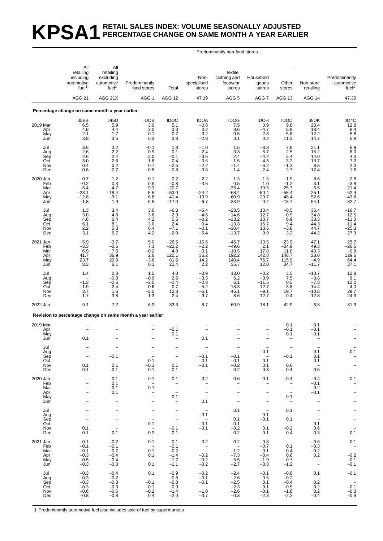## **KPSA1 RETAIL SALES INDEX: VOLUME SEASONALLY ADJUSTED PERCENTAGE CHANGE ON SAME MONTH A YEAR EARLIER**

#### Predominantly non-food stores

|                                             | All                                                                                                                                                 | All                                                                          |                                                                                                                                           |                                                                                                                                   |                                                                                |                                                                                                                          |                                                                                                                                      |                                                                                                                                        |                                                                                                       |                                                                                                  |
|---------------------------------------------|-----------------------------------------------------------------------------------------------------------------------------------------------------|------------------------------------------------------------------------------|-------------------------------------------------------------------------------------------------------------------------------------------|-----------------------------------------------------------------------------------------------------------------------------------|--------------------------------------------------------------------------------|--------------------------------------------------------------------------------------------------------------------------|--------------------------------------------------------------------------------------------------------------------------------------|----------------------------------------------------------------------------------------------------------------------------------------|-------------------------------------------------------------------------------------------------------|--------------------------------------------------------------------------------------------------|
|                                             | retailing<br>including<br>automotive<br>fuel <sup>1</sup>                                                                                           | retailing<br>excluding<br>automotive<br>fuel <sup>1</sup>                    | Predominantly<br>food stores                                                                                                              | Total                                                                                                                             | Non-<br>specialised<br>stores                                                  | Textile,<br>clothing and<br>footwear<br>stores                                                                           | Household<br>goods<br>stores                                                                                                         | Other<br>stores                                                                                                                        | Non-store<br>retailing                                                                                | Predominantly<br>automotive<br>fuel <sup>1</sup>                                                 |
|                                             | <b>AGG 21</b>                                                                                                                                       | AGG 21X                                                                      | AGG <sub>1</sub>                                                                                                                          | AGG 12                                                                                                                            | 47.19                                                                          | AGG <sub>5</sub>                                                                                                         | AGG <sub>7</sub>                                                                                                                     | AGG 13                                                                                                                                 | AGG 14                                                                                                | 47.30                                                                                            |
|                                             | Percentage change on same month a year earlier                                                                                                      |                                                                              |                                                                                                                                           |                                                                                                                                   |                                                                                |                                                                                                                          |                                                                                                                                      |                                                                                                                                        |                                                                                                       |                                                                                                  |
| 2019 Mar<br>Apr<br>May<br>Jun               | J5EB<br>6.5<br>4.8<br>2.1<br>3.8                                                                                                                    | <b>J45U</b><br>5.9<br>4.4<br>1.7<br>3.5                                      | <b>IDOB</b><br>3.0<br>2.0<br>0.1<br>0.3                                                                                                   | <b>IDOC</b><br>5.1<br>3.3<br>0.7<br>3.8                                                                                           | <b>IDOA</b><br>$-0.8$<br>0.2<br>$-3.2$<br>$-2.8$                               | <b>IDOG</b><br>7.5<br>8.6<br>0.5<br>3.1                                                                                  | <b>IDOH</b><br>0.9<br>$-4.7$<br>$-2.8$<br>0.2                                                                                        | <b>IDOD</b><br>9.8<br>5.9<br>5.8<br>11.3                                                                                               | J5DK<br>20.4<br>18.4<br>12.2<br>14.7                                                                  | JO4C<br>12.8<br>8.4<br>5.6<br>5.8                                                                |
| Jul<br>Aug<br>Sep<br>Oct<br>Nov<br>Dec      | 3.6<br>2.6<br>2.6<br>3.0<br>0.4<br>0.8                                                                                                              | 3.2<br>$2.2$<br>2.4<br>2.6<br>${}^{0.2}_{0.7}$                               | $-0.1$<br>0.9<br>2.0<br>1.8<br>0.7<br>$-0.8$                                                                                              | 1.8<br>0.1<br>$-0.1$<br>0.4<br>$-2.5$<br>$-0.8$                                                                                   | $-1.0$<br>$-2.4$<br>$-3.6$<br>$-0.6$<br>$-2.2$<br>$-3.8$                       | 1.5<br>3.3<br>2.4<br>1.5<br>$-1.4$<br>$-1.4$                                                                             | $-3.8$<br>$-5.7$<br>$-4.2$<br>$-4.5$<br>$-6.2$<br>$-2.4$                                                                             | 7.6<br>2.5<br>2.4<br>3.2<br>$-1.2$<br>2.7                                                                                              | 21.1<br>15.2<br>14.0<br>13.7<br>8.5<br>12.4                                                           | $6.9$<br>$6.0$<br>$4.3$<br>$7.2$<br>$\frac{2.0}{1.6}$                                            |
| 2020 Jan<br>Feb<br>Mar<br>Apr<br>May<br>Jun | 0.7<br>$-0.2$<br>$-6.4$<br>$-23.1$<br>$-12.8$<br>$-1.8$                                                                                             | $1.2$<br>0.3<br>$-4.7$<br>$-18.4$<br>$-9.1$<br>1.9                           | 0.1<br>0.5<br>9.3<br>5.5<br>6.8<br>6.5                                                                                                    | 0.2<br>$-0.8$<br>$-20.7$<br>$-53.0$<br>$-41.4$<br>$-17.0$                                                                         | $-2.2$<br>$-3.6$<br>$-24.2$<br>$-13.9$<br>$-6.7$                               | 1.3<br>0.5<br>$-36.4$<br>$-68.4$<br>$-60.9$<br>$-33.9$                                                                   | $-1.5$<br>1.0<br>$-10.5$<br>$-50.4$<br>$-29.7$<br>$-0.2$                                                                             | 1.9<br>$-1.2$<br>$-25.7$<br>$-58.4$<br>$-48.4$<br>$-18.7$                                                                              | 8.6<br>3.1<br>6.5<br>25.1<br>52.6<br>54.1                                                             | $^{-2.8}_{-3.8}$<br>$-21.4$<br>$-62.4$<br>$-43.6$<br>$-32.7$                                     |
| Jul<br>Aug<br>Sep<br>Oct<br>Nov<br>Dec      | 1.3<br>3.0<br>4.6<br>6.1<br>2.2<br>3.1                                                                                                              | 3.4<br>4.8<br>6.4<br>8.1<br>5.3<br>6.7                                       | 3.0<br>3.6<br>4.2<br>3.0<br>6.4<br>4.2                                                                                                    | $-6.3$<br>$-2.9$<br>0.5<br>2.4<br>$-7.1$<br>$-2.0$                                                                                | $-6.4$<br>-4.6<br>$-0.2$<br>0.4<br>$-0.1$<br>$-5.4$                            | $-23.5$<br>$-14.6$<br>$-13.2$<br>$-13.3$<br>$-30.4$<br>$-13.7$                                                           | 10.4<br>12.7<br>10.7<br>15.7<br>13.6<br>9.9                                                                                          | $-0.5$<br>$-0.9$<br>6.9<br>9.4<br>$-3.8$<br>3.2                                                                                        | 36.4<br>34.8<br>33.3<br>44.3<br>44.7<br>44.2                                                          | $-16.7 - 12.5$<br>$-11.0$<br>$-11.4$<br>$-25.3$<br>$-27.3$                                       |
| 2021 Jan<br>Feb<br>Mar<br>Apr<br>May<br>Jun | $-5.9$<br>$-3.3$<br>6.9<br>41.7<br>23.7<br>8.3                                                                                                      | $-3.7$<br>$-0.6$<br>7.6<br>36.9<br>20.8<br>6.1                               | 5.0<br>$7.3$<br>$-0.2$<br>2.6<br>$-3.6$<br>0.1                                                                                            | $-26.5$<br>$-22.2$<br>4.8<br>120.1<br>81.6<br>22.4                                                                                | $-16.6$<br>$-2.2$<br>$-0.1$<br>36.2<br>$^{14.2}_{2.2}$                         | $-46.7$<br>$-49.6$<br>$-10.5$<br>192.2<br>140.4<br>35.7                                                                  | $-10.5$<br>2.1<br>17.8<br>142.8<br>76.7<br>12.0                                                                                      | $-23.9$<br>$-24.9$<br>11.0<br>148.7<br>115.9<br>34.7                                                                                   | 47.1<br>49.3<br>43.3<br>23.0<br>$-4.9$<br>$-11.7$                                                     | $-25.7$<br>$-26.5$<br>$-0.9$<br>129.6<br>64.4<br>37.1                                            |
| Jul<br>Aug<br>Sep<br>Oct<br>Nov<br>Dec      | 1.4<br>$-1.3$<br>$-1.9$<br>3.7<br>$-1.7$                                                                                                            | 0.3<br>$-0.8$<br>$-2.6$<br>$-2.4$<br>1.6<br>$-3.8$                           | 1.5<br>$-0.9$<br>$-2.0$<br>$-0.6$<br>$-3.5$<br>$-1.3$                                                                                     | 4.0<br>2.6<br>$-1.4$<br>0.7<br>12.8<br>$-2.4$                                                                                     | $-0.9$<br>$-3.3$<br>$-2.8$<br>$-5.2$<br>$-6.1$<br>$-9.7$                       | 13.0<br>6.2<br>6.1<br>13.3<br>46.1<br>8.6                                                                                | $-0.2$<br>$-3.9$<br>$-11.5$<br>$-12.7$<br>$-9.1$<br>$-12.7$                                                                          | 3.5<br>7.5<br>0.5<br>3.8<br>19.7<br>0.4                                                                                                | $-10.7$<br>$-8.8$<br>$-7.3$<br>$-14.4$<br>$-10.8$<br>$-12.8$                                          | $\begin{array}{c} 12.8 \\ 9.1 \\ 12.2 \end{array}$<br>4.0<br>29.7<br>24.3                        |
| 2022 Jan                                    | 9.1                                                                                                                                                 | 7.2                                                                          | $-6.2$                                                                                                                                    | 33.3                                                                                                                              | 8.7                                                                            | 60.9                                                                                                                     | 18.1                                                                                                                                 | 42.9                                                                                                                                   | $-6.3$                                                                                                | 31.3                                                                                             |
|                                             |                                                                                                                                                     |                                                                              | Revision to percentage change on same month a year earlier                                                                                |                                                                                                                                   |                                                                                |                                                                                                                          |                                                                                                                                      |                                                                                                                                        |                                                                                                       |                                                                                                  |
| 2019 Mar<br>Apr<br>May<br>Jun               | 0.1                                                                                                                                                 |                                                                              | $\overline{\phantom{0}}$<br>$\overline{\phantom{0}}$                                                                                      | $-0.1$<br>0.1                                                                                                                     | 0.1                                                                            |                                                                                                                          | $\qquad \qquad -$                                                                                                                    | 0.1<br>$-0.1$<br>0.1                                                                                                                   | $-0.1$<br>$-0.1$<br>$-0.1$                                                                            |                                                                                                  |
| Jul<br>Aug<br>Sep<br>Oct<br>Nov<br>Dec      | $\overline{\phantom{a}}$<br>$\overline{\phantom{a}}$<br>0.1<br>$-0.1$                                                                               | $-0.1$<br>$\sim$ $-$<br>0.1<br>$-0.1$                                        | $-0.1$<br>$-0.1$<br>$-0.1$                                                                                                                | ÷,<br>$\overline{\phantom{a}}$<br>$\overline{\phantom{a}}$<br>0.1<br>$-0.1$                                                       | $-0.1$<br>$-0.1$<br>$-0.1$<br>$\overline{\phantom{a}}$                         | $-0.1$<br>$-0.1$<br>$-0.2$<br>$-0.2$                                                                                     | $-0.1$<br>0.1<br>0.1<br>0.3                                                                                                          | $-0.1$<br>$\overline{a}$<br>0.6<br>$-0.4$                                                                                              | 0.1<br>0.1<br>0.1<br>$\overline{\phantom{a}}$<br>0.5                                                  | $-0.1$<br>$\overline{\phantom{a}}$<br>$\frac{1}{1}$                                              |
| 2020 Jan<br>Feb<br>Mar<br>Apr<br>May<br>Jun | $\overline{\phantom{m}}$<br>$\overline{a}$<br>$\overline{\phantom{0}}$<br>$\overline{\phantom{0}}$<br>$\overline{\phantom{0}}$<br>$\qquad \qquad -$ | 0.1<br>0.1<br>$-0.1$<br>0.1<br>$\qquad \qquad -$<br>$\overline{\phantom{a}}$ | 0.1<br>$\overline{\phantom{a}}$<br>0.1<br>$\bar{a}$<br>$\overline{\phantom{0}}$                                                           | 0.1<br>$\hspace{0.1mm}-\hspace{0.1mm}$<br>$\overline{\phantom{0}}$<br>$\overline{\phantom{a}}$<br>0.1<br>$\overline{\phantom{a}}$ | 0.2<br>$\overline{\phantom{a}}$<br>$\overline{\phantom{m}}$<br>$\equiv$<br>0.1 | 0.6<br>$\overline{\phantom{a}}$<br>$\overline{\phantom{0}}$<br>-<br>$\overline{\phantom{0}}$<br>$\overline{\phantom{a}}$ | $-0.1$<br>$\overline{\phantom{a}}$<br>$\qquad \qquad -$<br>$\overline{\phantom{0}}$<br>$\overline{\phantom{a}}$<br>$\qquad \qquad -$ | $-0.4$<br>$\hspace{0.1mm}-\hspace{0.1mm}$<br>$\bar{\phantom{a}}$<br>$\overline{\phantom{a}}$<br>0.1<br>$\hspace{0.1mm}-\hspace{0.1mm}$ | $-0.4$<br>$-0.1$<br>$-0.2$<br>$-0.1$<br>$\hspace{0.1mm}-\hspace{0.1mm}$<br>$\overline{\phantom{a}}$   | $-0.1$<br>$\overline{\phantom{a}}$<br>$\qquad \qquad -$<br>$\overline{\phantom{0}}$<br>$\bar{a}$ |
| Jul<br>Aug<br>Sep<br>Oct<br>Nov<br>Dec      | -<br>$\qquad \qquad -$<br>$\qquad \qquad -$<br>$\overline{a}$<br>0.1<br>0.1                                                                         | $\overline{\phantom{m}}$<br>$\frac{1}{2}$<br>$\equiv$<br>0.1                 | $\overline{\phantom{a}}$<br>$\overline{\phantom{0}}$<br>$\overline{\phantom{a}}$<br>$-0.1$<br>$\hspace{0.1mm}$ $\hspace{0.1mm}$<br>$-0.2$ | $\overline{\phantom{m}}$<br>$\overline{\phantom{m}}$<br>$\bar{a}$<br>$-0.1$<br>0.1                                                | $\overline{\phantom{a}}$<br>$-0.1$<br>$\sim$<br>$-0.1$<br>$-0.1$<br>$\sim$     | 0.1<br>$\sim$ $-$<br>0.1<br>$-0.1$<br>$-0.2$<br>$-0.2$                                                                   | $\hspace{0.1mm}-\hspace{0.1mm}$<br>$-0.1$<br>$-0.1$<br>$-$<br>0.1<br>0.1                                                             | 0.1<br>$\sim$<br>0.1<br>$-$<br>$-0.2$<br>0.4                                                                                           | $\overline{\phantom{m}}$<br>$\overline{\phantom{a}}$<br>$\overline{\phantom{a}}$<br>0.1<br>0.6<br>0.3 | $\frac{1}{2}$<br>$\frac{1}{2}$<br>0.1                                                            |
| 2021 Jan<br>Feb<br>Mar<br>Apr<br>May<br>Jun | $-0.1$<br>$-0.1$<br>$-0.1$<br>$-0.3$<br>$-0.5$<br>$-0.3$                                                                                            | $-0.2$<br>$-0.1$<br>$-0.2$<br>$-0.4$<br>$-0.4$<br>$-0.3$                     | 0.1<br>$\overline{\phantom{a}}$<br>$-0.1$<br>0.1<br>$\overline{\phantom{a}}$<br>0.1                                                       | $-0.1$<br>$-0.1$<br>$-0.2$<br>$-1.4$<br>$-1.7$<br>$-1.1$                                                                          | 0.2<br>$\overline{\phantom{a}}$<br>$-0.2$<br>$-0.2$<br>$-0.2$                  | 0.2<br>$\sim$<br>$-1.2$<br>$-7.3$<br>$-5.5$<br>$-2.7$                                                                    | $-0.8$<br>$-0.7$<br>$-0.1$<br>$-0.4$<br>$-1.9$<br>$-0.3$                                                                             | $-$<br>0.1<br>0.4<br>0.6<br>$-0.7$<br>$-1.2$                                                                                           | $-0.6$<br>$-0.3$<br>$-0.2$<br>0.2<br>$\hspace{0.1mm}-\hspace{0.1mm}$<br>$\frac{1}{2}$                 | $-0.1$<br>$-0.\overline{2}$<br>$-0.1$<br>$-0.1$                                                  |
| Jul<br>Aug<br>Sep<br>Oct<br>Nov<br>Dec      | $-0.3$<br>$-0.3$<br>$-0.3$<br>$-0.3$<br>$-0.6$<br>$-0.8$                                                                                            | $-0.4$<br>$-0.2$<br>$-0.3$<br>$-0.3$<br>$-0.6$<br>$-0.8$                     | 0.1<br>$\hspace{0.1mm}-\hspace{0.1mm}$<br>$-0.1$<br>$-0.1$<br>$-0.2$<br>0.4                                                               | $-0.9$<br>$-0.6$<br>$-0.8$<br>$-0.9$<br>$-1.4$<br>$-2.0$                                                                          | $-0.2$<br>$-0.1$<br>$-0.1$<br>$\sim$<br>$-1.0$<br>$-3.7$                       | $-2.4$<br>$-2.6$<br>$-2.5$<br>$-2.3$<br>$-2.6$<br>$-0.3$                                                                 | $-0.1$<br>0.5<br>0.1<br>$-0.1$<br>$-0.1$<br>$-2.3$                                                                                   | $-0.8$<br>$-0.2$<br>$-0.4$<br>$-0.9$<br>$-1.8$<br>$-2.2$                                                                               | 0.1<br>$\overline{\phantom{0}}$<br>0.2<br>0.2<br>0.2<br>$-0.4$                                        | $-0.1$<br>$\overline{\phantom{a}}$<br>$-0.1$<br>$-0.3$<br>$-0.9$                                 |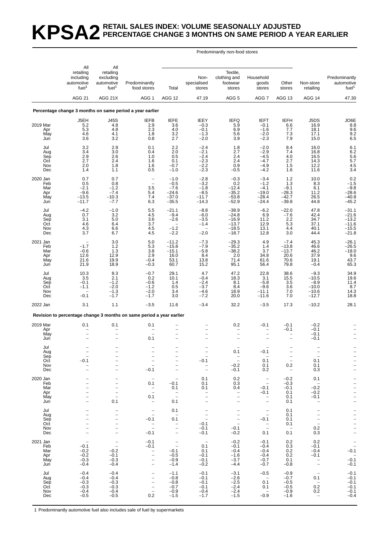#### **KPSA2** RETAIL SALES INDEX: VOLUME SEASONALLY ADJUSTED **PERCENTAGE CHANGE 3 MONTHS ON SAME PERIOD A YEAR EARLIER**

Predominantly non-food stores

|                                             | All                                                                                                                 | All                                                                                 |                                                                                                                         |                                                                                                                  |                                                                            |                                                                |                                                                                               |                                                                                         |                                                                                                              |                                                                            |
|---------------------------------------------|---------------------------------------------------------------------------------------------------------------------|-------------------------------------------------------------------------------------|-------------------------------------------------------------------------------------------------------------------------|------------------------------------------------------------------------------------------------------------------|----------------------------------------------------------------------------|----------------------------------------------------------------|-----------------------------------------------------------------------------------------------|-----------------------------------------------------------------------------------------|--------------------------------------------------------------------------------------------------------------|----------------------------------------------------------------------------|
|                                             | retailing<br>including<br>automotive<br>fuel <sup>1</sup>                                                           | retailing<br>excluding<br>automotive<br>fuel <sup>1</sup>                           | Predominantly<br>food stores                                                                                            | Total                                                                                                            | Non-<br>specialised<br>stores                                              | Textile,<br>clothing and<br>footwear<br>stores                 | Household<br>goods<br>stores                                                                  | Other<br>stores                                                                         | Non-store<br>retailing                                                                                       | Predominantly<br>automotive<br>fuel <sup>1</sup>                           |
|                                             | <b>AGG 21</b>                                                                                                       | AGG 21X                                                                             | AGG 1                                                                                                                   | AGG 12                                                                                                           | 47.19                                                                      | AGG <sub>5</sub>                                               | AGG <sub>7</sub>                                                                              | AGG 13                                                                                  | AGG 14                                                                                                       | 47.30                                                                      |
|                                             |                                                                                                                     |                                                                                     | Percentage change 3 months on same period a year earlier                                                                |                                                                                                                  |                                                                            |                                                                |                                                                                               |                                                                                         |                                                                                                              |                                                                            |
| 2019 Mar<br>Apr<br>May<br>Jun               | J5EH<br>5.2<br>5.3<br>4.6<br>3.6                                                                                    | J45S<br>4.8<br>4.8<br>4.1<br>3.2                                                    | <b>IEFB</b><br>2.9<br>2.3<br>1.8<br>0.8                                                                                 | <b>IEFE</b><br>3.6<br>4.0<br>3.2<br>2.7                                                                          | <b>IEEY</b><br>$-0.3$<br>$-0.1$<br>$-1.3$<br>$-2.0$                        | <b>IEFQ</b><br>5.9<br>6.9<br>5.6<br>3.9                        | <b>IEFT</b><br>$-0.1$<br>$-1.6$<br>$-2.0$<br>$-2.3$                                           | <b>IEFH</b><br>6.6<br>7.7<br>7.3<br>7.9                                                 | J5DS<br>16.9<br>18.1<br>17.1<br>15.0                                                                         | JO6E<br>$\begin{array}{c} 8.8 \\ 9.6 \end{array}$<br>9.2<br>6.5            |
| Jul<br>Aug<br>Sep<br>Oct<br>Nov<br>Dec      | 3.2<br>3.4<br>2.9<br>2.7<br>2.0<br>1.4                                                                              | 2.9<br>3.0<br>2.6<br>2.4<br>1.8<br>1.1                                              | 0.1<br>0.4<br>1.0<br>1.6<br>1.6<br>0.5                                                                                  | 2.2<br>2.0<br>0.5<br>0.1<br>$-0.7$<br>$-1.0$                                                                     | $-2.4$<br>$-2.1$<br>$-2.4$<br>$-2.3$<br>$-2.2$<br>$-2.3$                   | 1.8<br>2.7<br>2.4<br>2.4<br>0.9<br>$-0.5$                      | $-2.0$<br>$-2.9$<br>$-4.5$<br>$-4.7$<br>$-4.9$<br>$-4.2$                                      | 8.4<br>7.4<br>4.0<br>2.7<br>1.5<br>1.6                                                  | 16.0<br>16.8<br>16.5<br>14.3<br>12.2<br>11.6                                                                 | 6.1<br>$6.2$<br>5.6<br>5.7<br>$\frac{4.5}{3.4}$                            |
| 2020 Jan<br>Feb<br>Mar<br>Apr<br>May<br>Jun | 0.7<br>0.5<br>$-2.1$<br>$-9.6$<br>$-13.5$<br>$-11.7$                                                                | 0.7<br>0.8<br>$-1.2$<br>$-7.4$<br>$-10.3$<br>$-7.7$                                 | $\qquad \qquad -$<br>$\overline{a}$<br>3.5<br>5.4<br>7.4<br>6.3                                                         | $-1.0$<br>$-0.5$<br>$-7.6$<br>$-24.6$<br>$-37.0$<br>$-35.5$                                                      | $-2.8$<br>$-3.2$<br>$-1.8$<br>$-8.5$<br>$-11.7$<br>$-14.3$                 | $-0.3$<br>0.2<br>$-12.4$<br>$-35.2$<br>$-53.8$<br>$-52.9$      | $-3.4$<br>$-1.2$<br>$-4.1$<br>$-19.0$<br>$-28.4$<br>$-24.4$                                   | 1.2<br>1.3<br>$-9.1$<br>$-28.3$<br>-42.7<br>$-39.8$                                     | 10.0<br>8.3<br>6.1<br>11.2<br>26.5<br>44.8                                                                   | $0.2 - 1.5$<br>$-9.8$<br>$-28.6$<br>$-40.8$<br>$-45.2$                     |
| Jul<br>Aug<br>Sep<br>Oct<br>Nov<br>Dec      | $-4.2$<br>0.7<br>3.1<br>4.6<br>4.3<br>3.7                                                                           | $-1.0$<br>3.2<br>5.0<br>6.4<br>6.6<br>6.7                                           | 5.5<br>4.5<br>3.6<br>3.7<br>4.5<br>4.5                                                                                  | $-21.1$<br>$-9.4$<br>$-2.6$<br>$\overline{\phantom{0}}$<br>$-1.2$<br>$-2.2$                                      | $-8.8$<br>$-6.0$<br>$-3.5$<br>$-1.4$<br>$\overline{\phantom{a}}$<br>$-2.0$ | $-38.9$<br>$-24.8$<br>$-16.9$<br>$-13.7$<br>$-18.5$<br>$-18.7$ | $-6.2$<br>6.9<br>11.2<br>12.9<br>13.1<br>12.8                                                 | $-22.0$<br>$-7.6$<br>2.2<br>5.3<br>4.4<br>3.0                                           | 47.8<br>42.4<br>34.7<br>37.1<br>40.1<br>44.4                                                                 | $-31.1$<br>$-21.6$<br>$-13.2$<br>$-11.6$<br>$-15.5$<br>$-21.8$             |
| 2021 Jan<br>Feb<br>Mar<br>Apr<br>May<br>Jun | $-1.7$<br>$-0.6$<br>12.6<br>21.6<br>21.9                                                                            | 3.0<br>1.2<br>1.3<br>12.9<br>19.9<br>18.9                                           | 5.0<br>5.3<br>3.8<br>2.9<br>$-0.4$<br>$-0.3$                                                                            | $-11.2$<br>$-15.8$<br>$-15.1$<br>16.0<br>53.1<br>60.7                                                            | $-7.3$<br>$-7.9$<br>$-5.8$<br>8.4<br>13.8<br>15.2                          | $-29.3$<br>$-35.2$<br>$-38.2$<br>2.0<br>71.4<br>95.1           | 4.9<br>1.4<br>3.7<br>34.8<br>61.6<br>56.4                                                     | $-7.4$<br>$-13.8$<br>$-13.7$<br>20.6<br>70.6<br>79.8                                    | 45.3<br>46.6<br>46.2<br>37.9<br>19.1<br>$-0.4$                                                               | $-26.1$<br>$-26.5$<br>$-18.0$<br>9.6<br>43.7<br>65.3                       |
| Jul<br>Aug<br>Sep<br>Oct<br>Nov<br>Dec      | 10.3<br>3.5<br>$-0.1$<br>$-1.1$<br>$-0.1$                                                                           | 8.3<br>2.1<br>$-1.2$<br>$-2.0$<br>$-1.3$<br>$-1.7$                                  | $-0.7$<br>0.2<br>$-0.6$<br>$-1.2$<br>$-2.0$<br>$-1.7$                                                                   | 29.1<br>10.1<br>1.4<br>0.5<br>3.4<br>3.0                                                                         | 4.7<br>$-0.4$<br>$-2.4$<br>$-3.7$<br>$-4.6$<br>$-7.2$                      | 47.2<br>18.3<br>8.1<br>8.4<br>18.9<br>20.0                     | 22.8<br>3.1<br>$-5.8$<br>$-9.6$<br>$-11.1$<br>$-11.6$                                         | 38.6<br>15.5<br>3.5<br>3.6<br>7.0<br>7.0                                                | $-9.3$<br>$-10.5$<br>$-8.9$<br>$-10.0$<br>$-10.6$<br>$-12.7$                                                 | 34.9<br>19.6<br>11.4<br>8.7<br>$\begin{array}{c} 14.3 \\ 18.8 \end{array}$ |
| 2022 Jan                                    | 3.1                                                                                                                 | 1.1                                                                                 | $-3.5$                                                                                                                  | 11.6                                                                                                             | $-3.4$                                                                     | 32.2                                                           | $-3.5$                                                                                        | 17.3                                                                                    | $-10.2$                                                                                                      | 28.1                                                                       |
|                                             |                                                                                                                     |                                                                                     | Revision to percentage change 3 months on same period a year earlier                                                    |                                                                                                                  |                                                                            |                                                                |                                                                                               |                                                                                         |                                                                                                              |                                                                            |
| 2019 Mar<br>Apr<br>May<br>Jun               | 0.1                                                                                                                 | 0.1                                                                                 | 0.1<br>0.1                                                                                                              | $\overline{\phantom{0}}$                                                                                         |                                                                            | 0.2                                                            | $-0.1$                                                                                        | $-0.1$<br>$-0.1$                                                                        | $-0.2$<br>$-0.1$<br>$-0.1$<br>$-0.1$                                                                         |                                                                            |
| Jul<br>Aug<br>Sep<br>Oct<br>Nov<br>Dec      | $-0.1$                                                                                                              | $\overline{\phantom{a}}$<br>$\qquad \qquad -$                                       | $\frac{1}{2}$<br>$-0.1$                                                                                                 | $\overline{\phantom{0}}$<br>$\overline{\phantom{a}}$<br>$\qquad \qquad -$                                        | $-0.1$<br>$\overline{\phantom{m}}$                                         | 0.1<br>$\equiv$<br>$-0.2$<br>$-0.1$                            | -0.1<br>0.1<br>0.1<br>0.2                                                                     | $\overline{\phantom{a}}$<br>$\overline{\phantom{a}}$<br>0.2<br>$\overline{\phantom{a}}$ | 0.1<br>0.1<br>0.3                                                                                            | $\frac{1}{1}$                                                              |
| 2020 Jan<br>Feb<br>Mar<br>Apr<br>May<br>Jun | $\overline{\phantom{0}}$<br>$\overline{\phantom{0}}$<br>$\overline{\phantom{0}}$<br>$\qquad \qquad -$               | $\overline{\phantom{a}}$<br>$\qquad \qquad -$<br>$\bar{a}$<br>$\frac{1}{2}$<br>0.1  | $\overline{\phantom{a}}$<br>0.1<br>$\bar{1}$<br>0.1<br>$\overline{\phantom{a}}$                                         | $\overline{\phantom{a}}$<br>$-0.1$<br>0.1<br>$\bar{\mathbb{Z}}$<br>0.1                                           | 0.1<br>0.1<br>0.1<br>$\overline{\phantom{a}}$<br>$\qquad \qquad -$         | 0.2<br>0.3<br>0.4<br>$\bar{a}$<br>$\overline{\phantom{0}}$     | $\sim$ $-$<br>$\sim$ $-$<br>$-0.1$<br>$-0.1$<br>$\qquad \qquad -$<br>$\overline{\phantom{0}}$ | $-0.2$<br>$-0.3$<br>$-0.1$<br>0.1<br>0.1<br>0.1                                         | 0.1<br>$\sim$<br>$-0.2$<br>$-0.2$<br>$-0.1$<br>$\overline{\phantom{a}}$                                      | $      -$                                                                  |
| Jul<br>Aug<br>Sep<br>Oct<br>Nov<br>Dec      | $\overline{\phantom{0}}$<br>$\qquad \qquad -$<br>$\qquad \qquad -$<br>$\overline{\phantom{0}}$<br>$\qquad \qquad -$ | $\overline{\phantom{0}}$<br>$\qquad \qquad -$<br>$\qquad \qquad -$<br>$\frac{1}{2}$ | $\overline{\phantom{a}}$<br>$\overline{\phantom{a}}$<br>$-0.1$<br>$\bar{a}$<br>$-0.1$                                   | 0.1<br>$\overline{a}$<br>0.1<br>$\hspace{0.1mm}-\hspace{0.1mm}$<br>$\qquad \qquad -$<br>$\overline{\phantom{a}}$ | $\bar{a}$<br>$-0.1$<br>$-0.1$<br>$-0.1$                                    | $\qquad \qquad -$<br>$\frac{1}{2}$<br>$-0.1$<br>$-0.2$         | $\overline{\phantom{a}}$<br>$\overline{\phantom{a}}$<br>$-0.1$<br>$\frac{1}{2}$<br>0.1        | 0.1<br>0.1<br>0.1<br>0.1<br>$\overline{\phantom{a}}$<br>0.1                             | $\overline{\phantom{0}}$<br>$\overline{\phantom{a}}$<br>$\overline{a}$<br>0.2<br>0.3                         | $      -$                                                                  |
| 2021 Jan<br>Feb<br>Mar<br>Apr<br>May<br>Jun | $\overline{\phantom{a}}$<br>$-0.1$<br>$-0.2$<br>$-0.2$<br>$-0.3$<br>$-0.4$                                          | $\bar{\mathbb{Z}}$<br>$-0.2$<br>$-0.1$<br>$-0.3$<br>$-0.4$                          | $-0.1$<br>$-0.1$<br>$\bar{a}$<br>$\qquad \qquad -$<br>$\qquad \qquad -$                                                 | $\overline{\phantom{a}}$<br>$-0.1$<br>$-0.5$<br>$-0.9$<br>$-1.4$                                                 | $\sim$ $-$<br>0.1<br>0.1<br>$-0.1$<br>$-0.1$<br>$-0.2$                     | $-0.2$<br>$-0.1$<br>$-0.4$<br>$-1.6$<br>$-3.7$<br>$-4.4$       | $-0.1$<br>$-0.4$<br>$-0.4$<br>$-0.4$<br>$-0.7$<br>$-0.7$                                      | 0.2<br>0.3<br>0.2<br>0.2<br>0.1<br>$-0.8$                                               | 0.2<br>$-0.1$<br>$-0.4$<br>$-0.1$<br>$\overline{\phantom{a}}$<br>$\overline{\phantom{a}}$                    | $-0.\overline{1}$<br>$-0.\overline{1}$<br>$-0.1$                           |
| Jul<br>Aug<br>Sep<br>Oct<br>Nov<br>Dec      | $-0.4$<br>$-0.4$<br>$-0.3$<br>$-0.3$<br>$-0.4$<br>$-0.5$                                                            | $-0.4$<br>$-0.4$<br>$-0.3$<br>$-0.3$<br>$-0.4$<br>$-0.5$                            | $\overline{\phantom{0}}$<br>$\qquad \qquad -$<br>$\overline{\phantom{0}}$<br>$\qquad \qquad -$<br>$\overline{a}$<br>0.2 | $-1.1$<br>$-0.8$<br>$-0.8$<br>$-0.7$<br>$-0.9$<br>$-1.5$                                                         | $-0.1$<br>$-0.1$<br>$-0.1$<br>$-0.1$<br>$-0.4$<br>$-1.7$                   | $-3.1$<br>$-2.6$<br>$-2.5$<br>$-2.4$<br>$-2.4$<br>$-1.5$       | $-0.5$<br>$\overline{\phantom{0}}$<br>0.1<br>0.1<br>$\overline{\phantom{0}}$<br>$-0.9$        | $-0.9$<br>$-0.7$<br>$-0.5$<br>$-0.5$<br>$-0.9$<br>$-1.6$                                | $\hspace{0.1mm}-\hspace{0.1mm}$<br>0.1<br>$\overline{\phantom{0}}$<br>0.2<br>0.2<br>$\overline{\phantom{a}}$ | $-0.1$<br>$-0.1$<br>$-0.1$<br>$-0.1$<br>$-0.1$<br>$-0.4$                   |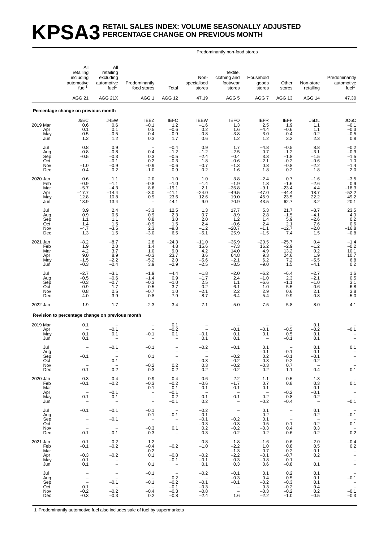#### **KPSA3 RETAIL SALES INDEX: VOLUME SEASONALLY ADJUSTED PERCENTAGE CHANGE ON PREVIOUS MONTH**

Predominantly non-food stores

|                                             | All                                                                    | All                                                              |                                                                         |                                                                                     |                                                          |                                                                                                  |                                                     |                                                                                                                 |                                                                          |                                                                              |
|---------------------------------------------|------------------------------------------------------------------------|------------------------------------------------------------------|-------------------------------------------------------------------------|-------------------------------------------------------------------------------------|----------------------------------------------------------|--------------------------------------------------------------------------------------------------|-----------------------------------------------------|-----------------------------------------------------------------------------------------------------------------|--------------------------------------------------------------------------|------------------------------------------------------------------------------|
|                                             | retailing<br>including<br>automotive<br>fuel <sup>1</sup>              | retailing<br>excluding<br>automotive<br>fuel <sup>1</sup>        | Predominantly<br>food stores                                            | Total                                                                               | Non-<br>specialised<br>stores                            | Textile,<br>clothing and<br>footwear<br>stores                                                   | Household<br>goods<br>stores                        | Other<br>stores                                                                                                 | Non-store<br>retailing                                                   | Predominantly<br>automotive<br>fuel <sup>1</sup>                             |
|                                             | <b>AGG 21</b>                                                          | AGG 21X                                                          | AGG 1                                                                   | <b>AGG 12</b>                                                                       | 47.19                                                    | AGG 5                                                                                            | AGG 7                                               | AGG 13                                                                                                          | <b>AGG 14</b>                                                            | 47.30                                                                        |
|                                             | Percentage change on previous month                                    |                                                                  |                                                                         |                                                                                     |                                                          |                                                                                                  |                                                     |                                                                                                                 |                                                                          |                                                                              |
| 2019 Mar<br>Apr<br>May<br>Jun               | J5EC<br>0.6<br>0.1<br>$-0.5$<br>1.2                                    | <b>J45W</b><br>0.6<br>0.1<br>$-0.5$<br>1.2                       | IEEZ<br>$-0.1$<br>0.5<br>$-0.4$<br>0.3                                  | <b>IEFC</b><br>1.2<br>$-0.6$<br>$-0.9$<br>1.7                                       | <b>IEEW</b><br>$-1.6$<br>0.2<br>$-0.8$<br>0.6            | <b>IEFO</b><br>1.3<br>1.6<br>$-3.8$<br>$1.2$                                                     | <b>IEFR</b><br>2.5<br>$-4.4$<br>3.0<br>1.2          | <b>IEFF</b><br>1.9<br>$-0.6$<br>$-0.4$<br>3.2                                                                   | J5DL<br>1.1<br>1.1<br>0.2<br>2.3                                         | JO <sub>6</sub> C<br>$-0.1$<br>$-0.3$<br>$-0.5$<br>0.8                       |
| Jul<br>Aug<br>Sep<br>Oct<br>Nov<br>Dec      | 0.8<br>$-0.8$<br>$-0.5$<br>$-1.0$<br>0.4                               | 0.9<br>$-0.8$<br>$-0.3$<br>$-0.1$<br>$-0.9$<br>0.2               | $\overline{\phantom{0}}$<br>0.4<br>0.3<br>0.2<br>$-0.9$<br>$-1.0$       | $-0.4$<br>$-1.2$<br>$-0.5$<br>$-0.3$<br>$-0.6$<br>0.9                               | 0.9<br>$-1.2$<br>$-2.4$<br>1.8<br>$-0.7$<br>0.2          | 1.7<br>$-2.5$<br>$-0.4$<br>$-0.6$<br>$-1.3$<br>1.6                                               | $-4.8$<br>0.7<br>3.3<br>$-2.1$<br>0.8<br>1.8        | $-0.5$<br>$-1.2$<br>$-1.8$<br>$-0.2$<br>$-0.8$<br>0.2                                                           | 8.8<br>$-3.1$<br>$-1.5$<br>$-0.6$<br>$-2.2$<br>1.8                       | $-0.2$<br>$-0.9$<br>$-1.5$<br>1.0<br>$-1.4$<br>2.0                           |
| 2020 Jan<br>Feb<br>Mar<br>Apr<br>May<br>Jun | 0.6<br>$-0.9$<br>$-5.7$<br>$-17.7$<br>12.8<br>13.9                     | 1.1<br>$-1.1$<br>$-4.3$<br>$-14.4$<br>10.8<br>13.4               | 2.0<br>$-0.8$<br>8.6<br>$-3.0$<br>0.9<br>$\overline{\phantom{0}}$       | 1.0<br>$-1.0$<br>$-19.1$<br>$-41.1$<br>23.6<br>44.1                                 | 1.0<br>$-1.4$<br>2.1<br>$-24.0$<br>12.6<br>9.0           | 3.8<br>$-1.9$<br>$-35.8$<br>$-49.5$<br>19.0<br>70.9                                              | $-2.4$<br>1.8<br>$-9.1$<br>$-47.0$<br>45.9<br>43.5  | 0.7<br>$-1.6$<br>$-23.4$<br>$-44.4$<br>23.5<br>62.7                                                             | $-1.6$<br>$-2.6$<br>4.4<br>18.7<br>22.2<br>3.2                           | $-3.5$<br>0.9<br>$-18.3$<br>$-52.2$<br>49.2<br>20.1                          |
| Jul<br>Aug<br>Sep<br>Oct<br>Nov<br>Dec      | 3.9<br>0.9<br>1.1<br>1.4<br>$-4.7$<br>1.3                              | 2.4<br>0.6<br>1.1<br>1.5<br>$-3.5$<br>1.5                        | $-3.3$<br>0.9<br>0.8<br>$-0.9$<br>2.3<br>$-3.0$                         | 12.5<br>2.3<br>3.0<br>1.5<br>$-9.8$<br>6.5                                          | 1.3<br>0.7<br>2.0<br>2.4<br>$-1.2$<br>$-5.1$             | 17.7<br>8.9<br>1.2<br>$-0.6$<br>$-20.7$<br>25.9                                                  | 5.3<br>2.8<br>1.4<br>2.4<br>$-1.1$<br>$-1.5$        | 21.7<br>$-1.5$<br>5.9<br>2.1<br>$-12.7$<br>7.4                                                                  | $-3.7$<br>$-4.1$<br>$-2.6$<br>7.6<br>$-2.0$<br>1.5                       | 23.5<br>$^{4.0}_{0.2}$<br>0.6<br>$-16.8$<br>$-0.8$                           |
| 2021 Jan<br>Feb<br>Mar<br>Apr<br>May<br>Jun | $-8.2$<br>1.9<br>4.2<br>9.0<br>$-1.5$<br>$-0.3$                        | $-8.7$<br>2.0<br>3.7<br>8.9<br>$-2.2$<br>$-0.4$                  | 2.8<br>1.4<br>1.0<br>$-0.3$<br>$-5.2$<br>3.9                            | $-24.3$<br>4.8<br>9.0<br>23.7<br>2.0<br>$-2.9$                                      | $-11.0$<br>15.6<br>4.2<br>3.6<br>$-5.6$<br>$-2.5$        | $-35.9$<br>$-7.3$<br>14.0<br>64.8<br>$-2.1$<br>$-3.5$                                            | $-20.5$<br>16.2<br>4.9<br>9.3<br>6.2<br>$-9.0$      | $-25.7$<br>$-2.9$<br>13.2<br>24.6<br>7.2<br>1.5                                                                 | 0.4<br>$-1.2$<br>0.2<br>1.9<br>$-5.5$<br>$-4.1$                          | $-1.4$<br>$-0.2$<br>10.1<br>10.7<br>$6.8$<br>$0.2$                           |
| Jul<br>Aug<br>Sep<br>Oct<br>Nov<br>Dec      | $-2.7$<br>$-0.5$<br>$-0.3$<br>0.9<br>0.8<br>$-4.0$                     | $-3.1$<br>$-0.6$<br>$-0.7$<br>1.7<br>0.5<br>$-3.9$               | $-1.9$<br>$-1.4$<br>$-0.3$<br>0.5<br>$-0.7$<br>$-0.8$                   | $-4.4$<br>0.9<br>$-1.0$<br>3.7<br>1.0<br>$-7.9$                                     | $-1.8$<br>$-1.7$<br>2.5<br>$-0.2$<br>$-2.1$<br>$-8.7$    | $-2.0$<br>2.4<br>1.1<br>6.1<br>2.2<br>$-6.4$                                                     | $-6.2$<br>$-1.0$<br>$-6.6$<br>1.0<br>2.9<br>$-5.4$  | $-6.4$<br>2.3<br>$-1.1$<br>5.5<br>0.6<br>$-9.9$                                                                 | $-2.7$<br>$-2.1$<br>$-1.0$<br>$-0.6$<br>2.1<br>$-0.8$                    | $\begin{array}{c} 1.6 \\ 0.5 \end{array}$<br>3.1<br>$-6.8$<br>3.8<br>$-5.0$  |
| 2022 Jan                                    | 1.9                                                                    | 1.7                                                              | $-2.3$                                                                  | 3.4                                                                                 | 7.1                                                      | $-5.0$                                                                                           | 7.5                                                 | 5.8                                                                                                             | 8.0                                                                      | 4.1                                                                          |
|                                             | Revision to percentage change on previous month                        |                                                                  |                                                                         |                                                                                     |                                                          |                                                                                                  |                                                     |                                                                                                                 |                                                                          |                                                                              |
| 2019 Mar<br>Apr<br>May<br>Jun               | 0.1<br>0.1<br>0.1                                                      | $-0.1$<br>0.1                                                    | $\overline{\phantom{0}}$<br>$\overline{\phantom{0}}$<br>$-0.1$          | 0.1<br>$-0.2$<br>0.1                                                                | $-0.1$<br>0.1                                            | $-0.1$<br>0.1<br>0.1                                                                             | $-0.1$<br>0.1                                       | $-0.5$<br>0.5<br>$-0.1$                                                                                         | 0.1<br>$-0.2$<br>0.1<br>0.1                                              | $-0.1$                                                                       |
| Jul<br>Aug<br>Sep<br>Oct<br>Nov<br>Dec      | $\equiv$<br>$-0.1$<br>$\bar{\mathbb{Z}}$<br>$-0.1$                     | $-0.1$<br>0.1<br>$-$<br>$-0.2$                                   | $-0.1$<br>0.1<br>$\sim$<br>$-0.2$<br>$-0.3$                             | $\mathbb T$<br>0.2<br>$-0.2$                                                        | $-0.2$<br>$\sim$<br>$-0.3$<br>0.3<br>0.2                 | $-0.1$<br>$-0.2$<br>$-0.2$<br>$-0.2$<br>0.2                                                      | 0.1<br>$-0.1$<br>0.2<br>0.3<br>$-0.3$<br>0.2        | $-0.1$<br>$-0.1$<br>0.2<br>0.7<br>$-1.1$                                                                        | 0.1<br>0.1<br>$-0.1$<br>0.2<br>$\hspace{0.1mm}-\hspace{0.1mm}$<br>0.4    | 0.1<br>$\frac{-}{1}$<br>0.1                                                  |
| 2020 Jan<br>Feb<br>Mar<br>Apr<br>May<br>Jun | 0.3<br>$-0.1$<br>$\bar{\bar{\phantom{a}}}$<br>0.1<br>$\qquad \qquad -$ | 0.4<br>$-0.2$<br>$\sim$<br>$-0.1$<br>0.1<br>$\sim$               | 0.9<br>$-0.3$<br>$-0.1$<br>$\frac{1}{2}$                                | 0.4<br>$-0.2$<br>0.1<br>$-0.1$<br>0.2<br>$-0.1$                                     | 0.6<br>$-0.6$<br>0.1<br>$\overline{a}$<br>$-0.1$<br>0.2  | 2.2<br>$-1.7$<br>0.1<br>$\hspace{0.1mm}-\hspace{0.1mm}$<br>0.1<br>$\sim$                         | $-1.1$<br>0.7<br>0.1<br>$\sim$ $-$<br>0.2<br>$-0.2$ | $-0.5$<br>0.8<br>$\sim$<br>$-0.2$<br>0.8<br>$-0.4$                                                              | $-1.3$<br>0.3<br>0.1<br>$-0.1$<br>0.2<br>$\hspace{0.1mm}-\hspace{0.1mm}$ | $\qquad \qquad -$<br>0.1<br>$\frac{1}{2}$<br>$-0.1$                          |
| Jul<br>Aug<br>Sep<br>Oct<br>Nov<br>Dec      | $-0.1$<br>$\frac{1}{2}$<br>$\overline{\phantom{0}}$<br>$-0.1$          | $-0.1$<br>$\sim$<br>$-0.1$<br>$\overline{\phantom{a}}$<br>$-0.1$ | $-0.1$<br>$-0.1$<br>$\bar{\mathbb{Z}}$<br>$-0.3$<br>$-0.3$              | $\overline{\phantom{a}}$<br>$-0.1$<br>$\overline{\phantom{a}}$<br>0.1<br>$\sim$ $-$ | $-0.2$<br>$-0.1$<br>$-0.1$<br>$-0.3$<br>0.2<br>0.3       | $\hspace{0.1mm}-\hspace{0.1mm}$<br>$\overline{\phantom{m}}$<br>$-0.2$<br>$-0.3$<br>$-0.2$<br>0.2 | 0.1<br>$-0.2$<br>0.1<br>0.5<br>$-0.3$<br>0.2        | $\hspace{0.1mm}-\hspace{0.1mm}$<br>$\overline{\phantom{a}}$<br>$\overline{\phantom{a}}$<br>0.1<br>0.4<br>$-0.6$ | 0.1<br>0.2<br>$\hspace{0.1cm} -$<br>0.2<br>0.3<br>0.2                    | $\hspace{0.1mm}-\hspace{0.1mm}$<br>$-0.1$<br>$0.\bar{1}$<br>$0.\overline{2}$ |
| 2021 Jan<br>Feb<br>Mar<br>Apr<br>May<br>Jun | 0.1<br>$-0.1$<br>$\overline{\phantom{a}}$<br>$-0.3$<br>$-0.1$<br>0.1   | 0.2<br>$-0.2$<br>$\sim$<br>$-0.2$<br>$\bar{a}$                   | 1.2<br>$-0.4$<br>$-0.2$<br>0.1<br>$\sim$ $-$<br>0.1                     | $\sim$<br>$-0.2$<br>$\sim$<br>$-0.8$<br>$-0.1$<br>$\sim$ $-$                        | 0.8<br>$-1.0$<br>$\sim$ $-$<br>$-0.2$<br>$-0.1$<br>0.1   | 1.8<br>$-2.2$<br>$-1.3$<br>$-2.2$<br>0.3<br>0.3                                                  | $-1.6$<br>1.0<br>0.7<br>$-0.1$<br>$-0.8$<br>0.6     | $-0.6$<br>0.8<br>0.2<br>$-0.7$<br>0.1<br>$-0.8$                                                                 | $-2.0$<br>0.5<br>0.1<br>0.2<br>$\sim$<br>0.1                             | $-0.4$<br>0.2<br>$\bar{a}$<br>$\bar{a}$                                      |
| Jul<br>Aug<br>Sep<br>Oct<br>Nov<br>Dec      | $\overline{\phantom{a}}$<br>$\equiv$<br>0.1<br>$-0.2$<br>$-0.3$        | $\bar{\mathbb{I}}$<br>$-0.1$<br>$\sim$ $-$<br>$-0.2$<br>$-0.3$   | $-0.1$<br>$\overline{\phantom{0}}$<br>$-0.1$<br>$\sim$<br>$-0.4$<br>0.2 | $\sim$<br>0.2<br>$-0.2$<br>$-0.1$<br>$-0.3$<br>$-0.8$                               | $-0.2$<br>$\sim$<br>$-0.1$<br>$-0.3$<br>$-0.8$<br>$-2.4$ | $-0.1$<br>$-0.3$<br>$-0.1$<br>$\overline{a}$<br>1.6                                              | 0.1<br>0.4<br>$-0.2$<br>0.3<br>$-0.3$<br>$-2.2$     | 0.2<br>0.5<br>$-0.3$<br>$-0.2$<br>$-0.2$<br>$-1.0$                                                              | 0.1<br>0.1<br>0.1<br>0.4<br>0.2<br>$-0.5$                                | $-0.1$<br>$-0.\overline{1}$<br>$-0.3$                                        |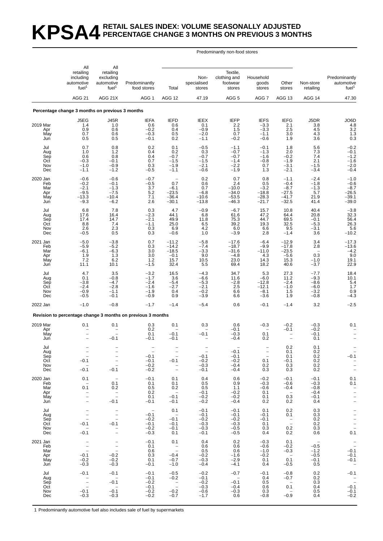### **KPSA4 RETAIL SALES INDEX: VOLUME SEASONALLY ADJUSTED PERCENTAGE CHANGE 3 MONTHS ON PREVIOUS 3 MONTHS**

#### Predominantly non-food stores

|                                             | All                                                                                                            | All                                                                                              |                                                                                   |                                                                   |                                                          |                                                          |                                                         |                                                                         |                                                                                |                                                                                       |
|---------------------------------------------|----------------------------------------------------------------------------------------------------------------|--------------------------------------------------------------------------------------------------|-----------------------------------------------------------------------------------|-------------------------------------------------------------------|----------------------------------------------------------|----------------------------------------------------------|---------------------------------------------------------|-------------------------------------------------------------------------|--------------------------------------------------------------------------------|---------------------------------------------------------------------------------------|
|                                             | retailing<br>including<br>automotive<br>fuel <sup>1</sup>                                                      | retailing<br>excluding<br>automotive<br>fuel <sup>1</sup>                                        | Predominantly<br>food stores                                                      | Total                                                             | Non-<br>specialised<br>stores                            | Textile,<br>clothing and<br>footwear<br>stores           | Household<br>goods<br>stores                            | Other<br>stores                                                         | Non-store<br>retailing                                                         | Predominantly<br>automotive<br>fuel <sup>1</sup>                                      |
|                                             | <b>AGG 21</b>                                                                                                  | AGG 21X                                                                                          | AGG <sub>1</sub>                                                                  | AGG 12                                                            | 47.19                                                    | AGG <sub>5</sub>                                         | AGG <sub>7</sub>                                        | AGG 13                                                                  | AGG 14                                                                         | 47.30                                                                                 |
|                                             | Percentage change 3 months on previous 3 months                                                                |                                                                                                  |                                                                                   |                                                                   |                                                          |                                                          |                                                         |                                                                         |                                                                                |                                                                                       |
| 2019 Mar<br>Apr<br>May<br>Jun               | J5EG<br>1.4<br>0.9<br>0.7<br>0.5                                                                               | <b>J45R</b><br>1.0<br>0.6<br>0.6<br>0.5                                                          | <b>IEFA</b><br>0.6<br>$-0.2$<br>$-0.3$<br>$-0.1$                                  | <b>IEFD</b><br>0.6<br>0.4<br>0.5<br>0.2                           | <b>IEEX</b><br>0.1<br>$-0.9$<br>$-2.0$<br>$-1.1$         | <b>IEFP</b><br>2.2<br>1.5<br>0.7<br>$-0.2$               | <b>IEFS</b><br>$-3.3$<br>$-3.3$<br>$-1.1$<br>$-0.6$     | <b>IEFG</b><br>$^{2.1}_{2.5}$<br>3.0<br>1.9                             | J5DR<br>3.8<br>4.5<br>4.3<br>3.6                                               | JO6D<br>4.8<br>3.2<br>1.3<br>0.3                                                      |
| Jul<br>Aug<br>Sep<br>Oct<br>Nov<br>Dec      | 0.7<br>1.0<br>0.6<br>$-0.3$<br>$-1.0$<br>$-1.1$                                                                | 0.8<br>1.2<br>0.8<br>$-0.1$<br>$-0.9$<br>$-1.2$                                                  | 0.2<br>0.4<br>0.4<br>0.7<br>0.3<br>$-0.5$                                         | 0.1<br>0.2<br>$-0.7$<br>$-1.5$<br>$-1.9$<br>$-1.1$                | $-0.5$<br>0.3<br>$-0.7$<br>$-1.5$<br>$-2.1$<br>$-0.6$    | $-1.1$<br>$-0.7$<br>$-0.7$<br>$-1.4$<br>$-2.2$<br>$-1.9$ | $-0.1$<br>$-1.3$<br>$-1.6$<br>$-0.8$<br>0.7<br>1.3      | 1.8<br>2.0<br>$-0.2$<br>$-1.9$<br>$-3.1$<br>$-2.1$                      | 5.6<br>7.3<br>7.4<br>2.1<br>$-1.5$<br>$-3.4$                                   | $-0.2$<br>$-0.1$<br>$-1.2$<br>$-1.6$<br>$-2.0$<br>$-0.4$                              |
| 2020 Jan<br>Feb<br>Mar<br>Apr<br>May<br>Jun | $-0.6$<br>$-0.2$<br>$-2.1$<br>$-9.5$<br>$-13.3$<br>$-9.3$                                                      | $-0.6$<br>$-0.1$<br>$-1.3$<br>$-7.5$<br>$-10.4$<br>$-6.2$                                        | $-0.7$<br>-0.5<br>3.7<br>5.2<br>7.1<br>2.6                                        | 0.7<br>$-6.1$<br>$-23.5$<br>$-36.4$<br>$-30.1$                    | 0.2<br>0.6<br>0.7<br>$-6.8$<br>$-10.6$<br>$-13.8$        | 0.7<br>2.4<br>$-10.0$<br>$-34.0$<br>$-53.5$<br>$-46.3$   | 0.8<br>0.5<br>$-3.2$<br>$-18.8$<br>$-28.3$<br>$-21.7$   | $-1.1$<br>$-0.4$<br>$-8.7$<br>$-27.5$<br>$-41.7$<br>$-32.5$             | $-2.4$<br>$-1.8$<br>$-1.3$<br>5.7<br>21.9<br>41.4                              | $-1.0$<br>$-0.6$<br>$-8.7$<br>–26.5<br>–39.1<br>$-39.0$                               |
| Jul<br>Aug<br>Sep<br>Oct<br>Nov<br>Dec      | 6.8<br>17.6<br>17.4<br>8.8<br>2.6<br>$-0.5$                                                                    | 7.8<br>16.4<br>14.7<br>7.4<br>2.3<br>0.5                                                         | 0.3<br>$-2.3$<br>$-2.1$<br>$-1.1$<br>0.3<br>0.3                                   | 4.7<br>44.1<br>49.9<br>25.0<br>6.9<br>$-0.6$                      | $-0.9$<br>6.8<br>11.8<br>6.5<br>4.2<br>1.0               | $-6.7$<br>61.6<br>75.3<br>39.2<br>6.0<br>$-3.9$          | 15.7<br>47.2<br>44.7<br>19.3<br>6.6<br>2.8              | 10.8<br>64.4<br>69.5<br>32.5<br>9.5<br>$-1.4$                           | 40.4<br>20.8<br>$-0.1$<br>$-5.3$<br>$-3.1$<br>3.6                              | $-3.8$<br>32.3<br>56.4<br>26.3<br>5.6<br>$-10.2$                                      |
| 2021 Jan<br>Feb<br>Mar<br>Apr<br>May<br>Jun | $-5.0$<br>$-5.9$<br>$-6.1$<br>1.9<br>7.2<br>11.1                                                               | $-3.8$<br>$-5.2$<br>$-6.3$<br>1.3<br>6.2<br>10.1                                                 | 0.7<br>0.3<br>3.0<br>3.0<br>1.2<br>$-1.5$                                         | $-11.2$<br>$-14.2$<br>$-18.5$<br>$-0.1$<br>15.7<br>32.4           | $-5.8$<br>$-7.4$<br>$-3.3$<br>9.0<br>10.5<br>5.5         | $-17.6$<br>$-18.7$<br>$-31.6$<br>$-4.8$<br>23.0<br>69.4  | $-6.4$<br>$-9.9$<br>$-11.0$<br>4.3<br>14.3<br>18.2      | $-12.9$<br>$-17.8$<br>$-23.5$<br>$-5.6$<br>15.3<br>40.6                 | 3.4<br>2.8<br>0.3<br>$-1.0$<br>$-3.7$                                          | $-17.3$<br>$-13.6$<br>$-4.2$<br>9.0<br>19.1<br>22.9                                   |
| Jul<br>Aug<br>Sep<br>Oct<br>Nov<br>Dec      | 4.7<br>0.1<br>$-3.8$<br>$-2.4$<br>$-0.9$<br>$-0.5$                                                             | 3.5<br>$-0.8$<br>$-4.7$<br>$-2.8$<br>$-1.1$<br>$-0.1$                                            | $-3.2$<br>$-1.7$<br>$-2.4$<br>$-1.6$<br>$-1.9$<br>$-0.9$                          | 16.5<br>3.6<br>$-5.4$<br>$-2.7$<br>0.4<br>0.9                     | $-4.3$<br>$-6.6$<br>$-5.3$<br>$-2.1$<br>$-0.2$<br>$-3.9$ | 34.7<br>11.6<br>$-2.8$<br>2.5<br>6.6<br>6.6              | 5.3<br>$-6.0$<br>$-12.8$<br>$-12.1$<br>$-8.1$<br>$-3.6$ | 27.3<br>11.2<br>$-2.4$<br>$-1.0$<br>1.5<br>1.9                          | $-7.7$<br>$-9.3$<br>$-8.6$<br>$-6.0$<br>$-3.2$<br>$-0.8$                       | $18.4$<br>$10.1$<br>5.4<br>1.7<br>$0.9 - 4.3$                                         |
| 2022 Jan                                    | $-1.0$                                                                                                         | $-0.8$                                                                                           | $-1.7$                                                                            | $-1.4$                                                            | $-5.4$                                                   | 0.6                                                      | $-0.1$                                                  | $-1.4$                                                                  | 3.2                                                                            | $-2.5$                                                                                |
|                                             |                                                                                                                |                                                                                                  | Revision to percentage change 3 months on previous 3 months                       |                                                                   |                                                          |                                                          |                                                         |                                                                         |                                                                                |                                                                                       |
| 2019 Mar<br>Apr<br>May<br>Jun               | 0.1                                                                                                            | 0.1<br>$-0.1$                                                                                    | 0.3<br>0.2<br>0.1<br>$-0.1$                                                       | 0.1<br>$-0.1$<br>$-0.1$                                           | 0.3<br>$-0.1$                                            | 0.6<br>$-0.1$<br>$-0.3$<br>$-0.4$                        | $-0.3$<br>0.1<br>0.2                                    | $-0.2$<br>$-0.1$                                                        | $-0.3$<br>$-0.2$<br>$-0.1$<br>0.1                                              | 0.1                                                                                   |
| Jul<br>Aug<br>Sep<br>Oct<br>Nov<br>Dec      | $-0.1$<br>$\overline{\phantom{a}}$<br>$-0.1$                                                                   | $\overline{\phantom{m}}$<br>$\qquad \qquad -$<br>$\overline{\phantom{0}}$<br>$-0.1$              | $-0.1$<br>$-0.1$<br>$-0.2$<br>$-0.2$                                              | ÷,<br>$\qquad \qquad -$<br>$-0.1$<br>$\bar{a}$                    | $-0.1$<br>$-0.2$<br>$-0.3$<br>$-0.1$                     | $-0.1$<br>$-0.1$<br>$-0.2$<br>$-0.4$<br>$-0.4$           | $\qquad \qquad -$<br>$-$<br>0.1<br>0.2<br>0.3           | 0.2<br>0.1<br>0.1<br>$-0.1$<br>0.3<br>0.3                               | 0.1<br>0.2<br>0.2<br>0.2<br>0.2<br>0.2                                         | $-0.1$<br>$\frac{1}{2}$                                                               |
| 2020 Jan<br>Feb<br>Mar<br>Apr<br>May<br>Jun | 0.1<br>$\hspace{0.1mm}-\hspace{0.1mm}$<br>0.1<br>$\bar{a}$<br>$\overline{\phantom{a}}$                         | $\overline{\phantom{a}}$<br>0.1<br>0.2<br>$\bar{\Box}$<br>$-0.1$                                 | $-0.1$<br>0.1<br>0.5<br>0.2<br>0.1<br>$-0.1$                                      | 0.1<br>0.1<br>0.2<br>$\overline{\phantom{0}}$<br>$-0.1$<br>$-0.1$ | 0.4<br>0.5<br>0.5<br>$-0.1$<br>$-0.2$<br>$-0.2$          | 0.6<br>0.9<br>1.1<br>$-0.2$<br>$-0.2$<br>$-0.4$          | $-0.2$<br>$-0.3$<br>$-0.6$<br>0.1<br>0.1<br>0.2         | $-0.1$<br>$-0.6$<br>$-0.4$<br>$\overline{\phantom{a}}$<br>0.3<br>0.2    | $-0.1$<br>$-0.3$<br>$-0.8$<br>$-0.4$<br>$-0.1$<br>0.4                          | 0.1<br>0.1<br>$\bar{z}$<br>$\overline{\phantom{0}}$<br>$\overline{\phantom{0}}$       |
| Jul<br>Aug<br>Sep<br>Oct<br>Nov<br>Dec      | $\overline{\phantom{a}}$<br>$\bar{a}$<br>$-0.1$<br>$\overline{\phantom{0}}$<br>$-0.1$                          | $\overline{\phantom{m}}$<br>$\bar{a}$<br>$-0.1$<br>$\qquad \qquad -$<br>$\overline{\phantom{0}}$ | $\hspace{0.1mm}-\hspace{0.1mm}$<br>$-0.1$<br>$-0.2$<br>$-0.1$<br>$-0.2$<br>$-0.3$ | 0.1<br>$\sim$<br>$-0.1$<br>$-0.1$<br>$-0.1$<br>0.1                | $-0.1$<br>$-0.1$<br>$-0.2$<br>$-0.3$<br>$-0.3$<br>$-0.1$ | $-0.1$<br>$-0.1$<br>$-0.2$<br>$-0.3$<br>$-0.5$<br>$-0.5$ | 0.1<br>$-0.1$<br>$-0.1$<br>0.1<br>0.3<br>0.4            | 0.2<br>0.1<br>$\overline{\mathbb{Z}}$<br>0.2<br>0.2                     | 0.3<br>0.3<br>0.2<br>0.2<br>0.3<br>0.6                                         | $\frac{1}{1}$<br>0.1                                                                  |
| 2021 Jan<br>Feb<br>Mar<br>Apr<br>May<br>Jun | $\bar{\mathbb{I}}$<br>$\equiv$<br>$-0.1$<br>$-0.2$<br>$-0.3$                                                   | $\frac{1}{2}$<br>$-0.2$<br>$-0.2$<br>$-0.3$                                                      | $-0.1$<br>0.1<br>0.6<br>0.3<br>0.1<br>$-0.1$                                      | 0.1<br>$\overline{a}$<br>$-0.4$<br>$-0.7$<br>$-1.0$               | 0.4<br>0.6<br>0.5<br>$-0.2$<br>$-0.3$<br>$-0.4$          | 0.2<br>0.6<br>0.6<br>$-1.6$<br>$-2.9$<br>$-4.1$          | $-0.3$<br>$-0.6$<br>$-1.0$<br>$-0.2$<br>0.1<br>0.4      | 0.1<br>$-0.2$<br>$-0.3$<br>$\overline{a}$<br>0.1<br>$-0.5$              | $\hspace{0.1mm}-\hspace{0.1mm}$<br>$-0.5$<br>$-1.2$<br>$-0.5$<br>$-0.1$<br>0.5 | $\bar{\mathbb{I}}$<br>$-0.1$<br>$-0.1$<br>$-0.1$<br>$\hspace{0.1cm}$ $\hspace{0.1cm}$ |
| Jul<br>Aug<br>Sep<br>Oct<br>Nov<br>Dec      | $-0.1$<br>$\overline{\phantom{a}}$<br>$\overline{\phantom{a}}$<br>$\overline{\phantom{a}}$<br>$-0.1$<br>$-0.3$ | $-0.1$<br>$\sim$<br>$-0.1$<br>$\sim$<br>$-0.1$<br>$-0.3$                                         | $-0.1$<br>$-0.1$<br>$-0.2$<br>$-0.1$<br>$-0.2$<br>$-0.2$                          | $-0.5$<br>$-0.2$<br>$\frac{1}{2}$<br>$-0.2$<br>$-0.7$             | $-0.2$<br>$-0.1$<br>$-0.2$<br>$-0.3$<br>$-0.6$<br>$-1.7$ | $-0.7$<br>$-$<br>$-0.1$<br>$-0.4$<br>$-0.3$<br>0.6       | $-0.1$<br>0.4<br>0.5<br>0.6<br>0.3<br>$-0.8$            | $-0.8$<br>$-0.7$<br>$\sim$<br>0.1<br>$\overline{\phantom{0}}$<br>$-0.9$ | 0.2<br>0.2<br>0.3<br>0.4<br>0.5<br>0.4                                         | $-0.1$<br>$\overline{\phantom{a}}$<br>$-0.1$<br>$-0.1$<br>$-0.2$                      |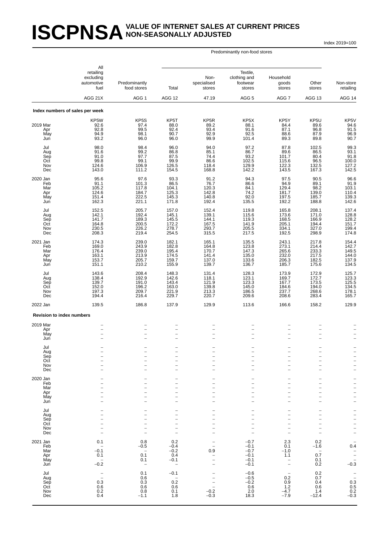## **ISCPNSA** VALUE OF INTERNET SALES AT CURRENT PRICES **NON-SEASONALLY ADJUSTED**

Index 2019=100

|                                             | All<br>retailing<br>excluding<br>automotive<br>fuel<br>AGG 21X                                | Predominantly<br>food stores<br>AGG <sub>1</sub>                                    | Total<br>AGG 12                                                                                              | Non-<br>specialised<br>stores<br>47.19                                                | Textile,<br>clothing and<br>footwear<br>stores<br>AGG <sub>5</sub>                                 | Household<br>goods<br>stores<br>AGG 7                                                                                                                         | Other<br>stores<br>AGG 13                                                             | Non-store<br>retailing<br>AGG 14                                                                   |
|---------------------------------------------|-----------------------------------------------------------------------------------------------|-------------------------------------------------------------------------------------|--------------------------------------------------------------------------------------------------------------|---------------------------------------------------------------------------------------|----------------------------------------------------------------------------------------------------|---------------------------------------------------------------------------------------------------------------------------------------------------------------|---------------------------------------------------------------------------------------|----------------------------------------------------------------------------------------------------|
|                                             | Index numbers of sales per week                                                               |                                                                                     |                                                                                                              |                                                                                       |                                                                                                    |                                                                                                                                                               |                                                                                       |                                                                                                    |
| 2019 Mar<br>Apr<br>May<br>Jun               | KP5W<br>92.6<br>92.8<br>94.9<br>93.2                                                          | KP <sub>5</sub> S<br>97.4<br>99.5<br>98.1<br>96.0                                   | KP5T<br>88.0<br>92.4<br>90.7<br>96.0                                                                         | KP <sub>5</sub> R<br>89.2<br>93.4<br>92.9<br>99.9                                     | KP5X<br>88.1<br>91.6<br>92.5<br>101.4                                                              | KP5Y<br>84.4<br>87.1<br>88.6<br>89.3                                                                                                                          | KP5U<br>89.6<br>96.8<br>87.9<br>89.8                                                  | KP5V<br>$\frac{94.6}{91.5}$<br>96.9<br>90.7                                                        |
| Jul<br>Aug<br>Sep<br>Oct<br>Nov<br>Dec      | 98.0<br>91.6<br>91.0<br>99.8<br>124.6<br>143.0                                                | 98.4<br>99.2<br>97.7<br>99.1<br>106.9<br>111.2                                      | 96.0<br>86.8<br>87.5<br>99.9<br>126.5<br>154.5                                                               | 94.0<br>85.1<br>74.4<br>86.6<br>118.4<br>168.8                                        | 97.2<br>86.7<br>93.2<br>102.5<br>129.9<br>142.2                                                    | 87.8<br>89.6<br>101.7<br>115.6<br>122.3<br>143.5                                                                                                              | 102.5<br>86.5<br>80.4<br>96.5<br>132.5<br>167.3                                       | 99.3<br>93.1<br>91.8<br>100.0<br>$127.2$<br>142.5                                                  |
| 2020 Jan<br>Feb<br>Mar<br>Apr<br>May<br>Jun | 95.6<br>91.1<br>105.2<br>124.6<br>151.4<br>162.3                                              | 97.6<br>101.3<br>117.8<br>184.7<br>222.5<br>221.1                                   | 93.3<br>86.5<br>104.1<br>125.3<br>145.3<br>171.8                                                             | 91.2<br>76.7<br>120.3<br>142.8<br>140.8<br>192.4                                      | 94.3<br>86.6<br>84.1<br>74.2<br>92.0<br>135.5                                                      | 97.5<br>94.9<br>129.4<br>181.7<br>197.5<br>192.2                                                                                                              | 90.5<br>89.1<br>98.2<br>139.0<br>185.7<br>188.8                                       | 96.6<br>91.9<br>103.1<br>110.4<br>139.3<br>142.6                                                   |
| Jul<br>Aug<br>Sep<br>Oct<br>Nov<br>Dec      | 152.5<br>142.1<br>141.7<br>164.8<br>230.5<br>208.3                                            | 205.7<br>192.4<br>189.3<br>200.5<br>226.2<br>219.4                                  | 157.0<br>145.1<br>145.5<br>172.2<br>278.7<br>254.5                                                           | 152.4<br>139.1<br>144.1<br>167.5<br>293.7<br>315.5                                    | 119.8<br>115.6<br>119.3<br>141.9<br>205.5<br>217.5                                                 | 165.8<br>173.6<br>168.5<br>205.1<br>334.1<br>192.5                                                                                                            | 208.1<br>171.0<br>166.9<br>194.4<br>327.0<br>298.9                                    | 137.4<br>128.8<br>128.2<br>151.7<br>199.4<br>174.8                                                 |
| 2021 Jan<br>Feb<br>Mar<br>Apr<br>May<br>Jun | 174.3<br>169.0<br>176.4<br>163.1<br>153.7<br>151.1                                            | 239.0<br>243.9<br>239.0<br>213.9<br>205.7<br>210.2                                  | 182.1<br>182.8<br>195.4<br>174.5<br>159.7<br>155.9                                                           | 165.1<br>164.8<br>170.7<br>141.4<br>137.0<br>139.7                                    | 135.5<br>123.8<br>147.3<br>135.0<br>133.6<br>136.7                                                 | 243.1<br>273.1<br>265.6<br>232.0<br>206.3<br>185.7                                                                                                            | 217.8<br>214.4<br>233.3<br>217.5<br>182.5<br>175.6                                    | 154.4<br>142.7<br>149.5<br>144.0<br>137.9<br>134.5                                                 |
| Jul<br>Aug<br>Sep<br>Oct<br>Nov<br>Dec      | 143.6<br>138.4<br>139.7<br>152.0<br>197.3<br>194.4                                            | 208.4<br>192.9<br>191.0<br>196.2<br>209.7<br>216.4                                  | 148.3<br>142.6<br>143.4<br>163.0<br>221.9<br>229.7                                                           | 131.4<br>118.1<br>121.9<br>139.8<br>213.3<br>220.7                                    | 128.3<br>123.1<br>123.3<br>145.0<br>186.5<br>209.6                                                 | 173.9<br>169.7<br>167.7<br>184.6<br>237.7<br>208.6                                                                                                            | 172.9<br>172.7<br>173.5<br>194.0<br>268.6<br>283.4                                    | 125.7<br>123.3<br>125.5<br>134.5<br>178.1<br>165.7                                                 |
| 2022 Jan                                    | 139.5                                                                                         | 186.8                                                                               | 137.9                                                                                                        | 129.9                                                                                 | 113.6                                                                                              | 166.6                                                                                                                                                         | 158.2                                                                                 | 129.9                                                                                              |
| <b>Revision to index numbers</b>            |                                                                                               |                                                                                     |                                                                                                              |                                                                                       |                                                                                                    |                                                                                                                                                               |                                                                                       |                                                                                                    |
| 2019 Mar<br>Apr<br>May<br>Jun               | $\overline{\phantom{0}}$                                                                      |                                                                                     | $\overline{\phantom{0}}$<br>$\overline{\phantom{0}}$<br>-<br>$\overline{a}$                                  | $\overline{\phantom{0}}$<br>$\overline{\phantom{0}}$<br>$\overline{\phantom{0}}$      | $\overline{\phantom{0}}$<br>$\overline{a}$                                                         | $\overline{\phantom{0}}$<br>$\overline{\phantom{0}}$<br>$\overline{\phantom{0}}$                                                                              | $\overline{\phantom{0}}$<br>$\overline{\phantom{0}}$                                  | $\overline{a}$                                                                                     |
| Jul<br>Aug<br>Sep<br>Oct<br>Nov<br>Dec      | $\overline{\phantom{0}}$                                                                      |                                                                                     | $\overline{\phantom{0}}$<br>$\overline{a}$<br>-<br>$\overline{\phantom{0}}$<br>$\overline{\phantom{0}}$      | $\overline{\phantom{0}}$<br>$\overline{a}$<br>$\overline{a}$<br>$\overline{a}$        | $\overline{\phantom{0}}$<br>$\overline{\phantom{0}}$<br>$\overline{\phantom{0}}$<br>$\overline{a}$ | $\overline{a}$<br>$\overline{\phantom{0}}$<br>$\overline{\phantom{0}}$<br>$\qquad \qquad -$<br>$\overline{\phantom{0}}$                                       | $\overline{\phantom{0}}$<br>$\overline{\phantom{m}}$<br>$\overline{\phantom{0}}$      | -<br>$\overline{\phantom{0}}$<br>$\overline{\phantom{0}}$<br>-<br>$\qquad \qquad -$                |
| 2020 Jan<br>Feb<br>Mar<br>Apr<br>May<br>Jun |                                                                                               |                                                                                     | $\overline{\phantom{0}}$<br>$\overline{a}$<br>-<br>-<br>$\overline{\phantom{0}}$<br>$\overline{\phantom{0}}$ | $\overline{\phantom{0}}$<br>$\overline{\phantom{0}}$<br>-<br>$\overline{\phantom{0}}$ | $\overline{a}$<br>$\overline{\phantom{0}}$<br>$\overline{\phantom{0}}$                             | $\overline{\phantom{0}}$<br>$\overline{\phantom{0}}$<br>$\overline{\phantom{0}}$<br>$\qquad \qquad -$<br>$\overline{\phantom{0}}$<br>$\overline{\phantom{0}}$ | $\overline{\phantom{0}}$<br>$\overline{\phantom{0}}$<br>$\overline{\phantom{0}}$      | -<br>$\frac{1}{1}$<br>$\frac{1}{2}$<br>$\overline{\phantom{0}}$                                    |
| Jul<br>Aug<br>Sep<br>Oct<br>Nov<br>Dec      | ۳                                                                                             | $\overline{\phantom{a}}$                                                            | -<br>-<br>$\overline{\phantom{0}}$<br>$\overline{\phantom{0}}$<br>$\overline{\phantom{0}}$                   | -<br>$\overline{\phantom{0}}$<br>$\overline{\phantom{0}}$                             | $\overline{a}$<br>$\overline{\phantom{0}}$<br>$\overline{\phantom{a}}$                             | -<br>$\overline{\phantom{0}}$<br>$\qquad \qquad -$<br>$\overline{\phantom{0}}$<br>$\overline{\phantom{0}}$<br>$\overline{\phantom{a}}$                        | -<br>$\overline{\phantom{0}}$<br>$\overline{\phantom{a}}$<br>$\overline{\phantom{0}}$ | -<br>-<br>$\overline{\phantom{a}}$<br>$\overline{a}$<br>$\overline{a}$                             |
| 2021 Jan<br>Feb<br>Mar<br>Apr<br>May<br>Jun | 0.1<br>$\overline{\phantom{a}}$<br>$-0.1$<br>0.1<br>$\hspace{0.1mm}-\hspace{0.1mm}$<br>$-0.2$ | 0.8<br>$-0.5$<br>$\overline{\phantom{a}}$<br>0.1<br>0.1<br>$\overline{\phantom{a}}$ | 0.2<br>$-0.4$<br>$-0.2$<br>0.4<br>$-0.1$<br>$\overline{\phantom{0}}$                                         | $\overline{a}$<br>0.9<br>$\qquad \qquad -$<br>$\overline{a}$                          | $-0.7$<br>$-0.1$<br>$-0.7$<br>$-0.1$<br>$-0.1$<br>$-0.1$                                           | 2.3<br>0.1<br>$-1.0$<br>1.1<br>$\qquad \qquad -$<br>$\overline{\phantom{0}}$                                                                                  | 0.2<br>$-1.6$<br>$\overline{\phantom{a}}$<br>0.7<br>0.1<br>0.2                        | $\overline{a}$<br>0.4<br>$\qquad \qquad -$<br>$\overline{\phantom{0}}$<br>$\overline{a}$<br>$-0.3$ |
| Jul<br>Aug<br>Sep<br>Oct<br>Nov<br>Dec      | $\overline{\phantom{0}}$<br>$\overline{\phantom{0}}$<br>0.3<br>0.6<br>0.2<br>0.4              | 0.1<br>0.6<br>0.3<br>0.6<br>0.8<br>$-1.1$                                           | $-0.1$<br>$\overline{\phantom{0}}$<br>0.2<br>0.6<br>0.1<br>1.8                                               | $\overline{\phantom{0}}$<br>-<br>$\overline{a}$<br>$-0.2$<br>$-0.3$                   | $-0.6$<br>$-0.5$<br>$-0.2$<br>0.6<br>2.0<br>18.3                                                   | $\overline{\phantom{0}}$<br>0.2<br>0.9<br>1.2<br>$-4.7$<br>$-7.9$                                                                                             | 0.2<br>0.7<br>0.4<br>0.6<br>1.4<br>$-12.4$                                            | $\bar{a}$<br>$\begin{array}{c} 0.3 \\ 0.5 \\ 0.2 \\ -0.3 \end{array}$                              |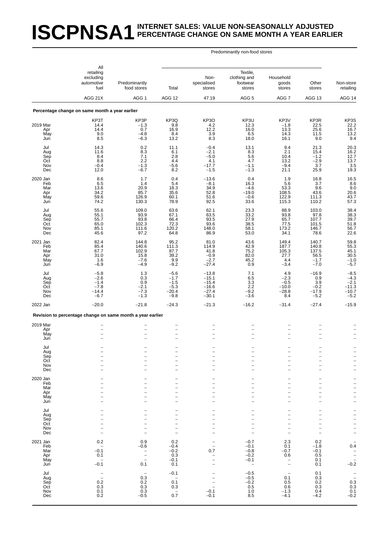## **ISCPNSA1** INTERNET SALES: VALUE NON-SEASONALLY ADJUSTED **PERCENTAGE CHANGE ON SAME MONTH A YEAR EARLIER**

|                                             | All<br>retailing<br>excluding<br>automotive<br>fuel                                    | Predominantly<br>food stores                                                                             | Total                                                                                      | Non-<br>specialised<br>stores                                                                | Textile,<br>clothing and<br>footwear<br>stores                             | Household<br>goods<br>stores                                                                                                   | Other<br>stores                                                                                                           | Non-store<br>retailing                                                                                                |
|---------------------------------------------|----------------------------------------------------------------------------------------|----------------------------------------------------------------------------------------------------------|--------------------------------------------------------------------------------------------|----------------------------------------------------------------------------------------------|----------------------------------------------------------------------------|--------------------------------------------------------------------------------------------------------------------------------|---------------------------------------------------------------------------------------------------------------------------|-----------------------------------------------------------------------------------------------------------------------|
|                                             | AGG 21X                                                                                | AGG <sub>1</sub>                                                                                         | AGG 12                                                                                     | 47.19                                                                                        | AGG <sub>5</sub>                                                           | AGG <sub>7</sub>                                                                                                               | AGG 13                                                                                                                    | AGG 14                                                                                                                |
|                                             | Percentage change on same month a year earlier                                         |                                                                                                          |                                                                                            |                                                                                              |                                                                            |                                                                                                                                |                                                                                                                           |                                                                                                                       |
| 2019 Mar<br>Apr<br>May<br>Jun               | KP3T<br>14.4<br>14.4<br>9.0<br>8.5                                                     | KP3P<br>$-1.3$<br>0.7<br>$-4.8$<br>$-6.3$                                                                | KP3Q<br>9.8<br>16.9<br>8.4<br>13.2                                                         | KP3O<br>$4.2$<br>12.2<br>3.9<br>8.3                                                          | KP3U<br>12.3<br>16.0<br>6.5<br>18.0                                        | KP3V<br>$-1.8$<br>13.3<br>14.3<br>16.1                                                                                         | KP3R<br>22.5<br>25.6<br>11.5<br>9.0                                                                                       | KP3S<br>$22.2$<br>16.7<br>13.2<br>9.4                                                                                 |
| Jul<br>Aug<br>Sep<br>Oct<br>Nov<br>Dec      | 14.3<br>11.6<br>8.4<br>8.8<br>$-0.4$<br>12.0                                           | 0.2<br>8.3<br>7.1<br>2.2<br>$-1.3$<br>$-6.7$                                                             | 11.1<br>6.1<br>2.8<br>4.4<br>$-5.6$<br>8.2                                                 | $-0.4$<br>$-2.1$<br>$-5.0$<br>4.1<br>$-17.7$<br>$-1.5$                                       | 13.1<br>8.3<br>5.6<br>4.7<br>$-1.1$<br>$-1.3$                              | 9.4<br>2.1<br>10.4<br>13.2<br>$-9.4$<br>21.1                                                                                   | 21.3<br>15.4<br>$-1.2$<br>$-2.9$<br>3.7<br>25.9                                                                           | 20.3<br>$\frac{16.2}{12.7}$<br>13.7<br>$\frac{3.5}{19.3}$                                                             |
| 2020 Jan<br>Feb<br>Mar<br>Apr<br>May<br>Jun | 8.6<br>6.5<br>13.6<br>34.2<br>59.6<br>74.2                                             | 1.7<br>1.4<br>20.9<br>85.7<br>126.9<br>130.3                                                             | 0.4<br>5.4<br>18.3<br>35.6<br>60.1<br>78.9                                                 | $-13.6$<br>$-8.1$<br>34.9<br>52.8<br>51.6<br>92.5                                            | 0.4<br>16.3<br>$-4.6$<br>$-19.0$<br>$-0.6$<br>33.6                         | 1.9<br>5.6<br>53.3<br>108.5<br>122.9<br>115.3                                                                                  | 16.8<br>3.7<br>9.6<br>43.6<br>111.3<br>110.2                                                                              | $\begin{array}{c} 16.5 \\ 8.6 \\ 9.0 \end{array}$<br>20.6<br>43.7<br>57.3                                             |
| Jul<br>Aug<br>Sep<br>Oct<br>Nov<br>Dec      | 55.6<br>55.1<br>55.7<br>65.0<br>85.1<br>45.6                                           | 109.0<br>93.9<br>93.8<br>102.3<br>111.6<br>97.2                                                          | 63.6<br>67.1<br>66.4<br>72.3<br>120.2<br>64.8                                              | 62.1<br>63.5<br>93.5<br>93.6<br>148.0<br>86.9                                                | 23.3<br>33.2<br>27.9<br>38.5<br>58.1<br>53.0                               | 88.9<br>93.8<br>65.7<br>77.5<br>173.2<br>34.1                                                                                  | 103.0<br>97.8<br>107.7<br>101.5<br>146.7<br>78.6                                                                          | 38.4<br>38.3<br>39.7<br>$\frac{51.8}{56.7}$<br>22.6                                                                   |
| 2021 Jan<br>Feb<br>Mar<br>Apr<br>May<br>Jun | 82.4<br>85.4<br>67.7<br>31.0<br>1.6<br>$-6.9$                                          | 144.8<br>140.6<br>102.9<br>15.8<br>$-7.6$<br>$-4.9$                                                      | 95.2<br>111.3<br>87.7<br>39.2<br>9.9<br>$-9.2$                                             | 81.0<br>114.9<br>41.8<br>$-0.9$<br>$-2.7$<br>$-27.4$                                         | 43.6<br>42.9<br>75.2<br>82.0<br>45.2<br>0.9                                | 149.4<br>187.7<br>105.3<br>27.7<br>4.4<br>$-3.4$                                                                               | 140.7<br>140.8<br>137.5<br>56.5<br>$-1.7$<br>$-7.0$                                                                       | 59.8<br>55.3<br>45.1<br>30.5<br>$-1.0$<br>$-5.7$                                                                      |
| Jul<br>Aug<br>Sep<br>Oct<br>Nov<br>Dec      | $-5.8$<br>$-2.6$<br>$-1.4$<br>$-7.8$<br>$-14.4$<br>$-6.7$                              | 1.3<br>0.3<br>0.9<br>$-2.1$<br>$-7.3$<br>$-1.3$                                                          | $-5.6$<br>$-1.7$<br>$-1.5$<br>$-5.3$<br>$-20.4$<br>$-9.8$                                  | $-13.8$<br>$-15.1$<br>$-15.4$<br>$-16.6$<br>$-27.4$<br>$-30.1$                               | 7.1<br>6.5<br>3.3<br>2.2<br>$-9.2$<br>$-3.6$                               | 4.9<br>$-2.3$<br>$-0.5$<br>$-10.0$<br>$-28.8$<br>8.4                                                                           | $-16.9$<br>0.9<br>3.9<br>$-0.2$<br>$-17.9$<br>$-5.2$                                                                      | $-8.5$<br>$-4.3$<br>$-2.1$<br>$-11.3$<br>$-10.7$<br>$-5.2$                                                            |
| 2022 Jan                                    | $-20.0$                                                                                | $-21.8$                                                                                                  | $-24.3$                                                                                    | $-21.3$                                                                                      | $-16.2$                                                                    | $-31.4$                                                                                                                        | $-27.4$                                                                                                                   | $-15.9$                                                                                                               |
|                                             | Revision to percentage change on same month a year earlier                             |                                                                                                          |                                                                                            |                                                                                              |                                                                            |                                                                                                                                |                                                                                                                           |                                                                                                                       |
| 2019 Mar<br>Apr<br>May<br>Jun               |                                                                                        |                                                                                                          | $\overline{\phantom{0}}$<br>-<br>$\overline{a}$                                            | $\overline{\phantom{0}}$<br>$\overline{\phantom{0}}$                                         |                                                                            | $\overline{\phantom{0}}$<br>$\qquad \qquad -$<br>$\overline{a}$                                                                | $\overline{\phantom{0}}$<br>$\overline{\phantom{0}}$<br>$\overline{\phantom{0}}$                                          |                                                                                                                       |
| Jul<br>Aug<br>Sep<br>Oct<br>Nov<br>Dec      | $\overline{\phantom{0}}$<br>-                                                          |                                                                                                          | -<br>$\overline{\phantom{0}}$<br>L.                                                        | -<br>-<br>$\overline{\phantom{0}}$<br>$\overline{\phantom{0}}$                               | $\overline{\phantom{0}}$<br>$\overline{\phantom{0}}$                       | $\qquad \qquad -$<br>$\overline{\phantom{0}}$<br>$\overline{\phantom{0}}$                                                      | $\overline{a}$<br>$\overline{\phantom{0}}$<br>$\overline{\phantom{0}}$<br>$\overline{\phantom{0}}$                        | $\overline{\phantom{0}}$<br>$\overline{\phantom{0}}$<br>$\overline{\phantom{0}}$                                      |
| 2020 Jan<br>Feb<br>Mar<br>Apr<br>May<br>Jun |                                                                                        |                                                                                                          | -<br>-<br>$\overline{\phantom{0}}$<br>-<br>$\overline{\phantom{0}}$                        | $\overline{\phantom{0}}$<br>-                                                                | -<br>$\overline{\phantom{0}}$                                              | $\overline{\phantom{0}}$<br>$\overline{\phantom{0}}$<br>$\overline{a}$<br>$\overline{\phantom{0}}$<br>$\overline{\phantom{0}}$ | -<br>$\overline{\phantom{0}}$<br>1<br>$\overline{\phantom{0}}$<br>$\overline{\phantom{0}}$<br>$\overline{\phantom{0}}$    | -<br>$\qquad \qquad -$<br>$\overline{a}$<br>$\overline{\phantom{0}}$<br>$\overline{\phantom{a}}$<br>$\qquad \qquad -$ |
| Jul<br>Aug<br>Sep<br>Oct<br>Nov<br>Dec      | $\overline{\phantom{0}}$                                                               | $\overline{\phantom{0}}$                                                                                 | -<br>$\overline{a}$<br>L.<br>-<br>$\overline{a}$                                           | -<br>$\overline{\phantom{0}}$<br>$\overline{\phantom{0}}$                                    | $\overline{\phantom{0}}$<br>÷,<br>÷,                                       | -<br>$\overline{a}$<br>$\overline{\phantom{0}}$<br>$\qquad \qquad -$<br>$\overline{\phantom{0}}$                               | -<br>$\overline{\phantom{0}}$<br>$\overline{\phantom{0}}$<br>$\overline{a}$<br>$\overline{a}$<br>$\overline{\phantom{0}}$ | $\qquad \qquad -$<br>$\frac{1}{1}$<br>$\frac{1}{2}$                                                                   |
| 2021 Jan<br>Feb<br>Mar<br>Apr<br>May<br>Jun | 0.2<br>$\overline{\phantom{a}}$<br>$-0.1$<br>0.1<br>$\overline{\phantom{a}}$<br>$-0.1$ | 0.9<br>$-0.6$<br>$\overline{\phantom{0}}$<br>$\overline{\phantom{m}}$<br>$\overline{\phantom{a}}$<br>0.1 | 0.2<br>$-0.4$<br>$-0.2$<br>0.3<br>$-0.1$<br>0.1                                            | $\overline{\phantom{a}}$<br>0.7<br>-<br>$\overline{\phantom{0}}$<br>$\overline{\phantom{0}}$ | $-0.7$<br>$-0.1$<br>$-0.8$<br>$-0.2$<br>$-0.1$<br>$\overline{\phantom{a}}$ | 2.3<br>0.1<br>$-0.7$<br>0.6<br>$\bar{a}$                                                                                       | 0.2<br>$-1.8$<br>$-0.1$<br>0.5<br>0.1<br>0.1                                                                              | 0.4<br>$\frac{-}{-0.2}$                                                                                               |
| Jul<br>Aug<br>Sep<br>Oct<br>Nov<br>Dec      | $\overline{\phantom{0}}$<br>$\overline{\phantom{a}}$<br>0.2<br>0.3<br>0.1<br>0.2       | 0.3<br>0.2<br>0.3<br>0.3<br>$-0.5$                                                                       | $-0.1$<br>$\overline{\phantom{a}}$<br>0.1<br>0.3<br>$\hspace{0.1mm}-\hspace{0.1mm}$<br>0.7 | $\overline{a}$<br>$-0.1$<br>$-0.1$                                                           | $-0.5$<br>$-0.5$<br>$-0.2$<br>0.5<br>1.0<br>8.5                            | 0.1<br>0.5<br>0.6<br>$-1.3$<br>$-4.1$                                                                                          | 0.1<br>0.3<br>0.2<br>0.3<br>0.4<br>$-4.2$                                                                                 | $\frac{1}{2}$<br>$\begin{array}{c} 0.3 \\ 0.3 \end{array}$<br>0.1<br>$-0.2$                                           |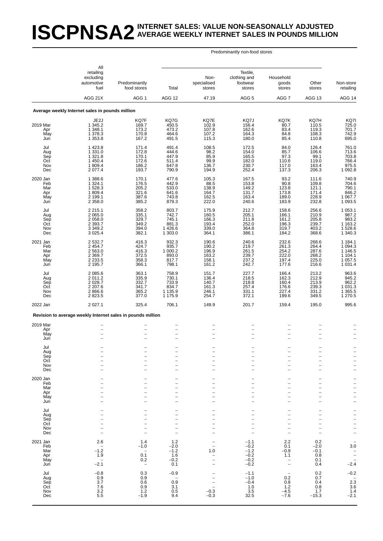### **ISCPNSA2** INTERNET SALES: VALUE NON-SEASONALLY ADJUSTED **AVERAGE WEEKLY INTERNET SALES IN POUNDS MILLION**

|                                             | All                                                                                    |                                                                              |                                                          |                                                    |                                                                                                              |                                                                                            |                                                                                                    |                                                                                                                         |
|---------------------------------------------|----------------------------------------------------------------------------------------|------------------------------------------------------------------------------|----------------------------------------------------------|----------------------------------------------------|--------------------------------------------------------------------------------------------------------------|--------------------------------------------------------------------------------------------|----------------------------------------------------------------------------------------------------|-------------------------------------------------------------------------------------------------------------------------|
|                                             | retailing<br>excluding<br>automotive<br>fuel                                           | Predominantly<br>food stores                                                 | Total                                                    | Non-<br>specialised<br>stores                      | Textile,<br>clothing and<br>footwear<br>stores                                                               | Household<br>goods<br>stores                                                               | Other<br>stores                                                                                    | Non-store<br>retailing                                                                                                  |
|                                             | AGG 21X                                                                                | AGG <sub>1</sub>                                                             | AGG 12                                                   | 47.19                                              | AGG <sub>5</sub>                                                                                             | AGG <sub>7</sub>                                                                           | AGG 13                                                                                             | AGG 14                                                                                                                  |
|                                             | Average weekly Internet sales in pounds million                                        |                                                                              |                                                          |                                                    |                                                                                                              |                                                                                            |                                                                                                    |                                                                                                                         |
| 2019 Mar<br>Apr<br>May<br>Jun               | JE2J<br>1 345.2<br>1 348.1<br>1 378.3<br>1 3 5 3.8                                     | KQ7F<br>169.7<br>173.2<br>170.8<br>167.2                                     | KQ7G<br>450.5<br>473.2<br>464.6<br>491.5                 | KQ7E<br>102.9<br>107.8<br>107.2<br>115.3           | KQ7J<br>156.4<br>162.6<br>164.3<br>180.0                                                                     | KQ7K<br>80.7<br>83.4<br>84.8<br>85.4                                                       | KQ7H<br>110.5<br>119.3<br>108.3<br>110.8                                                           | KQ7I<br>725.0<br>701.7<br>742.9<br>695.0                                                                                |
| Jul<br>Aug<br>Sep<br>Oct<br>Nov<br>Dec      | 1 4 2 3.8<br>1 3 3 1 . 0<br>1 321.8<br>1 450.4<br>1809.4<br>2 0 7 7.4                  | 171.4<br>172.8<br>170.1<br>172.6<br>186.2<br>193.7                           | 491.4<br>444.6<br>447.9<br>511.4<br>647.8<br>790.9       | 108.5<br>98.2<br>85.9<br>99.9<br>136.7<br>194.9    | 172.5<br>154.0<br>165.5<br>182.0<br>230.7<br>252.4                                                           | 84.0<br>85.7<br>97.3<br>110.6<br>117.0<br>137.3                                            | 126.4<br>106.6<br>99.1<br>119.0<br>163.4<br>206.3                                                  | 761.0<br>713.6<br>703.8<br>766.4<br>975.5<br>1 0 9 2.8                                                                  |
| 2020 Jan<br>Feb<br>Mar<br>Apr<br>May<br>Jun | 1 388.6<br>1 3 2 4 . 1<br>1528.3<br>1 809.4<br>2 199.1<br>2 3 5 8 . 0                  | 170.1<br>176.5<br>205.2<br>321.6<br>387.6<br>385.2                           | 477.6<br>442.9<br>533.0<br>641.6<br>743.8<br>879.3       | 105.3<br>88.5<br>138.9<br>164.7<br>162.5<br>222.0  | 167.5<br>153.8<br>149.2<br>131.7<br>163.4<br>240.6                                                           | 93.2<br>90.8<br>123.8<br>173.8<br>189.0<br>183.9                                           | 111.6<br>109.8<br>121.1<br>171.4<br>228.9<br>232.8                                                 | 740.9<br>704.6<br>790.1<br>846.2<br>1 067.7<br>1 093.5                                                                  |
| Jul<br>Aug<br>Sep<br>Oct<br>Nov<br>Dec      | 2 2 1 5 . 1<br>2 0 6 5 .0<br>2 0 58.0<br>2 3 9 3.7<br>3 3 4 9 . 2<br>3 0 25.4          | 358.2<br>335.1<br>329.7<br>349.2<br>394.0<br>382.1                           | 803.7<br>742.7<br>745.1<br>881.3<br>1426.6<br>1 303.0    | 175.9<br>160.5<br>166.3<br>193.4<br>339.0<br>364.1 | 212.7<br>205.1<br>211.8<br>252.0<br>364.8<br>386.1                                                           | 158.6<br>166.1<br>161.2<br>196.3<br>319.7<br>184.2                                         | 256.6<br>210.9<br>205.8<br>239.7<br>403.2<br>368.6                                                 | 1 0 5 3.1<br>987.2<br>983.2<br>1 1 63.2<br>1528.6<br>1 340.3                                                            |
| 2021 Jan<br>Feb<br>Mar<br>Apr<br>May<br>Jun | 2 532.7<br>2 4 5 4.7<br>2 563.0<br>2 3 69.7<br>2 2 3 3.5<br>2 195.7                    | 416.3<br>424.7<br>416.3<br>372.5<br>358.3<br>366.1                           | 932.3<br>935.7<br>1 000.2<br>893.0<br>817.7<br>798.1     | 190.6<br>190.2<br>196.9<br>163.2<br>158.1<br>161.2 | 240.6<br>219.7<br>261.5<br>239.7<br>237.2<br>242.7                                                           | 232.6<br>261.3<br>254.2<br>222.0<br>197.4<br>177.6                                         | 268.6<br>264.4<br>287.6<br>268.2<br>225.0<br>216.6                                                 | 1 184.1<br>1 094.3<br>1 146.5<br>1 104.1<br>1 057.5<br>1 031.4                                                          |
| Jul<br>Aug<br>Sep<br>Oct<br>Nov<br>Dec      | 2 0 8 5 . 6<br>2 0 1 1 . 2<br>2 0 28.7<br>2 2 0 7.6<br>2866.6<br>2823.5                | 363.1<br>335.9<br>332.7<br>341.7<br>365.2<br>377.0                           | 758.9<br>730.1<br>733.9<br>834.7<br>1 1 3 5.9<br>1 175.9 | 151.7<br>136.4<br>140.7<br>161.3<br>246.1<br>254.7 | 227.7<br>218.5<br>218.8<br>257.4<br>331.1<br>372.1                                                           | 166.4<br>162.3<br>160.4<br>176.6<br>227.4<br>199.6                                         | 213.2<br>212.9<br>213.9<br>239.3<br>331.2<br>349.5                                                 | 963.6<br>945.2<br>962.2<br>$1\,031.3$<br>$1\,365.5$<br>$1\,270.5$                                                       |
| 2022 Jan                                    | 2 0 2 7 . 1                                                                            | 325.4                                                                        | 706.1                                                    | 149.9                                              | 201.7                                                                                                        | 159.4                                                                                      | 195.0                                                                                              | 995.6                                                                                                                   |
|                                             | Revision to average weekly Internet sales in pounds million                            |                                                                              |                                                          |                                                    |                                                                                                              |                                                                                            |                                                                                                    |                                                                                                                         |
| 2019 Mar<br>Apr<br>May<br>Jun               | $\qquad \qquad -$<br>$\overline{\phantom{a}}$                                          | $\overline{\phantom{0}}$<br>$\qquad \qquad -$<br>$\overline{\phantom{0}}$    | $\qquad \qquad -$<br>$\overline{\phantom{0}}$            | $\overline{\phantom{a}}$                           | $\overline{\phantom{0}}$                                                                                     | $\qquad \qquad -$<br>$\overline{\phantom{a}}$                                              | ÷<br>L.                                                                                            |                                                                                                                         |
| Jul<br>Aug<br>Sep<br>Oct<br>Nov<br>Dec      | $\overline{\phantom{0}}$                                                               | $\overline{\phantom{0}}$                                                     | $\overline{\phantom{a}}$<br>$\overline{\phantom{0}}$     | $\overline{\phantom{a}}$                           | $\overline{\phantom{0}}$<br>$\overline{\phantom{0}}$<br>$\overline{\phantom{0}}$<br>$\overline{\phantom{0}}$ | -<br>$\qquad \qquad -$<br>$\overline{\phantom{0}}$<br>-<br>$\overline{\phantom{0}}$        | $\overline{a}$<br>$\overline{\phantom{0}}$<br>$\overline{\phantom{0}}$<br>$\overline{\phantom{0}}$ | $\qquad \qquad -$<br>$\frac{1}{2}$<br>$\overline{\phantom{0}}$<br>$\overline{\phantom{0}}$<br>$\overline{\phantom{0}}$  |
| 2020 Jan<br>Feb<br>Mar<br>Apr<br>May<br>Jun |                                                                                        |                                                                              | $\overline{\phantom{0}}$                                 | $\overline{\phantom{0}}$                           | $\overline{\phantom{0}}$<br>$\overline{\phantom{0}}$                                                         | -<br>$\overline{\phantom{0}}$<br>-<br>$\overline{\phantom{0}}$<br>$\overline{\phantom{0}}$ | -<br>$\overline{\phantom{0}}$<br>$\overline{\phantom{0}}$<br>$\overline{\phantom{0}}$              | $\overline{\phantom{0}}$<br>$\overline{\phantom{0}}$<br>$\overline{a}$<br>$\overline{\phantom{0}}$<br>$\qquad \qquad -$ |
| Jul<br>Aug<br>Sep<br>Oct<br>Nov<br>Dec      |                                                                                        | $\overline{\phantom{0}}$                                                     |                                                          |                                                    | $\overline{\phantom{0}}$                                                                                     | $\overline{\phantom{0}}$<br>-<br>-<br>$\overline{\phantom{0}}$                             | L.<br>$\overline{\phantom{0}}$<br>-<br>$\overline{a}$<br>L                                         | $\overline{\phantom{0}}$<br>$\overline{a}$<br>$\overline{\phantom{0}}$<br>$\overline{\phantom{0}}$<br>$\qquad \qquad -$ |
| 2021 Jan<br>Feb<br>Mar<br>Apr<br>May<br>Jun | 2.6<br>$\overline{\phantom{a}}$<br>$-1.2$<br>1.9<br>$\overline{\phantom{a}}$<br>$-2.1$ | 1.4<br>$-1.0$<br>$\overline{\phantom{a}}$<br>0.1<br>0.2<br>$\qquad \qquad -$ | $1.2$<br>$-2.0$<br>$-1.2$<br>1.6<br>$-0.2$<br>0.1        | 1.0<br>$\overline{\phantom{a}}$                    | $-1.1$<br>$-0.2$<br>$-1.2$<br>$-0.2$<br>$-0.2$<br>$-0.2$                                                     | 2.2<br>0.1<br>$-0.9$<br>1.1<br>$\qquad \qquad -$<br>$\qquad \qquad -$                      | 0.2<br>$-2.0$<br>$-0.1$<br>0.8<br>0.1<br>0.4                                                       | $\qquad \qquad -$<br>$3.0\,$<br>$\qquad \qquad -$<br>$\bar{a}$<br>$-2.4$                                                |
| Jul<br>Aug<br>Sep<br>Oct<br>Nov<br>Dec      | $-0.8$<br>0.9<br>3.7<br>7.6<br>$\frac{3.2}{5.5}$                                       | 0.3<br>0.9<br>0.6<br>0.9<br>$1.2$<br>$-1.9$                                  | $-0.9$<br>0.9<br>3.1<br>0.5<br>9.4                       | $\overline{\phantom{0}}$<br>$-0.3$<br>$-0.3$       | $-1.1$<br>$-1.0$<br>$-0.4$<br>1.0<br>3.5<br>32.5                                                             | $\qquad \qquad -$<br>0.2<br>0.8<br>1.2<br>$-4.5$<br>-7.6                                   | 0.2<br>0.7<br>0.4<br>0.8<br>1.7<br>$-15.3$                                                         | $-0.2$<br>$\frac{2.3}{3.6}$<br>1.4<br>$-2.1$                                                                            |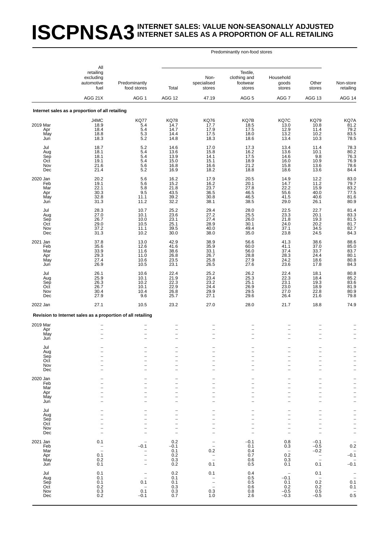### **ISCPNSA3** INTERNET SALES: VALUE NON-SEASONALLY ADJUSTED **INTERNET SALES AS A PROPORTION OF ALL RETAILING**

|                                             | All                                                                             |                                                                                                |                                                      |                                                             |                                                                                    |                                                                                                              |                                                                                            |                                                                                                                                                               |
|---------------------------------------------|---------------------------------------------------------------------------------|------------------------------------------------------------------------------------------------|------------------------------------------------------|-------------------------------------------------------------|------------------------------------------------------------------------------------|--------------------------------------------------------------------------------------------------------------|--------------------------------------------------------------------------------------------|---------------------------------------------------------------------------------------------------------------------------------------------------------------|
|                                             | retailing<br>excluding<br>automotive<br>fuel                                    | Predominantly<br>food stores                                                                   | Total                                                | Non-<br>specialised<br>stores                               | Textile,<br>clothing and<br>footwear<br>stores                                     | Household<br>goods<br>stores                                                                                 | Other<br>stores                                                                            | Non-store<br>retailing                                                                                                                                        |
|                                             | AGG 21X                                                                         | AGG <sub>1</sub>                                                                               | <b>AGG 12</b>                                        | 47.19                                                       | AGG <sub>5</sub>                                                                   | AGG <sub>7</sub>                                                                                             | AGG 13                                                                                     | AGG 14                                                                                                                                                        |
|                                             | Internet sales as a proportion of all retailing                                 |                                                                                                |                                                      |                                                             |                                                                                    |                                                                                                              |                                                                                            |                                                                                                                                                               |
| 2019 Mar<br>Apr<br>May<br>Jun               | J4MC<br>18.9<br>18.4<br>18.8<br>18.3                                            | <b>KQ77</b><br>5.4<br>5.4<br>5.3<br>5.2                                                        | <b>KQ78</b><br>14.7<br>14.7<br>14.4<br>14.8          | <b>KQ76</b><br>17.7<br>17.9<br>17.5<br>18.3                 | KQ7B<br>18.5<br>17.5<br>18.0<br>18.6                                               | KQ7C<br>13.0<br>12.9<br>13.2<br>13.4                                                                         | <b>KQ79</b><br>10.8<br>11.4<br>10.2<br>10.3                                                | KQ7A<br>$\frac{81.2}{79.2}$<br>$\frac{83.5}{78.5}$                                                                                                            |
| Jul<br>Aug<br>Sep<br>Oct<br>Nov<br>Dec      | 18.7<br>18.1<br>18.1<br>19.1<br>21.6<br>21.4                                    | $5.2\,$<br>5.4<br>5.4<br>$5.4\,$<br>5.6<br>5.2                                                 | 14.6<br>13.6<br>13.9<br>15.0<br>16.8<br>16.9         | 17.0<br>15.8<br>14.1<br>15.1<br>16.6<br>18.2                | 17.3<br>$16.2$<br>17.5<br>18.9<br>21.2<br>18.8                                     | 13.4<br>13.6<br>14.6<br>16.0<br>15.8<br>18.6                                                                 | 11.4<br>$^{10.1}_{9.8}$<br>10.9<br>13.6<br>13.6                                            | 78.3<br>80.2<br>80.2<br>76.3<br>76.9<br>78.6<br>84.4                                                                                                          |
| 2020 Jan<br>Feb<br>Mar<br>Apr<br>May<br>Jun | 20.2<br>19.1<br>22.1<br>30.3<br>32.8<br>31.3                                    | $\frac{5.6}{5.6}$<br>$5.8\,$<br>$\frac{9.5}{11.1}$<br>11.2                                     | 16.2<br>15.2<br>21.8<br>43.5<br>39.2<br>32.2         | 17.9<br>16.2<br>23.7<br>36.5<br>30.8<br>38.1                | $\frac{20.5}{20.1}$<br>27.8<br>$\begin{array}{c} 46.5 \\ 46.5 \end{array}$<br>38.5 | 14.9<br>14.7<br>22.2<br>55.6<br>41.5<br>29.0                                                                 | 12.2<br>11.2<br>15.9<br>40.0<br>40.6<br>26.1                                               | 83.0<br>79.7<br>$\frac{83.2}{77.5}$<br>80.9                                                                                                                   |
| Jul<br>Aug<br>Sep<br>Oct<br>Nov<br>Dec      | 28.3<br>27.0<br>26.7<br>29.0<br>37.2<br>31.3                                    | 10.7<br>10.1<br>$10.0$<br>$10.5$<br>11.1<br>10.2                                               | 25.2<br>23.6<br>23.1<br>25.1<br>39.5<br>30.0         | 29.4<br>27.2<br>27.4<br>28.9<br>40.0<br>38.0                | 28.0<br>25.5<br>26.0<br>30.1<br>49.4<br>35.0                                       | 22.5<br>23.3<br>21.8<br>24.0<br>37.1<br>23.8                                                                 | 22.7<br>20.1<br>19.3<br>20.2<br>34.5<br>24.5                                               | 81.4<br>83.3<br>81.5<br>81.7<br>82.7<br>84.3                                                                                                                  |
| 2021 Jan<br>Feb<br>Mar<br>Apr<br>May<br>Jun | 37.8<br>35.6<br>33.9<br>29.3<br>27.4<br>26.9                                    | 13.0<br>12.6<br>11.6<br>11.0<br>$10.6$<br>$10.5$                                               | 42.9<br>41.6<br>38.6<br>26.8<br>23.5<br>23.1         | 38.9<br>35.9<br>33.1<br>26.7<br>25.8<br>26.5                | 56.6<br>60.0<br>56.0<br>28.8<br>27.9<br>27.6                                       | 41.3<br>41.1<br>37.4<br>28.3<br>24.2<br>23.6                                                                 | 38.6<br>37.0<br>33.7<br>24.4<br>18.6<br>17.8                                               | 88.6<br>85.0<br>83.7<br>80.1<br>80.8<br>84.3                                                                                                                  |
| Jul<br>Aug<br>Sep<br>Oct<br>Nov<br>Dec      | 26.1<br>25.9<br>26.3<br>26.7<br>30.4<br>27.9                                    | 10.6<br>10.1<br>10.2<br>10.1<br>10.4<br>9.6                                                    | 22.4<br>21.9<br>22.3<br>22.9<br>26.8<br>25.7         | 25.2<br>23.4<br>23.2<br>24.4<br>29.9<br>27.1                | 26.2<br>25.3<br>25.1<br>26.9<br>$\frac{29.5}{29.6}$                                | 22.4<br>22.3<br>23.1<br>23.0<br>27.0<br>26.4                                                                 | 18.1<br>18.4<br>19.3<br>18.9<br>22.8<br>$21.\overline{6}$                                  | 80.8<br>85.2<br>83.6<br>81.9<br>80.9<br>79.8                                                                                                                  |
| 2022 Jan                                    | 27.1                                                                            | 10.5                                                                                           | 23.2                                                 | 27.0                                                        | 28.0                                                                               | 21.7                                                                                                         | 18.8                                                                                       | 74.9                                                                                                                                                          |
|                                             | Revision to Internet sales as a proportion of all retailing                     |                                                                                                |                                                      |                                                             |                                                                                    |                                                                                                              |                                                                                            |                                                                                                                                                               |
| 2019 Mar<br>Apr<br>May<br>Jun<br>Jul        |                                                                                 |                                                                                                |                                                      |                                                             |                                                                                    | $\overline{\phantom{0}}$<br>$\overline{\phantom{0}}$<br>$\overline{\phantom{0}}$<br>$\overline{\phantom{0}}$ | -<br>L.                                                                                    |                                                                                                                                                               |
| Aug<br>Sep<br>Oct<br>Nov<br>Dec             |                                                                                 |                                                                                                |                                                      |                                                             |                                                                                    | $\overline{\phantom{0}}$<br>-<br>$\overline{\phantom{0}}$                                                    | -<br>$\overline{a}$<br>-<br>-                                                              | $\overline{\phantom{0}}$<br>$\overline{\phantom{0}}$                                                                                                          |
| 2020 Jan<br>Feb<br>Mar<br>Apr<br>May<br>Jun |                                                                                 |                                                                                                |                                                      |                                                             | $\overline{\phantom{0}}$<br>$\overline{\phantom{0}}$                               | -<br>-<br>-<br>$\overline{\phantom{0}}$<br>$\overline{\phantom{0}}$                                          | -<br>$\overline{\phantom{0}}$<br>-<br>$\overline{\phantom{0}}$<br>$\overline{\phantom{0}}$ | $\qquad \qquad -$<br>$\overline{\phantom{0}}$<br>$\overline{\phantom{0}}$<br>$\overline{\phantom{0}}$<br>$\overline{\phantom{0}}$<br>$\overline{\phantom{0}}$ |
| Jul<br>Aug<br>Sep<br>Oct<br>Nov<br>Dec      |                                                                                 |                                                                                                | $\overline{\phantom{0}}$<br>$\overline{\phantom{0}}$ |                                                             | ÷<br>$\overline{\phantom{0}}$                                                      | $\overline{\phantom{0}}$<br>-<br>-<br>$\overline{\phantom{0}}$<br>$\overline{\phantom{0}}$                   | $\overline{\phantom{0}}$<br>1<br>-<br>L.<br>L                                              | -<br>$\overline{\phantom{0}}$<br>$\frac{1}{1}$<br>$\bar{a}$                                                                                                   |
| 2021 Jan<br>Feb<br>Mar<br>Apr<br>May<br>Jun | 0.1<br>$\hspace{1.0cm} - \hspace{1.0cm}$<br>$\overline{a}$<br>0.1<br>0.2<br>0.1 | $\overline{\phantom{0}}$<br>$-0.1$<br>$\qquad \qquad -$<br>$\qquad \qquad -$                   | 0.2<br>$-0.1$<br>0.1<br>0.2<br>0.3<br>0.2            | $\overline{\phantom{m}}$<br>0.2<br>$\bar{a}$<br>0.1         | $-0.1$<br>0.1<br>0.4<br>0.7<br>0.6<br>0.5                                          | 0.8<br>0.3<br>$\overline{\phantom{a}}$<br>0.2<br>0.3<br>0.1                                                  | $-0.1$<br>$-0.5$<br>$-0.2$<br>$\bar{a}$<br>0.1                                             | $\qquad \qquad -$<br>0.2<br>$-0.\overline{1}$<br>$\qquad \qquad -$<br>$-0.1$                                                                                  |
| Jul<br>Aug<br>Sep<br>Oct<br>Nov<br>Dec      | 0.1<br>0.1<br>0.1<br>0.2<br>$0.3\,$<br>0.2                                      | $\overline{\phantom{0}}$<br>$\overline{a}$<br>0.1<br>$\overline{\phantom{0}}$<br>0.1<br>$-0.1$ | 0.2<br>0.1<br>0.1<br>0.3<br>0.3<br>0.7               | 0.1<br>$\qquad \qquad -$<br>$\qquad \qquad -$<br>0.3<br>1.0 | 0.4<br>0.5<br>0.5<br>0.6<br>0.8<br>2.6                                             | $\qquad \qquad -$<br>$-0.1$<br>0.1<br>0.2<br>$-0.5$<br>$-0.3$                                                | 0.1<br>$\overline{a}$<br>0.2<br>0.2<br>$0.5\,$<br>$-0.5$                                   | $\frac{-}{0.1}$<br>0.1<br>$0.\overline{5}$                                                                                                                    |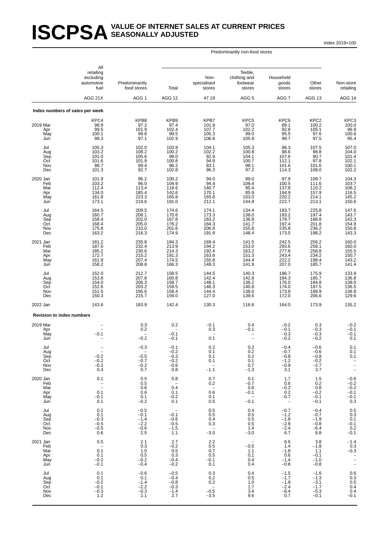#### **ISCPSA** SEASONALLY ADJUSTED **SEASONALLY ADJUSTED**

Index 2019=100

|                                             | All<br>retailing<br>excluding<br>automotive<br>fuel               | Predominantly<br>food stores                          | Total                                                                   | Non-<br>specialised<br>stores                                     | Textile,<br>clothing and<br>footwear<br>stores                        | Household<br>goods<br>stores                                      | Other<br>stores                                          | Non-store<br>retailing                                |
|---------------------------------------------|-------------------------------------------------------------------|-------------------------------------------------------|-------------------------------------------------------------------------|-------------------------------------------------------------------|-----------------------------------------------------------------------|-------------------------------------------------------------------|----------------------------------------------------------|-------------------------------------------------------|
|                                             | AGG 21X                                                           | AGG <sub>1</sub>                                      | AGG 12                                                                  | 47.19                                                             | AGG <sub>5</sub>                                                      | AGG 7                                                             | AGG 13                                                   | AGG 14                                                |
|                                             | Index numbers of sales per week                                   |                                                       |                                                                         |                                                                   |                                                                       |                                                                   |                                                          |                                                       |
| 2019 Mar<br>Apr<br>May<br>Jun               | KPC4<br>98.8<br>99.5<br>100.1<br>98.3                             | KPB8<br>97.2<br>101.9<br>99.8<br>97.1                 | KPB9<br>$97.4$<br>102.4<br>99.5<br>102.9                                | KPB7<br>101.9<br>107.7<br>105.3<br>106.8                          | KPC5<br>$\begin{array}{c} 97.0 \\ 102.2 \end{array}$<br>99.0<br>105.9 | KPC6<br>89.1<br>92.8<br>95.5<br>99.7                              | KPC <sub>2</sub><br>100.2<br>105.1<br>97.6<br>97.5       | KPC3<br>100.0<br>96.9<br>100.6<br>95.4                |
| Jul<br>Aug<br>Sep<br>Oct<br>Nov<br>Dec      | 105.3<br>103.2<br>101.0<br>101.6<br>98.7<br>101.3                 | 102.0<br>108.2<br>105.6<br>101.9<br>99.4<br>92.7      | 103.9<br>100.2<br>99.0<br>100.8<br>96.2<br>102.8                        | 104.1<br>102.2<br>92.9<br>94.9<br>83.1<br>96.3                    | 105.3<br>100.8<br>104.1<br>100.7<br>98.1<br>97.2                      | 96.3<br>98.6<br>107.6<br>112.1<br>101.6<br>114.3                  | 107.5<br>98.8<br>90.7<br>97.8<br>101.6<br>108.0          | 107.0<br>104.0<br>101.4<br>102.1<br>100.1<br>102.2    |
| 2020 Jan<br>Feb<br>Mar<br>Apr<br>May<br>Jun | 101.9<br>103.2<br>112.4<br>134.0<br>161.8<br>173.1                | 96.2<br>96.0<br>113.4<br>185.4<br>223.3<br>219.6      | 100.2<br>104.9<br>118.6<br>142.6<br>165.8<br>191.0                      | 94.0<br>94.4<br>140.7<br>170.1<br>165.8<br>212.1                  | 99.0<br>109.4<br>95.4<br>85.9<br>103.0<br>144.8                       | 97.9<br>100.5<br>137.8<br>194.9<br>220.2<br>222.7                 | 109.7<br>111.6<br>116.2<br>157.9<br>214.1<br>213.1       | 104.3<br>103.7<br>108.2<br>116.5<br>145.2<br>150.6    |
| Jul<br>Aug<br>Sep<br>Oct<br>Nov<br>Dec      | 164.5<br>160.7<br>158.4<br>168.4<br>175.8<br>163.2                | 209.5<br>206.1<br>202.0<br>205.0<br>210.0<br>216.3    | 174.6<br>170.6<br>167.8<br>176.2<br>201.6<br>174.9                      | 174.1<br>173.3<br>183.2<br>184.3<br>206.8<br>191.9                | 134.4<br>138.0<br>136.8<br>141.7<br>155.8<br>148.4                    | 183.7<br>193.2<br>179.7<br>197.4<br>235.8<br>173.5                | 225.8<br>197.4<br>188.8<br>201.8<br>236.2<br>198.2       | 147.6<br>143.7<br>142.3<br>150.8<br>143.3             |
| 2021 Jan<br>Feb<br>Mar<br>Apr<br>May<br>Jun | 181.2<br>187.6<br>185.2<br>172.7<br>161.9<br>158.2                | 235.8<br>232.4<br>230.6<br>215.2<br>207.4<br>208.8    | 194.3<br>213.9<br>214.3<br>191.3<br>174.5<br>166.3                      | 169.4<br>194.2<br>192.4<br>163.6<br>155.8<br>149.3                | 141.5<br>153.0<br>163.2<br>151.3<br>144.4<br>141.9                    | 242.5<br>293.6<br>277.8<br>243.4<br>222.2<br>207.0                | 256.2<br>258.1<br>258.8<br>234.2<br>198.4<br>185.7       | 160.0<br>160.0<br>155.5<br>150.7<br>143.2<br>141.4    |
| Jul<br>Aug<br>Sep<br>Oct<br>Nov<br>Dec      | 152.0<br>153.8<br>154.0<br>152.6<br>151.5<br>150.3                | 212.7<br>207.8<br>206.3<br>203.2<br>195.6<br>215.7    | 158.5<br>160.8<br>158.7<br>159.5<br>158.4<br>159.0                      | 144.5<br>142.4<br>148.1<br>146.3<br>144.4<br>127.0                | 140.3<br>142.8<br>138.2<br>140.8<br>138.0<br>139.6                    | 186.7<br>184.3<br>176.0<br>174.0<br>173.8<br>172.0                | 175.9<br>185.7<br>184.8<br>187.5<br>188.9<br>206.6       | 133.9<br>136.8<br>139.0<br>136.5<br>136.8<br>129.6    |
| 2022 Jan                                    | 143.6                                                             | 183.9                                                 | 142.4                                                                   | 130.3                                                             | 116.6                                                                 | 164.0                                                             | 173.9                                                    | 135.2                                                 |
| <b>Revision to index numbers</b>            |                                                                   |                                                       |                                                                         |                                                                   |                                                                       |                                                                   |                                                          |                                                       |
| 2019 Mar<br>Apr<br>May<br>Jun               | $-0.1$                                                            | 0.3<br>0.2<br>$-0.2$                                  | 0.2<br>$-0.1$<br>$-0.1$                                                 | $-0.1$<br>0.3<br>0.1                                              | 0.4<br>$-0.1$                                                         | $-0.2$<br>$-0.1$<br>$-0.3$<br>$-0.2$                              | 0.3<br>$-0.3$<br>$-0.3$<br>$-0.2$                        | $-0.2$<br>$-0.1$<br>$-0.1$<br>0.1                     |
| Jul<br>Aug<br>Sep<br>Oct<br>Nov<br>Dec      | $-0.2$<br>$-0.2$<br>$-0.2$<br>0.4                                 | $-0.3$<br>$-0.5$<br>$-0.7$<br>$-0.2$<br>0.7           | $-0.1$<br>$-0.2$<br>$-0.3$<br>$-0.2$<br>$-0.6$<br>0.8                   | 0.2<br>0.1<br>0.1<br>0.1<br>$\overline{\phantom{a}}$<br>$-1.1$    | 0.2<br>0.2<br>0.2<br>0.1<br>0.7<br>$-1.3$                             | $-0.4$<br>$-0.7$<br>$-0.8$<br>$-1.2$<br>$-0.9$<br>3.1             | $-0.6$<br>$-0.6$<br>$-0.8$<br>$-0.2$<br>$-2.7$<br>3.7    | 0.1<br>0.1<br>0.1<br>$\frac{1}{2}$                    |
| 2020 Jan<br>Feb<br>Mar<br>Apr<br>May<br>Jun | 0.1<br>$\bar{a}$<br>0.1<br>$-0.1$<br>0.1                          | 0.5<br>0.5<br>0.6<br>0.6<br>0.1<br>$-0.2$             | 0.8<br>$\hspace{0.1mm}-\hspace{0.1mm}$<br>0.4<br>0.1<br>$-0.2$<br>0.1   | 0.7<br>0.2<br>$0.\overline{6}$<br>0.1<br>0.5                      | 0.1<br>$-0.7$<br>0.6<br>$-0.1$<br>$\overline{\phantom{a}}$<br>$-0.1$  | 1.7<br>0.6<br>$-0.2$<br>0.2<br>$-0.7$<br>$\overline{\phantom{0}}$ | 1.5<br>0.2<br>0.8<br>$-0.2$<br>$-0.1$<br>$-0.1$          | $-0.6$<br>$^{-0.2}_{-0.2}$<br>$-0.1$<br>$-0.1$<br>0.3 |
| Jul<br>Aug<br>Sep<br>Oct<br>Nov<br>Dec      | 0.2<br>0.1<br>$-0.3$<br>$-0.5$<br>$-0.5$<br>0.6                   | $-0.5$<br>$-0.1$<br>$-1.4$<br>$-2.2$<br>$-0.6$<br>2.5 | $\overline{\phantom{0}}$<br>$-0.1$<br>$-0.6$<br>$-0.5$<br>$-1.5$<br>1.1 | 0.5<br>0.5<br>0.4<br>0.3<br>$\mathcal{L}_{\mathcal{A}}$<br>$-3.5$ | 0.4<br>0.5<br>0.5<br>0.5<br>1.4<br>$-3.0$                             | $-0.7$<br>$-1.2$<br>$-1.8$<br>$-2.8$<br>$-2.4$<br>6.7             | $-0.4$<br>$-0.7$<br>$-1.9$<br>$-0.8$<br>$-6.4$<br>6.8    | $0.5 \\ 0.3$<br>0.1<br>$-0.1$<br>$0.2 - 0.1$          |
| 2021 Jan<br>Feb<br>Mar<br>Apr<br>May<br>Jun | 0.5<br>$\overline{\phantom{a}}$<br>0.1<br>0.1<br>$-0.2$<br>$-0.1$ | 2.1<br>0.3<br>1.0<br>0.5<br>$-0.2$<br>$-0.4$          | 2.7<br>$-0.2$<br>0.5<br>0.3<br>$-0.4$<br>$-0.2$                         | 2.2<br>0.5<br>0.7<br>0.5<br>$-0.1$<br>0.1                         | $\qquad \qquad -$<br>$-0.5$<br>1.1<br>0.1<br>0.4<br>0.4               | 6.6<br>1.4<br>$-1.8$<br>0.6<br>$-1.4$<br>$-0.8$                   | 3.8<br>$-1.8$<br>1.1<br>$-0.1$<br>$-1.0$<br>$-0.8$       | $-1.4$<br>0.3<br>$-0.3$<br>$\frac{1}{2}$              |
| Jul<br>Aug<br>Sep<br>Oct<br>Nov<br>Dec      | 0.1<br>0.1<br>$-0.2$<br>$-0.1$<br>$-0.3$<br>1.2                   | $-0.6$<br>0.1<br>$-1.4$<br>$-2.2$<br>$-0.3$<br>2.1    | $-0.5$<br>$-0.4$<br>$-0.8$<br>$-0.3$<br>$-1.4$<br>2.7                   | 0.3<br>0.2<br>0.2<br>$\qquad \qquad -$<br>$-0.5$<br>$-3.5$        | 0.4<br>0.5<br>1.0<br>1.7<br>3.4<br>9.6                                | $-1.5$<br>$-1.7$<br>$-1.9$<br>$-2.4$<br>$-6.4$<br>0.7             | $-1.6$<br>$-1.3$<br>$-3.1$<br>$-1.7$<br>$-5.3$<br>$-0.1$ | $0.6$<br>$0.3$<br>$0.5$<br>$0.4$<br>0.4<br>$-0.1$     |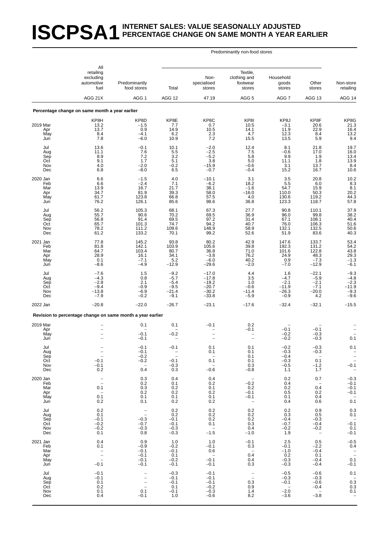# **ISCPSA1** INTERNET SALES: VALUE SEASONALLY ADJUSTED **PERCENTAGE CHANGE ON SAME MONTH A YEAR EARLIER**

|                                               | All<br>retailing<br>excluding<br>automotive                                         | Predominantly                                                                                                                 |                                                           | Non-<br>specialised                                                                        | Textile,<br>clothing and<br>footwear                                    | Household<br>goods                                           | Other                                                       | Non-store                                                               |
|-----------------------------------------------|-------------------------------------------------------------------------------------|-------------------------------------------------------------------------------------------------------------------------------|-----------------------------------------------------------|--------------------------------------------------------------------------------------------|-------------------------------------------------------------------------|--------------------------------------------------------------|-------------------------------------------------------------|-------------------------------------------------------------------------|
|                                               | fuel<br>AGG 21X                                                                     | food stores<br>AGG <sub>1</sub>                                                                                               | Total<br><b>AGG 12</b>                                    | stores<br>47.19                                                                            | stores<br>AGG <sub>5</sub>                                              | stores<br>AGG <sub>7</sub>                                   | stores<br>AGG 13                                            | retailing<br>AGG 14                                                     |
|                                               | Percentage change on same month a year earlier                                      |                                                                                                                               |                                                           |                                                                                            |                                                                         |                                                              |                                                             |                                                                         |
| 2019 Mar<br>Apr<br>May                        | KP8H<br>13.2<br>13.7<br>8.4                                                         | KP8D<br>$-1.5$<br>0.9<br>$-4.1$                                                                                               | KP8E<br>7.7<br>14.9<br>6.2                                | KP8C<br>0.7<br>10.5<br>2.3                                                                 | KP8I<br>10.5<br>14.1<br>4.7                                             | KP8J<br>$-3.1$<br>11.9<br>12.3                               | KP8F<br>20.6<br>22.9<br>8.4                                 | KP8G<br>$^{21.3}_{16.4}$<br>13.2                                        |
| Jun<br>Jul<br>Aug<br>Sep<br>Oct<br>Nov<br>Dec | 7.8<br>13.6<br>11.1<br>8.9<br>9.1<br>4.0<br>6.8                                     | $-6.0$<br>$-0.1$<br>$7.6$<br>$7.2$<br>1.7<br>$-2.0$<br>$-8.0$                                                                 | 10.9<br>10.1<br>$\frac{5.5}{3.2}$<br>5.1<br>$-0.2$<br>6.5 | 7.2<br>$-2.0$<br>$-2.5$<br>$-5.2$<br>3.8<br>$-15.9$<br>$-0.7$                              | 15.5<br>12.4<br>$7.5$<br>$5.8$<br>5.0<br>$-0.6$<br>$-0.4$               | 13.5<br>8.1<br>$-0.6$<br>9.9<br>11.1<br>3.1<br>15.2          | 5.9<br>21.8<br>17.0<br>1.9<br>1.8<br>13.7<br>16.7           | 9.4<br>19.7<br>16.0<br>13.4<br>13.9<br>$8.4$<br>10.6                    |
| 2020 Jan<br>Feb<br>Mar<br>Apr<br>May<br>Jun   | 6.6<br>6.6<br>13.9<br>34.7<br>61.7<br>76.2                                          | $-1.5$<br>$-2.4$<br>16.7<br>81.9<br>123.8<br>126.1                                                                            | 4.0<br>7.1<br>21.7<br>39.3<br>66.8<br>85.6                | $-10.1$<br>$-6.2$<br>38.1<br>58.0<br>57.5<br>98.6                                          | 3.1<br>18.2<br>$-1.6$<br>$-16.0$<br>4.0<br>36.8                         | 3.5<br>5.5<br>54.7<br>110.0<br>130.6<br>123.3                | 20.8<br>6.0<br>15.9<br>50.3<br>119.2<br>118.7               | $^{10.2}_{8.3}$<br>8.1<br>20.2<br>44.3<br>57.8                          |
| Jul<br>Aug<br>Sep<br>Oct<br>Nov<br>Dec        | 56.2<br>55.7<br>56.8<br>65.7<br>78.2<br>61.2                                        | 105.3<br>90.6<br>91.4<br>101.3<br>111.2<br>133.2                                                                              | 68.1<br>70.2<br>69.5<br>74.7<br>109.6<br>70.1             | 67.3<br>69.5<br>97.2<br>94.2<br>148.9<br>99.2                                              | 27.7<br>36.9<br>31.4<br>40.7<br>58.9<br>52.6                            | 90.8<br>96.0<br>67.1<br>76.0<br>132.1<br>51.9                | 110.1<br>99.8<br>108.1<br>106.3<br>132.5<br>83.6            | 37.9<br>38.2<br>$40.4$<br>51.6<br>50.6<br>40.3                          |
| 2021 Jan<br>Feb<br>Mar<br>Apr<br>May<br>Jun   | 77.8<br>81.8<br>64.7<br>28.9<br>0.1<br>$-8.6$                                       | 145.2<br>142.1<br>103.4<br>16.1<br>$-7.1$<br>$-4.9$                                                                           | 93.8<br>103.9<br>80.7<br>34.1<br>5.2<br>$-12.9$           | 80.2<br>105.6<br>36.8<br>$-3.8$<br>$-6.0$<br>$-29.6$                                       | 42.9<br>39.8<br>71.0<br>76.2<br>$40.2 - 2.0$                            | 147.6<br>192.3<br>101.6<br>24.9<br>0.9<br>$-7.0$             | 133.7<br>131.2<br>122.8<br>48.3<br>$-7.3$<br>$-12.9$        | 53.4<br>54.2<br>43.8<br>29.3<br>$-1.3$<br>$-6.1$                        |
| Jul<br>Aug<br>Sep<br>Oct<br>Nov<br>Dec        | $-7.6$<br>$-4.3$<br>$-2.8$<br>$-9.4$<br>$-13.8$<br>$-7.9$                           | $\begin{array}{c} 1.5 \\ 0.8 \end{array}$<br>2.1<br>$-0.9$<br>$-6.9$<br>$-0.2$                                                | $-9.2$<br>$-5.7$<br>$-5.4$<br>$-9.5$<br>$-21.4$<br>$-9.1$ | $-17.0$<br>$-17.8$<br>$-19.2$<br>$-20.7$<br>$-30.2$<br>$-33.8$                             | 4.4<br>3.5<br>1.0<br>$-0.6$<br>$-11.4$<br>$-5.9$                        | 1.6<br>$-4.7$<br>$-2.1$<br>$-11.9$<br>$-26.3$<br>$-0.9$      | $-22.1$<br>$-5.9$<br>$-2.1$<br>$-7.1$<br>$-20.0$<br>4.2     | $-9.3$<br>$-4.8$<br>$-2.3$<br>$-11.9$<br>$-9.3$<br>$-9.6$               |
| 2022 Jan                                      | $-20.8$                                                                             | $-22.0$                                                                                                                       | $-26.7$                                                   | $-23.1$                                                                                    | $-17.6$                                                                 | $-32.4$                                                      | $-32.1$                                                     | $-15.5$                                                                 |
| 2019 Mar                                      | Revision to percentage change on same month a year earlier                          | 0.1                                                                                                                           | 0.1                                                       | $-0.1$                                                                                     | 0.2                                                                     |                                                              |                                                             |                                                                         |
| Apr<br>May<br>Jun                             |                                                                                     | $-0.1$<br>$-0.1$                                                                                                              | $-0.2$                                                    | $\overline{\phantom{a}}$                                                                   | $-0.1$<br>$\overline{\phantom{0}}$                                      | $-0.1$<br>$-0.2$<br>$-0.2$                                   | $-0.1$<br>$-0.3$<br>$-0.3$                                  | 0.1                                                                     |
| Jul<br>Aug<br>Sep<br>Oct<br>Nov<br>Dec        | $\overline{\phantom{a}}$<br>$-0.1$<br>$-0.1$<br>0.2                                 | $-0.1$<br>$-0.1$<br>$-0.2$<br>$-0.2$<br>$\sim$ $-$<br>0.4                                                                     | $-0.1$<br>$\sim$ $-$<br>$-0.1$<br>$-0.3$<br>0.3           | 0.1<br>0.1<br>$\overline{\phantom{a}}$<br>0.1<br>$\hspace{0.1mm}-\hspace{0.1mm}$<br>$-0.6$ | 0.1<br>0.1<br>0.1<br>0.1<br>0.3<br>$-0.8$                               | $-0.2$<br>-0.3<br>$-0.4$<br>$-0.3$<br>$-0.5$<br>1.1          | $-0.3$<br>-0.3<br>$\overline{a}$<br>0.1<br>$-1.2$<br>1.7    | 0.1<br>$\pm$<br>$-0.1$<br>$\sim$ $-$                                    |
| 2020 Jan<br>Feb<br>Mar<br>Apr<br>May<br>Jun   | $\sim$<br>$\overline{\phantom{a}}$<br>0.1<br>$\overline{\phantom{0}}$<br>0.1<br>0.2 | 0.3<br>0.2<br>0.3<br>0.2<br>0.1<br>0.1                                                                                        | 0.4<br>0.1<br>0.2<br>0.2<br>0.1<br>0.2                    | 0.4<br>0.2<br>0.1<br>0.2<br>0.1<br>0.2                                                     | $\overline{\phantom{0}}$<br>$-0.2$<br>0.2<br>$-0.1$<br>$-0.1$<br>$\sim$ | 0.2<br>0.4<br>0.2<br>0.5<br>0.1<br>0.4                       | 0.7<br>$\overline{\phantom{0}}$<br>0.4<br>0.2<br>0.4<br>0.6 | $-0.3$<br>$-0.1$<br>$-0.1$<br>$-0.1$<br>$\overline{\phantom{a}}$<br>0.1 |
| Jul<br>Aug<br>Sep<br>Oct<br>Nov<br>Dec        | 0.2<br>0.1<br>$-0.1$<br>$-0.2$<br>$-0.2$<br>0.1                                     | $\bar{z}$<br>$-0.3$<br>$-0.7$<br>$-0.3$<br>0.8                                                                                | 0.2<br>0.2<br>$-0.1$<br>$-0.1$<br>$-0.3$<br>$-0.3$        | 0.2<br>0.2<br>0.2<br>0.1<br>$\overline{\phantom{0}}$<br>$-1.5$                             | 0.2<br>0.2<br>0.2<br>0.3<br>0.4<br>$-1.0$                               | 0.2<br>0.3<br>$-0.4$<br>$-0.7$<br>$-0.2$<br>1.9              | 0.9<br>0.5<br>$-0.3$<br>$-0.4$<br>$-0.2$<br>$\sim$ $-$      | 0.3<br>0.1<br>$-0.\overline{1}$<br>0.1<br>$-0.1$                        |
| 2021 Jan<br>Feb<br>Mar<br>Apr<br>May<br>Jun   | 0.4<br>0.1<br>$\overline{a}$<br>$\overline{\phantom{a}}$<br>$-0.1$                  | 0.9<br>$-0.9$<br>$-0.1$<br>$-0.1$<br>$-0.1$<br>$-0.1$                                                                         | 1.0<br>$-0.2$<br>$-0.1$<br>0.1<br>$-0.2$<br>$-0.1$        | 1.0<br>$-0.1$<br>0.6<br>$\sim$<br>$-0.1$<br>$-0.1$                                         | $-0.1$<br>0.3<br>$\sim$ $-$<br>0.4<br>0.4<br>0.3                        | 2.5<br>$-0.1$<br>$-1.0$<br>0.2<br>$-0.3$<br>$-0.3$           | 0.5<br>$-2.2$<br>$-0.4$<br>0.1<br>$-0.4$<br>$-0.4$          | $-0.5$<br>0.4<br>$\overline{\phantom{a}}$<br>0.1<br>$-0.1$              |
| Jul<br>Aug<br>Sep<br>Oct<br>Nov<br>Dec        | $-0.1$<br>$-0.1$<br>0.1<br>0.2<br>0.1<br>0.4                                        | $\overline{\phantom{a}}$<br>$\overline{\phantom{a}}$<br>$\overline{\phantom{a}}$<br>$\overline{\phantom{a}}$<br>0.1<br>$-0.1$ | $-0.3$<br>$-0.1$<br>$-0.1$<br>0.1<br>$-0.1$<br>1.0        | $-0.1$<br>$-0.1$<br>$-0.1$<br>$-0.2$<br>$-0.3$<br>$-0.6$                                   | $\hspace{0.1mm}-\hspace{0.1mm}$<br>$\sim$<br>0.3<br>0.9<br>1.4<br>8.2   | $-0.5$<br>$-0.3$<br>$-0.1$<br>$\sim$ $-$<br>$-2.0$<br>$-3.6$ | $-0.6$<br>$-0.3$<br>$-0.6$<br>$-0.4$<br>$\sim$<br>$-3.8$    | 0.1<br>$\sim$ $-$<br>0.3<br>0.3<br>0.1                                  |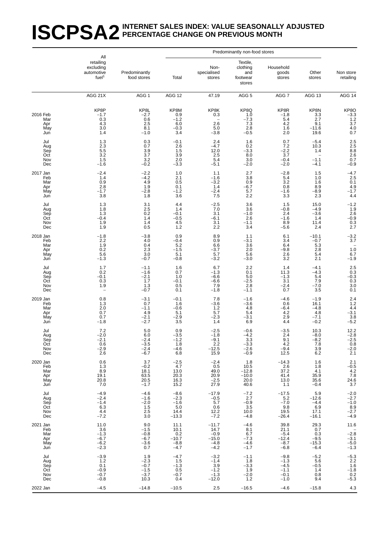## **ISCPSA2** INTERNET SALES INDEX: VALUE SEASONALLY ADJUSTED **PERCENTAGE CHANGE ON PREVIOUS MONTH**

|                                             | All                                                       |                                                     |                                                         |                                                          | Predominantly non-food stores                           |                                                          |                                                                |                                                               |
|---------------------------------------------|-----------------------------------------------------------|-----------------------------------------------------|---------------------------------------------------------|----------------------------------------------------------|---------------------------------------------------------|----------------------------------------------------------|----------------------------------------------------------------|---------------------------------------------------------------|
|                                             | retailing<br>excluding<br>automotive<br>fuel <sup>1</sup> | Predominantly<br>food stores                        | Total                                                   | Non-<br>specialised<br>stores                            | Textile,<br>clothing<br>and<br>footwear<br>stores       | Household<br>goods<br>stores                             | Other<br>stores                                                | Non store<br>retailing                                        |
|                                             | AGG 21X                                                   | AGG <sub>1</sub>                                    | AGG 12                                                  | 47.19                                                    | AGG <sub>5</sub>                                        | AGG <sub>7</sub>                                         | AGG 13                                                         | AGG $14$                                                      |
| 2016 Feb<br>Mar<br>Apr<br>May<br>Jun        | KP8P<br>$-1.7$<br>$\substack{0.3 \\ 4.3}$<br>3.0<br>1.4   | KP8L<br>$-2.7$<br>0.6<br>2.5<br>8.1<br>$-1.0$       | KP8M<br>0.9<br>$-1.2$<br>6.0<br>$-0.3$<br>3.4           | KP8K<br>0.3<br>2.6<br>5.0<br>$-3.8$                      | KP8Q<br>1.0<br>$-7.3$<br>7.3<br>2.8<br>$-0.5$           | KP8R<br>$-1.8$<br>5.4<br>4.2<br>1.6<br>2.0               | KP8N<br>3.3<br>2.7<br>9.1<br>$-11.6$<br>19.6                   | $KP8O$<br>-3.3<br>1.2<br>3.7<br>4.0<br>0.7                    |
| Jul<br>Aug<br>Sep<br>Oct<br>Nov<br>Dec      | 1.3<br>2.3<br>$5.\overline{5}$<br>3.2<br>1.5<br>$-1.6$    | 0.3<br>0.7<br>3.9<br>3.7<br>3.2<br>$-0.2$           | $-0.1$<br>2.6<br>1.5<br>3.9<br>2.0<br>$-\overline{3.3}$ | 2.4<br>$-4.7$<br>12.0<br>2.5<br>5.4<br>$-5.1$            | 1.6<br>0.2<br>$-3.\overline{3}$<br>8.0<br>3.0<br>$-2.0$ | 0.7<br>7.2<br>$-2.2$<br>3.7<br>$-0.4$<br>$-2.0$          | $-5.4$<br>10.3<br>1.4<br>$\qquad \qquad -$<br>$-1.1$<br>$-4.1$ | $2.5$<br>$2.5$<br>$8.8$<br>$2.6$<br>$_{-0.9}^{0.7}$           |
| 2017 Jan<br>Feb<br>Mar<br>Apr<br>May<br>Jun | $-2.4$<br>1.4<br>0.9<br>2.8<br>$-1.7$<br>3.8              | $-2.2$<br>$-4.2$<br>4.9<br>1.9<br>$-2.8$<br>1.8     | 1.0<br>2.1<br>0.5<br>0.1<br>$-1.2$<br>3.6               | 1.1<br>$-1.6$<br>$-3.2$<br>1.4<br>$-2.4$<br>7.5          | 2.7<br>3.8<br>0.9<br>-6.7<br>5.7<br>2.2                 | $-2.8$<br>5.4<br>3.2<br>0.8<br>$-1.6$<br>3.3             | 1.5<br>1.0<br>1.6<br>8.9<br>$-8.9$<br>2.3                      | $-4.7$<br>2.5<br>0.1<br>$4.9 - 1.7$<br>4.4                    |
| Jul<br>Aug<br>Sep<br>Oct<br>Nov<br>Dec      | 1.3<br>1.8<br>1.3<br>$-0.4$<br>1.9<br>1.9                 | 3.1<br>2.5<br>0.2<br>1.4<br>1.4<br>0.5              | 4.4<br>1.4<br>$-0.1$<br>$-0.5$<br>4.5<br>1.2            | $-2.5$<br>7.0<br>3.1<br>$-6.1$<br>3.1<br>2.2             | 3.6<br>3.6<br>$-1.0$<br>2.6<br>$-1.1$<br>3.4            | 1.5<br>$-0.8$<br>2.4<br>$-1.6$<br>8.9<br>$-5.6$          | 15.0<br>$-4.9$<br>$-3.6$<br>1.4<br>11.4<br>2.4                 | $-1.2$<br>1.9<br>$2.6 - 0.9 - 0.3 - 2.7$                      |
| 2018 Jan<br>Feb<br>Mar<br>Apr<br>May<br>Jun | $-1.8$<br>$^{2.2}_{1.9}$<br>0.2<br>5.6<br>$-1.3$          | $-3.8$<br>4.0<br>0.4<br>2.3<br>3.0<br>$-0.7$        | 0.9<br>$-0.4$<br>5.2<br>$-1.5$<br>5.1<br>$-0.8$         | 8.9<br>0.9<br>6.6<br>$-3.7$<br>5.7<br>$-3.2$             | 1.1<br>$-3.1$<br>3.6<br>2.0<br>5.6<br>$-3.0$            | 6.1<br>3.4<br>6.4<br>$-9.8$<br>2.6<br>3.2                | $-10.1$<br>$-0.7$<br>5.3<br>2.8<br>5.4<br>2.1                  | $-3.2$<br>3.7<br>1.0<br>$6.7 - 1.9$                           |
| Jul<br>Aug<br>Sep<br>Oct<br>Nov<br>Dec      | 1.7<br>0.2<br>$-0.1$<br>0.3<br>1.9                        | $-1.1$<br>$-1.6$<br>$-2.1$<br>1.7<br>1.3<br>$-0.7$  | 1.6<br>0.7<br>1.0<br>$-0.1$<br>0.5<br>0.1               | 6.7<br>$-1.3$<br>$-6.6$<br>$-6.6$<br>7.9<br>$-1.8$       | 2.2<br>0.1<br>5.0<br>$-2.5$<br>2.8<br>$-1.1$            | 1.4<br>11.3<br>$-1.3$<br>3.1<br>$-2.4$<br>0.7            | $-4.1$<br>$-4.3$<br>5.4<br>7.9<br>$-7.0$<br>3.5                | $2.5$<br>0.3<br>-0.3<br>0.3<br>0.3<br>0.0                     |
| 2019 Jan<br>Feb<br>Mar<br>Apr<br>May<br>Jun | 0.8<br>1.3<br>2.0<br>0.7<br>0.7<br>$-1.8$                 | $-3.1$<br>0.7<br>$-1.1$<br>4.9<br>$-2.1$<br>$-2.7$  | $-0.1$<br>1.6<br>$-0.6$<br>5.1<br>$-2.9$<br>3.5         | 7.8<br>$-3.6$<br>1.2<br>5.7<br>$-2.3$<br>1.4             | $-1.6$<br>$-3.6$<br>4.8<br>5.4<br>$-3.1$<br>6.9         | $-4.6$<br>0.6<br>$-6.4$<br>4.2<br>2.9<br>4.4             | $-1.9$<br>16.1<br>$-4.8$<br>4.8<br>$-7.1$<br>$-0.2$            | $^{2.4}_{1.2}$<br>4.4<br>$-3.1$<br>$\overline{3.8}$<br>$-5.2$ |
| Jul<br>Aug<br>Sep<br>Oct<br>Nov<br>Dec      | 7.2<br>$-2.0$<br>$^{-2.1}_{0.6}$<br>$-2.9$<br>2.6         | 5.0<br>6.0<br>$-2.4$<br>$-3.5$<br>$-2.4$<br>$-6.7$  | 0.9<br>$-3.5$<br>$-1.2$<br>1.8<br>$-4.6$<br>6.8         | $-2.5$<br>-1.8<br>$-9.1$<br>$2.2\,$<br>$-12.5$<br>15.9   | $-0.6$<br>$-4.2$<br>3.3<br>$-3.3$<br>$-2.6$<br>$-0.9$   | $-3.5$<br>2.4<br>9.1<br>4.2<br>$-9.4$<br>12.5            | 10.3<br>$-8.0$<br>$-8.2$<br>7.8<br>3.9<br>6.2                  | 12.2<br>$-2.8$<br>$-2.5$<br>0.8<br>$-2.0$<br>2.1              |
| 2020 Jan<br>Feb<br>Mar<br>Apr<br>May<br>Jun | 0.6<br>1.3<br>8.9<br>19.1<br>20.8<br>7.0                  | 3.7<br>$-0.2$<br>18.1<br>63.5<br>20.5<br>$-1.7$     | $-2.5$<br>4.7<br>13.0<br>20.3<br>16.3<br>15.2           | $-2.4$<br>0.5<br>49.0<br>20.9<br>$\frac{-2.5}{27.9}$     | 1.8<br>10.5<br>$-12.8$<br>$-10.0$<br>20.0<br>40.6       | $-14.3$<br>2.6<br>37.2<br>41.4<br>13.0<br>1.1            | 1.6<br>1.8<br>4.1<br>35.9<br>35.6<br>$-0.4$                    | 2.1<br>$^{-0.5}_{4.2}$<br>$7.8$<br>$24.6$<br>$3.7$            |
| Jul<br>Aug<br>Sep<br>Oct<br>Nov<br>Dec      | $-4.9$<br>$-2.4$<br>$-1.4$<br>6.3<br>4.4<br>$-7.2$        | $-4.6$<br>$-1.6$<br>$-2.0$<br>1.5<br>2.5<br>3.0     | $-8.6$<br>$-2.3$<br>$-1.6$<br>5.0<br>14.4<br>$-13.3$    | $-17.9$<br>$-0.5$<br>5.7<br>0.6<br>12.2<br>$-7.2$        | $-7.2$<br>$2.7\,$<br>$-0.9$<br>3.5<br>10.0<br>$-4.8$    | $-17.5$<br>5.2<br>$-7.0$<br>9.8<br>19.5<br>$-26.4$       | 5.9<br>$-12.6$<br>$-4.4$<br>6.9<br>17.1<br>$-16.1$             | $-2.0$<br>$-2.7$<br>$-1.0$<br>$8.9 - 2.7$<br>$-4.9$           |
| 2021 Jan<br>Feb<br>Mar<br>Apr<br>May<br>Jun | 11.0<br>3.6<br>$-1.3$<br>$-6.7$<br>$-6.2$<br>$-2.3$       | 9.0<br>$-1.5$<br>$-0.8$<br>$-6.7$<br>$-3.6$<br>0.7  | 11.1<br>10.1<br>0.2<br>$-10.7$<br>$-8.8$<br>$-4.7$      | $-11.7$<br>14.7<br>$-0.9$<br>$-15.0$<br>$-4.8$<br>$-4.2$ | $-4.6$<br>8.1<br>6.7<br>$-7.3$<br>$-4.6$<br>$-1.7$      | 39.8<br>21.1<br>$-5.4$<br>$-12.4$<br>$-8.7$<br>$-6.8$    | 29.3<br>0.7<br>0.3<br>$-9.5$<br>$-15.3$<br>$-6.4$              | 11.6<br>$-2.8$<br>$-3.1$<br>$-5.0$<br>$-1.3$                  |
| Jul<br>Aug<br>Sep<br>Oct<br>Nov<br>Dec      | $-3.9$<br>1.2<br>0.1<br>$-0.9$<br>$-0.7$<br>$-0.8$        | 1.9<br>$-2.3$<br>$-0.7$<br>$-1.5$<br>$-3.7$<br>10.3 | $-4.7$<br>1.5<br>$-1.3$<br>0.5<br>$-0.7$<br>0.4         | $-3.2$<br>$-1.4$<br>3.9<br>$-1.2$<br>$-1.3$<br>$-12.0$   | $-1.1$<br>1.8<br>$-3.3$<br>1.9<br>$-2.0$<br>$1.2$       | $-9.8$<br>$-1.3$<br>$-4.5$<br>$-1.1$<br>$-0.1$<br>$-1.0$ | $-5.2$<br>5.6<br>$-0.5$<br>1.4<br>0.8<br>9.4                   | $-5.3$<br>2.2<br>1.6<br>1.8<br>-1.8<br>0.2<br>-5.3            |
| 2022 Jan                                    | $-4.5$                                                    | $-14.8$                                             | $-10.5$                                                 | 2.5                                                      | $-16.5$                                                 | $-4.6$                                                   | $-15.8$                                                        | 4.3                                                           |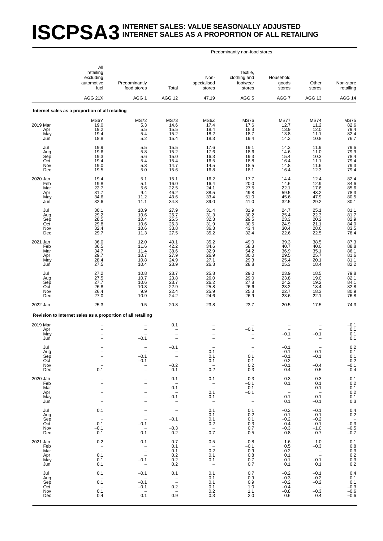### **ISCPSA3** INTERNET SALES: VALUE SEASONALLY ADJUSTED **INTERNET SALES AS A PROPORTION OF ALL RETAILING**

|                                             | All<br>retailing<br>excluding<br>automotive<br>fuel                                     | Predominantly<br>food stores                                                                       | Total                                                                               | Non-<br>specialised<br>stores                                         | Textile,<br>clothing and<br>footwear<br>stores          | Household<br>goods<br>stores                          | Other<br>stores                                       | Non-store<br>retailing                                  |
|---------------------------------------------|-----------------------------------------------------------------------------------------|----------------------------------------------------------------------------------------------------|-------------------------------------------------------------------------------------|-----------------------------------------------------------------------|---------------------------------------------------------|-------------------------------------------------------|-------------------------------------------------------|---------------------------------------------------------|
|                                             | AGG 21X                                                                                 | AGG <sub>1</sub>                                                                                   | AGG 12                                                                              | 47.19                                                                 | AGG <sub>5</sub>                                        | AGG <sub>7</sub>                                      | AGG 13                                                | AGG 14                                                  |
|                                             | Internet sales as a proportion of all retailing                                         |                                                                                                    |                                                                                     |                                                                       |                                                         |                                                       |                                                       |                                                         |
| 2019 Mar<br>Apr<br>May<br>Jun               | MS6Y<br>19.0<br>19.2<br>19.4<br>18.8                                                    | <b>MS72</b><br>$\frac{5.3}{5.5}$<br>5.4<br>5.2                                                     | <b>MS73</b><br>14.6<br>15.5<br>15.2<br>15.4                                         | MS6Z<br>17.4<br>18.4<br>18.2<br>18.3                                  | <b>MS76</b><br>17.6<br>18.3<br>18.7<br>19.4             | <b>MS77</b><br>12.7<br>13.9<br>13.8<br>14.2           | <b>MS74</b><br>11.2<br>12.0<br>11.1<br>10.8           | <b>MS75</b><br>82.6<br>79.4<br>82.4<br>76.7             |
| Jul<br>Aug<br>Sep<br>Oct<br>Nov<br>Dec      | 19.9<br>19.6<br>19.3<br>19.4<br>19.0<br>19.5                                            | 5.5<br>$\frac{5.8}{5.6}$<br>5.4<br>$\frac{5.3}{5.0}$                                               | 15.5<br>15.2<br>15.0<br>15.4<br>14.7<br>15.6                                        | 17.6<br>17.6<br>16.3<br>16.5<br>14.5<br>16.8                          | 19.1<br>18.6<br>19.3<br>18.8<br>18.5<br>18.1            | 14.3<br>14.6<br>15.4<br>16.4<br>14.8<br>16.4          | 11.9<br>11.0<br>10.3<br>11.1<br>11.6<br>12.3          | 79.6<br>$79.9$<br>$78.4$<br>79.4<br>79.3<br>79.4        |
| 2020 Jan<br>Feb<br>Mar<br>Apr<br>May<br>Jun | 19.4<br>19.8<br>22.7<br>31.7<br>34.6<br>32.6                                            | 5.1<br>5.1<br>5.6<br>9.4<br>11.2<br>11.1                                                           | 15.1<br>16.0<br>22.5<br>46.2<br>43.6<br>34.8                                        | 16.2<br>16.4<br>24.1<br>38.5<br>33.4<br>39.0                          | 17.7<br>20.0<br>27.5<br>49.8<br>51.0<br>41.0            | 14.4<br>14.6<br>22.1<br>59.5<br>45.6<br>32.5          | 12.4<br>12.9<br>17.6<br>43.2<br>47.9<br>29.2          | 82.4<br>84.6<br>85.6<br>78.3<br>80.5<br>80.1            |
| Jul<br>Aug<br>Sep<br>Oct<br>Nov<br>Dec      | 30.1<br>29.2<br>28.5<br>29.8<br>32.4<br>29.7                                            | 10.9<br>10.6<br>10.4<br>10.6<br>10.6<br>11.3                                                       | 27.9<br>26.7<br>25.5<br>26.3<br>33.8<br>27.5                                        | 31.4<br>31.3<br>32.3<br>31.9<br>36.3<br>35.2                          | 31.9<br>30.2<br>29.5<br>30.5<br>43.4<br>32.4            | 24.7<br>25.4<br>23.3<br>24.9<br>30.4<br>22.6          | 25.1<br>22.3<br>20.2<br>21.1<br>28.6<br>22.5          | 81.1<br>$81.7$<br>$82.9$<br>84.0<br>83.5<br>78.4        |
| 2021 Jan<br>Feb<br>Mar<br>Apr<br>May<br>Jun | 36.0<br>36.5<br>34.7<br>29.7<br>28.4<br>27.5                                            | 12.0<br>11.6<br>11.4<br>10.7<br>10.8<br>10.4                                                       | 40.1<br>42.2<br>38.6<br>27.9<br>24.9<br>23.9                                        | 35.2<br>34.6<br>32.9<br>26.9<br>27.1<br>26.3                          | 49.0<br>58.3<br>54.2<br>30.0<br>29.3<br>28.8            | 39.3<br>40.7<br>36.9<br>29.5<br>25.4<br>25.3          | 38.5<br>40.0<br>35.1<br>25.7<br>20.1<br>18.4          | 87.3<br>88.8<br>86.1<br>81.6<br>81.1<br>82.2            |
| Jul<br>Aug<br>Sep<br>Oct<br>Nov<br>Dec      | 27.2<br>27.5<br>27.7<br>26.8<br>26.4<br>27.0                                            | 10.8<br>10.7<br>10.6<br>10.3<br>9.9<br>10.9                                                        | 23.7<br>23.8<br>23.7<br>22.9<br>22.4<br>24.2                                        | 25.8<br>26.0<br>26.2<br>25.8<br>25.9<br>24.6                          | 29.0<br>29.0<br>27.8<br>26.6<br>25.3<br>26.9            | 23.9<br>23.8<br>24.2<br>23.2<br>22.7<br>23.6          | 18.5<br>19.0<br>19.2<br>18.4<br>18.3<br>22.1          | 79.8<br>82.1<br>84.1<br>82.8<br>80.9<br>76.8            |
| 2022 Jan                                    | 25.3                                                                                    | 9.5                                                                                                | 20.8                                                                                | 23.8                                                                  | 23.7                                                    | 20.5                                                  | 17.5                                                  | 74.3                                                    |
| 2019 Mar                                    | Revision to Internet sales as a proportion of all retailing                             |                                                                                                    | 0.1                                                                                 |                                                                       |                                                         |                                                       |                                                       |                                                         |
| Apr<br>May<br>Jun                           |                                                                                         | $\overline{a}$<br>$-0.1$                                                                           | $\overline{\phantom{0}}$                                                            |                                                                       | $-0.1$                                                  | $-0.1$                                                | $-0.1$                                                | $-0.1$<br>0.1<br>0.1<br>0.1                             |
| Jul<br>Aug<br>Sep<br>Oct<br>Nov<br>Dec      | $\overline{\phantom{a}}$<br>0.1                                                         | $-0.1$<br>$-0.1$<br>$\qquad \qquad -$<br>$\overline{\phantom{0}}$                                  | $-0.1$<br>$\bar{\mathbb{I}}$<br>$-0.2$<br>0.1                                       | 0.1<br>0.1<br>0.1<br>$\sim$<br>$-0.2$                                 | 0.1<br>0.1<br>0.2<br>$-0.3$                             | $-0.1$<br>$-0.1$<br>$-0.1$<br>$-0.2$<br>$-0.1$<br>0.4 | $-0.1$<br>$-0.1$<br>$\sim$<br>$-0.4$<br>0.5           | 0.2<br>$0.\bar{1}$<br>0.1<br>$-0.2$<br>$-0.1$<br>$-0.4$ |
| 2020 Jan<br>Feb<br>Mar<br>Apr<br>May<br>Jun | $\overline{\phantom{0}}$                                                                | $\qquad \qquad -$<br>$\overline{a}$                                                                | 0.1<br>$-$<br>0.1<br>$\overline{\phantom{0}}$<br>$-0.1$<br>$\overline{\phantom{0}}$ | 0.1<br>$\bar{z}$<br>0.1<br>0.1<br>$\overline{\phantom{a}}$            | $-0.3$<br>$-0.1$<br>0.1<br>$-0.1$<br>$\bar{\mathbb{I}}$ | 0.3<br>0.1<br>$\bar{\mathbb{Z}}$<br>$-0.1$<br>0.1     | 0.3<br>0.1<br>0.1<br>$\sim$<br>$-0.1$<br>$-0.1$       | $-0.1$<br>0.2<br>0.1<br>0.2<br>0.1<br>0.3               |
| Jul<br>Aug<br>Sep<br>Oct<br>Nov<br>Dec      | 0.1<br>$\overline{a}$<br>$-0.1$<br>$-0.1$<br>0.1                                        | $\frac{1}{2}$<br>$-0.1$<br>$\hspace{0.1mm}$ $\hspace{0.1mm}$<br>0.1                                | $\bar{\mathbb{I}}$<br>$-0.1$<br>$\sim$<br>$-0.3$<br>0.2                             | 0.1<br>0.1<br>0.1<br>0.2<br>$\hspace{0.1mm}-\hspace{0.1mm}$<br>$-0.7$ | 0.1<br>0.2<br>0.1<br>0.3<br>0.7<br>$-0.5$               | $-0.2$<br>$-0.1$<br>$-0.2$<br>$-0.4$<br>$-0.3$<br>0.8 | $-0.1$<br>$-0.1$<br>$-0.2$<br>$-0.1$<br>$-1.0$<br>0.7 | 0.4<br>$0.2\,$<br>$-0.\overline{3}$<br>$-0.5$<br>$-0.7$ |
| 2021 Jan<br>Feb<br>Mar<br>Apr<br>May<br>Jun | 0.2<br>$\bar{z}$<br>0.1<br>0.1<br>0.1                                                   | 0.1<br>$\frac{1}{2}$<br>$-0.1$<br>$\overline{\phantom{a}}$                                         | 0.7<br>0.1<br>0.1<br>0.2<br>0.2<br>0.2                                              | 0.5<br>$\sim$<br>0.2<br>0.1<br>0.1<br>$\hspace{0.1mm}-\hspace{0.1mm}$ | $-0.8$<br>$-0.1$<br>0.9<br>0.8<br>0.7<br>0.7            | 1.6<br>0.5<br>$-0.2$<br>0.1<br>0.1<br>0.1             | 1.0<br>$-0.3$<br>$\frac{1}{2}$<br>$-0.1$<br>0.1       | 0.1<br>$0.8$<br>0.3<br>0.2<br>0.3<br>0.2                |
| Jul<br>Aug<br>Sep<br>Oct<br>Nov<br>Dec      | 0.1<br>$\overline{\phantom{a}}$<br>0.1<br>$\hspace{0.1mm}-\hspace{0.1mm}$<br>0.1<br>0.4 | $-0.1$<br>$\hspace{0.1cm}$ $\hspace{0.1cm}$<br>$-0.1$<br>$-0.1$<br>$\overline{\phantom{a}}$<br>0.1 | 0.1<br>$\overline{\mathbb{Z}}$<br>0.2<br>$\hspace{0.1mm}-\hspace{0.1mm}$<br>0.9     | 0.1<br>0.1<br>0.1<br>0.1<br>0.2<br>0.3                                | 0.7<br>0.9<br>0.9<br>1.0<br>1.1<br>2.0                  | $-0.2$<br>$-0.3$<br>$-0.2$<br>$-0.4$<br>$-0.8$<br>0.6 | $-0.1$<br>$-0.2$<br>$-0.2$<br>$\sim$<br>$-0.3$<br>0.4 | 0.4<br>0.1<br>0.1<br>$-0.3$<br>$-0.6$<br>$-0.6$         |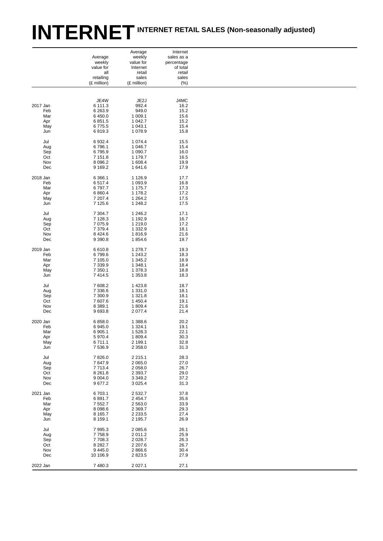# INTERNET INTERNET RETAIL SALES (Non-seasonally adjusted)

|          |             | Average     | Internet   |
|----------|-------------|-------------|------------|
|          | Average     | weekly      | sales as a |
|          | weekly      | value for   | percentage |
|          | value for   | Internet    | of total   |
|          | all         | retail      | retail     |
|          | retailing   | sales       | sales      |
|          | (£ million) | (£ million) | (%)        |
|          |             |             |            |
|          |             |             |            |
|          | JE4W        | JE2J        | J4MC       |
| 2017 Jan | 6 111.3     | 992.4       | 16.2       |
| Feb      | 6 2 6 3.9   | 949.0       | 15.2       |
|          |             |             |            |
| Mar      | 6 4 5 0.0   | 1 0 0 9.1   | 15.6       |
| Apr      | 6851.5      | 1 042.7     | 15.2       |
| May      | 6775.5      | 1 043.1     | 15.4       |
| Jun      | 6819.3      | 1 0 78.9    | 15.8       |
|          |             |             |            |
| Jul      | 6932.4      | 1 0 7 4 .4  | 15.5       |
| Aug      | 6796.1      | 1 0 4 6.7   | 15.4       |
|          |             |             |            |
| Sep      | 6795.9      | 1 0 9 0.7   | 16.0       |
| Oct      | 7 1 5 1 .8  | 1 179.7     | 16.5       |
| Nov      | 8 0 9 6.2   | 1 608.4     | 19.9       |
| Dec      | 9 1 6 9.2   | 1641.6      | 17.9       |
|          |             |             |            |
| 2018 Jan |             |             |            |
|          | 6 3 6 6.1   | 1 1 2 6 .9  | 17.7       |
| Feb      | 6517.4      | 1 0 9 3 . 9 | 16.8       |
| Mar      | 6797.7      | 1 175.7     | 17.3       |
| Apr      | 6 8 6 0.4   | 1 178.2     | 17.2       |
| May      | 7 207.4     | 1 2 6 4 .2  | 17.5       |
|          |             |             |            |
| Jun      | 7 1 2 5.6   | 1 248.2     | 17.5       |
|          |             |             |            |
| Jul      | 7 3 0 4.7   | 1 246.2     | 17.1       |
| Aug      | 7 1 28.3    | 1 192.9     | 16.7       |
| Sep      | 7 0 7 5.9   | 1 2 1 9 . 0 | 17.2       |
| Oct      | 7 3 7 9 . 4 | 1 3 3 2.9   | 18.1       |
| Nov      | 8 4 2 4 . 6 | 1816.9      | 21.6       |
|          |             |             |            |
| Dec      | 9 3 9 0.8   | 1854.6      | 19.7       |
|          |             |             |            |
| 2019 Jan | 6610.8      | 1 278.7     | 19.3       |
| Feb      | 6799.6      | 1 243.2     | 18.3       |
| Mar      | 7 105.0     | 1 3 4 5 . 2 | 18.9       |
|          |             |             |            |
| Apr      | 7 3 3 9.9   | 1 348.1     | 18.4       |
| May      | 7 3 5 0.1   | 1 378.3     | 18.8       |
| Jun      | 7414.5      | 1 3 5 3.8   | 18.3       |
|          |             |             |            |
| Jul      | 7608.2      | 1 4 2 3.8   | 18.7       |
| Aug      | 7 3 3 6.6   | 1 3 3 1 .0  | 18.1       |
| Sep      | 7 300.9     | 1 3 2 1 . 8 | 18.1       |
|          |             |             |            |
| Oct      | 7 607.6     | 1450.4      | 19.1       |
| Nov      | 8 3 8 9.1   | 1809.4      | 21.6       |
| Dec      | 9693.8      | 2 0 7 7.4   | 21.4       |
|          |             |             |            |
| 2020 Jan | 6858.0      | 1 388.6     | 20.2       |
| Feb      | 6945.0      | 1 3 2 4 . 1 | 19.1       |
|          |             |             |            |
| Mar      | 6 905.1     | 1 5 2 8 . 3 | 22.1       |
| Apr      | 5970.4      | 1809.4      | 30.3       |
| May      | 6711.1      | 2 199.1     | 32.8       |
| Jun      | 7536.9      | 2 3 5 8 .0  | 31.3       |
|          |             |             |            |
|          |             |             |            |
| Jul      | 7826.0      | 2 2 1 5 . 1 | 28.3       |
| Aug      | 7647.9      | 2 0 6 5 .0  | 27.0       |
| Sep      | 7713.4      | 2 0 5 8 .0  | 26.7       |
| Oct      | 8 2 6 1 .8  | 2 3 9 3.7   | 29.0       |
|          | 9 0 0 4 .0  |             |            |
| Nov      |             | 3 3 4 9 . 2 | 37.2       |
| Dec      | 9677.2      | 3 0 25.4    | 31.3       |
|          |             |             |            |
| 2021 Jan | 6703.1      | 2532.7      | 37.8       |
| Feb      | 6891.7      | 2 4 5 4.7   | 35.6       |
| Mar      | 7 5 5 2.7   | 2 5 6 3 .0  | 33.9       |
|          | 8 0 98.6    |             |            |
| Apr      |             | 2 3 6 9.7   | 29.3       |
| May      | 8 1 6 5.7   | 2 2 3 3.5   | 27.4       |
| Jun      | 8 1 5 9 1   | 2 195.7     | 26.9       |
|          |             |             |            |
| Jul      | 7995.3      | 2 0 8 5 . 6 | 26.1       |
| Aug      | 7758.9      | 2011.2      | 25.9       |
|          |             |             |            |
| Sep      | 7708.3      | 2 0 28.7    | 26.3       |
| Oct      | 8 2 8 2.7   | 2 2 0 7.6   | 26.7       |
| Nov      | 9445.0      | 2866.6      | 30.4       |
| Dec      | 10 106.9    | 2823.5      | 27.9       |
|          |             |             |            |
| 2022 Jan | 7480.3      | 2 0 2 7.1   | 27.1       |
|          |             |             |            |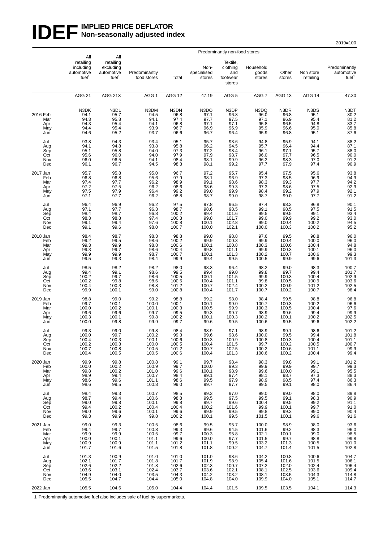#### **IDEF** IMPLIED PRICE DEFLATOR **Non-seasonally adjusted index**

2019=100

|                                             |                                                                  |                                                        | Predominantly non-food stores                                                    |                                                    |                                                    |                                                  |                                                         |                                                                                |                                                        |                                                             |                                                  |
|---------------------------------------------|------------------------------------------------------------------|--------------------------------------------------------|----------------------------------------------------------------------------------|----------------------------------------------------|----------------------------------------------------|--------------------------------------------------|---------------------------------------------------------|--------------------------------------------------------------------------------|--------------------------------------------------------|-------------------------------------------------------------|--------------------------------------------------|
|                                             | All<br>retailing<br>including<br>automotive<br>fuel <sup>1</sup> |                                                        | All<br>retailing<br>excluding<br>automotive<br>fuel <sup>1</sup>                 | Predominantly<br>food stores                       | Total                                              | Non-<br>specialised<br>stores                    | Textile,<br>clothing<br>and<br>footwear<br>stores       | Household<br>goods<br>stores                                                   | Other<br>stores                                        | Non store<br>retailing                                      | Predominantly<br>automotive<br>fuel <sup>1</sup> |
|                                             | <b>AGG 21</b>                                                    | AGG 21X                                                | AGG 1                                                                            | <b>AGG 12</b>                                      | 47.19                                              | AGG <sub>5</sub>                                 | AGG 7                                                   | AGG 13                                                                         | AGG 14                                                 | 47.30                                                       |                                                  |
| 2016 Feb<br>Mar<br>Apr<br>May<br>Jun        | N3DK<br>94.1<br>94.3<br>94.3<br>94.4<br>94.6                     | N3DL<br>95.7<br>95.8<br>95.4<br>95.4<br>95.2           | N3DM<br>94.5<br>94.1<br>94.1<br>93.9<br>93.7                                     | N3DN<br>96.8<br>97.4<br>96.8<br>96.7<br>96.6       | N3DO<br>97.1<br>97.7<br>97.1<br>96.9<br>96.7       | N3DP<br>96.8<br>97.5<br>97.1<br>96.9<br>96.4     | N3DQ<br>96.0<br>97.1<br>95.8<br>95.9<br>95.9            | N3DR<br>96.8<br>96.9<br>96.5<br>96.6<br>96.8                                   | N3DS<br>95.1<br>95.4<br>94.8<br>95.0<br>95.1           | N3DT<br>$80.2$<br>$81.2$<br>$83.7$<br>$85.8$<br>$87.6$      |                                                  |
| Jul<br>Aug<br>Sep<br>Oct<br>Nov<br>Dec      | 93.8<br>94.1<br>95.1<br>95.6<br>96.0<br>96.1                     | 94.3<br>94.8<br>95.8<br>96.0<br>96.5<br>96.7           | 93.4<br>93.8<br>94.0<br>94.0<br>94.1<br>94.5                                     | 95.1<br>95.8<br>97.3<br>97.9<br>98.4<br>98.3       | 95.7<br>96.2<br>97.2<br>97.9<br>98.1<br>98.1       | 93.6<br>94.5<br>98.4<br>98.7<br>99.9<br>99.2     | 94.8<br>95.7<br>96.1<br>96.0<br>96.2<br>97.7            | 95.9<br>96.4<br>97.1<br>97.7<br>98.3<br>97.9                                   | 94.1<br>94.4<br>95.7<br>96.5<br>97.0<br>97.4           | 88.2<br>87.1<br>88.0<br>90.0<br>91.2<br>90.9                |                                                  |
| 2017 Jan<br>Feb<br>Mar<br>Apr<br>May<br>Jun | 95.7<br>96.8<br>97.4<br>97.2<br>97.5<br>97.1                     | 95.8<br>96.8<br>97.7<br>97.5<br>97.9<br>97.7           | 95.0<br>95.6<br>96.2<br>96.2<br>96.4<br>96.2                                     | 96.7<br>97.9<br>98.9<br>98.6<br>99.2<br>98.8       | 97.2<br>98.1<br>99.1<br>98.6<br>99.0<br>98.7       | 95.7<br>96.9<br>98.6<br>99.3<br>99.9<br>99.0     | 95.4<br>97.3<br>98.3<br>97.3<br>98.4<br>98.7            | 97.5<br>98.5<br>99.3<br>98.6<br>99.2<br>99.0                                   | 95.6<br>96.9<br>97.7<br>97.5<br>97.9<br>97.7           | 93.8<br>94.9<br>94.2<br>92.9<br>92.1<br>91.2                |                                                  |
| Jul<br>Aug<br>Sep<br>Oct<br>Nov<br>Dec      | 96.4<br>97.1<br>98.4<br>98.3<br>99.1<br>99.1                     | 96.9<br>97.7<br>98.7<br>98.8<br>99.4<br>99.6           | 96.2<br>96.3<br>96.8<br>97.4<br>97.6<br>98.0                                     | 97.5<br>98.7<br>100.2<br>100.3<br>100.8<br>100.7   | 97.8<br>98.6<br>99.4<br>99.8<br>100.1<br>100.0     | 96.5<br>98.5<br>101.6<br>101.7<br>102.8<br>102.1 | 97.4<br>99.1<br>99.5<br>99.0<br>99.0<br>100.0           | 98.2<br>98.5<br>99.5<br>99.9<br>100.4<br>100.3                                 | 96.8<br>97.5<br>99.1<br>99.2<br>100.2<br>100.2         | 90.1<br>91.5<br>91.5<br>93.4<br>93.0<br>94.5<br>95.2        |                                                  |
| 2018 Jan<br>Feb<br>Mar<br>Apr<br>May<br>Jun | 98.4<br>99.2<br>99.3<br>99.3<br>99.9<br>99.5                     | 98.7<br>99.5<br>99.9<br>99.7<br>99.9<br>99.3           | 98.3<br>98.6<br>98.8<br>98.6<br>98.7<br>98.4                                     | 98.8<br>100.2<br>100.6<br>100.4<br>100.7<br>99.9   | 99.0<br>99.9<br>100.1<br>99.8<br>100.1<br>99.4     | 98.8<br>100.3<br>100.8<br>101.1<br>101.3<br>99.5 | 97.6<br>99.9<br>100.3<br>99.9<br>100.2<br>100.5         | 99.5<br>100.4<br>100.6<br>100.3<br>100.7<br>99.9                               | 98.8<br>100.0<br>100.4<br>100.1<br>100.6<br>99.6       | 96.0<br>$96.0$<br>$94.8$<br>$96.0$<br>$99.3$<br>$101.3$     |                                                  |
| Jul<br>Aug<br>Sep<br>Oct<br>Nov<br>Dec      | 98.5<br>99.4<br>100.2<br>100.2<br>100.4<br>99.9                  | 98.2<br>99.1<br>99.7<br>99.8<br>100.3<br>100.1         | 98.2<br>98.6<br>98.6<br>98.6<br>98.8<br>99.0                                     | 98.0<br>99.5<br>100.5<br>100.5<br>101.2<br>100.8   | 98.3<br>99.4<br>100.1<br>100.4<br>100.7<br>100.4   | 96.4<br>99.0<br>101.5<br>101.1<br>102.4<br>101.7 | 98.2<br>99.8<br>99.9<br>99.8<br>100.2<br>100.7          | 99.0<br>99.7<br>100.3<br>100.5<br>100.9<br>100.2                               | 98.3<br>99.4<br>100.4<br>100.9<br>101.2<br>100.7       | 100.7<br>$101.7$<br>$102.9$<br>$103.6$<br>$102.5$<br>$98.4$ |                                                  |
| 2019 Jan<br>Feb<br>Mar<br>Apr<br>May<br>Jun | 98.8<br>99.7<br>100.0<br>99.6<br>100.3<br>100.0                  | 99.0<br>100.1<br>100.2<br>$\frac{99.6}{100.1}$<br>99.8 | $\begin{array}{c} 99.2 \\ 100.0 \end{array}$<br>100.1<br>99.7<br>99.8<br>99.9    | 98.8<br>100.1<br>100.3<br>99.5<br>100.2<br>99.7    | 99.2<br>100.1<br>100.5<br>99.3<br>100.1<br>99.6    | 98.0<br>99.0<br>99.9<br>99.7<br>100.3<br>99.5    | 98.4<br>100.7<br>100.3<br>$\frac{98.9}{100.2}$<br>100.6 | $\begin{array}{c} 99.5 \\ 100.3 \end{array}$<br>100.5<br>99.6<br>100.1<br>99.5 | 98.8<br>100.2<br>100.4<br>$\frac{99.4}{100.2}$<br>99.6 | 96.8<br>96.6<br>97.6<br>99.9<br>102.5<br>102.2              |                                                  |
| Jul<br>Aug<br>Sep<br>Oct<br>Nov<br>Dec      | 99.3<br>100.0<br>100.4<br>100.2<br>100.7<br>100.4                | 99.0<br>99.7<br>100.3<br>100.3<br>100.8<br>100.5       | 99.8<br>100.2<br>$\begin{array}{c} 100.1 \\ 100.0 \\ 100.5 \end{array}$<br>100.5 | 98.4<br>99.3<br>100.6<br>100.5<br>101.2<br>100.6   | 98.9<br>99.6<br>100.3<br>100.4<br>100.7<br>100.4   | 97.1<br>98.6<br>100.9<br>101.5<br>102.5<br>101.3 | 98.9<br>100.0<br>100.8<br>$\frac{99.7}{100.2}$<br>100.6 | 99.1<br>99.5<br>100.3<br>100.2<br>100.6<br>100.2                               | 98.6<br>99.4<br>100.4<br>100.5<br>101.1<br>100.4       | 101.2<br>101.8<br>101.1<br>100.7<br>99.9<br>99.4            |                                                  |
| 2020 Jan<br>Feb<br>Mar<br>Apr<br>May<br>Jun | 99.9<br>100.0<br>99.8<br>98.9<br>98.6<br>98.6                    | 99.8<br>100.2<br>100.2<br>99.4<br>99.6<br>99.5         | 100.8<br>100.9<br>101.0<br>100.7<br>101.1<br>100.8                               | 99.1<br>99.7<br>99.6<br>98.4<br>98.6<br>99.0       | 99.7<br>100.0<br>100.1<br>99.1<br>99.5<br>99.7     | 98.4<br>99.3<br>98.9<br>97.4<br>97.9<br>97.7     | 98.3<br>99.9<br>99.6<br>98.1<br>98.9<br>99.5            | 99.8<br>99.9<br>100.0<br>98.7<br>98.5<br>99.1                                  | 99.1<br>99.7<br>99.1<br>97.3<br>97.4<br>98.0           | 101.2<br>99.3<br>95.5<br>88.3<br>86.3<br>86.4               |                                                  |
| Jul<br>Aug<br>Sep<br>Oct<br>Nov<br>Dec      | 98.4<br>98.7<br>99.0<br>99.4<br>99.0<br>99.3                     | 99.3<br>99.4<br>99.8<br>100.2<br>99.6<br>99.9          | 100.7<br>100.6<br>100.1<br>100.4<br>100.1<br>99.8                                | 98.5<br>98.8<br>99.8<br>100.4<br>99.6<br>100.2     | 99.3<br>99.5<br>99.7<br>100.2<br>99.9<br>100.1     | 97.0<br>97.5<br>99.6<br>101.6<br>99.5<br>99.5    | 99.0<br>99.5<br>100.4<br>99.9<br>99.8<br>101.5          | 99.0<br>99.1<br>99.5<br>100.1<br>99.3<br>100.1                                 | 98.0<br>98.3<br>99.2<br>99.7<br>99.0<br>99.6           | 89.8<br>90.9<br>91.1<br>91.0<br>90.4<br>91.6                |                                                  |
| 2021 Jan<br>Feb<br>Mar<br>Apr<br>May<br>Jun | 99.0<br>99.4<br>99.9<br>100.0<br>100.9<br>101.7                  | 99.3<br>99.7<br>99.9<br>100.1<br>100.9<br>101.6        | 100.5<br>100.8<br>100.5<br>101.1<br>101.1<br>101.5                               | 98.6<br>99.3<br>99.7<br>99.6<br>101.2<br>101.8     | 99.5<br>99.6<br>100.3<br>100.0<br>101.1<br>101.8   | 95.7<br>94.5<br>95.8<br>97.7<br>99.5<br>100.2    | 100.0<br>101.6<br>102.1<br>101.5<br>103.2<br>104.7      | 98.9<br>99.2<br>100.1<br>99.7<br>101.3<br>101.4                                | 98.0<br>98.3<br>99.0<br>98.8<br>100.5<br>101.5         | 93.6<br>96.0<br>98.5<br>$99.8$<br>101.0<br>102.8            |                                                  |
| Jul<br>Aug<br>Sep<br>Oct<br>Nov<br>Dec      | 101.3<br>102.1<br>102.6<br>103.6<br>104.9<br>105.5               | 100.9<br>101.7<br>102.2<br>103.1<br>104.0<br>104.7     | 101.0<br>101.8<br>101.8<br>102.4<br>103.5<br>104.4                               | 101.0<br>101.7<br>102.6<br>103.7<br>104.3<br>105.0 | 101.0<br>101.9<br>102.3<br>103.6<br>104.2<br>104.8 | 98.6<br>98.9<br>100.7<br>102.1<br>103.2<br>104.0 | 104.2<br>105.4<br>107.2<br>108.1<br>108.1<br>109.9      | 100.8<br>101.6<br>102.0<br>102.5<br>103.5<br>104.0                             | 100.6<br>101.5<br>102.4<br>103.6<br>104.3<br>105.1     | 104.7<br>106.1<br>106.4<br>109.4<br>114.8<br>114.7          |                                                  |
| 2022 Jan                                    | 105.5                                                            | 104.6                                                  | 105.0                                                                            | 104.4                                              | 104.4                                              | 101.5                                            | 109.5                                                   | 103.5                                                                          | 104.1                                                  | 114.3                                                       |                                                  |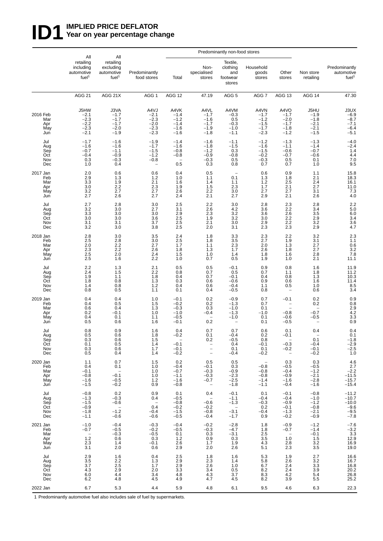## **ID1** WPLIED PRICE DEFLATOR<br>Year on year percentage ch Year on year percentage change

|                                             | All                                                                 | All                                                                  | Predominantly non-food stores                                            |                                                                       |                                                                                |                                                                                   |                                                                                   |                                                                                |                                                          |                                                                           |  |
|---------------------------------------------|---------------------------------------------------------------------|----------------------------------------------------------------------|--------------------------------------------------------------------------|-----------------------------------------------------------------------|--------------------------------------------------------------------------------|-----------------------------------------------------------------------------------|-----------------------------------------------------------------------------------|--------------------------------------------------------------------------------|----------------------------------------------------------|---------------------------------------------------------------------------|--|
|                                             | retailing<br>including<br>automotive<br>fuel <sup>1</sup>           | retailing<br>excluding<br>automotive<br>fuel <sup>1</sup>            | Predominantly<br>food stores                                             | Total                                                                 | Non-<br>specialised<br>stores                                                  | Textile,<br>clothing<br>and<br>footwear<br>stores                                 | Household<br>goods<br>stores                                                      | Other<br>stores                                                                | Non store<br>retailing                                   | Predominantly<br>automotive<br>fuel <sup>1</sup>                          |  |
|                                             | <b>AGG 21</b>                                                       | AGG 21X                                                              | AGG <sub>1</sub>                                                         | <b>AGG 12</b>                                                         | 47.19                                                                          | AGG <sub>5</sub>                                                                  | AGG 7                                                                             | AGG 13                                                                         | AGG 14                                                   | 47.30                                                                     |  |
| 2016 Feb<br>Mar<br>Apr<br>May<br>Jun        | J5HW<br>$-2.1$<br>$-2.3$<br>$-2.2$<br>$-2.3$<br>$-2.1$              | J3VA<br>$-1.7$<br>$-1.7$<br>$-1.7$<br>$-2.0$<br>$-1.9$               | A4VJ<br>$-2.1$<br>$-2.3$<br>$-2.0$<br>$-2.3$<br>$-2.3$                   | A4VK<br>$-1.4$<br>$-1.2$<br>$-1.4$<br>$-1.6$<br>$-1.6$                | A4VL<br>$-1.7$<br>$-1.6$<br>$-1.7$<br>$-1.9$<br>$-1.8$                         | A4VM<br>$-0.3$<br>0.5<br>$-0.3$<br>$-1.0$<br>$-1.1$                               | A4VN<br>$-1.7$<br>$-1.2$<br>$-1.5$<br>$-1.7$<br>$-2.3$                            | A4VO<br>$-1.7$<br>$-2.0$<br>$-1.7$<br>$-1.8$<br>$-1.2$                         | J5HU<br>$-1.9$<br>$-1.8$<br>$-2.1$<br>$-2.1$<br>$-1.5$   | $30X -6.9 -8.7 -8.7$<br>$-7.1$<br>$-6.4$<br>$-5.1$                        |  |
| Jul<br>Aug<br>Sep<br>Oct<br>Nov<br>Dec      | $-1.7$<br>$-1.6$<br>$-0.7$<br>$-0.4$<br>0.3<br>1.0                  | $-1.6$<br>$-1.6$<br>$-1.1$<br>$-0.9$<br>$-0.3$<br>0.4                | $-1.9$<br>$-1.7$<br>$-1.5$<br>$-1.2$<br>$-0.8$                           | $-1.4$<br>$-1.6$<br>$-0.8$<br>$-0.8$<br>0.5                           | $-1.6$<br>$-1.8$<br>$-1.2$<br>$-0.9$<br>$-0.3$<br>0.3                          | $-1.1$<br>$-1.5$<br>0.3<br>$-0.8$<br>0.5<br>0.8                                   | $-1.2$<br>$-1.6$<br>$-1.5$<br>$-0.2$<br>$-0.3$<br>0.7                             | $-1.3$<br>$-1.1$<br>$-0.6$<br>$-0.7$<br>0.5<br>0.7                             | $-1.3$<br>$-1.4$<br>$-0.7$<br>$-0.6$<br>0.1<br>1.0       | $-4.0$<br>$-2.4$<br>1.4<br>4.4<br>$\frac{7.0}{9.5}$                       |  |
| 2017 Jan<br>Feb<br>Mar<br>Apr<br>May<br>Jun | $^{2.0}_{2.9}$<br>3.3<br>3.0<br>3.2<br>2.7                          | 0.6<br>1.3<br>1.9<br>$2.2$<br>2.7<br>2.6                             | 0.6<br>1.2<br>2.1<br>2.3<br>2.7<br>2.7                                   | 0.4<br>1.0<br>1.6<br>$\frac{1.9}{2.6}$<br>2.4                         | 0.5<br>1.1<br>1.4<br>1.5<br>2.2<br>2.1                                         | 0.1<br>1.1<br>$\frac{2.3}{3.0}$<br>2.7                                            | 0.6<br>1.3<br>1.2<br>1.7<br>2.7<br>2.9                                            | $0.9$<br>1.8<br>2.5<br>$2.1$<br>$2.7$<br>2.1                                   | $1.1$<br>2.1<br>2.4<br>2.7<br>3.1<br>2.6                 | 15.8<br>18.3<br>16.1<br>$\begin{array}{c} 11.0 \\ 7.3 \\ 4.0 \end{array}$ |  |
| Jul<br>Aug<br>Sep<br>Oct<br>Nov<br>Dec      | 2.7<br>3.2<br>3.3<br>3.0<br>3.1<br>3.2                              | 2.8<br>3.0<br>3.0<br>3.0<br>3.1<br>3.0                               | 3.0<br>2.7<br>3.0<br>3.6<br>3.7<br>3.8                                   | 2.5<br>3.1<br>$2.9$<br>$2.5$<br>2.5<br>2.5                            | 2.2<br>2.6<br>2.3<br>1.9<br>2.1<br>2.0                                         | 3.0<br>4.2<br>$\frac{3.2}{3.2}$<br>3.0<br>3.1                                     | 2.8<br>3.6<br>3.6<br>3.0<br>2.9<br>2.3                                            | 2.3<br>2.2<br>$^{2.6}_{2.2}$<br>2.2<br>2.3                                     | 2.8<br>3.4<br>3.5<br>2.9<br>3.2<br>2.9                   | $2.2$<br>5.0<br>6.0<br>3.4<br>$\overline{3.6}$<br>4.7                     |  |
| 2018 Jan<br>Feb<br>Mar<br>Apr<br>May<br>Jun | 2.8<br>2.5<br>2.0<br>2.3<br>$\frac{2.5}{2.5}$                       | 3.0<br>$2.8$<br>$2.2$<br>2.2<br>$2.0\,$<br>1.6                       | 3.5<br>3.0<br>2.7<br>2.6<br>2.4<br>2.2                                   | 2.4<br>$2.5$<br>1.7<br>1.8<br>$1.5$<br>$1.0$                          | 1.8<br>1.8<br>1.1<br>1.3<br>1.0<br>0.7                                         | 3.3<br>$\frac{3.5}{2.3}$<br>1.7<br>1.4<br>0.5                                     | 2.3<br>2.7<br>2.0<br>2.6<br>1.8<br>1.9                                            | 2.2<br>1.9<br>1.3<br>1.8<br>1.6<br>1.0                                         | 3.2<br>3.1<br>2.7<br>2.7<br>2.8<br>2.1                   | $2.3$<br>$1.1$<br>$0.6$<br>$3.2$<br>7.8<br>11.1                           |  |
| Jul<br>Aug<br>Sep<br>Oct<br>Nov<br>Dec      | 2.2<br>2.4<br>1.9<br>1.8<br>1.4<br>0.8                              | 1.3<br>1.5<br>1.1<br>0.8<br>0.8<br>0.5                               | $^{2.1}_{2.2}$<br>1.8<br>1.3<br>1.2<br>1.1                               | $\begin{array}{c} 0.5 \\ 0.8 \end{array}$<br>0.4<br>0.3<br>0.4<br>0.1 | $\begin{array}{c} 0.5 \\ 0.7 \end{array}$<br>0.7<br>0.6<br>0.6<br>0.4          | $-0.1$<br>0.5<br>$-0.1$<br>$-0.6$<br>$-0.4$<br>$-0.5$                             | $\begin{array}{c} 0.9 \\ 0.7 \end{array}$<br>0.4<br>0.9<br>1.1<br>0.8             | 0.8<br>1.1<br>0.8<br>0.6<br>0.5<br>$\qquad \qquad -$                           | 1.6<br>1.8<br>1.3<br>1.6<br>1.0<br>0.6                   | 11.9<br>11.2<br>10.3<br>11.4<br>$\frac{8.5}{3.4}$                         |  |
| 2019 Jan<br>Feb<br>Mar<br>Apr<br>May<br>Jun | 0.4<br>0.4<br>0.6<br>0.2<br>0.4<br>0.5                              | 0.4<br>0.5<br>0.4<br>$-0.1$<br>0.1<br>0.6                            | 1.0<br>1.5<br>1.3<br>1.0<br>1.1<br>1.6                                   | $-0.1$<br>$-0.2$<br>$-0.3$<br>$-1.0$<br>$-0.5$<br>$-0.1$              | 0.2<br>0.2<br>0.3<br>$-0.4$<br>0.2                                             | $-0.9$<br>$-1.3$<br>$-1.0$<br>$-1.3$<br>$-1.0$<br>$\qquad \qquad -$               | 0.7<br>0.7<br>0.1<br>$-1.0$<br>0.1<br>0.1                                         | $-0.1$<br>$\qquad \qquad -$<br>$\qquad \qquad -$<br>$-0.8$<br>$-0.6$<br>$-0.5$ | 0.2<br>0.2<br>$-0.7$<br>-0.5                             | $0.9$<br>$0.8$<br>$2.9$<br>$4.2$<br>$3.3$<br>$0.9$                        |  |
| Jul<br>Aug<br>Sep<br>Oct<br>Nov<br>Dec      | 0.8<br>0.5<br>0.3<br>0.1<br>0.3<br>0.5                              | 0.9<br>0.6<br>0.6<br>0.5<br>0.6<br>0.4                               | 1.6<br>1.8<br>1.5<br>1.4<br>1.7<br>1.4                                   | 0.4<br>$-0.2$<br>$-0.1$<br>$-0.1$<br>$-0.2$                           | 0.7<br>0.1<br>0.2<br>$\bar{\mathbb{I}}$<br>$\qquad \qquad -$                   | 0.7<br>$-0.4$<br>$-0.5$<br>0.4<br>0.1<br>$-0.4$                                   | 0.6<br>0.2<br>0.8<br>$-0.1$<br>0.1<br>$-0.2$                                      | 0.1<br>$-0.1$<br>$-0.3$<br>$-0.2$<br>$\overline{\phantom{a}}$                  | 0.4<br>0.1<br>$-0.4$<br>$-0.1$<br>$-0.2$                 | 0.4<br>0.1<br>$-1.8$<br>$-2.9$<br>$-2.5$<br>1.0                           |  |
| 2020 Jan<br>Feb<br>Mar<br>Apr<br>May<br>Jun | 1.1<br>0.4<br>$-0.1$<br>$-0.8$<br>$-1.6$<br>$-1.5$                  | 0.7<br>0.1<br>$\overline{\phantom{a}}$<br>$-0.1$<br>$-0.5$<br>$-0.2$ | 1.5<br>1.0<br>1.0<br>1.0<br>1.2<br>0.9                                   | 0.2<br>$-0.4$<br>$-0.7$<br>$-1.1$<br>$-1.6$<br>$-0.8$                 | 0.5<br>$-0.1$<br>$-0.3$<br>$-0.3$<br>$-0.7$<br>$\overline{\phantom{a}}$        | 0.5<br>0.3<br>$-0.9$<br>$-2.3$<br>$-2.5$<br>$-1.8$                                | $\hspace{0.1mm}-\hspace{0.1mm}$<br>$-0.8$<br>$-0.8$<br>$-0.8$<br>$-1.4$<br>$-1.1$ | 0.3<br>$-0.5$<br>$-0.4$<br>$-0.9$<br>$-1.6$<br>$-0.4$                          | 0.3<br>$-0.5$<br>-1.2<br>$-2.1$<br>$-2.8$<br>$-1.6$      | 4.6<br>$2.7 -2.2 -11.5$<br>$-15.7$<br>$-15.4$                             |  |
| Jul<br>Aug<br>Sep<br>Oct<br>Nov<br>Dec      | $-0.8$<br>$-1.3$<br>$-1.5$<br>$-0.9$<br>$-1.8$<br>$-1.1$            | 0.2<br>$-0.3$<br>$-0.6$<br>$-1.\overline{2}$<br>$-0.6$               | 0.9<br>0.4<br>$\hspace{0.1mm}-\hspace{0.1mm}$<br>0.4<br>$-0.4$<br>$-0.6$ | 0.1<br>$-0.5$<br>$-0.8$<br>$-0.2$<br>$-1.\overline{5}$<br>$-0.5$      | 0.4<br>$\hspace{0.1mm}-\hspace{0.1mm}$<br>$-0.6$<br>$-0.2$<br>$-0.8$<br>$-0.4$ | $-0.1$<br>$-1.1$<br>$-1.3$<br>$\hspace{0.1mm}-\hspace{0.1mm}$<br>$-3.1$<br>$-1.7$ | 0.1<br>$-0.4$<br>$-0.3$<br>0.2<br>$-0.4$<br>0.9                                   | $-0.1$<br>$-0.4$<br>$-0.9$<br>$-0.1$<br>$-1.3$<br>$-0.2$                       | $-0.8$<br>$-1.0$<br>$-1.2$<br>$-0.8$<br>$-2.1$<br>$-0.9$ | $-11.2$<br>$-10.7$<br>$-10.0$<br>$-9.6$<br>$-9.5$<br>$-7.8$               |  |
| 2021 Jan<br>Feb<br>Mar<br>Apr<br>May<br>Jun | $-1.0$<br>$-0.7$<br>$\overline{\phantom{a}}$<br>$1.2$<br>2.3<br>3.1 | $-0.4$<br>$-0.5$<br>$-0.3$<br>0.6<br>1.4<br>2.0                      | $-0.3$<br>$-0.2$<br>$-0.5$<br>0.3<br>$-0.1$<br>0.6                       | $-0.4$<br>$-0.5$<br>0.1<br>1.2<br>2.6<br>2.9                          | $-0.2$<br>$-0.3$<br>0.3<br>0.9<br>1.7<br>2.0                                   | $-2.8$<br>$-4.7$<br>$-3.1$<br>0.3<br>1.9<br>2.6                                   | 1.8<br>1.8<br>$\substack{2.5 \\ 3.5}$<br>4.3<br>5.1                               | $-0.9$<br>$-0.7$<br>$\sim$<br>1.0<br>$2.8\,$<br>2.3                            | $-1.2$<br>$-1.4$<br>$-0.1$<br>1.5<br>3.2<br>3.5          | $-7.6$<br>$-3.2$<br>$3.3$<br>$12.9$<br>16.9<br>19.0                       |  |
| Jul<br>Aug<br>Sep<br>Oct<br>Nov<br>Dec      | 2.9<br>3.5<br>$3.\bar{7}$<br>4.3<br>6.0<br>6.2                      | 1.6<br>2.2<br>$\overline{2.5}$<br>2.9<br>4.4<br>4.8                  | 0.4<br>1.3<br>1.7<br>2.0<br>3.4<br>4.5                                   | 2.5<br>2.9<br>$\overline{2.9}$<br>3.3<br>4.8<br>4.9                   | 1.8<br>2.3<br>2.6<br>3.4<br>4.3<br>4.7                                         | 1.6<br>1.4<br>1.0<br>0.5<br>3.7<br>4.5                                            | 5.3<br>5.8<br>6.7<br>8.2<br>8.3<br>8.2                                            | 1.9<br>2.6<br>2.4<br>2.4<br>4.2<br>3.9                                         | 2.7<br>3.2<br>3.3<br>3.9<br>5.4<br>5.5                   | 16.6<br>16.7<br>16.8<br>20.2<br>26.8<br>25.2                              |  |
| 2022 Jan                                    | 6.7                                                                 | 5.3                                                                  | 4.4                                                                      | 5.9                                                                   | 4.8                                                                            | 6.1                                                                               | 9.5                                                                               | 4.6                                                                            | 6.3                                                      | 22.3                                                                      |  |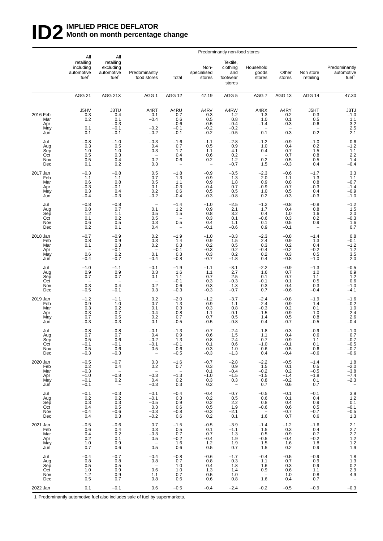## **ID2** IMPLIED PRICE DEFLATOR<br>Month on month percentage **Month on month percentage change**

|                                             | All                                                               | All                                                                          |                                                                                    |                                                                                |                                                         | Predominantly non-food stores                                 |                                                                           |                                                 |                                                         |                                                                         |
|---------------------------------------------|-------------------------------------------------------------------|------------------------------------------------------------------------------|------------------------------------------------------------------------------------|--------------------------------------------------------------------------------|---------------------------------------------------------|---------------------------------------------------------------|---------------------------------------------------------------------------|-------------------------------------------------|---------------------------------------------------------|-------------------------------------------------------------------------|
|                                             | retailing<br>including<br>automotive<br>fuel <sup>1</sup>         | retailing<br>excluding<br>automotive<br>fuel <sup>1</sup>                    | Predominantly<br>food stores                                                       |                                                                                | Non-<br>specialised<br>stores                           | Textile,<br>clothing<br>and<br>footwear<br>stores             | Household<br>goods<br>stores                                              | Other<br>stores                                 | Non store<br>retailing                                  | Predominantly<br>automotive<br>fuel <sup>1</sup>                        |
|                                             | <b>AGG 21</b>                                                     | AGG 21X                                                                      | AGG <sub>1</sub>                                                                   | AGG 12                                                                         | 47.19                                                   | AGG <sub>5</sub>                                              | AGG 7                                                                     | AGG 13                                          | AGG 14                                                  | 47.30                                                                   |
| 2016 Feb<br>Mar<br>Apr<br>May<br>Jun        | J5HV<br>0.3<br>0.2<br>$\overline{\phantom{0}}$<br>0.1<br>0.1      | <b>J3TU</b><br>0.4<br>0.1<br>$-0.3$<br>$-0.1$<br>$-0.1$                      | A4RT<br>0.1<br>$-0.4$<br>$-0.2$<br>$-0.2$                                          | A4RU<br>0.7<br>0.6<br>$-0.6$<br>$-0.1$<br>$-0.1$                               | A4RV<br>0.3<br>0.5<br>$-0.5$<br>$-0.2$<br>$-0.2$        | A4RW<br>$1.2$<br>0.8<br>$-0.4$<br>$-0.2$<br>$-0.5$            | A4RX<br>1.3<br>1.0<br>$-1.4$<br>0.1                                       | A4RY<br>0.2<br>0.1<br>$-0.3$<br>0.3             | J5HT<br>0.3<br>0.5<br>$-0.6$<br>0.2                     | $J3TJ$<br>$-1.0$<br>$\frac{1.1}{3.2}$<br>2.5<br>2.1                     |
| Jul<br>Aug<br>Sep<br>Oct<br>Nov<br>Dec      | $-0.8$<br>0.3<br>1.0<br>0.5<br>0.5<br>0.1                         | $-1.0$<br>0.5<br>1.0<br>0.3<br>0.4<br>0.2                                    | $-0.3$<br>0.4<br>0.3<br>0.2<br>0.3                                                 | $-1.6$<br>0.7<br>1.7<br>0.4<br>0.6                                             | $-1.1$<br>0.5<br>1.1<br>0.6<br>0.2<br>$\qquad \qquad -$ | $-2.8$<br>0.9<br>4.1<br>0.2<br>$1.2$<br>$-0.7$                | $-1.2$<br>1.0<br>0.4<br>$\overline{\phantom{0}}$<br>0.2<br>1.5            | $-0.9$<br>0.4<br>0.7<br>0.7<br>0.5<br>$-0.3$    | $-1.0$<br>0.2<br>1.5<br>0.8<br>0.5<br>0.4               | $-1.2$<br>1.1<br>2.2<br>1.4<br>$-0.4$                                   |
| 2017 Jan<br>Feb<br>Mar<br>Apr<br>May<br>Jun | $-0.3$<br>1.1<br>0.6<br>$-0.3$<br>0.3<br>$-0.4$                   | $-0.8$<br>1.1<br>0.8<br>$-0.1$<br>0.4<br>$-0.3$                              | 0.5<br>0.7<br>0.5<br>0.1<br>0.2<br>$-0.2$                                          | $-1.8$<br>1.3<br>1.1<br>$-0.3$<br>0.6<br>$-0.4$                                | $-0.9$<br>0.9<br>0.9<br>$-0.4$<br>0.5<br>$-0.3$         | $-3.5$<br>1.3<br>1.8<br>0.7<br>0.5<br>$-0.8$                  | $^{-2.3}_{2.0}$<br>0.9<br>$-0.9$<br>1.0<br>0.2                            | $-0.6$<br>1.1<br>0.8<br>$-0.7$<br>0.5<br>$-0.3$ | $-1.7$<br>1.3<br>0.8<br>$-0.3$<br>0.4<br>$-0.3$         | $3.3$<br>$1.1$<br>$-0.7$<br>$-1.4$<br>$-0.9$<br>$-1.0$                  |
| Jul<br>Aug<br>Sep<br>Oct<br>Nov<br>Dec      | $-0.8$<br>0.8<br>1.2<br>0.1<br>0.6<br>0.2                         | $-0.8$<br>0.7<br>1.1<br>0.2<br>0.5<br>0.1                                    | 0.1<br>0.5<br>0.5<br>0.3<br>0.4                                                    | $-1.4$<br>1.2<br>1.5<br>$\overline{\phantom{m}}$<br>0.5<br>-                   | $-1.0$<br>0.9<br>0.8<br>0.3<br>0.4<br>$-0.1$            | $-2.5$<br>2.1<br>3.2<br>0.1<br>1.1<br>$-0.6$                  | $-1.2$<br>1.7<br>0.4<br>$-0.6$<br>0.1<br>0.9                              | $-0.8$<br>0.4<br>1.0<br>0.3<br>0.5<br>$-0.1$    | $-0.8$<br>0.8<br>1.6<br>0.2<br>0.9<br>$\qquad \qquad -$ | $-1.2$<br>1.5<br>2.0<br>-0.3<br>1.6<br>0.7                              |
| 2018 Jan<br>Feb<br>Mar<br>Apr<br>May<br>Jun | $-0.7$<br>0.8<br>0.1<br>$\overline{\phantom{a}}$<br>0.6<br>$-0.4$ | $-0.9$<br>0.9<br>0.3<br>$-0.1$<br>0.2<br>$-0.7$                              | 0.2<br>0.3<br>0.2<br>0.1<br>$-0.4$                                                 | $-1.9$<br>1.4<br>0.3<br>$-0.1$<br>0.3<br>$-0.8$                                | $-1.0$<br>0.9<br>0.2<br>$-0.3$<br>0.3<br>$-0.7$         | $-3.3$<br>1.5<br>0.5<br>0.2<br>$0.2\,$<br>$-1.8$              | $-2.3$<br>2.4<br>0.3<br>$-0.4$<br>0.2<br>0.4                              | $-0.8$<br>0.9<br>0.2<br>$-0.2$<br>0.3<br>$-0.8$ | $-1.4$<br>1.3<br>0.4<br>$-0.2$<br>0.5<br>$-1.0$         | 0.8<br>$-0.1$<br>$-1.2$<br>1.2<br>$\frac{3.5}{2.0}$                     |
| Jul<br>Aug<br>Sep<br>Oct<br>Nov<br>Dec      | $-1.0$<br>0.9<br>0.7<br>$\qquad \qquad -$<br>0.3<br>$-0.5$        | $-1.1$<br>0.9<br>0.7<br>0.4<br>$-0.1$                                        | $-0.1$<br>0.3<br>0.1<br>0.2<br>0.3                                                 | $-1.9$<br>1.6<br>1.1<br>$-0.1$<br>0.6<br>$-0.3$                                | $-1.1$<br>1.1<br>0.7<br>0.3<br>0.3<br>$-0.3$            | $-3.1$<br>2.7<br>2.5<br>$-0.3$<br>1.3<br>$-0.7$               | $-2.2$<br>1.6<br>0.1<br>$-0.1$<br>$0.3$<br>$0.7$                          | $^{-0.9}_{0.7}$<br>0.7<br>0.1<br>0.4<br>$-0.6$  | $-1.3$<br>1.0<br>1.1<br>0.5<br>0.3<br>$-0.4$            | $-0.5$<br>0.9<br>1.2<br>0.6<br>$-1.0$<br>$-4.1$                         |
| 2019 Jan<br>Feb<br>Mar<br>Apr<br>May<br>Jun | $-1.2$<br>0.9<br>0.3<br>$-0.3$<br>0.7<br>$-0.3$                   | $-1.1$<br>1.0<br>0.2<br>$-0.7$<br>0.5<br>$-0.3$                              | 0.2<br>0.7<br>0.1<br>$-0.4$<br>0.2<br>0.1                                          | $-2.0$<br>1.3<br>0.3<br>$-0.8$<br>0.7<br>$-0.5$                                | $-1.2$<br>0.9<br>0.3<br>$-1.1$<br>0.7<br>$-0.5$         | $-3.7$<br>1.1<br>0.8<br>$-0.1$<br>0.5<br>$-0.8$               | $^{-2.4}_{2.4}$<br>$-0.3$<br>$-1.5$<br>1.4<br>0.4                         | $-0.8$<br>0.9<br>0.2<br>$-0.9$<br>0.5<br>$-0.7$ | $-1.9$<br>1.4<br>0.1<br>$-1.0$<br>0.8<br>$-0.5$         | $^{-1.6}_{-0.2}$<br>1.0<br>$^{2.4}_{2.6}$<br>$-0.4$                     |
| Jul<br>Aug<br>Sep<br>Oct<br>Nov<br>Dec      | $-0.8$<br>0.7<br>0.5<br>$-0.1$<br>0.5<br>$-0.3$                   | $-0.8$<br>0.7<br>0.6<br>$-0.1$<br>0.6<br>$-0.3$                              | $-0.1$<br>0.4<br>$-0.2$<br>$-0.1$<br>0.5<br>$\hspace{0.1mm}-\hspace{0.1mm}$        | $-1.3$<br>0.9<br>-1.3<br>$-0.1$<br>0.6<br>$-0.5$                               | $-0.7$<br>0.6<br>0.8<br>0.1<br>0.3<br>$-0.3$            | $-2.4$<br>1.5<br>2.4<br>0.6<br>1.0<br>$-1.3$                  | $-1.8$<br>1.1<br>0.7<br>$-1.0$<br>0.6<br>0.4                              | $-0.3$<br>0.4<br>0.9<br>$-0.1$<br>0.5<br>$-0.4$ | $-0.9$<br>0.6<br>1.1<br>0.1<br>0.6<br>$-0.6$            | $-1.0$<br>0.7<br>$-0.7$<br>$-0.5$<br>$-0.7$<br>$-0.6$                   |
| 2020 Jan<br>Feb<br>Mar<br>Apr<br>May<br>Jun | $-0.5$<br>0.2<br>$-0.3$<br>$-1.0$<br>$-0.1$<br>$-0.1$             | $-0.7$<br>0.4<br>$\overline{a}$<br>$-0.8$<br>0.2<br>$\overline{\phantom{a}}$ | 0.3<br>0.2<br>$\hspace{0.1mm}-\hspace{0.1mm}$<br>$-0.3$<br>0.4<br>$-0.3$           | $-1.6$<br>0.7<br>$\sim$<br>$-1.3$<br>$\begin{array}{c} 0.2 \\ 0.3 \end{array}$ | $-0.7$<br>0.3<br>0.1<br>$-1.0$<br>0.3<br>0.2            | $-2.8$<br>0.9<br>$-0.4$<br>$-1.5$<br>0.3<br>$\qquad \qquad -$ | $-2.2$<br>1.5<br>$-0.2$<br>$-1.5$<br>0.8<br>0.7                           | $-0.5$<br>0.1<br>0.2<br>$-1.4$<br>$-0.2$<br>0.6 | $-1.4$<br>0.5<br>$-0.5$<br>$-1.8$<br>0.1<br>0.7         | 1.8<br>$-2.0$<br>$-3.8$<br>$-7.4$<br>$-2.3$<br>$\overline{\phantom{a}}$ |
| Jul<br>Aug<br>Sep<br>Oct<br>Nov<br>Dec      | $-0.1$<br>0.2<br>0.3<br>0.4<br>$-0.4$<br>0.4                      | $-0.3$<br>0.2<br>0.3<br>0.5<br>$-0.6$<br>0.3                                 | $-0.1$<br>$-0.1$<br>$-0.5$<br>$\begin{array}{c} 0.3 \\ -0.3 \end{array}$<br>$-0.2$ | $-0.4$<br>0.3<br>0.9<br>0.6<br>$-0.8$<br>0.6                                   | $-0.4$<br>0.2<br>0.2<br>0.5<br>$-0.3$<br>0.2            | $-0.7$<br>0.5<br>2.2<br>1.9<br>$-2.1$<br>0.1                  | $-0.5$<br>0.6<br>0.8<br>$-0.6$<br>$\hspace{0.1mm}-\hspace{0.1mm}$<br>1.6  | $-0.1$<br>0.1<br>0.4<br>0.6<br>$-0.7$<br>0.7    | $-0.1$<br>0.4<br>0.9<br>0.5<br>$-0.7$<br>0.6            | $3.9$<br>$1.2$<br>0.1<br>$-0.1$<br>$-0.5$<br>1.3                        |
| 2021 Jan<br>Feb<br>Mar<br>Apr<br>May<br>Jun | $-0.5$<br>0.6<br>0.4<br>0.2<br>1.0<br>0.7                         | $-0.6$<br>0.4<br>0.2<br>0.1<br>0.9<br>0.6                                    | 0.7<br>0.3<br>$-0.3$<br>0.5<br>0.5                                                 | $-1.5$<br>0.5<br>0.7<br>$-0.2$<br>1.6<br>0.6                                   | $-0.5$<br>0.1<br>0.7<br>$-0.4$<br>1.2<br>0.5            | $-3.9$<br>$-1.1$<br>1.3<br>1.9<br>1.9<br>0.7                  | $-1.4$<br>1.5<br>0.5<br>$-0.5$<br>1.5<br>1.5                              | $-1.2$<br>0.3<br>0.9<br>$-0.4$<br>1.6<br>0.2    | $-1.6$<br>0.4<br>0.7<br>$-0.2$<br>1.8<br>0.9            | 2.1<br>$2.7$<br>$2.7$<br>$1.2$<br>$1.2$<br>1.9                          |
| Jul<br>Aug<br>Sep<br>Oct<br>Nov<br>Dec      | $-0.4$<br>0.8<br>0.5<br>1.0<br>$1.2$<br>0.5                       | $-0.7$<br>0.8<br>0.5<br>0.9<br>0.9<br>0.7                                    | $-0.4$<br>0.8<br>$\qquad \qquad -$<br>0.6<br>1.1<br>0.8                            | $-0.8$<br>0.7<br>1.0<br>1.0<br>0.7<br>0.6                                      | $-0.6$<br>0.8<br>0.4<br>1.3<br>0.5<br>0.6               | $-1.7$<br>0.3<br>1.8<br>1.4<br>1.0<br>0.8                     | $-0.4$<br>1.1<br>1.6<br>0.9<br>$\hspace{0.1mm}-\hspace{0.1mm}$<br>$1.6\,$ | $-0.5$<br>0.7<br>0.3<br>0.6<br>1.0<br>0.4       | $-0.9$<br>0.9<br>0.9<br>1.1<br>0.8<br>0.7               | $1.8$<br>$1.3$<br>$0.2$<br>$2.9$<br>$4.9$<br>$\overline{\phantom{0}}$   |
| 2022 Jan                                    | 0.1                                                               | $-0.1$                                                                       | 0.6                                                                                | $-0.5$                                                                         | $-0.4$                                                  | $-2.4$                                                        | $-0.2$                                                                    | $-0.5$                                          | $-0.9$                                                  | $-0.3$                                                                  |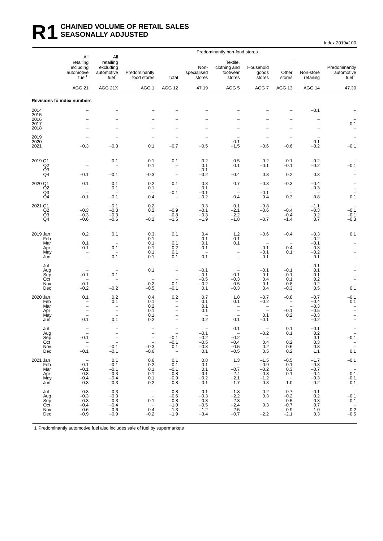### **R1 CHAINED VOLUME OF RETAIL SALES SEASONALLY ADJUSTED**

Index 2019=100

|                            | All<br>retailing<br>including<br>automotive<br>fuel <sup>1</sup> | All                                                       |                                                      |                                                                | Predominantly non-food stores              |                                                             |                                                                |                                                         |                                               |                                                  |
|----------------------------|------------------------------------------------------------------|-----------------------------------------------------------|------------------------------------------------------|----------------------------------------------------------------|--------------------------------------------|-------------------------------------------------------------|----------------------------------------------------------------|---------------------------------------------------------|-----------------------------------------------|--------------------------------------------------|
|                            |                                                                  | retailing<br>excluding<br>automotive<br>fuel <sup>1</sup> | Predominantly<br>food stores                         | Total                                                          | Non-<br>specialised<br>stores              | Textile,<br>clothing and<br>footwear<br>stores              | Household<br>goods<br>stores                                   | Other<br>stores                                         | Non-store<br>retailing                        | Predominantly<br>automotive<br>fuel <sup>1</sup> |
|                            | <b>AGG 21</b>                                                    | AGG 21X                                                   | AGG <sub>1</sub>                                     | AGG 12                                                         | 47.19                                      | AGG <sub>5</sub>                                            | AGG 7                                                          | AGG 13                                                  | AGG 14                                        | 47.30                                            |
|                            | <b>Revisions to index numbers</b>                                |                                                           |                                                      |                                                                |                                            |                                                             |                                                                |                                                         |                                               |                                                  |
| 2014<br>2015               | $\overline{\phantom{0}}$<br>$\overline{\phantom{0}}$             | $\overline{\phantom{0}}$                                  | $\overline{\phantom{0}}$                             | L.<br>$\overline{\phantom{0}}$                                 | $\overline{\phantom{0}}$                   | $\overline{\phantom{a}}$                                    | $\overline{\phantom{0}}$<br>$\overline{\phantom{0}}$           | $\qquad \qquad -$                                       | $-0.1$<br>-                                   |                                                  |
| 2016<br>2017               | $\overline{\phantom{0}}$<br>$\overline{\phantom{0}}$             | $\overline{\phantom{0}}$                                  | $\overline{\phantom{0}}$                             | $\overline{\phantom{0}}$<br>$\overline{a}$                     | $\overline{\phantom{0}}$                   |                                                             | $\overline{\phantom{0}}$                                       | $\overline{a}$<br>$\overline{\phantom{0}}$              | $\qquad \qquad -$<br>$\overline{\phantom{0}}$ | $-0.1$                                           |
| 2018                       | L.                                                               | $\overline{\phantom{0}}$                                  | $\overline{\phantom{0}}$                             | $\overline{a}$                                                 | $\overline{\phantom{0}}$                   |                                                             | $\overline{\phantom{0}}$                                       | $\overline{\phantom{0}}$                                | $\overline{\phantom{0}}$                      |                                                  |
| 2019<br>2020               | $\overline{\phantom{a}}$                                         | $\overline{\phantom{0}}$                                  | $\overline{\phantom{a}}$<br>$\overline{\phantom{0}}$ | -<br>$\qquad \qquad -$                                         | $\overline{\phantom{0}}$<br>$\overline{a}$ | 0.1                                                         | $\overline{\phantom{0}}$                                       | $\overline{\phantom{0}}$                                | 0.1                                           |                                                  |
| 2021                       | $-0.3$                                                           | $-0.3$                                                    | 0.1                                                  | $-0.7$                                                         | $-0.5$                                     | $-1.5$                                                      | $-0.6$                                                         | $-0.6$                                                  | $-0.2$                                        | $-0.1$                                           |
| 2019 Q1<br>Q2              | $\overline{a}$<br>$\overline{\phantom{0}}$                       | 0.1                                                       | 0.1<br>0.1                                           | 0.1<br>$\overline{\phantom{0}}$                                | 0.2<br>0.1                                 | 0.5<br>0.1                                                  | $-0.2$<br>$-0.1$                                               | $-0.1$<br>$-0.1$                                        | $-0.2$<br>$-0.2$                              | $-0.1$                                           |
| Q3<br>Q4                   | $\overline{\phantom{0}}$<br>$-0.1$                               | $\sim$<br>$-0.1$                                          | $-0.3$                                               | $\overline{\phantom{0}}$<br>$\qquad \qquad -$                  | $-0.1$<br>$-0.2$                           | $-0.4$                                                      | 0.3                                                            | 0.2                                                     | 0.3                                           |                                                  |
| 2020 Q1                    | 0.1                                                              | 0.1                                                       | 0.2                                                  | 0.1                                                            | 0.3                                        | 0.7                                                         | $-0.3$                                                         | $-0.3$                                                  | $-0.4$                                        |                                                  |
| Q2<br>Q <sub>3</sub><br>Q4 | $\overline{\phantom{0}}$<br>$-0.1$                               | 0.1<br>$-0.1$                                             | 0.1<br>$-0.4$                                        | $\overline{\phantom{0}}$<br>$-0.1$<br>$\overline{\phantom{0}}$ | 0.1<br>$-0.1$<br>$-0.2$                    | $\overline{\phantom{m}}$<br>$-0.4$                          | $\overline{\phantom{m}}$<br>$-0.1$<br>0.4                      | $\overline{\phantom{m}}$<br>0.3                         | $-0.3$<br>0.8                                 | 0.1                                              |
| 2021 Q1                    | $\overline{\phantom{0}}$                                         | $-0.1$                                                    | 0.2                                                  | $\overline{\phantom{a}}$                                       | 0.3                                        | 0.1                                                         | $-0.8$                                                         |                                                         | $-1.1$                                        |                                                  |
| Q2<br>Q3                   | $-0.3$<br>$-0.3$                                                 | $-0.3$<br>$-0.3$                                          | 0.2<br>$\overline{\phantom{m}}$                      | $-0.9$<br>$-0.8$                                               | $-0.1$<br>$-0.3$                           | $-2.1$<br>$-2.2$                                            | $-0.6$<br>$\overline{\phantom{m}}$                             | $-0.4$<br>$-0.4$                                        | $-0.3$<br>0.2                                 | $-0.1$<br>$-0.1$                                 |
| Q4                         | $-0.6$                                                           | $-0.6$                                                    | $-0.2$                                               | $-1.5$                                                         | $-1.9$                                     | $-1.8$                                                      | $-0.7$                                                         | $-1.4$                                                  | 0.7                                           | $-0.3$                                           |
| 2019 Jan<br>Feb            | 0.2                                                              | 0.1                                                       | 0.3<br>0.1                                           | 0.1                                                            | 0.4<br>0.1                                 | 1.2<br>0.1                                                  | $-0.6$                                                         | $-0.4$                                                  | $-0.3$<br>$-0.2$                              | 0.1                                              |
| Mar<br>Apr                 | 0.1<br>$-0.1$                                                    | $\overline{a}$<br>$\overline{a}$<br>$-0.1$                | 0.1<br>0.1                                           | 0.1<br>$-0.2$                                                  | 0.1<br>0.1                                 | 0.1<br>$\overline{\phantom{0}}$                             | $\overline{\phantom{m}}$<br>$\overline{\phantom{0}}$<br>$-0.1$ | $\qquad \qquad -$<br>$\overline{\phantom{0}}$<br>$-0.4$ | $-0.1$<br>$-0.3$                              |                                                  |
| May<br>Jun                 | $\overline{\phantom{0}}$<br>$\overline{\phantom{0}}$             | 0.1                                                       | 0.1<br>0.1                                           | 0.1<br>0.1                                                     | 0.1                                        | $\overline{\phantom{a}}$<br>$\overline{\phantom{0}}$        | $-0.1$<br>$-0.1$                                               | 0.1                                                     | $-0.2$<br>$-0.1$                              |                                                  |
| Jul                        | $\overline{\phantom{0}}$<br>$\overline{\phantom{0}}$             | $\overline{\phantom{a}}$<br>$\overline{\phantom{0}}$      | 0.1                                                  | $\qquad \qquad -$                                              | $-0.1$                                     | $\overline{\phantom{m}}$                                    | $-0.1$                                                         | $-0.1$                                                  | $-0.1$<br>0.1                                 |                                                  |
| Aug<br>Sep<br>Oct          | $-0.1$                                                           | $-0.1$<br>$\overline{\phantom{a}}$                        | $\overline{\phantom{a}}$<br>$\overline{\phantom{a}}$ | $\qquad \qquad -$<br>$\qquad \qquad -$                         | $-0.1$<br>$-0.5$                           | $-0.1$<br>$-0.3$                                            | 0.1<br>0.4                                                     | $-0.1$<br>0.1                                           | 0.1<br>0.2                                    |                                                  |
| Nov<br>Dec                 | $-0.1$<br>$-0.2$                                                 | $-0.2$                                                    | $-0.2$<br>$-0.5$                                     | 0.1<br>$-0.1$                                                  | $-0.2$<br>0.1                              | $-0.5$<br>$-0.3$                                            | 0.1<br>0.4                                                     | 0.8<br>$-0.3$                                           | 0.2<br>0.5                                    | $0.\overline{1}$                                 |
| 2020 Jan                   | 0.1                                                              | 0.2                                                       | 0.4                                                  | 0.2                                                            | 0.7                                        | 1.8                                                         | $-0.7$                                                         | $-0.8$                                                  | $-0.7$                                        | $-0.1$                                           |
| Feb<br>Mar<br>Apr          | -<br>$\qquad \qquad -$<br>-                                      | 0.1<br>$\qquad \qquad -$<br>$\overline{\phantom{a}}$      | 0.1<br>0.2<br>0.1                                    | $\overline{\phantom{0}}$<br>$\overline{\phantom{m}}$<br>-      | 0.1<br>0.1<br>0.1                          | 0.1<br>$\overline{\phantom{0}}$<br>$\overline{\phantom{a}}$ | $-0.2$<br>$\qquad \qquad -$<br>$\overline{\phantom{a}}$        | $\overline{\phantom{m}}$<br>$-0.1$                      | $-0.4$<br>$-0.3$<br>$-0.5$                    | 0.1                                              |
| May<br>Jun                 | $\overline{\phantom{0}}$<br>0.1                                  | $\overline{\phantom{0}}$<br>0.1                           | 0.1<br>0.2                                           | $\overline{\phantom{0}}$<br>$\overline{a}$                     | 0.2                                        | 0.1                                                         | 0.1<br>$-0.1$                                                  | 0.2<br>$\qquad \qquad -$                                | $-0.3$<br>$-0.2$                              |                                                  |
| Jul                        | $\overline{a}$                                                   | $\overline{\phantom{0}}$                                  | $\overline{\phantom{0}}$                             | -                                                              | $\overline{\phantom{0}}$                   | 0.1                                                         | $\overline{\phantom{m}}$                                       | 0.1                                                     | $-0.1$                                        |                                                  |
| Aug<br>Sep<br>Oct          | $\overline{\phantom{0}}$<br>$-0.1$                               | $\overline{\phantom{0}}$<br>$\equiv$<br>$\sim$            | $\mathbb T$                                          | $\overline{\phantom{0}}$<br>$-0.1$<br>$-0.1$                   | $-0.1$<br>$-0.2$<br>$-0.5$                 | $-0.2$<br>$-0.4$                                            | $-0.2$<br>$-$<br>0.4                                           | 0.1<br>$\overline{\phantom{0}}$<br>0.2                  | 0.2<br>0.1<br>0.3                             | $-0.1$                                           |
| Nov<br>Dec                 | $\bar{\mathbb{Z}}$<br>$-0.1$                                     | $-0.1$<br>$-0.1$                                          | $-0.3$<br>$-0.6$                                     | 0.1<br>$\overline{\phantom{0}}$                                | $-0.3$<br>0.1                              | $-0.5$<br>$-0.5$                                            | 0.2<br>0.5                                                     | 0.6<br>0.2                                              | 0.8<br>1.1                                    | $\frac{1}{0.1}$                                  |
| 2021 Jan                   | $\sim$                                                           | 0.1                                                       | 0.6                                                  | 0.1                                                            | 0.8                                        | 1.3                                                         | $-1.5$                                                         | $-0.5$                                                  | $-1.7$                                        | $-0.1$                                           |
| Feb<br>Mar                 | $-0.1$<br>$-0.1$                                                 | $-0.1$<br>$-0.1$                                          | $0.2 \\ 0.1$                                         | $-0.1$<br>$-0.1$                                               | 0.1<br>0.1                                 | $\sim$ $-$<br>$-0.7$                                        | $-0.9$<br>$-0.2$                                               | 0.1<br>0.3                                              | $-0.8$<br>$-0.7$                              | $\frac{1}{2}$<br>$-0.1$                          |
| Apr<br>May<br>Jun          | $-0.3$<br>$-0.4$<br>$-0.3$                                       | $-0.3$<br>$-0.4$<br>$-0.3$                                | 0.1<br>0.1<br>0.2                                    | $-0.8$<br>$-0.9$<br>$-0.8$                                     | $-0.1$<br>$-0.2$<br>$-0.1$                 | $-2.4$<br>$-2.1$<br>$-1.7$                                  | $-0.3$<br>$^{-1.2}_{-0.3}$                                     | $-0.1$<br>$\overline{\phantom{0}}$<br>$-1.0$            | $-0.4$<br>$-0.3$<br>$-0.2$                    | $-0.1$<br>$-0.1$                                 |
| Jul                        | $-0.3$                                                           | $-0.3$                                                    | $\overline{\phantom{a}}$                             | $-0.8$                                                         | $-0.1$                                     | $-1.8$                                                      | $-0.2$                                                         | $-0.7$                                                  | $-0.1$                                        |                                                  |
| Aug<br>Sep                 | $-0.3$<br>$-0.3$                                                 | $-0.3$<br>$-0.3$                                          | $-0.1$                                               | $-0.6$<br>$-0.8$                                               | $-0.3$<br>$-0.3$                           | $-2.2$<br>$-2.3$                                            | 0.3<br>$\overline{\phantom{0}}$                                | $-0.2$<br>$-0.5$                                        | 0.2<br>0.3                                    | $-0.\overline{1}$<br>$-0.1$                      |
| Oct<br>Nov                 | $-0.4$<br>$-0.6$                                                 | $-0.4$<br>$-0.6$                                          | $\overline{a}$<br>$-0.4$<br>$-0.2$                   | $-1.0$<br>$-1.3$                                               | $-0.5$<br>$-1.2$                           | $-2.4$<br>$-2.5$                                            | 0.3<br>$\sim$ $-$<br>$-2.2$                                    | $-0.7$<br>$-0.9$                                        | 0.7<br>1.0                                    | $-0.\overline{2}$                                |
| Dec                        | $-0.9$                                                           | $-0.9$                                                    |                                                      | $-1.9$                                                         | $-3.4$                                     | $-0.7$                                                      |                                                                | $-2.1$                                                  | 0.3                                           | $-0.5$                                           |